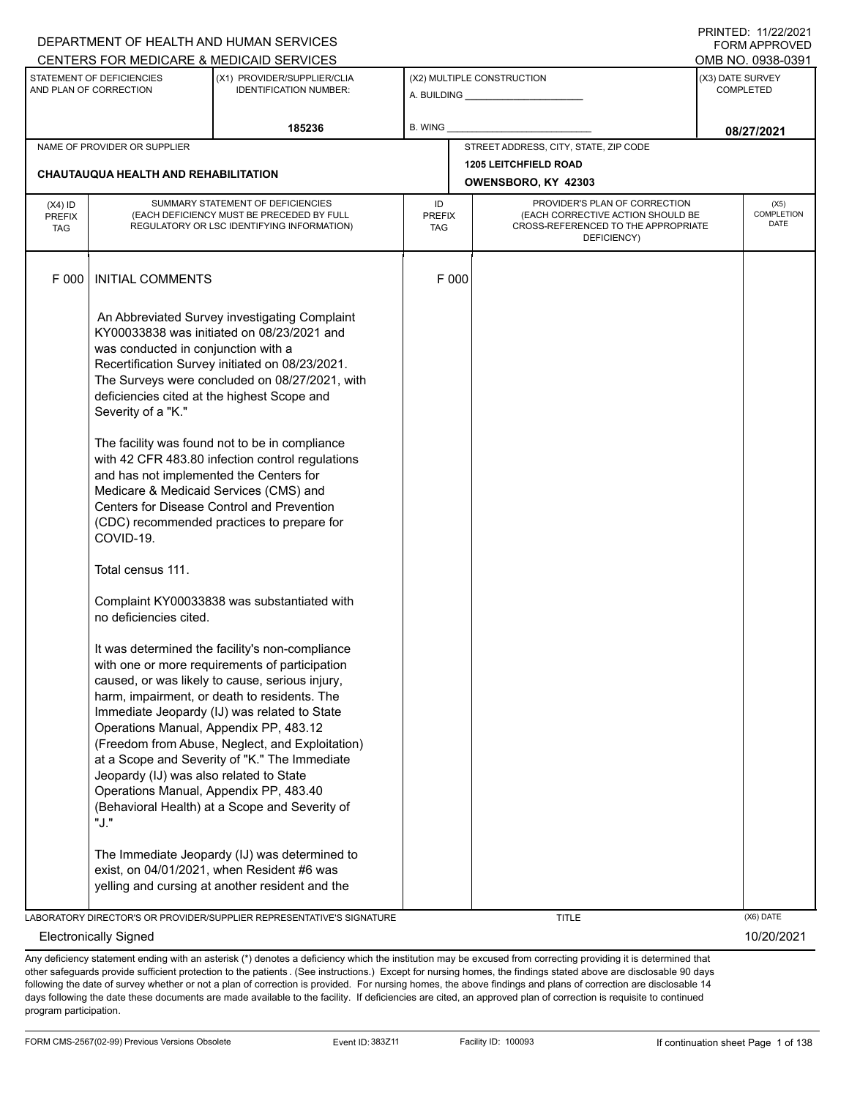|                                          |                                                                                                                                                                                                                                                                                                                                                   | DEPARTMENT OF HEALTH AND HUMAN SERVICES<br>CENTERS FOR MEDICARE & MEDICAID SERVICES                                                                                                                                                                                                                                                                                                                                                                                                                                                                                                                                                                                                                                                                                                                                                                                                                                                                                                                                                                              |                                                       |                                                                                                                          | <b>FORM APPROVED</b><br>OMB NO. 0938-0391 |
|------------------------------------------|---------------------------------------------------------------------------------------------------------------------------------------------------------------------------------------------------------------------------------------------------------------------------------------------------------------------------------------------------|------------------------------------------------------------------------------------------------------------------------------------------------------------------------------------------------------------------------------------------------------------------------------------------------------------------------------------------------------------------------------------------------------------------------------------------------------------------------------------------------------------------------------------------------------------------------------------------------------------------------------------------------------------------------------------------------------------------------------------------------------------------------------------------------------------------------------------------------------------------------------------------------------------------------------------------------------------------------------------------------------------------------------------------------------------------|-------------------------------------------------------|--------------------------------------------------------------------------------------------------------------------------|-------------------------------------------|
|                                          | STATEMENT OF DEFICIENCIES<br>AND PLAN OF CORRECTION                                                                                                                                                                                                                                                                                               | (X1) PROVIDER/SUPPLIER/CLIA<br><b>IDENTIFICATION NUMBER:</b>                                                                                                                                                                                                                                                                                                                                                                                                                                                                                                                                                                                                                                                                                                                                                                                                                                                                                                                                                                                                     | (X2) MULTIPLE CONSTRUCTION<br>A. BUILDING ___________ |                                                                                                                          | (X3) DATE SURVEY<br><b>COMPLETED</b>      |
|                                          |                                                                                                                                                                                                                                                                                                                                                   | 185236                                                                                                                                                                                                                                                                                                                                                                                                                                                                                                                                                                                                                                                                                                                                                                                                                                                                                                                                                                                                                                                           | B. WING                                               |                                                                                                                          | 08/27/2021                                |
|                                          | NAME OF PROVIDER OR SUPPLIER                                                                                                                                                                                                                                                                                                                      |                                                                                                                                                                                                                                                                                                                                                                                                                                                                                                                                                                                                                                                                                                                                                                                                                                                                                                                                                                                                                                                                  |                                                       | STREET ADDRESS, CITY, STATE, ZIP CODE                                                                                    |                                           |
|                                          | <b>CHAUTAUQUA HEALTH AND REHABILITATION</b>                                                                                                                                                                                                                                                                                                       |                                                                                                                                                                                                                                                                                                                                                                                                                                                                                                                                                                                                                                                                                                                                                                                                                                                                                                                                                                                                                                                                  |                                                       | <b>1205 LEITCHFIELD ROAD</b><br>OWENSBORO, KY 42303                                                                      |                                           |
| $(X4)$ ID<br><b>PREFIX</b><br><b>TAG</b> |                                                                                                                                                                                                                                                                                                                                                   | SUMMARY STATEMENT OF DEFICIENCIES<br>(EACH DEFICIENCY MUST BE PRECEDED BY FULL<br>REGULATORY OR LSC IDENTIFYING INFORMATION)                                                                                                                                                                                                                                                                                                                                                                                                                                                                                                                                                                                                                                                                                                                                                                                                                                                                                                                                     | ID<br><b>PREFIX</b><br><b>TAG</b>                     | PROVIDER'S PLAN OF CORRECTION<br>(EACH CORRECTIVE ACTION SHOULD BE<br>CROSS-REFERENCED TO THE APPROPRIATE<br>DEFICIENCY) | (X5)<br>COMPLETION<br><b>DATE</b>         |
| F 000                                    | <b>INITIAL COMMENTS</b>                                                                                                                                                                                                                                                                                                                           |                                                                                                                                                                                                                                                                                                                                                                                                                                                                                                                                                                                                                                                                                                                                                                                                                                                                                                                                                                                                                                                                  | F 000                                                 |                                                                                                                          |                                           |
|                                          | was conducted in conjunction with a<br>Severity of a "K."<br>and has not implemented the Centers for<br>Medicare & Medicaid Services (CMS) and<br>COVID-19.<br>Total census 111.<br>no deficiencies cited.<br>Operations Manual, Appendix PP, 483.12<br>Jeopardy (IJ) was also related to State<br>Operations Manual, Appendix PP, 483.40<br>"J." | An Abbreviated Survey investigating Complaint<br>KY00033838 was initiated on 08/23/2021 and<br>Recertification Survey initiated on 08/23/2021.<br>The Surveys were concluded on 08/27/2021, with<br>deficiencies cited at the highest Scope and<br>The facility was found not to be in compliance<br>with 42 CFR 483.80 infection control regulations<br>Centers for Disease Control and Prevention<br>(CDC) recommended practices to prepare for<br>Complaint KY00033838 was substantiated with<br>It was determined the facility's non-compliance<br>with one or more requirements of participation<br>caused, or was likely to cause, serious injury,<br>harm, impairment, or death to residents. The<br>Immediate Jeopardy (IJ) was related to State<br>(Freedom from Abuse, Neglect, and Exploitation)<br>at a Scope and Severity of "K." The Immediate<br>(Behavioral Health) at a Scope and Severity of<br>The Immediate Jeopardy (IJ) was determined to<br>exist, on 04/01/2021, when Resident #6 was<br>yelling and cursing at another resident and the |                                                       |                                                                                                                          |                                           |
|                                          |                                                                                                                                                                                                                                                                                                                                                   | LABORATORY DIRECTOR'S OR PROVIDER/SUPPLIER REPRESENTATIVE'S SIGNATURE                                                                                                                                                                                                                                                                                                                                                                                                                                                                                                                                                                                                                                                                                                                                                                                                                                                                                                                                                                                            |                                                       | <b>TITLE</b>                                                                                                             | (X6) DATE                                 |
|                                          | <b>Electronically Signed</b>                                                                                                                                                                                                                                                                                                                      |                                                                                                                                                                                                                                                                                                                                                                                                                                                                                                                                                                                                                                                                                                                                                                                                                                                                                                                                                                                                                                                                  |                                                       |                                                                                                                          | 10/20/2021                                |

Any deficiency statement ending with an asterisk (\*) denotes a deficiency which the institution may be excused from correcting providing it is determined that other safeguards provide sufficient protection to the patients . (See instructions.) Except for nursing homes, the findings stated above are disclosable 90 days following the date of survey whether or not a plan of correction is provided. For nursing homes, the above findings and plans of correction are disclosable 14 days following the date these documents are made available to the facility. If deficiencies are cited, an approved plan of correction is requisite to continued program participation.

DEPARTMENT OF HEALTH AND HUMAN SERVICES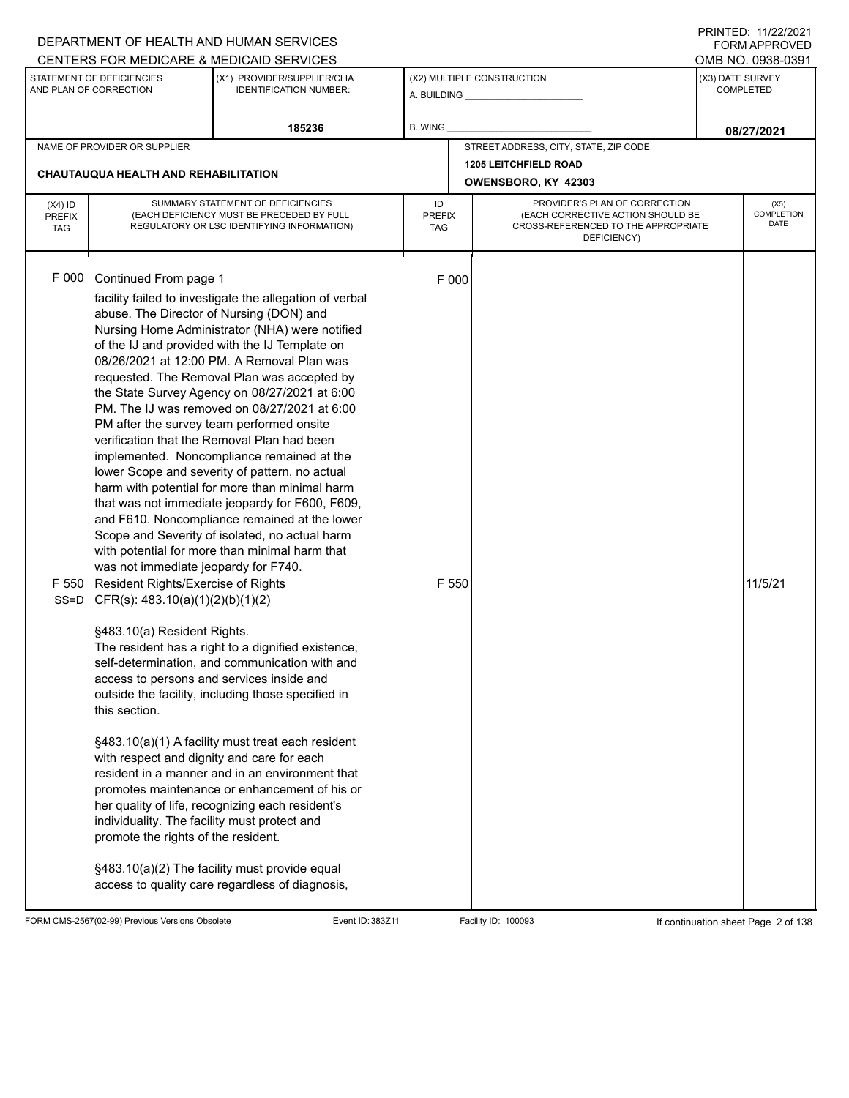|                                          |                                                                                                                                                                                                                                                                                                                                                                                                                       | DEPARTMENT OF HEALTH AND HUMAN SERVICES                                                                                                                                                                                                                                                                                                                                                                                                                                                                                                                                                                                                                                                                                                                                                                                                                                                                                                                                                                                                                                                                                                                                                                                                                                                        |                                   |                                                                                                                          | <b>FORM APPROVED</b><br>OMB NO. 0938-0391 |                                          |
|------------------------------------------|-----------------------------------------------------------------------------------------------------------------------------------------------------------------------------------------------------------------------------------------------------------------------------------------------------------------------------------------------------------------------------------------------------------------------|------------------------------------------------------------------------------------------------------------------------------------------------------------------------------------------------------------------------------------------------------------------------------------------------------------------------------------------------------------------------------------------------------------------------------------------------------------------------------------------------------------------------------------------------------------------------------------------------------------------------------------------------------------------------------------------------------------------------------------------------------------------------------------------------------------------------------------------------------------------------------------------------------------------------------------------------------------------------------------------------------------------------------------------------------------------------------------------------------------------------------------------------------------------------------------------------------------------------------------------------------------------------------------------------|-----------------------------------|--------------------------------------------------------------------------------------------------------------------------|-------------------------------------------|------------------------------------------|
|                                          | STATEMENT OF DEFICIENCIES<br>AND PLAN OF CORRECTION                                                                                                                                                                                                                                                                                                                                                                   | CENTERS FOR MEDICARE & MEDICAID SERVICES<br>(X1) PROVIDER/SUPPLIER/CLIA<br><b>IDENTIFICATION NUMBER:</b>                                                                                                                                                                                                                                                                                                                                                                                                                                                                                                                                                                                                                                                                                                                                                                                                                                                                                                                                                                                                                                                                                                                                                                                       |                                   | (X2) MULTIPLE CONSTRUCTION                                                                                               |                                           | (X3) DATE SURVEY<br><b>COMPLETED</b>     |
|                                          |                                                                                                                                                                                                                                                                                                                                                                                                                       | 185236                                                                                                                                                                                                                                                                                                                                                                                                                                                                                                                                                                                                                                                                                                                                                                                                                                                                                                                                                                                                                                                                                                                                                                                                                                                                                         | B. WING                           |                                                                                                                          |                                           | 08/27/2021                               |
|                                          | NAME OF PROVIDER OR SUPPLIER<br><b>CHAUTAUQUA HEALTH AND REHABILITATION</b>                                                                                                                                                                                                                                                                                                                                           |                                                                                                                                                                                                                                                                                                                                                                                                                                                                                                                                                                                                                                                                                                                                                                                                                                                                                                                                                                                                                                                                                                                                                                                                                                                                                                |                                   | STREET ADDRESS, CITY, STATE, ZIP CODE<br><b>1205 LEITCHFIELD ROAD</b><br>OWENSBORO, KY 42303                             |                                           |                                          |
| $(X4)$ ID<br><b>PREFIX</b><br><b>TAG</b> |                                                                                                                                                                                                                                                                                                                                                                                                                       | SUMMARY STATEMENT OF DEFICIENCIES<br>(EACH DEFICIENCY MUST BE PRECEDED BY FULL<br>REGULATORY OR LSC IDENTIFYING INFORMATION)                                                                                                                                                                                                                                                                                                                                                                                                                                                                                                                                                                                                                                                                                                                                                                                                                                                                                                                                                                                                                                                                                                                                                                   | ID<br><b>PREFIX</b><br><b>TAG</b> | PROVIDER'S PLAN OF CORRECTION<br>(EACH CORRECTIVE ACTION SHOULD BE<br>CROSS-REFERENCED TO THE APPROPRIATE<br>DEFICIENCY) |                                           | (X5)<br><b>COMPLETION</b><br><b>DATE</b> |
| F 000<br>F 550<br>$SS=D$                 | Continued From page 1<br>abuse. The Director of Nursing (DON) and<br>was not immediate jeopardy for F740.<br>Resident Rights/Exercise of Rights<br>CFR(s): 483.10(a)(1)(2)(b)(1)(2)<br>§483.10(a) Resident Rights.<br>access to persons and services inside and<br>this section.<br>with respect and dignity and care for each<br>individuality. The facility must protect and<br>promote the rights of the resident. | facility failed to investigate the allegation of verbal<br>Nursing Home Administrator (NHA) were notified<br>of the IJ and provided with the IJ Template on<br>08/26/2021 at 12:00 PM. A Removal Plan was<br>requested. The Removal Plan was accepted by<br>the State Survey Agency on 08/27/2021 at 6:00<br>PM. The IJ was removed on 08/27/2021 at 6:00<br>PM after the survey team performed onsite<br>verification that the Removal Plan had been<br>implemented. Noncompliance remained at the<br>lower Scope and severity of pattern, no actual<br>harm with potential for more than minimal harm<br>that was not immediate jeopardy for F600, F609,<br>and F610. Noncompliance remained at the lower<br>Scope and Severity of isolated, no actual harm<br>with potential for more than minimal harm that<br>The resident has a right to a dignified existence,<br>self-determination, and communication with and<br>outside the facility, including those specified in<br>§483.10(a)(1) A facility must treat each resident<br>resident in a manner and in an environment that<br>promotes maintenance or enhancement of his or<br>her quality of life, recognizing each resident's<br>§483.10(a)(2) The facility must provide equal<br>access to quality care regardless of diagnosis, | F 000<br>F 550                    |                                                                                                                          |                                           | 11/5/21                                  |

FORM CMS-2567(02-99) Previous Versions Obsolete Event ID: 383Z11 Facility ID: 100093 If continuation sheet Page 2 of 138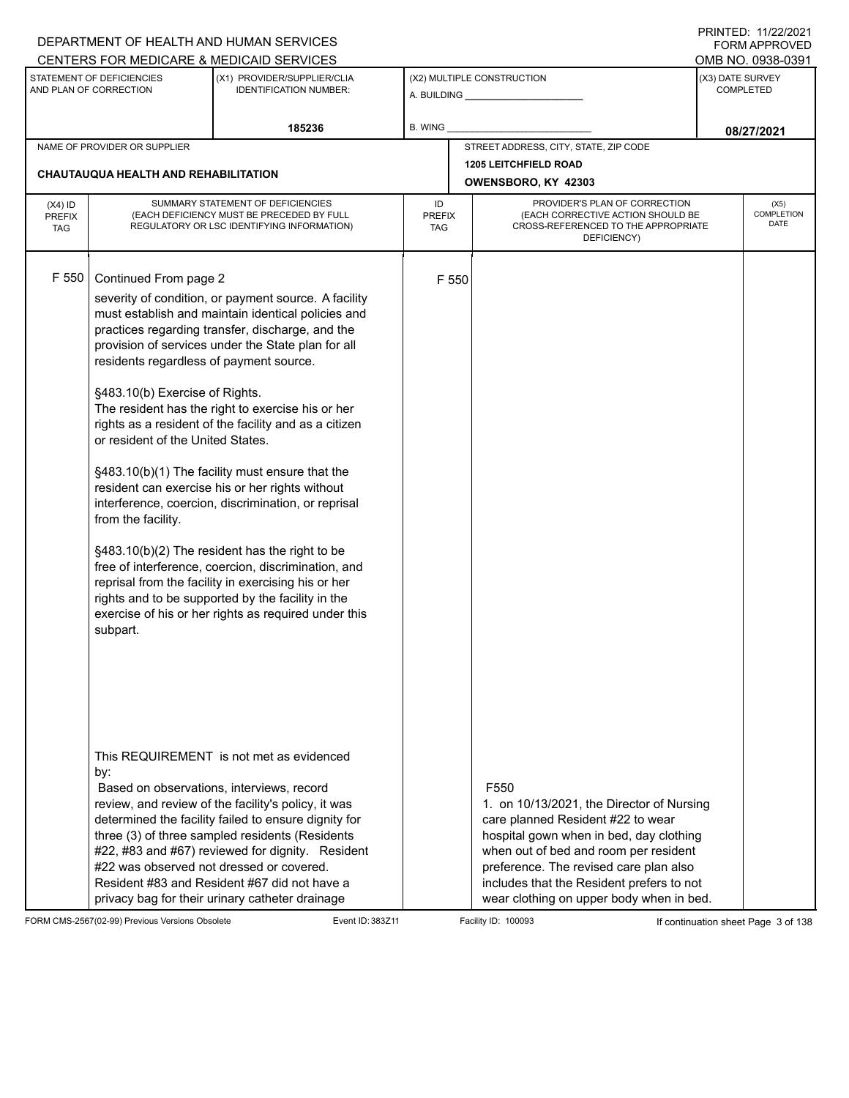|                                          |                                                                                                                                                                           | DEPARTMENT OF HEALTH AND HUMAN SERVICES                                                                                                                                                                                                                                                                                                                                                                                                                                                                                                                                                                                                                                                                                                                                      |                                                     |                                                                                                                                                                                                                                                                                                                           | <b>FORM APPROVED</b>                 |
|------------------------------------------|---------------------------------------------------------------------------------------------------------------------------------------------------------------------------|------------------------------------------------------------------------------------------------------------------------------------------------------------------------------------------------------------------------------------------------------------------------------------------------------------------------------------------------------------------------------------------------------------------------------------------------------------------------------------------------------------------------------------------------------------------------------------------------------------------------------------------------------------------------------------------------------------------------------------------------------------------------------|-----------------------------------------------------|---------------------------------------------------------------------------------------------------------------------------------------------------------------------------------------------------------------------------------------------------------------------------------------------------------------------------|--------------------------------------|
|                                          |                                                                                                                                                                           | CENTERS FOR MEDICARE & MEDICAID SERVICES                                                                                                                                                                                                                                                                                                                                                                                                                                                                                                                                                                                                                                                                                                                                     |                                                     |                                                                                                                                                                                                                                                                                                                           | OMB NO. 0938-0391                    |
|                                          | STATEMENT OF DEFICIENCIES<br>AND PLAN OF CORRECTION                                                                                                                       | (X1) PROVIDER/SUPPLIER/CLIA<br><b>IDENTIFICATION NUMBER:</b>                                                                                                                                                                                                                                                                                                                                                                                                                                                                                                                                                                                                                                                                                                                 |                                                     | (X2) MULTIPLE CONSTRUCTION                                                                                                                                                                                                                                                                                                | (X3) DATE SURVEY<br><b>COMPLETED</b> |
|                                          |                                                                                                                                                                           | 185236                                                                                                                                                                                                                                                                                                                                                                                                                                                                                                                                                                                                                                                                                                                                                                       | B. WING _                                           |                                                                                                                                                                                                                                                                                                                           | 08/27/2021                           |
|                                          | NAME OF PROVIDER OR SUPPLIER                                                                                                                                              |                                                                                                                                                                                                                                                                                                                                                                                                                                                                                                                                                                                                                                                                                                                                                                              |                                                     | STREET ADDRESS, CITY, STATE, ZIP CODE                                                                                                                                                                                                                                                                                     |                                      |
|                                          | <b>CHAUTAUQUA HEALTH AND REHABILITATION</b>                                                                                                                               |                                                                                                                                                                                                                                                                                                                                                                                                                                                                                                                                                                                                                                                                                                                                                                              | <b>1205 LEITCHFIELD ROAD</b><br>OWENSBORO, KY 42303 |                                                                                                                                                                                                                                                                                                                           |                                      |
| $(X4)$ ID<br><b>PREFIX</b><br><b>TAG</b> |                                                                                                                                                                           | SUMMARY STATEMENT OF DEFICIENCIES<br>(EACH DEFICIENCY MUST BE PRECEDED BY FULL<br>REGULATORY OR LSC IDENTIFYING INFORMATION)                                                                                                                                                                                                                                                                                                                                                                                                                                                                                                                                                                                                                                                 | ID<br><b>PREFIX</b><br>TAG                          | PROVIDER'S PLAN OF CORRECTION<br>(EACH CORRECTIVE ACTION SHOULD BE<br>CROSS-REFERENCED TO THE APPROPRIATE<br>DEFICIENCY)                                                                                                                                                                                                  | (X5)<br>COMPLETION<br><b>DATE</b>    |
| F 550                                    | Continued From page 2<br>residents regardless of payment source.<br>§483.10(b) Exercise of Rights.<br>or resident of the United States.<br>from the facility.<br>subpart. | severity of condition, or payment source. A facility<br>must establish and maintain identical policies and<br>practices regarding transfer, discharge, and the<br>provision of services under the State plan for all<br>The resident has the right to exercise his or her<br>rights as a resident of the facility and as a citizen<br>§483.10(b)(1) The facility must ensure that the<br>resident can exercise his or her rights without<br>interference, coercion, discrimination, or reprisal<br>§483.10(b)(2) The resident has the right to be<br>free of interference, coercion, discrimination, and<br>reprisal from the facility in exercising his or her<br>rights and to be supported by the facility in the<br>exercise of his or her rights as required under this | F 550                                               |                                                                                                                                                                                                                                                                                                                           |                                      |
|                                          | by:<br>#22 was observed not dressed or covered.                                                                                                                           | This REQUIREMENT is not met as evidenced<br>Based on observations, interviews, record<br>review, and review of the facility's policy, it was<br>determined the facility failed to ensure dignity for<br>three (3) of three sampled residents (Residents<br>#22, #83 and #67) reviewed for dignity. Resident<br>Resident #83 and Resident #67 did not have a<br>privacy bag for their urinary catheter drainage                                                                                                                                                                                                                                                                                                                                                               |                                                     | F <sub>550</sub><br>1. on 10/13/2021, the Director of Nursing<br>care planned Resident #22 to wear<br>hospital gown when in bed, day clothing<br>when out of bed and room per resident<br>preference. The revised care plan also<br>includes that the Resident prefers to not<br>wear clothing on upper body when in bed. |                                      |

FORM CMS-2567(02-99) Previous Versions Obsolete Event ID: 383Z11 Facility ID: 100093 If continuation sheet Page 3 of 138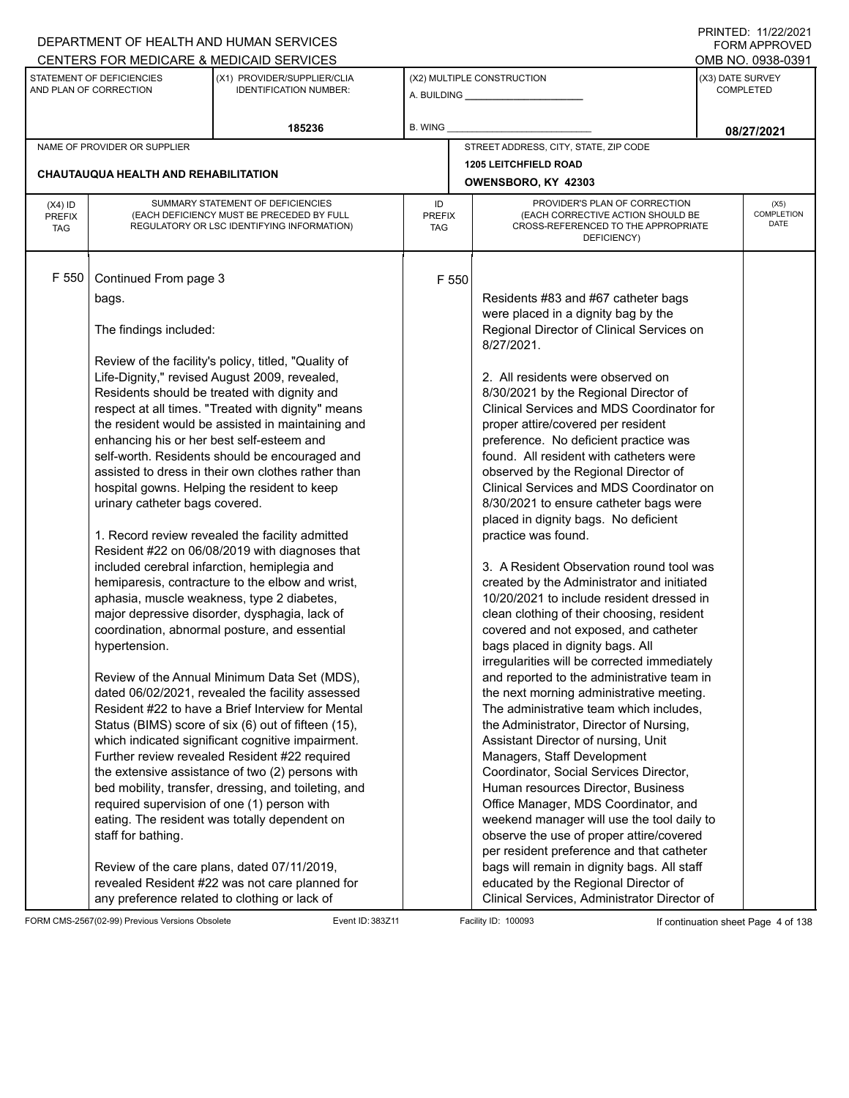|                                          |                                                                                                                                                                                                                               | DEPARTMENT OF HEALTH AND HUMAN SERVICES                                                                                                                                                                                                                                                                                                                                                                                                                                                                                                                                                                                                                                                                                                                                                                                                                                                                                                                                                                                                                                                                                                                                                                                                                                                                             |                            |                                                                                                                                                                                                                                                                                                                                                                                                                                                                                                                                                                                                                                                                                                                                                                                                                                                                                                                                                                                                                                                                                                                                                                                                                                                                                                                                                                                                                                                                               |                  | 111111111121112212121<br><b>FORM APPROVED</b> |
|------------------------------------------|-------------------------------------------------------------------------------------------------------------------------------------------------------------------------------------------------------------------------------|---------------------------------------------------------------------------------------------------------------------------------------------------------------------------------------------------------------------------------------------------------------------------------------------------------------------------------------------------------------------------------------------------------------------------------------------------------------------------------------------------------------------------------------------------------------------------------------------------------------------------------------------------------------------------------------------------------------------------------------------------------------------------------------------------------------------------------------------------------------------------------------------------------------------------------------------------------------------------------------------------------------------------------------------------------------------------------------------------------------------------------------------------------------------------------------------------------------------------------------------------------------------------------------------------------------------|----------------------------|-------------------------------------------------------------------------------------------------------------------------------------------------------------------------------------------------------------------------------------------------------------------------------------------------------------------------------------------------------------------------------------------------------------------------------------------------------------------------------------------------------------------------------------------------------------------------------------------------------------------------------------------------------------------------------------------------------------------------------------------------------------------------------------------------------------------------------------------------------------------------------------------------------------------------------------------------------------------------------------------------------------------------------------------------------------------------------------------------------------------------------------------------------------------------------------------------------------------------------------------------------------------------------------------------------------------------------------------------------------------------------------------------------------------------------------------------------------------------------|------------------|-----------------------------------------------|
|                                          |                                                                                                                                                                                                                               | CENTERS FOR MEDICARE & MEDICAID SERVICES                                                                                                                                                                                                                                                                                                                                                                                                                                                                                                                                                                                                                                                                                                                                                                                                                                                                                                                                                                                                                                                                                                                                                                                                                                                                            |                            |                                                                                                                                                                                                                                                                                                                                                                                                                                                                                                                                                                                                                                                                                                                                                                                                                                                                                                                                                                                                                                                                                                                                                                                                                                                                                                                                                                                                                                                                               |                  | OMB NO. 0938-0391                             |
|                                          | STATEMENT OF DEFICIENCIES<br>AND PLAN OF CORRECTION                                                                                                                                                                           | (X1) PROVIDER/SUPPLIER/CLIA<br><b>IDENTIFICATION NUMBER:</b>                                                                                                                                                                                                                                                                                                                                                                                                                                                                                                                                                                                                                                                                                                                                                                                                                                                                                                                                                                                                                                                                                                                                                                                                                                                        |                            | (X2) MULTIPLE CONSTRUCTION                                                                                                                                                                                                                                                                                                                                                                                                                                                                                                                                                                                                                                                                                                                                                                                                                                                                                                                                                                                                                                                                                                                                                                                                                                                                                                                                                                                                                                                    | (X3) DATE SURVEY | <b>COMPLETED</b>                              |
|                                          |                                                                                                                                                                                                                               | 185236                                                                                                                                                                                                                                                                                                                                                                                                                                                                                                                                                                                                                                                                                                                                                                                                                                                                                                                                                                                                                                                                                                                                                                                                                                                                                                              | B. WING                    |                                                                                                                                                                                                                                                                                                                                                                                                                                                                                                                                                                                                                                                                                                                                                                                                                                                                                                                                                                                                                                                                                                                                                                                                                                                                                                                                                                                                                                                                               |                  | 08/27/2021                                    |
|                                          | NAME OF PROVIDER OR SUPPLIER                                                                                                                                                                                                  |                                                                                                                                                                                                                                                                                                                                                                                                                                                                                                                                                                                                                                                                                                                                                                                                                                                                                                                                                                                                                                                                                                                                                                                                                                                                                                                     |                            | STREET ADDRESS, CITY, STATE, ZIP CODE                                                                                                                                                                                                                                                                                                                                                                                                                                                                                                                                                                                                                                                                                                                                                                                                                                                                                                                                                                                                                                                                                                                                                                                                                                                                                                                                                                                                                                         |                  |                                               |
|                                          |                                                                                                                                                                                                                               |                                                                                                                                                                                                                                                                                                                                                                                                                                                                                                                                                                                                                                                                                                                                                                                                                                                                                                                                                                                                                                                                                                                                                                                                                                                                                                                     |                            | <b>1205 LEITCHFIELD ROAD</b>                                                                                                                                                                                                                                                                                                                                                                                                                                                                                                                                                                                                                                                                                                                                                                                                                                                                                                                                                                                                                                                                                                                                                                                                                                                                                                                                                                                                                                                  |                  |                                               |
|                                          | CHAUTAUQUA HEALTH AND REHABILITATION                                                                                                                                                                                          |                                                                                                                                                                                                                                                                                                                                                                                                                                                                                                                                                                                                                                                                                                                                                                                                                                                                                                                                                                                                                                                                                                                                                                                                                                                                                                                     |                            | OWENSBORO, KY 42303                                                                                                                                                                                                                                                                                                                                                                                                                                                                                                                                                                                                                                                                                                                                                                                                                                                                                                                                                                                                                                                                                                                                                                                                                                                                                                                                                                                                                                                           |                  |                                               |
| $(X4)$ ID<br><b>PREFIX</b><br><b>TAG</b> |                                                                                                                                                                                                                               | SUMMARY STATEMENT OF DEFICIENCIES<br>(EACH DEFICIENCY MUST BE PRECEDED BY FULL<br>REGULATORY OR LSC IDENTIFYING INFORMATION)                                                                                                                                                                                                                                                                                                                                                                                                                                                                                                                                                                                                                                                                                                                                                                                                                                                                                                                                                                                                                                                                                                                                                                                        | ID<br><b>PREFIX</b><br>TAG | PROVIDER'S PLAN OF CORRECTION<br>(EACH CORRECTIVE ACTION SHOULD BE<br>CROSS-REFERENCED TO THE APPROPRIATE<br>DEFICIENCY)                                                                                                                                                                                                                                                                                                                                                                                                                                                                                                                                                                                                                                                                                                                                                                                                                                                                                                                                                                                                                                                                                                                                                                                                                                                                                                                                                      |                  | (X5)<br>COMPLETION<br><b>DATE</b>             |
| F 550                                    | Continued From page 3<br>bags.<br>The findings included:<br>enhancing his or her best self-esteem and<br>urinary catheter bags covered.<br>hypertension.<br>required supervision of one (1) person with<br>staff for bathing. | Review of the facility's policy, titled, "Quality of<br>Life-Dignity," revised August 2009, revealed,<br>Residents should be treated with dignity and<br>respect at all times. "Treated with dignity" means<br>the resident would be assisted in maintaining and<br>self-worth. Residents should be encouraged and<br>assisted to dress in their own clothes rather than<br>hospital gowns. Helping the resident to keep<br>1. Record review revealed the facility admitted<br>Resident #22 on 06/08/2019 with diagnoses that<br>included cerebral infarction, hemiplegia and<br>hemiparesis, contracture to the elbow and wrist,<br>aphasia, muscle weakness, type 2 diabetes,<br>major depressive disorder, dysphagia, lack of<br>coordination, abnormal posture, and essential<br>Review of the Annual Minimum Data Set (MDS),<br>dated 06/02/2021, revealed the facility assessed<br>Resident #22 to have a Brief Interview for Mental<br>Status (BIMS) score of six (6) out of fifteen (15),<br>which indicated significant cognitive impairment.<br>Further review revealed Resident #22 required<br>the extensive assistance of two (2) persons with<br>bed mobility, transfer, dressing, and toileting, and<br>eating. The resident was totally dependent on<br>Review of the care plans, dated 07/11/2019, | F 550                      | Residents #83 and #67 catheter bags<br>were placed in a dignity bag by the<br>Regional Director of Clinical Services on<br>8/27/2021.<br>2. All residents were observed on<br>8/30/2021 by the Regional Director of<br>Clinical Services and MDS Coordinator for<br>proper attire/covered per resident<br>preference. No deficient practice was<br>found. All resident with catheters were<br>observed by the Regional Director of<br>Clinical Services and MDS Coordinator on<br>8/30/2021 to ensure catheter bags were<br>placed in dignity bags. No deficient<br>practice was found.<br>3. A Resident Observation round tool was<br>created by the Administrator and initiated<br>10/20/2021 to include resident dressed in<br>clean clothing of their choosing, resident<br>covered and not exposed, and catheter<br>bags placed in dignity bags. All<br>irregularities will be corrected immediately<br>and reported to the administrative team in<br>the next morning administrative meeting.<br>The administrative team which includes,<br>the Administrator, Director of Nursing,<br>Assistant Director of nursing, Unit<br>Managers, Staff Development<br>Coordinator, Social Services Director,<br>Human resources Director, Business<br>Office Manager, MDS Coordinator, and<br>weekend manager will use the tool daily to<br>observe the use of proper attire/covered<br>per resident preference and that catheter<br>bags will remain in dignity bags. All staff |                  |                                               |
|                                          |                                                                                                                                                                                                                               | revealed Resident #22 was not care planned for<br>any preference related to clothing or lack of                                                                                                                                                                                                                                                                                                                                                                                                                                                                                                                                                                                                                                                                                                                                                                                                                                                                                                                                                                                                                                                                                                                                                                                                                     |                            | educated by the Regional Director of<br>Clinical Services, Administrator Director of                                                                                                                                                                                                                                                                                                                                                                                                                                                                                                                                                                                                                                                                                                                                                                                                                                                                                                                                                                                                                                                                                                                                                                                                                                                                                                                                                                                          |                  |                                               |

FORM CMS-2567(02-99) Previous Versions Obsolete Event ID: 383Z11 Facility ID: 100093 If continuation sheet Page 4 of 138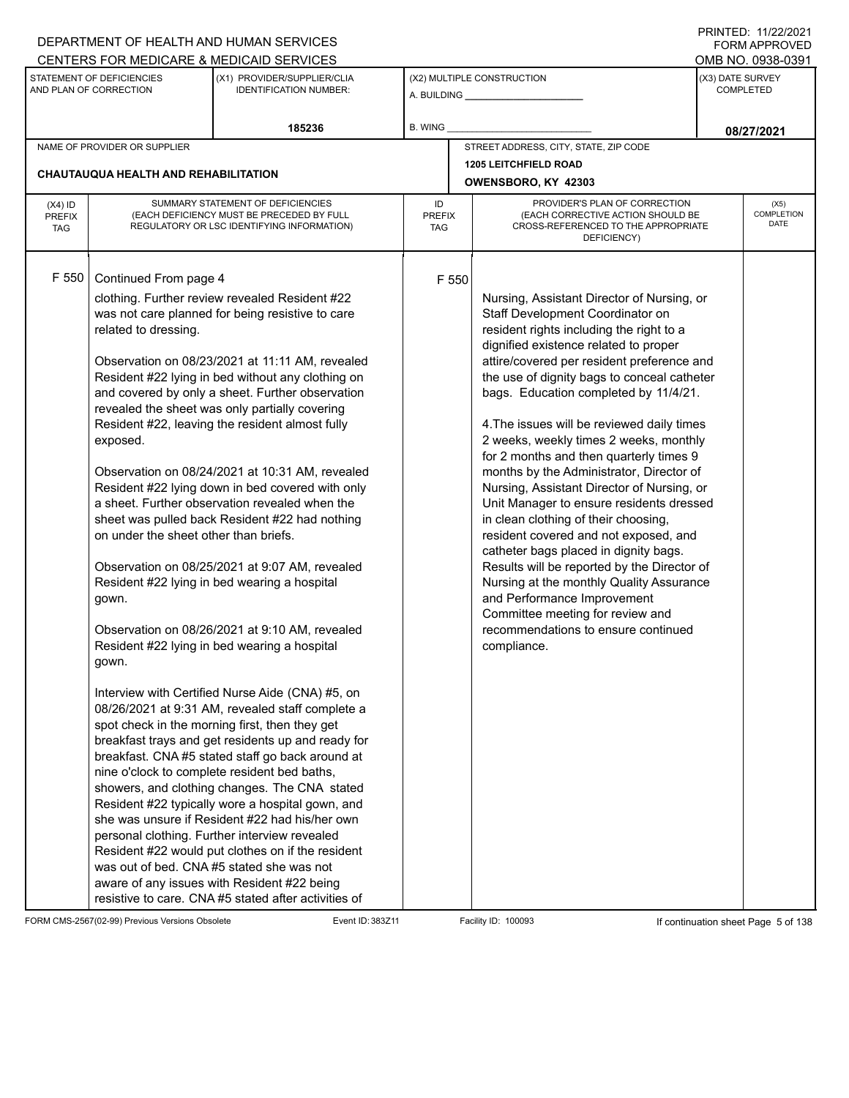|                                          |                                                                                                                      | DEPARTMENT OF HEALTH AND HUMAN SERVICES                                                                                                                                                                                                                                                                                                                                                                                                                                                                                                                                                                                                                                                                                                                                                                                                                                                                                                                                                                                                                                                                                                                                                                                                                                                                                                                                                                                                                                                                                |                            |       |                                                                                                                                                                                                                                                                                                                                                                                                                                                                                                                                                                                                                                                                                                                                                                                                                                                                                                                                  | $1 \times 1 \times 1 = 1$ . $11222222$<br><b>FORM APPROVED</b> |
|------------------------------------------|----------------------------------------------------------------------------------------------------------------------|------------------------------------------------------------------------------------------------------------------------------------------------------------------------------------------------------------------------------------------------------------------------------------------------------------------------------------------------------------------------------------------------------------------------------------------------------------------------------------------------------------------------------------------------------------------------------------------------------------------------------------------------------------------------------------------------------------------------------------------------------------------------------------------------------------------------------------------------------------------------------------------------------------------------------------------------------------------------------------------------------------------------------------------------------------------------------------------------------------------------------------------------------------------------------------------------------------------------------------------------------------------------------------------------------------------------------------------------------------------------------------------------------------------------------------------------------------------------------------------------------------------------|----------------------------|-------|----------------------------------------------------------------------------------------------------------------------------------------------------------------------------------------------------------------------------------------------------------------------------------------------------------------------------------------------------------------------------------------------------------------------------------------------------------------------------------------------------------------------------------------------------------------------------------------------------------------------------------------------------------------------------------------------------------------------------------------------------------------------------------------------------------------------------------------------------------------------------------------------------------------------------------|----------------------------------------------------------------|
|                                          |                                                                                                                      | CENTERS FOR MEDICARE & MEDICAID SERVICES                                                                                                                                                                                                                                                                                                                                                                                                                                                                                                                                                                                                                                                                                                                                                                                                                                                                                                                                                                                                                                                                                                                                                                                                                                                                                                                                                                                                                                                                               |                            |       |                                                                                                                                                                                                                                                                                                                                                                                                                                                                                                                                                                                                                                                                                                                                                                                                                                                                                                                                  | OMB NO. 0938-0391                                              |
|                                          | STATEMENT OF DEFICIENCIES<br>AND PLAN OF CORRECTION                                                                  | (X1) PROVIDER/SUPPLIER/CLIA<br><b>IDENTIFICATION NUMBER:</b>                                                                                                                                                                                                                                                                                                                                                                                                                                                                                                                                                                                                                                                                                                                                                                                                                                                                                                                                                                                                                                                                                                                                                                                                                                                                                                                                                                                                                                                           |                            |       | (X2) MULTIPLE CONSTRUCTION                                                                                                                                                                                                                                                                                                                                                                                                                                                                                                                                                                                                                                                                                                                                                                                                                                                                                                       | (X3) DATE SURVEY<br><b>COMPLETED</b>                           |
|                                          |                                                                                                                      | 185236                                                                                                                                                                                                                                                                                                                                                                                                                                                                                                                                                                                                                                                                                                                                                                                                                                                                                                                                                                                                                                                                                                                                                                                                                                                                                                                                                                                                                                                                                                                 | <b>B. WING</b>             |       |                                                                                                                                                                                                                                                                                                                                                                                                                                                                                                                                                                                                                                                                                                                                                                                                                                                                                                                                  | 08/27/2021                                                     |
|                                          | NAME OF PROVIDER OR SUPPLIER                                                                                         |                                                                                                                                                                                                                                                                                                                                                                                                                                                                                                                                                                                                                                                                                                                                                                                                                                                                                                                                                                                                                                                                                                                                                                                                                                                                                                                                                                                                                                                                                                                        |                            |       | STREET ADDRESS, CITY, STATE, ZIP CODE                                                                                                                                                                                                                                                                                                                                                                                                                                                                                                                                                                                                                                                                                                                                                                                                                                                                                            |                                                                |
|                                          |                                                                                                                      |                                                                                                                                                                                                                                                                                                                                                                                                                                                                                                                                                                                                                                                                                                                                                                                                                                                                                                                                                                                                                                                                                                                                                                                                                                                                                                                                                                                                                                                                                                                        |                            |       | <b>1205 LEITCHFIELD ROAD</b>                                                                                                                                                                                                                                                                                                                                                                                                                                                                                                                                                                                                                                                                                                                                                                                                                                                                                                     |                                                                |
|                                          | <b>CHAUTAUQUA HEALTH AND REHABILITATION</b>                                                                          |                                                                                                                                                                                                                                                                                                                                                                                                                                                                                                                                                                                                                                                                                                                                                                                                                                                                                                                                                                                                                                                                                                                                                                                                                                                                                                                                                                                                                                                                                                                        |                            |       | OWENSBORO, KY 42303                                                                                                                                                                                                                                                                                                                                                                                                                                                                                                                                                                                                                                                                                                                                                                                                                                                                                                              |                                                                |
| $(X4)$ ID<br><b>PREFIX</b><br><b>TAG</b> |                                                                                                                      | SUMMARY STATEMENT OF DEFICIENCIES<br>(EACH DEFICIENCY MUST BE PRECEDED BY FULL<br>REGULATORY OR LSC IDENTIFYING INFORMATION)                                                                                                                                                                                                                                                                                                                                                                                                                                                                                                                                                                                                                                                                                                                                                                                                                                                                                                                                                                                                                                                                                                                                                                                                                                                                                                                                                                                           | ID<br><b>PREFIX</b><br>TAG |       | PROVIDER'S PLAN OF CORRECTION<br>(EACH CORRECTIVE ACTION SHOULD BE<br>CROSS-REFERENCED TO THE APPROPRIATE<br>DEFICIENCY)                                                                                                                                                                                                                                                                                                                                                                                                                                                                                                                                                                                                                                                                                                                                                                                                         | (X5)<br><b>COMPLETION</b><br>DATE                              |
| F 550                                    | Continued From page 4<br>related to dressing.<br>exposed.<br>on under the sheet other than briefs.<br>gown.<br>gown. | clothing. Further review revealed Resident #22<br>was not care planned for being resistive to care<br>Observation on 08/23/2021 at 11:11 AM, revealed<br>Resident #22 lying in bed without any clothing on<br>and covered by only a sheet. Further observation<br>revealed the sheet was only partially covering<br>Resident #22, leaving the resident almost fully<br>Observation on 08/24/2021 at 10:31 AM, revealed<br>Resident #22 lying down in bed covered with only<br>a sheet. Further observation revealed when the<br>sheet was pulled back Resident #22 had nothing<br>Observation on 08/25/2021 at 9:07 AM, revealed<br>Resident #22 lying in bed wearing a hospital<br>Observation on 08/26/2021 at 9:10 AM, revealed<br>Resident #22 lying in bed wearing a hospital<br>Interview with Certified Nurse Aide (CNA) #5, on<br>08/26/2021 at 9:31 AM, revealed staff complete a<br>spot check in the morning first, then they get<br>breakfast trays and get residents up and ready for<br>breakfast. CNA #5 stated staff go back around at<br>nine o'clock to complete resident bed baths,<br>showers, and clothing changes. The CNA stated<br>Resident #22 typically wore a hospital gown, and<br>she was unsure if Resident #22 had his/her own<br>personal clothing. Further interview revealed<br>Resident #22 would put clothes on if the resident<br>was out of bed. CNA#5 stated she was not<br>aware of any issues with Resident #22 being<br>resistive to care. CNA #5 stated after activities of |                            | F 550 | Nursing, Assistant Director of Nursing, or<br>Staff Development Coordinator on<br>resident rights including the right to a<br>dignified existence related to proper<br>attire/covered per resident preference and<br>the use of dignity bags to conceal catheter<br>bags. Education completed by 11/4/21.<br>4. The issues will be reviewed daily times<br>2 weeks, weekly times 2 weeks, monthly<br>for 2 months and then quarterly times 9<br>months by the Administrator, Director of<br>Nursing, Assistant Director of Nursing, or<br>Unit Manager to ensure residents dressed<br>in clean clothing of their choosing,<br>resident covered and not exposed, and<br>catheter bags placed in dignity bags.<br>Results will be reported by the Director of<br>Nursing at the monthly Quality Assurance<br>and Performance Improvement<br>Committee meeting for review and<br>recommendations to ensure continued<br>compliance. |                                                                |

FORM CMS-2567(02-99) Previous Versions Obsolete Event ID: 383Z11 Facility ID: 100093 If continuation sheet Page 5 of 138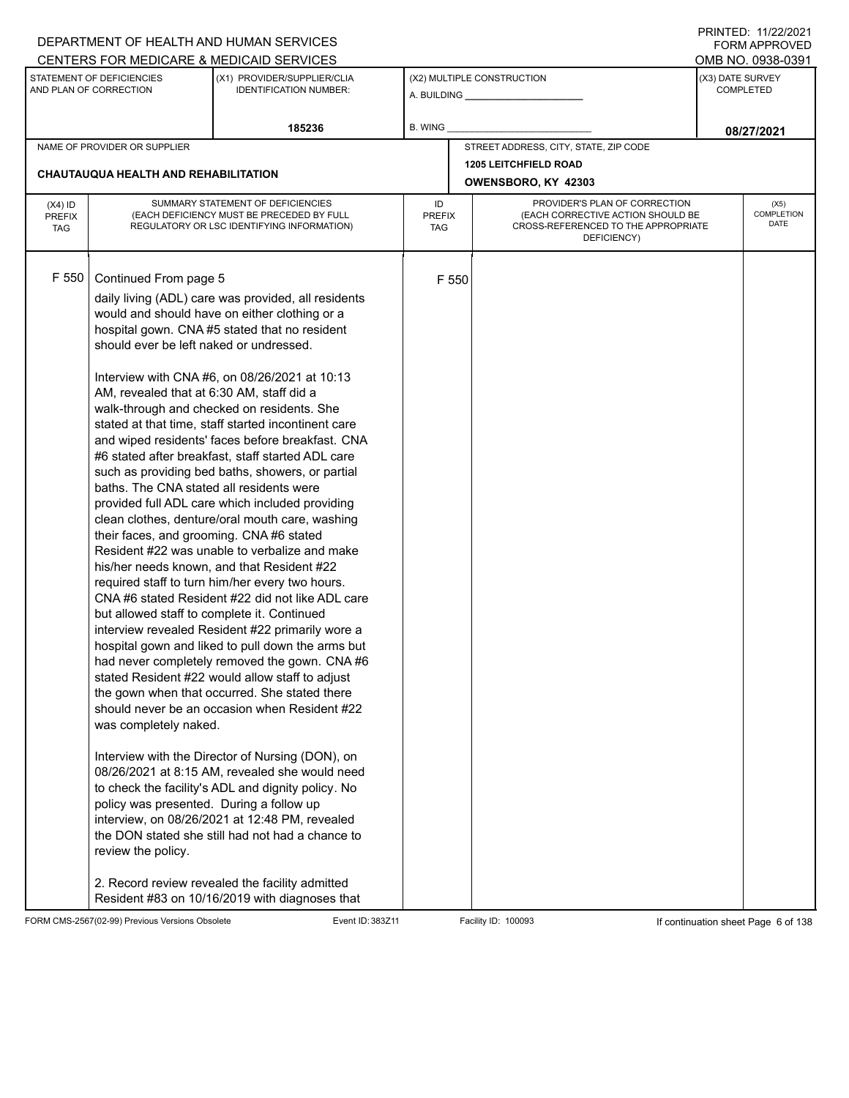|                                          |                                                                                                                                                                                                                                                                                                                                                 | DEPARTMENT OF HEALTH AND HUMAN SERVICES                                                                                                                                                                                                                                                                                                                                                                                                                                                                                                                                                                                                                                                                                                                                                                                                                                                                                                                                                                                                                                                                                                                                                                                                                                                                                                                                                                                                                                   |                            |                                                                                                                          |                  | <b>FORM APPROVED</b>              |
|------------------------------------------|-------------------------------------------------------------------------------------------------------------------------------------------------------------------------------------------------------------------------------------------------------------------------------------------------------------------------------------------------|---------------------------------------------------------------------------------------------------------------------------------------------------------------------------------------------------------------------------------------------------------------------------------------------------------------------------------------------------------------------------------------------------------------------------------------------------------------------------------------------------------------------------------------------------------------------------------------------------------------------------------------------------------------------------------------------------------------------------------------------------------------------------------------------------------------------------------------------------------------------------------------------------------------------------------------------------------------------------------------------------------------------------------------------------------------------------------------------------------------------------------------------------------------------------------------------------------------------------------------------------------------------------------------------------------------------------------------------------------------------------------------------------------------------------------------------------------------------------|----------------------------|--------------------------------------------------------------------------------------------------------------------------|------------------|-----------------------------------|
|                                          |                                                                                                                                                                                                                                                                                                                                                 | CENTERS FOR MEDICARE & MEDICAID SERVICES                                                                                                                                                                                                                                                                                                                                                                                                                                                                                                                                                                                                                                                                                                                                                                                                                                                                                                                                                                                                                                                                                                                                                                                                                                                                                                                                                                                                                                  |                            |                                                                                                                          |                  | OMB NO. 0938-0391                 |
|                                          | STATEMENT OF DEFICIENCIES<br>AND PLAN OF CORRECTION                                                                                                                                                                                                                                                                                             | (X1) PROVIDER/SUPPLIER/CLIA<br><b>IDENTIFICATION NUMBER:</b>                                                                                                                                                                                                                                                                                                                                                                                                                                                                                                                                                                                                                                                                                                                                                                                                                                                                                                                                                                                                                                                                                                                                                                                                                                                                                                                                                                                                              |                            | (X2) MULTIPLE CONSTRUCTION                                                                                               | (X3) DATE SURVEY | <b>COMPLETED</b>                  |
|                                          |                                                                                                                                                                                                                                                                                                                                                 | 185236                                                                                                                                                                                                                                                                                                                                                                                                                                                                                                                                                                                                                                                                                                                                                                                                                                                                                                                                                                                                                                                                                                                                                                                                                                                                                                                                                                                                                                                                    | <b>B. WING</b>             |                                                                                                                          |                  | 08/27/2021                        |
|                                          | NAME OF PROVIDER OR SUPPLIER                                                                                                                                                                                                                                                                                                                    |                                                                                                                                                                                                                                                                                                                                                                                                                                                                                                                                                                                                                                                                                                                                                                                                                                                                                                                                                                                                                                                                                                                                                                                                                                                                                                                                                                                                                                                                           |                            | STREET ADDRESS, CITY, STATE, ZIP CODE                                                                                    |                  |                                   |
|                                          | CHAUTAUQUA HEALTH AND REHABILITATION                                                                                                                                                                                                                                                                                                            |                                                                                                                                                                                                                                                                                                                                                                                                                                                                                                                                                                                                                                                                                                                                                                                                                                                                                                                                                                                                                                                                                                                                                                                                                                                                                                                                                                                                                                                                           |                            | <b>1205 LEITCHFIELD ROAD</b>                                                                                             |                  |                                   |
|                                          |                                                                                                                                                                                                                                                                                                                                                 |                                                                                                                                                                                                                                                                                                                                                                                                                                                                                                                                                                                                                                                                                                                                                                                                                                                                                                                                                                                                                                                                                                                                                                                                                                                                                                                                                                                                                                                                           |                            | OWENSBORO, KY 42303                                                                                                      |                  |                                   |
| $(X4)$ ID<br><b>PREFIX</b><br><b>TAG</b> |                                                                                                                                                                                                                                                                                                                                                 | SUMMARY STATEMENT OF DEFICIENCIES<br>(EACH DEFICIENCY MUST BE PRECEDED BY FULL<br>REGULATORY OR LSC IDENTIFYING INFORMATION)                                                                                                                                                                                                                                                                                                                                                                                                                                                                                                                                                                                                                                                                                                                                                                                                                                                                                                                                                                                                                                                                                                                                                                                                                                                                                                                                              | ID<br><b>PREFIX</b><br>TAG | PROVIDER'S PLAN OF CORRECTION<br>(EACH CORRECTIVE ACTION SHOULD BE<br>CROSS-REFERENCED TO THE APPROPRIATE<br>DEFICIENCY) |                  | (X5)<br><b>COMPLETION</b><br>DATE |
| F 550                                    | Continued From page 5<br>should ever be left naked or undressed.<br>AM, revealed that at 6:30 AM, staff did a<br>baths. The CNA stated all residents were<br>their faces, and grooming. CNA #6 stated<br>but allowed staff to complete it. Continued<br>was completely naked.<br>policy was presented. During a follow up<br>review the policy. | daily living (ADL) care was provided, all residents<br>would and should have on either clothing or a<br>hospital gown. CNA #5 stated that no resident<br>Interview with CNA #6, on 08/26/2021 at 10:13<br>walk-through and checked on residents. She<br>stated at that time, staff started incontinent care<br>and wiped residents' faces before breakfast. CNA<br>#6 stated after breakfast, staff started ADL care<br>such as providing bed baths, showers, or partial<br>provided full ADL care which included providing<br>clean clothes, denture/oral mouth care, washing<br>Resident #22 was unable to verbalize and make<br>his/her needs known, and that Resident #22<br>required staff to turn him/her every two hours.<br>CNA#6 stated Resident #22 did not like ADL care<br>interview revealed Resident #22 primarily wore a<br>hospital gown and liked to pull down the arms but<br>had never completely removed the gown. CNA #6<br>stated Resident #22 would allow staff to adjust<br>the gown when that occurred. She stated there<br>should never be an occasion when Resident #22<br>Interview with the Director of Nursing (DON), on<br>08/26/2021 at 8:15 AM, revealed she would need<br>to check the facility's ADL and dignity policy. No<br>interview, on 08/26/2021 at 12:48 PM, revealed<br>the DON stated she still had not had a chance to<br>2. Record review revealed the facility admitted<br>Resident #83 on 10/16/2019 with diagnoses that | F 550                      |                                                                                                                          |                  |                                   |

FORM CMS-2567(02-99) Previous Versions Obsolete Event ID: 383Z11 Facility ID: 100093 If continuation sheet Page 6 of 138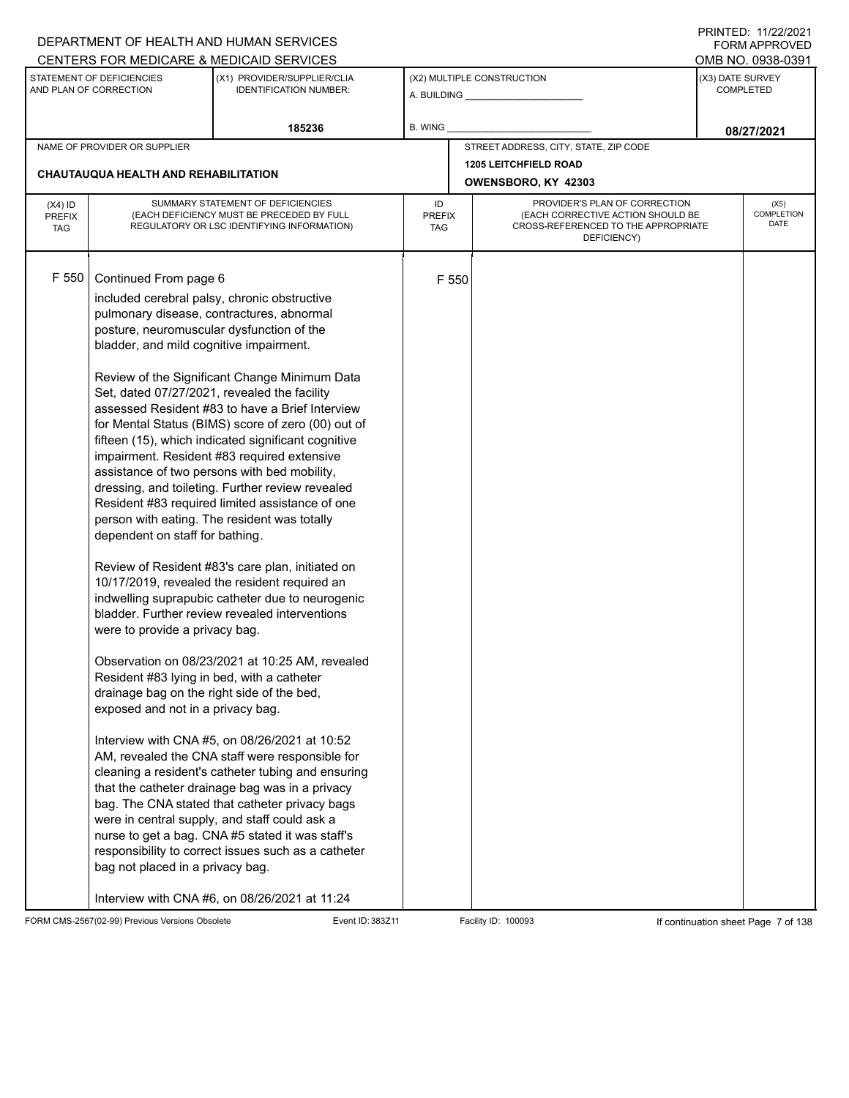|                                          |                                                                                                                                                                                                                                                                                                                                                                                                         | DEPARTMENT OF HEALTH AND HUMAN SERVICES                                                                                                                                                                                                                                                                                                                                                                                                                                                                                                                                                                                                                                                                                                                                                                                                                                                                                                                                                                                                                                                                                                                                                                                                                                                                    |                            |                                                                                                                          | I INITILD. III <i>ll</i> iculi<br><b>FORM APPROVED</b> |
|------------------------------------------|---------------------------------------------------------------------------------------------------------------------------------------------------------------------------------------------------------------------------------------------------------------------------------------------------------------------------------------------------------------------------------------------------------|------------------------------------------------------------------------------------------------------------------------------------------------------------------------------------------------------------------------------------------------------------------------------------------------------------------------------------------------------------------------------------------------------------------------------------------------------------------------------------------------------------------------------------------------------------------------------------------------------------------------------------------------------------------------------------------------------------------------------------------------------------------------------------------------------------------------------------------------------------------------------------------------------------------------------------------------------------------------------------------------------------------------------------------------------------------------------------------------------------------------------------------------------------------------------------------------------------------------------------------------------------------------------------------------------------|----------------------------|--------------------------------------------------------------------------------------------------------------------------|--------------------------------------------------------|
|                                          |                                                                                                                                                                                                                                                                                                                                                                                                         | CENTERS FOR MEDICARE & MEDICAID SERVICES                                                                                                                                                                                                                                                                                                                                                                                                                                                                                                                                                                                                                                                                                                                                                                                                                                                                                                                                                                                                                                                                                                                                                                                                                                                                   |                            |                                                                                                                          | OMB NO. 0938-0391                                      |
|                                          | STATEMENT OF DEFICIENCIES<br>AND PLAN OF CORRECTION                                                                                                                                                                                                                                                                                                                                                     | (X1) PROVIDER/SUPPLIER/CLIA<br><b>IDENTIFICATION NUMBER:</b>                                                                                                                                                                                                                                                                                                                                                                                                                                                                                                                                                                                                                                                                                                                                                                                                                                                                                                                                                                                                                                                                                                                                                                                                                                               |                            | (X2) MULTIPLE CONSTRUCTION                                                                                               | (X3) DATE SURVEY<br><b>COMPLETED</b>                   |
|                                          |                                                                                                                                                                                                                                                                                                                                                                                                         | 185236                                                                                                                                                                                                                                                                                                                                                                                                                                                                                                                                                                                                                                                                                                                                                                                                                                                                                                                                                                                                                                                                                                                                                                                                                                                                                                     | B. WING                    |                                                                                                                          | 08/27/2021                                             |
|                                          | NAME OF PROVIDER OR SUPPLIER                                                                                                                                                                                                                                                                                                                                                                            |                                                                                                                                                                                                                                                                                                                                                                                                                                                                                                                                                                                                                                                                                                                                                                                                                                                                                                                                                                                                                                                                                                                                                                                                                                                                                                            |                            | STREET ADDRESS, CITY, STATE, ZIP CODE                                                                                    |                                                        |
|                                          | CHAUTAUQUA HEALTH AND REHABILITATION                                                                                                                                                                                                                                                                                                                                                                    |                                                                                                                                                                                                                                                                                                                                                                                                                                                                                                                                                                                                                                                                                                                                                                                                                                                                                                                                                                                                                                                                                                                                                                                                                                                                                                            |                            | <b>1205 LEITCHFIELD ROAD</b><br>OWENSBORO, KY 42303                                                                      |                                                        |
| $(X4)$ ID<br><b>PREFIX</b><br><b>TAG</b> |                                                                                                                                                                                                                                                                                                                                                                                                         | SUMMARY STATEMENT OF DEFICIENCIES<br>(EACH DEFICIENCY MUST BE PRECEDED BY FULL<br>REGULATORY OR LSC IDENTIFYING INFORMATION)                                                                                                                                                                                                                                                                                                                                                                                                                                                                                                                                                                                                                                                                                                                                                                                                                                                                                                                                                                                                                                                                                                                                                                               | ID<br><b>PREFIX</b><br>TAG | PROVIDER'S PLAN OF CORRECTION<br>(EACH CORRECTIVE ACTION SHOULD BE<br>CROSS-REFERENCED TO THE APPROPRIATE<br>DEFICIENCY) | (X5)<br>COMPLETION<br>DATE                             |
| F 550                                    | Continued From page 6<br>posture, neuromuscular dysfunction of the<br>bladder, and mild cognitive impairment.<br>Set, dated 07/27/2021, revealed the facility<br>dependent on staff for bathing.<br>were to provide a privacy bag.<br>Resident #83 lying in bed, with a catheter<br>drainage bag on the right side of the bed,<br>exposed and not in a privacy bag.<br>bag not placed in a privacy bag. | included cerebral palsy, chronic obstructive<br>pulmonary disease, contractures, abnormal<br>Review of the Significant Change Minimum Data<br>assessed Resident #83 to have a Brief Interview<br>for Mental Status (BIMS) score of zero (00) out of<br>fifteen (15), which indicated significant cognitive<br>impairment. Resident #83 required extensive<br>assistance of two persons with bed mobility,<br>dressing, and toileting. Further review revealed<br>Resident #83 required limited assistance of one<br>person with eating. The resident was totally<br>Review of Resident #83's care plan, initiated on<br>10/17/2019, revealed the resident required an<br>indwelling suprapubic catheter due to neurogenic<br>bladder. Further review revealed interventions<br>Observation on 08/23/2021 at 10:25 AM, revealed<br>Interview with CNA #5, on 08/26/2021 at 10:52<br>AM, revealed the CNA staff were responsible for<br>cleaning a resident's catheter tubing and ensuring<br>that the catheter drainage bag was in a privacy<br>bag. The CNA stated that catheter privacy bags<br>were in central supply, and staff could ask a<br>nurse to get a bag. CNA #5 stated it was staff's<br>responsibility to correct issues such as a catheter<br>Interview with CNA #6, on 08/26/2021 at 11:24 | F 550                      |                                                                                                                          |                                                        |

FORM CMS-2567(02-99) Previous Versions Obsolete Event ID: 383Z11 Facility ID: 100093 If continuation sheet Page 7 of 138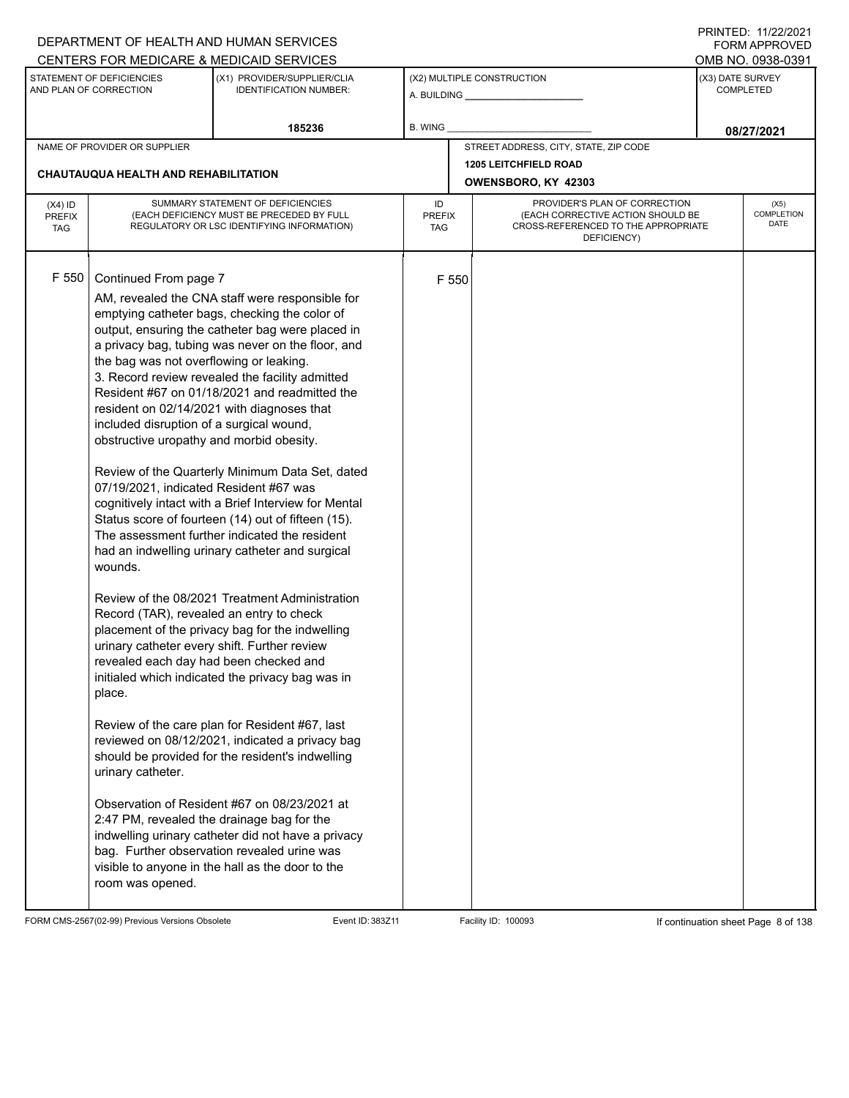|                                          |                                                                                                                                                                                                                                                                                                                                                                                                                                                      | DEPARTMENT OF HEALTH AND HUMAN SERVICES                                                                                                                                                                                                                                                                                                                                                                                                                                                                                                                                                                                                                                                                                                                                                                                                                                                                                                                                                                                                                                                                                                                     |                                   |       |                                                                                                                          |                  | I INITILD. III <i>ll</i> iculi<br><b>FORM APPROVED</b> |
|------------------------------------------|------------------------------------------------------------------------------------------------------------------------------------------------------------------------------------------------------------------------------------------------------------------------------------------------------------------------------------------------------------------------------------------------------------------------------------------------------|-------------------------------------------------------------------------------------------------------------------------------------------------------------------------------------------------------------------------------------------------------------------------------------------------------------------------------------------------------------------------------------------------------------------------------------------------------------------------------------------------------------------------------------------------------------------------------------------------------------------------------------------------------------------------------------------------------------------------------------------------------------------------------------------------------------------------------------------------------------------------------------------------------------------------------------------------------------------------------------------------------------------------------------------------------------------------------------------------------------------------------------------------------------|-----------------------------------|-------|--------------------------------------------------------------------------------------------------------------------------|------------------|--------------------------------------------------------|
|                                          |                                                                                                                                                                                                                                                                                                                                                                                                                                                      | CENTERS FOR MEDICARE & MEDICAID SERVICES                                                                                                                                                                                                                                                                                                                                                                                                                                                                                                                                                                                                                                                                                                                                                                                                                                                                                                                                                                                                                                                                                                                    |                                   |       |                                                                                                                          |                  | OMB NO. 0938-0391                                      |
|                                          | STATEMENT OF DEFICIENCIES<br>AND PLAN OF CORRECTION                                                                                                                                                                                                                                                                                                                                                                                                  | (X1) PROVIDER/SUPPLIER/CLIA<br><b>IDENTIFICATION NUMBER:</b>                                                                                                                                                                                                                                                                                                                                                                                                                                                                                                                                                                                                                                                                                                                                                                                                                                                                                                                                                                                                                                                                                                |                                   |       | (X2) MULTIPLE CONSTRUCTION                                                                                               | (X3) DATE SURVEY | <b>COMPLETED</b>                                       |
|                                          |                                                                                                                                                                                                                                                                                                                                                                                                                                                      | 185236                                                                                                                                                                                                                                                                                                                                                                                                                                                                                                                                                                                                                                                                                                                                                                                                                                                                                                                                                                                                                                                                                                                                                      | <b>B. WING</b>                    |       |                                                                                                                          |                  | 08/27/2021                                             |
|                                          | NAME OF PROVIDER OR SUPPLIER                                                                                                                                                                                                                                                                                                                                                                                                                         |                                                                                                                                                                                                                                                                                                                                                                                                                                                                                                                                                                                                                                                                                                                                                                                                                                                                                                                                                                                                                                                                                                                                                             |                                   |       | STREET ADDRESS, CITY, STATE, ZIP CODE                                                                                    |                  |                                                        |
|                                          | CHAUTAUQUA HEALTH AND REHABILITATION                                                                                                                                                                                                                                                                                                                                                                                                                 |                                                                                                                                                                                                                                                                                                                                                                                                                                                                                                                                                                                                                                                                                                                                                                                                                                                                                                                                                                                                                                                                                                                                                             |                                   |       | <b>1205 LEITCHFIELD ROAD</b><br>OWENSBORO, KY 42303                                                                      |                  |                                                        |
| $(X4)$ ID<br><b>PREFIX</b><br><b>TAG</b> | SUMMARY STATEMENT OF DEFICIENCIES<br>(EACH DEFICIENCY MUST BE PRECEDED BY FULL<br>REGULATORY OR LSC IDENTIFYING INFORMATION)                                                                                                                                                                                                                                                                                                                         |                                                                                                                                                                                                                                                                                                                                                                                                                                                                                                                                                                                                                                                                                                                                                                                                                                                                                                                                                                                                                                                                                                                                                             | ID<br><b>PREFIX</b><br><b>TAG</b> |       | PROVIDER'S PLAN OF CORRECTION<br>(EACH CORRECTIVE ACTION SHOULD BE<br>CROSS-REFERENCED TO THE APPROPRIATE<br>DEFICIENCY) |                  | (X5)<br><b>COMPLETION</b><br><b>DATE</b>               |
| F 550                                    | Continued From page 7<br>the bag was not overflowing or leaking.<br>included disruption of a surgical wound,<br>obstructive uropathy and morbid obesity.<br>07/19/2021, indicated Resident #67 was<br>wounds.<br>Record (TAR), revealed an entry to check<br>urinary catheter every shift. Further review<br>revealed each day had been checked and<br>place.<br>urinary catheter.<br>2:47 PM, revealed the drainage bag for the<br>room was opened. | AM, revealed the CNA staff were responsible for<br>emptying catheter bags, checking the color of<br>output, ensuring the catheter bag were placed in<br>a privacy bag, tubing was never on the floor, and<br>3. Record review revealed the facility admitted<br>Resident #67 on 01/18/2021 and readmitted the<br>resident on 02/14/2021 with diagnoses that<br>Review of the Quarterly Minimum Data Set, dated<br>cognitively intact with a Brief Interview for Mental<br>Status score of fourteen (14) out of fifteen (15).<br>The assessment further indicated the resident<br>had an indwelling urinary catheter and surgical<br>Review of the 08/2021 Treatment Administration<br>placement of the privacy bag for the indwelling<br>initialed which indicated the privacy bag was in<br>Review of the care plan for Resident #67, last<br>reviewed on 08/12/2021, indicated a privacy bag<br>should be provided for the resident's indwelling<br>Observation of Resident #67 on 08/23/2021 at<br>indwelling urinary catheter did not have a privacy<br>bag. Further observation revealed urine was<br>visible to anyone in the hall as the door to the |                                   | F 550 |                                                                                                                          |                  |                                                        |

FORM CMS-2567(02-99) Previous Versions Obsolete Event ID: 383Z11 Facility ID: 100093 If continuation sheet Page 8 of 138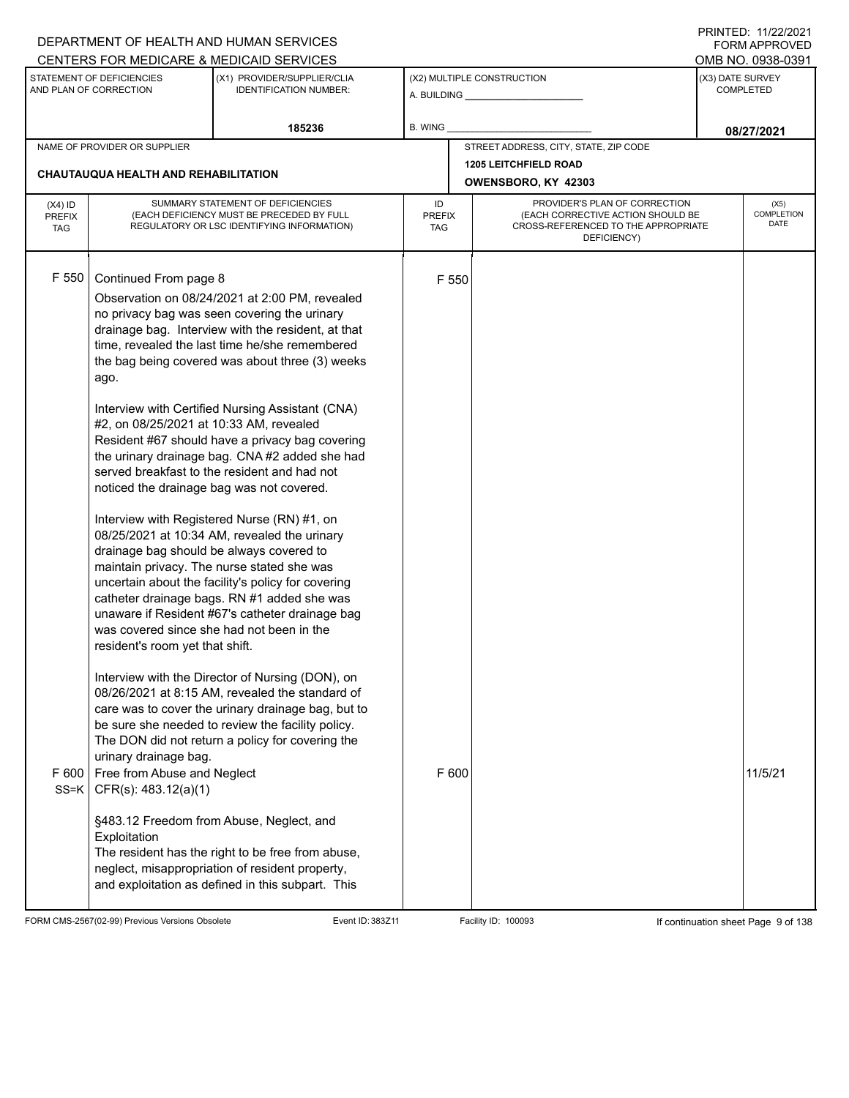|                                          |                                                                                                                                                                                                                                                                                                                                                  | DEPARTMENT OF HEALTH AND HUMAN SERVICES                                                                                                                                                                                                                                                                                                                                                                                                                                                                                                                                                                                                                                                                                                                                                                                                                                                                                                                                                                                                       |                            |                |                                                                                                                          |                  | $1 \times 1 \times 1 = 1$ . $11222222$<br><b>FORM APPROVED</b> |
|------------------------------------------|--------------------------------------------------------------------------------------------------------------------------------------------------------------------------------------------------------------------------------------------------------------------------------------------------------------------------------------------------|-----------------------------------------------------------------------------------------------------------------------------------------------------------------------------------------------------------------------------------------------------------------------------------------------------------------------------------------------------------------------------------------------------------------------------------------------------------------------------------------------------------------------------------------------------------------------------------------------------------------------------------------------------------------------------------------------------------------------------------------------------------------------------------------------------------------------------------------------------------------------------------------------------------------------------------------------------------------------------------------------------------------------------------------------|----------------------------|----------------|--------------------------------------------------------------------------------------------------------------------------|------------------|----------------------------------------------------------------|
|                                          | STATEMENT OF DEFICIENCIES<br>AND PLAN OF CORRECTION                                                                                                                                                                                                                                                                                              | CENTERS FOR MEDICARE & MEDICAID SERVICES<br>(X1) PROVIDER/SUPPLIER/CLIA<br><b>IDENTIFICATION NUMBER:</b>                                                                                                                                                                                                                                                                                                                                                                                                                                                                                                                                                                                                                                                                                                                                                                                                                                                                                                                                      |                            |                | (X2) MULTIPLE CONSTRUCTION                                                                                               | (X3) DATE SURVEY | OMB NO. 0938-0391<br><b>COMPLETED</b>                          |
|                                          |                                                                                                                                                                                                                                                                                                                                                  | 185236                                                                                                                                                                                                                                                                                                                                                                                                                                                                                                                                                                                                                                                                                                                                                                                                                                                                                                                                                                                                                                        | B. WING                    |                |                                                                                                                          |                  |                                                                |
|                                          | NAME OF PROVIDER OR SUPPLIER                                                                                                                                                                                                                                                                                                                     |                                                                                                                                                                                                                                                                                                                                                                                                                                                                                                                                                                                                                                                                                                                                                                                                                                                                                                                                                                                                                                               |                            |                | STREET ADDRESS, CITY, STATE, ZIP CODE                                                                                    |                  | 08/27/2021                                                     |
|                                          |                                                                                                                                                                                                                                                                                                                                                  |                                                                                                                                                                                                                                                                                                                                                                                                                                                                                                                                                                                                                                                                                                                                                                                                                                                                                                                                                                                                                                               |                            |                | <b>1205 LEITCHFIELD ROAD</b>                                                                                             |                  |                                                                |
|                                          | CHAUTAUQUA HEALTH AND REHABILITATION                                                                                                                                                                                                                                                                                                             |                                                                                                                                                                                                                                                                                                                                                                                                                                                                                                                                                                                                                                                                                                                                                                                                                                                                                                                                                                                                                                               |                            |                | OWENSBORO, KY 42303                                                                                                      |                  |                                                                |
| $(X4)$ ID<br><b>PREFIX</b><br><b>TAG</b> |                                                                                                                                                                                                                                                                                                                                                  | SUMMARY STATEMENT OF DEFICIENCIES<br>(EACH DEFICIENCY MUST BE PRECEDED BY FULL<br>REGULATORY OR LSC IDENTIFYING INFORMATION)                                                                                                                                                                                                                                                                                                                                                                                                                                                                                                                                                                                                                                                                                                                                                                                                                                                                                                                  | ID<br><b>PREFIX</b><br>TAG |                | PROVIDER'S PLAN OF CORRECTION<br>(EACH CORRECTIVE ACTION SHOULD BE<br>CROSS-REFERENCED TO THE APPROPRIATE<br>DEFICIENCY) |                  | (X5)<br><b>COMPLETION</b><br>DATE                              |
| F 550                                    | Continued From page 8<br>ago.<br>#2, on 08/25/2021 at 10:33 AM, revealed<br>noticed the drainage bag was not covered.<br>drainage bag should be always covered to<br>was covered since she had not been in the<br>resident's room yet that shift.<br>urinary drainage bag.<br>F 600   Free from Abuse and Neglect<br>$SS=K$ CFR(s): 483.12(a)(1) | Observation on 08/24/2021 at 2:00 PM, revealed<br>no privacy bag was seen covering the urinary<br>drainage bag. Interview with the resident, at that<br>time, revealed the last time he/she remembered<br>the bag being covered was about three (3) weeks<br>Interview with Certified Nursing Assistant (CNA)<br>Resident #67 should have a privacy bag covering<br>the urinary drainage bag. CNA #2 added she had<br>served breakfast to the resident and had not<br>Interview with Registered Nurse (RN) #1, on<br>08/25/2021 at 10:34 AM, revealed the urinary<br>maintain privacy. The nurse stated she was<br>uncertain about the facility's policy for covering<br>catheter drainage bags. RN #1 added she was<br>unaware if Resident #67's catheter drainage bag<br>Interview with the Director of Nursing (DON), on<br>08/26/2021 at 8:15 AM, revealed the standard of<br>care was to cover the urinary drainage bag, but to<br>be sure she needed to review the facility policy.<br>The DON did not return a policy for covering the |                            | F 550<br>F 600 |                                                                                                                          |                  | 11/5/21                                                        |
|                                          | Exploitation                                                                                                                                                                                                                                                                                                                                     | §483.12 Freedom from Abuse, Neglect, and<br>The resident has the right to be free from abuse,<br>neglect, misappropriation of resident property,<br>and exploitation as defined in this subpart. This                                                                                                                                                                                                                                                                                                                                                                                                                                                                                                                                                                                                                                                                                                                                                                                                                                         |                            |                |                                                                                                                          |                  |                                                                |

FORM CMS-2567(02-99) Previous Versions Obsolete Event ID: 383Z11 Facility ID: 100093 If continuation sheet Page 9 of 138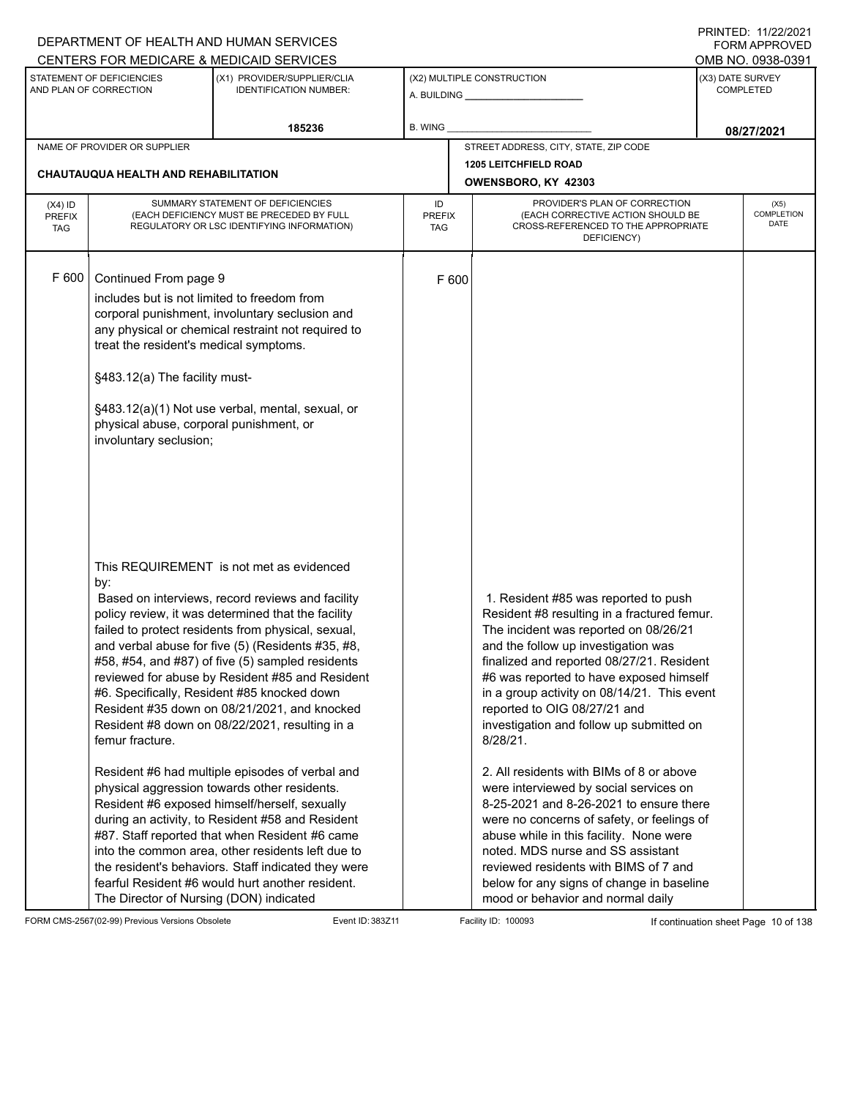|                                          |                                                                                                                                                                                                                      | DEPARTMENT OF HEALTH AND HUMAN SERVICES<br>CENTERS FOR MEDICARE & MEDICAID SERVICES                                                                                                                                                                                                                                                                                                                                                                                                                                                                                                                                                                                                                                                                                                                                                                                                                                                             |                                   |                                                                                                                                                                                                                                                                                                                                                                                                                                                                                                                                                                                                                                                                                                                                                                                                 | I INITILU. II <i>LLIL</i> ULI<br><b>FORM APPROVED</b><br>OMB NO. 0938-0391 |
|------------------------------------------|----------------------------------------------------------------------------------------------------------------------------------------------------------------------------------------------------------------------|-------------------------------------------------------------------------------------------------------------------------------------------------------------------------------------------------------------------------------------------------------------------------------------------------------------------------------------------------------------------------------------------------------------------------------------------------------------------------------------------------------------------------------------------------------------------------------------------------------------------------------------------------------------------------------------------------------------------------------------------------------------------------------------------------------------------------------------------------------------------------------------------------------------------------------------------------|-----------------------------------|-------------------------------------------------------------------------------------------------------------------------------------------------------------------------------------------------------------------------------------------------------------------------------------------------------------------------------------------------------------------------------------------------------------------------------------------------------------------------------------------------------------------------------------------------------------------------------------------------------------------------------------------------------------------------------------------------------------------------------------------------------------------------------------------------|----------------------------------------------------------------------------|
|                                          | STATEMENT OF DEFICIENCIES<br>AND PLAN OF CORRECTION                                                                                                                                                                  | (X1) PROVIDER/SUPPLIER/CLIA<br><b>IDENTIFICATION NUMBER:</b>                                                                                                                                                                                                                                                                                                                                                                                                                                                                                                                                                                                                                                                                                                                                                                                                                                                                                    |                                   | (X2) MULTIPLE CONSTRUCTION<br>A. BUILDING <b>A.</b> BUILDING                                                                                                                                                                                                                                                                                                                                                                                                                                                                                                                                                                                                                                                                                                                                    | (X3) DATE SURVEY<br><b>COMPLETED</b>                                       |
|                                          |                                                                                                                                                                                                                      | 185236                                                                                                                                                                                                                                                                                                                                                                                                                                                                                                                                                                                                                                                                                                                                                                                                                                                                                                                                          | B. WING                           |                                                                                                                                                                                                                                                                                                                                                                                                                                                                                                                                                                                                                                                                                                                                                                                                 | 08/27/2021                                                                 |
|                                          | NAME OF PROVIDER OR SUPPLIER                                                                                                                                                                                         |                                                                                                                                                                                                                                                                                                                                                                                                                                                                                                                                                                                                                                                                                                                                                                                                                                                                                                                                                 |                                   | STREET ADDRESS, CITY, STATE, ZIP CODE                                                                                                                                                                                                                                                                                                                                                                                                                                                                                                                                                                                                                                                                                                                                                           |                                                                            |
|                                          | <b>CHAUTAUQUA HEALTH AND REHABILITATION</b>                                                                                                                                                                          |                                                                                                                                                                                                                                                                                                                                                                                                                                                                                                                                                                                                                                                                                                                                                                                                                                                                                                                                                 | OWENSBORO, KY 42303               |                                                                                                                                                                                                                                                                                                                                                                                                                                                                                                                                                                                                                                                                                                                                                                                                 |                                                                            |
| $(X4)$ ID<br><b>PREFIX</b><br><b>TAG</b> |                                                                                                                                                                                                                      | SUMMARY STATEMENT OF DEFICIENCIES<br>(EACH DEFICIENCY MUST BE PRECEDED BY FULL<br>REGULATORY OR LSC IDENTIFYING INFORMATION)                                                                                                                                                                                                                                                                                                                                                                                                                                                                                                                                                                                                                                                                                                                                                                                                                    | ID<br><b>PREFIX</b><br><b>TAG</b> | PROVIDER'S PLAN OF CORRECTION<br>(EACH CORRECTIVE ACTION SHOULD BE<br>CROSS-REFERENCED TO THE APPROPRIATE<br>DEFICIENCY)                                                                                                                                                                                                                                                                                                                                                                                                                                                                                                                                                                                                                                                                        | (X5)<br><b>COMPLETION</b><br>DATE                                          |
| F 600                                    | Continued From page 9<br>includes but is not limited to freedom from<br>treat the resident's medical symptoms.<br>§483.12(a) The facility must-<br>physical abuse, corporal punishment, or<br>involuntary seclusion; | corporal punishment, involuntary seclusion and<br>any physical or chemical restraint not required to<br>§483.12(a)(1) Not use verbal, mental, sexual, or                                                                                                                                                                                                                                                                                                                                                                                                                                                                                                                                                                                                                                                                                                                                                                                        | F 600                             |                                                                                                                                                                                                                                                                                                                                                                                                                                                                                                                                                                                                                                                                                                                                                                                                 |                                                                            |
|                                          | by:<br>femur fracture.<br>The Director of Nursing (DON) indicated                                                                                                                                                    | This REQUIREMENT is not met as evidenced<br>Based on interviews, record reviews and facility<br>policy review, it was determined that the facility<br>failed to protect residents from physical, sexual,<br>and verbal abuse for five (5) (Residents #35, #8,<br>#58, #54, and #87) of five (5) sampled residents<br>reviewed for abuse by Resident #85 and Resident<br>#6. Specifically, Resident #85 knocked down<br>Resident #35 down on 08/21/2021, and knocked<br>Resident #8 down on 08/22/2021, resulting in a<br>Resident #6 had multiple episodes of verbal and<br>physical aggression towards other residents.<br>Resident #6 exposed himself/herself, sexually<br>during an activity, to Resident #58 and Resident<br>#87. Staff reported that when Resident #6 came<br>into the common area, other residents left due to<br>the resident's behaviors. Staff indicated they were<br>fearful Resident #6 would hurt another resident. |                                   | 1. Resident #85 was reported to push<br>Resident #8 resulting in a fractured femur.<br>The incident was reported on 08/26/21<br>and the follow up investigation was<br>finalized and reported 08/27/21. Resident<br>#6 was reported to have exposed himself<br>in a group activity on 08/14/21. This event<br>reported to OIG 08/27/21 and<br>investigation and follow up submitted on<br>$8/28/21$ .<br>2. All residents with BIMs of 8 or above<br>were interviewed by social services on<br>8-25-2021 and 8-26-2021 to ensure there<br>were no concerns of safety, or feelings of<br>abuse while in this facility. None were<br>noted. MDS nurse and SS assistant<br>reviewed residents with BIMS of 7 and<br>below for any signs of change in baseline<br>mood or behavior and normal daily |                                                                            |

FORM CMS-2567(02-99) Previous Versions Obsolete Event ID: 383Z11 Event ID: 383Z11 Facility ID: 100093 If continuation sheet Page 10 of 138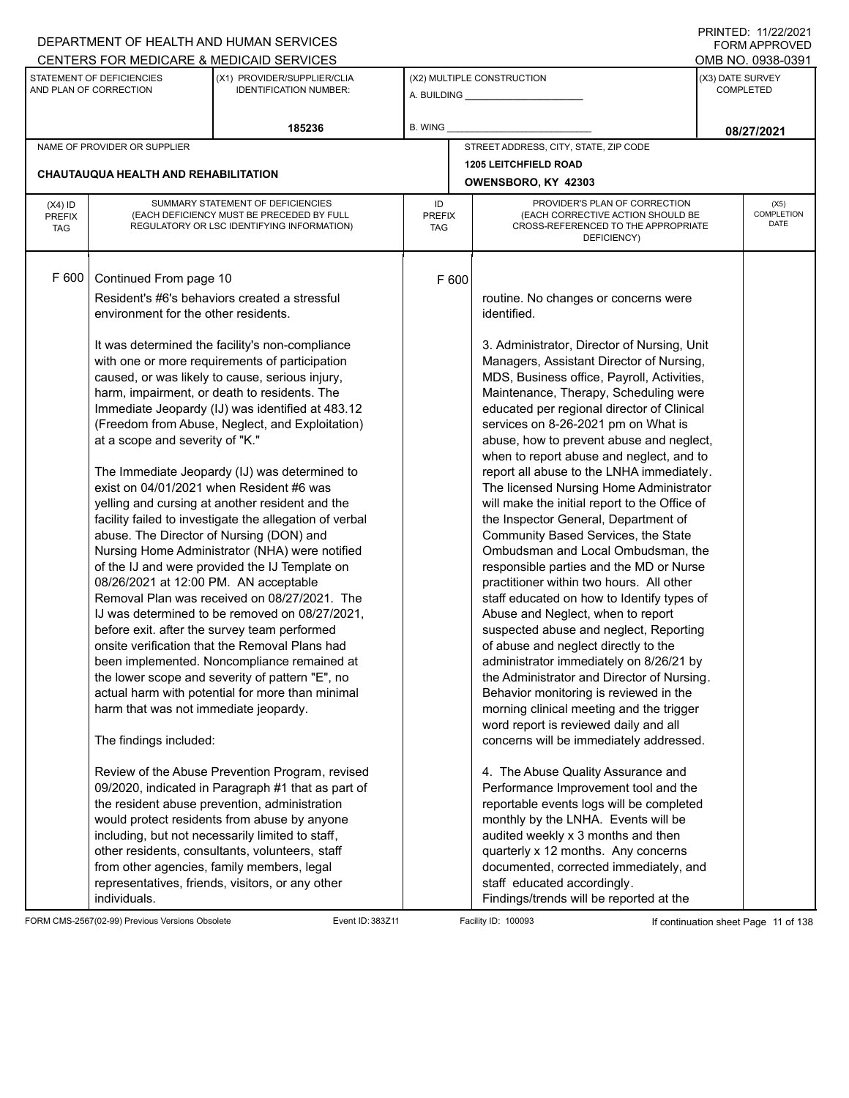|                                          |                                                                                                                                                                                                                                                           | DEPARTMENT OF HEALTH AND HUMAN SERVICES<br>CENTERS FOR MEDICARE & MEDICAID SERVICES                                                                                                                                                                                                                                                                                                                                                                                                                                                                                                                                                                                                                                                                                                                                                                                                                                                                                                                                                                                                                                                                                                                                                                                                                                                                    |                                   |                                                                                                                                                                                                                                                                                                                                                                                                                                                                                                                                                                                                                                                                                                                                                                                                                                                                                                                                                                                                                                                                                                                                                                                                                                                                                                                                                                                                                                                               |                               | 111111111121112212121<br><b>FORM APPROVED</b><br>OMB NO. 0938-0391 |
|------------------------------------------|-----------------------------------------------------------------------------------------------------------------------------------------------------------------------------------------------------------------------------------------------------------|--------------------------------------------------------------------------------------------------------------------------------------------------------------------------------------------------------------------------------------------------------------------------------------------------------------------------------------------------------------------------------------------------------------------------------------------------------------------------------------------------------------------------------------------------------------------------------------------------------------------------------------------------------------------------------------------------------------------------------------------------------------------------------------------------------------------------------------------------------------------------------------------------------------------------------------------------------------------------------------------------------------------------------------------------------------------------------------------------------------------------------------------------------------------------------------------------------------------------------------------------------------------------------------------------------------------------------------------------------|-----------------------------------|---------------------------------------------------------------------------------------------------------------------------------------------------------------------------------------------------------------------------------------------------------------------------------------------------------------------------------------------------------------------------------------------------------------------------------------------------------------------------------------------------------------------------------------------------------------------------------------------------------------------------------------------------------------------------------------------------------------------------------------------------------------------------------------------------------------------------------------------------------------------------------------------------------------------------------------------------------------------------------------------------------------------------------------------------------------------------------------------------------------------------------------------------------------------------------------------------------------------------------------------------------------------------------------------------------------------------------------------------------------------------------------------------------------------------------------------------------------|-------------------------------|--------------------------------------------------------------------|
|                                          | STATEMENT OF DEFICIENCIES<br>AND PLAN OF CORRECTION                                                                                                                                                                                                       | (X1) PROVIDER/SUPPLIER/CLIA<br><b>IDENTIFICATION NUMBER:</b>                                                                                                                                                                                                                                                                                                                                                                                                                                                                                                                                                                                                                                                                                                                                                                                                                                                                                                                                                                                                                                                                                                                                                                                                                                                                                           |                                   | (X2) MULTIPLE CONSTRUCTION                                                                                                                                                                                                                                                                                                                                                                                                                                                                                                                                                                                                                                                                                                                                                                                                                                                                                                                                                                                                                                                                                                                                                                                                                                                                                                                                                                                                                                    | (X3) DATE SURVEY<br>COMPLETED |                                                                    |
|                                          |                                                                                                                                                                                                                                                           | 185236                                                                                                                                                                                                                                                                                                                                                                                                                                                                                                                                                                                                                                                                                                                                                                                                                                                                                                                                                                                                                                                                                                                                                                                                                                                                                                                                                 | B. WING                           |                                                                                                                                                                                                                                                                                                                                                                                                                                                                                                                                                                                                                                                                                                                                                                                                                                                                                                                                                                                                                                                                                                                                                                                                                                                                                                                                                                                                                                                               |                               | 08/27/2021                                                         |
|                                          | NAME OF PROVIDER OR SUPPLIER                                                                                                                                                                                                                              |                                                                                                                                                                                                                                                                                                                                                                                                                                                                                                                                                                                                                                                                                                                                                                                                                                                                                                                                                                                                                                                                                                                                                                                                                                                                                                                                                        |                                   | STREET ADDRESS, CITY, STATE, ZIP CODE                                                                                                                                                                                                                                                                                                                                                                                                                                                                                                                                                                                                                                                                                                                                                                                                                                                                                                                                                                                                                                                                                                                                                                                                                                                                                                                                                                                                                         |                               |                                                                    |
|                                          | <b>CHAUTAUQUA HEALTH AND REHABILITATION</b>                                                                                                                                                                                                               |                                                                                                                                                                                                                                                                                                                                                                                                                                                                                                                                                                                                                                                                                                                                                                                                                                                                                                                                                                                                                                                                                                                                                                                                                                                                                                                                                        |                                   | <b>1205 LEITCHFIELD ROAD</b><br>OWENSBORO, KY 42303                                                                                                                                                                                                                                                                                                                                                                                                                                                                                                                                                                                                                                                                                                                                                                                                                                                                                                                                                                                                                                                                                                                                                                                                                                                                                                                                                                                                           |                               |                                                                    |
| $(X4)$ ID<br><b>PREFIX</b><br><b>TAG</b> |                                                                                                                                                                                                                                                           | SUMMARY STATEMENT OF DEFICIENCIES<br>(EACH DEFICIENCY MUST BE PRECEDED BY FULL<br>REGULATORY OR LSC IDENTIFYING INFORMATION)                                                                                                                                                                                                                                                                                                                                                                                                                                                                                                                                                                                                                                                                                                                                                                                                                                                                                                                                                                                                                                                                                                                                                                                                                           | ID<br><b>PREFIX</b><br><b>TAG</b> | PROVIDER'S PLAN OF CORRECTION<br>(EACH CORRECTIVE ACTION SHOULD BE<br>CROSS-REFERENCED TO THE APPROPRIATE<br>DEFICIENCY)                                                                                                                                                                                                                                                                                                                                                                                                                                                                                                                                                                                                                                                                                                                                                                                                                                                                                                                                                                                                                                                                                                                                                                                                                                                                                                                                      |                               | (X5)<br><b>COMPLETION</b><br><b>DATE</b>                           |
| F 600                                    | Continued From page 10<br>environment for the other residents.<br>at a scope and severity of "K."<br>abuse. The Director of Nursing (DON) and<br>08/26/2021 at 12:00 PM. AN acceptable<br>harm that was not immediate jeopardy.<br>The findings included: | Resident's #6's behaviors created a stressful<br>It was determined the facility's non-compliance<br>with one or more requirements of participation<br>caused, or was likely to cause, serious injury,<br>harm, impairment, or death to residents. The<br>Immediate Jeopardy (IJ) was identified at 483.12<br>(Freedom from Abuse, Neglect, and Exploitation)<br>The Immediate Jeopardy (IJ) was determined to<br>exist on 04/01/2021 when Resident #6 was<br>yelling and cursing at another resident and the<br>facility failed to investigate the allegation of verbal<br>Nursing Home Administrator (NHA) were notified<br>of the IJ and were provided the IJ Template on<br>Removal Plan was received on 08/27/2021. The<br>IJ was determined to be removed on 08/27/2021,<br>before exit. after the survey team performed<br>onsite verification that the Removal Plans had<br>been implemented. Noncompliance remained at<br>the lower scope and severity of pattern "E", no<br>actual harm with potential for more than minimal<br>Review of the Abuse Prevention Program, revised<br>09/2020, indicated in Paragraph #1 that as part of<br>the resident abuse prevention, administration<br>would protect residents from abuse by anyone<br>including, but not necessarily limited to staff,<br>other residents, consultants, volunteers, staff | F 600                             | routine. No changes or concerns were<br>identified.<br>3. Administrator, Director of Nursing, Unit<br>Managers, Assistant Director of Nursing,<br>MDS, Business office, Payroll, Activities,<br>Maintenance, Therapy, Scheduling were<br>educated per regional director of Clinical<br>services on 8-26-2021 pm on What is<br>abuse, how to prevent abuse and neglect,<br>when to report abuse and neglect, and to<br>report all abuse to the LNHA immediately.<br>The licensed Nursing Home Administrator<br>will make the initial report to the Office of<br>the Inspector General, Department of<br>Community Based Services, the State<br>Ombudsman and Local Ombudsman, the<br>responsible parties and the MD or Nurse<br>practitioner within two hours. All other<br>staff educated on how to Identify types of<br>Abuse and Neglect, when to report<br>suspected abuse and neglect, Reporting<br>of abuse and neglect directly to the<br>administrator immediately on 8/26/21 by<br>the Administrator and Director of Nursing.<br>Behavior monitoring is reviewed in the<br>morning clinical meeting and the trigger<br>word report is reviewed daily and all<br>concerns will be immediately addressed.<br>4. The Abuse Quality Assurance and<br>Performance Improvement tool and the<br>reportable events logs will be completed<br>monthly by the LNHA. Events will be<br>audited weekly x 3 months and then<br>quarterly x 12 months. Any concerns |                               |                                                                    |
|                                          | individuals.                                                                                                                                                                                                                                              | from other agencies, family members, legal<br>representatives, friends, visitors, or any other                                                                                                                                                                                                                                                                                                                                                                                                                                                                                                                                                                                                                                                                                                                                                                                                                                                                                                                                                                                                                                                                                                                                                                                                                                                         |                                   | documented, corrected immediately, and<br>staff educated accordingly.<br>Findings/trends will be reported at the                                                                                                                                                                                                                                                                                                                                                                                                                                                                                                                                                                                                                                                                                                                                                                                                                                                                                                                                                                                                                                                                                                                                                                                                                                                                                                                                              |                               |                                                                    |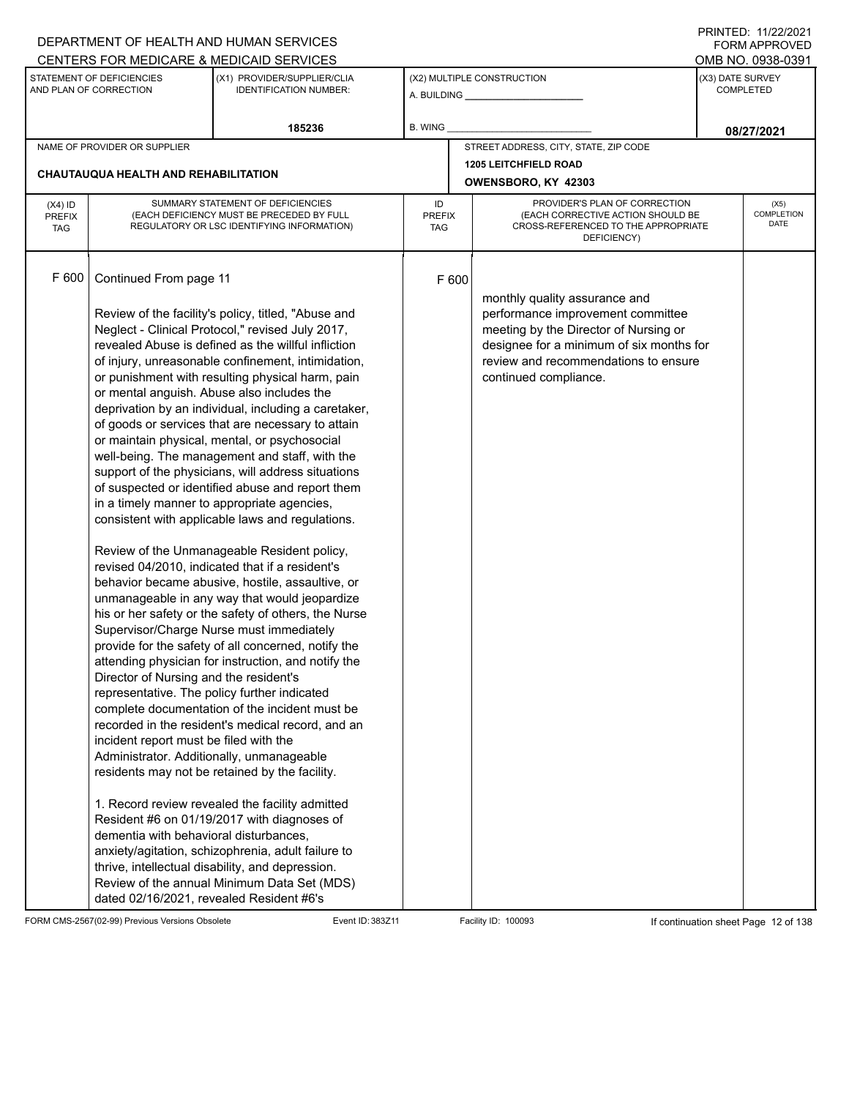|               |                                           | DEPARTMENT OF HEALTH AND HUMAN SERVICES                                                                    |                |       |                                                                          |                  | 111111111122.1112212121<br><b>FORM APPROVED</b> |
|---------------|-------------------------------------------|------------------------------------------------------------------------------------------------------------|----------------|-------|--------------------------------------------------------------------------|------------------|-------------------------------------------------|
|               | STATEMENT OF DEFICIENCIES                 | CENTERS FOR MEDICARE & MEDICAID SERVICES                                                                   |                |       |                                                                          |                  | OMB NO. 0938-0391                               |
|               | AND PLAN OF CORRECTION                    | (X1) PROVIDER/SUPPLIER/CLIA<br><b>IDENTIFICATION NUMBER:</b>                                               |                |       | (X2) MULTIPLE CONSTRUCTION                                               | (X3) DATE SURVEY | <b>COMPLETED</b>                                |
|               |                                           | 185236                                                                                                     | <b>B. WING</b> |       |                                                                          |                  | 08/27/2021                                      |
|               | NAME OF PROVIDER OR SUPPLIER              |                                                                                                            |                |       | STREET ADDRESS, CITY, STATE, ZIP CODE                                    |                  |                                                 |
|               | CHAUTAUQUA HEALTH AND REHABILITATION      |                                                                                                            |                |       | 1205 LEITCHFIELD ROAD                                                    |                  |                                                 |
|               |                                           |                                                                                                            |                |       | OWENSBORO, KY 42303                                                      |                  |                                                 |
| $(X4)$ ID     |                                           | SUMMARY STATEMENT OF DEFICIENCIES                                                                          | ID             |       | PROVIDER'S PLAN OF CORRECTION                                            |                  | (X5)                                            |
| <b>PREFIX</b> |                                           | (EACH DEFICIENCY MUST BE PRECEDED BY FULL                                                                  | <b>PREFIX</b>  |       | (EACH CORRECTIVE ACTION SHOULD BE<br>CROSS-REFERENCED TO THE APPROPRIATE |                  | <b>COMPLETION</b><br>DATE                       |
| <b>TAG</b>    |                                           | REGULATORY OR LSC IDENTIFYING INFORMATION)                                                                 | TAG            |       | DEFICIENCY)                                                              |                  |                                                 |
|               |                                           |                                                                                                            |                |       |                                                                          |                  |                                                 |
| F 600         | Continued From page 11                    |                                                                                                            |                | F 600 |                                                                          |                  |                                                 |
|               |                                           |                                                                                                            |                |       |                                                                          |                  |                                                 |
|               |                                           | Review of the facility's policy, titled, "Abuse and                                                        |                |       | monthly quality assurance and<br>performance improvement committee       |                  |                                                 |
|               |                                           | Neglect - Clinical Protocol," revised July 2017,                                                           |                |       | meeting by the Director of Nursing or                                    |                  |                                                 |
|               |                                           | revealed Abuse is defined as the willful infliction                                                        |                |       | designee for a minimum of six months for                                 |                  |                                                 |
|               |                                           | of injury, unreasonable confinement, intimidation,                                                         |                |       | review and recommendations to ensure                                     |                  |                                                 |
|               |                                           | or punishment with resulting physical harm, pain                                                           |                |       | continued compliance.                                                    |                  |                                                 |
|               |                                           | or mental anguish. Abuse also includes the                                                                 |                |       |                                                                          |                  |                                                 |
|               |                                           | deprivation by an individual, including a caretaker,                                                       |                |       |                                                                          |                  |                                                 |
|               |                                           | of goods or services that are necessary to attain                                                          |                |       |                                                                          |                  |                                                 |
|               |                                           | or maintain physical, mental, or psychosocial                                                              |                |       |                                                                          |                  |                                                 |
|               |                                           | well-being. The management and staff, with the                                                             |                |       |                                                                          |                  |                                                 |
|               |                                           | support of the physicians, will address situations                                                         |                |       |                                                                          |                  |                                                 |
|               |                                           | of suspected or identified abuse and report them                                                           |                |       |                                                                          |                  |                                                 |
|               |                                           | in a timely manner to appropriate agencies,                                                                |                |       |                                                                          |                  |                                                 |
|               |                                           | consistent with applicable laws and regulations.                                                           |                |       |                                                                          |                  |                                                 |
|               |                                           | Review of the Unmanageable Resident policy,                                                                |                |       |                                                                          |                  |                                                 |
|               |                                           | revised 04/2010, indicated that if a resident's                                                            |                |       |                                                                          |                  |                                                 |
|               |                                           | behavior became abusive, hostile, assaultive, or                                                           |                |       |                                                                          |                  |                                                 |
|               |                                           | unmanageable in any way that would jeopardize                                                              |                |       |                                                                          |                  |                                                 |
|               |                                           | his or her safety or the safety of others, the Nurse                                                       |                |       |                                                                          |                  |                                                 |
|               |                                           | Supervisor/Charge Nurse must immediately                                                                   |                |       |                                                                          |                  |                                                 |
|               |                                           | provide for the safety of all concerned, notify the<br>attending physician for instruction, and notify the |                |       |                                                                          |                  |                                                 |
|               | Director of Nursing and the resident's    |                                                                                                            |                |       |                                                                          |                  |                                                 |
|               |                                           | representative. The policy further indicated                                                               |                |       |                                                                          |                  |                                                 |
|               |                                           | complete documentation of the incident must be                                                             |                |       |                                                                          |                  |                                                 |
|               |                                           | recorded in the resident's medical record, and an                                                          |                |       |                                                                          |                  |                                                 |
|               | incident report must be filed with the    |                                                                                                            |                |       |                                                                          |                  |                                                 |
|               | Administrator. Additionally, unmanageable |                                                                                                            |                |       |                                                                          |                  |                                                 |
|               |                                           | residents may not be retained by the facility.                                                             |                |       |                                                                          |                  |                                                 |
|               |                                           | 1. Record review revealed the facility admitted                                                            |                |       |                                                                          |                  |                                                 |
|               |                                           | Resident #6 on 01/19/2017 with diagnoses of                                                                |                |       |                                                                          |                  |                                                 |
|               | dementia with behavioral disturbances,    |                                                                                                            |                |       |                                                                          |                  |                                                 |
|               |                                           | anxiety/agitation, schizophrenia, adult failure to                                                         |                |       |                                                                          |                  |                                                 |
|               |                                           | thrive, intellectual disability, and depression.                                                           |                |       |                                                                          |                  |                                                 |
|               |                                           | Review of the annual Minimum Data Set (MDS)                                                                |                |       |                                                                          |                  |                                                 |
|               | dated 02/16/2021, revealed Resident #6's  |                                                                                                            |                |       |                                                                          |                  |                                                 |

FORM CMS-2567(02-99) Previous Versions Obsolete Event ID: 383Z11 Facility ID: 100093 If continuation sheet Page 12 of 138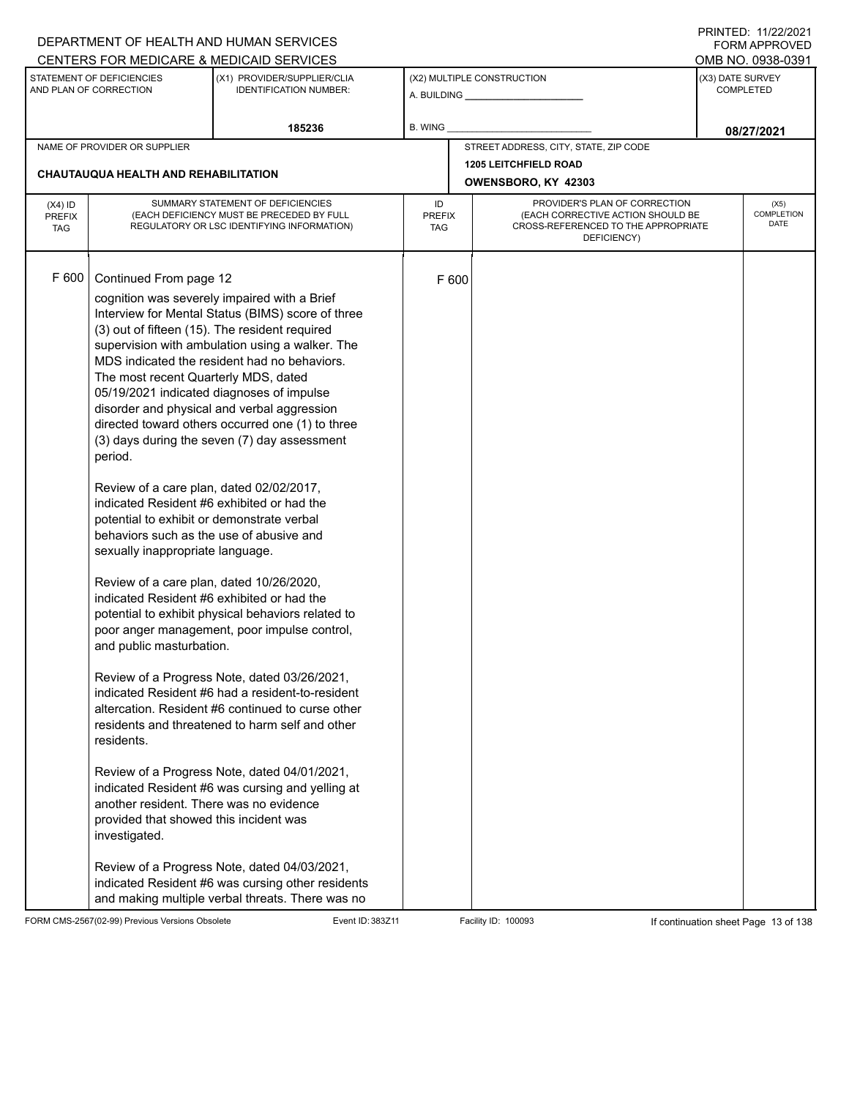|                                          |                                                                                                                                                                                                                                                                                                                                                                                                                                                                                                                                             | DEPARTMENT OF HEALTH AND HUMAN SERVICES                                                                                                                                                                                                                                                                                                                                                                                                                                                                                                                                                                                                                                                                                                                                                                                                                                                                                      |                            |       |                                                                                                                          | FORM APPROVED                         |
|------------------------------------------|---------------------------------------------------------------------------------------------------------------------------------------------------------------------------------------------------------------------------------------------------------------------------------------------------------------------------------------------------------------------------------------------------------------------------------------------------------------------------------------------------------------------------------------------|------------------------------------------------------------------------------------------------------------------------------------------------------------------------------------------------------------------------------------------------------------------------------------------------------------------------------------------------------------------------------------------------------------------------------------------------------------------------------------------------------------------------------------------------------------------------------------------------------------------------------------------------------------------------------------------------------------------------------------------------------------------------------------------------------------------------------------------------------------------------------------------------------------------------------|----------------------------|-------|--------------------------------------------------------------------------------------------------------------------------|---------------------------------------|
|                                          | STATEMENT OF DEFICIENCIES                                                                                                                                                                                                                                                                                                                                                                                                                                                                                                                   | CENTERS FOR MEDICARE & MEDICAID SERVICES<br>(X1) PROVIDER/SUPPLIER/CLIA                                                                                                                                                                                                                                                                                                                                                                                                                                                                                                                                                                                                                                                                                                                                                                                                                                                      |                            |       | (X2) MULTIPLE CONSTRUCTION                                                                                               | OMB NO. 0938-0391<br>(X3) DATE SURVEY |
|                                          | AND PLAN OF CORRECTION                                                                                                                                                                                                                                                                                                                                                                                                                                                                                                                      | <b>IDENTIFICATION NUMBER:</b>                                                                                                                                                                                                                                                                                                                                                                                                                                                                                                                                                                                                                                                                                                                                                                                                                                                                                                |                            |       |                                                                                                                          | <b>COMPLETED</b>                      |
|                                          |                                                                                                                                                                                                                                                                                                                                                                                                                                                                                                                                             | 185236                                                                                                                                                                                                                                                                                                                                                                                                                                                                                                                                                                                                                                                                                                                                                                                                                                                                                                                       | B. WING                    |       |                                                                                                                          | 08/27/2021                            |
|                                          | NAME OF PROVIDER OR SUPPLIER                                                                                                                                                                                                                                                                                                                                                                                                                                                                                                                |                                                                                                                                                                                                                                                                                                                                                                                                                                                                                                                                                                                                                                                                                                                                                                                                                                                                                                                              |                            |       | STREET ADDRESS, CITY, STATE, ZIP CODE                                                                                    |                                       |
|                                          | CHAUTAUQUA HEALTH AND REHABILITATION                                                                                                                                                                                                                                                                                                                                                                                                                                                                                                        |                                                                                                                                                                                                                                                                                                                                                                                                                                                                                                                                                                                                                                                                                                                                                                                                                                                                                                                              |                            |       | <b>1205 LEITCHFIELD ROAD</b>                                                                                             |                                       |
|                                          |                                                                                                                                                                                                                                                                                                                                                                                                                                                                                                                                             |                                                                                                                                                                                                                                                                                                                                                                                                                                                                                                                                                                                                                                                                                                                                                                                                                                                                                                                              |                            |       | OWENSBORO, KY 42303                                                                                                      |                                       |
| $(X4)$ ID<br><b>PREFIX</b><br><b>TAG</b> |                                                                                                                                                                                                                                                                                                                                                                                                                                                                                                                                             | SUMMARY STATEMENT OF DEFICIENCIES<br>(EACH DEFICIENCY MUST BE PRECEDED BY FULL<br>REGULATORY OR LSC IDENTIFYING INFORMATION)                                                                                                                                                                                                                                                                                                                                                                                                                                                                                                                                                                                                                                                                                                                                                                                                 | ID<br><b>PREFIX</b><br>TAG |       | PROVIDER'S PLAN OF CORRECTION<br>(EACH CORRECTIVE ACTION SHOULD BE<br>CROSS-REFERENCED TO THE APPROPRIATE<br>DEFICIENCY) | (X5)<br>COMPLETION<br>DATE            |
| F 600                                    | Continued From page 12<br>The most recent Quarterly MDS, dated<br>period.<br>Review of a care plan, dated 02/02/2017,<br>indicated Resident #6 exhibited or had the<br>potential to exhibit or demonstrate verbal<br>behaviors such as the use of abusive and<br>sexually inappropriate language.<br>Review of a care plan, dated 10/26/2020,<br>indicated Resident #6 exhibited or had the<br>and public masturbation.<br>residents.<br>another resident. There was no evidence<br>provided that showed this incident was<br>investigated. | cognition was severely impaired with a Brief<br>Interview for Mental Status (BIMS) score of three<br>(3) out of fifteen (15). The resident required<br>supervision with ambulation using a walker. The<br>MDS indicated the resident had no behaviors.<br>05/19/2021 indicated diagnoses of impulse<br>disorder and physical and verbal aggression<br>directed toward others occurred one (1) to three<br>(3) days during the seven (7) day assessment<br>potential to exhibit physical behaviors related to<br>poor anger management, poor impulse control,<br>Review of a Progress Note, dated 03/26/2021,<br>indicated Resident #6 had a resident-to-resident<br>altercation. Resident #6 continued to curse other<br>residents and threatened to harm self and other<br>Review of a Progress Note, dated 04/01/2021,<br>indicated Resident #6 was cursing and yelling at<br>Review of a Progress Note, dated 04/03/2021, |                            | F 600 |                                                                                                                          |                                       |
|                                          |                                                                                                                                                                                                                                                                                                                                                                                                                                                                                                                                             | indicated Resident #6 was cursing other residents<br>and making multiple verbal threats. There was no                                                                                                                                                                                                                                                                                                                                                                                                                                                                                                                                                                                                                                                                                                                                                                                                                        |                            |       |                                                                                                                          |                                       |

FORM CMS-2567(02-99) Previous Versions Obsolete Event ID: 383Z11 Facility ID: 100093 If continuation sheet Page 13 of 138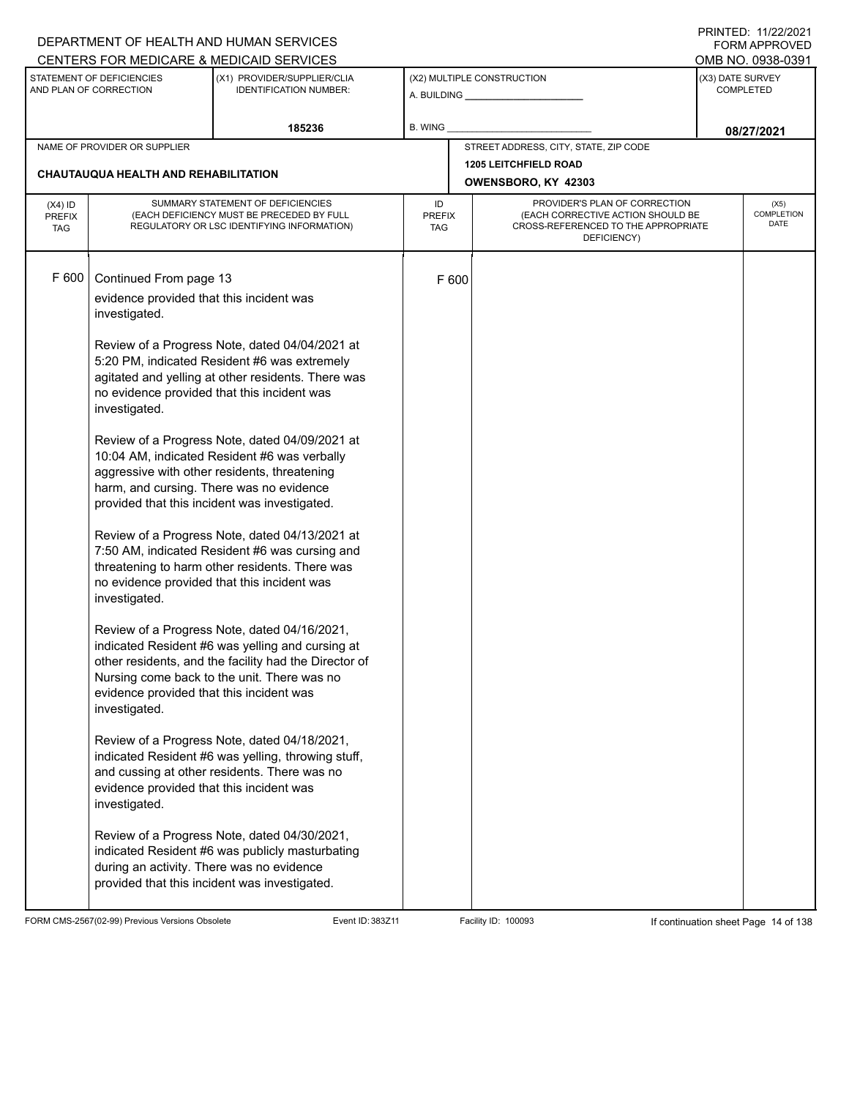|                                          |                                                                                                                                                                                                                                                                                                                                          | DEPARTMENT OF HEALTH AND HUMAN SERVICES<br>CENTERS FOR MEDICARE & MEDICAID SERVICES                                                                                                                                                                                                                                                                                                                                                                                                                                                                                                                                                                                                                                                                                                                                                                                                                                                                                                                                                                                              |                            |       |                                                                                                                          |                  | <b>FORM APPROVED</b><br>OMB NO. 0938-0391 |  |
|------------------------------------------|------------------------------------------------------------------------------------------------------------------------------------------------------------------------------------------------------------------------------------------------------------------------------------------------------------------------------------------|----------------------------------------------------------------------------------------------------------------------------------------------------------------------------------------------------------------------------------------------------------------------------------------------------------------------------------------------------------------------------------------------------------------------------------------------------------------------------------------------------------------------------------------------------------------------------------------------------------------------------------------------------------------------------------------------------------------------------------------------------------------------------------------------------------------------------------------------------------------------------------------------------------------------------------------------------------------------------------------------------------------------------------------------------------------------------------|----------------------------|-------|--------------------------------------------------------------------------------------------------------------------------|------------------|-------------------------------------------|--|
|                                          | STATEMENT OF DEFICIENCIES<br>AND PLAN OF CORRECTION                                                                                                                                                                                                                                                                                      | (X1) PROVIDER/SUPPLIER/CLIA<br><b>IDENTIFICATION NUMBER:</b>                                                                                                                                                                                                                                                                                                                                                                                                                                                                                                                                                                                                                                                                                                                                                                                                                                                                                                                                                                                                                     |                            |       | (X2) MULTIPLE CONSTRUCTION                                                                                               | (X3) DATE SURVEY | <b>COMPLETED</b>                          |  |
|                                          |                                                                                                                                                                                                                                                                                                                                          | 185236                                                                                                                                                                                                                                                                                                                                                                                                                                                                                                                                                                                                                                                                                                                                                                                                                                                                                                                                                                                                                                                                           | B. WING                    |       |                                                                                                                          |                  | 08/27/2021                                |  |
|                                          | NAME OF PROVIDER OR SUPPLIER                                                                                                                                                                                                                                                                                                             |                                                                                                                                                                                                                                                                                                                                                                                                                                                                                                                                                                                                                                                                                                                                                                                                                                                                                                                                                                                                                                                                                  |                            |       | STREET ADDRESS, CITY, STATE, ZIP CODE                                                                                    |                  |                                           |  |
|                                          | CHAUTAUQUA HEALTH AND REHABILITATION                                                                                                                                                                                                                                                                                                     |                                                                                                                                                                                                                                                                                                                                                                                                                                                                                                                                                                                                                                                                                                                                                                                                                                                                                                                                                                                                                                                                                  |                            |       | <b>1205 LEITCHFIELD ROAD</b><br>OWENSBORO, KY 42303                                                                      |                  |                                           |  |
| $(X4)$ ID<br><b>PREFIX</b><br><b>TAG</b> |                                                                                                                                                                                                                                                                                                                                          | SUMMARY STATEMENT OF DEFICIENCIES<br>(EACH DEFICIENCY MUST BE PRECEDED BY FULL<br>REGULATORY OR LSC IDENTIFYING INFORMATION)                                                                                                                                                                                                                                                                                                                                                                                                                                                                                                                                                                                                                                                                                                                                                                                                                                                                                                                                                     | ID<br><b>PREFIX</b><br>TAG |       | PROVIDER'S PLAN OF CORRECTION<br>(EACH CORRECTIVE ACTION SHOULD BE<br>CROSS-REFERENCED TO THE APPROPRIATE<br>DEFICIENCY) |                  | (X5)<br><b>COMPLETION</b><br>DATE         |  |
| F 600                                    | Continued From page 13<br>evidence provided that this incident was<br>investigated.<br>investigated.<br>harm, and cursing. There was no evidence<br>investigated.<br>evidence provided that this incident was<br>investigated.<br>evidence provided that this incident was<br>investigated.<br>during an activity. There was no evidence | Review of a Progress Note, dated 04/04/2021 at<br>5:20 PM, indicated Resident #6 was extremely<br>agitated and yelling at other residents. There was<br>no evidence provided that this incident was<br>Review of a Progress Note, dated 04/09/2021 at<br>10:04 AM, indicated Resident #6 was verbally<br>aggressive with other residents, threatening<br>provided that this incident was investigated.<br>Review of a Progress Note, dated 04/13/2021 at<br>7:50 AM, indicated Resident #6 was cursing and<br>threatening to harm other residents. There was<br>no evidence provided that this incident was<br>Review of a Progress Note, dated 04/16/2021,<br>indicated Resident #6 was yelling and cursing at<br>other residents, and the facility had the Director of<br>Nursing come back to the unit. There was no<br>Review of a Progress Note, dated 04/18/2021,<br>indicated Resident #6 was yelling, throwing stuff,<br>and cussing at other residents. There was no<br>Review of a Progress Note, dated 04/30/2021,<br>indicated Resident #6 was publicly masturbating |                            | F 600 |                                                                                                                          |                  |                                           |  |
|                                          |                                                                                                                                                                                                                                                                                                                                          | provided that this incident was investigated.                                                                                                                                                                                                                                                                                                                                                                                                                                                                                                                                                                                                                                                                                                                                                                                                                                                                                                                                                                                                                                    |                            |       |                                                                                                                          |                  |                                           |  |

FORM CMS-2567(02-99) Previous Versions Obsolete Event ID: 383Z11 Event ID: 383Z11 Facility ID: 100093 If continuation sheet Page 14 of 138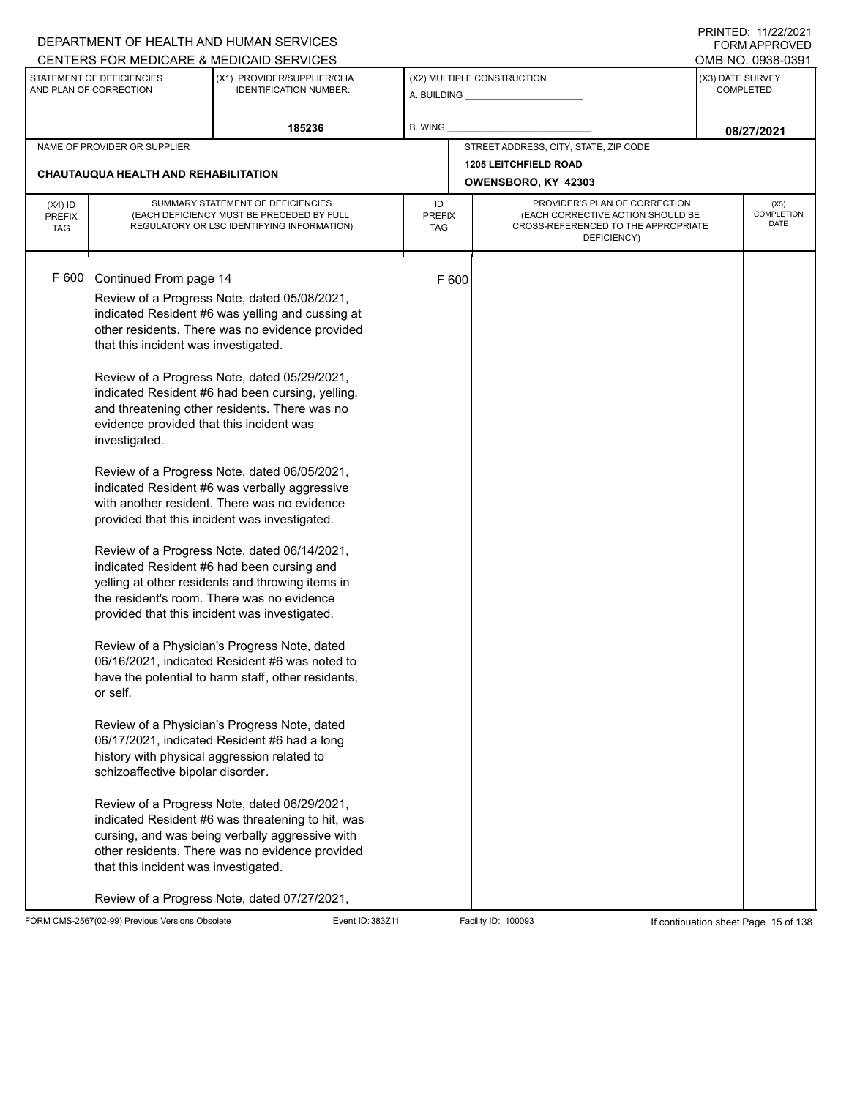|                                          |                                                                                                                                                                                                                                                                     | DEPARTMENT OF HEALTH AND HUMAN SERVICES                                                                                                                                                                                                                                                                                                                                                                                                                                                                                                                                                                                                                                                                                                                                                                                                                                                                                                                                                                                                                                                                                                                                                                                        |                            |       |                                                                                                                          |  | 111111111122.1112212121<br>FORM APPROVED |  |
|------------------------------------------|---------------------------------------------------------------------------------------------------------------------------------------------------------------------------------------------------------------------------------------------------------------------|--------------------------------------------------------------------------------------------------------------------------------------------------------------------------------------------------------------------------------------------------------------------------------------------------------------------------------------------------------------------------------------------------------------------------------------------------------------------------------------------------------------------------------------------------------------------------------------------------------------------------------------------------------------------------------------------------------------------------------------------------------------------------------------------------------------------------------------------------------------------------------------------------------------------------------------------------------------------------------------------------------------------------------------------------------------------------------------------------------------------------------------------------------------------------------------------------------------------------------|----------------------------|-------|--------------------------------------------------------------------------------------------------------------------------|--|------------------------------------------|--|
|                                          | STATEMENT OF DEFICIENCIES                                                                                                                                                                                                                                           | CENTERS FOR MEDICARE & MEDICAID SERVICES<br>(X1) PROVIDER/SUPPLIER/CLIA                                                                                                                                                                                                                                                                                                                                                                                                                                                                                                                                                                                                                                                                                                                                                                                                                                                                                                                                                                                                                                                                                                                                                        |                            |       | (X2) MULTIPLE CONSTRUCTION                                                                                               |  | OMB NO. 0938-0391<br>(X3) DATE SURVEY    |  |
|                                          | AND PLAN OF CORRECTION                                                                                                                                                                                                                                              | <b>IDENTIFICATION NUMBER:</b>                                                                                                                                                                                                                                                                                                                                                                                                                                                                                                                                                                                                                                                                                                                                                                                                                                                                                                                                                                                                                                                                                                                                                                                                  |                            |       |                                                                                                                          |  | <b>COMPLETED</b>                         |  |
|                                          |                                                                                                                                                                                                                                                                     | 185236                                                                                                                                                                                                                                                                                                                                                                                                                                                                                                                                                                                                                                                                                                                                                                                                                                                                                                                                                                                                                                                                                                                                                                                                                         | B. WING                    |       |                                                                                                                          |  | 08/27/2021                               |  |
|                                          | NAME OF PROVIDER OR SUPPLIER                                                                                                                                                                                                                                        |                                                                                                                                                                                                                                                                                                                                                                                                                                                                                                                                                                                                                                                                                                                                                                                                                                                                                                                                                                                                                                                                                                                                                                                                                                |                            |       | STREET ADDRESS, CITY, STATE, ZIP CODE                                                                                    |  |                                          |  |
|                                          | CHAUTAUQUA HEALTH AND REHABILITATION                                                                                                                                                                                                                                |                                                                                                                                                                                                                                                                                                                                                                                                                                                                                                                                                                                                                                                                                                                                                                                                                                                                                                                                                                                                                                                                                                                                                                                                                                |                            |       | <b>1205 LEITCHFIELD ROAD</b><br>OWENSBORO, KY 42303                                                                      |  |                                          |  |
| $(X4)$ ID<br><b>PREFIX</b><br><b>TAG</b> |                                                                                                                                                                                                                                                                     | SUMMARY STATEMENT OF DEFICIENCIES<br>(EACH DEFICIENCY MUST BE PRECEDED BY FULL<br>REGULATORY OR LSC IDENTIFYING INFORMATION)                                                                                                                                                                                                                                                                                                                                                                                                                                                                                                                                                                                                                                                                                                                                                                                                                                                                                                                                                                                                                                                                                                   | ID<br><b>PREFIX</b><br>TAG |       | PROVIDER'S PLAN OF CORRECTION<br>(EACH CORRECTIVE ACTION SHOULD BE<br>CROSS-REFERENCED TO THE APPROPRIATE<br>DEFICIENCY) |  | (X5)<br><b>COMPLETION</b><br>DATE        |  |
| F 600                                    | Continued From page 14<br>that this incident was investigated.<br>evidence provided that this incident was<br>investigated.<br>or self.<br>history with physical aggression related to<br>schizoaffective bipolar disorder.<br>that this incident was investigated. | Review of a Progress Note, dated 05/08/2021,<br>indicated Resident #6 was yelling and cussing at<br>other residents. There was no evidence provided<br>Review of a Progress Note, dated 05/29/2021,<br>indicated Resident #6 had been cursing, yelling,<br>and threatening other residents. There was no<br>Review of a Progress Note, dated 06/05/2021,<br>indicated Resident #6 was verbally aggressive<br>with another resident. There was no evidence<br>provided that this incident was investigated.<br>Review of a Progress Note, dated 06/14/2021,<br>indicated Resident #6 had been cursing and<br>yelling at other residents and throwing items in<br>the resident's room. There was no evidence<br>provided that this incident was investigated.<br>Review of a Physician's Progress Note, dated<br>06/16/2021, indicated Resident #6 was noted to<br>have the potential to harm staff, other residents,<br>Review of a Physician's Progress Note, dated<br>06/17/2021, indicated Resident #6 had a long<br>Review of a Progress Note, dated 06/29/2021,<br>indicated Resident #6 was threatening to hit, was<br>cursing, and was being verbally aggressive with<br>other residents. There was no evidence provided |                            | F 600 |                                                                                                                          |  |                                          |  |
|                                          |                                                                                                                                                                                                                                                                     | Review of a Progress Note, dated 07/27/2021,                                                                                                                                                                                                                                                                                                                                                                                                                                                                                                                                                                                                                                                                                                                                                                                                                                                                                                                                                                                                                                                                                                                                                                                   |                            |       |                                                                                                                          |  |                                          |  |

FORM CMS-2567(02-99) Previous Versions Obsolete Event ID: 383Z11 Facility ID: 100093 If continuation sheet Page 15 of 138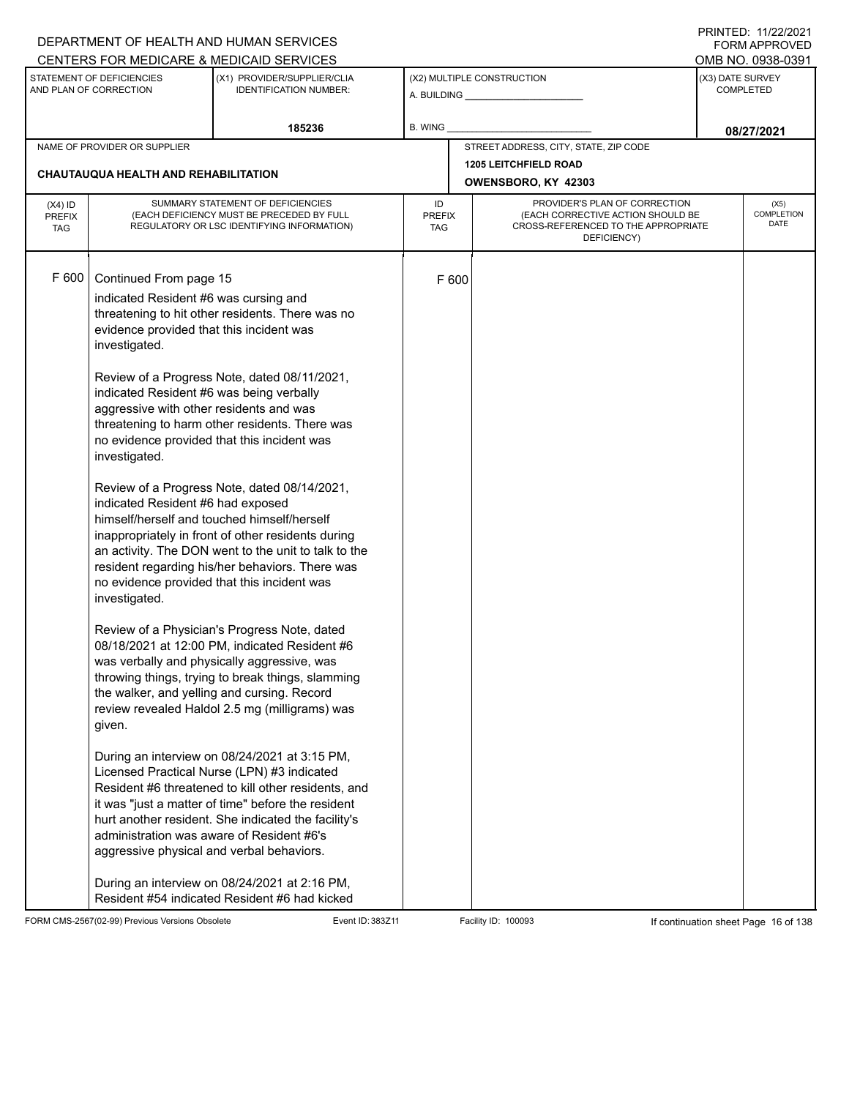|                                          |                                                                                                                                                                                                                                                                                                                                                                                                | DEPARTMENT OF HEALTH AND HUMAN SERVICES                                                                                                                                                                                                                                                                                                                                                                                                                                                                                                                                                                                                                                                                                                                                                                                                                                                                                                                                                                                                                                                    |                            |       |                                                                                                                          |                  | FORM APPROVED                         |
|------------------------------------------|------------------------------------------------------------------------------------------------------------------------------------------------------------------------------------------------------------------------------------------------------------------------------------------------------------------------------------------------------------------------------------------------|--------------------------------------------------------------------------------------------------------------------------------------------------------------------------------------------------------------------------------------------------------------------------------------------------------------------------------------------------------------------------------------------------------------------------------------------------------------------------------------------------------------------------------------------------------------------------------------------------------------------------------------------------------------------------------------------------------------------------------------------------------------------------------------------------------------------------------------------------------------------------------------------------------------------------------------------------------------------------------------------------------------------------------------------------------------------------------------------|----------------------------|-------|--------------------------------------------------------------------------------------------------------------------------|------------------|---------------------------------------|
|                                          | STATEMENT OF DEFICIENCIES<br>AND PLAN OF CORRECTION                                                                                                                                                                                                                                                                                                                                            | CENTERS FOR MEDICARE & MEDICAID SERVICES<br>(X1) PROVIDER/SUPPLIER/CLIA<br><b>IDENTIFICATION NUMBER:</b>                                                                                                                                                                                                                                                                                                                                                                                                                                                                                                                                                                                                                                                                                                                                                                                                                                                                                                                                                                                   |                            |       | (X2) MULTIPLE CONSTRUCTION                                                                                               | (X3) DATE SURVEY | OMB NO. 0938-0391<br><b>COMPLETED</b> |
|                                          |                                                                                                                                                                                                                                                                                                                                                                                                | 185236                                                                                                                                                                                                                                                                                                                                                                                                                                                                                                                                                                                                                                                                                                                                                                                                                                                                                                                                                                                                                                                                                     | B. WING                    |       |                                                                                                                          |                  | 08/27/2021                            |
|                                          | NAME OF PROVIDER OR SUPPLIER<br>CHAUTAUQUA HEALTH AND REHABILITATION                                                                                                                                                                                                                                                                                                                           |                                                                                                                                                                                                                                                                                                                                                                                                                                                                                                                                                                                                                                                                                                                                                                                                                                                                                                                                                                                                                                                                                            |                            |       | STREET ADDRESS, CITY, STATE, ZIP CODE<br><b>1205 LEITCHFIELD ROAD</b><br>OWENSBORO, KY 42303                             |                  |                                       |
| $(X4)$ ID<br><b>PREFIX</b><br><b>TAG</b> |                                                                                                                                                                                                                                                                                                                                                                                                | SUMMARY STATEMENT OF DEFICIENCIES<br>(EACH DEFICIENCY MUST BE PRECEDED BY FULL<br>REGULATORY OR LSC IDENTIFYING INFORMATION)                                                                                                                                                                                                                                                                                                                                                                                                                                                                                                                                                                                                                                                                                                                                                                                                                                                                                                                                                               | ID<br><b>PREFIX</b><br>TAG |       | PROVIDER'S PLAN OF CORRECTION<br>(EACH CORRECTIVE ACTION SHOULD BE<br>CROSS-REFERENCED TO THE APPROPRIATE<br>DEFICIENCY) |                  | (X5)<br><b>COMPLETION</b><br>DATE     |
| F 600                                    | Continued From page 15<br>indicated Resident #6 was cursing and<br>evidence provided that this incident was<br>investigated.<br>indicated Resident #6 was being verbally<br>aggressive with other residents and was<br>investigated.<br>indicated Resident #6 had exposed<br>investigated.<br>given.<br>administration was aware of Resident #6's<br>aggressive physical and verbal behaviors. | threatening to hit other residents. There was no<br>Review of a Progress Note, dated 08/11/2021,<br>threatening to harm other residents. There was<br>no evidence provided that this incident was<br>Review of a Progress Note, dated 08/14/2021,<br>himself/herself and touched himself/herself<br>inappropriately in front of other residents during<br>an activity. The DON went to the unit to talk to the<br>resident regarding his/her behaviors. There was<br>no evidence provided that this incident was<br>Review of a Physician's Progress Note, dated<br>08/18/2021 at 12:00 PM, indicated Resident #6<br>was verbally and physically aggressive, was<br>throwing things, trying to break things, slamming<br>the walker, and yelling and cursing. Record<br>review revealed Haldol 2.5 mg (milligrams) was<br>During an interview on 08/24/2021 at 3:15 PM,<br>Licensed Practical Nurse (LPN) #3 indicated<br>Resident #6 threatened to kill other residents, and<br>it was "just a matter of time" before the resident<br>hurt another resident. She indicated the facility's |                            | F 600 |                                                                                                                          |                  |                                       |
|                                          |                                                                                                                                                                                                                                                                                                                                                                                                | During an interview on 08/24/2021 at 2:16 PM,<br>Resident #54 indicated Resident #6 had kicked                                                                                                                                                                                                                                                                                                                                                                                                                                                                                                                                                                                                                                                                                                                                                                                                                                                                                                                                                                                             |                            |       |                                                                                                                          |                  |                                       |

FORM CMS-2567(02-99) Previous Versions Obsolete Event ID: 383Z11 Facility ID: 100093 If continuation sheet Page 16 of 138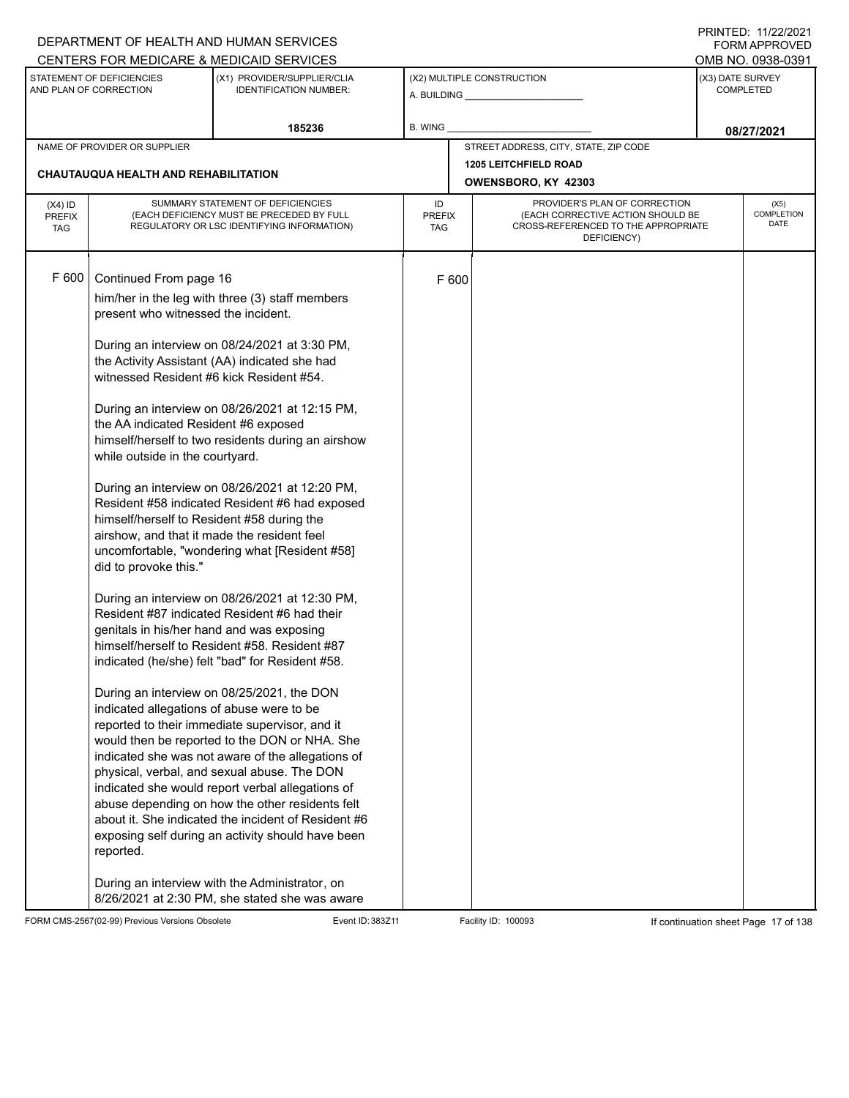|                                          |                                                                                                                                                                                                                                                                                                                                                                                                                   | DEPARTMENT OF HEALTH AND HUMAN SERVICES                                                                                                                                                                                                                                                                                                                                                                                                                                                                                                                                                                                                                                                                                                                                                                                                                                                                                                                                                                                                                                                      |                            |       |                                                                                                                          | I INITILD. III <i>ll</i> iculi<br><b>FORM APPROVED</b> |
|------------------------------------------|-------------------------------------------------------------------------------------------------------------------------------------------------------------------------------------------------------------------------------------------------------------------------------------------------------------------------------------------------------------------------------------------------------------------|----------------------------------------------------------------------------------------------------------------------------------------------------------------------------------------------------------------------------------------------------------------------------------------------------------------------------------------------------------------------------------------------------------------------------------------------------------------------------------------------------------------------------------------------------------------------------------------------------------------------------------------------------------------------------------------------------------------------------------------------------------------------------------------------------------------------------------------------------------------------------------------------------------------------------------------------------------------------------------------------------------------------------------------------------------------------------------------------|----------------------------|-------|--------------------------------------------------------------------------------------------------------------------------|--------------------------------------------------------|
|                                          |                                                                                                                                                                                                                                                                                                                                                                                                                   | CENTERS FOR MEDICARE & MEDICAID SERVICES                                                                                                                                                                                                                                                                                                                                                                                                                                                                                                                                                                                                                                                                                                                                                                                                                                                                                                                                                                                                                                                     |                            |       |                                                                                                                          | OMB NO. 0938-0391                                      |
|                                          | STATEMENT OF DEFICIENCIES<br>AND PLAN OF CORRECTION                                                                                                                                                                                                                                                                                                                                                               | (X1) PROVIDER/SUPPLIER/CLIA<br><b>IDENTIFICATION NUMBER:</b>                                                                                                                                                                                                                                                                                                                                                                                                                                                                                                                                                                                                                                                                                                                                                                                                                                                                                                                                                                                                                                 |                            |       | (X2) MULTIPLE CONSTRUCTION                                                                                               | (X3) DATE SURVEY<br><b>COMPLETED</b>                   |
|                                          |                                                                                                                                                                                                                                                                                                                                                                                                                   | 185236                                                                                                                                                                                                                                                                                                                                                                                                                                                                                                                                                                                                                                                                                                                                                                                                                                                                                                                                                                                                                                                                                       | B. WING                    |       |                                                                                                                          | 08/27/2021                                             |
|                                          | NAME OF PROVIDER OR SUPPLIER                                                                                                                                                                                                                                                                                                                                                                                      |                                                                                                                                                                                                                                                                                                                                                                                                                                                                                                                                                                                                                                                                                                                                                                                                                                                                                                                                                                                                                                                                                              |                            |       | STREET ADDRESS, CITY, STATE, ZIP CODE                                                                                    |                                                        |
|                                          |                                                                                                                                                                                                                                                                                                                                                                                                                   |                                                                                                                                                                                                                                                                                                                                                                                                                                                                                                                                                                                                                                                                                                                                                                                                                                                                                                                                                                                                                                                                                              |                            |       | <b>1205 LEITCHFIELD ROAD</b>                                                                                             |                                                        |
|                                          | <b>CHAUTAUQUA HEALTH AND REHABILITATION</b>                                                                                                                                                                                                                                                                                                                                                                       |                                                                                                                                                                                                                                                                                                                                                                                                                                                                                                                                                                                                                                                                                                                                                                                                                                                                                                                                                                                                                                                                                              |                            |       | OWENSBORO, KY 42303                                                                                                      |                                                        |
| $(X4)$ ID<br><b>PREFIX</b><br><b>TAG</b> |                                                                                                                                                                                                                                                                                                                                                                                                                   | SUMMARY STATEMENT OF DEFICIENCIES<br>(EACH DEFICIENCY MUST BE PRECEDED BY FULL<br>REGULATORY OR LSC IDENTIFYING INFORMATION)                                                                                                                                                                                                                                                                                                                                                                                                                                                                                                                                                                                                                                                                                                                                                                                                                                                                                                                                                                 | ID<br><b>PREFIX</b><br>TAG |       | PROVIDER'S PLAN OF CORRECTION<br>(EACH CORRECTIVE ACTION SHOULD BE<br>CROSS-REFERENCED TO THE APPROPRIATE<br>DEFICIENCY) | (X5)<br>COMPLETION<br><b>DATE</b>                      |
| F 600                                    | Continued From page 16<br>present who witnessed the incident.<br>witnessed Resident #6 kick Resident #54.<br>the AA indicated Resident #6 exposed<br>while outside in the courtyard.<br>himself/herself to Resident #58 during the<br>airshow, and that it made the resident feel<br>did to provoke this."<br>genitals in his/her hand and was exposing<br>indicated allegations of abuse were to be<br>reported. | him/her in the leg with three (3) staff members<br>During an interview on 08/24/2021 at 3:30 PM,<br>the Activity Assistant (AA) indicated she had<br>During an interview on 08/26/2021 at 12:15 PM,<br>himself/herself to two residents during an airshow<br>During an interview on 08/26/2021 at 12:20 PM,<br>Resident #58 indicated Resident #6 had exposed<br>uncomfortable, "wondering what [Resident #58]<br>During an interview on 08/26/2021 at 12:30 PM,<br>Resident #87 indicated Resident #6 had their<br>himself/herself to Resident #58. Resident #87<br>indicated (he/she) felt "bad" for Resident #58.<br>During an interview on 08/25/2021, the DON<br>reported to their immediate supervisor, and it<br>would then be reported to the DON or NHA. She<br>indicated she was not aware of the allegations of<br>physical, verbal, and sexual abuse. The DON<br>indicated she would report verbal allegations of<br>abuse depending on how the other residents felt<br>about it. She indicated the incident of Resident #6<br>exposing self during an activity should have been |                            | F 600 |                                                                                                                          |                                                        |
|                                          |                                                                                                                                                                                                                                                                                                                                                                                                                   | During an interview with the Administrator, on<br>8/26/2021 at 2:30 PM, she stated she was aware                                                                                                                                                                                                                                                                                                                                                                                                                                                                                                                                                                                                                                                                                                                                                                                                                                                                                                                                                                                             |                            |       |                                                                                                                          |                                                        |

FORM CMS-2567(02-99) Previous Versions Obsolete Event ID: 383Z11 Event ID: 383Z11 Facility ID: 100093 If continuation sheet Page 17 of 138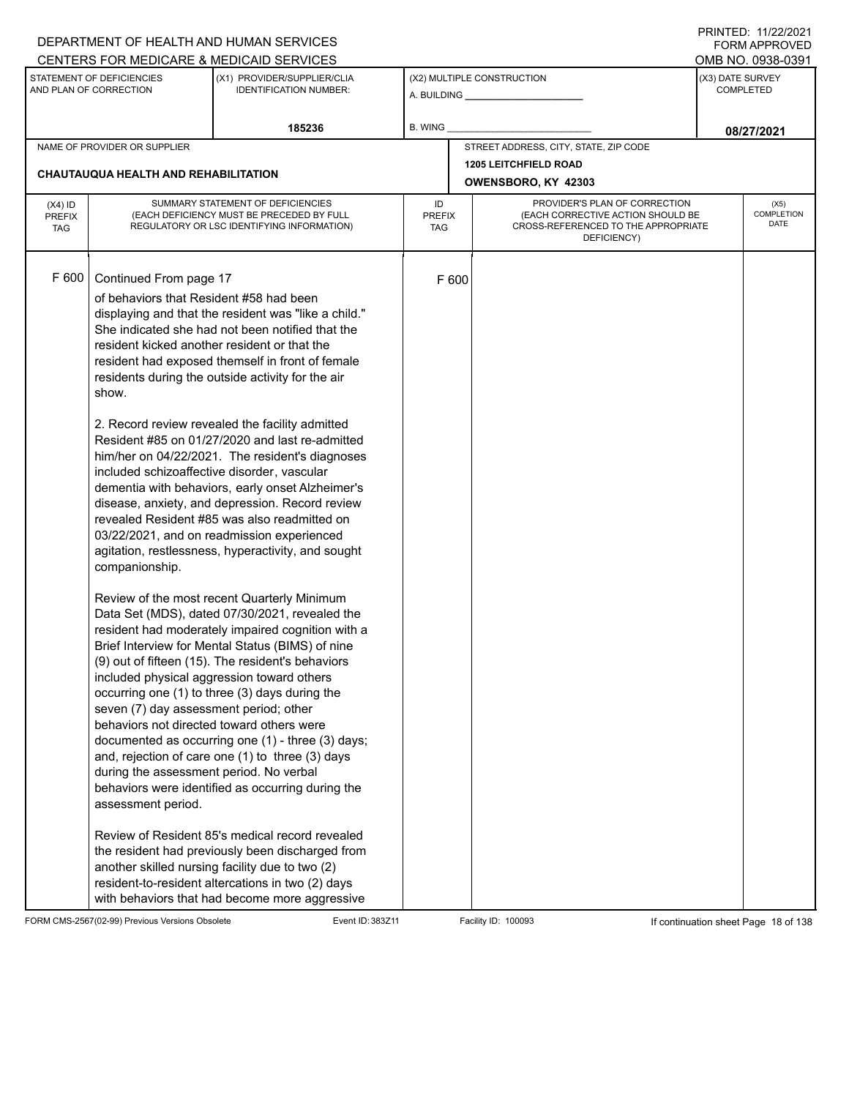|                                          |                                                                                                                                                                                                                                                                                                                                                     | DEPARTMENT OF HEALTH AND HUMAN SERVICES                                                                                                                                                                                                                                                                                                                                                                                                                                                                                                                                                                                                                                                                                                                                                                                                                                                                                                                                                                                                                                                                                                                                                                                                                                                                                                                                                                                             |                            |       |                                                                                                                          |                  | I INITILD. III <i>ll</i> iculi<br><b>FORM APPROVED</b> |  |
|------------------------------------------|-----------------------------------------------------------------------------------------------------------------------------------------------------------------------------------------------------------------------------------------------------------------------------------------------------------------------------------------------------|-------------------------------------------------------------------------------------------------------------------------------------------------------------------------------------------------------------------------------------------------------------------------------------------------------------------------------------------------------------------------------------------------------------------------------------------------------------------------------------------------------------------------------------------------------------------------------------------------------------------------------------------------------------------------------------------------------------------------------------------------------------------------------------------------------------------------------------------------------------------------------------------------------------------------------------------------------------------------------------------------------------------------------------------------------------------------------------------------------------------------------------------------------------------------------------------------------------------------------------------------------------------------------------------------------------------------------------------------------------------------------------------------------------------------------------|----------------------------|-------|--------------------------------------------------------------------------------------------------------------------------|------------------|--------------------------------------------------------|--|
|                                          |                                                                                                                                                                                                                                                                                                                                                     | CENTERS FOR MEDICARE & MEDICAID SERVICES                                                                                                                                                                                                                                                                                                                                                                                                                                                                                                                                                                                                                                                                                                                                                                                                                                                                                                                                                                                                                                                                                                                                                                                                                                                                                                                                                                                            |                            |       |                                                                                                                          |                  | OMB NO. 0938-0391                                      |  |
|                                          | STATEMENT OF DEFICIENCIES<br>AND PLAN OF CORRECTION                                                                                                                                                                                                                                                                                                 | (X1) PROVIDER/SUPPLIER/CLIA<br><b>IDENTIFICATION NUMBER:</b>                                                                                                                                                                                                                                                                                                                                                                                                                                                                                                                                                                                                                                                                                                                                                                                                                                                                                                                                                                                                                                                                                                                                                                                                                                                                                                                                                                        |                            |       | (X2) MULTIPLE CONSTRUCTION                                                                                               | (X3) DATE SURVEY | <b>COMPLETED</b>                                       |  |
|                                          |                                                                                                                                                                                                                                                                                                                                                     | 185236                                                                                                                                                                                                                                                                                                                                                                                                                                                                                                                                                                                                                                                                                                                                                                                                                                                                                                                                                                                                                                                                                                                                                                                                                                                                                                                                                                                                                              | B. WING                    |       |                                                                                                                          |                  | 08/27/2021                                             |  |
|                                          | NAME OF PROVIDER OR SUPPLIER                                                                                                                                                                                                                                                                                                                        |                                                                                                                                                                                                                                                                                                                                                                                                                                                                                                                                                                                                                                                                                                                                                                                                                                                                                                                                                                                                                                                                                                                                                                                                                                                                                                                                                                                                                                     |                            |       | STREET ADDRESS, CITY, STATE, ZIP CODE                                                                                    |                  |                                                        |  |
|                                          |                                                                                                                                                                                                                                                                                                                                                     |                                                                                                                                                                                                                                                                                                                                                                                                                                                                                                                                                                                                                                                                                                                                                                                                                                                                                                                                                                                                                                                                                                                                                                                                                                                                                                                                                                                                                                     |                            |       | <b>1205 LEITCHFIELD ROAD</b>                                                                                             |                  |                                                        |  |
|                                          | CHAUTAUQUA HEALTH AND REHABILITATION                                                                                                                                                                                                                                                                                                                |                                                                                                                                                                                                                                                                                                                                                                                                                                                                                                                                                                                                                                                                                                                                                                                                                                                                                                                                                                                                                                                                                                                                                                                                                                                                                                                                                                                                                                     |                            |       | OWENSBORO, KY 42303                                                                                                      |                  |                                                        |  |
| $(X4)$ ID<br><b>PREFIX</b><br><b>TAG</b> |                                                                                                                                                                                                                                                                                                                                                     | SUMMARY STATEMENT OF DEFICIENCIES<br>(EACH DEFICIENCY MUST BE PRECEDED BY FULL<br>REGULATORY OR LSC IDENTIFYING INFORMATION)                                                                                                                                                                                                                                                                                                                                                                                                                                                                                                                                                                                                                                                                                                                                                                                                                                                                                                                                                                                                                                                                                                                                                                                                                                                                                                        | ID<br><b>PREFIX</b><br>TAG |       | PROVIDER'S PLAN OF CORRECTION<br>(EACH CORRECTIVE ACTION SHOULD BE<br>CROSS-REFERENCED TO THE APPROPRIATE<br>DEFICIENCY) |                  | (X5)<br>COMPLETION<br><b>DATE</b>                      |  |
| F 600                                    | Continued From page 17<br>of behaviors that Resident #58 had been<br>resident kicked another resident or that the<br>show.<br>included schizoaffective disorder, vascular<br>companionship.<br>seven (7) day assessment period; other<br>behaviors not directed toward others were<br>during the assessment period. No verbal<br>assessment period. | displaying and that the resident was "like a child."<br>She indicated she had not been notified that the<br>resident had exposed themself in front of female<br>residents during the outside activity for the air<br>2. Record review revealed the facility admitted<br>Resident #85 on 01/27/2020 and last re-admitted<br>him/her on 04/22/2021. The resident's diagnoses<br>dementia with behaviors, early onset Alzheimer's<br>disease, anxiety, and depression. Record review<br>revealed Resident #85 was also readmitted on<br>03/22/2021, and on readmission experienced<br>agitation, restlessness, hyperactivity, and sought<br>Review of the most recent Quarterly Minimum<br>Data Set (MDS), dated 07/30/2021, revealed the<br>resident had moderately impaired cognition with a<br>Brief Interview for Mental Status (BIMS) of nine<br>(9) out of fifteen (15). The resident's behaviors<br>included physical aggression toward others<br>occurring one (1) to three (3) days during the<br>documented as occurring one (1) - three (3) days;<br>and, rejection of care one (1) to three (3) days<br>behaviors were identified as occurring during the<br>Review of Resident 85's medical record revealed<br>the resident had previously been discharged from<br>another skilled nursing facility due to two (2)<br>resident-to-resident altercations in two (2) days<br>with behaviors that had become more aggressive |                            | F 600 |                                                                                                                          |                  |                                                        |  |

FORM CMS-2567(02-99) Previous Versions Obsolete Event ID: 383Z11 Facility ID: 100093 If continuation sheet Page 18 of 138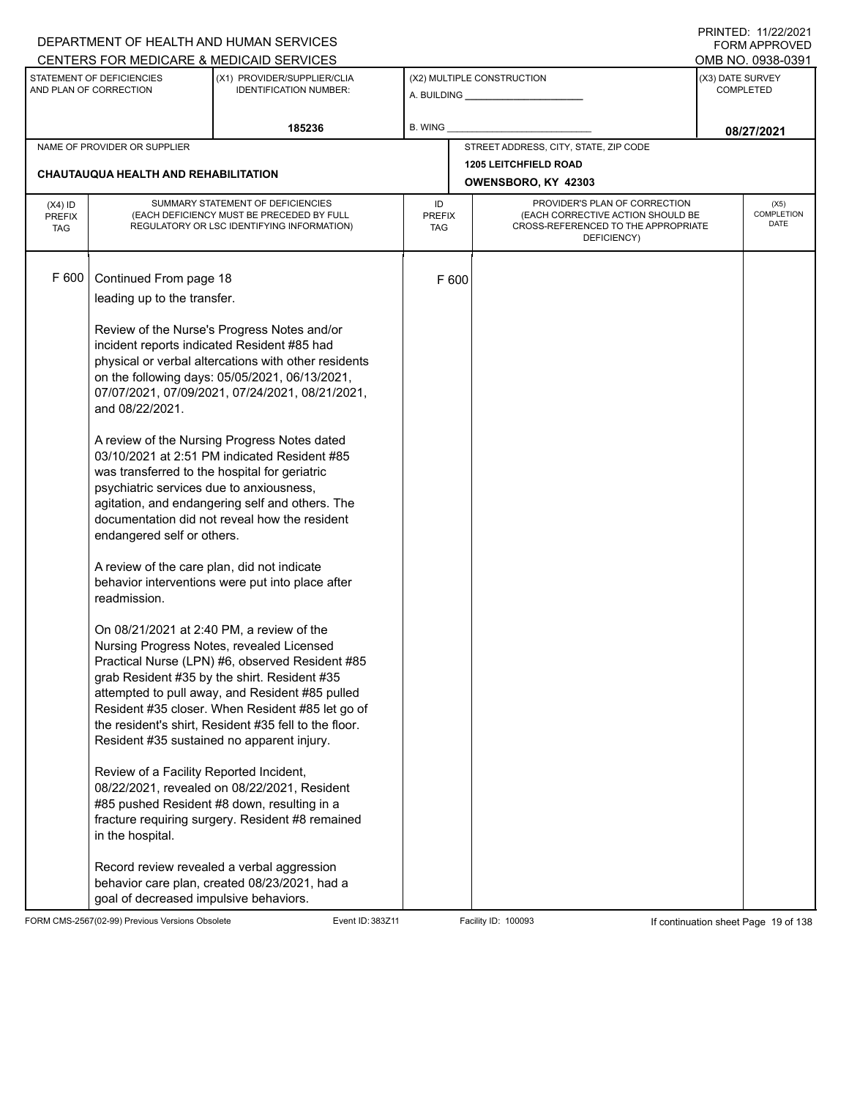|                                          |                                                                                                                                                                                                                                                                                                                                                                                | DEPARTMENT OF HEALTH AND HUMAN SERVICES                                                                                                                                                                                                                                                                                                                                                                                                                                                                                                                                                                                                                                                                                                                                                                                                                                                                                                                                                                                          |                                   |       |                                                                                                                          |  | FORM APPROVED                        |  |
|------------------------------------------|--------------------------------------------------------------------------------------------------------------------------------------------------------------------------------------------------------------------------------------------------------------------------------------------------------------------------------------------------------------------------------|----------------------------------------------------------------------------------------------------------------------------------------------------------------------------------------------------------------------------------------------------------------------------------------------------------------------------------------------------------------------------------------------------------------------------------------------------------------------------------------------------------------------------------------------------------------------------------------------------------------------------------------------------------------------------------------------------------------------------------------------------------------------------------------------------------------------------------------------------------------------------------------------------------------------------------------------------------------------------------------------------------------------------------|-----------------------------------|-------|--------------------------------------------------------------------------------------------------------------------------|--|--------------------------------------|--|
|                                          |                                                                                                                                                                                                                                                                                                                                                                                | CENTERS FOR MEDICARE & MEDICAID SERVICES                                                                                                                                                                                                                                                                                                                                                                                                                                                                                                                                                                                                                                                                                                                                                                                                                                                                                                                                                                                         |                                   |       |                                                                                                                          |  | OMB NO. 0938-0391                    |  |
|                                          | STATEMENT OF DEFICIENCIES<br>AND PLAN OF CORRECTION                                                                                                                                                                                                                                                                                                                            | (X1) PROVIDER/SUPPLIER/CLIA<br><b>IDENTIFICATION NUMBER:</b>                                                                                                                                                                                                                                                                                                                                                                                                                                                                                                                                                                                                                                                                                                                                                                                                                                                                                                                                                                     |                                   |       | (X2) MULTIPLE CONSTRUCTION<br>A. BUILDING <b>A.</b> BUILDING                                                             |  | (X3) DATE SURVEY<br><b>COMPLETED</b> |  |
|                                          |                                                                                                                                                                                                                                                                                                                                                                                | 185236                                                                                                                                                                                                                                                                                                                                                                                                                                                                                                                                                                                                                                                                                                                                                                                                                                                                                                                                                                                                                           | B. WING                           |       |                                                                                                                          |  | 08/27/2021                           |  |
|                                          | NAME OF PROVIDER OR SUPPLIER                                                                                                                                                                                                                                                                                                                                                   |                                                                                                                                                                                                                                                                                                                                                                                                                                                                                                                                                                                                                                                                                                                                                                                                                                                                                                                                                                                                                                  |                                   |       | STREET ADDRESS, CITY, STATE, ZIP CODE                                                                                    |  |                                      |  |
|                                          |                                                                                                                                                                                                                                                                                                                                                                                |                                                                                                                                                                                                                                                                                                                                                                                                                                                                                                                                                                                                                                                                                                                                                                                                                                                                                                                                                                                                                                  |                                   |       | <b>1205 LEITCHFIELD ROAD</b>                                                                                             |  |                                      |  |
|                                          | <b>CHAUTAUQUA HEALTH AND REHABILITATION</b>                                                                                                                                                                                                                                                                                                                                    |                                                                                                                                                                                                                                                                                                                                                                                                                                                                                                                                                                                                                                                                                                                                                                                                                                                                                                                                                                                                                                  |                                   |       | OWENSBORO, KY 42303                                                                                                      |  |                                      |  |
| $(X4)$ ID<br><b>PREFIX</b><br><b>TAG</b> |                                                                                                                                                                                                                                                                                                                                                                                | SUMMARY STATEMENT OF DEFICIENCIES<br>(EACH DEFICIENCY MUST BE PRECEDED BY FULL<br>REGULATORY OR LSC IDENTIFYING INFORMATION)                                                                                                                                                                                                                                                                                                                                                                                                                                                                                                                                                                                                                                                                                                                                                                                                                                                                                                     | ID<br><b>PREFIX</b><br><b>TAG</b> |       | PROVIDER'S PLAN OF CORRECTION<br>(EACH CORRECTIVE ACTION SHOULD BE<br>CROSS-REFERENCED TO THE APPROPRIATE<br>DEFICIENCY) |  | (X5)<br>COMPLETION<br>DATE           |  |
| F 600                                    | Continued From page 18<br>leading up to the transfer.<br>and 08/22/2021.<br>was transferred to the hospital for geriatric<br>psychiatric services due to anxiousness,<br>endangered self or others.<br>A review of the care plan, did not indicate<br>readmission.<br>On 08/21/2021 at 2:40 PM, a review of the<br>Review of a Facility Reported Incident,<br>in the hospital. | Review of the Nurse's Progress Notes and/or<br>incident reports indicated Resident #85 had<br>physical or verbal altercations with other residents<br>on the following days: 05/05/2021, 06/13/2021,<br>07/07/2021, 07/09/2021, 07/24/2021, 08/21/2021,<br>A review of the Nursing Progress Notes dated<br>03/10/2021 at 2:51 PM indicated Resident #85<br>agitation, and endangering self and others. The<br>documentation did not reveal how the resident<br>behavior interventions were put into place after<br>Nursing Progress Notes, revealed Licensed<br>Practical Nurse (LPN) #6, observed Resident #85<br>grab Resident #35 by the shirt. Resident #35<br>attempted to pull away, and Resident #85 pulled<br>Resident #35 closer. When Resident #85 let go of<br>the resident's shirt, Resident #35 fell to the floor.<br>Resident #35 sustained no apparent injury.<br>08/22/2021, revealed on 08/22/2021, Resident<br>#85 pushed Resident #8 down, resulting in a<br>fracture requiring surgery. Resident #8 remained |                                   | F 600 |                                                                                                                          |  |                                      |  |
|                                          | goal of decreased impulsive behaviors.                                                                                                                                                                                                                                                                                                                                         | Record review revealed a verbal aggression<br>behavior care plan, created 08/23/2021, had a                                                                                                                                                                                                                                                                                                                                                                                                                                                                                                                                                                                                                                                                                                                                                                                                                                                                                                                                      |                                   |       |                                                                                                                          |  |                                      |  |

FORM CMS-2567(02-99) Previous Versions Obsolete Event ID: 383Z11 Event ID: 383Z11 Facility ID: 100093 If continuation sheet Page 19 of 138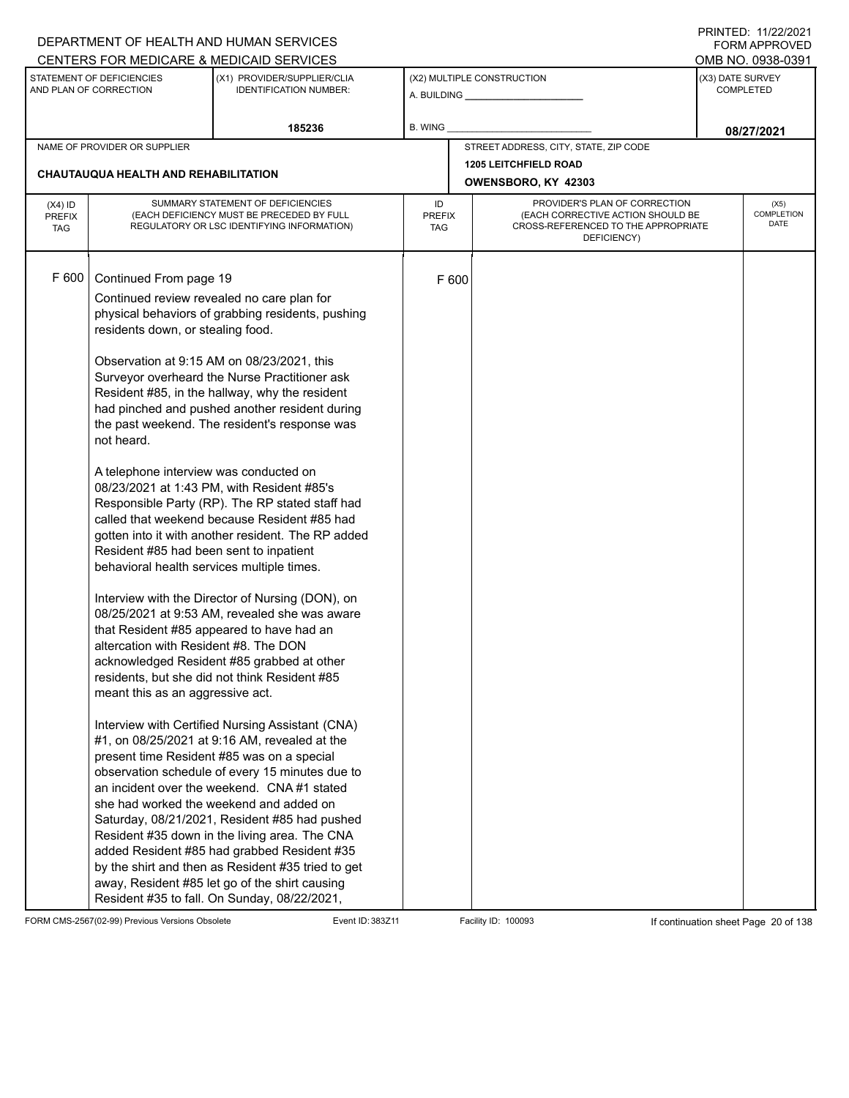|                                          |                                                                                                                                                                                                                                                                                           | DEPARTMENT OF HEALTH AND HUMAN SERVICES                                                                                                                                                                                                                                                                                                                                                                                                                                                                                                                                                                                                                                                                                                                                                                                                                                                                                                                                                                                                                                                                                                                                                                                                                                                                                                                                                                             |                            |       |                                                                                                                          | <b>FORM APPROVED</b>                 |
|------------------------------------------|-------------------------------------------------------------------------------------------------------------------------------------------------------------------------------------------------------------------------------------------------------------------------------------------|---------------------------------------------------------------------------------------------------------------------------------------------------------------------------------------------------------------------------------------------------------------------------------------------------------------------------------------------------------------------------------------------------------------------------------------------------------------------------------------------------------------------------------------------------------------------------------------------------------------------------------------------------------------------------------------------------------------------------------------------------------------------------------------------------------------------------------------------------------------------------------------------------------------------------------------------------------------------------------------------------------------------------------------------------------------------------------------------------------------------------------------------------------------------------------------------------------------------------------------------------------------------------------------------------------------------------------------------------------------------------------------------------------------------|----------------------------|-------|--------------------------------------------------------------------------------------------------------------------------|--------------------------------------|
|                                          |                                                                                                                                                                                                                                                                                           | CENTERS FOR MEDICARE & MEDICAID SERVICES                                                                                                                                                                                                                                                                                                                                                                                                                                                                                                                                                                                                                                                                                                                                                                                                                                                                                                                                                                                                                                                                                                                                                                                                                                                                                                                                                                            |                            |       |                                                                                                                          | OMB NO. 0938-0391                    |
|                                          | STATEMENT OF DEFICIENCIES<br>AND PLAN OF CORRECTION                                                                                                                                                                                                                                       | (X1) PROVIDER/SUPPLIER/CLIA<br><b>IDENTIFICATION NUMBER:</b>                                                                                                                                                                                                                                                                                                                                                                                                                                                                                                                                                                                                                                                                                                                                                                                                                                                                                                                                                                                                                                                                                                                                                                                                                                                                                                                                                        |                            |       | (X2) MULTIPLE CONSTRUCTION                                                                                               | (X3) DATE SURVEY<br><b>COMPLETED</b> |
|                                          |                                                                                                                                                                                                                                                                                           | 185236                                                                                                                                                                                                                                                                                                                                                                                                                                                                                                                                                                                                                                                                                                                                                                                                                                                                                                                                                                                                                                                                                                                                                                                                                                                                                                                                                                                                              | B. WING                    |       |                                                                                                                          | 08/27/2021                           |
|                                          | NAME OF PROVIDER OR SUPPLIER                                                                                                                                                                                                                                                              |                                                                                                                                                                                                                                                                                                                                                                                                                                                                                                                                                                                                                                                                                                                                                                                                                                                                                                                                                                                                                                                                                                                                                                                                                                                                                                                                                                                                                     |                            |       | STREET ADDRESS, CITY, STATE, ZIP CODE                                                                                    |                                      |
|                                          |                                                                                                                                                                                                                                                                                           |                                                                                                                                                                                                                                                                                                                                                                                                                                                                                                                                                                                                                                                                                                                                                                                                                                                                                                                                                                                                                                                                                                                                                                                                                                                                                                                                                                                                                     |                            |       | <b>1205 LEITCHFIELD ROAD</b>                                                                                             |                                      |
|                                          | CHAUTAUQUA HEALTH AND REHABILITATION                                                                                                                                                                                                                                                      |                                                                                                                                                                                                                                                                                                                                                                                                                                                                                                                                                                                                                                                                                                                                                                                                                                                                                                                                                                                                                                                                                                                                                                                                                                                                                                                                                                                                                     |                            |       | OWENSBORO, KY 42303                                                                                                      |                                      |
| $(X4)$ ID<br><b>PREFIX</b><br><b>TAG</b> |                                                                                                                                                                                                                                                                                           | SUMMARY STATEMENT OF DEFICIENCIES<br>(EACH DEFICIENCY MUST BE PRECEDED BY FULL<br>REGULATORY OR LSC IDENTIFYING INFORMATION)                                                                                                                                                                                                                                                                                                                                                                                                                                                                                                                                                                                                                                                                                                                                                                                                                                                                                                                                                                                                                                                                                                                                                                                                                                                                                        | ID<br><b>PREFIX</b><br>TAG |       | PROVIDER'S PLAN OF CORRECTION<br>(EACH CORRECTIVE ACTION SHOULD BE<br>CROSS-REFERENCED TO THE APPROPRIATE<br>DEFICIENCY) | (X5)<br><b>COMPLETION</b><br>DATE    |
| F 600                                    | Continued From page 19<br>residents down, or stealing food.<br>not heard.<br>A telephone interview was conducted on<br>Resident #85 had been sent to inpatient<br>behavioral health services multiple times.<br>altercation with Resident #8. The DON<br>meant this as an aggressive act. | Continued review revealed no care plan for<br>physical behaviors of grabbing residents, pushing<br>Observation at 9:15 AM on 08/23/2021, this<br>Surveyor overheard the Nurse Practitioner ask<br>Resident #85, in the hallway, why the resident<br>had pinched and pushed another resident during<br>the past weekend. The resident's response was<br>08/23/2021 at 1:43 PM, with Resident #85's<br>Responsible Party (RP). The RP stated staff had<br>called that weekend because Resident #85 had<br>gotten into it with another resident. The RP added<br>Interview with the Director of Nursing (DON), on<br>08/25/2021 at 9:53 AM, revealed she was aware<br>that Resident #85 appeared to have had an<br>acknowledged Resident #85 grabbed at other<br>residents, but she did not think Resident #85<br>Interview with Certified Nursing Assistant (CNA)<br>#1, on 08/25/2021 at 9:16 AM, revealed at the<br>present time Resident #85 was on a special<br>observation schedule of every 15 minutes due to<br>an incident over the weekend. CNA#1 stated<br>she had worked the weekend and added on<br>Saturday, 08/21/2021, Resident #85 had pushed<br>Resident #35 down in the living area. The CNA<br>added Resident #85 had grabbed Resident #35<br>by the shirt and then as Resident #35 tried to get<br>away, Resident #85 let go of the shirt causing<br>Resident #35 to fall. On Sunday, 08/22/2021, |                            | F 600 |                                                                                                                          |                                      |

FORM CMS-2567(02-99) Previous Versions Obsolete Event ID: 383Z11 Facility ID: 100093 If continuation sheet Page 20 of 138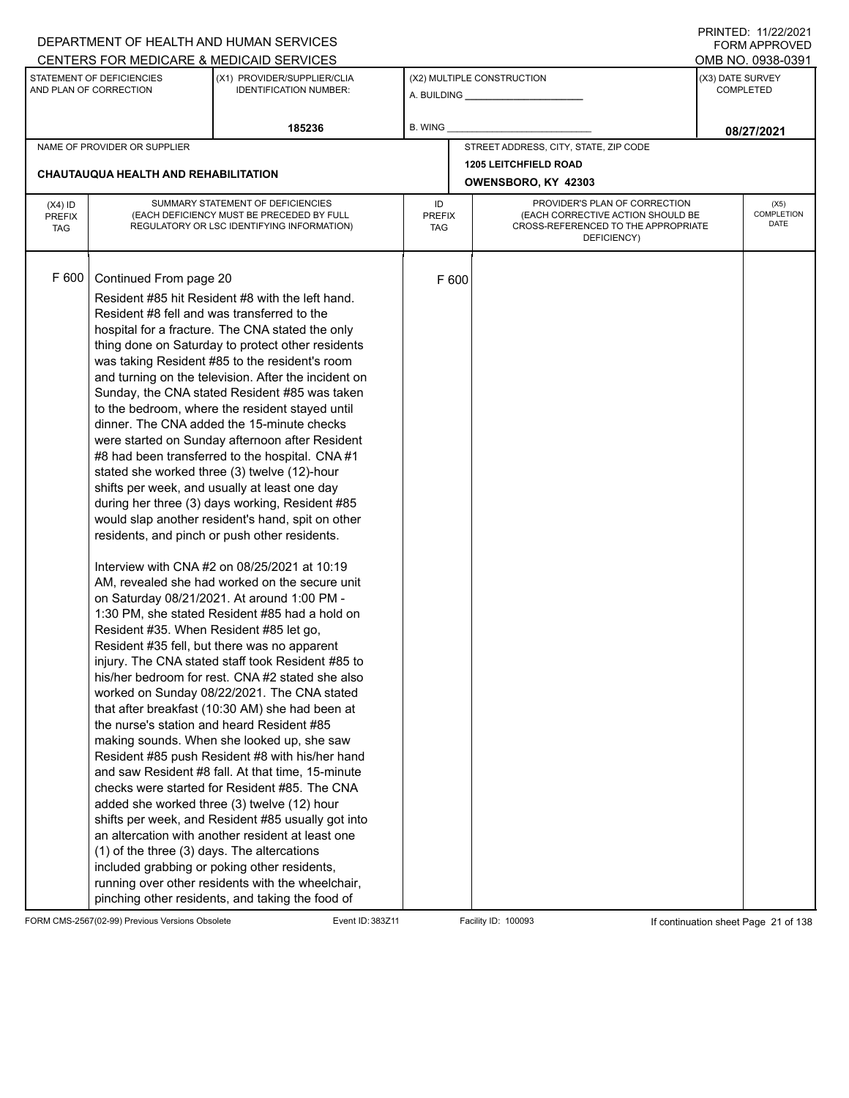|                             |                                             | DEPARTMENT OF HEALTH AND HUMAN SERVICES                                                               |                      |       |                                                                          |                  | FORM APPROVED<br>OMB NO. 0938-0391 |  |
|-----------------------------|---------------------------------------------|-------------------------------------------------------------------------------------------------------|----------------------|-------|--------------------------------------------------------------------------|------------------|------------------------------------|--|
|                             | STATEMENT OF DEFICIENCIES                   | CENTERS FOR MEDICARE & MEDICAID SERVICES<br>(X1) PROVIDER/SUPPLIER/CLIA                               |                      |       | (X2) MULTIPLE CONSTRUCTION                                               | (X3) DATE SURVEY |                                    |  |
|                             | AND PLAN OF CORRECTION                      | <b>IDENTIFICATION NUMBER:</b>                                                                         |                      |       | A. BUILDING <b>A.</b> BUILDING                                           |                  | <b>COMPLETED</b>                   |  |
|                             |                                             |                                                                                                       |                      |       |                                                                          |                  |                                    |  |
|                             |                                             | 185236                                                                                                | B. WING              |       |                                                                          |                  | 08/27/2021                         |  |
|                             | NAME OF PROVIDER OR SUPPLIER                |                                                                                                       |                      |       | STREET ADDRESS, CITY, STATE, ZIP CODE                                    |                  |                                    |  |
|                             | CHAUTAUQUA HEALTH AND REHABILITATION        |                                                                                                       |                      |       | <b>1205 LEITCHFIELD ROAD</b>                                             |                  |                                    |  |
|                             |                                             |                                                                                                       |                      |       | OWENSBORO, KY 42303                                                      |                  |                                    |  |
| $(X4)$ ID                   |                                             | SUMMARY STATEMENT OF DEFICIENCIES                                                                     | ID                   |       | PROVIDER'S PLAN OF CORRECTION                                            | (X5)             |                                    |  |
| <b>PREFIX</b><br><b>TAG</b> |                                             | (EACH DEFICIENCY MUST BE PRECEDED BY FULL<br>REGULATORY OR LSC IDENTIFYING INFORMATION)               | <b>PREFIX</b><br>TAG |       | (EACH CORRECTIVE ACTION SHOULD BE<br>CROSS-REFERENCED TO THE APPROPRIATE |                  | COMPLETION<br>DATE                 |  |
|                             |                                             |                                                                                                       |                      |       | DEFICIENCY)                                                              |                  |                                    |  |
|                             |                                             |                                                                                                       |                      |       |                                                                          |                  |                                    |  |
| F 600                       | Continued From page 20                      |                                                                                                       |                      | F 600 |                                                                          |                  |                                    |  |
|                             |                                             | Resident #85 hit Resident #8 with the left hand.                                                      |                      |       |                                                                          |                  |                                    |  |
|                             | Resident #8 fell and was transferred to the |                                                                                                       |                      |       |                                                                          |                  |                                    |  |
|                             |                                             | hospital for a fracture. The CNA stated the only                                                      |                      |       |                                                                          |                  |                                    |  |
|                             |                                             | thing done on Saturday to protect other residents                                                     |                      |       |                                                                          |                  |                                    |  |
|                             |                                             | was taking Resident #85 to the resident's room                                                        |                      |       |                                                                          |                  |                                    |  |
|                             |                                             | and turning on the television. After the incident on                                                  |                      |       |                                                                          |                  |                                    |  |
|                             |                                             | Sunday, the CNA stated Resident #85 was taken                                                         |                      |       |                                                                          |                  |                                    |  |
|                             |                                             | to the bedroom, where the resident stayed until                                                       |                      |       |                                                                          |                  |                                    |  |
|                             |                                             | dinner. The CNA added the 15-minute checks                                                            |                      |       |                                                                          |                  |                                    |  |
|                             |                                             | were started on Sunday afternoon after Resident                                                       |                      |       |                                                                          |                  |                                    |  |
|                             |                                             | #8 had been transferred to the hospital. CNA #1                                                       |                      |       |                                                                          |                  |                                    |  |
|                             |                                             | stated she worked three (3) twelve (12)-hour<br>shifts per week, and usually at least one day         |                      |       |                                                                          |                  |                                    |  |
|                             |                                             | during her three (3) days working, Resident #85                                                       |                      |       |                                                                          |                  |                                    |  |
|                             |                                             | would slap another resident's hand, spit on other                                                     |                      |       |                                                                          |                  |                                    |  |
|                             |                                             | residents, and pinch or push other residents.                                                         |                      |       |                                                                          |                  |                                    |  |
|                             |                                             |                                                                                                       |                      |       |                                                                          |                  |                                    |  |
|                             |                                             | Interview with CNA #2 on 08/25/2021 at 10:19                                                          |                      |       |                                                                          |                  |                                    |  |
|                             |                                             | AM, revealed she had worked on the secure unit                                                        |                      |       |                                                                          |                  |                                    |  |
|                             |                                             | on Saturday 08/21/2021. At around 1:00 PM -                                                           |                      |       |                                                                          |                  |                                    |  |
|                             |                                             | 1:30 PM, she stated Resident #85 had a hold on                                                        |                      |       |                                                                          |                  |                                    |  |
|                             | Resident #35. When Resident #85 let go,     |                                                                                                       |                      |       |                                                                          |                  |                                    |  |
|                             |                                             | Resident #35 fell, but there was no apparent<br>injury. The CNA stated staff took Resident #85 to     |                      |       |                                                                          |                  |                                    |  |
|                             |                                             | his/her bedroom for rest. CNA #2 stated she also                                                      |                      |       |                                                                          |                  |                                    |  |
|                             |                                             | worked on Sunday 08/22/2021. The CNA stated                                                           |                      |       |                                                                          |                  |                                    |  |
|                             |                                             | that after breakfast (10:30 AM) she had been at                                                       |                      |       |                                                                          |                  |                                    |  |
|                             |                                             | the nurse's station and heard Resident #85                                                            |                      |       |                                                                          |                  |                                    |  |
|                             |                                             | making sounds. When she looked up, she saw                                                            |                      |       |                                                                          |                  |                                    |  |
|                             |                                             | Resident #85 push Resident #8 with his/her hand                                                       |                      |       |                                                                          |                  |                                    |  |
|                             |                                             | and saw Resident #8 fall. At that time, 15-minute                                                     |                      |       |                                                                          |                  |                                    |  |
|                             |                                             | checks were started for Resident #85. The CNA                                                         |                      |       |                                                                          |                  |                                    |  |
|                             |                                             | added she worked three (3) twelve (12) hour                                                           |                      |       |                                                                          |                  |                                    |  |
|                             |                                             | shifts per week, and Resident #85 usually got into                                                    |                      |       |                                                                          |                  |                                    |  |
|                             |                                             | an altercation with another resident at least one                                                     |                      |       |                                                                          |                  |                                    |  |
|                             | (1) of the three (3) days. The altercations |                                                                                                       |                      |       |                                                                          |                  |                                    |  |
|                             |                                             | included grabbing or poking other residents,                                                          |                      |       |                                                                          |                  |                                    |  |
|                             |                                             | running over other residents with the wheelchair,<br>pinching other residents, and taking the food of |                      |       |                                                                          |                  |                                    |  |
|                             |                                             |                                                                                                       |                      |       |                                                                          |                  |                                    |  |

FORM CMS-2567(02-99) Previous Versions Obsolete Event ID: 383Z11 Facility ID: 100093 If continuation sheet Page 21 of 138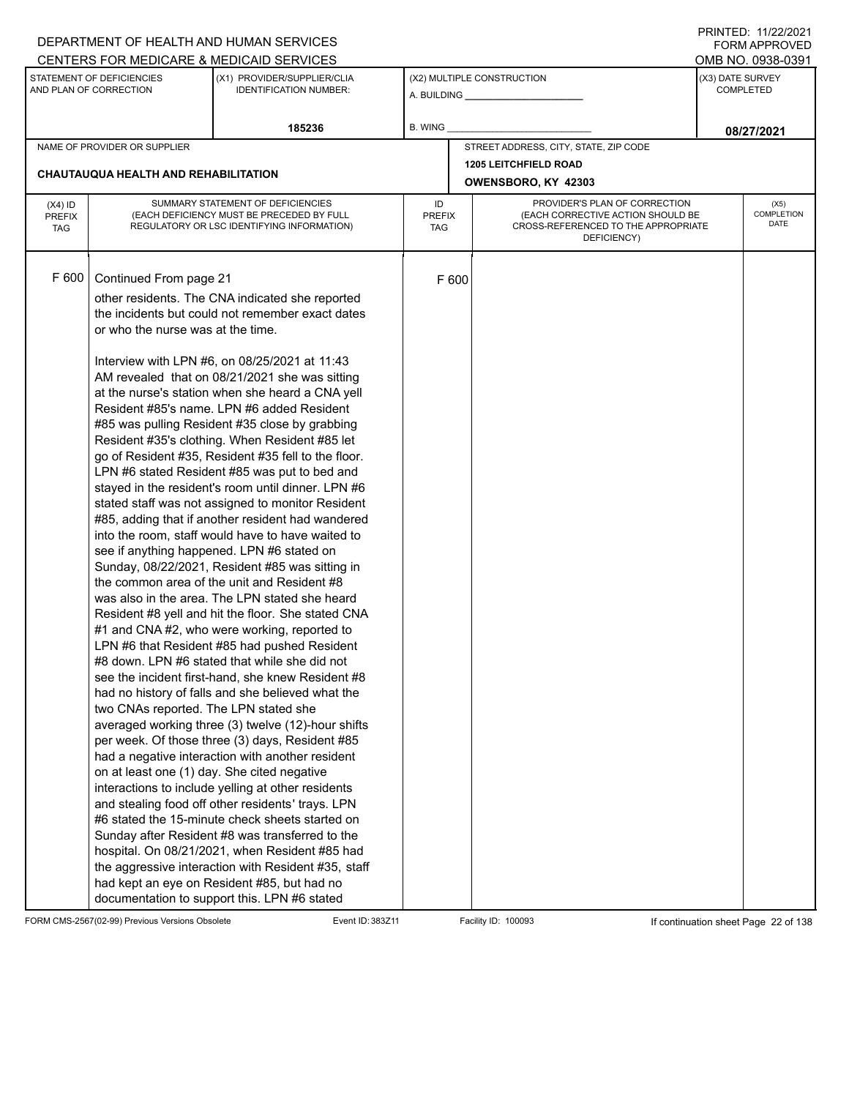| STATEMENT OF DEFICIENCIES<br>(X3) DATE SURVEY<br>(X1) PROVIDER/SUPPLIER/CLIA<br>(X2) MULTIPLE CONSTRUCTION<br>AND PLAN OF CORRECTION<br><b>IDENTIFICATION NUMBER:</b><br><b>COMPLETED</b><br>A. BUILDING <b>A.</b> BUILDING<br>185236<br>B. WING<br>08/27/2021<br>STREET ADDRESS, CITY, STATE, ZIP CODE<br>NAME OF PROVIDER OR SUPPLIER<br><b>1205 LEITCHFIELD ROAD</b><br><b>CHAUTAUQUA HEALTH AND REHABILITATION</b><br>OWENSBORO, KY 42303<br>SUMMARY STATEMENT OF DEFICIENCIES<br>PROVIDER'S PLAN OF CORRECTION<br>ID<br>(X5)<br>$(X4)$ ID<br><b>COMPLETION</b><br>(EACH DEFICIENCY MUST BE PRECEDED BY FULL<br>(EACH CORRECTIVE ACTION SHOULD BE<br><b>PREFIX</b><br><b>PREFIX</b><br>DATE<br>REGULATORY OR LSC IDENTIFYING INFORMATION)<br>CROSS-REFERENCED TO THE APPROPRIATE<br><b>TAG</b><br>TAG<br>DEFICIENCY)<br>F 600<br>Continued From page 21<br>F 600<br>other residents. The CNA indicated she reported<br>the incidents but could not remember exact dates<br>or who the nurse was at the time.<br>Interview with LPN #6, on 08/25/2021 at 11:43<br>AM revealed that on 08/21/2021 she was sitting<br>at the nurse's station when she heard a CNA yell<br>Resident #85's name. LPN #6 added Resident<br>#85 was pulling Resident #35 close by grabbing<br>Resident #35's clothing. When Resident #85 let<br>go of Resident #35, Resident #35 fell to the floor.<br>LPN #6 stated Resident #85 was put to bed and<br>stayed in the resident's room until dinner. LPN #6<br>stated staff was not assigned to monitor Resident<br>#85, adding that if another resident had wandered<br>into the room, staff would have to have waited to<br>see if anything happened. LPN #6 stated on<br>Sunday, 08/22/2021, Resident #85 was sitting in<br>the common area of the unit and Resident #8<br>was also in the area. The LPN stated she heard<br>Resident #8 yell and hit the floor. She stated CNA<br>#1 and CNA #2, who were working, reported to<br>LPN #6 that Resident #85 had pushed Resident<br>#8 down. LPN #6 stated that while she did not<br>see the incident first-hand, she knew Resident #8<br>had no history of falls and she believed what the<br>two CNAs reported. The LPN stated she<br>averaged working three (3) twelve (12)-hour shifts<br>per week. Of those three (3) days, Resident #85<br>had a negative interaction with another resident<br>on at least one (1) day. She cited negative<br>interactions to include yelling at other residents<br>and stealing food off other residents' trays. LPN<br>#6 stated the 15-minute check sheets started on<br>Sunday after Resident #8 was transferred to the<br>hospital. On 08/21/2021, when Resident #85 had<br>the aggressive interaction with Resident #35, staff |  | CENTERS FOR MEDICARE & MEDICAID SERVICES |  |  |  | OMB NO. 0938-0391 |
|----------------------------------------------------------------------------------------------------------------------------------------------------------------------------------------------------------------------------------------------------------------------------------------------------------------------------------------------------------------------------------------------------------------------------------------------------------------------------------------------------------------------------------------------------------------------------------------------------------------------------------------------------------------------------------------------------------------------------------------------------------------------------------------------------------------------------------------------------------------------------------------------------------------------------------------------------------------------------------------------------------------------------------------------------------------------------------------------------------------------------------------------------------------------------------------------------------------------------------------------------------------------------------------------------------------------------------------------------------------------------------------------------------------------------------------------------------------------------------------------------------------------------------------------------------------------------------------------------------------------------------------------------------------------------------------------------------------------------------------------------------------------------------------------------------------------------------------------------------------------------------------------------------------------------------------------------------------------------------------------------------------------------------------------------------------------------------------------------------------------------------------------------------------------------------------------------------------------------------------------------------------------------------------------------------------------------------------------------------------------------------------------------------------------------------------------------------------------------------------------------------------------------------------------------------------------------------------------------------------------------------------------------------------------------------------------------------------------------------------------------------|--|------------------------------------------|--|--|--|-------------------|
|                                                                                                                                                                                                                                                                                                                                                                                                                                                                                                                                                                                                                                                                                                                                                                                                                                                                                                                                                                                                                                                                                                                                                                                                                                                                                                                                                                                                                                                                                                                                                                                                                                                                                                                                                                                                                                                                                                                                                                                                                                                                                                                                                                                                                                                                                                                                                                                                                                                                                                                                                                                                                                                                                                                                                          |  |                                          |  |  |  |                   |
|                                                                                                                                                                                                                                                                                                                                                                                                                                                                                                                                                                                                                                                                                                                                                                                                                                                                                                                                                                                                                                                                                                                                                                                                                                                                                                                                                                                                                                                                                                                                                                                                                                                                                                                                                                                                                                                                                                                                                                                                                                                                                                                                                                                                                                                                                                                                                                                                                                                                                                                                                                                                                                                                                                                                                          |  |                                          |  |  |  |                   |
|                                                                                                                                                                                                                                                                                                                                                                                                                                                                                                                                                                                                                                                                                                                                                                                                                                                                                                                                                                                                                                                                                                                                                                                                                                                                                                                                                                                                                                                                                                                                                                                                                                                                                                                                                                                                                                                                                                                                                                                                                                                                                                                                                                                                                                                                                                                                                                                                                                                                                                                                                                                                                                                                                                                                                          |  |                                          |  |  |  |                   |
|                                                                                                                                                                                                                                                                                                                                                                                                                                                                                                                                                                                                                                                                                                                                                                                                                                                                                                                                                                                                                                                                                                                                                                                                                                                                                                                                                                                                                                                                                                                                                                                                                                                                                                                                                                                                                                                                                                                                                                                                                                                                                                                                                                                                                                                                                                                                                                                                                                                                                                                                                                                                                                                                                                                                                          |  |                                          |  |  |  |                   |
|                                                                                                                                                                                                                                                                                                                                                                                                                                                                                                                                                                                                                                                                                                                                                                                                                                                                                                                                                                                                                                                                                                                                                                                                                                                                                                                                                                                                                                                                                                                                                                                                                                                                                                                                                                                                                                                                                                                                                                                                                                                                                                                                                                                                                                                                                                                                                                                                                                                                                                                                                                                                                                                                                                                                                          |  |                                          |  |  |  |                   |
|                                                                                                                                                                                                                                                                                                                                                                                                                                                                                                                                                                                                                                                                                                                                                                                                                                                                                                                                                                                                                                                                                                                                                                                                                                                                                                                                                                                                                                                                                                                                                                                                                                                                                                                                                                                                                                                                                                                                                                                                                                                                                                                                                                                                                                                                                                                                                                                                                                                                                                                                                                                                                                                                                                                                                          |  |                                          |  |  |  |                   |
| had kept an eye on Resident #85, but had no                                                                                                                                                                                                                                                                                                                                                                                                                                                                                                                                                                                                                                                                                                                                                                                                                                                                                                                                                                                                                                                                                                                                                                                                                                                                                                                                                                                                                                                                                                                                                                                                                                                                                                                                                                                                                                                                                                                                                                                                                                                                                                                                                                                                                                                                                                                                                                                                                                                                                                                                                                                                                                                                                                              |  |                                          |  |  |  |                   |

FORM CMS-2567(02-99) Previous Versions Obsolete Event ID: 383Z11 Event ID: 383Z11 Facility ID: 100093 If continuation sheet Page 22 of 138

DEPARTMENT OF HEALTH AND HUMAN SERVICES

PRINTED: 11/22/2021 FORM APPROVED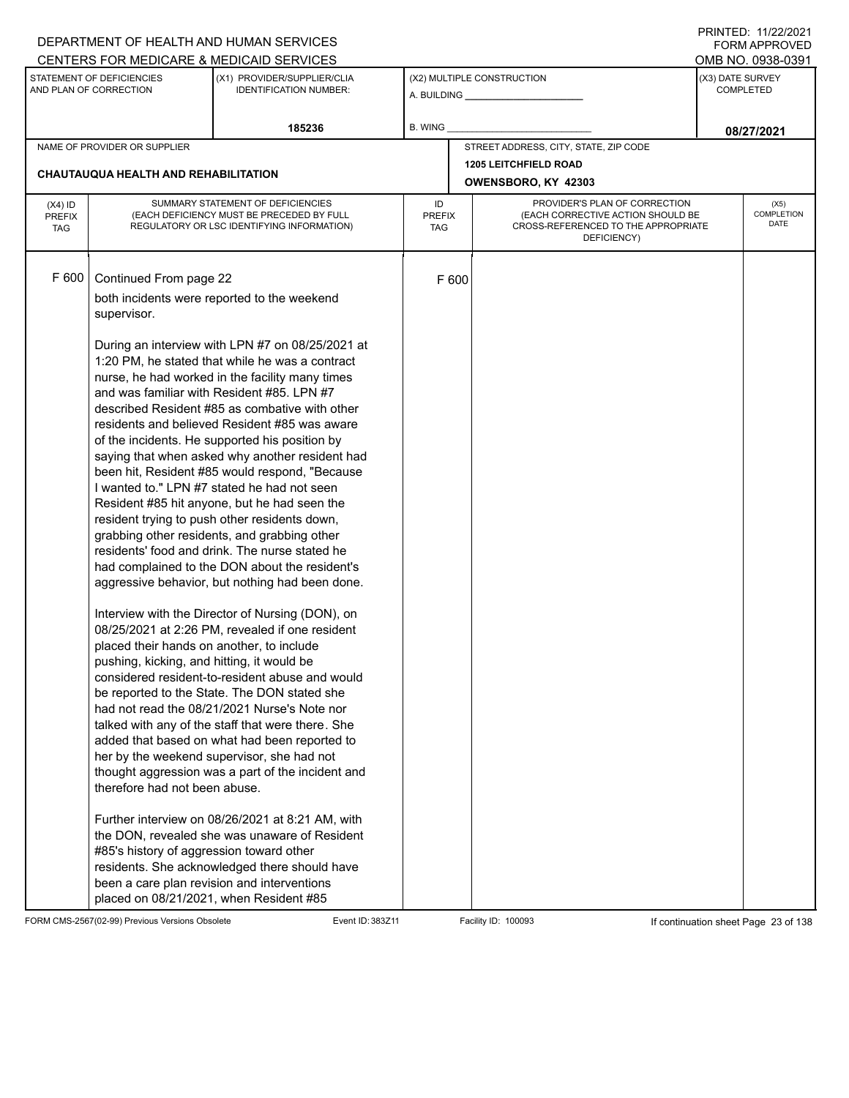|                                          |                                                                                                                                                                                                                                                          | DEPARTMENT OF HEALTH AND HUMAN SERVICES                                                                                                                                                                                                                                                                                                                                                                                                                                                                                                                                                                                                                                                                                                                                                                                                                                                                                                                                                                                                                                                                                                                                                                                                                                                                                                                                                                                                                                                                                                      |                            |       |                                                     |                               | I INITILD. III <i>ll</i> iculi<br><b>FORM APPROVED</b> |  |
|------------------------------------------|----------------------------------------------------------------------------------------------------------------------------------------------------------------------------------------------------------------------------------------------------------|----------------------------------------------------------------------------------------------------------------------------------------------------------------------------------------------------------------------------------------------------------------------------------------------------------------------------------------------------------------------------------------------------------------------------------------------------------------------------------------------------------------------------------------------------------------------------------------------------------------------------------------------------------------------------------------------------------------------------------------------------------------------------------------------------------------------------------------------------------------------------------------------------------------------------------------------------------------------------------------------------------------------------------------------------------------------------------------------------------------------------------------------------------------------------------------------------------------------------------------------------------------------------------------------------------------------------------------------------------------------------------------------------------------------------------------------------------------------------------------------------------------------------------------------|----------------------------|-------|-----------------------------------------------------|-------------------------------|--------------------------------------------------------|--|
|                                          |                                                                                                                                                                                                                                                          | CENTERS FOR MEDICARE & MEDICAID SERVICES                                                                                                                                                                                                                                                                                                                                                                                                                                                                                                                                                                                                                                                                                                                                                                                                                                                                                                                                                                                                                                                                                                                                                                                                                                                                                                                                                                                                                                                                                                     |                            |       |                                                     |                               | OMB NO. 0938-0391                                      |  |
|                                          | STATEMENT OF DEFICIENCIES<br>AND PLAN OF CORRECTION                                                                                                                                                                                                      | (X1) PROVIDER/SUPPLIER/CLIA<br><b>IDENTIFICATION NUMBER:</b>                                                                                                                                                                                                                                                                                                                                                                                                                                                                                                                                                                                                                                                                                                                                                                                                                                                                                                                                                                                                                                                                                                                                                                                                                                                                                                                                                                                                                                                                                 |                            |       | (X2) MULTIPLE CONSTRUCTION                          | (X3) DATE SURVEY              | <b>COMPLETED</b>                                       |  |
|                                          |                                                                                                                                                                                                                                                          | 185236                                                                                                                                                                                                                                                                                                                                                                                                                                                                                                                                                                                                                                                                                                                                                                                                                                                                                                                                                                                                                                                                                                                                                                                                                                                                                                                                                                                                                                                                                                                                       | <b>B. WING</b>             |       |                                                     |                               | 08/27/2021                                             |  |
|                                          | NAME OF PROVIDER OR SUPPLIER                                                                                                                                                                                                                             |                                                                                                                                                                                                                                                                                                                                                                                                                                                                                                                                                                                                                                                                                                                                                                                                                                                                                                                                                                                                                                                                                                                                                                                                                                                                                                                                                                                                                                                                                                                                              |                            |       | STREET ADDRESS, CITY, STATE, ZIP CODE               |                               |                                                        |  |
|                                          | CHAUTAUQUA HEALTH AND REHABILITATION                                                                                                                                                                                                                     |                                                                                                                                                                                                                                                                                                                                                                                                                                                                                                                                                                                                                                                                                                                                                                                                                                                                                                                                                                                                                                                                                                                                                                                                                                                                                                                                                                                                                                                                                                                                              |                            |       | <b>1205 LEITCHFIELD ROAD</b><br>OWENSBORO, KY 42303 | PROVIDER'S PLAN OF CORRECTION |                                                        |  |
| $(X4)$ ID<br><b>PREFIX</b><br><b>TAG</b> |                                                                                                                                                                                                                                                          | SUMMARY STATEMENT OF DEFICIENCIES<br>(EACH DEFICIENCY MUST BE PRECEDED BY FULL<br>REGULATORY OR LSC IDENTIFYING INFORMATION)                                                                                                                                                                                                                                                                                                                                                                                                                                                                                                                                                                                                                                                                                                                                                                                                                                                                                                                                                                                                                                                                                                                                                                                                                                                                                                                                                                                                                 | ID<br><b>PREFIX</b><br>TAG |       | (X5)<br><b>COMPLETION</b><br><b>DATE</b>            |                               |                                                        |  |
| F 600                                    | Continued From page 22<br>supervisor.<br>placed their hands on another, to include<br>pushing, kicking, and hitting, it would be<br>therefore had not been abuse.<br>#85's history of aggression toward other<br>placed on 08/21/2021, when Resident #85 | both incidents were reported to the weekend<br>During an interview with LPN #7 on 08/25/2021 at<br>1:20 PM, he stated that while he was a contract<br>nurse, he had worked in the facility many times<br>and was familiar with Resident #85. LPN #7<br>described Resident #85 as combative with other<br>residents and believed Resident #85 was aware<br>of the incidents. He supported his position by<br>saying that when asked why another resident had<br>been hit, Resident #85 would respond, "Because<br>I wanted to." LPN #7 stated he had not seen<br>Resident #85 hit anyone, but he had seen the<br>resident trying to push other residents down,<br>grabbing other residents, and grabbing other<br>residents' food and drink. The nurse stated he<br>had complained to the DON about the resident's<br>aggressive behavior, but nothing had been done.<br>Interview with the Director of Nursing (DON), on<br>08/25/2021 at 2:26 PM, revealed if one resident<br>considered resident-to-resident abuse and would<br>be reported to the State. The DON stated she<br>had not read the 08/21/2021 Nurse's Note nor<br>talked with any of the staff that were there. She<br>added that based on what had been reported to<br>her by the weekend supervisor, she had not<br>thought aggression was a part of the incident and<br>Further interview on 08/26/2021 at 8:21 AM, with<br>the DON, revealed she was unaware of Resident<br>residents. She acknowledged there should have<br>been a care plan revision and interventions |                            | F 600 |                                                     |                               |                                                        |  |

FORM CMS-2567(02-99) Previous Versions Obsolete Event ID: 383Z11 Facility ID: 100093 If continuation sheet Page 23 of 138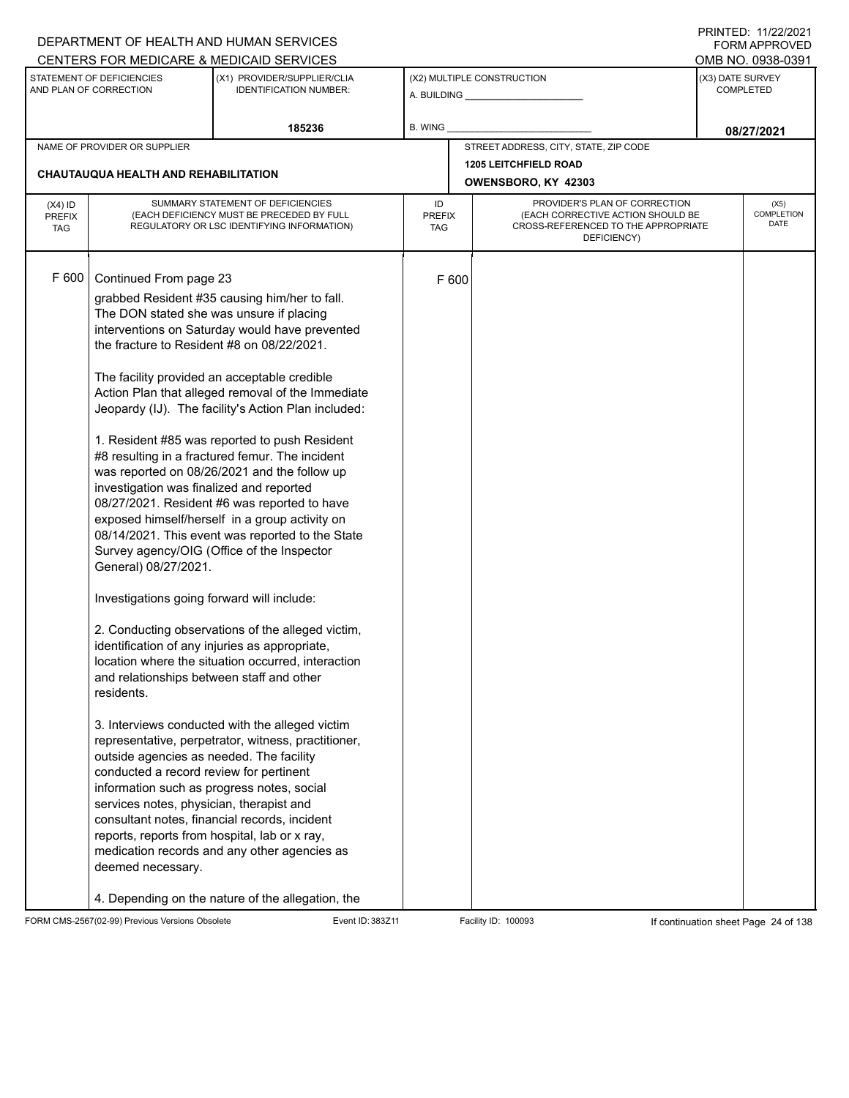|                                          |                                                                                                                                                                                                                                                                                                                                                                                                                                                                                                                                                                                                        | DEPARTMENT OF HEALTH AND HUMAN SERVICES                                                                                                                                                                                                                                                                                                                                                                                                                                                                                                                                                                                                                                                                                                                                                                                                                                                                                                                                                        |                            |       |                                                                                                                          |                  | <b>FORM APPROVED</b>              |
|------------------------------------------|--------------------------------------------------------------------------------------------------------------------------------------------------------------------------------------------------------------------------------------------------------------------------------------------------------------------------------------------------------------------------------------------------------------------------------------------------------------------------------------------------------------------------------------------------------------------------------------------------------|------------------------------------------------------------------------------------------------------------------------------------------------------------------------------------------------------------------------------------------------------------------------------------------------------------------------------------------------------------------------------------------------------------------------------------------------------------------------------------------------------------------------------------------------------------------------------------------------------------------------------------------------------------------------------------------------------------------------------------------------------------------------------------------------------------------------------------------------------------------------------------------------------------------------------------------------------------------------------------------------|----------------------------|-------|--------------------------------------------------------------------------------------------------------------------------|------------------|-----------------------------------|
|                                          |                                                                                                                                                                                                                                                                                                                                                                                                                                                                                                                                                                                                        | CENTERS FOR MEDICARE & MEDICAID SERVICES                                                                                                                                                                                                                                                                                                                                                                                                                                                                                                                                                                                                                                                                                                                                                                                                                                                                                                                                                       |                            |       |                                                                                                                          |                  | OMB NO. 0938-0391                 |
|                                          | STATEMENT OF DEFICIENCIES<br>AND PLAN OF CORRECTION                                                                                                                                                                                                                                                                                                                                                                                                                                                                                                                                                    | (X1) PROVIDER/SUPPLIER/CLIA<br><b>IDENTIFICATION NUMBER:</b>                                                                                                                                                                                                                                                                                                                                                                                                                                                                                                                                                                                                                                                                                                                                                                                                                                                                                                                                   |                            |       | (X2) MULTIPLE CONSTRUCTION                                                                                               | (X3) DATE SURVEY | <b>COMPLETED</b>                  |
|                                          |                                                                                                                                                                                                                                                                                                                                                                                                                                                                                                                                                                                                        | 185236                                                                                                                                                                                                                                                                                                                                                                                                                                                                                                                                                                                                                                                                                                                                                                                                                                                                                                                                                                                         | B. WING                    |       |                                                                                                                          |                  | 08/27/2021                        |
|                                          | NAME OF PROVIDER OR SUPPLIER                                                                                                                                                                                                                                                                                                                                                                                                                                                                                                                                                                           |                                                                                                                                                                                                                                                                                                                                                                                                                                                                                                                                                                                                                                                                                                                                                                                                                                                                                                                                                                                                |                            |       | STREET ADDRESS, CITY, STATE, ZIP CODE                                                                                    |                  |                                   |
|                                          | CHAUTAUQUA HEALTH AND REHABILITATION                                                                                                                                                                                                                                                                                                                                                                                                                                                                                                                                                                   |                                                                                                                                                                                                                                                                                                                                                                                                                                                                                                                                                                                                                                                                                                                                                                                                                                                                                                                                                                                                |                            |       | <b>1205 LEITCHFIELD ROAD</b><br>OWENSBORO, KY 42303                                                                      |                  |                                   |
| $(X4)$ ID<br><b>PREFIX</b><br><b>TAG</b> |                                                                                                                                                                                                                                                                                                                                                                                                                                                                                                                                                                                                        | SUMMARY STATEMENT OF DEFICIENCIES<br>(EACH DEFICIENCY MUST BE PRECEDED BY FULL<br>REGULATORY OR LSC IDENTIFYING INFORMATION)                                                                                                                                                                                                                                                                                                                                                                                                                                                                                                                                                                                                                                                                                                                                                                                                                                                                   | ID<br><b>PREFIX</b><br>TAG |       | PROVIDER'S PLAN OF CORRECTION<br>(EACH CORRECTIVE ACTION SHOULD BE<br>CROSS-REFERENCED TO THE APPROPRIATE<br>DEFICIENCY) |                  | (X5)<br><b>COMPLETION</b><br>DATE |
| F 600                                    | Continued From page 23<br>The DON stated she was unsure if placing<br>the fracture to Resident #8 on 08/22/2021.<br>investigation was finalized and reported<br>General) 08/27/2021.<br>Investigations going forward will include:<br>identification of any injuries as appropriate,<br>and relationships between staff and other<br>residents.<br>outside agencies as needed. The facility<br>conducted a record review for pertinent<br>information such as progress notes, social<br>services notes, physician, therapist and<br>reports, reports from hospital, lab or x ray,<br>deemed necessary. | grabbed Resident #35 causing him/her to fall.<br>interventions on Saturday would have prevented<br>The facility provided an acceptable credible<br>Action Plan that alleged removal of the Immediate<br>Jeopardy (IJ). The facility's Action Plan included:<br>1. Resident #85 was reported to push Resident<br>#8 resulting in a fractured femur. The incident<br>was reported on 08/26/2021 and the follow up<br>08/27/2021. Resident #6 was reported to have<br>exposed himself/herself in a group activity on<br>08/14/2021. This event was reported to the State<br>Survey agency/OIG (Office of the Inspector<br>2. Conducting observations of the alleged victim,<br>location where the situation occurred, interaction<br>3. Interviews conducted with the alleged victim<br>representative, perpetrator, witness, practitioner,<br>consultant notes, financial records, incident<br>medication records and any other agencies as<br>4. Depending on the nature of the allegation, the |                            | F 600 |                                                                                                                          |                  |                                   |

FORM CMS-2567(02-99) Previous Versions Obsolete Event ID: 383Z11 Facility ID: 100093 If continuation sheet Page 24 of 138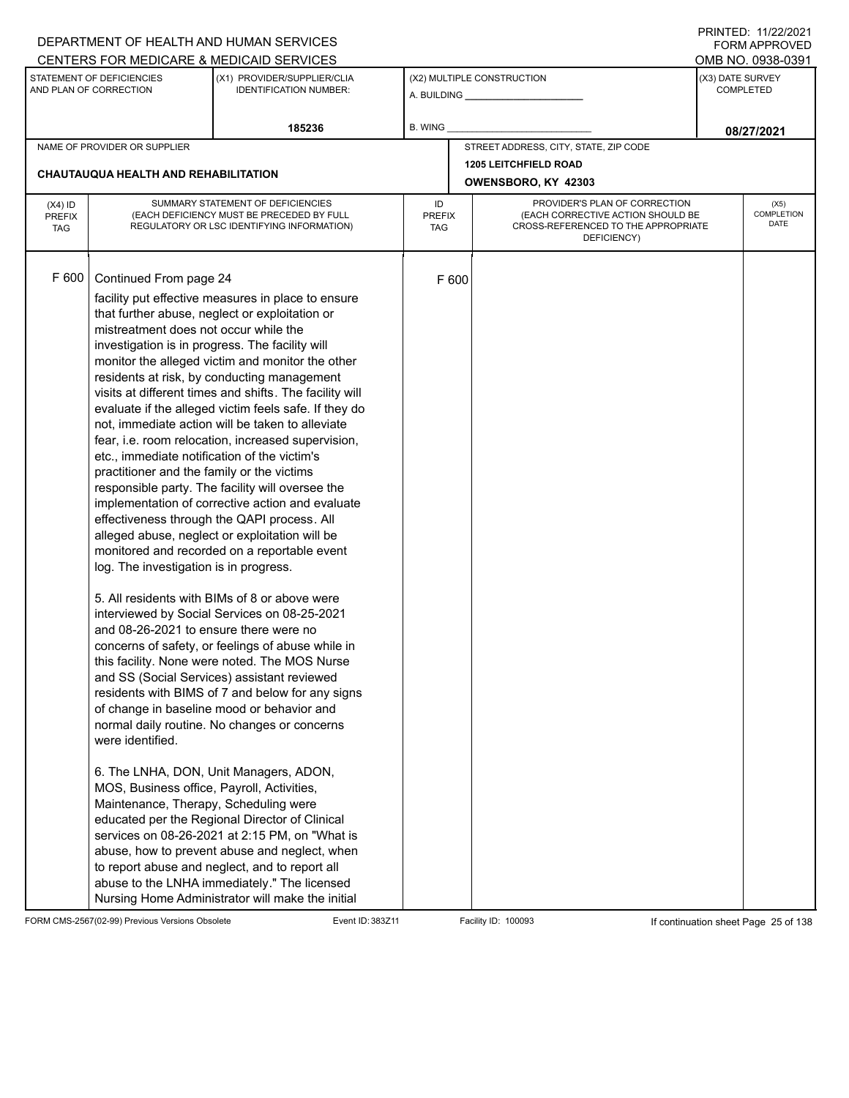|                                          |                                                                                                                                                                                                                                                                                                                                                                                                                 | DEPARTMENT OF HEALTH AND HUMAN SERVICES                                                                                                                                                                                                                                                                                                                                                                                                                                                                                                                                                                                                                                                                                                                                                                                                                                                                                                                                                                                                                                                                                                                                                                                                                                                                                                                                                                                                                     |                                                                                                                                                        |       |                                       | 111111111122.1112212121<br><b>FORM APPROVED</b> |
|------------------------------------------|-----------------------------------------------------------------------------------------------------------------------------------------------------------------------------------------------------------------------------------------------------------------------------------------------------------------------------------------------------------------------------------------------------------------|-------------------------------------------------------------------------------------------------------------------------------------------------------------------------------------------------------------------------------------------------------------------------------------------------------------------------------------------------------------------------------------------------------------------------------------------------------------------------------------------------------------------------------------------------------------------------------------------------------------------------------------------------------------------------------------------------------------------------------------------------------------------------------------------------------------------------------------------------------------------------------------------------------------------------------------------------------------------------------------------------------------------------------------------------------------------------------------------------------------------------------------------------------------------------------------------------------------------------------------------------------------------------------------------------------------------------------------------------------------------------------------------------------------------------------------------------------------|--------------------------------------------------------------------------------------------------------------------------------------------------------|-------|---------------------------------------|-------------------------------------------------|
|                                          |                                                                                                                                                                                                                                                                                                                                                                                                                 | CENTERS FOR MEDICARE & MEDICAID SERVICES                                                                                                                                                                                                                                                                                                                                                                                                                                                                                                                                                                                                                                                                                                                                                                                                                                                                                                                                                                                                                                                                                                                                                                                                                                                                                                                                                                                                                    |                                                                                                                                                        |       |                                       | OMB NO. 0938-0391                               |
|                                          | STATEMENT OF DEFICIENCIES<br>AND PLAN OF CORRECTION                                                                                                                                                                                                                                                                                                                                                             | (X1) PROVIDER/SUPPLIER/CLIA<br><b>IDENTIFICATION NUMBER:</b>                                                                                                                                                                                                                                                                                                                                                                                                                                                                                                                                                                                                                                                                                                                                                                                                                                                                                                                                                                                                                                                                                                                                                                                                                                                                                                                                                                                                |                                                                                                                                                        |       | (X2) MULTIPLE CONSTRUCTION            | (X3) DATE SURVEY<br><b>COMPLETED</b>            |
|                                          |                                                                                                                                                                                                                                                                                                                                                                                                                 | 185236                                                                                                                                                                                                                                                                                                                                                                                                                                                                                                                                                                                                                                                                                                                                                                                                                                                                                                                                                                                                                                                                                                                                                                                                                                                                                                                                                                                                                                                      | <b>B. WING</b>                                                                                                                                         |       |                                       | 08/27/2021                                      |
|                                          | NAME OF PROVIDER OR SUPPLIER                                                                                                                                                                                                                                                                                                                                                                                    |                                                                                                                                                                                                                                                                                                                                                                                                                                                                                                                                                                                                                                                                                                                                                                                                                                                                                                                                                                                                                                                                                                                                                                                                                                                                                                                                                                                                                                                             |                                                                                                                                                        |       | STREET ADDRESS, CITY, STATE, ZIP CODE |                                                 |
|                                          | <b>CHAUTAUQUA HEALTH AND REHABILITATION</b>                                                                                                                                                                                                                                                                                                                                                                     |                                                                                                                                                                                                                                                                                                                                                                                                                                                                                                                                                                                                                                                                                                                                                                                                                                                                                                                                                                                                                                                                                                                                                                                                                                                                                                                                                                                                                                                             |                                                                                                                                                        |       | <b>1205 LEITCHFIELD ROAD</b>          |                                                 |
|                                          |                                                                                                                                                                                                                                                                                                                                                                                                                 |                                                                                                                                                                                                                                                                                                                                                                                                                                                                                                                                                                                                                                                                                                                                                                                                                                                                                                                                                                                                                                                                                                                                                                                                                                                                                                                                                                                                                                                             |                                                                                                                                                        |       | OWENSBORO, KY 42303                   |                                                 |
| $(X4)$ ID<br><b>PREFIX</b><br><b>TAG</b> |                                                                                                                                                                                                                                                                                                                                                                                                                 | SUMMARY STATEMENT OF DEFICIENCIES<br>(EACH DEFICIENCY MUST BE PRECEDED BY FULL<br>REGULATORY OR LSC IDENTIFYING INFORMATION)                                                                                                                                                                                                                                                                                                                                                                                                                                                                                                                                                                                                                                                                                                                                                                                                                                                                                                                                                                                                                                                                                                                                                                                                                                                                                                                                | PROVIDER'S PLAN OF CORRECTION<br>ID<br>(EACH CORRECTIVE ACTION SHOULD BE<br><b>PREFIX</b><br>CROSS-REFERENCED TO THE APPROPRIATE<br>TAG<br>DEFICIENCY) |       |                                       | (X5)<br>COMPLETION<br><b>DATE</b>               |
| F 600                                    | Continued From page 24<br>mistreatment does not occur while the<br>investigation is in progress. The facility will<br>etc., immediate notification of the victim's<br>practitioner and the family or the victims<br>log. The investigation is in progress.<br>and 08-26-2021 to ensure there were no<br>were identified.<br>MOS, Business office, Payroll, Activities,<br>Maintenance, Therapy, Scheduling were | facility put effective measures in place to ensure<br>that further abuse, neglect or exploitation or<br>monitor the alleged victim and monitor the other<br>residents at risk, by conducting management<br>visits at different times and shifts. The facility will<br>evaluate if the alleged victim feels safe. If they do<br>not, immediate action will be taken to alleviate<br>fear, i.e. room relocation, increased supervision,<br>responsible party. The facility will oversee the<br>implementation of corrective action and evaluate<br>effectiveness through the QAPI process. All<br>alleged abuse, neglect or exploitation will be<br>monitored and recorded on a reportable event<br>5. All residents with BIMs of 8 or above were<br>interviewed by Social Services on 08-25-2021<br>concerns of safety, or feelings of abuse while in<br>this facility. None were noted. The MOS Nurse<br>and SS (Social Services) assistant reviewed<br>residents with BIMS of 7 and below for any signs<br>of change in baseline mood or behavior and<br>normal daily routine. No changes or concerns<br>6. The LNHA, DON, Unit Managers, ADON,<br>educated per the Regional Director of Clinical<br>services on 08-26-2021 at 2:15 PM, on "What is<br>abuse, how to prevent abuse and neglect, when<br>to report abuse and neglect, and to report all<br>abuse to the LNHA immediately." The licensed<br>Nursing Home Administrator will make the initial |                                                                                                                                                        | F 600 |                                       |                                                 |

FORM CMS-2567(02-99) Previous Versions Obsolete Event ID: 383Z11 Event ID: 383Z11 Facility ID: 100093 If continuation sheet Page 25 of 138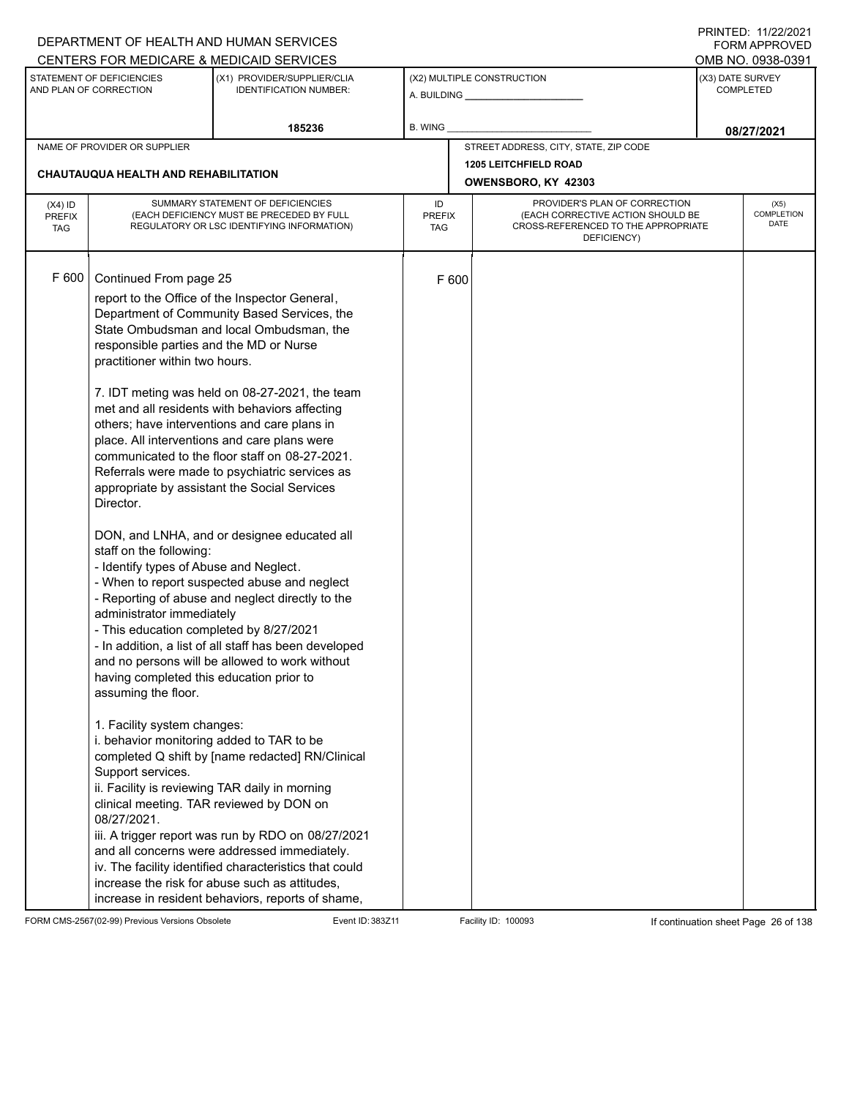|                                          |                                                                                                                                                                                                                                                                                                                                                                                                                                                                                              | DEPARTMENT OF HEALTH AND HUMAN SERVICES                                                                                                                                                                                                                                                                                                                                                                                                                                                                                                                                                                                                                                                                                                                                                                                                                                                                                                                                                                                                                                                                                                      |                            |       |                                                                                                                          | <b>FORM APPROVED</b>                 |
|------------------------------------------|----------------------------------------------------------------------------------------------------------------------------------------------------------------------------------------------------------------------------------------------------------------------------------------------------------------------------------------------------------------------------------------------------------------------------------------------------------------------------------------------|----------------------------------------------------------------------------------------------------------------------------------------------------------------------------------------------------------------------------------------------------------------------------------------------------------------------------------------------------------------------------------------------------------------------------------------------------------------------------------------------------------------------------------------------------------------------------------------------------------------------------------------------------------------------------------------------------------------------------------------------------------------------------------------------------------------------------------------------------------------------------------------------------------------------------------------------------------------------------------------------------------------------------------------------------------------------------------------------------------------------------------------------|----------------------------|-------|--------------------------------------------------------------------------------------------------------------------------|--------------------------------------|
|                                          |                                                                                                                                                                                                                                                                                                                                                                                                                                                                                              | CENTERS FOR MEDICARE & MEDICAID SERVICES                                                                                                                                                                                                                                                                                                                                                                                                                                                                                                                                                                                                                                                                                                                                                                                                                                                                                                                                                                                                                                                                                                     |                            |       |                                                                                                                          | OMB NO. 0938-0391                    |
|                                          | STATEMENT OF DEFICIENCIES<br>AND PLAN OF CORRECTION                                                                                                                                                                                                                                                                                                                                                                                                                                          | (X1) PROVIDER/SUPPLIER/CLIA<br><b>IDENTIFICATION NUMBER:</b>                                                                                                                                                                                                                                                                                                                                                                                                                                                                                                                                                                                                                                                                                                                                                                                                                                                                                                                                                                                                                                                                                 |                            |       | (X2) MULTIPLE CONSTRUCTION                                                                                               | (X3) DATE SURVEY<br><b>COMPLETED</b> |
|                                          |                                                                                                                                                                                                                                                                                                                                                                                                                                                                                              | 185236                                                                                                                                                                                                                                                                                                                                                                                                                                                                                                                                                                                                                                                                                                                                                                                                                                                                                                                                                                                                                                                                                                                                       | <b>B. WING</b>             |       |                                                                                                                          | 08/27/2021                           |
|                                          | NAME OF PROVIDER OR SUPPLIER                                                                                                                                                                                                                                                                                                                                                                                                                                                                 |                                                                                                                                                                                                                                                                                                                                                                                                                                                                                                                                                                                                                                                                                                                                                                                                                                                                                                                                                                                                                                                                                                                                              |                            |       | STREET ADDRESS, CITY, STATE, ZIP CODE                                                                                    |                                      |
|                                          |                                                                                                                                                                                                                                                                                                                                                                                                                                                                                              |                                                                                                                                                                                                                                                                                                                                                                                                                                                                                                                                                                                                                                                                                                                                                                                                                                                                                                                                                                                                                                                                                                                                              |                            |       | <b>1205 LEITCHFIELD ROAD</b>                                                                                             |                                      |
|                                          | CHAUTAUQUA HEALTH AND REHABILITATION                                                                                                                                                                                                                                                                                                                                                                                                                                                         |                                                                                                                                                                                                                                                                                                                                                                                                                                                                                                                                                                                                                                                                                                                                                                                                                                                                                                                                                                                                                                                                                                                                              |                            |       | OWENSBORO, KY 42303                                                                                                      |                                      |
| $(X4)$ ID<br><b>PREFIX</b><br><b>TAG</b> |                                                                                                                                                                                                                                                                                                                                                                                                                                                                                              | SUMMARY STATEMENT OF DEFICIENCIES<br>(EACH DEFICIENCY MUST BE PRECEDED BY FULL<br>REGULATORY OR LSC IDENTIFYING INFORMATION)                                                                                                                                                                                                                                                                                                                                                                                                                                                                                                                                                                                                                                                                                                                                                                                                                                                                                                                                                                                                                 | ID<br><b>PREFIX</b><br>TAG |       | PROVIDER'S PLAN OF CORRECTION<br>(EACH CORRECTIVE ACTION SHOULD BE<br>CROSS-REFERENCED TO THE APPROPRIATE<br>DEFICIENCY) | (X5)<br><b>COMPLETION</b><br>DATE    |
| F 600                                    | Continued From page 25<br>responsible parties and the MD or Nurse<br>practitioner within two hours.<br>Director.<br>staff on the following:<br>- Identify types of Abuse and Neglect.<br>administrator immediately<br>- This education completed by 8/27/2021<br>having completed this education prior to<br>assuming the floor.<br>1. Facility system changes:<br>i. behavior monitoring added to TAR to be<br>Support services.<br>clinical meeting. TAR reviewed by DON on<br>08/27/2021. | report to the Office of the Inspector General,<br>Department of Community Based Services, the<br>State Ombudsman and local Ombudsman, the<br>7. IDT meting was held on 08-27-2021, the team<br>met and all residents with behaviors affecting<br>others; have interventions and care plans in<br>place. All interventions and care plans were<br>communicated to the floor staff on 08-27-2021.<br>Referrals were made to psychiatric services as<br>appropriate by assistant the Social Services<br>DON, and LNHA, and or designee educated all<br>- When to report suspected abuse and neglect<br>- Reporting of abuse and neglect directly to the<br>- In addition, a list of all staff has been developed<br>and no persons will be allowed to work without<br>completed Q shift by [name redacted] RN/Clinical<br>ii. Facility is reviewing TAR daily in morning<br>iii. A trigger report was run by RDO on 08/27/2021<br>and all concerns were addressed immediately.<br>iv. The facility identified characteristics that could<br>increase the risk for abuse such as attitudes,<br>increase in resident behaviors, reports of shame, |                            | F 600 |                                                                                                                          |                                      |

FORM CMS-2567(02-99) Previous Versions Obsolete Event ID: 383Z11 Event ID: 383Z11 Facility ID: 100093 If continuation sheet Page 26 of 138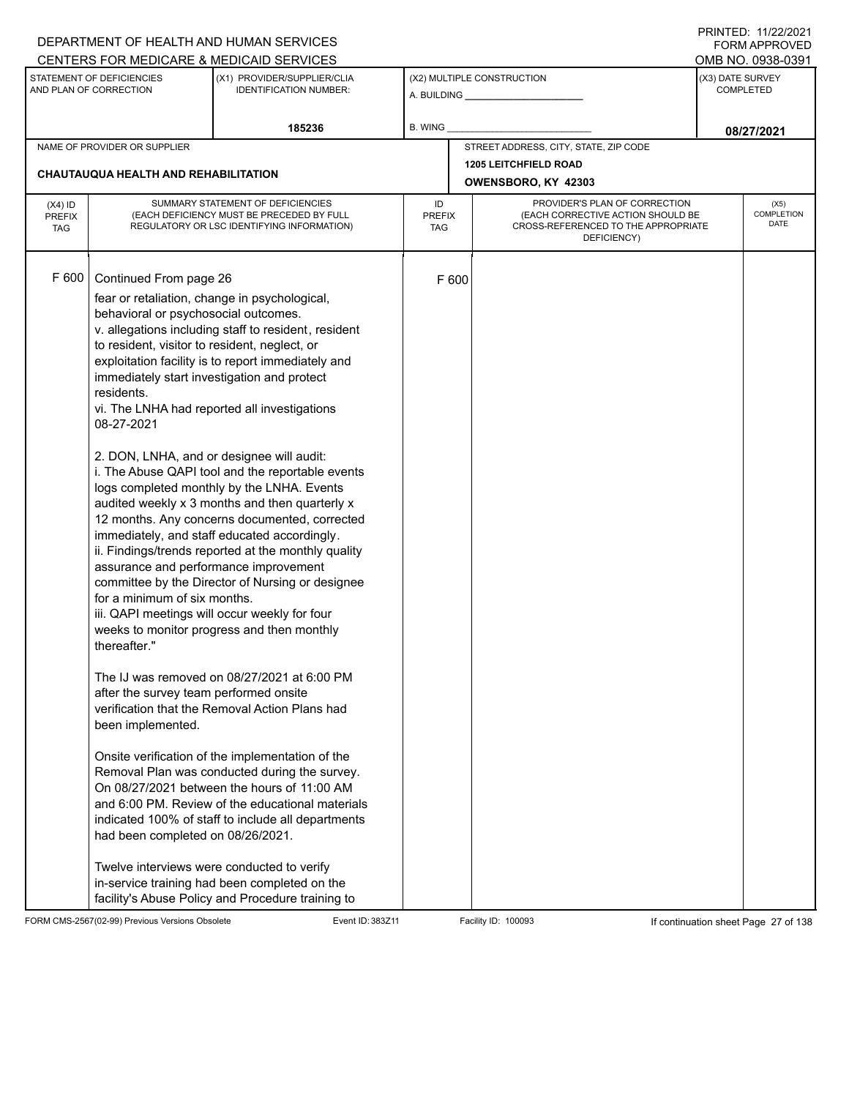|                                          |                                                                                                                                                                                                                                                                                                                                                                                                                                                  | DEPARTMENT OF HEALTH AND HUMAN SERVICES                                                                                                                                                                                                                                                                                                                                                                                                                                                                                                                                                                                                                                                                                                                                                                                                                                                                                                                                                  |                            |       |                                                                                                                          |                                      | 11111111122.1112212021<br><b>FORM APPROVED</b> |
|------------------------------------------|--------------------------------------------------------------------------------------------------------------------------------------------------------------------------------------------------------------------------------------------------------------------------------------------------------------------------------------------------------------------------------------------------------------------------------------------------|------------------------------------------------------------------------------------------------------------------------------------------------------------------------------------------------------------------------------------------------------------------------------------------------------------------------------------------------------------------------------------------------------------------------------------------------------------------------------------------------------------------------------------------------------------------------------------------------------------------------------------------------------------------------------------------------------------------------------------------------------------------------------------------------------------------------------------------------------------------------------------------------------------------------------------------------------------------------------------------|----------------------------|-------|--------------------------------------------------------------------------------------------------------------------------|--------------------------------------|------------------------------------------------|
|                                          |                                                                                                                                                                                                                                                                                                                                                                                                                                                  | CENTERS FOR MEDICARE & MEDICAID SERVICES                                                                                                                                                                                                                                                                                                                                                                                                                                                                                                                                                                                                                                                                                                                                                                                                                                                                                                                                                 |                            |       |                                                                                                                          |                                      | OMB NO. 0938-0391                              |
|                                          | STATEMENT OF DEFICIENCIES<br>AND PLAN OF CORRECTION                                                                                                                                                                                                                                                                                                                                                                                              | (X1) PROVIDER/SUPPLIER/CLIA<br><b>IDENTIFICATION NUMBER:</b>                                                                                                                                                                                                                                                                                                                                                                                                                                                                                                                                                                                                                                                                                                                                                                                                                                                                                                                             |                            |       | (X2) MULTIPLE CONSTRUCTION                                                                                               | (X3) DATE SURVEY<br><b>COMPLETED</b> |                                                |
|                                          |                                                                                                                                                                                                                                                                                                                                                                                                                                                  | 185236                                                                                                                                                                                                                                                                                                                                                                                                                                                                                                                                                                                                                                                                                                                                                                                                                                                                                                                                                                                   | <b>B. WING</b>             |       |                                                                                                                          |                                      | 08/27/2021                                     |
|                                          | NAME OF PROVIDER OR SUPPLIER                                                                                                                                                                                                                                                                                                                                                                                                                     |                                                                                                                                                                                                                                                                                                                                                                                                                                                                                                                                                                                                                                                                                                                                                                                                                                                                                                                                                                                          |                            |       | STREET ADDRESS, CITY, STATE, ZIP CODE                                                                                    |                                      |                                                |
|                                          | <b>CHAUTAUQUA HEALTH AND REHABILITATION</b>                                                                                                                                                                                                                                                                                                                                                                                                      |                                                                                                                                                                                                                                                                                                                                                                                                                                                                                                                                                                                                                                                                                                                                                                                                                                                                                                                                                                                          |                            |       | <b>1205 LEITCHFIELD ROAD</b><br>OWENSBORO, KY 42303                                                                      |                                      |                                                |
|                                          |                                                                                                                                                                                                                                                                                                                                                                                                                                                  |                                                                                                                                                                                                                                                                                                                                                                                                                                                                                                                                                                                                                                                                                                                                                                                                                                                                                                                                                                                          |                            |       |                                                                                                                          |                                      |                                                |
| $(X4)$ ID<br><b>PREFIX</b><br><b>TAG</b> |                                                                                                                                                                                                                                                                                                                                                                                                                                                  | SUMMARY STATEMENT OF DEFICIENCIES<br>(EACH DEFICIENCY MUST BE PRECEDED BY FULL<br>REGULATORY OR LSC IDENTIFYING INFORMATION)                                                                                                                                                                                                                                                                                                                                                                                                                                                                                                                                                                                                                                                                                                                                                                                                                                                             | ID<br><b>PREFIX</b><br>TAG |       | PROVIDER'S PLAN OF CORRECTION<br>(EACH CORRECTIVE ACTION SHOULD BE<br>CROSS-REFERENCED TO THE APPROPRIATE<br>DEFICIENCY) |                                      | (X5)<br><b>COMPLETION</b><br><b>DATE</b>       |
| F 600                                    | Continued From page 26<br>fear or retaliation, change in psychological,<br>behavioral or psychosocial outcomes.<br>to resident, visitor to resident, neglect, or<br>immediately start investigation and protect<br>residents.<br>08-27-2021<br>2. DON, LNHA, and or designee will audit:<br>assurance and performance improvement<br>for a minimum of six months.<br>thereafter."<br>after the survey team performed onsite<br>been implemented. | v. allegations including staff to resident, resident<br>exploitation facility is to report immediately and<br>vi. The LNHA had reported all investigations<br>i. The Abuse QAPI tool and the reportable events<br>logs completed monthly by the LNHA. Events<br>audited weekly x 3 months and then quarterly x<br>12 months. Any concerns documented, corrected<br>immediately, and staff educated accordingly.<br>ii. Findings/trends reported at the monthly quality<br>committee by the Director of Nursing or designee<br>iii. QAPI meetings will occur weekly for four<br>weeks to monitor progress and then monthly<br>The IJ was removed on 08/27/2021 at 6:00 PM<br>verification that the Removal Action Plans had<br>Onsite verification of the implementation of the<br>Removal Plan was conducted during the survey.<br>On 08/27/2021 between the hours of 11:00 AM<br>and 6:00 PM. Review of the educational materials<br>indicated 100% of staff to include all departments |                            | F 600 |                                                                                                                          |                                      |                                                |
|                                          | had been completed on 08/26/2021.<br>Twelve interviews were conducted to verify                                                                                                                                                                                                                                                                                                                                                                  | in-service training had been completed on the<br>facility's Abuse Policy and Procedure training to                                                                                                                                                                                                                                                                                                                                                                                                                                                                                                                                                                                                                                                                                                                                                                                                                                                                                       |                            |       |                                                                                                                          |                                      |                                                |

FORM CMS-2567(02-99) Previous Versions Obsolete Event ID: 383Z11 Event ID: 383Z11 Facility ID: 100093 If continuation sheet Page 27 of 138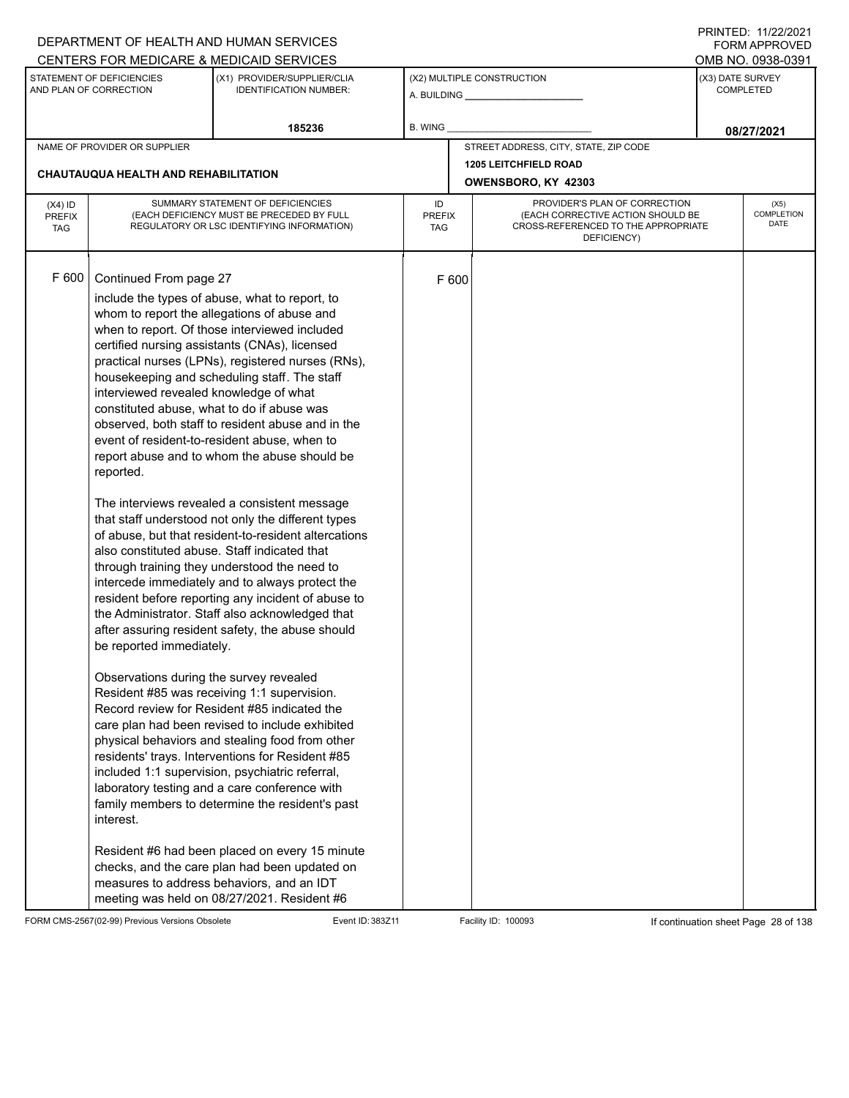|                                          |                                                                                                                                                                                                                                                                 | DEPARTMENT OF HEALTH AND HUMAN SERVICES                                                                                                                                                                                                                                                                                                                                                                                                                                                                                                                                                                                                                                                                                                                                                                                                                                                                                                                                                                                                                                                                                                                                                                                                                                                                                                                                                                                                                 |                                                                                                                                                        |       |                                       |  | 111111111122.1112212121<br><b>FORM APPROVED</b> |  |  |
|------------------------------------------|-----------------------------------------------------------------------------------------------------------------------------------------------------------------------------------------------------------------------------------------------------------------|---------------------------------------------------------------------------------------------------------------------------------------------------------------------------------------------------------------------------------------------------------------------------------------------------------------------------------------------------------------------------------------------------------------------------------------------------------------------------------------------------------------------------------------------------------------------------------------------------------------------------------------------------------------------------------------------------------------------------------------------------------------------------------------------------------------------------------------------------------------------------------------------------------------------------------------------------------------------------------------------------------------------------------------------------------------------------------------------------------------------------------------------------------------------------------------------------------------------------------------------------------------------------------------------------------------------------------------------------------------------------------------------------------------------------------------------------------|--------------------------------------------------------------------------------------------------------------------------------------------------------|-------|---------------------------------------|--|-------------------------------------------------|--|--|
|                                          |                                                                                                                                                                                                                                                                 | CENTERS FOR MEDICARE & MEDICAID SERVICES                                                                                                                                                                                                                                                                                                                                                                                                                                                                                                                                                                                                                                                                                                                                                                                                                                                                                                                                                                                                                                                                                                                                                                                                                                                                                                                                                                                                                |                                                                                                                                                        |       |                                       |  | OMB NO. 0938-0391                               |  |  |
|                                          | STATEMENT OF DEFICIENCIES<br>AND PLAN OF CORRECTION                                                                                                                                                                                                             | (X1) PROVIDER/SUPPLIER/CLIA<br><b>IDENTIFICATION NUMBER:</b>                                                                                                                                                                                                                                                                                                                                                                                                                                                                                                                                                                                                                                                                                                                                                                                                                                                                                                                                                                                                                                                                                                                                                                                                                                                                                                                                                                                            |                                                                                                                                                        |       | (X2) MULTIPLE CONSTRUCTION            |  | (X3) DATE SURVEY<br><b>COMPLETED</b>            |  |  |
|                                          |                                                                                                                                                                                                                                                                 | 185236                                                                                                                                                                                                                                                                                                                                                                                                                                                                                                                                                                                                                                                                                                                                                                                                                                                                                                                                                                                                                                                                                                                                                                                                                                                                                                                                                                                                                                                  | <b>B. WING</b>                                                                                                                                         |       |                                       |  | 08/27/2021                                      |  |  |
|                                          | NAME OF PROVIDER OR SUPPLIER                                                                                                                                                                                                                                    |                                                                                                                                                                                                                                                                                                                                                                                                                                                                                                                                                                                                                                                                                                                                                                                                                                                                                                                                                                                                                                                                                                                                                                                                                                                                                                                                                                                                                                                         |                                                                                                                                                        |       | STREET ADDRESS, CITY, STATE, ZIP CODE |  |                                                 |  |  |
|                                          | CHAUTAUQUA HEALTH AND REHABILITATION                                                                                                                                                                                                                            |                                                                                                                                                                                                                                                                                                                                                                                                                                                                                                                                                                                                                                                                                                                                                                                                                                                                                                                                                                                                                                                                                                                                                                                                                                                                                                                                                                                                                                                         | <b>1205 LEITCHFIELD ROAD</b>                                                                                                                           |       |                                       |  |                                                 |  |  |
|                                          |                                                                                                                                                                                                                                                                 |                                                                                                                                                                                                                                                                                                                                                                                                                                                                                                                                                                                                                                                                                                                                                                                                                                                                                                                                                                                                                                                                                                                                                                                                                                                                                                                                                                                                                                                         |                                                                                                                                                        |       | OWENSBORO, KY 42303                   |  |                                                 |  |  |
| $(X4)$ ID<br><b>PREFIX</b><br><b>TAG</b> |                                                                                                                                                                                                                                                                 | SUMMARY STATEMENT OF DEFICIENCIES<br>(EACH DEFICIENCY MUST BE PRECEDED BY FULL<br>REGULATORY OR LSC IDENTIFYING INFORMATION)                                                                                                                                                                                                                                                                                                                                                                                                                                                                                                                                                                                                                                                                                                                                                                                                                                                                                                                                                                                                                                                                                                                                                                                                                                                                                                                            | PROVIDER'S PLAN OF CORRECTION<br>ID<br>(EACH CORRECTIVE ACTION SHOULD BE<br><b>PREFIX</b><br>CROSS-REFERENCED TO THE APPROPRIATE<br>TAG<br>DEFICIENCY) |       |                                       |  | (X5)<br>COMPLETION<br><b>DATE</b>               |  |  |
| F 600                                    | Continued From page 27<br>interviewed revealed knowledge of what<br>constituted abuse, what to do if abuse was<br>reported.<br>also constituted abuse. Staff indicated that<br>be reported immediately.<br>Observations during the survey revealed<br>interest. | include the types of abuse, what to report, to<br>whom to report the allegations of abuse and<br>when to report. Of those interviewed included<br>certified nursing assistants (CNAs), licensed<br>practical nurses (LPNs), registered nurses (RNs),<br>housekeeping and scheduling staff. The staff<br>observed, both staff to resident abuse and in the<br>event of resident-to-resident abuse, when to<br>report abuse and to whom the abuse should be<br>The interviews revealed a consistent message<br>that staff understood not only the different types<br>of abuse, but that resident-to-resident altercations<br>through training they understood the need to<br>intercede immediately and to always protect the<br>resident before reporting any incident of abuse to<br>the Administrator. Staff also acknowledged that<br>after assuring resident safety, the abuse should<br>Resident #85 was receiving 1:1 supervision.<br>Record review for Resident #85 indicated the<br>care plan had been revised to include exhibited<br>physical behaviors and stealing food from other<br>residents' trays. Interventions for Resident #85<br>included 1:1 supervision, psychiatric referral,<br>laboratory testing and a care conference with<br>family members to determine the resident's past<br>Resident #6 had been placed on every 15 minute<br>checks, and the care plan had been updated on<br>measures to address behaviors, and an IDT |                                                                                                                                                        | F 600 |                                       |  |                                                 |  |  |
|                                          |                                                                                                                                                                                                                                                                 | meeting was held on 08/27/2021. Resident #6                                                                                                                                                                                                                                                                                                                                                                                                                                                                                                                                                                                                                                                                                                                                                                                                                                                                                                                                                                                                                                                                                                                                                                                                                                                                                                                                                                                                             |                                                                                                                                                        |       |                                       |  |                                                 |  |  |

FORM CMS-2567(02-99) Previous Versions Obsolete Event ID: 383Z11 Event ID: 383Z11 Facility ID: 100093 If continuation sheet Page 28 of 138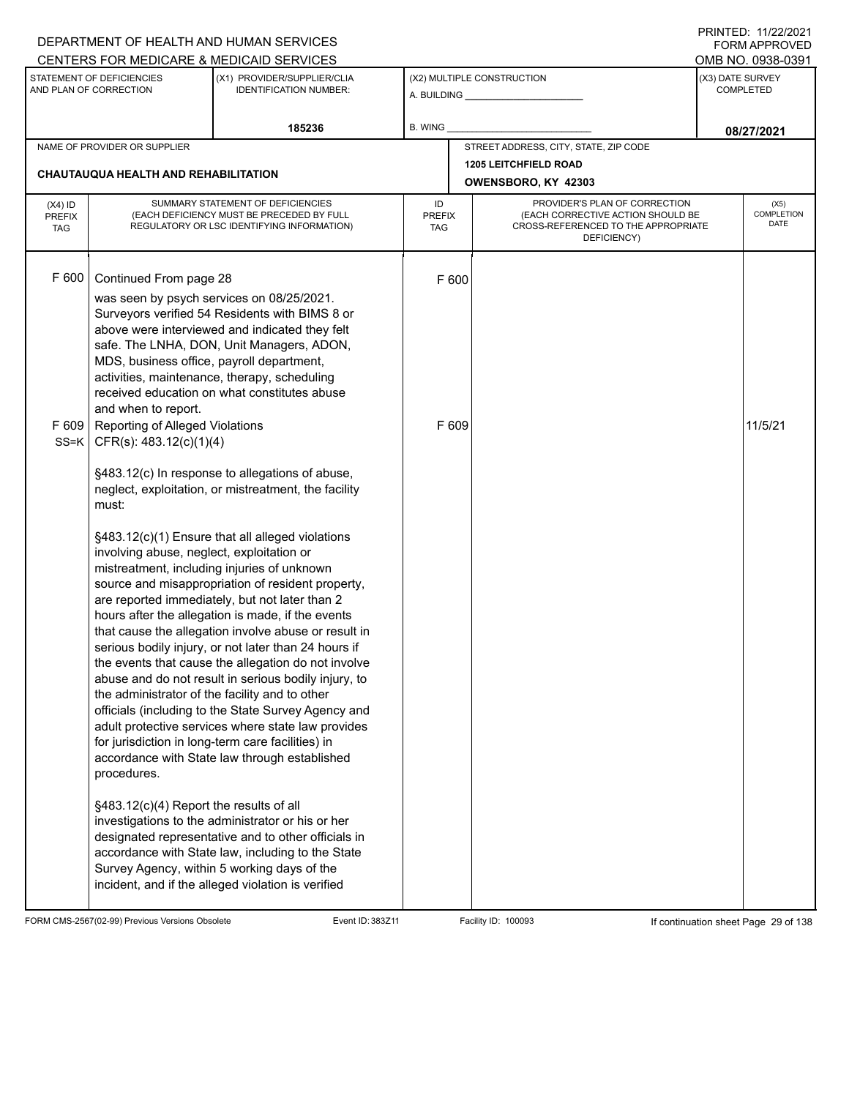|                                   |                                                                                                                           | DEPARTMENT OF HEALTH AND HUMAN SERVICES<br>CENTERS FOR MEDICARE & MEDICAID SERVICES                                                                                                                                                                                                                                                                                                                                                                                                                                                                                                                                                                                                                                                                                                                                                                                                                                                                                                                                                                                                                                                                                                                                                                                |                                   |                                                                                                                          | 11111111122.1112212221<br><b>FORM APPROVED</b><br>OMB NO. 0938-0391 |                                      |  |
|-----------------------------------|---------------------------------------------------------------------------------------------------------------------------|--------------------------------------------------------------------------------------------------------------------------------------------------------------------------------------------------------------------------------------------------------------------------------------------------------------------------------------------------------------------------------------------------------------------------------------------------------------------------------------------------------------------------------------------------------------------------------------------------------------------------------------------------------------------------------------------------------------------------------------------------------------------------------------------------------------------------------------------------------------------------------------------------------------------------------------------------------------------------------------------------------------------------------------------------------------------------------------------------------------------------------------------------------------------------------------------------------------------------------------------------------------------|-----------------------------------|--------------------------------------------------------------------------------------------------------------------------|---------------------------------------------------------------------|--------------------------------------|--|
|                                   | STATEMENT OF DEFICIENCIES<br>AND PLAN OF CORRECTION                                                                       | (X1) PROVIDER/SUPPLIER/CLIA<br><b>IDENTIFICATION NUMBER:</b>                                                                                                                                                                                                                                                                                                                                                                                                                                                                                                                                                                                                                                                                                                                                                                                                                                                                                                                                                                                                                                                                                                                                                                                                       |                                   | (X2) MULTIPLE CONSTRUCTION                                                                                               |                                                                     | (X3) DATE SURVEY<br><b>COMPLETED</b> |  |
|                                   |                                                                                                                           | 185236                                                                                                                                                                                                                                                                                                                                                                                                                                                                                                                                                                                                                                                                                                                                                                                                                                                                                                                                                                                                                                                                                                                                                                                                                                                             | <b>B. WING</b>                    |                                                                                                                          | 08/27/2021                                                          |                                      |  |
|                                   | NAME OF PROVIDER OR SUPPLIER<br><b>CHAUTAUQUA HEALTH AND REHABILITATION</b>                                               |                                                                                                                                                                                                                                                                                                                                                                                                                                                                                                                                                                                                                                                                                                                                                                                                                                                                                                                                                                                                                                                                                                                                                                                                                                                                    |                                   | STREET ADDRESS, CITY, STATE, ZIP CODE<br>1205 LEITCHFIELD ROAD<br>OWENSBORO, KY 42303                                    |                                                                     |                                      |  |
| $(X4)$ ID<br>PREFIX<br><b>TAG</b> |                                                                                                                           | SUMMARY STATEMENT OF DEFICIENCIES<br>(EACH DEFICIENCY MUST BE PRECEDED BY FULL<br>REGULATORY OR LSC IDENTIFYING INFORMATION)                                                                                                                                                                                                                                                                                                                                                                                                                                                                                                                                                                                                                                                                                                                                                                                                                                                                                                                                                                                                                                                                                                                                       | ID<br><b>PREFIX</b><br><b>TAG</b> | PROVIDER'S PLAN OF CORRECTION<br>(EACH CORRECTIVE ACTION SHOULD BE<br>CROSS-REFERENCED TO THE APPROPRIATE<br>DEFICIENCY) |                                                                     | (X5)<br><b>COMPLETION</b><br>DATE    |  |
| F 600                             | Continued From page 28<br>MDS, business office, payroll department,<br>and when to report.                                | was seen by psych services on 08/25/2021.<br>Surveyors verified 54 Residents with BIMS 8 or<br>above were interviewed and indicated they felt<br>safe. The LNHA, DON, Unit Managers, ADON,<br>activities, maintenance, therapy, scheduling                                                                                                                                                                                                                                                                                                                                                                                                                                                                                                                                                                                                                                                                                                                                                                                                                                                                                                                                                                                                                         | F 600                             |                                                                                                                          |                                                                     |                                      |  |
|                                   | must:<br>procedures.<br>Survey Agency, within 5 working days of the<br>incident, and if the alleged violation is verified | received education on what constitutes abuse<br>F 609   Reporting of Alleged Violations<br>SS=K   CFR(s): $483.12(c)(1)(4)$<br>§483.12(c) In response to allegations of abuse,<br>neglect, exploitation, or mistreatment, the facility<br>§483.12(c)(1) Ensure that all alleged violations<br>involving abuse, neglect, exploitation or<br>mistreatment, including injuries of unknown<br>source and misappropriation of resident property,<br>are reported immediately, but not later than 2<br>hours after the allegation is made, if the events<br>that cause the allegation involve abuse or result in<br>serious bodily injury, or not later than 24 hours if<br>the events that cause the allegation do not involve<br>abuse and do not result in serious bodily injury, to<br>the administrator of the facility and to other<br>officials (including to the State Survey Agency and<br>adult protective services where state law provides<br>for jurisdiction in long-term care facilities) in<br>accordance with State law through established<br>§483.12(c)(4) Report the results of all<br>investigations to the administrator or his or her<br>designated representative and to other officials in<br>accordance with State law, including to the State |                                   | F 609                                                                                                                    |                                                                     | 11/5/21                              |  |

FORM CMS-2567(02-99) Previous Versions Obsolete Event ID: 383Z11 Facility ID: 100093 If continuation sheet Page 29 of 138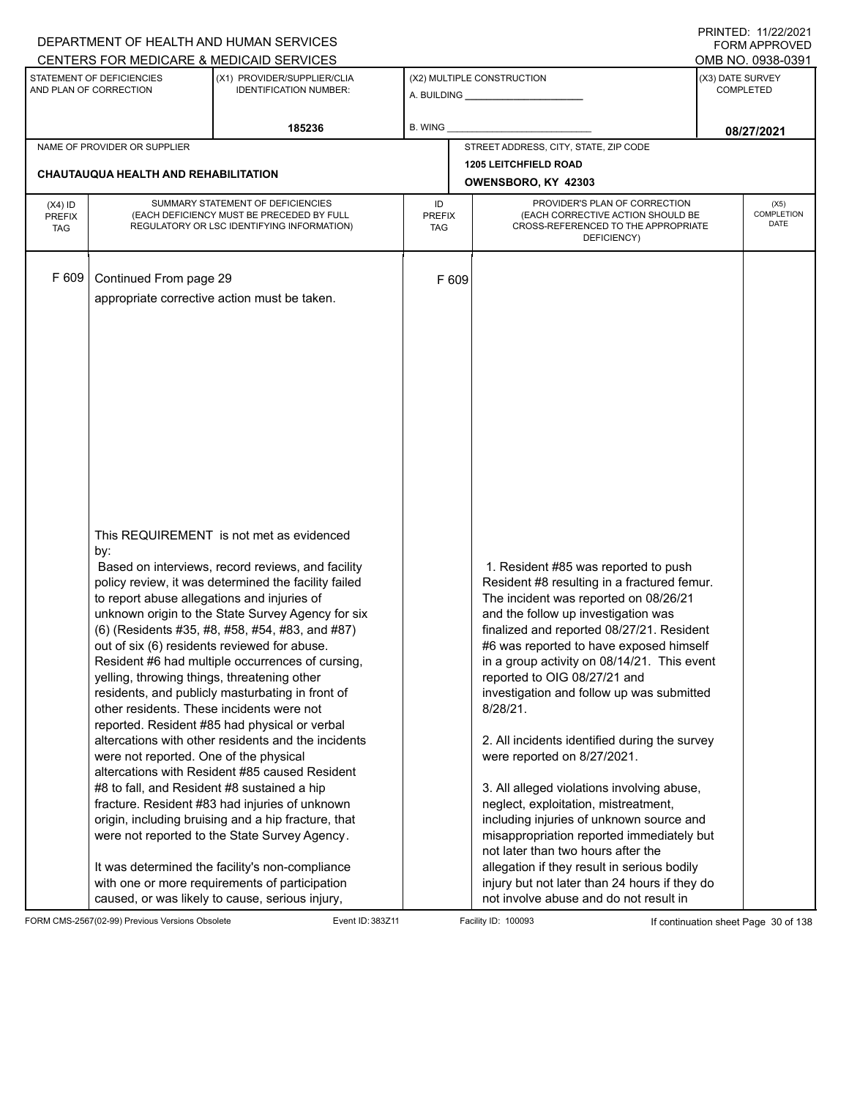|                                          | FININILU. IIIZZIZUZI<br>DEPARTMENT OF HEALTH AND HUMAN SERVICES<br>CENTERS FOR MEDICARE & MEDICAID SERVICES                                                                                                                                                                             |                                                                                                                                                                                                                                                                                                                                                                                                                                                                                                                                                                                                                                                                                                                                                                                                                                                   |                |                                                                                                                                                                                                                                                                                                                                                                                                                                                                                                                                                                                                                                                                                                                                                                                                                                                    |                                                           |  |  |  |  |
|------------------------------------------|-----------------------------------------------------------------------------------------------------------------------------------------------------------------------------------------------------------------------------------------------------------------------------------------|---------------------------------------------------------------------------------------------------------------------------------------------------------------------------------------------------------------------------------------------------------------------------------------------------------------------------------------------------------------------------------------------------------------------------------------------------------------------------------------------------------------------------------------------------------------------------------------------------------------------------------------------------------------------------------------------------------------------------------------------------------------------------------------------------------------------------------------------------|----------------|----------------------------------------------------------------------------------------------------------------------------------------------------------------------------------------------------------------------------------------------------------------------------------------------------------------------------------------------------------------------------------------------------------------------------------------------------------------------------------------------------------------------------------------------------------------------------------------------------------------------------------------------------------------------------------------------------------------------------------------------------------------------------------------------------------------------------------------------------|-----------------------------------------------------------|--|--|--|--|
|                                          | STATEMENT OF DEFICIENCIES<br>AND PLAN OF CORRECTION                                                                                                                                                                                                                                     | (X1) PROVIDER/SUPPLIER/CLIA<br><b>IDENTIFICATION NUMBER:</b>                                                                                                                                                                                                                                                                                                                                                                                                                                                                                                                                                                                                                                                                                                                                                                                      |                | (X2) MULTIPLE CONSTRUCTION                                                                                                                                                                                                                                                                                                                                                                                                                                                                                                                                                                                                                                                                                                                                                                                                                         | OMB NO. 0938-0391<br>(X3) DATE SURVEY<br><b>COMPLETED</b> |  |  |  |  |
|                                          |                                                                                                                                                                                                                                                                                         | 185236                                                                                                                                                                                                                                                                                                                                                                                                                                                                                                                                                                                                                                                                                                                                                                                                                                            | <b>B. WING</b> |                                                                                                                                                                                                                                                                                                                                                                                                                                                                                                                                                                                                                                                                                                                                                                                                                                                    | 08/27/2021                                                |  |  |  |  |
|                                          | NAME OF PROVIDER OR SUPPLIER                                                                                                                                                                                                                                                            |                                                                                                                                                                                                                                                                                                                                                                                                                                                                                                                                                                                                                                                                                                                                                                                                                                                   |                | STREET ADDRESS, CITY, STATE, ZIP CODE                                                                                                                                                                                                                                                                                                                                                                                                                                                                                                                                                                                                                                                                                                                                                                                                              |                                                           |  |  |  |  |
|                                          | <b>CHAUTAUQUA HEALTH AND REHABILITATION</b>                                                                                                                                                                                                                                             |                                                                                                                                                                                                                                                                                                                                                                                                                                                                                                                                                                                                                                                                                                                                                                                                                                                   |                | <b>1205 LEITCHFIELD ROAD</b><br>OWENSBORO, KY 42303                                                                                                                                                                                                                                                                                                                                                                                                                                                                                                                                                                                                                                                                                                                                                                                                |                                                           |  |  |  |  |
| $(X4)$ ID<br><b>PREFIX</b><br><b>TAG</b> | SUMMARY STATEMENT OF DEFICIENCIES<br>(EACH DEFICIENCY MUST BE PRECEDED BY FULL<br>REGULATORY OR LSC IDENTIFYING INFORMATION)                                                                                                                                                            |                                                                                                                                                                                                                                                                                                                                                                                                                                                                                                                                                                                                                                                                                                                                                                                                                                                   |                | PROVIDER'S PLAN OF CORRECTION<br>ID<br>(EACH CORRECTIVE ACTION SHOULD BE<br><b>PREFIX</b><br>CROSS-REFERENCED TO THE APPROPRIATE<br><b>TAG</b><br>DEFICIENCY)                                                                                                                                                                                                                                                                                                                                                                                                                                                                                                                                                                                                                                                                                      |                                                           |  |  |  |  |
| F 609                                    | Continued From page 29                                                                                                                                                                                                                                                                  | appropriate corrective action must be taken.                                                                                                                                                                                                                                                                                                                                                                                                                                                                                                                                                                                                                                                                                                                                                                                                      | F 609          |                                                                                                                                                                                                                                                                                                                                                                                                                                                                                                                                                                                                                                                                                                                                                                                                                                                    |                                                           |  |  |  |  |
|                                          | by:<br>to report abuse allegations and injuries of<br>out of six (6) residents reviewed for abuse.<br>yelling, throwing things, threatening other<br>other residents. These incidents were not<br>were not reported. One of the physical<br>#8 to fall, and Resident #8 sustained a hip | This REQUIREMENT is not met as evidenced<br>Based on interviews, record reviews, and facility<br>policy review, it was determined the facility failed<br>unknown origin to the State Survey Agency for six<br>(6) (Residents #35, #8, #58, #54, #83, and #87)<br>Resident #6 had multiple occurrences of cursing,<br>residents, and publicly masturbating in front of<br>reported. Resident #85 had physical or verbal<br>altercations with other residents and the incidents<br>altercations with Resident #85 caused Resident<br>fracture. Resident #83 had injuries of unknown<br>origin, including bruising and a hip fracture, that<br>were not reported to the State Survey Agency.<br>It was determined the facility's non-compliance<br>with one or more requirements of participation<br>caused, or was likely to cause, serious injury, |                | 1. Resident #85 was reported to push<br>Resident #8 resulting in a fractured femur.<br>The incident was reported on 08/26/21<br>and the follow up investigation was<br>finalized and reported 08/27/21. Resident<br>#6 was reported to have exposed himself<br>in a group activity on 08/14/21. This event<br>reported to OIG 08/27/21 and<br>investigation and follow up was submitted<br>8/28/21.<br>2. All incidents identified during the survey<br>were reported on 8/27/2021.<br>3. All alleged violations involving abuse,<br>neglect, exploitation, mistreatment,<br>including injuries of unknown source and<br>misappropriation reported immediately but<br>not later than two hours after the<br>allegation if they result in serious bodily<br>injury but not later than 24 hours if they do<br>not involve abuse and do not result in |                                                           |  |  |  |  |

FORM CMS-2567(02-99) Previous Versions Obsolete Event ID: 383Z11 Facility ID: 100093 If continuation sheet Page 30 of 138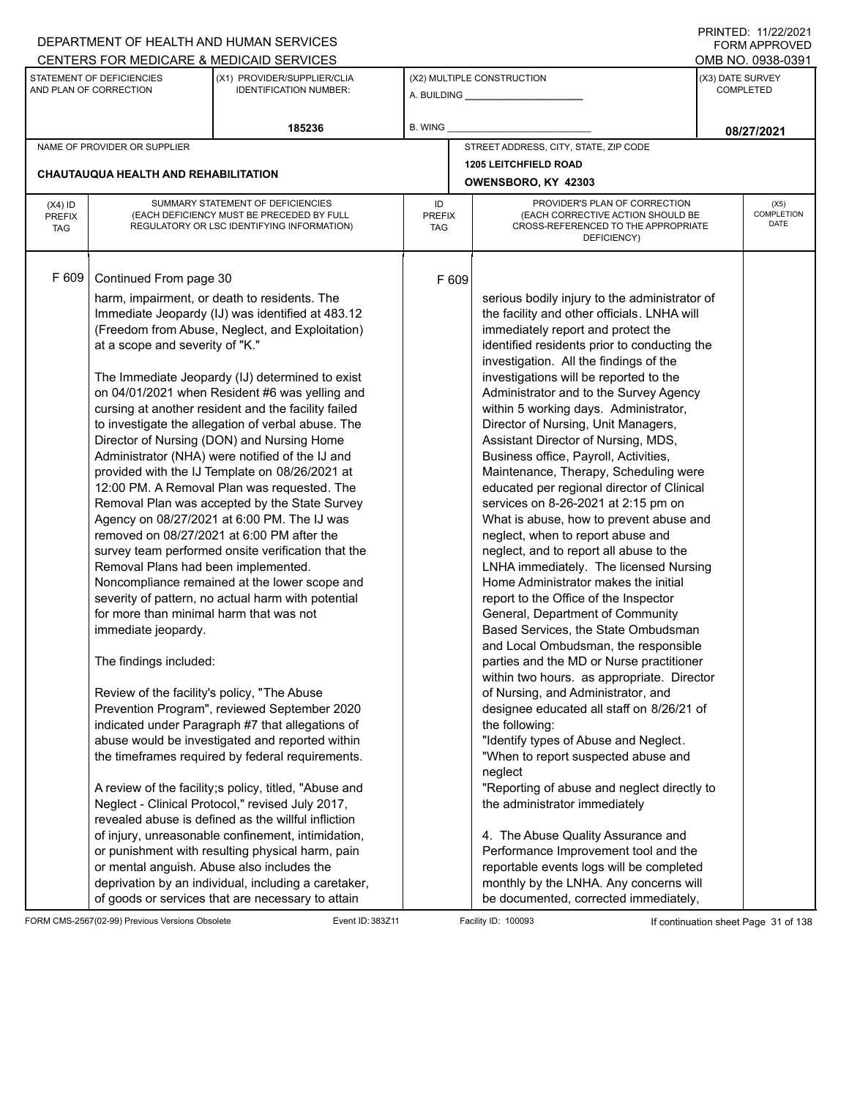|                                          |                                                                                                                                                                                                                                             | DEPARTMENT OF HEALTH AND HUMAN SERVICES<br>CENTERS FOR MEDICARE & MEDICAID SERVICES                                                                                                                                                                                                                                                                                                                                                                                                                                                                                                                                                                                                                                                                                                                                                                                                                                                                                                                                                                                                                                                                                                                                                                                                                                                                                                                                                                                                                                                    |                            |       |                                                                                                                                                                                                                                                                                                                                                                                                                                                                                                                                                                                                                                                                                                                                                                                                                                                                                                                                                                                                                                                                                                                                                                                                                                                                                                                                                                                                                                                                                                                                                                                |                  | FININILU. IIIZZIZUZI<br><b>FORM APPROVED</b><br>OMB NO. 0938-0391 |
|------------------------------------------|---------------------------------------------------------------------------------------------------------------------------------------------------------------------------------------------------------------------------------------------|----------------------------------------------------------------------------------------------------------------------------------------------------------------------------------------------------------------------------------------------------------------------------------------------------------------------------------------------------------------------------------------------------------------------------------------------------------------------------------------------------------------------------------------------------------------------------------------------------------------------------------------------------------------------------------------------------------------------------------------------------------------------------------------------------------------------------------------------------------------------------------------------------------------------------------------------------------------------------------------------------------------------------------------------------------------------------------------------------------------------------------------------------------------------------------------------------------------------------------------------------------------------------------------------------------------------------------------------------------------------------------------------------------------------------------------------------------------------------------------------------------------------------------------|----------------------------|-------|--------------------------------------------------------------------------------------------------------------------------------------------------------------------------------------------------------------------------------------------------------------------------------------------------------------------------------------------------------------------------------------------------------------------------------------------------------------------------------------------------------------------------------------------------------------------------------------------------------------------------------------------------------------------------------------------------------------------------------------------------------------------------------------------------------------------------------------------------------------------------------------------------------------------------------------------------------------------------------------------------------------------------------------------------------------------------------------------------------------------------------------------------------------------------------------------------------------------------------------------------------------------------------------------------------------------------------------------------------------------------------------------------------------------------------------------------------------------------------------------------------------------------------------------------------------------------------|------------------|-------------------------------------------------------------------|
|                                          | STATEMENT OF DEFICIENCIES<br>AND PLAN OF CORRECTION                                                                                                                                                                                         | (X1) PROVIDER/SUPPLIER/CLIA<br><b>IDENTIFICATION NUMBER:</b>                                                                                                                                                                                                                                                                                                                                                                                                                                                                                                                                                                                                                                                                                                                                                                                                                                                                                                                                                                                                                                                                                                                                                                                                                                                                                                                                                                                                                                                                           |                            |       | (X2) MULTIPLE CONSTRUCTION                                                                                                                                                                                                                                                                                                                                                                                                                                                                                                                                                                                                                                                                                                                                                                                                                                                                                                                                                                                                                                                                                                                                                                                                                                                                                                                                                                                                                                                                                                                                                     | (X3) DATE SURVEY | <b>COMPLETED</b>                                                  |
|                                          |                                                                                                                                                                                                                                             | 185236                                                                                                                                                                                                                                                                                                                                                                                                                                                                                                                                                                                                                                                                                                                                                                                                                                                                                                                                                                                                                                                                                                                                                                                                                                                                                                                                                                                                                                                                                                                                 | <b>B. WING</b>             |       |                                                                                                                                                                                                                                                                                                                                                                                                                                                                                                                                                                                                                                                                                                                                                                                                                                                                                                                                                                                                                                                                                                                                                                                                                                                                                                                                                                                                                                                                                                                                                                                |                  | 08/27/2021                                                        |
|                                          | NAME OF PROVIDER OR SUPPLIER                                                                                                                                                                                                                |                                                                                                                                                                                                                                                                                                                                                                                                                                                                                                                                                                                                                                                                                                                                                                                                                                                                                                                                                                                                                                                                                                                                                                                                                                                                                                                                                                                                                                                                                                                                        |                            |       | STREET ADDRESS, CITY, STATE, ZIP CODE                                                                                                                                                                                                                                                                                                                                                                                                                                                                                                                                                                                                                                                                                                                                                                                                                                                                                                                                                                                                                                                                                                                                                                                                                                                                                                                                                                                                                                                                                                                                          |                  |                                                                   |
|                                          | <b>CHAUTAUQUA HEALTH AND REHABILITATION</b>                                                                                                                                                                                                 |                                                                                                                                                                                                                                                                                                                                                                                                                                                                                                                                                                                                                                                                                                                                                                                                                                                                                                                                                                                                                                                                                                                                                                                                                                                                                                                                                                                                                                                                                                                                        |                            |       | <b>1205 LEITCHFIELD ROAD</b><br>OWENSBORO, KY 42303                                                                                                                                                                                                                                                                                                                                                                                                                                                                                                                                                                                                                                                                                                                                                                                                                                                                                                                                                                                                                                                                                                                                                                                                                                                                                                                                                                                                                                                                                                                            |                  |                                                                   |
| $(X4)$ ID<br><b>PREFIX</b><br><b>TAG</b> |                                                                                                                                                                                                                                             | SUMMARY STATEMENT OF DEFICIENCIES<br>(EACH DEFICIENCY MUST BE PRECEDED BY FULL<br>REGULATORY OR LSC IDENTIFYING INFORMATION)                                                                                                                                                                                                                                                                                                                                                                                                                                                                                                                                                                                                                                                                                                                                                                                                                                                                                                                                                                                                                                                                                                                                                                                                                                                                                                                                                                                                           | ID<br><b>PREFIX</b><br>TAG |       | PROVIDER'S PLAN OF CORRECTION<br>(EACH CORRECTIVE ACTION SHOULD BE<br>CROSS-REFERENCED TO THE APPROPRIATE<br>DEFICIENCY)                                                                                                                                                                                                                                                                                                                                                                                                                                                                                                                                                                                                                                                                                                                                                                                                                                                                                                                                                                                                                                                                                                                                                                                                                                                                                                                                                                                                                                                       |                  | (X5)<br><b>COMPLETION</b><br><b>DATE</b>                          |
| F 609                                    | Continued From page 30<br>at a scope and severity of "K."<br>Removal Plans had been implemented.<br>for more than minimal harm that was not<br>immediate jeopardy.<br>The findings included:<br>Review of the facility's policy, "The Abuse | harm, impairment, or death to residents. The<br>Immediate Jeopardy (IJ) was identified at 483.12<br>(Freedom from Abuse, Neglect, and Exploitation)<br>The Immediate Jeopardy (IJ) determined to exist<br>on 04/01/2021 when Resident #6 was yelling and<br>cursing at another resident and the facility failed<br>to investigate the allegation of verbal abuse. The<br>Director of Nursing (DON) and Nursing Home<br>Administrator (NHA) were notified of the IJ and<br>provided with the IJ Template on 08/26/2021 at<br>12:00 PM. A Removal Plan was requested. The<br>Removal Plan was accepted by the State Survey<br>Agency on 08/27/2021 at 6:00 PM. The IJ was<br>removed on 08/27/2021 at 6:00 PM after the<br>survey team performed onsite verification that the<br>Noncompliance remained at the lower scope and<br>severity of pattern, no actual harm with potential<br>Prevention Program", reviewed September 2020<br>indicated under Paragraph #7 that allegations of<br>abuse would be investigated and reported within<br>the timeframes required by federal requirements.<br>A review of the facility;s policy, titled, "Abuse and<br>Neglect - Clinical Protocol," revised July 2017,<br>revealed abuse is defined as the willful infliction<br>of injury, unreasonable confinement, intimidation,<br>or punishment with resulting physical harm, pain<br>or mental anguish. Abuse also includes the<br>deprivation by an individual, including a caretaker,<br>of goods or services that are necessary to attain |                            | F 609 | serious bodily injury to the administrator of<br>the facility and other officials. LNHA will<br>immediately report and protect the<br>identified residents prior to conducting the<br>investigation. All the findings of the<br>investigations will be reported to the<br>Administrator and to the Survey Agency<br>within 5 working days. Administrator,<br>Director of Nursing, Unit Managers,<br>Assistant Director of Nursing, MDS,<br>Business office, Payroll, Activities,<br>Maintenance, Therapy, Scheduling were<br>educated per regional director of Clinical<br>services on 8-26-2021 at 2:15 pm on<br>What is abuse, how to prevent abuse and<br>neglect, when to report abuse and<br>neglect, and to report all abuse to the<br>LNHA immediately. The licensed Nursing<br>Home Administrator makes the initial<br>report to the Office of the Inspector<br>General, Department of Community<br>Based Services, the State Ombudsman<br>and Local Ombudsman, the responsible<br>parties and the MD or Nurse practitioner<br>within two hours. as appropriate. Director<br>of Nursing, and Administrator, and<br>designee educated all staff on 8/26/21 of<br>the following:<br>"Identify types of Abuse and Neglect.<br>"When to report suspected abuse and<br>neglect<br>"Reporting of abuse and neglect directly to<br>the administrator immediately<br>4. The Abuse Quality Assurance and<br>Performance Improvement tool and the<br>reportable events logs will be completed<br>monthly by the LNHA. Any concerns will<br>be documented, corrected immediately, |                  |                                                                   |

FORM CMS-2567(02-99) Previous Versions Obsolete Event ID: 383Z11 Event ID: 383Z11 Facility ID: 100093 If continuation sheet Page 31 of 138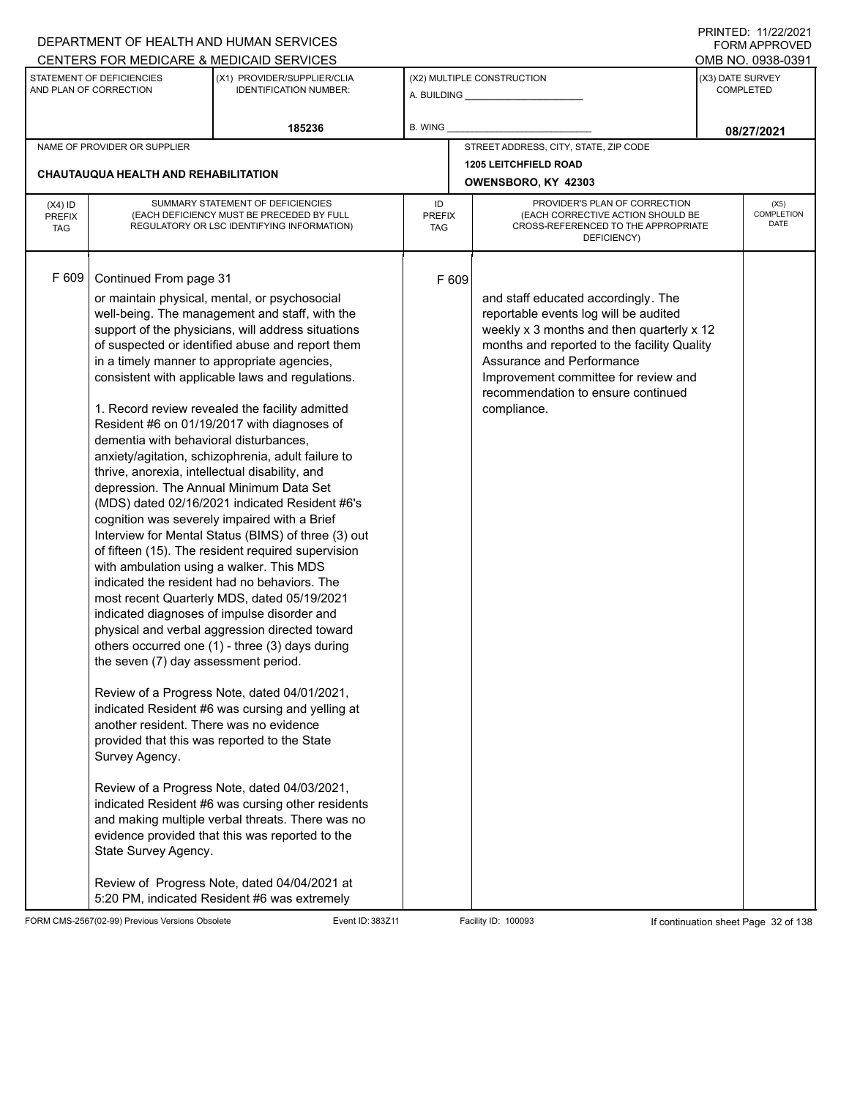|                                          |                                                                                                                                                                                                                                                                                                   | DEPARTMENT OF HEALTH AND HUMAN SERVICES                                                                                                                                                                  |                                   |       |                                                                                                                          |                                      | 111111111121112212121<br><b>FORM APPROVED</b> |
|------------------------------------------|---------------------------------------------------------------------------------------------------------------------------------------------------------------------------------------------------------------------------------------------------------------------------------------------------|----------------------------------------------------------------------------------------------------------------------------------------------------------------------------------------------------------|-----------------------------------|-------|--------------------------------------------------------------------------------------------------------------------------|--------------------------------------|-----------------------------------------------|
|                                          |                                                                                                                                                                                                                                                                                                   | CENTERS FOR MEDICARE & MEDICAID SERVICES                                                                                                                                                                 |                                   |       |                                                                                                                          |                                      | OMB NO. 0938-0391                             |
|                                          | STATEMENT OF DEFICIENCIES<br>AND PLAN OF CORRECTION                                                                                                                                                                                                                                               | (X1) PROVIDER/SUPPLIER/CLIA<br><b>IDENTIFICATION NUMBER:</b>                                                                                                                                             |                                   |       | (X2) MULTIPLE CONSTRUCTION                                                                                               | (X3) DATE SURVEY<br><b>COMPLETED</b> |                                               |
|                                          |                                                                                                                                                                                                                                                                                                   | 185236                                                                                                                                                                                                   | <b>B. WING</b>                    |       |                                                                                                                          |                                      | 08/27/2021                                    |
|                                          | NAME OF PROVIDER OR SUPPLIER                                                                                                                                                                                                                                                                      |                                                                                                                                                                                                          |                                   |       | STREET ADDRESS, CITY, STATE, ZIP CODE                                                                                    |                                      |                                               |
|                                          | CHAUTAUQUA HEALTH AND REHABILITATION                                                                                                                                                                                                                                                              |                                                                                                                                                                                                          |                                   |       | <b>1205 LEITCHFIELD ROAD</b><br>OWENSBORO, KY 42303                                                                      |                                      |                                               |
|                                          |                                                                                                                                                                                                                                                                                                   |                                                                                                                                                                                                          |                                   |       |                                                                                                                          |                                      |                                               |
| $(X4)$ ID<br><b>PREFIX</b><br><b>TAG</b> |                                                                                                                                                                                                                                                                                                   | SUMMARY STATEMENT OF DEFICIENCIES<br>(EACH DEFICIENCY MUST BE PRECEDED BY FULL<br>REGULATORY OR LSC IDENTIFYING INFORMATION)                                                                             | ID<br><b>PREFIX</b><br><b>TAG</b> |       | PROVIDER'S PLAN OF CORRECTION<br>(EACH CORRECTIVE ACTION SHOULD BE<br>CROSS-REFERENCED TO THE APPROPRIATE<br>DEFICIENCY) |                                      | (X5)<br>COMPLETION<br><b>DATE</b>             |
| F 609                                    | Continued From page 31                                                                                                                                                                                                                                                                            | or maintain physical, mental, or psychosocial<br>well-being. The management and staff, with the                                                                                                          |                                   | F 609 | and staff educated accordingly. The<br>reportable events log will be audited                                             |                                      |                                               |
|                                          |                                                                                                                                                                                                                                                                                                   | support of the physicians, will address situations<br>of suspected or identified abuse and report them                                                                                                   |                                   |       | weekly x 3 months and then quarterly x 12<br>months and reported to the facility Quality<br>Assurance and Performance    |                                      |                                               |
|                                          | in a timely manner to appropriate agencies,<br>consistent with applicable laws and regulations.<br>1. Record review revealed the facility admitted<br>Resident #6 on 01/19/2017 with diagnoses of<br>dementia with behavioral disturbances,<br>anxiety/agitation, schizophrenia, adult failure to |                                                                                                                                                                                                          |                                   |       | Improvement committee for review and<br>recommendation to ensure continued<br>compliance.                                |                                      |                                               |
|                                          |                                                                                                                                                                                                                                                                                                   |                                                                                                                                                                                                          |                                   |       |                                                                                                                          |                                      |                                               |
|                                          | thrive, anorexia, intellectual disability, and                                                                                                                                                                                                                                                    | depression. The Annual Minimum Data Set                                                                                                                                                                  |                                   |       |                                                                                                                          |                                      |                                               |
|                                          |                                                                                                                                                                                                                                                                                                   | (MDS) dated 02/16/2021 indicated Resident #6's<br>cognition was severely impaired with a Brief<br>Interview for Mental Status (BIMS) of three (3) out                                                    |                                   |       |                                                                                                                          |                                      |                                               |
|                                          | with ambulation using a walker. This MDS                                                                                                                                                                                                                                                          | of fifteen (15). The resident required supervision                                                                                                                                                       |                                   |       |                                                                                                                          |                                      |                                               |
|                                          |                                                                                                                                                                                                                                                                                                   | indicated the resident had no behaviors. The<br>most recent Quarterly MDS, dated 05/19/2021                                                                                                              |                                   |       |                                                                                                                          |                                      |                                               |
|                                          |                                                                                                                                                                                                                                                                                                   | indicated diagnoses of impulse disorder and<br>physical and verbal aggression directed toward<br>others occurred one (1) - three (3) days during                                                         |                                   |       |                                                                                                                          |                                      |                                               |
|                                          | the seven (7) day assessment period.                                                                                                                                                                                                                                                              |                                                                                                                                                                                                          |                                   |       |                                                                                                                          |                                      |                                               |
|                                          | another resident. There was no evidence                                                                                                                                                                                                                                                           | Review of a Progress Note, dated 04/01/2021,<br>indicated Resident #6 was cursing and yelling at                                                                                                         |                                   |       |                                                                                                                          |                                      |                                               |
|                                          | Survey Agency.                                                                                                                                                                                                                                                                                    | provided that this was reported to the State                                                                                                                                                             |                                   |       |                                                                                                                          |                                      |                                               |
|                                          | State Survey Agency.                                                                                                                                                                                                                                                                              | Review of a Progress Note, dated 04/03/2021,<br>indicated Resident #6 was cursing other residents<br>and making multiple verbal threats. There was no<br>evidence provided that this was reported to the |                                   |       |                                                                                                                          |                                      |                                               |
|                                          |                                                                                                                                                                                                                                                                                                   | Review of Progress Note, dated 04/04/2021 at<br>5:20 PM, indicated Resident #6 was extremely                                                                                                             |                                   |       |                                                                                                                          |                                      |                                               |

FORM CMS-2567(02-99) Previous Versions Obsolete Event ID: 383Z11 Facility ID: 100093 If continuation sheet Page 32 of 138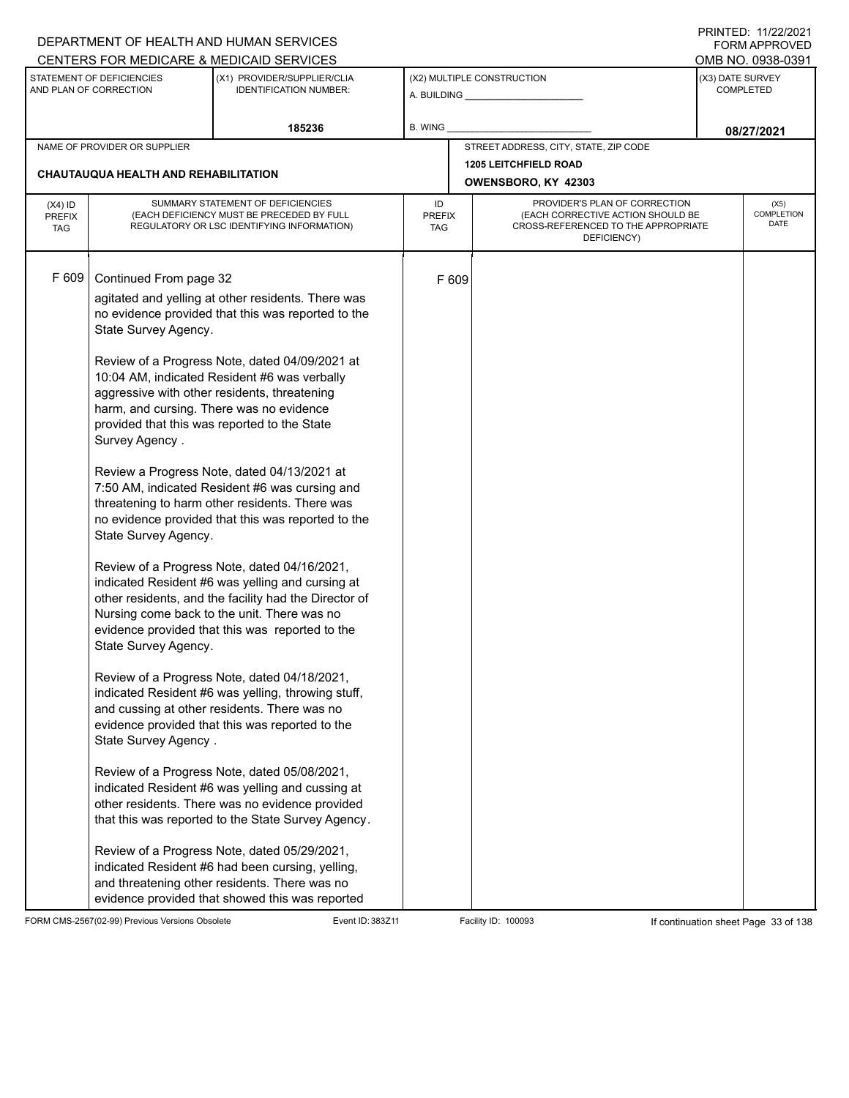| DEPARTMENT OF HEALTH AND HUMAN SERVICES                                                                                                                                                                                                                                                                                                                                                                                                                                                                                                                                                                                                                                                                                                                                                                                                                                                                                                                                                                                                                                                                                                                                                                                                                                                                                                                                                                                                                                                                                             |                                                                                         |                                              |                                                                                                                                     | $\blacksquare$<br><b>FORM APPROVED</b>                                   |
|-------------------------------------------------------------------------------------------------------------------------------------------------------------------------------------------------------------------------------------------------------------------------------------------------------------------------------------------------------------------------------------------------------------------------------------------------------------------------------------------------------------------------------------------------------------------------------------------------------------------------------------------------------------------------------------------------------------------------------------------------------------------------------------------------------------------------------------------------------------------------------------------------------------------------------------------------------------------------------------------------------------------------------------------------------------------------------------------------------------------------------------------------------------------------------------------------------------------------------------------------------------------------------------------------------------------------------------------------------------------------------------------------------------------------------------------------------------------------------------------------------------------------------------|-----------------------------------------------------------------------------------------|----------------------------------------------|-------------------------------------------------------------------------------------------------------------------------------------|--------------------------------------------------------------------------|
| CENTERS FOR MEDICARE & MEDICAID SERVICES                                                                                                                                                                                                                                                                                                                                                                                                                                                                                                                                                                                                                                                                                                                                                                                                                                                                                                                                                                                                                                                                                                                                                                                                                                                                                                                                                                                                                                                                                            |                                                                                         |                                              |                                                                                                                                     | OMB NO. 0938-0391                                                        |
| (X1) PROVIDER/SUPPLIER/CLIA<br><b>IDENTIFICATION NUMBER:</b>                                                                                                                                                                                                                                                                                                                                                                                                                                                                                                                                                                                                                                                                                                                                                                                                                                                                                                                                                                                                                                                                                                                                                                                                                                                                                                                                                                                                                                                                        |                                                                                         |                                              | (X3) DATE SURVEY<br><b>COMPLETED</b>                                                                                                |                                                                          |
| 185236                                                                                                                                                                                                                                                                                                                                                                                                                                                                                                                                                                                                                                                                                                                                                                                                                                                                                                                                                                                                                                                                                                                                                                                                                                                                                                                                                                                                                                                                                                                              | <b>B. WING</b>                                                                          |                                              |                                                                                                                                     | 08/27/2021                                                               |
|                                                                                                                                                                                                                                                                                                                                                                                                                                                                                                                                                                                                                                                                                                                                                                                                                                                                                                                                                                                                                                                                                                                                                                                                                                                                                                                                                                                                                                                                                                                                     |                                                                                         |                                              |                                                                                                                                     |                                                                          |
|                                                                                                                                                                                                                                                                                                                                                                                                                                                                                                                                                                                                                                                                                                                                                                                                                                                                                                                                                                                                                                                                                                                                                                                                                                                                                                                                                                                                                                                                                                                                     |                                                                                         |                                              |                                                                                                                                     |                                                                          |
|                                                                                                                                                                                                                                                                                                                                                                                                                                                                                                                                                                                                                                                                                                                                                                                                                                                                                                                                                                                                                                                                                                                                                                                                                                                                                                                                                                                                                                                                                                                                     |                                                                                         |                                              |                                                                                                                                     |                                                                          |
| SUMMARY STATEMENT OF DEFICIENCIES<br>(EACH DEFICIENCY MUST BE PRECEDED BY FULL<br>REGULATORY OR LSC IDENTIFYING INFORMATION)                                                                                                                                                                                                                                                                                                                                                                                                                                                                                                                                                                                                                                                                                                                                                                                                                                                                                                                                                                                                                                                                                                                                                                                                                                                                                                                                                                                                        | ID                                                                                      | PROVIDER'S PLAN OF CORRECTION<br>DEFICIENCY) |                                                                                                                                     | (X5)<br><b>COMPLETION</b><br>DATE                                        |
| Continued From page 32<br>agitated and yelling at other residents. There was<br>no evidence provided that this was reported to the<br>State Survey Agency.<br>Review of a Progress Note, dated 04/09/2021 at<br>10:04 AM, indicated Resident #6 was verbally<br>aggressive with other residents, threatening<br>harm, and cursing. There was no evidence<br>provided that this was reported to the State<br>Review a Progress Note, dated 04/13/2021 at<br>7:50 AM, indicated Resident #6 was cursing and<br>threatening to harm other residents. There was<br>no evidence provided that this was reported to the<br>State Survey Agency.<br>Review of a Progress Note, dated 04/16/2021,<br>indicated Resident #6 was yelling and cursing at<br>other residents, and the facility had the Director of<br>Nursing come back to the unit. There was no<br>evidence provided that this was reported to the<br>State Survey Agency.<br>Review of a Progress Note, dated 04/18/2021,<br>indicated Resident #6 was yelling, throwing stuff,<br>and cussing at other residents. There was no<br>evidence provided that this was reported to the<br>State Survey Agency.<br>Review of a Progress Note, dated 05/08/2021,<br>indicated Resident #6 was yelling and cussing at<br>other residents. There was no evidence provided<br>that this was reported to the State Survey Agency.<br>Review of a Progress Note, dated 05/29/2021,<br>indicated Resident #6 had been cursing, yelling,<br>and threatening other residents. There was no |                                                                                         |                                              |                                                                                                                                     |                                                                          |
|                                                                                                                                                                                                                                                                                                                                                                                                                                                                                                                                                                                                                                                                                                                                                                                                                                                                                                                                                                                                                                                                                                                                                                                                                                                                                                                                                                                                                                                                                                                                     | CHAUTAUQUA HEALTH AND REHABILITATION<br>evidence provided that showed this was reported | <b>PREFIX</b><br>TAG                         | (X2) MULTIPLE CONSTRUCTION<br>STREET ADDRESS, CITY, STATE, ZIP CODE<br><b>1205 LEITCHFIELD ROAD</b><br>OWENSBORO, KY 42303<br>F 609 | (EACH CORRECTIVE ACTION SHOULD BE<br>CROSS-REFERENCED TO THE APPROPRIATE |

FORM CMS-2567(02-99) Previous Versions Obsolete Event ID: 383Z11 Event ID: 383Z11 Facility ID: 100093 If continuation sheet Page 33 of 138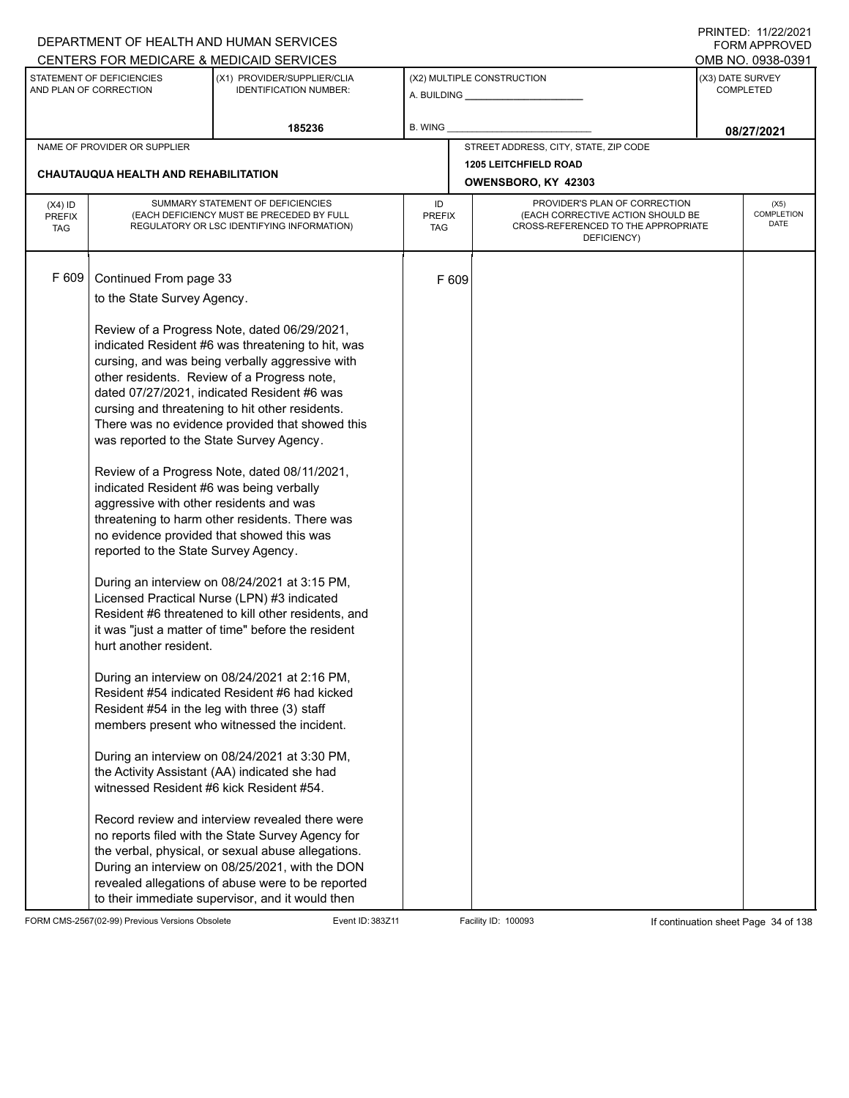|                                          |                                                                                                                                                                                                                                                   | DEPARTMENT OF HEALTH AND HUMAN SERVICES                                                                                                                                                                                                                                                                                                                                                                                                                                                                                                                                                                                                                                                                                                                                                                                |                            |       |                                                                                                                          |                                      | FORM APPROVED              |
|------------------------------------------|---------------------------------------------------------------------------------------------------------------------------------------------------------------------------------------------------------------------------------------------------|------------------------------------------------------------------------------------------------------------------------------------------------------------------------------------------------------------------------------------------------------------------------------------------------------------------------------------------------------------------------------------------------------------------------------------------------------------------------------------------------------------------------------------------------------------------------------------------------------------------------------------------------------------------------------------------------------------------------------------------------------------------------------------------------------------------------|----------------------------|-------|--------------------------------------------------------------------------------------------------------------------------|--------------------------------------|----------------------------|
|                                          |                                                                                                                                                                                                                                                   | CENTERS FOR MEDICARE & MEDICAID SERVICES                                                                                                                                                                                                                                                                                                                                                                                                                                                                                                                                                                                                                                                                                                                                                                               |                            |       |                                                                                                                          |                                      | OMB NO. 0938-0391          |
|                                          | STATEMENT OF DEFICIENCIES<br>AND PLAN OF CORRECTION                                                                                                                                                                                               | (X1) PROVIDER/SUPPLIER/CLIA<br><b>IDENTIFICATION NUMBER:</b>                                                                                                                                                                                                                                                                                                                                                                                                                                                                                                                                                                                                                                                                                                                                                           |                            |       | (X2) MULTIPLE CONSTRUCTION                                                                                               | (X3) DATE SURVEY<br><b>COMPLETED</b> |                            |
|                                          |                                                                                                                                                                                                                                                   | 185236                                                                                                                                                                                                                                                                                                                                                                                                                                                                                                                                                                                                                                                                                                                                                                                                                 | B. WING                    |       |                                                                                                                          |                                      | 08/27/2021                 |
|                                          | NAME OF PROVIDER OR SUPPLIER                                                                                                                                                                                                                      |                                                                                                                                                                                                                                                                                                                                                                                                                                                                                                                                                                                                                                                                                                                                                                                                                        |                            |       | STREET ADDRESS, CITY, STATE, ZIP CODE                                                                                    |                                      |                            |
|                                          |                                                                                                                                                                                                                                                   |                                                                                                                                                                                                                                                                                                                                                                                                                                                                                                                                                                                                                                                                                                                                                                                                                        |                            |       | <b>1205 LEITCHFIELD ROAD</b>                                                                                             |                                      |                            |
|                                          | CHAUTAUQUA HEALTH AND REHABILITATION                                                                                                                                                                                                              |                                                                                                                                                                                                                                                                                                                                                                                                                                                                                                                                                                                                                                                                                                                                                                                                                        |                            |       | OWENSBORO, KY 42303                                                                                                      |                                      |                            |
| $(X4)$ ID<br><b>PREFIX</b><br><b>TAG</b> |                                                                                                                                                                                                                                                   | SUMMARY STATEMENT OF DEFICIENCIES<br>(EACH DEFICIENCY MUST BE PRECEDED BY FULL<br>REGULATORY OR LSC IDENTIFYING INFORMATION)                                                                                                                                                                                                                                                                                                                                                                                                                                                                                                                                                                                                                                                                                           | ID<br><b>PREFIX</b><br>TAG |       | PROVIDER'S PLAN OF CORRECTION<br>(EACH CORRECTIVE ACTION SHOULD BE<br>CROSS-REFERENCED TO THE APPROPRIATE<br>DEFICIENCY) |                                      | (X5)<br>COMPLETION<br>DATE |
| F 609                                    | Continued From page 33<br>to the State Survey Agency.                                                                                                                                                                                             |                                                                                                                                                                                                                                                                                                                                                                                                                                                                                                                                                                                                                                                                                                                                                                                                                        |                            | F 609 |                                                                                                                          |                                      |                            |
|                                          | was reported to the State Survey Agency.<br>indicated Resident #6 was being verbally<br>aggressive with other residents and was<br>reported to the State Survey Agency.<br>hurt another resident.<br>Resident #54 in the leg with three (3) staff | Review of a Progress Note, dated 06/29/2021,<br>indicated Resident #6 was threatening to hit, was<br>cursing, and was being verbally aggressive with<br>other residents. Review of a Progress note,<br>dated 07/27/2021, indicated Resident #6 was<br>cursing and threatening to hit other residents.<br>There was no evidence provided that showed this<br>Review of a Progress Note, dated 08/11/2021,<br>threatening to harm other residents. There was<br>no evidence provided that showed this was<br>During an interview on 08/24/2021 at 3:15 PM,<br>Licensed Practical Nurse (LPN) #3 indicated<br>Resident #6 threatened to kill other residents, and<br>it was "just a matter of time" before the resident<br>During an interview on 08/24/2021 at 2:16 PM,<br>Resident #54 indicated Resident #6 had kicked |                            |       |                                                                                                                          |                                      |                            |
|                                          | witnessed Resident #6 kick Resident #54.                                                                                                                                                                                                          | members present who witnessed the incident.<br>During an interview on 08/24/2021 at 3:30 PM,<br>the Activity Assistant (AA) indicated she had<br>Record review and interview revealed there were<br>no reports filed with the State Survey Agency for<br>the verbal, physical, or sexual abuse allegations.<br>During an interview on 08/25/2021, with the DON<br>revealed allegations of abuse were to be reported<br>to their immediate supervisor, and it would then                                                                                                                                                                                                                                                                                                                                                |                            |       |                                                                                                                          |                                      |                            |

FORM CMS-2567(02-99) Previous Versions Obsolete Event ID: 383Z11 Event ID: 383Z11 Facility ID: 100093 If continuation sheet Page 34 of 138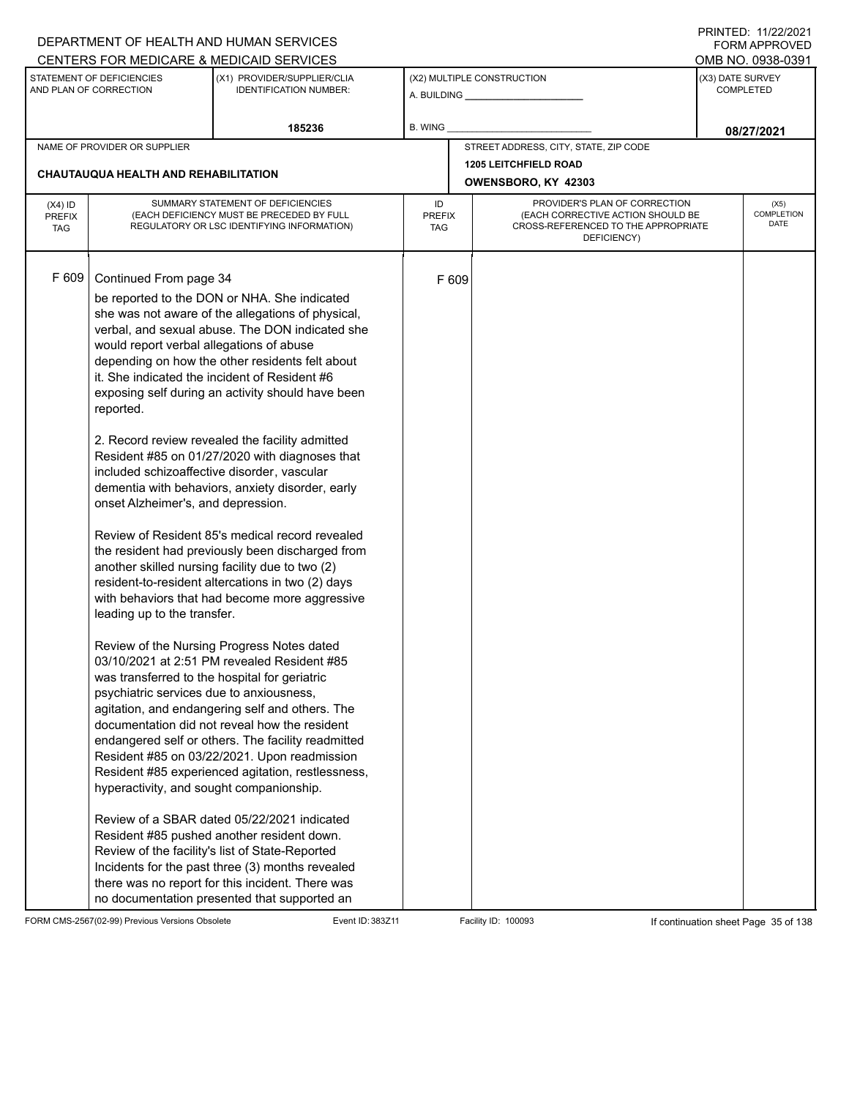|                                          |                                                                                                                                                                                                                                                                                                                                              | DEPARTMENT OF HEALTH AND HUMAN SERVICES<br>CENTERS FOR MEDICARE & MEDICAID SERVICES                                                                                                                                                                                                                                                                                                                                                                                                                                                                                                                                                                                                                                                                                                                                                                                                                                                                                                                                                                                                                                                                                                                                                                                                                                                                                                                         |                                   |       |                                                                                                                          |                                      | FININILU. IIIZZIZUZI<br><b>FORM APPROVED</b><br>OMB NO. 0938-0391 |  |
|------------------------------------------|----------------------------------------------------------------------------------------------------------------------------------------------------------------------------------------------------------------------------------------------------------------------------------------------------------------------------------------------|-------------------------------------------------------------------------------------------------------------------------------------------------------------------------------------------------------------------------------------------------------------------------------------------------------------------------------------------------------------------------------------------------------------------------------------------------------------------------------------------------------------------------------------------------------------------------------------------------------------------------------------------------------------------------------------------------------------------------------------------------------------------------------------------------------------------------------------------------------------------------------------------------------------------------------------------------------------------------------------------------------------------------------------------------------------------------------------------------------------------------------------------------------------------------------------------------------------------------------------------------------------------------------------------------------------------------------------------------------------------------------------------------------------|-----------------------------------|-------|--------------------------------------------------------------------------------------------------------------------------|--------------------------------------|-------------------------------------------------------------------|--|
|                                          | STATEMENT OF DEFICIENCIES<br>AND PLAN OF CORRECTION                                                                                                                                                                                                                                                                                          | (X1) PROVIDER/SUPPLIER/CLIA<br><b>IDENTIFICATION NUMBER:</b>                                                                                                                                                                                                                                                                                                                                                                                                                                                                                                                                                                                                                                                                                                                                                                                                                                                                                                                                                                                                                                                                                                                                                                                                                                                                                                                                                |                                   |       | (X2) MULTIPLE CONSTRUCTION                                                                                               | (X3) DATE SURVEY<br><b>COMPLETED</b> |                                                                   |  |
|                                          |                                                                                                                                                                                                                                                                                                                                              | 185236                                                                                                                                                                                                                                                                                                                                                                                                                                                                                                                                                                                                                                                                                                                                                                                                                                                                                                                                                                                                                                                                                                                                                                                                                                                                                                                                                                                                      | B. WING                           |       |                                                                                                                          | 08/27/2021                           |                                                                   |  |
|                                          | NAME OF PROVIDER OR SUPPLIER                                                                                                                                                                                                                                                                                                                 |                                                                                                                                                                                                                                                                                                                                                                                                                                                                                                                                                                                                                                                                                                                                                                                                                                                                                                                                                                                                                                                                                                                                                                                                                                                                                                                                                                                                             |                                   |       | STREET ADDRESS, CITY, STATE, ZIP CODE                                                                                    |                                      |                                                                   |  |
|                                          | <b>CHAUTAUQUA HEALTH AND REHABILITATION</b>                                                                                                                                                                                                                                                                                                  |                                                                                                                                                                                                                                                                                                                                                                                                                                                                                                                                                                                                                                                                                                                                                                                                                                                                                                                                                                                                                                                                                                                                                                                                                                                                                                                                                                                                             |                                   |       | <b>1205 LEITCHFIELD ROAD</b><br>OWENSBORO, KY 42303                                                                      |                                      |                                                                   |  |
| $(X4)$ ID<br><b>PREFIX</b><br><b>TAG</b> |                                                                                                                                                                                                                                                                                                                                              | SUMMARY STATEMENT OF DEFICIENCIES<br>(EACH DEFICIENCY MUST BE PRECEDED BY FULL<br>REGULATORY OR LSC IDENTIFYING INFORMATION)                                                                                                                                                                                                                                                                                                                                                                                                                                                                                                                                                                                                                                                                                                                                                                                                                                                                                                                                                                                                                                                                                                                                                                                                                                                                                | ID<br><b>PREFIX</b><br><b>TAG</b> |       | PROVIDER'S PLAN OF CORRECTION<br>(EACH CORRECTIVE ACTION SHOULD BE<br>CROSS-REFERENCED TO THE APPROPRIATE<br>DEFICIENCY) |                                      | (X5)<br>COMPLETION<br>DATE                                        |  |
| F 609                                    | Continued From page 34<br>would report verbal allegations of abuse<br>reported.<br>included schizoaffective disorder, vascular<br>onset Alzheimer's, and depression.<br>leading up to the transfer.<br>was transferred to the hospital for geriatric<br>psychiatric services due to anxiousness,<br>hyperactivity, and sought companionship. | be reported to the DON or NHA. She indicated<br>she was not aware of the allegations of physical,<br>verbal, and sexual abuse. The DON indicated she<br>depending on how the other residents felt about<br>it. She indicated the incident of Resident #6<br>exposing self during an activity should have been<br>2. Record review revealed the facility admitted<br>Resident #85 on 01/27/2020 with diagnoses that<br>dementia with behaviors, anxiety disorder, early<br>Review of Resident 85's medical record revealed<br>the resident had previously been discharged from<br>another skilled nursing facility due to two (2)<br>resident-to-resident altercations in two (2) days<br>with behaviors that had become more aggressive<br>Review of the Nursing Progress Notes dated<br>03/10/2021 at 2:51 PM revealed Resident #85<br>agitation, and endangering self and others. The<br>documentation did not reveal how the resident<br>endangered self or others. The facility readmitted<br>Resident #85 on 03/22/2021. Upon readmission<br>Resident #85 experienced agitation, restlessness,<br>Review of a SBAR dated 05/22/2021 indicated<br>Resident #85 pushed another resident down.<br>Review of the facility's list of State-Reported<br>Incidents for the past three (3) months revealed<br>there was no report for this incident. There was<br>no documentation presented that supported an |                                   | F 609 |                                                                                                                          |                                      |                                                                   |  |

FORM CMS-2567(02-99) Previous Versions Obsolete Event ID: 383Z11 Facility ID: 100093 If continuation sheet Page 35 of 138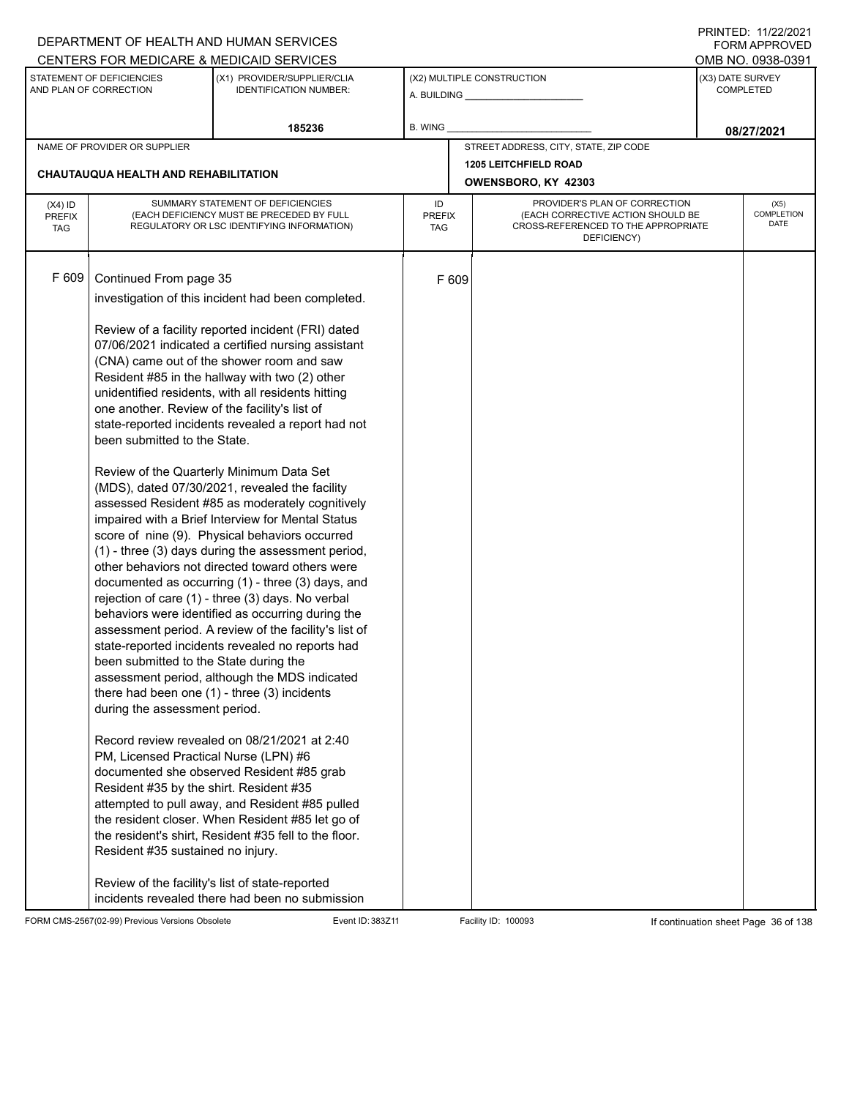|               |                                                     | DEPARTMENT OF HEALTH AND HUMAN SERVICES                                                           |               |       |                                                                          |                                      | <b>FORM APPROVED</b>      |  |
|---------------|-----------------------------------------------------|---------------------------------------------------------------------------------------------------|---------------|-------|--------------------------------------------------------------------------|--------------------------------------|---------------------------|--|
|               |                                                     | CENTERS FOR MEDICARE & MEDICAID SERVICES                                                          |               |       |                                                                          |                                      | OMB NO. 0938-0391         |  |
|               | STATEMENT OF DEFICIENCIES<br>AND PLAN OF CORRECTION | (X1) PROVIDER/SUPPLIER/CLIA<br><b>IDENTIFICATION NUMBER:</b>                                      |               |       | (X2) MULTIPLE CONSTRUCTION                                               | (X3) DATE SURVEY<br><b>COMPLETED</b> |                           |  |
|               |                                                     | 185236                                                                                            | B. WING       |       |                                                                          |                                      | 08/27/2021                |  |
|               | NAME OF PROVIDER OR SUPPLIER                        |                                                                                                   |               |       | STREET ADDRESS, CITY, STATE, ZIP CODE                                    |                                      |                           |  |
|               | CHAUTAUQUA HEALTH AND REHABILITATION                |                                                                                                   |               |       | <b>1205 LEITCHFIELD ROAD</b>                                             |                                      |                           |  |
|               |                                                     |                                                                                                   |               |       | OWENSBORO, KY 42303                                                      |                                      |                           |  |
| $(X4)$ ID     |                                                     | SUMMARY STATEMENT OF DEFICIENCIES                                                                 | ID            |       | PROVIDER'S PLAN OF CORRECTION                                            |                                      | (X5)                      |  |
| <b>PREFIX</b> |                                                     | (EACH DEFICIENCY MUST BE PRECEDED BY FULL                                                         | <b>PREFIX</b> |       | (EACH CORRECTIVE ACTION SHOULD BE<br>CROSS-REFERENCED TO THE APPROPRIATE |                                      | <b>COMPLETION</b><br>DATE |  |
| <b>TAG</b>    |                                                     | REGULATORY OR LSC IDENTIFYING INFORMATION)                                                        | TAG           |       | DEFICIENCY)                                                              |                                      |                           |  |
|               |                                                     |                                                                                                   |               |       |                                                                          |                                      |                           |  |
| F 609         | Continued From page 35                              |                                                                                                   |               | F 609 |                                                                          |                                      |                           |  |
|               |                                                     |                                                                                                   |               |       |                                                                          |                                      |                           |  |
|               |                                                     | investigation of this incident had been completed.                                                |               |       |                                                                          |                                      |                           |  |
|               |                                                     | Review of a facility reported incident (FRI) dated                                                |               |       |                                                                          |                                      |                           |  |
|               |                                                     | 07/06/2021 indicated a certified nursing assistant                                                |               |       |                                                                          |                                      |                           |  |
|               |                                                     | (CNA) came out of the shower room and saw                                                         |               |       |                                                                          |                                      |                           |  |
|               |                                                     | Resident #85 in the hallway with two (2) other                                                    |               |       |                                                                          |                                      |                           |  |
|               |                                                     | unidentified residents, with all residents hitting                                                |               |       |                                                                          |                                      |                           |  |
|               | one another. Review of the facility's list of       |                                                                                                   |               |       |                                                                          |                                      |                           |  |
|               |                                                     | state-reported incidents revealed a report had not                                                |               |       |                                                                          |                                      |                           |  |
|               | been submitted to the State.                        |                                                                                                   |               |       |                                                                          |                                      |                           |  |
|               |                                                     |                                                                                                   |               |       |                                                                          |                                      |                           |  |
|               |                                                     | Review of the Quarterly Minimum Data Set<br>(MDS), dated 07/30/2021, revealed the facility        |               |       |                                                                          |                                      |                           |  |
|               |                                                     | assessed Resident #85 as moderately cognitively                                                   |               |       |                                                                          |                                      |                           |  |
|               |                                                     | impaired with a Brief Interview for Mental Status                                                 |               |       |                                                                          |                                      |                           |  |
|               |                                                     | score of nine (9). Physical behaviors occurred                                                    |               |       |                                                                          |                                      |                           |  |
|               |                                                     | (1) - three (3) days during the assessment period,                                                |               |       |                                                                          |                                      |                           |  |
|               |                                                     | other behaviors not directed toward others were                                                   |               |       |                                                                          |                                      |                           |  |
|               |                                                     | documented as occurring (1) - three (3) days, and                                                 |               |       |                                                                          |                                      |                           |  |
|               |                                                     | rejection of care (1) - three (3) days. No verbal                                                 |               |       |                                                                          |                                      |                           |  |
|               |                                                     | behaviors were identified as occurring during the                                                 |               |       |                                                                          |                                      |                           |  |
|               |                                                     | assessment period. A review of the facility's list of                                             |               |       |                                                                          |                                      |                           |  |
|               |                                                     | state-reported incidents revealed no reports had                                                  |               |       |                                                                          |                                      |                           |  |
|               | been submitted to the State during the              |                                                                                                   |               |       |                                                                          |                                      |                           |  |
|               |                                                     | assessment period, although the MDS indicated<br>there had been one $(1)$ - three $(3)$ incidents |               |       |                                                                          |                                      |                           |  |
|               | during the assessment period.                       |                                                                                                   |               |       |                                                                          |                                      |                           |  |
|               |                                                     |                                                                                                   |               |       |                                                                          |                                      |                           |  |
|               |                                                     | Record review revealed on 08/21/2021 at 2:40                                                      |               |       |                                                                          |                                      |                           |  |
|               | PM, Licensed Practical Nurse (LPN) #6               |                                                                                                   |               |       |                                                                          |                                      |                           |  |
|               |                                                     | documented she observed Resident #85 grab                                                         |               |       |                                                                          |                                      |                           |  |
|               | Resident #35 by the shirt. Resident #35             |                                                                                                   |               |       |                                                                          |                                      |                           |  |
|               |                                                     | attempted to pull away, and Resident #85 pulled                                                   |               |       |                                                                          |                                      |                           |  |
|               |                                                     | the resident closer. When Resident #85 let go of                                                  |               |       |                                                                          |                                      |                           |  |
|               |                                                     | the resident's shirt, Resident #35 fell to the floor.                                             |               |       |                                                                          |                                      |                           |  |
|               | Resident #35 sustained no injury.                   |                                                                                                   |               |       |                                                                          |                                      |                           |  |
|               |                                                     | Review of the facility's list of state-reported                                                   |               |       |                                                                          |                                      |                           |  |
|               |                                                     | incidents revealed there had been no submission                                                   |               |       |                                                                          |                                      |                           |  |

FORM CMS-2567(02-99) Previous Versions Obsolete Event ID: 383Z11 Event ID: 383Z11 Facility ID: 100093 If continuation sheet Page 36 of 138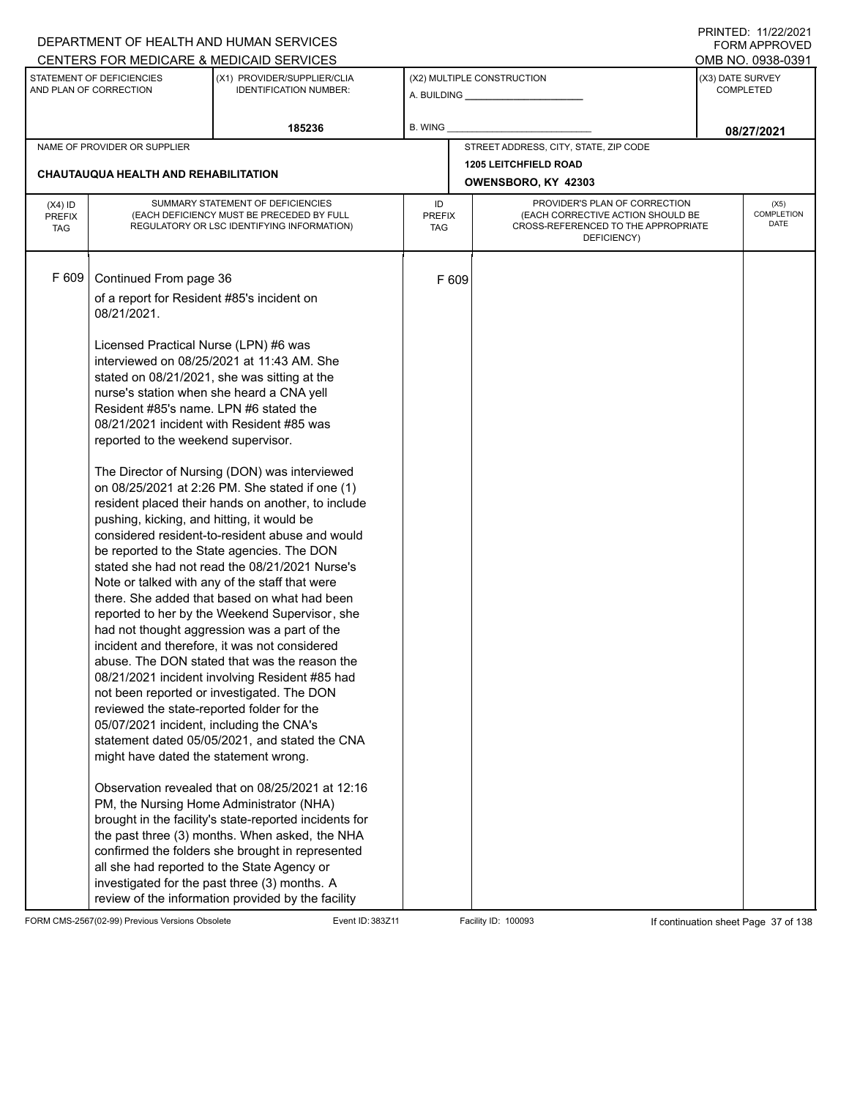|                                          |                                                                                                                                                                                                                                                                                                                                                                                                                                             | DEPARTMENT OF HEALTH AND HUMAN SERVICES                                                                                                                                                                                                                                                                                                                                                                                                                                                                                                                                                                                                                                                                                                                                                                                                                                                                                                                                                                                                                                                                                                                                                                                     |                            |       |                                                                                                                          |                                      | I INITILD. III <i>LLIL</i> VLI<br>FORM APPROVED |  |
|------------------------------------------|---------------------------------------------------------------------------------------------------------------------------------------------------------------------------------------------------------------------------------------------------------------------------------------------------------------------------------------------------------------------------------------------------------------------------------------------|-----------------------------------------------------------------------------------------------------------------------------------------------------------------------------------------------------------------------------------------------------------------------------------------------------------------------------------------------------------------------------------------------------------------------------------------------------------------------------------------------------------------------------------------------------------------------------------------------------------------------------------------------------------------------------------------------------------------------------------------------------------------------------------------------------------------------------------------------------------------------------------------------------------------------------------------------------------------------------------------------------------------------------------------------------------------------------------------------------------------------------------------------------------------------------------------------------------------------------|----------------------------|-------|--------------------------------------------------------------------------------------------------------------------------|--------------------------------------|-------------------------------------------------|--|
|                                          |                                                                                                                                                                                                                                                                                                                                                                                                                                             | CENTERS FOR MEDICARE & MEDICAID SERVICES                                                                                                                                                                                                                                                                                                                                                                                                                                                                                                                                                                                                                                                                                                                                                                                                                                                                                                                                                                                                                                                                                                                                                                                    |                            |       |                                                                                                                          |                                      | OMB NO. 0938-0391                               |  |
|                                          | STATEMENT OF DEFICIENCIES<br>AND PLAN OF CORRECTION                                                                                                                                                                                                                                                                                                                                                                                         | (X1) PROVIDER/SUPPLIER/CLIA<br><b>IDENTIFICATION NUMBER:</b>                                                                                                                                                                                                                                                                                                                                                                                                                                                                                                                                                                                                                                                                                                                                                                                                                                                                                                                                                                                                                                                                                                                                                                |                            |       | (X2) MULTIPLE CONSTRUCTION<br>A. BUILDING <b>A.</b> BUILDING                                                             | (X3) DATE SURVEY<br><b>COMPLETED</b> |                                                 |  |
|                                          |                                                                                                                                                                                                                                                                                                                                                                                                                                             | 185236                                                                                                                                                                                                                                                                                                                                                                                                                                                                                                                                                                                                                                                                                                                                                                                                                                                                                                                                                                                                                                                                                                                                                                                                                      | B. WING                    |       |                                                                                                                          |                                      | 08/27/2021                                      |  |
|                                          | NAME OF PROVIDER OR SUPPLIER                                                                                                                                                                                                                                                                                                                                                                                                                |                                                                                                                                                                                                                                                                                                                                                                                                                                                                                                                                                                                                                                                                                                                                                                                                                                                                                                                                                                                                                                                                                                                                                                                                                             |                            |       | STREET ADDRESS, CITY, STATE, ZIP CODE                                                                                    |                                      |                                                 |  |
|                                          |                                                                                                                                                                                                                                                                                                                                                                                                                                             |                                                                                                                                                                                                                                                                                                                                                                                                                                                                                                                                                                                                                                                                                                                                                                                                                                                                                                                                                                                                                                                                                                                                                                                                                             |                            |       | <b>1205 LEITCHFIELD ROAD</b>                                                                                             |                                      |                                                 |  |
|                                          | CHAUTAUQUA HEALTH AND REHABILITATION                                                                                                                                                                                                                                                                                                                                                                                                        |                                                                                                                                                                                                                                                                                                                                                                                                                                                                                                                                                                                                                                                                                                                                                                                                                                                                                                                                                                                                                                                                                                                                                                                                                             |                            |       | OWENSBORO, KY 42303                                                                                                      |                                      |                                                 |  |
| $(X4)$ ID<br><b>PREFIX</b><br><b>TAG</b> |                                                                                                                                                                                                                                                                                                                                                                                                                                             | SUMMARY STATEMENT OF DEFICIENCIES<br>(EACH DEFICIENCY MUST BE PRECEDED BY FULL<br>REGULATORY OR LSC IDENTIFYING INFORMATION)                                                                                                                                                                                                                                                                                                                                                                                                                                                                                                                                                                                                                                                                                                                                                                                                                                                                                                                                                                                                                                                                                                | ID<br><b>PREFIX</b><br>TAG |       | PROVIDER'S PLAN OF CORRECTION<br>(EACH CORRECTIVE ACTION SHOULD BE<br>CROSS-REFERENCED TO THE APPROPRIATE<br>DEFICIENCY) |                                      | (X5)<br>COMPLETION<br>DATE                      |  |
| F 609                                    | Continued From page 36<br>of a report for Resident #85's incident on<br>08/21/2021.<br>Licensed Practical Nurse (LPN) #6 was<br>nurse's station when she heard a CNA yell<br>Resident #85's name. LPN #6 stated the<br>reported to the weekend supervisor.<br>pushing, kicking, and hitting, it would be<br>reviewed the state-reported folder for the<br>05/07/2021 incident, including the CNA's<br>might have dated the statement wrong. | interviewed on 08/25/2021 at 11:43 AM. She<br>stated on 08/21/2021, she was sitting at the<br>08/21/2021 incident with Resident #85 was<br>The Director of Nursing (DON) was interviewed<br>on 08/25/2021 at 2:26 PM. She stated if one (1)<br>resident placed their hands on another, to include<br>considered resident-to-resident abuse and would<br>be reported to the State agencies. The DON<br>stated she had not read the 08/21/2021 Nurse's<br>Note or talked with any of the staff that were<br>there. She added that based on what had been<br>reported to her by the Weekend Supervisor, she<br>had not thought aggression was a part of the<br>incident and therefore, it was not considered<br>abuse. The DON stated that was the reason the<br>08/21/2021 incident involving Resident #85 had<br>not been reported or investigated. The DON<br>statement dated 05/05/2021, and stated the CNA<br>Observation revealed that on 08/25/2021 at 12:16<br>PM, the Nursing Home Administrator (NHA)<br>brought in the facility's state-reported incidents for<br>the past three (3) months. When asked, the NHA<br>confirmed the folders she brought in represented<br>all she had reported to the State Agency or |                            | F 609 |                                                                                                                          |                                      |                                                 |  |
|                                          |                                                                                                                                                                                                                                                                                                                                                                                                                                             | investigated for the past three (3) months. A<br>review of the information provided by the facility                                                                                                                                                                                                                                                                                                                                                                                                                                                                                                                                                                                                                                                                                                                                                                                                                                                                                                                                                                                                                                                                                                                         |                            |       |                                                                                                                          |                                      |                                                 |  |

FORM CMS-2567(02-99) Previous Versions Obsolete Event ID: 383Z11 Event ID: 383Z11 Facility ID: 100093 If continuation sheet Page 37 of 138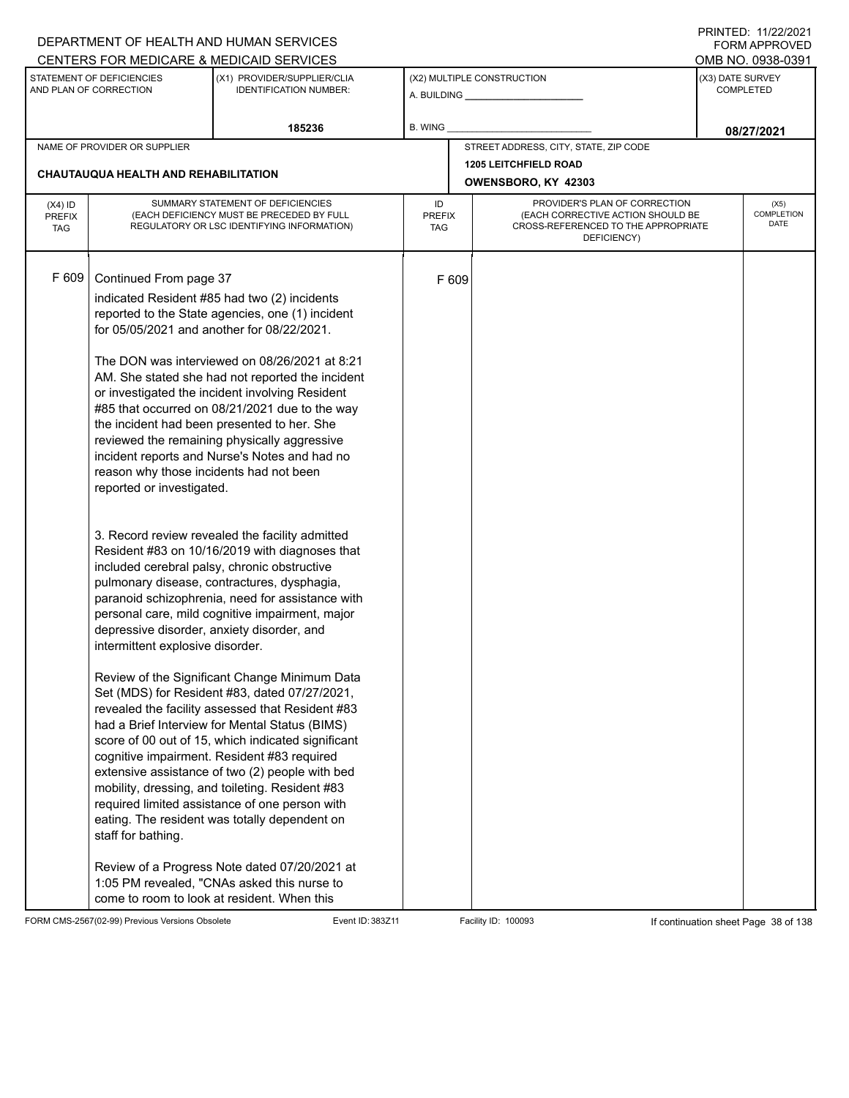|                                          |                                                                                                                                                                                  | DEPARTMENT OF HEALTH AND HUMAN SERVICES                                                                                                                                                                                                                                                                                                                                                                                                                                                                                                                                                                                                                                                                                                                                                                                                                                                                                                                                                                                                                                                                                                                                                                                                                                                  |                                                                                                                                                        |       |                                                     |                                      | $\blacksquare$<br><b>FORM APPROVED</b> |  |
|------------------------------------------|----------------------------------------------------------------------------------------------------------------------------------------------------------------------------------|------------------------------------------------------------------------------------------------------------------------------------------------------------------------------------------------------------------------------------------------------------------------------------------------------------------------------------------------------------------------------------------------------------------------------------------------------------------------------------------------------------------------------------------------------------------------------------------------------------------------------------------------------------------------------------------------------------------------------------------------------------------------------------------------------------------------------------------------------------------------------------------------------------------------------------------------------------------------------------------------------------------------------------------------------------------------------------------------------------------------------------------------------------------------------------------------------------------------------------------------------------------------------------------|--------------------------------------------------------------------------------------------------------------------------------------------------------|-------|-----------------------------------------------------|--------------------------------------|----------------------------------------|--|
|                                          |                                                                                                                                                                                  | CENTERS FOR MEDICARE & MEDICAID SERVICES                                                                                                                                                                                                                                                                                                                                                                                                                                                                                                                                                                                                                                                                                                                                                                                                                                                                                                                                                                                                                                                                                                                                                                                                                                                 |                                                                                                                                                        |       |                                                     |                                      | OMB NO. 0938-0391                      |  |
|                                          | STATEMENT OF DEFICIENCIES<br>AND PLAN OF CORRECTION                                                                                                                              | (X1) PROVIDER/SUPPLIER/CLIA<br><b>IDENTIFICATION NUMBER:</b>                                                                                                                                                                                                                                                                                                                                                                                                                                                                                                                                                                                                                                                                                                                                                                                                                                                                                                                                                                                                                                                                                                                                                                                                                             |                                                                                                                                                        |       | (X2) MULTIPLE CONSTRUCTION                          | (X3) DATE SURVEY<br><b>COMPLETED</b> |                                        |  |
|                                          |                                                                                                                                                                                  | 185236                                                                                                                                                                                                                                                                                                                                                                                                                                                                                                                                                                                                                                                                                                                                                                                                                                                                                                                                                                                                                                                                                                                                                                                                                                                                                   | <b>B. WING</b>                                                                                                                                         |       |                                                     |                                      | 08/27/2021                             |  |
|                                          | NAME OF PROVIDER OR SUPPLIER                                                                                                                                                     |                                                                                                                                                                                                                                                                                                                                                                                                                                                                                                                                                                                                                                                                                                                                                                                                                                                                                                                                                                                                                                                                                                                                                                                                                                                                                          |                                                                                                                                                        |       | STREET ADDRESS, CITY, STATE, ZIP CODE               |                                      |                                        |  |
|                                          | CHAUTAUQUA HEALTH AND REHABILITATION                                                                                                                                             |                                                                                                                                                                                                                                                                                                                                                                                                                                                                                                                                                                                                                                                                                                                                                                                                                                                                                                                                                                                                                                                                                                                                                                                                                                                                                          |                                                                                                                                                        |       | <b>1205 LEITCHFIELD ROAD</b><br>OWENSBORO, KY 42303 |                                      |                                        |  |
| $(X4)$ ID<br><b>PREFIX</b><br><b>TAG</b> |                                                                                                                                                                                  | SUMMARY STATEMENT OF DEFICIENCIES<br>(EACH DEFICIENCY MUST BE PRECEDED BY FULL<br>REGULATORY OR LSC IDENTIFYING INFORMATION)                                                                                                                                                                                                                                                                                                                                                                                                                                                                                                                                                                                                                                                                                                                                                                                                                                                                                                                                                                                                                                                                                                                                                             | PROVIDER'S PLAN OF CORRECTION<br>ID<br>(EACH CORRECTIVE ACTION SHOULD BE<br><b>PREFIX</b><br>CROSS-REFERENCED TO THE APPROPRIATE<br>TAG<br>DEFICIENCY) |       |                                                     |                                      | (X5)<br><b>COMPLETION</b><br>DATE      |  |
| F 609                                    | Continued From page 37<br>reason why those incidents had not been<br>reported or investigated.<br>depressive disorder, anxiety disorder, and<br>intermittent explosive disorder. | indicated Resident #85 had two (2) incidents<br>reported to the State agencies, one (1) incident<br>for 05/05/2021 and another for 08/22/2021.<br>The DON was interviewed on 08/26/2021 at 8:21<br>AM. She stated she had not reported the incident<br>or investigated the incident involving Resident<br>#85 that occurred on 08/21/2021 due to the way<br>the incident had been presented to her. She<br>reviewed the remaining physically aggressive<br>incident reports and Nurse's Notes and had no<br>3. Record review revealed the facility admitted<br>Resident #83 on 10/16/2019 with diagnoses that<br>included cerebral palsy, chronic obstructive<br>pulmonary disease, contractures, dysphagia,<br>paranoid schizophrenia, need for assistance with<br>personal care, mild cognitive impairment, major<br>Review of the Significant Change Minimum Data<br>Set (MDS) for Resident #83, dated 07/27/2021,<br>revealed the facility assessed that Resident #83<br>had a Brief Interview for Mental Status (BIMS)<br>score of 00 out of 15, which indicated significant<br>cognitive impairment. Resident #83 required<br>extensive assistance of two (2) people with bed<br>mobility, dressing, and toileting. Resident #83<br>required limited assistance of one person with |                                                                                                                                                        | F 609 |                                                     |                                      |                                        |  |
|                                          | staff for bathing.                                                                                                                                                               | eating. The resident was totally dependent on<br>Review of a Progress Note dated 07/20/2021 at<br>1:05 PM revealed, "CNAs asked this nurse to<br>come to room to look at resident. When this                                                                                                                                                                                                                                                                                                                                                                                                                                                                                                                                                                                                                                                                                                                                                                                                                                                                                                                                                                                                                                                                                             |                                                                                                                                                        |       |                                                     |                                      |                                        |  |

FORM CMS-2567(02-99) Previous Versions Obsolete Event ID: 383Z11 Event ID: 383Z11 Facility ID: 100093 If continuation sheet Page 38 of 138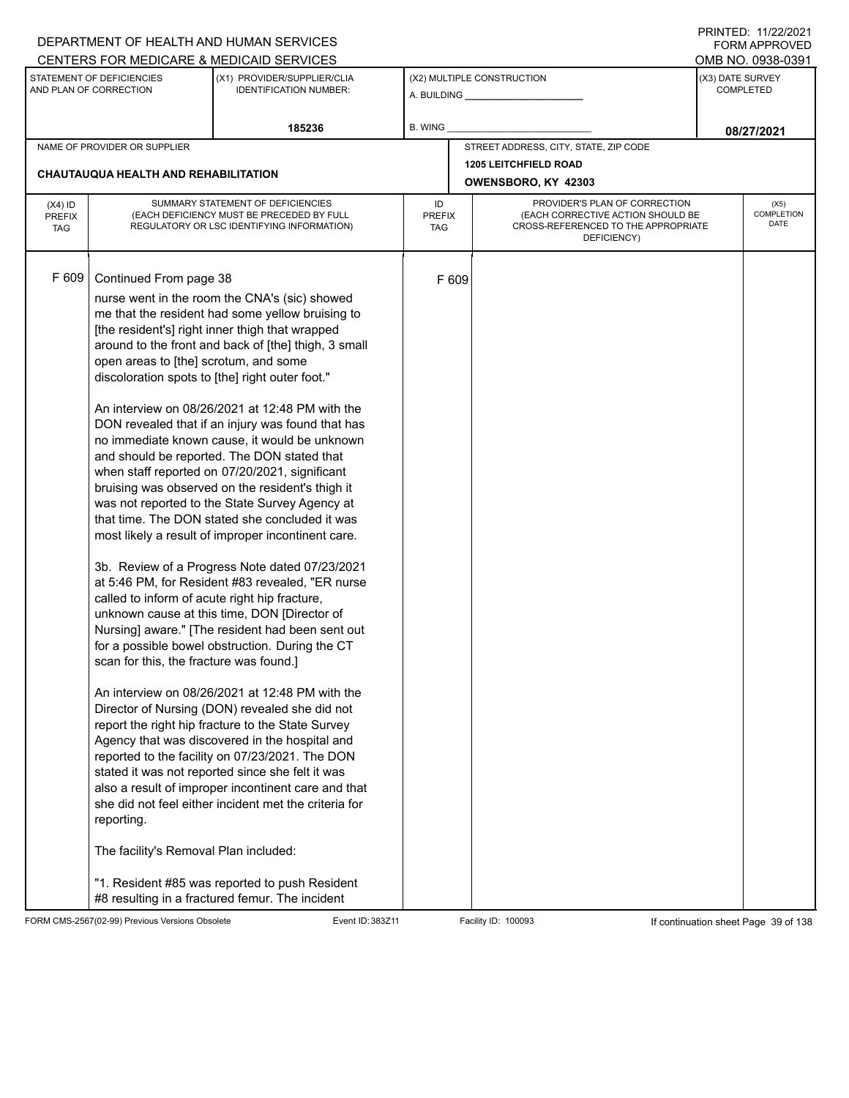|                                          |                                                                                                                                                                                                                                                                       | DEPARTMENT OF HEALTH AND HUMAN SERVICES                                                                                                                                                                                                                                                                                                                                                                                                                                                                                                                                                                                                                                                                                                                                                                                                                                                                                                                                                                                                                                                                                                                                                                                                                                                                                                                                                                                                                                                   |                            |                                                                                                                                               |                                                     |                  | $1 \times 1 \times 1 = 1$ . $11222222$<br><b>FORM APPROVED</b> |
|------------------------------------------|-----------------------------------------------------------------------------------------------------------------------------------------------------------------------------------------------------------------------------------------------------------------------|-------------------------------------------------------------------------------------------------------------------------------------------------------------------------------------------------------------------------------------------------------------------------------------------------------------------------------------------------------------------------------------------------------------------------------------------------------------------------------------------------------------------------------------------------------------------------------------------------------------------------------------------------------------------------------------------------------------------------------------------------------------------------------------------------------------------------------------------------------------------------------------------------------------------------------------------------------------------------------------------------------------------------------------------------------------------------------------------------------------------------------------------------------------------------------------------------------------------------------------------------------------------------------------------------------------------------------------------------------------------------------------------------------------------------------------------------------------------------------------------|----------------------------|-----------------------------------------------------------------------------------------------------------------------------------------------|-----------------------------------------------------|------------------|----------------------------------------------------------------|
|                                          |                                                                                                                                                                                                                                                                       | CENTERS FOR MEDICARE & MEDICAID SERVICES                                                                                                                                                                                                                                                                                                                                                                                                                                                                                                                                                                                                                                                                                                                                                                                                                                                                                                                                                                                                                                                                                                                                                                                                                                                                                                                                                                                                                                                  |                            |                                                                                                                                               |                                                     |                  | OMB NO. 0938-0391                                              |
|                                          | STATEMENT OF DEFICIENCIES<br>AND PLAN OF CORRECTION                                                                                                                                                                                                                   | (X1) PROVIDER/SUPPLIER/CLIA<br><b>IDENTIFICATION NUMBER:</b>                                                                                                                                                                                                                                                                                                                                                                                                                                                                                                                                                                                                                                                                                                                                                                                                                                                                                                                                                                                                                                                                                                                                                                                                                                                                                                                                                                                                                              |                            |                                                                                                                                               | (X2) MULTIPLE CONSTRUCTION                          | (X3) DATE SURVEY | <b>COMPLETED</b>                                               |
|                                          |                                                                                                                                                                                                                                                                       | 185236                                                                                                                                                                                                                                                                                                                                                                                                                                                                                                                                                                                                                                                                                                                                                                                                                                                                                                                                                                                                                                                                                                                                                                                                                                                                                                                                                                                                                                                                                    | B. WING                    |                                                                                                                                               |                                                     |                  | 08/27/2021                                                     |
|                                          | NAME OF PROVIDER OR SUPPLIER                                                                                                                                                                                                                                          |                                                                                                                                                                                                                                                                                                                                                                                                                                                                                                                                                                                                                                                                                                                                                                                                                                                                                                                                                                                                                                                                                                                                                                                                                                                                                                                                                                                                                                                                                           |                            |                                                                                                                                               | STREET ADDRESS, CITY, STATE, ZIP CODE               |                  |                                                                |
|                                          | CHAUTAUQUA HEALTH AND REHABILITATION                                                                                                                                                                                                                                  |                                                                                                                                                                                                                                                                                                                                                                                                                                                                                                                                                                                                                                                                                                                                                                                                                                                                                                                                                                                                                                                                                                                                                                                                                                                                                                                                                                                                                                                                                           |                            |                                                                                                                                               | <b>1205 LEITCHFIELD ROAD</b><br>OWENSBORO, KY 42303 |                  |                                                                |
| $(X4)$ ID<br><b>PREFIX</b><br><b>TAG</b> |                                                                                                                                                                                                                                                                       | SUMMARY STATEMENT OF DEFICIENCIES<br>(EACH DEFICIENCY MUST BE PRECEDED BY FULL<br>REGULATORY OR LSC IDENTIFYING INFORMATION)                                                                                                                                                                                                                                                                                                                                                                                                                                                                                                                                                                                                                                                                                                                                                                                                                                                                                                                                                                                                                                                                                                                                                                                                                                                                                                                                                              | ID<br><b>PREFIX</b><br>TAG | PROVIDER'S PLAN OF CORRECTION<br><b>COMPLETION</b><br>(EACH CORRECTIVE ACTION SHOULD BE<br>CROSS-REFERENCED TO THE APPROPRIATE<br>DEFICIENCY) |                                                     |                  |                                                                |
| F 609                                    | Continued From page 38<br>open areas to [the] scrotum, and some<br>discoloration spots to [the] right outer foot."<br>called to inform of acute right hip fracture,<br>scan for this, the fracture was found.]<br>reporting.<br>The facility's Removal Plan included: | nurse went in the room the CNA's (sic) showed<br>me that the resident had some yellow bruising to<br>[the resident's] right inner thigh that wrapped<br>around to the front and back of [the] thigh, 3 small<br>An interview on 08/26/2021 at 12:48 PM with the<br>DON revealed that if an injury was found that has<br>no immediate known cause, it would be unknown<br>and should be reported. The DON stated that<br>when staff reported on 07/20/2021, significant<br>bruising was observed on the resident's thigh it<br>was not reported to the State Survey Agency at<br>that time. The DON stated she concluded it was<br>most likely a result of improper incontinent care.<br>3b. Review of a Progress Note dated 07/23/2021<br>at 5:46 PM, for Resident #83 revealed, "ER nurse<br>unknown cause at this time, DON [Director of<br>Nursing] aware." [The resident had been sent out<br>for a possible bowel obstruction. During the CT<br>An interview on 08/26/2021 at 12:48 PM with the<br>Director of Nursing (DON) revealed she did not<br>report the right hip fracture to the State Survey<br>Agency that was discovered in the hospital and<br>reported to the facility on 07/23/2021. The DON<br>stated it was not reported since she felt it was<br>also a result of improper incontinent care and that<br>she did not feel either incident met the criteria for<br>"1. Resident #85 was reported to push Resident<br>#8 resulting in a fractured femur. The incident |                            | F 609                                                                                                                                         |                                                     |                  |                                                                |

FORM CMS-2567(02-99) Previous Versions Obsolete Event ID: 383Z11 Facility ID: 100093 If continuation sheet Page 39 of 138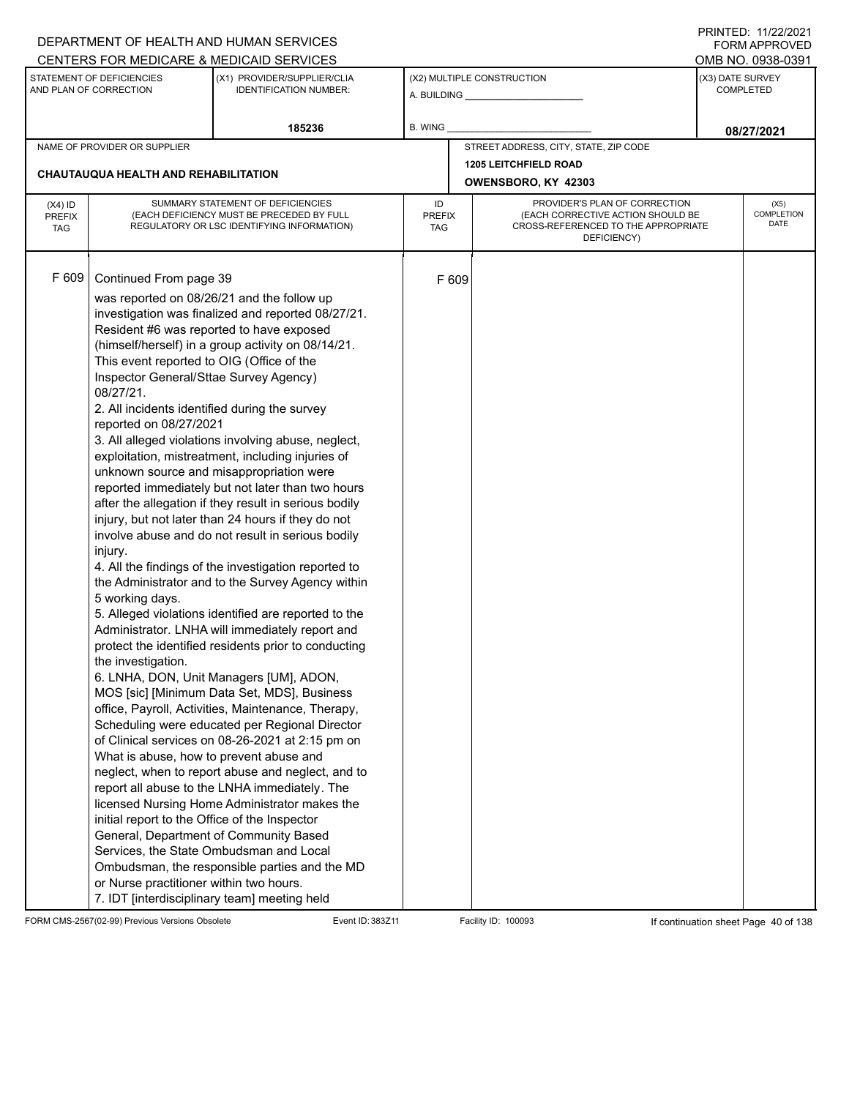|                                          |                                                                                                                                                                                                                                                                                                                                                                                                                                                                                                                                                                                   | DEPARTMENT OF HEALTH AND HUMAN SERVICES                                                                                                                                                                                                                                                                                                                                                                                                                                                                                                                                                                                                                                                                                                                                                                                                                                                                                                                                                                                                                                                                                                                                                                                                                                               |                            |       |                                                                                                                          |                                      | 11111111122.1112212021<br><b>FORM APPROVED</b> |  |
|------------------------------------------|-----------------------------------------------------------------------------------------------------------------------------------------------------------------------------------------------------------------------------------------------------------------------------------------------------------------------------------------------------------------------------------------------------------------------------------------------------------------------------------------------------------------------------------------------------------------------------------|---------------------------------------------------------------------------------------------------------------------------------------------------------------------------------------------------------------------------------------------------------------------------------------------------------------------------------------------------------------------------------------------------------------------------------------------------------------------------------------------------------------------------------------------------------------------------------------------------------------------------------------------------------------------------------------------------------------------------------------------------------------------------------------------------------------------------------------------------------------------------------------------------------------------------------------------------------------------------------------------------------------------------------------------------------------------------------------------------------------------------------------------------------------------------------------------------------------------------------------------------------------------------------------|----------------------------|-------|--------------------------------------------------------------------------------------------------------------------------|--------------------------------------|------------------------------------------------|--|
|                                          |                                                                                                                                                                                                                                                                                                                                                                                                                                                                                                                                                                                   | CENTERS FOR MEDICARE & MEDICAID SERVICES                                                                                                                                                                                                                                                                                                                                                                                                                                                                                                                                                                                                                                                                                                                                                                                                                                                                                                                                                                                                                                                                                                                                                                                                                                              |                            |       |                                                                                                                          |                                      | OMB NO. 0938-0391                              |  |
|                                          | STATEMENT OF DEFICIENCIES<br>AND PLAN OF CORRECTION                                                                                                                                                                                                                                                                                                                                                                                                                                                                                                                               | (X1) PROVIDER/SUPPLIER/CLIA<br><b>IDENTIFICATION NUMBER:</b>                                                                                                                                                                                                                                                                                                                                                                                                                                                                                                                                                                                                                                                                                                                                                                                                                                                                                                                                                                                                                                                                                                                                                                                                                          |                            |       | (X2) MULTIPLE CONSTRUCTION                                                                                               | (X3) DATE SURVEY<br><b>COMPLETED</b> |                                                |  |
|                                          |                                                                                                                                                                                                                                                                                                                                                                                                                                                                                                                                                                                   | 185236                                                                                                                                                                                                                                                                                                                                                                                                                                                                                                                                                                                                                                                                                                                                                                                                                                                                                                                                                                                                                                                                                                                                                                                                                                                                                | B. WING                    |       |                                                                                                                          |                                      | 08/27/2021                                     |  |
|                                          | NAME OF PROVIDER OR SUPPLIER                                                                                                                                                                                                                                                                                                                                                                                                                                                                                                                                                      |                                                                                                                                                                                                                                                                                                                                                                                                                                                                                                                                                                                                                                                                                                                                                                                                                                                                                                                                                                                                                                                                                                                                                                                                                                                                                       |                            |       | STREET ADDRESS, CITY, STATE, ZIP CODE                                                                                    |                                      |                                                |  |
|                                          |                                                                                                                                                                                                                                                                                                                                                                                                                                                                                                                                                                                   |                                                                                                                                                                                                                                                                                                                                                                                                                                                                                                                                                                                                                                                                                                                                                                                                                                                                                                                                                                                                                                                                                                                                                                                                                                                                                       |                            |       | <b>1205 LEITCHFIELD ROAD</b>                                                                                             |                                      |                                                |  |
|                                          | <b>CHAUTAUQUA HEALTH AND REHABILITATION</b>                                                                                                                                                                                                                                                                                                                                                                                                                                                                                                                                       |                                                                                                                                                                                                                                                                                                                                                                                                                                                                                                                                                                                                                                                                                                                                                                                                                                                                                                                                                                                                                                                                                                                                                                                                                                                                                       |                            |       | OWENSBORO, KY 42303                                                                                                      |                                      |                                                |  |
| $(X4)$ ID<br><b>PREFIX</b><br><b>TAG</b> |                                                                                                                                                                                                                                                                                                                                                                                                                                                                                                                                                                                   | SUMMARY STATEMENT OF DEFICIENCIES<br>(EACH DEFICIENCY MUST BE PRECEDED BY FULL<br>REGULATORY OR LSC IDENTIFYING INFORMATION)                                                                                                                                                                                                                                                                                                                                                                                                                                                                                                                                                                                                                                                                                                                                                                                                                                                                                                                                                                                                                                                                                                                                                          | ID<br><b>PREFIX</b><br>TAG |       | PROVIDER'S PLAN OF CORRECTION<br>(EACH CORRECTIVE ACTION SHOULD BE<br>CROSS-REFERENCED TO THE APPROPRIATE<br>DEFICIENCY) |                                      | (X5)<br><b>COMPLETION</b><br>DATE              |  |
| F 609                                    | Continued From page 39<br>Resident #6 was reported to have exposed<br>This event reported to OIG (Office of the<br>Inspector General/Sttae Survey Agency)<br>08/27/21.<br>2. All incidents identified during the survey<br>reported on 08/27/2021<br>injury.<br>5 working days.<br>the investigation.<br>What is abuse, how to prevent abuse and<br>initial report to the Office of the Inspector<br>General, Department of Community Based<br>Services, the State Ombudsman and Local<br>or Nurse practitioner within two hours.<br>7. IDT [interdisciplinary team] meeting held | was reported on 08/26/21 and the follow up<br>investigation was finalized and reported 08/27/21.<br>(himself/herself) in a group activity on 08/14/21.<br>3. All alleged violations involving abuse, neglect,<br>exploitation, mistreatment, including injuries of<br>unknown source and misappropriation were<br>reported immediately but not later than two hours<br>after the allegation if they result in serious bodily<br>injury, but not later than 24 hours if they do not<br>involve abuse and do not result in serious bodily<br>4. All the findings of the investigation reported to<br>the Administrator and to the Survey Agency within<br>5. Alleged violations identified are reported to the<br>Administrator. LNHA will immediately report and<br>protect the identified residents prior to conducting<br>6. LNHA, DON, Unit Managers [UM], ADON,<br>MOS [sic] [Minimum Data Set, MDS], Business<br>office, Payroll, Activities, Maintenance, Therapy,<br>Scheduling were educated per Regional Director<br>of Clinical services on 08-26-2021 at 2:15 pm on<br>neglect, when to report abuse and neglect, and to<br>report all abuse to the LNHA immediately. The<br>licensed Nursing Home Administrator makes the<br>Ombudsman, the responsible parties and the MD |                            | F 609 |                                                                                                                          |                                      |                                                |  |

FORM CMS-2567(02-99) Previous Versions Obsolete Event ID: 383Z11 Facility ID: 100093 If continuation sheet Page 40 of 138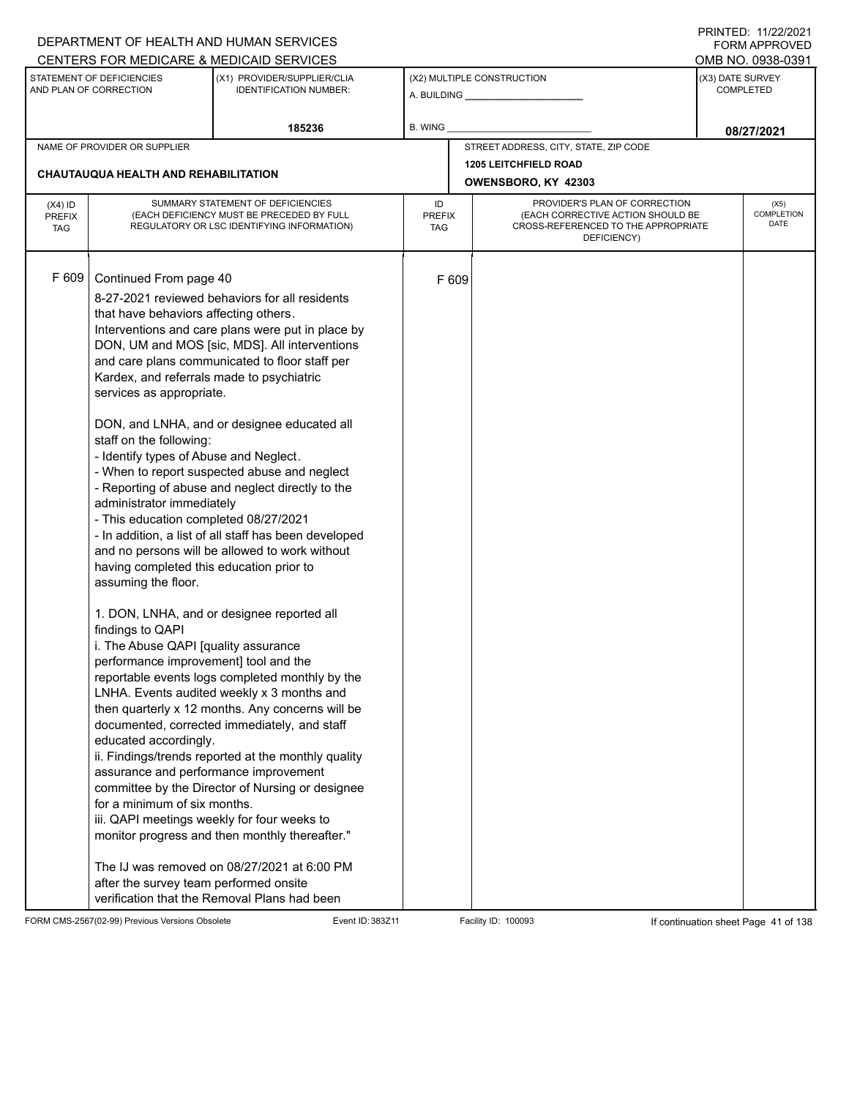|                                          |                                                                                                                                                                                                                                                                                                                                                                                                                                                                                                                                                                                                                                                        | DEPARTMENT OF HEALTH AND HUMAN SERVICES                                                                                                                                                                                                                                                                                                                                                                                                                                                                                                                                                                                                                                                                                                                                                                                                                                                                                                                                             |                            |       |                                                                                                                          |                                      | <b>FORM APPROVED</b>              |
|------------------------------------------|--------------------------------------------------------------------------------------------------------------------------------------------------------------------------------------------------------------------------------------------------------------------------------------------------------------------------------------------------------------------------------------------------------------------------------------------------------------------------------------------------------------------------------------------------------------------------------------------------------------------------------------------------------|-------------------------------------------------------------------------------------------------------------------------------------------------------------------------------------------------------------------------------------------------------------------------------------------------------------------------------------------------------------------------------------------------------------------------------------------------------------------------------------------------------------------------------------------------------------------------------------------------------------------------------------------------------------------------------------------------------------------------------------------------------------------------------------------------------------------------------------------------------------------------------------------------------------------------------------------------------------------------------------|----------------------------|-------|--------------------------------------------------------------------------------------------------------------------------|--------------------------------------|-----------------------------------|
|                                          |                                                                                                                                                                                                                                                                                                                                                                                                                                                                                                                                                                                                                                                        | CENTERS FOR MEDICARE & MEDICAID SERVICES                                                                                                                                                                                                                                                                                                                                                                                                                                                                                                                                                                                                                                                                                                                                                                                                                                                                                                                                            |                            |       |                                                                                                                          |                                      | OMB NO. 0938-0391                 |
|                                          | STATEMENT OF DEFICIENCIES<br>AND PLAN OF CORRECTION                                                                                                                                                                                                                                                                                                                                                                                                                                                                                                                                                                                                    | (X1) PROVIDER/SUPPLIER/CLIA<br><b>IDENTIFICATION NUMBER:</b>                                                                                                                                                                                                                                                                                                                                                                                                                                                                                                                                                                                                                                                                                                                                                                                                                                                                                                                        |                            |       | (X2) MULTIPLE CONSTRUCTION                                                                                               | (X3) DATE SURVEY<br><b>COMPLETED</b> |                                   |
|                                          |                                                                                                                                                                                                                                                                                                                                                                                                                                                                                                                                                                                                                                                        | 185236                                                                                                                                                                                                                                                                                                                                                                                                                                                                                                                                                                                                                                                                                                                                                                                                                                                                                                                                                                              | <b>B. WING</b>             |       |                                                                                                                          |                                      | 08/27/2021                        |
|                                          | NAME OF PROVIDER OR SUPPLIER                                                                                                                                                                                                                                                                                                                                                                                                                                                                                                                                                                                                                           |                                                                                                                                                                                                                                                                                                                                                                                                                                                                                                                                                                                                                                                                                                                                                                                                                                                                                                                                                                                     |                            |       | STREET ADDRESS, CITY, STATE, ZIP CODE                                                                                    |                                      |                                   |
|                                          | <b>CHAUTAUQUA HEALTH AND REHABILITATION</b>                                                                                                                                                                                                                                                                                                                                                                                                                                                                                                                                                                                                            |                                                                                                                                                                                                                                                                                                                                                                                                                                                                                                                                                                                                                                                                                                                                                                                                                                                                                                                                                                                     |                            |       | <b>1205 LEITCHFIELD ROAD</b><br>OWENSBORO, KY 42303                                                                      |                                      |                                   |
| $(X4)$ ID<br><b>PREFIX</b><br><b>TAG</b> |                                                                                                                                                                                                                                                                                                                                                                                                                                                                                                                                                                                                                                                        | SUMMARY STATEMENT OF DEFICIENCIES<br>(EACH DEFICIENCY MUST BE PRECEDED BY FULL<br>REGULATORY OR LSC IDENTIFYING INFORMATION)                                                                                                                                                                                                                                                                                                                                                                                                                                                                                                                                                                                                                                                                                                                                                                                                                                                        | ID<br><b>PREFIX</b><br>TAG |       | PROVIDER'S PLAN OF CORRECTION<br>(EACH CORRECTIVE ACTION SHOULD BE<br>CROSS-REFERENCED TO THE APPROPRIATE<br>DEFICIENCY) |                                      | (X5)<br><b>COMPLETION</b><br>DATE |
| F 609                                    | Continued From page 40<br>that have behaviors affecting others.<br>Kardex, and referrals made to psychiatric<br>services as appropriate.<br>staff on the following:<br>- Identify types of Abuse and Neglect.<br>administrator immediately<br>- This education completed 08/27/2021<br>having completed this education prior to<br>assuming the floor.<br>findings to QAPI<br>i. The Abuse QAPI [quality assurance<br>performance improvement] tool and the<br>educated accordingly.<br>assurance and performance improvement<br>for a minimum of six months.<br>iii. QAPI meetings weekly for four weeks to<br>after the survey team performed onsite | 8-27-2021 reviewed behaviors for all residents<br>Interventions and care plans were put in place by<br>DON, UM and MOS [sic, MDS]. All interventions<br>and care plans communicated to floor staff per<br>DON, and LNHA, and or designee educated all<br>- When to report suspected abuse and neglect<br>- Reporting of abuse and neglect directly to the<br>- In addition, a list of all staff has been developed<br>and no persons will be allowed to work without<br>1. DON, LNHA, and or designee reported all<br>reportable events logs completed monthly by the<br>LNHA. Events audited weekly x 3 months and<br>then quarterly x 12 months. Any concerns will be<br>documented, corrected immediately, and staff<br>ii. Findings/trends reported at the monthly quality<br>committee by the Director of Nursing or designee<br>monitor progress and then monthly thereafter."<br>The IJ was removed on 08/27/2021 at 6:00 PM<br>verification that the Removal Plans had been |                            | F 609 |                                                                                                                          |                                      |                                   |

FORM CMS-2567(02-99) Previous Versions Obsolete Event ID: 383Z11 Event ID: 383Z11 Facility ID: 100093 If continuation sheet Page 41 of 138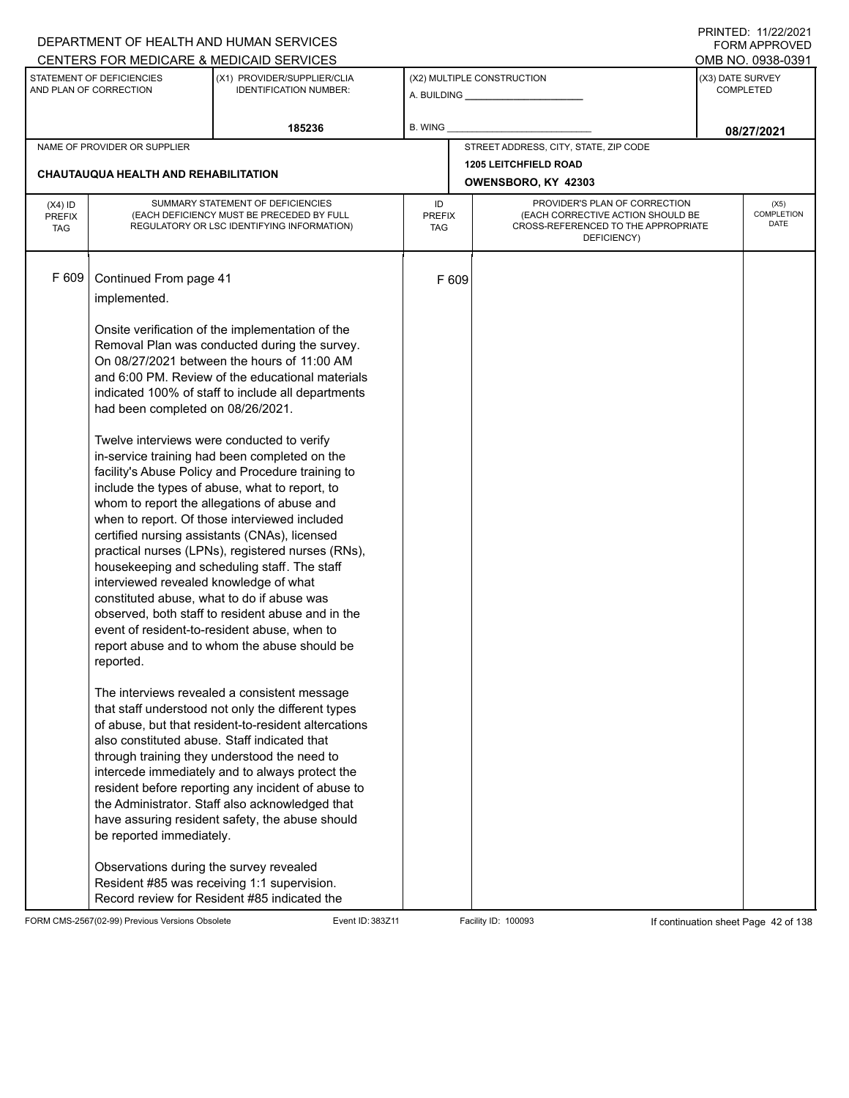|                                          |                                                                                                                                                                                                                                                                                                            | DEPARTMENT OF HEALTH AND HUMAN SERVICES                                                                                                                                                                                                                                                                                                                                                                                                                                                                                                                                                                                                                                                                                                                                                                                                                                                                                                                                                                                                                                                                                                                                                                                                                    |                                                                                                                                                               |       |                                       |  | I INITILD. III <i>LLIL</i> VLI<br><b>FORM APPROVED</b> |
|------------------------------------------|------------------------------------------------------------------------------------------------------------------------------------------------------------------------------------------------------------------------------------------------------------------------------------------------------------|------------------------------------------------------------------------------------------------------------------------------------------------------------------------------------------------------------------------------------------------------------------------------------------------------------------------------------------------------------------------------------------------------------------------------------------------------------------------------------------------------------------------------------------------------------------------------------------------------------------------------------------------------------------------------------------------------------------------------------------------------------------------------------------------------------------------------------------------------------------------------------------------------------------------------------------------------------------------------------------------------------------------------------------------------------------------------------------------------------------------------------------------------------------------------------------------------------------------------------------------------------|---------------------------------------------------------------------------------------------------------------------------------------------------------------|-------|---------------------------------------|--|--------------------------------------------------------|
|                                          |                                                                                                                                                                                                                                                                                                            | CENTERS FOR MEDICARE & MEDICAID SERVICES                                                                                                                                                                                                                                                                                                                                                                                                                                                                                                                                                                                                                                                                                                                                                                                                                                                                                                                                                                                                                                                                                                                                                                                                                   |                                                                                                                                                               |       |                                       |  | OMB NO. 0938-0391                                      |
|                                          | STATEMENT OF DEFICIENCIES<br>AND PLAN OF CORRECTION                                                                                                                                                                                                                                                        | (X1) PROVIDER/SUPPLIER/CLIA<br><b>IDENTIFICATION NUMBER:</b>                                                                                                                                                                                                                                                                                                                                                                                                                                                                                                                                                                                                                                                                                                                                                                                                                                                                                                                                                                                                                                                                                                                                                                                               |                                                                                                                                                               |       | (X2) MULTIPLE CONSTRUCTION            |  | (X3) DATE SURVEY<br><b>COMPLETED</b>                   |
|                                          |                                                                                                                                                                                                                                                                                                            | 185236                                                                                                                                                                                                                                                                                                                                                                                                                                                                                                                                                                                                                                                                                                                                                                                                                                                                                                                                                                                                                                                                                                                                                                                                                                                     | <b>B. WING</b>                                                                                                                                                |       |                                       |  | 08/27/2021                                             |
|                                          | NAME OF PROVIDER OR SUPPLIER                                                                                                                                                                                                                                                                               |                                                                                                                                                                                                                                                                                                                                                                                                                                                                                                                                                                                                                                                                                                                                                                                                                                                                                                                                                                                                                                                                                                                                                                                                                                                            |                                                                                                                                                               |       | STREET ADDRESS, CITY, STATE, ZIP CODE |  |                                                        |
|                                          |                                                                                                                                                                                                                                                                                                            |                                                                                                                                                                                                                                                                                                                                                                                                                                                                                                                                                                                                                                                                                                                                                                                                                                                                                                                                                                                                                                                                                                                                                                                                                                                            |                                                                                                                                                               |       | <b>1205 LEITCHFIELD ROAD</b>          |  |                                                        |
|                                          | CHAUTAUQUA HEALTH AND REHABILITATION                                                                                                                                                                                                                                                                       |                                                                                                                                                                                                                                                                                                                                                                                                                                                                                                                                                                                                                                                                                                                                                                                                                                                                                                                                                                                                                                                                                                                                                                                                                                                            |                                                                                                                                                               |       | OWENSBORO, KY 42303                   |  |                                                        |
| $(X4)$ ID<br><b>PREFIX</b><br><b>TAG</b> |                                                                                                                                                                                                                                                                                                            | SUMMARY STATEMENT OF DEFICIENCIES<br>(EACH DEFICIENCY MUST BE PRECEDED BY FULL<br>REGULATORY OR LSC IDENTIFYING INFORMATION)                                                                                                                                                                                                                                                                                                                                                                                                                                                                                                                                                                                                                                                                                                                                                                                                                                                                                                                                                                                                                                                                                                                               | PROVIDER'S PLAN OF CORRECTION<br>ID<br>(EACH CORRECTIVE ACTION SHOULD BE<br><b>PREFIX</b><br>CROSS-REFERENCED TO THE APPROPRIATE<br><b>TAG</b><br>DEFICIENCY) |       |                                       |  | (X5)<br>COMPLETION<br><b>DATE</b>                      |
| F 609                                    | Continued From page 41<br>implemented.<br>had been completed on 08/26/2021.<br>Twelve interviews were conducted to verify<br>interviewed revealed knowledge of what<br>constituted abuse, what to do if abuse was<br>reported.<br>also constituted abuse. Staff indicated that<br>be reported immediately. | Onsite verification of the implementation of the<br>Removal Plan was conducted during the survey.<br>On 08/27/2021 between the hours of 11:00 AM<br>and 6:00 PM. Review of the educational materials<br>indicated 100% of staff to include all departments<br>in-service training had been completed on the<br>facility's Abuse Policy and Procedure training to<br>include the types of abuse, what to report, to<br>whom to report the allegations of abuse and<br>when to report. Of those interviewed included<br>certified nursing assistants (CNAs), licensed<br>practical nurses (LPNs), registered nurses (RNs),<br>housekeeping and scheduling staff. The staff<br>observed, both staff to resident abuse and in the<br>event of resident-to-resident abuse, when to<br>report abuse and to whom the abuse should be<br>The interviews revealed a consistent message<br>that staff understood not only the different types<br>of abuse, but that resident-to-resident altercations<br>through training they understood the need to<br>intercede immediately and to always protect the<br>resident before reporting any incident of abuse to<br>the Administrator. Staff also acknowledged that<br>have assuring resident safety, the abuse should |                                                                                                                                                               | F 609 |                                       |  |                                                        |
|                                          | Observations during the survey revealed                                                                                                                                                                                                                                                                    | Resident #85 was receiving 1:1 supervision.<br>Record review for Resident #85 indicated the                                                                                                                                                                                                                                                                                                                                                                                                                                                                                                                                                                                                                                                                                                                                                                                                                                                                                                                                                                                                                                                                                                                                                                |                                                                                                                                                               |       |                                       |  |                                                        |

FORM CMS-2567(02-99) Previous Versions Obsolete Event ID: 383Z11 Event ID: 383Z11 Facility ID: 100093 If continuation sheet Page 42 of 138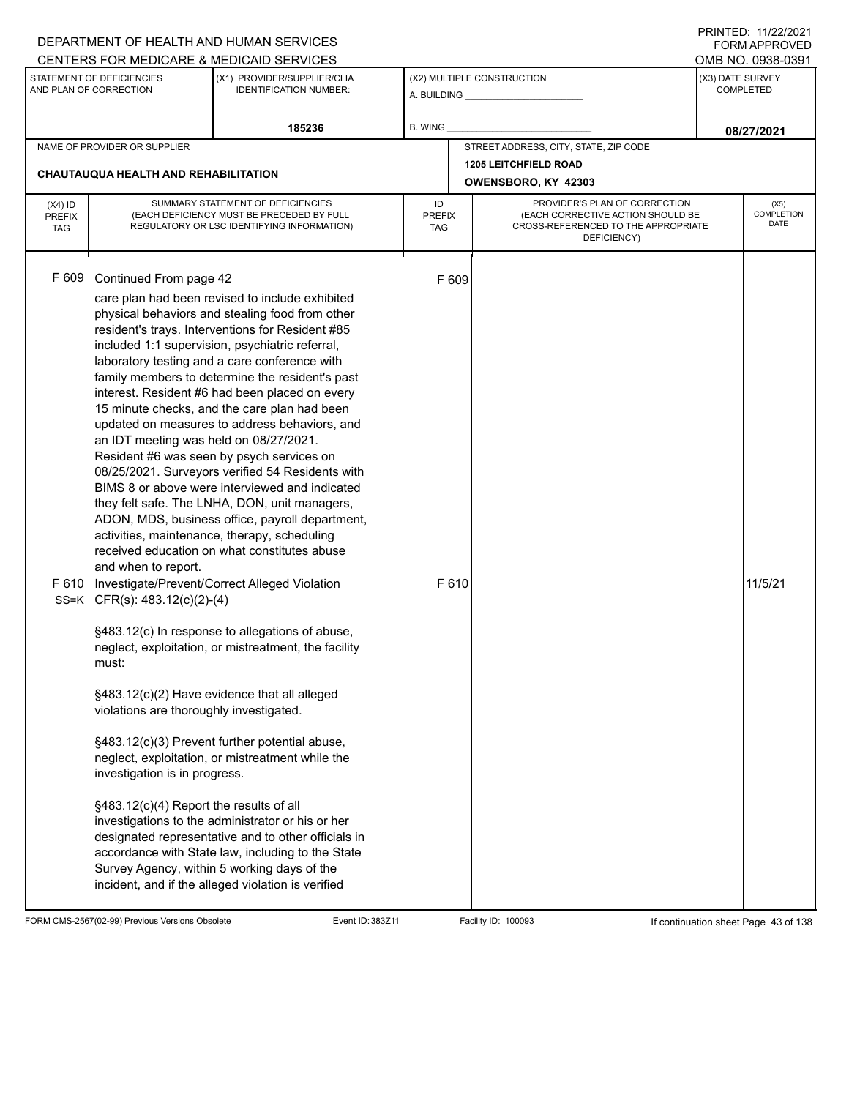|                                   |                                                                                                                                                                                                                                                              | DEPARTMENT OF HEALTH AND HUMAN SERVICES<br>CENTERS FOR MEDICARE & MEDICAID SERVICES                                                                                                                                                                                                                                                                                                                                                                                                                                                                                                                                                                                                                                                                                                                                                                                                                                                                                                                                                                                                                                                                                                                                                                                                                                                                                                                                     |                                   |                                                                                                                          | I INITILD. III <i>LLIL</i> VLI<br>FORM APPROVED<br>OMB NO. 0938-0391 |                                   |  |
|-----------------------------------|--------------------------------------------------------------------------------------------------------------------------------------------------------------------------------------------------------------------------------------------------------------|-------------------------------------------------------------------------------------------------------------------------------------------------------------------------------------------------------------------------------------------------------------------------------------------------------------------------------------------------------------------------------------------------------------------------------------------------------------------------------------------------------------------------------------------------------------------------------------------------------------------------------------------------------------------------------------------------------------------------------------------------------------------------------------------------------------------------------------------------------------------------------------------------------------------------------------------------------------------------------------------------------------------------------------------------------------------------------------------------------------------------------------------------------------------------------------------------------------------------------------------------------------------------------------------------------------------------------------------------------------------------------------------------------------------------|-----------------------------------|--------------------------------------------------------------------------------------------------------------------------|----------------------------------------------------------------------|-----------------------------------|--|
|                                   | STATEMENT OF DEFICIENCIES<br>AND PLAN OF CORRECTION                                                                                                                                                                                                          | (X1) PROVIDER/SUPPLIER/CLIA<br><b>IDENTIFICATION NUMBER:</b>                                                                                                                                                                                                                                                                                                                                                                                                                                                                                                                                                                                                                                                                                                                                                                                                                                                                                                                                                                                                                                                                                                                                                                                                                                                                                                                                                            |                                   | (X2) MULTIPLE CONSTRUCTION                                                                                               |                                                                      | (X3) DATE SURVEY<br>COMPLETED     |  |
|                                   |                                                                                                                                                                                                                                                              | 185236                                                                                                                                                                                                                                                                                                                                                                                                                                                                                                                                                                                                                                                                                                                                                                                                                                                                                                                                                                                                                                                                                                                                                                                                                                                                                                                                                                                                                  | <b>B. WING</b>                    |                                                                                                                          |                                                                      | 08/27/2021                        |  |
|                                   | NAME OF PROVIDER OR SUPPLIER<br><b>CHAUTAUQUA HEALTH AND REHABILITATION</b>                                                                                                                                                                                  |                                                                                                                                                                                                                                                                                                                                                                                                                                                                                                                                                                                                                                                                                                                                                                                                                                                                                                                                                                                                                                                                                                                                                                                                                                                                                                                                                                                                                         |                                   | STREET ADDRESS, CITY, STATE, ZIP CODE<br><b>1205 LEITCHFIELD ROAD</b><br>OWENSBORO, KY 42303                             |                                                                      |                                   |  |
| $(X4)$ ID<br>PREFIX<br><b>TAG</b> |                                                                                                                                                                                                                                                              | SUMMARY STATEMENT OF DEFICIENCIES<br>(EACH DEFICIENCY MUST BE PRECEDED BY FULL<br>REGULATORY OR LSC IDENTIFYING INFORMATION)                                                                                                                                                                                                                                                                                                                                                                                                                                                                                                                                                                                                                                                                                                                                                                                                                                                                                                                                                                                                                                                                                                                                                                                                                                                                                            | ID<br><b>PREFIX</b><br><b>TAG</b> | PROVIDER'S PLAN OF CORRECTION<br>(EACH CORRECTIVE ACTION SHOULD BE<br>CROSS-REFERENCED TO THE APPROPRIATE<br>DEFICIENCY) |                                                                      | (X5)<br>COMPLETION<br><b>DATE</b> |  |
| F 609                             | Continued From page 42<br>an IDT meeting was held on 08/27/2021.<br>and when to report.<br>SS=K   CFR(s): $483.12(c)(2)-(4)$<br>must:<br>violations are thoroughly investigated.<br>investigation is in progress.<br>§483.12(c)(4) Report the results of all | care plan had been revised to include exhibited<br>physical behaviors and stealing food from other<br>resident's trays. Interventions for Resident #85<br>included 1:1 supervision, psychiatric referral,<br>laboratory testing and a care conference with<br>family members to determine the resident's past<br>interest. Resident #6 had been placed on every<br>15 minute checks, and the care plan had been<br>updated on measures to address behaviors, and<br>Resident #6 was seen by psych services on<br>08/25/2021. Surveyors verified 54 Residents with<br>BIMS 8 or above were interviewed and indicated<br>they felt safe. The LNHA, DON, unit managers,<br>ADON, MDS, business office, payroll department,<br>activities, maintenance, therapy, scheduling<br>received education on what constitutes abuse<br>F 610   Investigate/Prevent/Correct Alleged Violation<br>§483.12(c) In response to allegations of abuse,<br>neglect, exploitation, or mistreatment, the facility<br>§483.12(c)(2) Have evidence that all alleged<br>§483.12(c)(3) Prevent further potential abuse,<br>neglect, exploitation, or mistreatment while the<br>investigations to the administrator or his or her<br>designated representative and to other officials in<br>accordance with State law, including to the State<br>Survey Agency, within 5 working days of the<br>incident, and if the alleged violation is verified | F 609<br>F 610                    |                                                                                                                          |                                                                      | 11/5/21                           |  |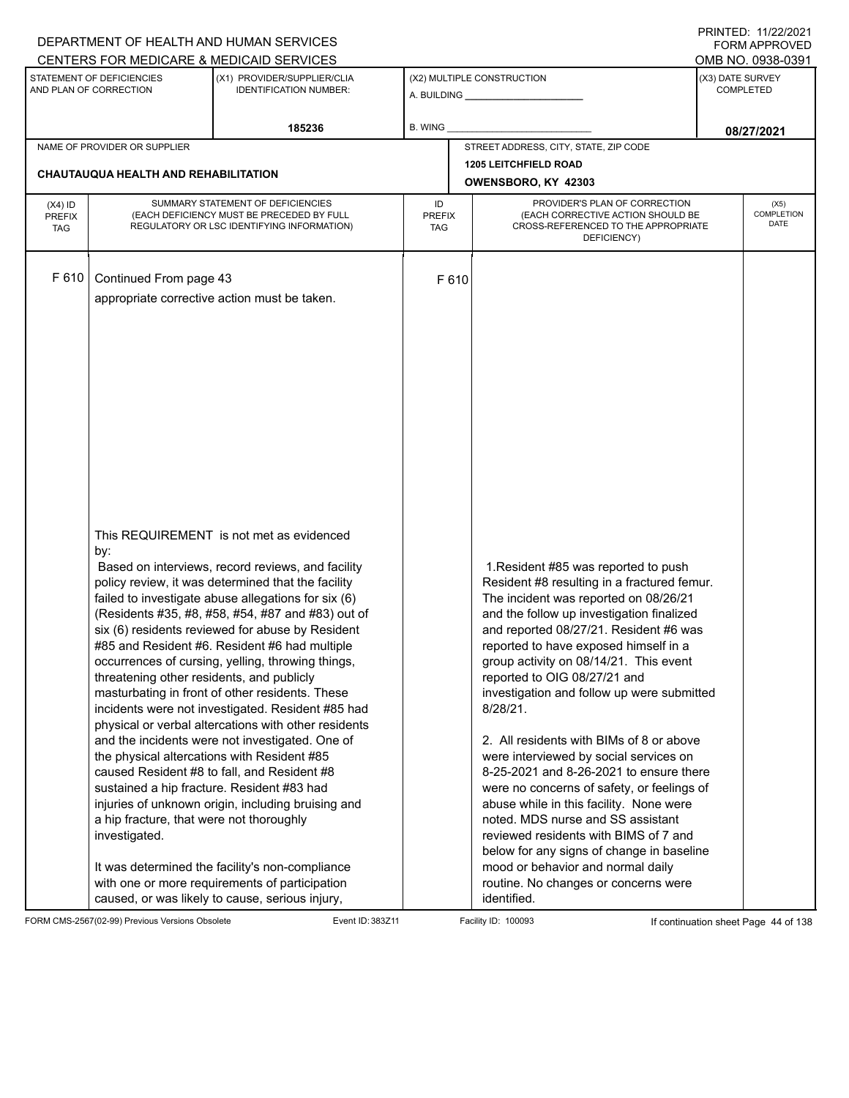|                                          | FININILU. IIIZZIZUZI<br>DEPARTMENT OF HEALTH AND HUMAN SERVICES<br>CENTERS FOR MEDICARE & MEDICAID SERVICES                                                 |                                                                                                                                                                                                                                                                                                                                                                                                                                                                                                                                                                                                                                                                                                                                                                                                                                                                                                              |                                                                                                                      |                                                                                                                                                                                                                                                                                                                                                                                                                                                                                                                                                                                                                                                                                                                                                                                                                                                   |                                                           |  |  |  |  |  |
|------------------------------------------|-------------------------------------------------------------------------------------------------------------------------------------------------------------|--------------------------------------------------------------------------------------------------------------------------------------------------------------------------------------------------------------------------------------------------------------------------------------------------------------------------------------------------------------------------------------------------------------------------------------------------------------------------------------------------------------------------------------------------------------------------------------------------------------------------------------------------------------------------------------------------------------------------------------------------------------------------------------------------------------------------------------------------------------------------------------------------------------|----------------------------------------------------------------------------------------------------------------------|---------------------------------------------------------------------------------------------------------------------------------------------------------------------------------------------------------------------------------------------------------------------------------------------------------------------------------------------------------------------------------------------------------------------------------------------------------------------------------------------------------------------------------------------------------------------------------------------------------------------------------------------------------------------------------------------------------------------------------------------------------------------------------------------------------------------------------------------------|-----------------------------------------------------------|--|--|--|--|--|
|                                          | STATEMENT OF DEFICIENCIES<br>AND PLAN OF CORRECTION                                                                                                         | (X1) PROVIDER/SUPPLIER/CLIA<br><b>IDENTIFICATION NUMBER:</b>                                                                                                                                                                                                                                                                                                                                                                                                                                                                                                                                                                                                                                                                                                                                                                                                                                                 |                                                                                                                      | (X2) MULTIPLE CONSTRUCTION<br>A. BUILDING <b>A.</b> BUILDING                                                                                                                                                                                                                                                                                                                                                                                                                                                                                                                                                                                                                                                                                                                                                                                      | OMB NO. 0938-0391<br>(X3) DATE SURVEY<br><b>COMPLETED</b> |  |  |  |  |  |
|                                          |                                                                                                                                                             | 185236                                                                                                                                                                                                                                                                                                                                                                                                                                                                                                                                                                                                                                                                                                                                                                                                                                                                                                       | <b>B. WING</b>                                                                                                       |                                                                                                                                                                                                                                                                                                                                                                                                                                                                                                                                                                                                                                                                                                                                                                                                                                                   | 08/27/2021                                                |  |  |  |  |  |
|                                          | NAME OF PROVIDER OR SUPPLIER                                                                                                                                |                                                                                                                                                                                                                                                                                                                                                                                                                                                                                                                                                                                                                                                                                                                                                                                                                                                                                                              |                                                                                                                      | STREET ADDRESS, CITY, STATE, ZIP CODE                                                                                                                                                                                                                                                                                                                                                                                                                                                                                                                                                                                                                                                                                                                                                                                                             |                                                           |  |  |  |  |  |
|                                          | <b>CHAUTAUQUA HEALTH AND REHABILITATION</b>                                                                                                                 |                                                                                                                                                                                                                                                                                                                                                                                                                                                                                                                                                                                                                                                                                                                                                                                                                                                                                                              |                                                                                                                      | <b>1205 LEITCHFIELD ROAD</b><br>OWENSBORO, KY 42303                                                                                                                                                                                                                                                                                                                                                                                                                                                                                                                                                                                                                                                                                                                                                                                               |                                                           |  |  |  |  |  |
| $(X4)$ ID<br><b>PREFIX</b><br><b>TAG</b> |                                                                                                                                                             | SUMMARY STATEMENT OF DEFICIENCIES<br>(EACH DEFICIENCY MUST BE PRECEDED BY FULL<br>REGULATORY OR LSC IDENTIFYING INFORMATION)                                                                                                                                                                                                                                                                                                                                                                                                                                                                                                                                                                                                                                                                                                                                                                                 | (X5)<br><b>COMPLETION</b><br>(EACH CORRECTIVE ACTION SHOULD BE<br><b>DATE</b><br>CROSS-REFERENCED TO THE APPROPRIATE |                                                                                                                                                                                                                                                                                                                                                                                                                                                                                                                                                                                                                                                                                                                                                                                                                                                   |                                                           |  |  |  |  |  |
| F 610                                    | Continued From page 43                                                                                                                                      | appropriate corrective action must be taken.<br>This REQUIREMENT is not met as evidenced                                                                                                                                                                                                                                                                                                                                                                                                                                                                                                                                                                                                                                                                                                                                                                                                                     | F 610                                                                                                                |                                                                                                                                                                                                                                                                                                                                                                                                                                                                                                                                                                                                                                                                                                                                                                                                                                                   |                                                           |  |  |  |  |  |
|                                          | by:<br>threatening other residents, and publicly<br>sustained a hip fracture. Resident #83 had<br>a hip fracture, that were not thoroughly<br>investigated. | Based on interviews, record reviews, and facility<br>policy review, it was determined that the facility<br>failed to investigate abuse allegations for six (6)<br>(Residents #35, #8, #58, #54, #87 and #83) out of<br>six (6) residents reviewed for abuse by Resident<br>#85 and Resident #6. Resident #6 had multiple<br>occurrences of cursing, yelling, throwing things,<br>masturbating in front of other residents. These<br>incidents were not investigated. Resident #85 had<br>physical or verbal altercations with other residents<br>and the incidents were not investigated. One of<br>the physical altercations with Resident #85<br>caused Resident #8 to fall, and Resident #8<br>injuries of unknown origin, including bruising and<br>It was determined the facility's non-compliance<br>with one or more requirements of participation<br>caused, or was likely to cause, serious injury, |                                                                                                                      | 1. Resident #85 was reported to push<br>Resident #8 resulting in a fractured femur.<br>The incident was reported on 08/26/21<br>and the follow up investigation finalized<br>and reported 08/27/21. Resident #6 was<br>reported to have exposed himself in a<br>group activity on 08/14/21. This event<br>reported to OIG 08/27/21 and<br>investigation and follow up were submitted<br>8/28/21.<br>2. All residents with BIMs of 8 or above<br>were interviewed by social services on<br>8-25-2021 and 8-26-2021 to ensure there<br>were no concerns of safety, or feelings of<br>abuse while in this facility. None were<br>noted. MDS nurse and SS assistant<br>reviewed residents with BIMS of 7 and<br>below for any signs of change in baseline<br>mood or behavior and normal daily<br>routine. No changes or concerns were<br>identified. |                                                           |  |  |  |  |  |

FORM CMS-2567(02-99) Previous Versions Obsolete Event ID: 383Z11 Event ID: 383Z11 Facility ID: 100093 If continuation sheet Page 44 of 138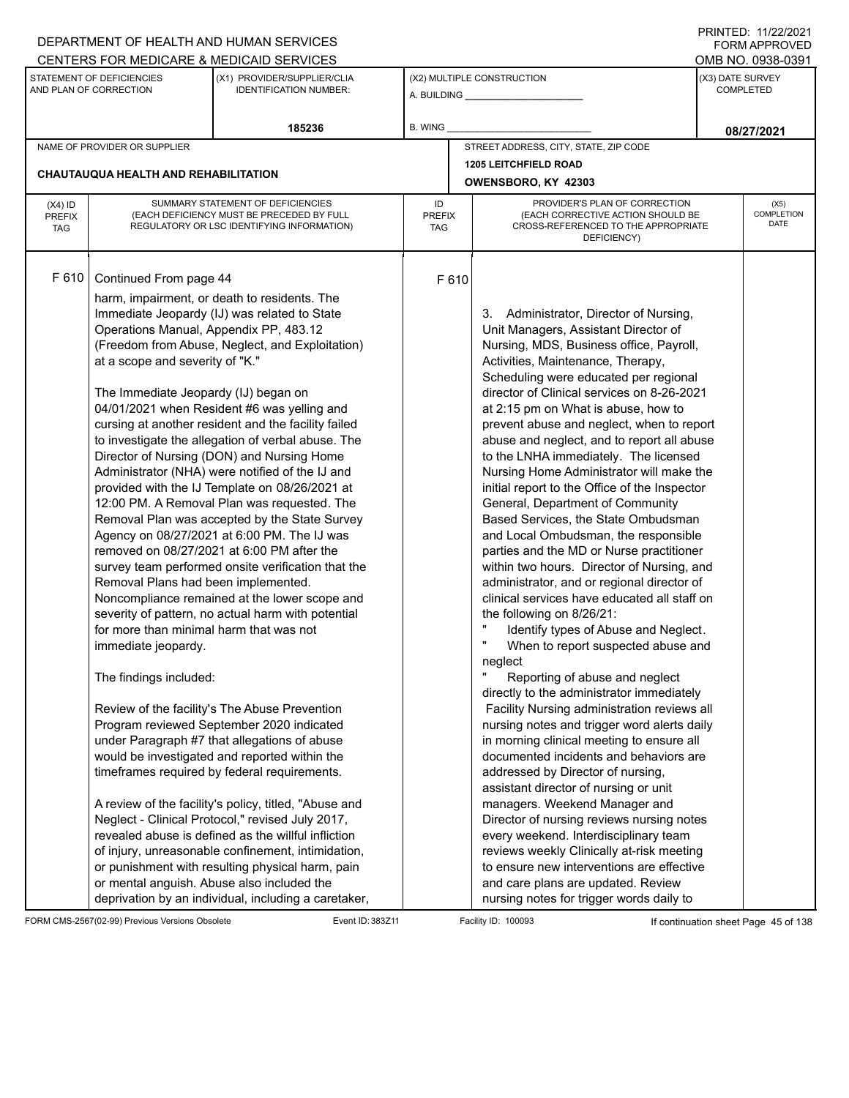|                                          |                                                                                                                                                                                                                                                                                | DEPARTMENT OF HEALTH AND HUMAN SERVICES                                                                                                                                                                                                                                                                                                                                                                                                                                                                                                                                                                                                                                                                                                                                                                                                                                                                                                                                                                                                                                                                                                                                                                                                                                                                                                                                                             |                                   |                                                                                                                                                                                                                                                                                                                                                                                                                                                                                                                                                                                                                                                                                                                                                                                                                                                                                                                                                                                                                                                                                                                                                                                                                                                                                                                                                                                                                                                                                                                                                                                                    |  | 111111111121112212121<br>FORM APPROVED |  |
|------------------------------------------|--------------------------------------------------------------------------------------------------------------------------------------------------------------------------------------------------------------------------------------------------------------------------------|-----------------------------------------------------------------------------------------------------------------------------------------------------------------------------------------------------------------------------------------------------------------------------------------------------------------------------------------------------------------------------------------------------------------------------------------------------------------------------------------------------------------------------------------------------------------------------------------------------------------------------------------------------------------------------------------------------------------------------------------------------------------------------------------------------------------------------------------------------------------------------------------------------------------------------------------------------------------------------------------------------------------------------------------------------------------------------------------------------------------------------------------------------------------------------------------------------------------------------------------------------------------------------------------------------------------------------------------------------------------------------------------------------|-----------------------------------|----------------------------------------------------------------------------------------------------------------------------------------------------------------------------------------------------------------------------------------------------------------------------------------------------------------------------------------------------------------------------------------------------------------------------------------------------------------------------------------------------------------------------------------------------------------------------------------------------------------------------------------------------------------------------------------------------------------------------------------------------------------------------------------------------------------------------------------------------------------------------------------------------------------------------------------------------------------------------------------------------------------------------------------------------------------------------------------------------------------------------------------------------------------------------------------------------------------------------------------------------------------------------------------------------------------------------------------------------------------------------------------------------------------------------------------------------------------------------------------------------------------------------------------------------------------------------------------------------|--|----------------------------------------|--|
|                                          |                                                                                                                                                                                                                                                                                | CENTERS FOR MEDICARE & MEDICAID SERVICES                                                                                                                                                                                                                                                                                                                                                                                                                                                                                                                                                                                                                                                                                                                                                                                                                                                                                                                                                                                                                                                                                                                                                                                                                                                                                                                                                            |                                   |                                                                                                                                                                                                                                                                                                                                                                                                                                                                                                                                                                                                                                                                                                                                                                                                                                                                                                                                                                                                                                                                                                                                                                                                                                                                                                                                                                                                                                                                                                                                                                                                    |  | OMB NO. 0938-0391                      |  |
|                                          | STATEMENT OF DEFICIENCIES<br>AND PLAN OF CORRECTION                                                                                                                                                                                                                            | (X1) PROVIDER/SUPPLIER/CLIA<br><b>IDENTIFICATION NUMBER:</b>                                                                                                                                                                                                                                                                                                                                                                                                                                                                                                                                                                                                                                                                                                                                                                                                                                                                                                                                                                                                                                                                                                                                                                                                                                                                                                                                        |                                   | (X2) MULTIPLE CONSTRUCTION                                                                                                                                                                                                                                                                                                                                                                                                                                                                                                                                                                                                                                                                                                                                                                                                                                                                                                                                                                                                                                                                                                                                                                                                                                                                                                                                                                                                                                                                                                                                                                         |  | (X3) DATE SURVEY<br><b>COMPLETED</b>   |  |
|                                          |                                                                                                                                                                                                                                                                                | 185236                                                                                                                                                                                                                                                                                                                                                                                                                                                                                                                                                                                                                                                                                                                                                                                                                                                                                                                                                                                                                                                                                                                                                                                                                                                                                                                                                                                              | B. WING                           |                                                                                                                                                                                                                                                                                                                                                                                                                                                                                                                                                                                                                                                                                                                                                                                                                                                                                                                                                                                                                                                                                                                                                                                                                                                                                                                                                                                                                                                                                                                                                                                                    |  | 08/27/2021                             |  |
|                                          | NAME OF PROVIDER OR SUPPLIER                                                                                                                                                                                                                                                   |                                                                                                                                                                                                                                                                                                                                                                                                                                                                                                                                                                                                                                                                                                                                                                                                                                                                                                                                                                                                                                                                                                                                                                                                                                                                                                                                                                                                     |                                   | STREET ADDRESS, CITY, STATE, ZIP CODE                                                                                                                                                                                                                                                                                                                                                                                                                                                                                                                                                                                                                                                                                                                                                                                                                                                                                                                                                                                                                                                                                                                                                                                                                                                                                                                                                                                                                                                                                                                                                              |  |                                        |  |
|                                          |                                                                                                                                                                                                                                                                                |                                                                                                                                                                                                                                                                                                                                                                                                                                                                                                                                                                                                                                                                                                                                                                                                                                                                                                                                                                                                                                                                                                                                                                                                                                                                                                                                                                                                     |                                   | <b>1205 LEITCHFIELD ROAD</b>                                                                                                                                                                                                                                                                                                                                                                                                                                                                                                                                                                                                                                                                                                                                                                                                                                                                                                                                                                                                                                                                                                                                                                                                                                                                                                                                                                                                                                                                                                                                                                       |  |                                        |  |
|                                          | <b>CHAUTAUQUA HEALTH AND REHABILITATION</b>                                                                                                                                                                                                                                    |                                                                                                                                                                                                                                                                                                                                                                                                                                                                                                                                                                                                                                                                                                                                                                                                                                                                                                                                                                                                                                                                                                                                                                                                                                                                                                                                                                                                     |                                   | OWENSBORO, KY 42303                                                                                                                                                                                                                                                                                                                                                                                                                                                                                                                                                                                                                                                                                                                                                                                                                                                                                                                                                                                                                                                                                                                                                                                                                                                                                                                                                                                                                                                                                                                                                                                |  |                                        |  |
| $(X4)$ ID<br><b>PREFIX</b><br><b>TAG</b> |                                                                                                                                                                                                                                                                                | SUMMARY STATEMENT OF DEFICIENCIES<br>(EACH DEFICIENCY MUST BE PRECEDED BY FULL<br>REGULATORY OR LSC IDENTIFYING INFORMATION)                                                                                                                                                                                                                                                                                                                                                                                                                                                                                                                                                                                                                                                                                                                                                                                                                                                                                                                                                                                                                                                                                                                                                                                                                                                                        | ID<br><b>PREFIX</b><br><b>TAG</b> | PROVIDER'S PLAN OF CORRECTION<br>(EACH CORRECTIVE ACTION SHOULD BE<br>CROSS-REFERENCED TO THE APPROPRIATE<br>DEFICIENCY)                                                                                                                                                                                                                                                                                                                                                                                                                                                                                                                                                                                                                                                                                                                                                                                                                                                                                                                                                                                                                                                                                                                                                                                                                                                                                                                                                                                                                                                                           |  | (X5)<br>COMPLETION<br><b>DATE</b>      |  |
| F 610                                    | Continued From page 44<br>Operations Manual, Appendix PP, 483.12<br>at a scope and severity of "K."<br>The Immediate Jeopardy (IJ) began on<br>Removal Plans had been implemented.<br>for more than minimal harm that was not<br>immediate jeopardy.<br>The findings included: | harm, impairment, or death to residents. The<br>Immediate Jeopardy (IJ) was related to State<br>(Freedom from Abuse, Neglect, and Exploitation)<br>04/01/2021 when Resident #6 was yelling and<br>cursing at another resident and the facility failed<br>to investigate the allegation of verbal abuse. The<br>Director of Nursing (DON) and Nursing Home<br>Administrator (NHA) were notified of the IJ and<br>provided with the IJ Template on 08/26/2021 at<br>12:00 PM. A Removal Plan was requested. The<br>Removal Plan was accepted by the State Survey<br>Agency on 08/27/2021 at 6:00 PM. The IJ was<br>removed on 08/27/2021 at 6:00 PM after the<br>survey team performed onsite verification that the<br>Noncompliance remained at the lower scope and<br>severity of pattern, no actual harm with potential<br>Review of the facility's The Abuse Prevention<br>Program reviewed September 2020 indicated<br>under Paragraph #7 that allegations of abuse<br>would be investigated and reported within the<br>timeframes required by federal requirements.<br>A review of the facility's policy, titled, "Abuse and<br>Neglect - Clinical Protocol," revised July 2017,<br>revealed abuse is defined as the willful infliction<br>of injury, unreasonable confinement, intimidation,<br>or punishment with resulting physical harm, pain<br>or mental anguish. Abuse also included the | F 610                             | 3. Administrator, Director of Nursing,<br>Unit Managers, Assistant Director of<br>Nursing, MDS, Business office, Payroll,<br>Activities, Maintenance, Therapy,<br>Scheduling were educated per regional<br>director of Clinical services on 8-26-2021<br>at 2:15 pm on What is abuse, how to<br>prevent abuse and neglect, when to report<br>abuse and neglect, and to report all abuse<br>to the LNHA immediately. The licensed<br>Nursing Home Administrator will make the<br>initial report to the Office of the Inspector<br>General, Department of Community<br>Based Services, the State Ombudsman<br>and Local Ombudsman, the responsible<br>parties and the MD or Nurse practitioner<br>within two hours. Director of Nursing, and<br>administrator, and or regional director of<br>clinical services have educated all staff on<br>the following on 8/26/21:<br>Ħ<br>Identify types of Abuse and Neglect.<br>$\pmb{\mathsf{H}}$<br>When to report suspected abuse and<br>neglect<br>Reporting of abuse and neglect<br>directly to the administrator immediately<br>Facility Nursing administration reviews all<br>nursing notes and trigger word alerts daily<br>in morning clinical meeting to ensure all<br>documented incidents and behaviors are<br>addressed by Director of nursing,<br>assistant director of nursing or unit<br>managers. Weekend Manager and<br>Director of nursing reviews nursing notes<br>every weekend. Interdisciplinary team<br>reviews weekly Clinically at-risk meeting<br>to ensure new interventions are effective<br>and care plans are updated. Review |  |                                        |  |
|                                          |                                                                                                                                                                                                                                                                                | deprivation by an individual, including a caretaker,                                                                                                                                                                                                                                                                                                                                                                                                                                                                                                                                                                                                                                                                                                                                                                                                                                                                                                                                                                                                                                                                                                                                                                                                                                                                                                                                                |                                   | nursing notes for trigger words daily to                                                                                                                                                                                                                                                                                                                                                                                                                                                                                                                                                                                                                                                                                                                                                                                                                                                                                                                                                                                                                                                                                                                                                                                                                                                                                                                                                                                                                                                                                                                                                           |  |                                        |  |

FORM CMS-2567(02-99) Previous Versions Obsolete Event ID: 383Z11 Event ID: 383Z11 Facility ID: 100093 If continuation sheet Page 45 of 138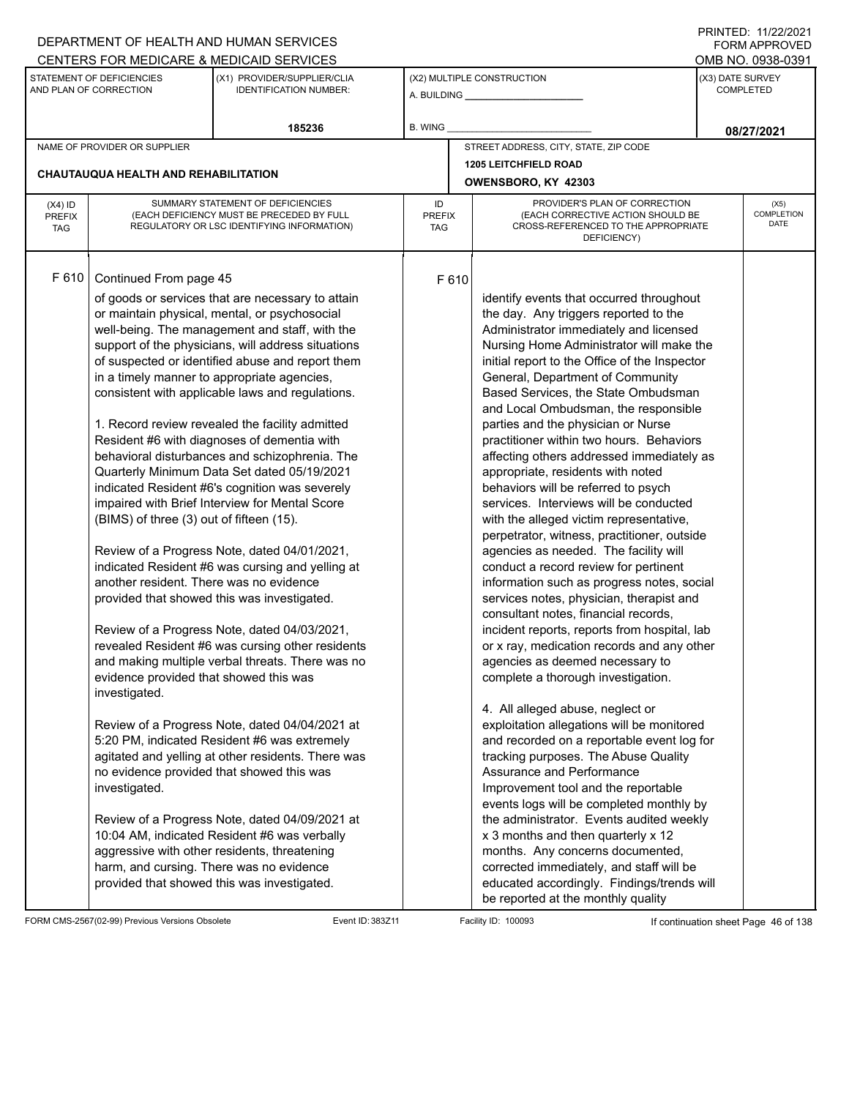|                                          |                                                                                                                                                                                           | DEPARTMENT OF HEALTH AND HUMAN SERVICES                                                                                                                                                                                                                                                                                                                                                                                                                                                                                                                                                                                                                                                                                                                                                                                                                                                                                                                                                                                                                                                                                                                                                                                                                                                                                                                                                                                               |                                   |                     |                                                                                                                                                                                                                                                                                                                                                                                                                                                                                                                                                                                                                                                                                                                                                                                                                                                                                                                                                                                                                                                                                                                                                                                                                                                                                                                                                                                                                                                                                                                                                                                                                                     |                  | 111111111121112212121<br><b>FORM APPROVED</b> |
|------------------------------------------|-------------------------------------------------------------------------------------------------------------------------------------------------------------------------------------------|---------------------------------------------------------------------------------------------------------------------------------------------------------------------------------------------------------------------------------------------------------------------------------------------------------------------------------------------------------------------------------------------------------------------------------------------------------------------------------------------------------------------------------------------------------------------------------------------------------------------------------------------------------------------------------------------------------------------------------------------------------------------------------------------------------------------------------------------------------------------------------------------------------------------------------------------------------------------------------------------------------------------------------------------------------------------------------------------------------------------------------------------------------------------------------------------------------------------------------------------------------------------------------------------------------------------------------------------------------------------------------------------------------------------------------------|-----------------------------------|---------------------|-------------------------------------------------------------------------------------------------------------------------------------------------------------------------------------------------------------------------------------------------------------------------------------------------------------------------------------------------------------------------------------------------------------------------------------------------------------------------------------------------------------------------------------------------------------------------------------------------------------------------------------------------------------------------------------------------------------------------------------------------------------------------------------------------------------------------------------------------------------------------------------------------------------------------------------------------------------------------------------------------------------------------------------------------------------------------------------------------------------------------------------------------------------------------------------------------------------------------------------------------------------------------------------------------------------------------------------------------------------------------------------------------------------------------------------------------------------------------------------------------------------------------------------------------------------------------------------------------------------------------------------|------------------|-----------------------------------------------|
|                                          |                                                                                                                                                                                           | CENTERS FOR MEDICARE & MEDICAID SERVICES                                                                                                                                                                                                                                                                                                                                                                                                                                                                                                                                                                                                                                                                                                                                                                                                                                                                                                                                                                                                                                                                                                                                                                                                                                                                                                                                                                                              |                                   |                     |                                                                                                                                                                                                                                                                                                                                                                                                                                                                                                                                                                                                                                                                                                                                                                                                                                                                                                                                                                                                                                                                                                                                                                                                                                                                                                                                                                                                                                                                                                                                                                                                                                     |                  | OMB NO. 0938-0391                             |
|                                          | STATEMENT OF DEFICIENCIES<br>AND PLAN OF CORRECTION                                                                                                                                       | (X1) PROVIDER/SUPPLIER/CLIA<br><b>IDENTIFICATION NUMBER:</b>                                                                                                                                                                                                                                                                                                                                                                                                                                                                                                                                                                                                                                                                                                                                                                                                                                                                                                                                                                                                                                                                                                                                                                                                                                                                                                                                                                          |                                   |                     | (X2) MULTIPLE CONSTRUCTION                                                                                                                                                                                                                                                                                                                                                                                                                                                                                                                                                                                                                                                                                                                                                                                                                                                                                                                                                                                                                                                                                                                                                                                                                                                                                                                                                                                                                                                                                                                                                                                                          | (X3) DATE SURVEY | <b>COMPLETED</b>                              |
|                                          |                                                                                                                                                                                           | 185236                                                                                                                                                                                                                                                                                                                                                                                                                                                                                                                                                                                                                                                                                                                                                                                                                                                                                                                                                                                                                                                                                                                                                                                                                                                                                                                                                                                                                                | B. WING                           |                     |                                                                                                                                                                                                                                                                                                                                                                                                                                                                                                                                                                                                                                                                                                                                                                                                                                                                                                                                                                                                                                                                                                                                                                                                                                                                                                                                                                                                                                                                                                                                                                                                                                     |                  | 08/27/2021                                    |
|                                          | NAME OF PROVIDER OR SUPPLIER                                                                                                                                                              |                                                                                                                                                                                                                                                                                                                                                                                                                                                                                                                                                                                                                                                                                                                                                                                                                                                                                                                                                                                                                                                                                                                                                                                                                                                                                                                                                                                                                                       |                                   |                     | STREET ADDRESS, CITY, STATE, ZIP CODE                                                                                                                                                                                                                                                                                                                                                                                                                                                                                                                                                                                                                                                                                                                                                                                                                                                                                                                                                                                                                                                                                                                                                                                                                                                                                                                                                                                                                                                                                                                                                                                               |                  |                                               |
|                                          |                                                                                                                                                                                           |                                                                                                                                                                                                                                                                                                                                                                                                                                                                                                                                                                                                                                                                                                                                                                                                                                                                                                                                                                                                                                                                                                                                                                                                                                                                                                                                                                                                                                       |                                   |                     | <b>1205 LEITCHFIELD ROAD</b>                                                                                                                                                                                                                                                                                                                                                                                                                                                                                                                                                                                                                                                                                                                                                                                                                                                                                                                                                                                                                                                                                                                                                                                                                                                                                                                                                                                                                                                                                                                                                                                                        |                  |                                               |
|                                          | <b>CHAUTAUQUA HEALTH AND REHABILITATION</b>                                                                                                                                               |                                                                                                                                                                                                                                                                                                                                                                                                                                                                                                                                                                                                                                                                                                                                                                                                                                                                                                                                                                                                                                                                                                                                                                                                                                                                                                                                                                                                                                       |                                   | OWENSBORO, KY 42303 |                                                                                                                                                                                                                                                                                                                                                                                                                                                                                                                                                                                                                                                                                                                                                                                                                                                                                                                                                                                                                                                                                                                                                                                                                                                                                                                                                                                                                                                                                                                                                                                                                                     |                  |                                               |
| $(X4)$ ID<br><b>PREFIX</b><br><b>TAG</b> |                                                                                                                                                                                           | SUMMARY STATEMENT OF DEFICIENCIES<br>(EACH DEFICIENCY MUST BE PRECEDED BY FULL<br>REGULATORY OR LSC IDENTIFYING INFORMATION)                                                                                                                                                                                                                                                                                                                                                                                                                                                                                                                                                                                                                                                                                                                                                                                                                                                                                                                                                                                                                                                                                                                                                                                                                                                                                                          | ID<br><b>PREFIX</b><br><b>TAG</b> |                     | PROVIDER'S PLAN OF CORRECTION<br>(EACH CORRECTIVE ACTION SHOULD BE<br>CROSS-REFERENCED TO THE APPROPRIATE<br>DEFICIENCY)                                                                                                                                                                                                                                                                                                                                                                                                                                                                                                                                                                                                                                                                                                                                                                                                                                                                                                                                                                                                                                                                                                                                                                                                                                                                                                                                                                                                                                                                                                            |                  | (X5)<br><b>COMPLETION</b><br>DATE             |
| F 610                                    | Continued From page 45<br>(BIMS) of three (3) out of fifteen (15).<br>another resident. There was no evidence<br>evidence provided that showed this was<br>investigated.<br>investigated. | of goods or services that are necessary to attain<br>or maintain physical, mental, or psychosocial<br>well-being. The management and staff, with the<br>support of the physicians, will address situations<br>of suspected or identified abuse and report them<br>in a timely manner to appropriate agencies,<br>consistent with applicable laws and regulations.<br>1. Record review revealed the facility admitted<br>Resident #6 with diagnoses of dementia with<br>behavioral disturbances and schizophrenia. The<br>Quarterly Minimum Data Set dated 05/19/2021<br>indicated Resident #6's cognition was severely<br>impaired with Brief Interview for Mental Score<br>Review of a Progress Note, dated 04/01/2021,<br>indicated Resident #6 was cursing and yelling at<br>provided that showed this was investigated.<br>Review of a Progress Note, dated 04/03/2021,<br>revealed Resident #6 was cursing other residents<br>and making multiple verbal threats. There was no<br>Review of a Progress Note, dated 04/04/2021 at<br>5:20 PM, indicated Resident #6 was extremely<br>agitated and yelling at other residents. There was<br>no evidence provided that showed this was<br>Review of a Progress Note, dated 04/09/2021 at<br>10:04 AM, indicated Resident #6 was verbally<br>aggressive with other residents, threatening<br>harm, and cursing. There was no evidence<br>provided that showed this was investigated. |                                   | F 610               | identify events that occurred throughout<br>the day. Any triggers reported to the<br>Administrator immediately and licensed<br>Nursing Home Administrator will make the<br>initial report to the Office of the Inspector<br>General, Department of Community<br>Based Services, the State Ombudsman<br>and Local Ombudsman, the responsible<br>parties and the physician or Nurse<br>practitioner within two hours. Behaviors<br>affecting others addressed immediately as<br>appropriate, residents with noted<br>behaviors will be referred to psych<br>services. Interviews will be conducted<br>with the alleged victim representative,<br>perpetrator, witness, practitioner, outside<br>agencies as needed. The facility will<br>conduct a record review for pertinent<br>information such as progress notes, social<br>services notes, physician, therapist and<br>consultant notes, financial records,<br>incident reports, reports from hospital, lab<br>or x ray, medication records and any other<br>agencies as deemed necessary to<br>complete a thorough investigation.<br>4. All alleged abuse, neglect or<br>exploitation allegations will be monitored<br>and recorded on a reportable event log for<br>tracking purposes. The Abuse Quality<br>Assurance and Performance<br>Improvement tool and the reportable<br>events logs will be completed monthly by<br>the administrator. Events audited weekly<br>x 3 months and then quarterly x 12<br>months. Any concerns documented,<br>corrected immediately, and staff will be<br>educated accordingly. Findings/trends will<br>be reported at the monthly quality |                  |                                               |

FORM CMS-2567(02-99) Previous Versions Obsolete Event ID: 383Z11 Facility ID: 100093 If continuation sheet Page 46 of 138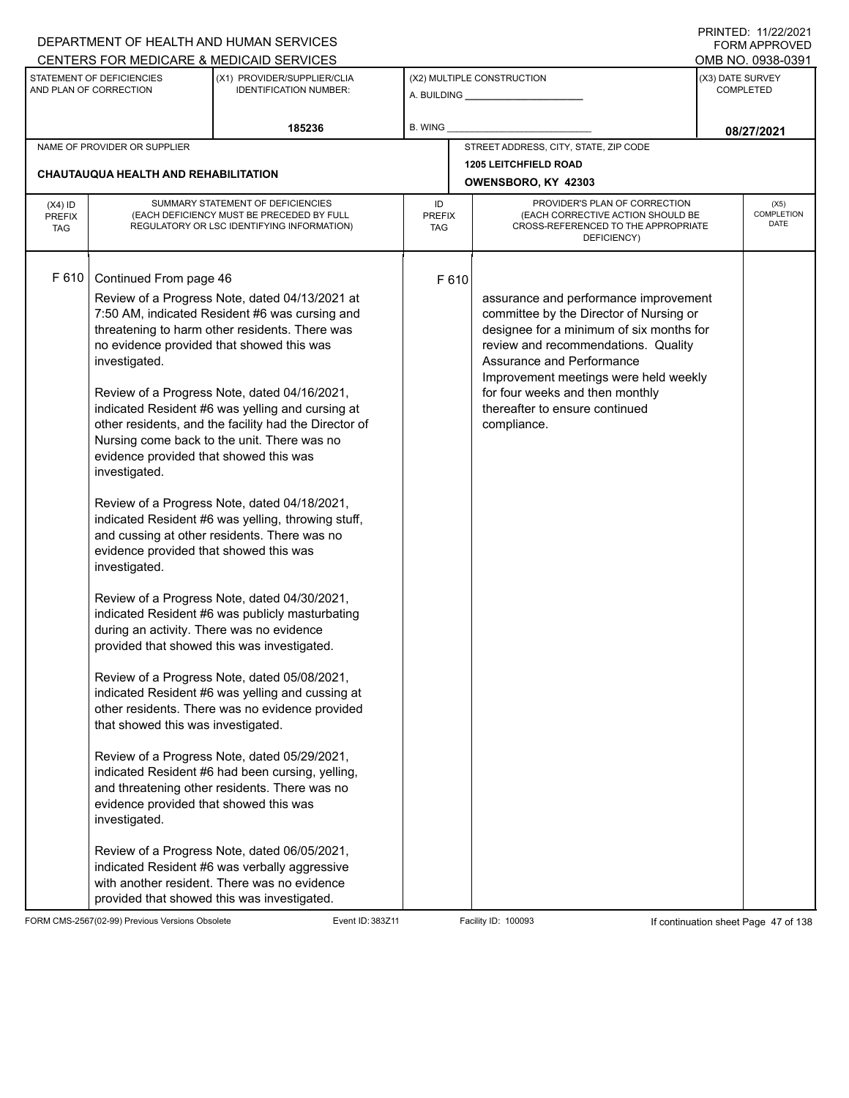|                                          |                                                                                                                                                                                                                                                                                                             | DEPARTMENT OF HEALTH AND HUMAN SERVICES                                                                                                                                                                                                                                                                                                                                                                                                                                                                                                                                                                                                                                                                                                                                                                                                                                                                                                                                                                                                                                                                                          |                            |       |                                                                                                                                                                                                                                                                                                                               |                  | <b>FORM APPROVED</b>              |
|------------------------------------------|-------------------------------------------------------------------------------------------------------------------------------------------------------------------------------------------------------------------------------------------------------------------------------------------------------------|----------------------------------------------------------------------------------------------------------------------------------------------------------------------------------------------------------------------------------------------------------------------------------------------------------------------------------------------------------------------------------------------------------------------------------------------------------------------------------------------------------------------------------------------------------------------------------------------------------------------------------------------------------------------------------------------------------------------------------------------------------------------------------------------------------------------------------------------------------------------------------------------------------------------------------------------------------------------------------------------------------------------------------------------------------------------------------------------------------------------------------|----------------------------|-------|-------------------------------------------------------------------------------------------------------------------------------------------------------------------------------------------------------------------------------------------------------------------------------------------------------------------------------|------------------|-----------------------------------|
|                                          |                                                                                                                                                                                                                                                                                                             | CENTERS FOR MEDICARE & MEDICAID SERVICES                                                                                                                                                                                                                                                                                                                                                                                                                                                                                                                                                                                                                                                                                                                                                                                                                                                                                                                                                                                                                                                                                         |                            |       |                                                                                                                                                                                                                                                                                                                               |                  | OMB NO. 0938-0391                 |
|                                          | STATEMENT OF DEFICIENCIES<br>AND PLAN OF CORRECTION                                                                                                                                                                                                                                                         | (X1) PROVIDER/SUPPLIER/CLIA<br><b>IDENTIFICATION NUMBER:</b>                                                                                                                                                                                                                                                                                                                                                                                                                                                                                                                                                                                                                                                                                                                                                                                                                                                                                                                                                                                                                                                                     |                            |       | (X2) MULTIPLE CONSTRUCTION                                                                                                                                                                                                                                                                                                    | (X3) DATE SURVEY | <b>COMPLETED</b>                  |
|                                          |                                                                                                                                                                                                                                                                                                             | 185236                                                                                                                                                                                                                                                                                                                                                                                                                                                                                                                                                                                                                                                                                                                                                                                                                                                                                                                                                                                                                                                                                                                           | B. WING                    |       |                                                                                                                                                                                                                                                                                                                               |                  | 08/27/2021                        |
|                                          | NAME OF PROVIDER OR SUPPLIER                                                                                                                                                                                                                                                                                |                                                                                                                                                                                                                                                                                                                                                                                                                                                                                                                                                                                                                                                                                                                                                                                                                                                                                                                                                                                                                                                                                                                                  |                            |       | STREET ADDRESS, CITY, STATE, ZIP CODE                                                                                                                                                                                                                                                                                         |                  |                                   |
|                                          | <b>CHAUTAUQUA HEALTH AND REHABILITATION</b>                                                                                                                                                                                                                                                                 |                                                                                                                                                                                                                                                                                                                                                                                                                                                                                                                                                                                                                                                                                                                                                                                                                                                                                                                                                                                                                                                                                                                                  |                            |       | <b>1205 LEITCHFIELD ROAD</b>                                                                                                                                                                                                                                                                                                  |                  |                                   |
|                                          |                                                                                                                                                                                                                                                                                                             |                                                                                                                                                                                                                                                                                                                                                                                                                                                                                                                                                                                                                                                                                                                                                                                                                                                                                                                                                                                                                                                                                                                                  |                            |       | OWENSBORO, KY 42303                                                                                                                                                                                                                                                                                                           |                  |                                   |
| $(X4)$ ID<br><b>PREFIX</b><br><b>TAG</b> |                                                                                                                                                                                                                                                                                                             | SUMMARY STATEMENT OF DEFICIENCIES<br>(EACH DEFICIENCY MUST BE PRECEDED BY FULL<br>REGULATORY OR LSC IDENTIFYING INFORMATION)                                                                                                                                                                                                                                                                                                                                                                                                                                                                                                                                                                                                                                                                                                                                                                                                                                                                                                                                                                                                     | ID<br><b>PREFIX</b><br>TAG |       | PROVIDER'S PLAN OF CORRECTION<br>(EACH CORRECTIVE ACTION SHOULD BE<br>CROSS-REFERENCED TO THE APPROPRIATE<br>DEFICIENCY)                                                                                                                                                                                                      |                  | (X5)<br>COMPLETION<br><b>DATE</b> |
| F 610                                    | Continued From page 46<br>investigated.<br>evidence provided that showed this was<br>investigated.<br>evidence provided that showed this was<br>investigated.<br>during an activity. There was no evidence<br>that showed this was investigated.<br>evidence provided that showed this was<br>investigated. | Review of a Progress Note, dated 04/13/2021 at<br>7:50 AM, indicated Resident #6 was cursing and<br>threatening to harm other residents. There was<br>no evidence provided that showed this was<br>Review of a Progress Note, dated 04/16/2021,<br>indicated Resident #6 was yelling and cursing at<br>other residents, and the facility had the Director of<br>Nursing come back to the unit. There was no<br>Review of a Progress Note, dated 04/18/2021,<br>indicated Resident #6 was yelling, throwing stuff,<br>and cussing at other residents. There was no<br>Review of a Progress Note, dated 04/30/2021,<br>indicated Resident #6 was publicly masturbating<br>provided that showed this was investigated.<br>Review of a Progress Note, dated 05/08/2021,<br>indicated Resident #6 was yelling and cussing at<br>other residents. There was no evidence provided<br>Review of a Progress Note, dated 05/29/2021,<br>indicated Resident #6 had been cursing, yelling,<br>and threatening other residents. There was no<br>Review of a Progress Note, dated 06/05/2021,<br>indicated Resident #6 was verbally aggressive |                            | F 610 | assurance and performance improvement<br>committee by the Director of Nursing or<br>designee for a minimum of six months for<br>review and recommendations. Quality<br>Assurance and Performance<br>Improvement meetings were held weekly<br>for four weeks and then monthly<br>thereafter to ensure continued<br>compliance. |                  |                                   |
|                                          |                                                                                                                                                                                                                                                                                                             | with another resident. There was no evidence<br>provided that showed this was investigated.                                                                                                                                                                                                                                                                                                                                                                                                                                                                                                                                                                                                                                                                                                                                                                                                                                                                                                                                                                                                                                      |                            |       |                                                                                                                                                                                                                                                                                                                               |                  |                                   |

FORM CMS-2567(02-99) Previous Versions Obsolete Event ID: 383Z11 Event ID: 383Z11 Facility ID: 100093 If continuation sheet Page 47 of 138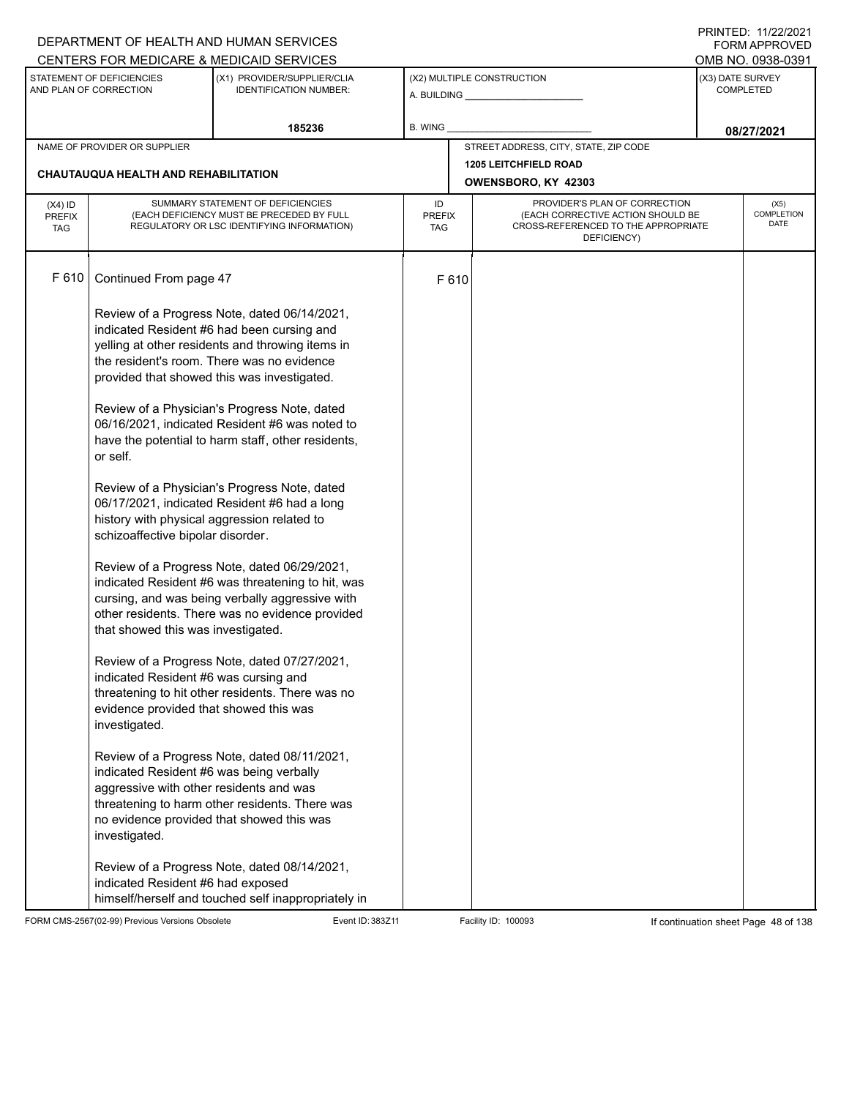|                                          |                                                                                                                                                                                                                                               | DEPARTMENT OF HEALTH AND HUMAN SERVICES                                                                                                                                                                                                                                                                                                                                                                                                                                                                                                                                                                                                                                                                        |           |                                                                                                                                                         |                                                     |                  | I INITILD. III <i>LLIL</i> VLI<br>FORM APPROVED |
|------------------------------------------|-----------------------------------------------------------------------------------------------------------------------------------------------------------------------------------------------------------------------------------------------|----------------------------------------------------------------------------------------------------------------------------------------------------------------------------------------------------------------------------------------------------------------------------------------------------------------------------------------------------------------------------------------------------------------------------------------------------------------------------------------------------------------------------------------------------------------------------------------------------------------------------------------------------------------------------------------------------------------|-----------|---------------------------------------------------------------------------------------------------------------------------------------------------------|-----------------------------------------------------|------------------|-------------------------------------------------|
|                                          | STATEMENT OF DEFICIENCIES                                                                                                                                                                                                                     | CENTERS FOR MEDICARE & MEDICAID SERVICES<br>(X1) PROVIDER/SUPPLIER/CLIA                                                                                                                                                                                                                                                                                                                                                                                                                                                                                                                                                                                                                                        |           |                                                                                                                                                         | (X2) MULTIPLE CONSTRUCTION                          | (X3) DATE SURVEY | OMB NO. 0938-0391                               |
|                                          | AND PLAN OF CORRECTION                                                                                                                                                                                                                        | <b>IDENTIFICATION NUMBER:</b>                                                                                                                                                                                                                                                                                                                                                                                                                                                                                                                                                                                                                                                                                  |           |                                                                                                                                                         |                                                     |                  | <b>COMPLETED</b>                                |
|                                          |                                                                                                                                                                                                                                               | 185236                                                                                                                                                                                                                                                                                                                                                                                                                                                                                                                                                                                                                                                                                                         | B. WING   |                                                                                                                                                         |                                                     |                  | 08/27/2021                                      |
|                                          | NAME OF PROVIDER OR SUPPLIER                                                                                                                                                                                                                  |                                                                                                                                                                                                                                                                                                                                                                                                                                                                                                                                                                                                                                                                                                                |           |                                                                                                                                                         | STREET ADDRESS, CITY, STATE, ZIP CODE               |                  |                                                 |
|                                          | CHAUTAUQUA HEALTH AND REHABILITATION                                                                                                                                                                                                          |                                                                                                                                                                                                                                                                                                                                                                                                                                                                                                                                                                                                                                                                                                                |           |                                                                                                                                                         | <b>1205 LEITCHFIELD ROAD</b><br>OWENSBORO, KY 42303 |                  |                                                 |
| $(X4)$ ID<br><b>PREFIX</b><br><b>TAG</b> |                                                                                                                                                                                                                                               | SUMMARY STATEMENT OF DEFICIENCIES<br>(EACH DEFICIENCY MUST BE PRECEDED BY FULL<br>REGULATORY OR LSC IDENTIFYING INFORMATION)                                                                                                                                                                                                                                                                                                                                                                                                                                                                                                                                                                                   | ID<br>TAG | PROVIDER'S PLAN OF CORRECTION<br>COMPLETION<br>(EACH CORRECTIVE ACTION SHOULD BE<br><b>PREFIX</b><br>CROSS-REFERENCED TO THE APPROPRIATE<br>DEFICIENCY) |                                                     |                  |                                                 |
| F 610                                    | Continued From page 47                                                                                                                                                                                                                        |                                                                                                                                                                                                                                                                                                                                                                                                                                                                                                                                                                                                                                                                                                                | F 610     |                                                                                                                                                         |                                                     |                  |                                                 |
|                                          | or self.<br>history with physical aggression related to<br>schizoaffective bipolar disorder.<br>that showed this was investigated.                                                                                                            | Review of a Progress Note, dated 06/14/2021,<br>indicated Resident #6 had been cursing and<br>yelling at other residents and throwing items in<br>the resident's room. There was no evidence<br>provided that showed this was investigated.<br>Review of a Physician's Progress Note, dated<br>06/16/2021, indicated Resident #6 was noted to<br>have the potential to harm staff, other residents,<br>Review of a Physician's Progress Note, dated<br>06/17/2021, indicated Resident #6 had a long<br>Review of a Progress Note, dated 06/29/2021,<br>indicated Resident #6 was threatening to hit, was<br>cursing, and was being verbally aggressive with<br>other residents. There was no evidence provided |           |                                                                                                                                                         |                                                     |                  |                                                 |
|                                          | indicated Resident #6 was cursing and<br>evidence provided that showed this was<br>investigated.<br>indicated Resident #6 was being verbally<br>aggressive with other residents and was<br>investigated.<br>indicated Resident #6 had exposed | Review of a Progress Note, dated 07/27/2021,<br>threatening to hit other residents. There was no<br>Review of a Progress Note, dated 08/11/2021,<br>threatening to harm other residents. There was<br>no evidence provided that showed this was<br>Review of a Progress Note, dated 08/14/2021,                                                                                                                                                                                                                                                                                                                                                                                                                |           |                                                                                                                                                         |                                                     |                  |                                                 |

FORM CMS-2567(02-99) Previous Versions Obsolete Event ID: 383Z11 Event ID: 383Z11 Facility ID: 100093 If continuation sheet Page 48 of 138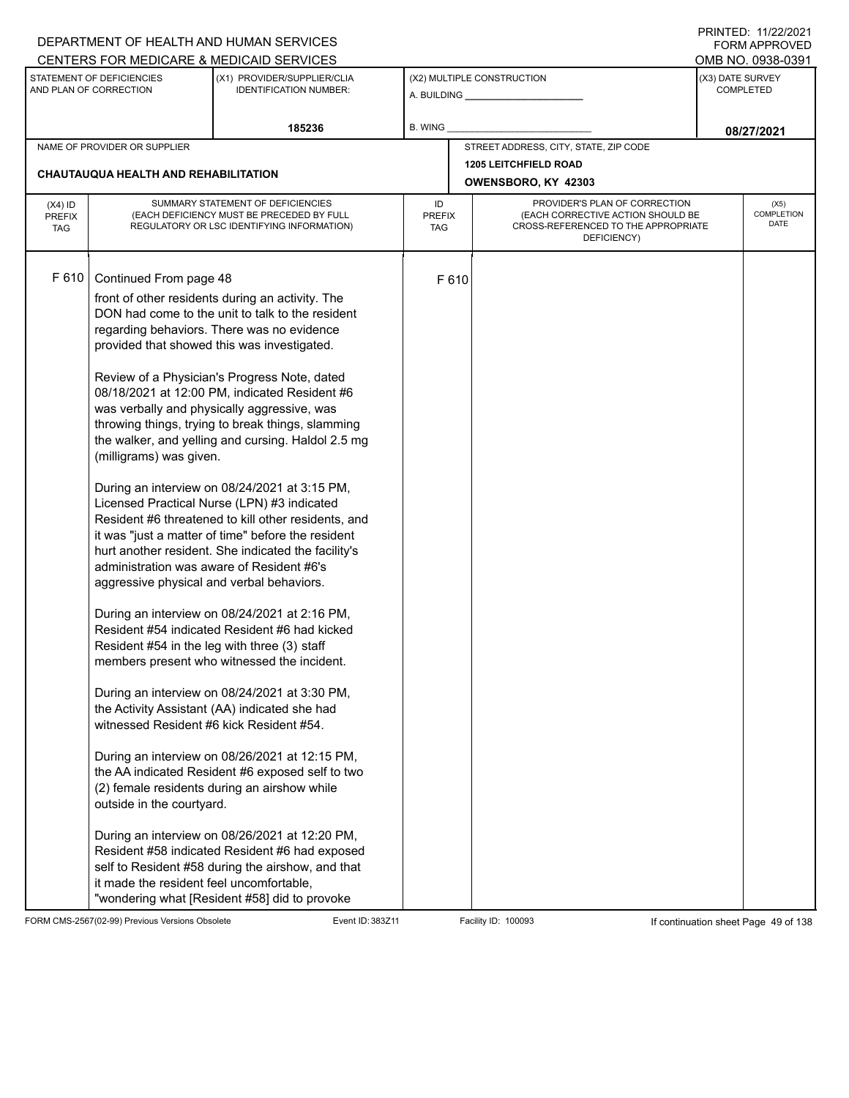|                                          |                                                                                                                                                                                                                                                                                                                  | DEPARTMENT OF HEALTH AND HUMAN SERVICES                                                                                                                                                                                                                                                                                                                                                                                                                                                                                                                                                                                                                                                                                                                                                                                                                                                                                                                                                                                                                                                                                                                                                                                                                                                            |                            |       |                                                                                                                          |                  | <b>FORM APPROVED</b>              |
|------------------------------------------|------------------------------------------------------------------------------------------------------------------------------------------------------------------------------------------------------------------------------------------------------------------------------------------------------------------|----------------------------------------------------------------------------------------------------------------------------------------------------------------------------------------------------------------------------------------------------------------------------------------------------------------------------------------------------------------------------------------------------------------------------------------------------------------------------------------------------------------------------------------------------------------------------------------------------------------------------------------------------------------------------------------------------------------------------------------------------------------------------------------------------------------------------------------------------------------------------------------------------------------------------------------------------------------------------------------------------------------------------------------------------------------------------------------------------------------------------------------------------------------------------------------------------------------------------------------------------------------------------------------------------|----------------------------|-------|--------------------------------------------------------------------------------------------------------------------------|------------------|-----------------------------------|
|                                          |                                                                                                                                                                                                                                                                                                                  | CENTERS FOR MEDICARE & MEDICAID SERVICES                                                                                                                                                                                                                                                                                                                                                                                                                                                                                                                                                                                                                                                                                                                                                                                                                                                                                                                                                                                                                                                                                                                                                                                                                                                           |                            |       |                                                                                                                          |                  | OMB NO. 0938-0391                 |
|                                          | STATEMENT OF DEFICIENCIES<br>AND PLAN OF CORRECTION                                                                                                                                                                                                                                                              | (X1) PROVIDER/SUPPLIER/CLIA<br><b>IDENTIFICATION NUMBER:</b>                                                                                                                                                                                                                                                                                                                                                                                                                                                                                                                                                                                                                                                                                                                                                                                                                                                                                                                                                                                                                                                                                                                                                                                                                                       |                            |       | (X2) MULTIPLE CONSTRUCTION                                                                                               | (X3) DATE SURVEY | <b>COMPLETED</b>                  |
|                                          |                                                                                                                                                                                                                                                                                                                  | 185236                                                                                                                                                                                                                                                                                                                                                                                                                                                                                                                                                                                                                                                                                                                                                                                                                                                                                                                                                                                                                                                                                                                                                                                                                                                                                             | B. WING                    |       |                                                                                                                          |                  | 08/27/2021                        |
|                                          | NAME OF PROVIDER OR SUPPLIER                                                                                                                                                                                                                                                                                     |                                                                                                                                                                                                                                                                                                                                                                                                                                                                                                                                                                                                                                                                                                                                                                                                                                                                                                                                                                                                                                                                                                                                                                                                                                                                                                    |                            |       | STREET ADDRESS, CITY, STATE, ZIP CODE                                                                                    |                  |                                   |
|                                          | CHAUTAUQUA HEALTH AND REHABILITATION                                                                                                                                                                                                                                                                             |                                                                                                                                                                                                                                                                                                                                                                                                                                                                                                                                                                                                                                                                                                                                                                                                                                                                                                                                                                                                                                                                                                                                                                                                                                                                                                    |                            |       | <b>1205 LEITCHFIELD ROAD</b><br>OWENSBORO, KY 42303                                                                      |                  |                                   |
| $(X4)$ ID<br><b>PREFIX</b><br><b>TAG</b> |                                                                                                                                                                                                                                                                                                                  | SUMMARY STATEMENT OF DEFICIENCIES<br>(EACH DEFICIENCY MUST BE PRECEDED BY FULL<br>REGULATORY OR LSC IDENTIFYING INFORMATION)                                                                                                                                                                                                                                                                                                                                                                                                                                                                                                                                                                                                                                                                                                                                                                                                                                                                                                                                                                                                                                                                                                                                                                       | ID<br><b>PREFIX</b><br>TAG |       | PROVIDER'S PLAN OF CORRECTION<br>(EACH CORRECTIVE ACTION SHOULD BE<br>CROSS-REFERENCED TO THE APPROPRIATE<br>DEFICIENCY) |                  | (X5)<br><b>COMPLETION</b><br>DATE |
| F 610                                    | Continued From page 48<br>(milligrams) was given.<br>administration was aware of Resident #6's<br>aggressive physical and verbal behaviors.<br>Resident #54 in the leg with three (3) staff<br>witnessed Resident #6 kick Resident #54.<br>outside in the courtyard.<br>it made the resident feel uncomfortable, | front of other residents during an activity. The<br>DON had come to the unit to talk to the resident<br>regarding behaviors. There was no evidence<br>provided that showed this was investigated.<br>Review of a Physician's Progress Note, dated<br>08/18/2021 at 12:00 PM, indicated Resident #6<br>was verbally and physically aggressive, was<br>throwing things, trying to break things, slamming<br>the walker, and yelling and cursing. Haldol 2.5 mg<br>During an interview on 08/24/2021 at 3:15 PM,<br>Licensed Practical Nurse (LPN) #3 indicated<br>Resident #6 threatened to kill other residents, and<br>it was "just a matter of time" before the resident<br>hurt another resident. She indicated the facility's<br>During an interview on 08/24/2021 at 2:16 PM,<br>Resident #54 indicated Resident #6 had kicked<br>members present who witnessed the incident.<br>During an interview on 08/24/2021 at 3:30 PM,<br>the Activity Assistant (AA) indicated she had<br>During an interview on 08/26/2021 at 12:15 PM,<br>the AA indicated Resident #6 exposed self to two<br>(2) female residents during an airshow while<br>During an interview on 08/26/2021 at 12:20 PM,<br>Resident #58 indicated Resident #6 had exposed<br>self to Resident #58 during the airshow, and that |                            | F 610 |                                                                                                                          |                  |                                   |
|                                          |                                                                                                                                                                                                                                                                                                                  | "wondering what [Resident #58] did to provoke                                                                                                                                                                                                                                                                                                                                                                                                                                                                                                                                                                                                                                                                                                                                                                                                                                                                                                                                                                                                                                                                                                                                                                                                                                                      |                            |       |                                                                                                                          |                  |                                   |

FORM CMS-2567(02-99) Previous Versions Obsolete Event ID: 383Z11 Event ID: 383Z11 Facility ID: 100093 If continuation sheet Page 49 of 138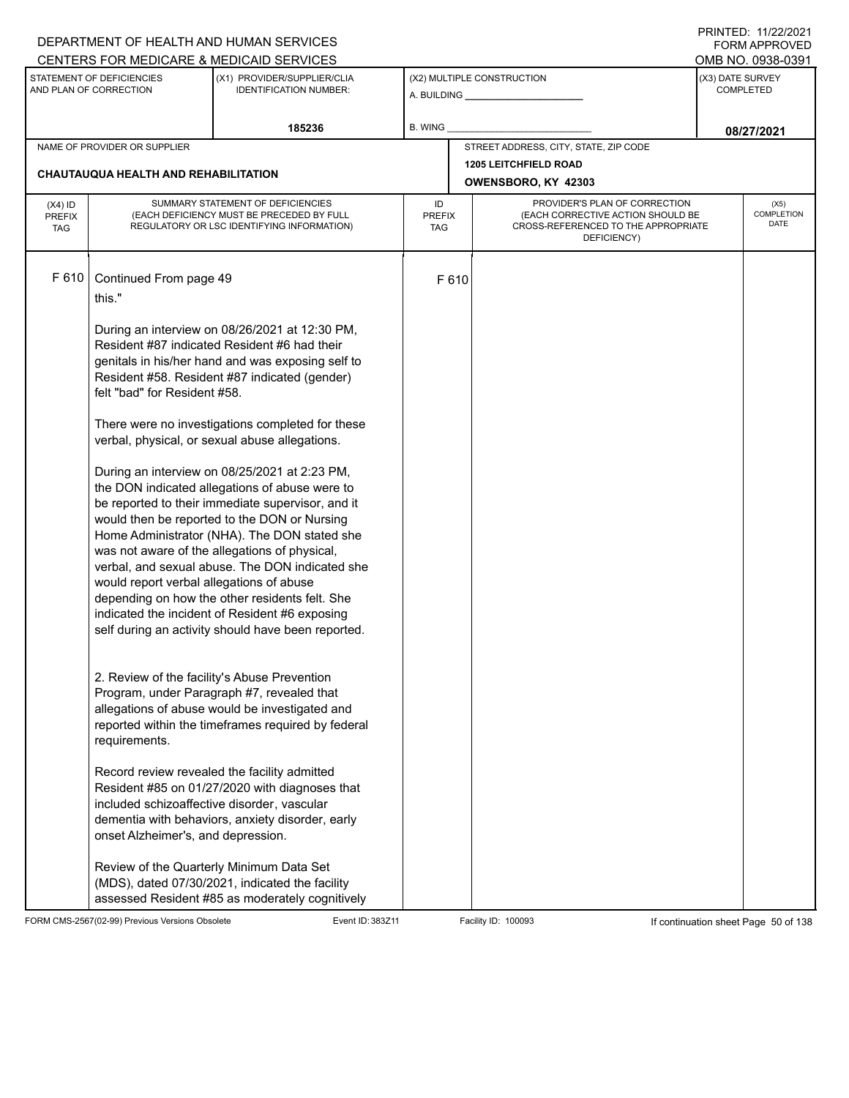|                                          |                                                                                                                               | DEPARTMENT OF HEALTH AND HUMAN SERVICES                                                                                                                                                                                                                                                                                                                                                                                                                                                                                                                                                                                                                                                                                                                                                                                                                                                                                                                                                                                                |                            |       |                                                                                                                          | <b>FORM APPROVED</b>                     |
|------------------------------------------|-------------------------------------------------------------------------------------------------------------------------------|----------------------------------------------------------------------------------------------------------------------------------------------------------------------------------------------------------------------------------------------------------------------------------------------------------------------------------------------------------------------------------------------------------------------------------------------------------------------------------------------------------------------------------------------------------------------------------------------------------------------------------------------------------------------------------------------------------------------------------------------------------------------------------------------------------------------------------------------------------------------------------------------------------------------------------------------------------------------------------------------------------------------------------------|----------------------------|-------|--------------------------------------------------------------------------------------------------------------------------|------------------------------------------|
|                                          |                                                                                                                               | CENTERS FOR MEDICARE & MEDICAID SERVICES                                                                                                                                                                                                                                                                                                                                                                                                                                                                                                                                                                                                                                                                                                                                                                                                                                                                                                                                                                                               |                            |       |                                                                                                                          | OMB NO. 0938-0391                        |
|                                          | STATEMENT OF DEFICIENCIES<br>AND PLAN OF CORRECTION                                                                           | (X1) PROVIDER/SUPPLIER/CLIA<br><b>IDENTIFICATION NUMBER:</b>                                                                                                                                                                                                                                                                                                                                                                                                                                                                                                                                                                                                                                                                                                                                                                                                                                                                                                                                                                           |                            |       | (X2) MULTIPLE CONSTRUCTION                                                                                               | (X3) DATE SURVEY<br><b>COMPLETED</b>     |
|                                          |                                                                                                                               | 185236                                                                                                                                                                                                                                                                                                                                                                                                                                                                                                                                                                                                                                                                                                                                                                                                                                                                                                                                                                                                                                 | <b>B. WING</b>             |       |                                                                                                                          | 08/27/2021                               |
|                                          | NAME OF PROVIDER OR SUPPLIER                                                                                                  |                                                                                                                                                                                                                                                                                                                                                                                                                                                                                                                                                                                                                                                                                                                                                                                                                                                                                                                                                                                                                                        |                            |       | STREET ADDRESS, CITY, STATE, ZIP CODE                                                                                    |                                          |
|                                          | CHAUTAUQUA HEALTH AND REHABILITATION                                                                                          |                                                                                                                                                                                                                                                                                                                                                                                                                                                                                                                                                                                                                                                                                                                                                                                                                                                                                                                                                                                                                                        |                            |       | <b>1205 LEITCHFIELD ROAD</b><br>OWENSBORO, KY 42303                                                                      |                                          |
| $(X4)$ ID<br><b>PREFIX</b><br><b>TAG</b> |                                                                                                                               | SUMMARY STATEMENT OF DEFICIENCIES<br>(EACH DEFICIENCY MUST BE PRECEDED BY FULL<br>REGULATORY OR LSC IDENTIFYING INFORMATION)                                                                                                                                                                                                                                                                                                                                                                                                                                                                                                                                                                                                                                                                                                                                                                                                                                                                                                           | ID<br><b>PREFIX</b><br>TAG |       | PROVIDER'S PLAN OF CORRECTION<br>(EACH CORRECTIVE ACTION SHOULD BE<br>CROSS-REFERENCED TO THE APPROPRIATE<br>DEFICIENCY) | (X5)<br><b>COMPLETION</b><br><b>DATE</b> |
| F 610                                    | Continued From page 49<br>this."<br>felt "bad" for Resident #58.<br>would report verbal allegations of abuse<br>requirements. | During an interview on 08/26/2021 at 12:30 PM,<br>Resident #87 indicated Resident #6 had their<br>genitals in his/her hand and was exposing self to<br>Resident #58. Resident #87 indicated (gender)<br>There were no investigations completed for these<br>verbal, physical, or sexual abuse allegations.<br>During an interview on 08/25/2021 at 2:23 PM,<br>the DON indicated allegations of abuse were to<br>be reported to their immediate supervisor, and it<br>would then be reported to the DON or Nursing<br>Home Administrator (NHA). The DON stated she<br>was not aware of the allegations of physical,<br>verbal, and sexual abuse. The DON indicated she<br>depending on how the other residents felt. She<br>indicated the incident of Resident #6 exposing<br>self during an activity should have been reported.<br>2. Review of the facility's Abuse Prevention<br>Program, under Paragraph #7, revealed that<br>allegations of abuse would be investigated and<br>reported within the timeframes required by federal |                            | F 610 |                                                                                                                          |                                          |
|                                          | included schizoaffective disorder, vascular<br>onset Alzheimer's, and depression.                                             | Record review revealed the facility admitted<br>Resident #85 on 01/27/2020 with diagnoses that<br>dementia with behaviors, anxiety disorder, early                                                                                                                                                                                                                                                                                                                                                                                                                                                                                                                                                                                                                                                                                                                                                                                                                                                                                     |                            |       |                                                                                                                          |                                          |
|                                          |                                                                                                                               | Review of the Quarterly Minimum Data Set<br>(MDS), dated 07/30/2021, indicated the facility<br>assessed Resident #85 as moderately cognitively                                                                                                                                                                                                                                                                                                                                                                                                                                                                                                                                                                                                                                                                                                                                                                                                                                                                                         |                            |       |                                                                                                                          |                                          |

FORM CMS-2567(02-99) Previous Versions Obsolete Event ID: 383Z11 Facility ID: 100093 If continuation sheet Page 50 of 138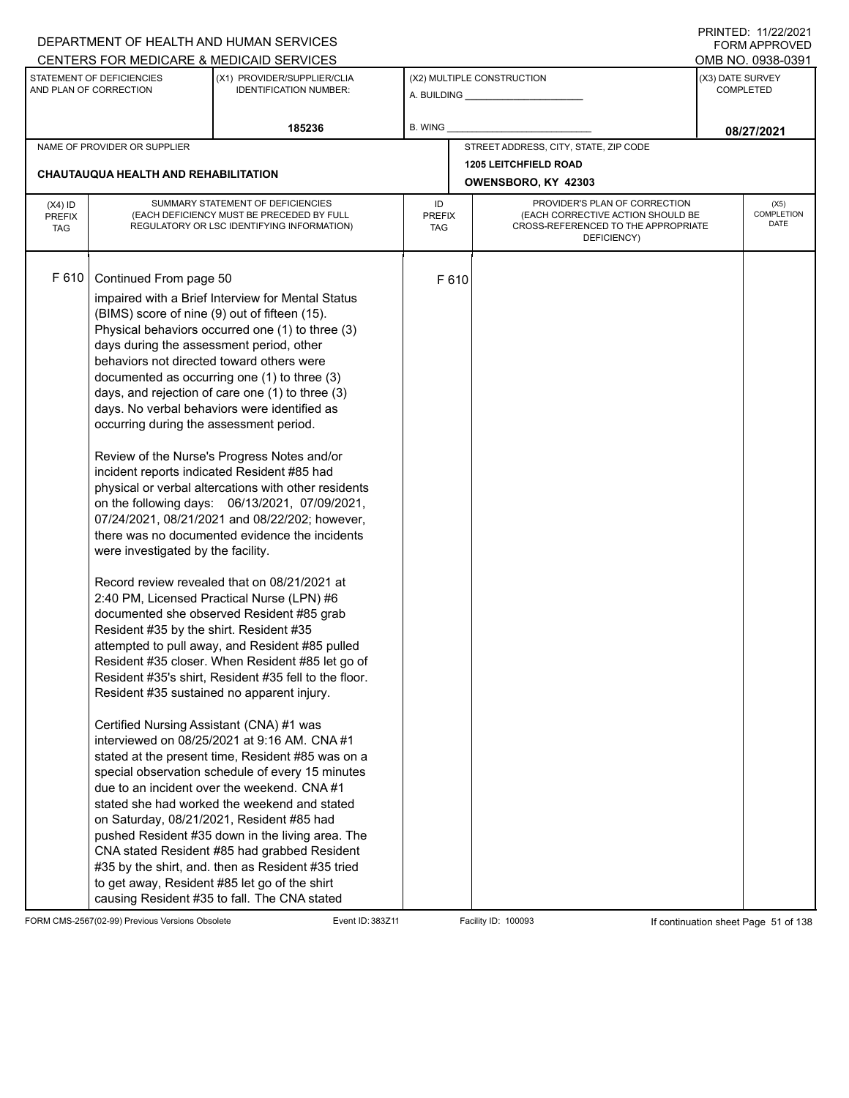|                                          |                                                                                                                                                                                                                                                                                                                                          | DEPARTMENT OF HEALTH AND HUMAN SERVICES                                                                                                                                                                                                                                                                                                                                                                                                                                                                                                                                                                                                                                                                                                                                                                                                                                                                                                                                                                                                                                                                                                                                                                                                                                                                                                                                                                                                                                                      |                                                                                                                                                        |       |                                       |  | I INITILD. III <i>LLIL</i> VLI<br><b>FORM APPROVED</b> |
|------------------------------------------|------------------------------------------------------------------------------------------------------------------------------------------------------------------------------------------------------------------------------------------------------------------------------------------------------------------------------------------|----------------------------------------------------------------------------------------------------------------------------------------------------------------------------------------------------------------------------------------------------------------------------------------------------------------------------------------------------------------------------------------------------------------------------------------------------------------------------------------------------------------------------------------------------------------------------------------------------------------------------------------------------------------------------------------------------------------------------------------------------------------------------------------------------------------------------------------------------------------------------------------------------------------------------------------------------------------------------------------------------------------------------------------------------------------------------------------------------------------------------------------------------------------------------------------------------------------------------------------------------------------------------------------------------------------------------------------------------------------------------------------------------------------------------------------------------------------------------------------------|--------------------------------------------------------------------------------------------------------------------------------------------------------|-------|---------------------------------------|--|--------------------------------------------------------|
|                                          |                                                                                                                                                                                                                                                                                                                                          | CENTERS FOR MEDICARE & MEDICAID SERVICES                                                                                                                                                                                                                                                                                                                                                                                                                                                                                                                                                                                                                                                                                                                                                                                                                                                                                                                                                                                                                                                                                                                                                                                                                                                                                                                                                                                                                                                     |                                                                                                                                                        |       |                                       |  | OMB NO. 0938-0391                                      |
|                                          | STATEMENT OF DEFICIENCIES<br>AND PLAN OF CORRECTION                                                                                                                                                                                                                                                                                      | (X1) PROVIDER/SUPPLIER/CLIA<br><b>IDENTIFICATION NUMBER:</b>                                                                                                                                                                                                                                                                                                                                                                                                                                                                                                                                                                                                                                                                                                                                                                                                                                                                                                                                                                                                                                                                                                                                                                                                                                                                                                                                                                                                                                 |                                                                                                                                                        |       | (X2) MULTIPLE CONSTRUCTION            |  | (X3) DATE SURVEY<br><b>COMPLETED</b>                   |
|                                          |                                                                                                                                                                                                                                                                                                                                          | 185236                                                                                                                                                                                                                                                                                                                                                                                                                                                                                                                                                                                                                                                                                                                                                                                                                                                                                                                                                                                                                                                                                                                                                                                                                                                                                                                                                                                                                                                                                       | <b>B. WING</b>                                                                                                                                         |       |                                       |  | 08/27/2021                                             |
|                                          | NAME OF PROVIDER OR SUPPLIER                                                                                                                                                                                                                                                                                                             |                                                                                                                                                                                                                                                                                                                                                                                                                                                                                                                                                                                                                                                                                                                                                                                                                                                                                                                                                                                                                                                                                                                                                                                                                                                                                                                                                                                                                                                                                              |                                                                                                                                                        |       | STREET ADDRESS, CITY, STATE, ZIP CODE |  |                                                        |
|                                          |                                                                                                                                                                                                                                                                                                                                          |                                                                                                                                                                                                                                                                                                                                                                                                                                                                                                                                                                                                                                                                                                                                                                                                                                                                                                                                                                                                                                                                                                                                                                                                                                                                                                                                                                                                                                                                                              |                                                                                                                                                        |       | <b>1205 LEITCHFIELD ROAD</b>          |  |                                                        |
|                                          | <b>CHAUTAUQUA HEALTH AND REHABILITATION</b>                                                                                                                                                                                                                                                                                              |                                                                                                                                                                                                                                                                                                                                                                                                                                                                                                                                                                                                                                                                                                                                                                                                                                                                                                                                                                                                                                                                                                                                                                                                                                                                                                                                                                                                                                                                                              |                                                                                                                                                        |       | OWENSBORO, KY 42303                   |  |                                                        |
| $(X4)$ ID<br><b>PREFIX</b><br><b>TAG</b> |                                                                                                                                                                                                                                                                                                                                          | SUMMARY STATEMENT OF DEFICIENCIES<br>(EACH DEFICIENCY MUST BE PRECEDED BY FULL<br>REGULATORY OR LSC IDENTIFYING INFORMATION)                                                                                                                                                                                                                                                                                                                                                                                                                                                                                                                                                                                                                                                                                                                                                                                                                                                                                                                                                                                                                                                                                                                                                                                                                                                                                                                                                                 | PROVIDER'S PLAN OF CORRECTION<br>ID<br>(EACH CORRECTIVE ACTION SHOULD BE<br><b>PREFIX</b><br>CROSS-REFERENCED TO THE APPROPRIATE<br>TAG<br>DEFICIENCY) |       |                                       |  | (X5)<br>COMPLETION<br><b>DATE</b>                      |
| F 610                                    | Continued From page 50<br>(BIMS) score of nine (9) out of fifteen (15).<br>days during the assessment period, other<br>behaviors not directed toward others were<br>occurring during the assessment period.<br>were investigated by the facility.<br>Resident #35 by the shirt. Resident #35<br>Certified Nursing Assistant (CNA) #1 was | impaired with a Brief Interview for Mental Status<br>Physical behaviors occurred one (1) to three (3)<br>documented as occurring one (1) to three (3)<br>days, and rejection of care one (1) to three (3)<br>days. No verbal behaviors were identified as<br>Review of the Nurse's Progress Notes and/or<br>incident reports indicated Resident #85 had<br>physical or verbal altercations with other residents<br>on the following days: 06/13/2021, 07/09/2021,<br>07/24/2021, 08/21/2021 and 08/22/202; however,<br>there was no documented evidence the incidents<br>Record review revealed that on 08/21/2021 at<br>2:40 PM, Licensed Practical Nurse (LPN) #6<br>documented she observed Resident #85 grab<br>attempted to pull away, and Resident #85 pulled<br>Resident #35 closer. When Resident #85 let go of<br>Resident #35's shirt, Resident #35 fell to the floor.<br>Resident #35 sustained no apparent injury.<br>interviewed on 08/25/2021 at 9:16 AM. CNA #1<br>stated at the present time, Resident #85 was on a<br>special observation schedule of every 15 minutes<br>due to an incident over the weekend. CNA#1<br>stated she had worked the weekend and stated<br>on Saturday, 08/21/2021, Resident #85 had<br>pushed Resident #35 down in the living area. The<br>CNA stated Resident #85 had grabbed Resident<br>#35 by the shirt, and. then as Resident #35 tried<br>to get away, Resident #85 let go of the shirt<br>causing Resident #35 to fall. The CNA stated |                                                                                                                                                        | F 610 |                                       |  |                                                        |

FORM CMS-2567(02-99) Previous Versions Obsolete Event ID: 383Z11 Event ID: 383Z11 Facility ID: 100093 If continuation sheet Page 51 of 138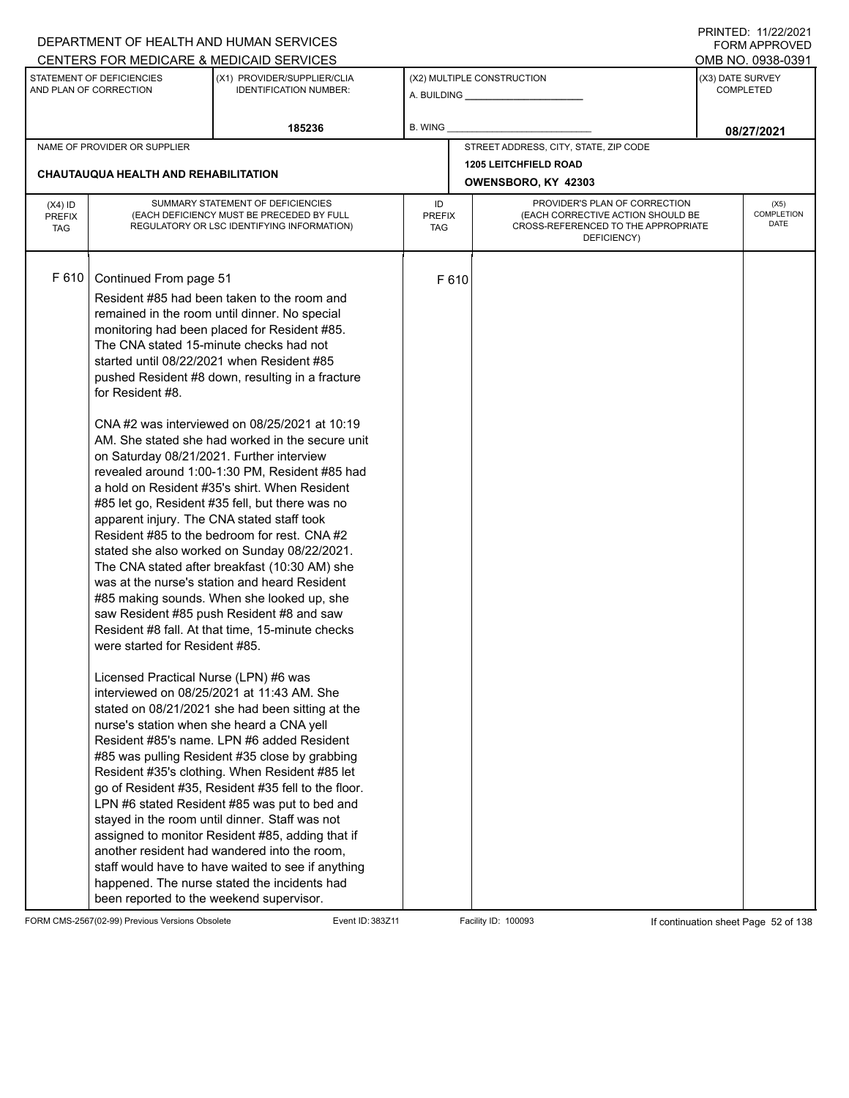|                                          |                                                                                                                                                                                                                                                                                                                                                      | DEPARTMENT OF HEALTH AND HUMAN SERVICES                                                                                                                                                                                                                                                                                                                                                                                                                                                                                                                                                                                                                                                                                                                                                                                                                                                                                                                                                                                                                                                                                                                                                                                                                                                                                                                                                                                                                                           |                            |       |                                                                                                                          |                  | <b>FORM APPROVED</b>              |
|------------------------------------------|------------------------------------------------------------------------------------------------------------------------------------------------------------------------------------------------------------------------------------------------------------------------------------------------------------------------------------------------------|-----------------------------------------------------------------------------------------------------------------------------------------------------------------------------------------------------------------------------------------------------------------------------------------------------------------------------------------------------------------------------------------------------------------------------------------------------------------------------------------------------------------------------------------------------------------------------------------------------------------------------------------------------------------------------------------------------------------------------------------------------------------------------------------------------------------------------------------------------------------------------------------------------------------------------------------------------------------------------------------------------------------------------------------------------------------------------------------------------------------------------------------------------------------------------------------------------------------------------------------------------------------------------------------------------------------------------------------------------------------------------------------------------------------------------------------------------------------------------------|----------------------------|-------|--------------------------------------------------------------------------------------------------------------------------|------------------|-----------------------------------|
|                                          |                                                                                                                                                                                                                                                                                                                                                      | CENTERS FOR MEDICARE & MEDICAID SERVICES                                                                                                                                                                                                                                                                                                                                                                                                                                                                                                                                                                                                                                                                                                                                                                                                                                                                                                                                                                                                                                                                                                                                                                                                                                                                                                                                                                                                                                          |                            |       |                                                                                                                          |                  | OMB NO. 0938-0391                 |
|                                          | STATEMENT OF DEFICIENCIES<br>AND PLAN OF CORRECTION                                                                                                                                                                                                                                                                                                  | (X1) PROVIDER/SUPPLIER/CLIA<br><b>IDENTIFICATION NUMBER:</b>                                                                                                                                                                                                                                                                                                                                                                                                                                                                                                                                                                                                                                                                                                                                                                                                                                                                                                                                                                                                                                                                                                                                                                                                                                                                                                                                                                                                                      |                            |       | (X2) MULTIPLE CONSTRUCTION                                                                                               | (X3) DATE SURVEY | <b>COMPLETED</b>                  |
|                                          |                                                                                                                                                                                                                                                                                                                                                      | 185236                                                                                                                                                                                                                                                                                                                                                                                                                                                                                                                                                                                                                                                                                                                                                                                                                                                                                                                                                                                                                                                                                                                                                                                                                                                                                                                                                                                                                                                                            | <b>B. WING</b>             |       |                                                                                                                          |                  | 08/27/2021                        |
|                                          | NAME OF PROVIDER OR SUPPLIER                                                                                                                                                                                                                                                                                                                         |                                                                                                                                                                                                                                                                                                                                                                                                                                                                                                                                                                                                                                                                                                                                                                                                                                                                                                                                                                                                                                                                                                                                                                                                                                                                                                                                                                                                                                                                                   |                            |       | STREET ADDRESS, CITY, STATE, ZIP CODE                                                                                    |                  |                                   |
|                                          |                                                                                                                                                                                                                                                                                                                                                      |                                                                                                                                                                                                                                                                                                                                                                                                                                                                                                                                                                                                                                                                                                                                                                                                                                                                                                                                                                                                                                                                                                                                                                                                                                                                                                                                                                                                                                                                                   |                            |       | <b>1205 LEITCHFIELD ROAD</b>                                                                                             |                  |                                   |
|                                          | CHAUTAUQUA HEALTH AND REHABILITATION                                                                                                                                                                                                                                                                                                                 |                                                                                                                                                                                                                                                                                                                                                                                                                                                                                                                                                                                                                                                                                                                                                                                                                                                                                                                                                                                                                                                                                                                                                                                                                                                                                                                                                                                                                                                                                   |                            |       | OWENSBORO, KY 42303                                                                                                      |                  |                                   |
| $(X4)$ ID<br><b>PREFIX</b><br><b>TAG</b> |                                                                                                                                                                                                                                                                                                                                                      | SUMMARY STATEMENT OF DEFICIENCIES<br>(EACH DEFICIENCY MUST BE PRECEDED BY FULL<br>REGULATORY OR LSC IDENTIFYING INFORMATION)                                                                                                                                                                                                                                                                                                                                                                                                                                                                                                                                                                                                                                                                                                                                                                                                                                                                                                                                                                                                                                                                                                                                                                                                                                                                                                                                                      | ID<br><b>PREFIX</b><br>TAG |       | PROVIDER'S PLAN OF CORRECTION<br>(EACH CORRECTIVE ACTION SHOULD BE<br>CROSS-REFERENCED TO THE APPROPRIATE<br>DEFICIENCY) |                  | (X5)<br>COMPLETION<br><b>DATE</b> |
| F 610                                    | Continued From page 51<br>The CNA stated 15-minute checks had not<br>for Resident #8.<br>on Saturday 08/21/2021. Further interview<br>apparent injury. The CNA stated staff took<br>were started for Resident #85.<br>Licensed Practical Nurse (LPN) #6 was<br>nurse's station when she heard a CNA yell<br>been reported to the weekend supervisor. | Resident #85 had been taken to the room and<br>remained in the room until dinner. No special<br>monitoring had been placed for Resident #85.<br>started until 08/22/2021 when Resident #85<br>pushed Resident #8 down, resulting in a fracture<br>CNA#2 was interviewed on 08/25/2021 at 10:19<br>AM. She stated she had worked in the secure unit<br>revealed around 1:00-1:30 PM, Resident #85 had<br>a hold on Resident #35's shirt. When Resident<br>#85 let go, Resident #35 fell, but there was no<br>Resident #85 to the bedroom for rest. CNA #2<br>stated she also worked on Sunday 08/22/2021.<br>The CNA stated after breakfast (10:30 AM) she<br>was at the nurse's station and heard Resident<br>#85 making sounds. When she looked up, she<br>saw Resident #85 push Resident #8 and saw<br>Resident #8 fall. At that time, 15-minute checks<br>interviewed on 08/25/2021 at 11:43 AM. She<br>stated on 08/21/2021 she had been sitting at the<br>Resident #85's name. LPN #6 added Resident<br>#85 was pulling Resident #35 close by grabbing<br>Resident #35's clothing. When Resident #85 let<br>go of Resident #35, Resident #35 fell to the floor.<br>LPN #6 stated Resident #85 was put to bed and<br>stayed in the room until dinner. Staff was not<br>assigned to monitor Resident #85, adding that if<br>another resident had wandered into the room,<br>staff would have to have waited to see if anything<br>happened. The nurse stated the incidents had |                            | F 610 |                                                                                                                          |                  |                                   |

FORM CMS-2567(02-99) Previous Versions Obsolete Event ID: 383Z11 Event ID: 383Z11 Facility ID: 100093 If continuation sheet Page 52 of 138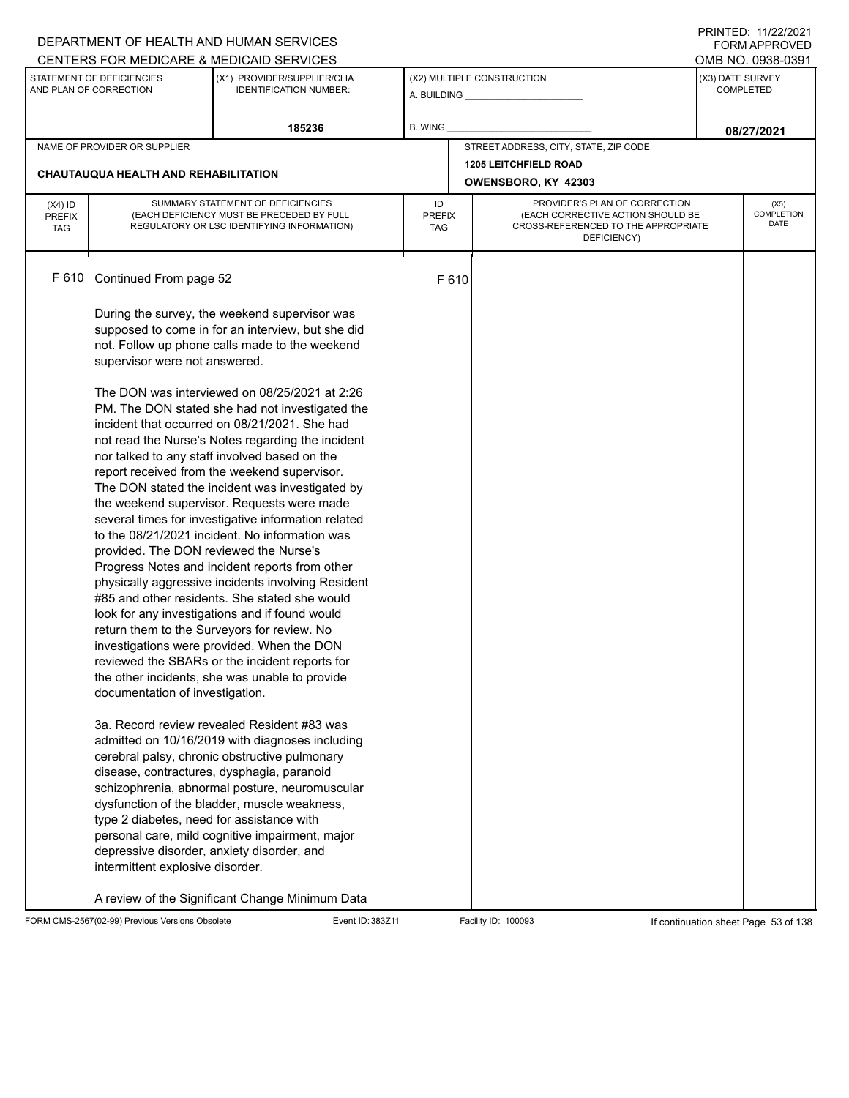|               |                                                     | DEPARTMENT OF HEALTH AND HUMAN SERVICES                                                            |               |       |                                                    |                  | FORM APPROVED      |
|---------------|-----------------------------------------------------|----------------------------------------------------------------------------------------------------|---------------|-------|----------------------------------------------------|------------------|--------------------|
|               |                                                     | CENTERS FOR MEDICARE & MEDICAID SERVICES                                                           |               |       |                                                    |                  | OMB NO. 0938-0391  |
|               | STATEMENT OF DEFICIENCIES<br>AND PLAN OF CORRECTION | (X1) PROVIDER/SUPPLIER/CLIA<br><b>IDENTIFICATION NUMBER:</b>                                       |               |       | (X2) MULTIPLE CONSTRUCTION                         | (X3) DATE SURVEY | <b>COMPLETED</b>   |
|               |                                                     | 185236                                                                                             | B. WING       |       |                                                    |                  | 08/27/2021         |
|               | NAME OF PROVIDER OR SUPPLIER                        |                                                                                                    |               |       | STREET ADDRESS, CITY, STATE, ZIP CODE              |                  |                    |
|               | CHAUTAUQUA HEALTH AND REHABILITATION                |                                                                                                    |               |       | <b>1205 LEITCHFIELD ROAD</b>                       |                  |                    |
|               |                                                     |                                                                                                    |               |       | OWENSBORO, KY 42303                                |                  |                    |
| $(X4)$ ID     |                                                     | SUMMARY STATEMENT OF DEFICIENCIES                                                                  | ID            |       | PROVIDER'S PLAN OF CORRECTION                      |                  | (X5)               |
| <b>PREFIX</b> |                                                     | (EACH DEFICIENCY MUST BE PRECEDED BY FULL                                                          | <b>PREFIX</b> |       | (EACH CORRECTIVE ACTION SHOULD BE                  |                  | COMPLETION<br>DATE |
| <b>TAG</b>    |                                                     | REGULATORY OR LSC IDENTIFYING INFORMATION)                                                         | TAG           |       | CROSS-REFERENCED TO THE APPROPRIATE<br>DEFICIENCY) |                  |                    |
|               |                                                     |                                                                                                    |               |       |                                                    |                  |                    |
| F 610         |                                                     |                                                                                                    |               |       |                                                    |                  |                    |
|               | Continued From page 52                              |                                                                                                    |               | F 610 |                                                    |                  |                    |
|               |                                                     |                                                                                                    |               |       |                                                    |                  |                    |
|               |                                                     | During the survey, the weekend supervisor was<br>supposed to come in for an interview, but she did |               |       |                                                    |                  |                    |
|               |                                                     | not. Follow up phone calls made to the weekend                                                     |               |       |                                                    |                  |                    |
|               | supervisor were not answered.                       |                                                                                                    |               |       |                                                    |                  |                    |
|               |                                                     |                                                                                                    |               |       |                                                    |                  |                    |
|               |                                                     | The DON was interviewed on 08/25/2021 at 2:26                                                      |               |       |                                                    |                  |                    |
|               |                                                     | PM. The DON stated she had not investigated the                                                    |               |       |                                                    |                  |                    |
|               |                                                     | incident that occurred on 08/21/2021. She had                                                      |               |       |                                                    |                  |                    |
|               |                                                     | not read the Nurse's Notes regarding the incident                                                  |               |       |                                                    |                  |                    |
|               |                                                     | nor talked to any staff involved based on the                                                      |               |       |                                                    |                  |                    |
|               |                                                     | report received from the weekend supervisor.<br>The DON stated the incident was investigated by    |               |       |                                                    |                  |                    |
|               |                                                     | the weekend supervisor. Requests were made                                                         |               |       |                                                    |                  |                    |
|               |                                                     | several times for investigative information related                                                |               |       |                                                    |                  |                    |
|               |                                                     | to the 08/21/2021 incident. No information was                                                     |               |       |                                                    |                  |                    |
|               | provided. The DON reviewed the Nurse's              |                                                                                                    |               |       |                                                    |                  |                    |
|               |                                                     | Progress Notes and incident reports from other                                                     |               |       |                                                    |                  |                    |
|               |                                                     | physically aggressive incidents involving Resident                                                 |               |       |                                                    |                  |                    |
|               |                                                     | #85 and other residents. She stated she would                                                      |               |       |                                                    |                  |                    |
|               |                                                     | look for any investigations and if found would                                                     |               |       |                                                    |                  |                    |
|               |                                                     | return them to the Surveyors for review. No<br>investigations were provided. When the DON          |               |       |                                                    |                  |                    |
|               |                                                     | reviewed the SBARs or the incident reports for                                                     |               |       |                                                    |                  |                    |
|               |                                                     | the other incidents, she was unable to provide                                                     |               |       |                                                    |                  |                    |
|               | documentation of investigation.                     |                                                                                                    |               |       |                                                    |                  |                    |
|               |                                                     |                                                                                                    |               |       |                                                    |                  |                    |
|               |                                                     | 3a. Record review revealed Resident #83 was                                                        |               |       |                                                    |                  |                    |
|               |                                                     | admitted on 10/16/2019 with diagnoses including                                                    |               |       |                                                    |                  |                    |
|               |                                                     | cerebral palsy, chronic obstructive pulmonary                                                      |               |       |                                                    |                  |                    |
|               |                                                     | disease, contractures, dysphagia, paranoid                                                         |               |       |                                                    |                  |                    |
|               |                                                     | schizophrenia, abnormal posture, neuromuscular<br>dysfunction of the bladder, muscle weakness,     |               |       |                                                    |                  |                    |
|               | type 2 diabetes, need for assistance with           |                                                                                                    |               |       |                                                    |                  |                    |
|               |                                                     | personal care, mild cognitive impairment, major                                                    |               |       |                                                    |                  |                    |
|               | depressive disorder, anxiety disorder, and          |                                                                                                    |               |       |                                                    |                  |                    |
|               | intermittent explosive disorder.                    |                                                                                                    |               |       |                                                    |                  |                    |
|               |                                                     |                                                                                                    |               |       |                                                    |                  |                    |
|               |                                                     | A review of the Significant Change Minimum Data                                                    |               |       |                                                    |                  |                    |

FORM CMS-2567(02-99) Previous Versions Obsolete Event ID: 383Z11 Facility ID: 100093 If continuation sheet Page 53 of 138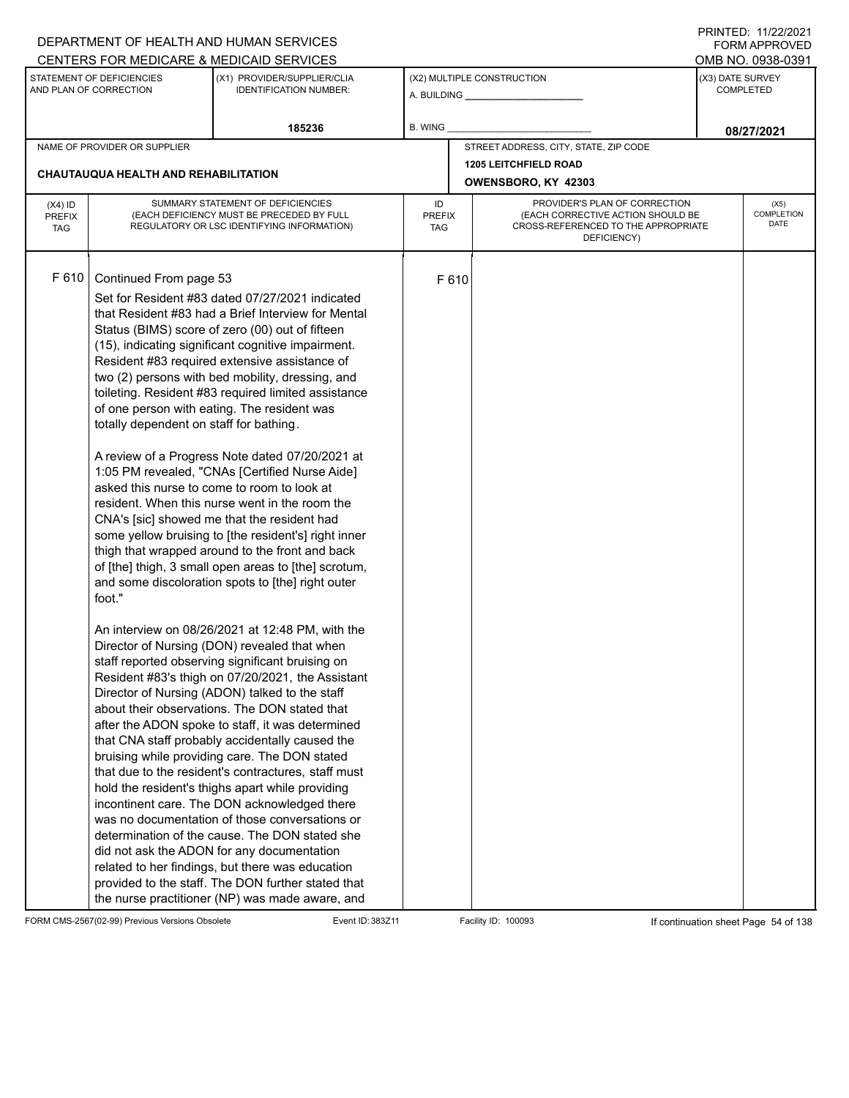|               |                                                     | DEPARTMENT OF HEALTH AND HUMAN SERVICES                      |               |       |                                                    |                  | <b>FORM APPROVED</b>             |
|---------------|-----------------------------------------------------|--------------------------------------------------------------|---------------|-------|----------------------------------------------------|------------------|----------------------------------|
|               |                                                     | CENTERS FOR MEDICARE & MEDICAID SERVICES                     |               |       |                                                    |                  | OMB NO. 0938-0391                |
|               | STATEMENT OF DEFICIENCIES<br>AND PLAN OF CORRECTION | (X1) PROVIDER/SUPPLIER/CLIA<br><b>IDENTIFICATION NUMBER:</b> |               |       | (X2) MULTIPLE CONSTRUCTION                         | (X3) DATE SURVEY | <b>COMPLETED</b>                 |
|               |                                                     | 185236                                                       | B. WING       |       |                                                    |                  | 08/27/2021                       |
|               | NAME OF PROVIDER OR SUPPLIER                        |                                                              |               |       | STREET ADDRESS, CITY, STATE, ZIP CODE              |                  |                                  |
|               |                                                     |                                                              |               |       | <b>1205 LEITCHFIELD ROAD</b>                       |                  |                                  |
|               | CHAUTAUQUA HEALTH AND REHABILITATION                |                                                              |               |       | OWENSBORO, KY 42303                                |                  |                                  |
| $(X4)$ ID     |                                                     | SUMMARY STATEMENT OF DEFICIENCIES                            | ID            |       | PROVIDER'S PLAN OF CORRECTION                      |                  | (X5)                             |
| <b>PREFIX</b> |                                                     | (EACH DEFICIENCY MUST BE PRECEDED BY FULL                    | <b>PREFIX</b> |       | (EACH CORRECTIVE ACTION SHOULD BE                  |                  | <b>COMPLETION</b><br><b>DATE</b> |
| <b>TAG</b>    |                                                     | REGULATORY OR LSC IDENTIFYING INFORMATION)                   | TAG           |       | CROSS-REFERENCED TO THE APPROPRIATE<br>DEFICIENCY) |                  |                                  |
|               |                                                     |                                                              |               |       |                                                    |                  |                                  |
|               |                                                     |                                                              |               |       |                                                    |                  |                                  |
| F 610         | Continued From page 53                              |                                                              |               | F 610 |                                                    |                  |                                  |
|               |                                                     | Set for Resident #83 dated 07/27/2021 indicated              |               |       |                                                    |                  |                                  |
|               |                                                     | that Resident #83 had a Brief Interview for Mental           |               |       |                                                    |                  |                                  |
|               |                                                     | Status (BIMS) score of zero (00) out of fifteen              |               |       |                                                    |                  |                                  |
|               |                                                     | (15), indicating significant cognitive impairment.           |               |       |                                                    |                  |                                  |
|               |                                                     | Resident #83 required extensive assistance of                |               |       |                                                    |                  |                                  |
|               |                                                     | two (2) persons with bed mobility, dressing, and             |               |       |                                                    |                  |                                  |
|               |                                                     | toileting. Resident #83 required limited assistance          |               |       |                                                    |                  |                                  |
|               |                                                     | of one person with eating. The resident was                  |               |       |                                                    |                  |                                  |
|               | totally dependent on staff for bathing.             |                                                              |               |       |                                                    |                  |                                  |
|               |                                                     |                                                              |               |       |                                                    |                  |                                  |
|               |                                                     | A review of a Progress Note dated 07/20/2021 at              |               |       |                                                    |                  |                                  |
|               |                                                     | 1:05 PM revealed, "CNAs [Certified Nurse Aide]               |               |       |                                                    |                  |                                  |
|               |                                                     | asked this nurse to come to room to look at                  |               |       |                                                    |                  |                                  |
|               |                                                     | resident. When this nurse went in the room the               |               |       |                                                    |                  |                                  |
|               |                                                     | CNA's [sic] showed me that the resident had                  |               |       |                                                    |                  |                                  |
|               |                                                     | some yellow bruising to [the resident's] right inner         |               |       |                                                    |                  |                                  |
|               |                                                     | thigh that wrapped around to the front and back              |               |       |                                                    |                  |                                  |
|               |                                                     |                                                              |               |       |                                                    |                  |                                  |
|               |                                                     | of [the] thigh, 3 small open areas to [the] scrotum,         |               |       |                                                    |                  |                                  |
|               | foot."                                              | and some discoloration spots to [the] right outer            |               |       |                                                    |                  |                                  |
|               |                                                     |                                                              |               |       |                                                    |                  |                                  |
|               |                                                     |                                                              |               |       |                                                    |                  |                                  |
|               |                                                     | An interview on 08/26/2021 at 12:48 PM, with the             |               |       |                                                    |                  |                                  |
|               |                                                     | Director of Nursing (DON) revealed that when                 |               |       |                                                    |                  |                                  |
|               |                                                     | staff reported observing significant bruising on             |               |       |                                                    |                  |                                  |
|               |                                                     | Resident #83's thigh on 07/20/2021, the Assistant            |               |       |                                                    |                  |                                  |
|               |                                                     | Director of Nursing (ADON) talked to the staff               |               |       |                                                    |                  |                                  |
|               |                                                     | about their observations. The DON stated that                |               |       |                                                    |                  |                                  |
|               |                                                     | after the ADON spoke to staff, it was determined             |               |       |                                                    |                  |                                  |
|               |                                                     | that CNA staff probably accidentally caused the              |               |       |                                                    |                  |                                  |
|               |                                                     | bruising while providing care. The DON stated                |               |       |                                                    |                  |                                  |
|               |                                                     | that due to the resident's contractures, staff must          |               |       |                                                    |                  |                                  |
|               |                                                     | hold the resident's thighs apart while providing             |               |       |                                                    |                  |                                  |
|               |                                                     | incontinent care. The DON acknowledged there                 |               |       |                                                    |                  |                                  |
|               |                                                     | was no documentation of those conversations or               |               |       |                                                    |                  |                                  |
|               |                                                     | determination of the cause. The DON stated she               |               |       |                                                    |                  |                                  |
|               |                                                     | did not ask the ADON for any documentation                   |               |       |                                                    |                  |                                  |
|               |                                                     | related to her findings, but there was education             |               |       |                                                    |                  |                                  |
|               |                                                     | provided to the staff. The DON further stated that           |               |       |                                                    |                  |                                  |
|               |                                                     | the nurse practitioner (NP) was made aware, and              |               |       |                                                    |                  |                                  |

FORM CMS-2567(02-99) Previous Versions Obsolete Event ID: 383Z11 Facility ID: 100093 If continuation sheet Page 54 of 138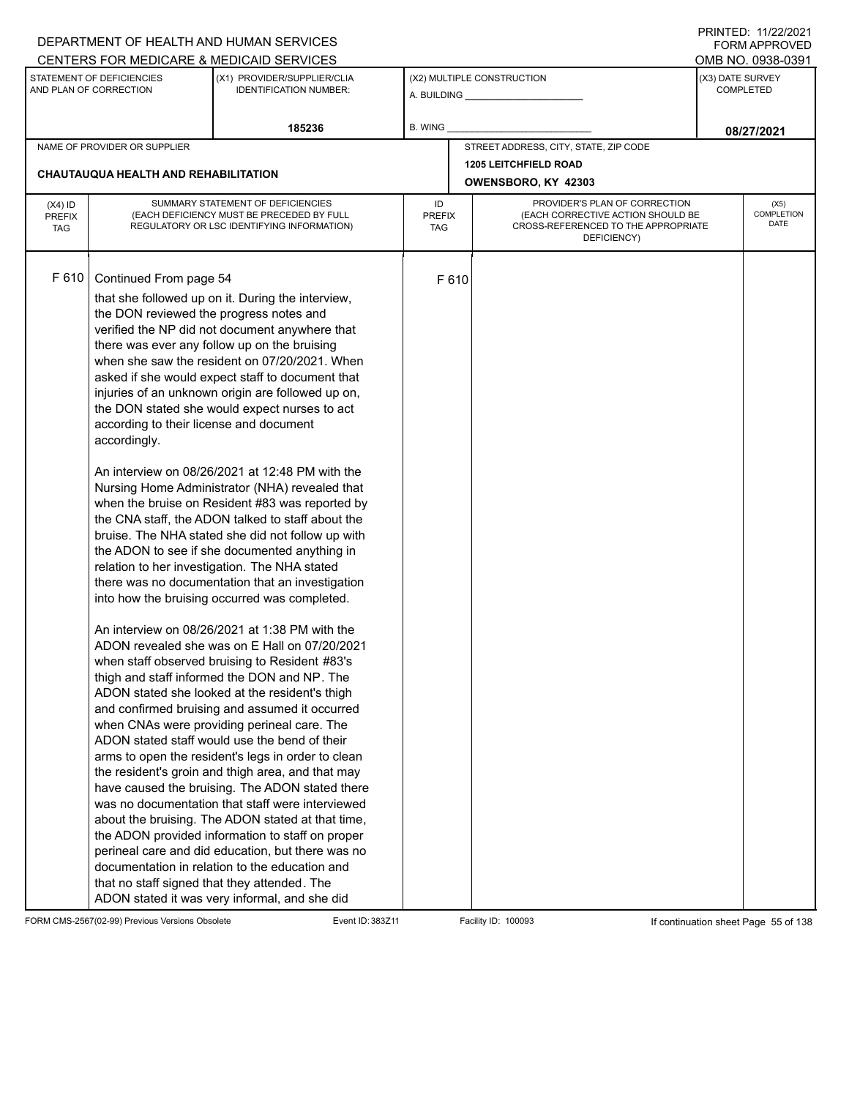|                                          |                                                                                                                                                                                                                                                         | DEPARTMENT OF HEALTH AND HUMAN SERVICES                                                                                                                                                                                                                                                                                                                                                                                                                                                                                                                                                                                                                                                                                                                                                                                                                                                                                                                                                                                                                                                                                                                                                                                                                                                                                                                                                                                                                                                                                                                                                                                                                                                                                                                                             |                                                                                                                                                               |      |                                       |  | 111111111122.1112212121<br>FORM APPROVED |
|------------------------------------------|---------------------------------------------------------------------------------------------------------------------------------------------------------------------------------------------------------------------------------------------------------|-------------------------------------------------------------------------------------------------------------------------------------------------------------------------------------------------------------------------------------------------------------------------------------------------------------------------------------------------------------------------------------------------------------------------------------------------------------------------------------------------------------------------------------------------------------------------------------------------------------------------------------------------------------------------------------------------------------------------------------------------------------------------------------------------------------------------------------------------------------------------------------------------------------------------------------------------------------------------------------------------------------------------------------------------------------------------------------------------------------------------------------------------------------------------------------------------------------------------------------------------------------------------------------------------------------------------------------------------------------------------------------------------------------------------------------------------------------------------------------------------------------------------------------------------------------------------------------------------------------------------------------------------------------------------------------------------------------------------------------------------------------------------------------|---------------------------------------------------------------------------------------------------------------------------------------------------------------|------|---------------------------------------|--|------------------------------------------|
|                                          |                                                                                                                                                                                                                                                         |                                                                                                                                                                                                                                                                                                                                                                                                                                                                                                                                                                                                                                                                                                                                                                                                                                                                                                                                                                                                                                                                                                                                                                                                                                                                                                                                                                                                                                                                                                                                                                                                                                                                                                                                                                                     |                                                                                                                                                               |      |                                       |  | OMB NO. 0938-0391                        |
|                                          | CENTERS FOR MEDICARE & MEDICAID SERVICES<br>(X3) DATE SURVEY<br>STATEMENT OF DEFICIENCIES<br>(X1) PROVIDER/SUPPLIER/CLIA<br>(X2) MULTIPLE CONSTRUCTION<br>AND PLAN OF CORRECTION<br><b>COMPLETED</b><br><b>IDENTIFICATION NUMBER:</b><br>A. BUILDING A. |                                                                                                                                                                                                                                                                                                                                                                                                                                                                                                                                                                                                                                                                                                                                                                                                                                                                                                                                                                                                                                                                                                                                                                                                                                                                                                                                                                                                                                                                                                                                                                                                                                                                                                                                                                                     |                                                                                                                                                               |      |                                       |  |                                          |
|                                          |                                                                                                                                                                                                                                                         | 185236                                                                                                                                                                                                                                                                                                                                                                                                                                                                                                                                                                                                                                                                                                                                                                                                                                                                                                                                                                                                                                                                                                                                                                                                                                                                                                                                                                                                                                                                                                                                                                                                                                                                                                                                                                              | B. WING                                                                                                                                                       |      |                                       |  | 08/27/2021                               |
|                                          | NAME OF PROVIDER OR SUPPLIER                                                                                                                                                                                                                            |                                                                                                                                                                                                                                                                                                                                                                                                                                                                                                                                                                                                                                                                                                                                                                                                                                                                                                                                                                                                                                                                                                                                                                                                                                                                                                                                                                                                                                                                                                                                                                                                                                                                                                                                                                                     |                                                                                                                                                               |      | STREET ADDRESS, CITY, STATE, ZIP CODE |  |                                          |
|                                          |                                                                                                                                                                                                                                                         |                                                                                                                                                                                                                                                                                                                                                                                                                                                                                                                                                                                                                                                                                                                                                                                                                                                                                                                                                                                                                                                                                                                                                                                                                                                                                                                                                                                                                                                                                                                                                                                                                                                                                                                                                                                     |                                                                                                                                                               |      | <b>1205 LEITCHFIELD ROAD</b>          |  |                                          |
|                                          | <b>CHAUTAUQUA HEALTH AND REHABILITATION</b>                                                                                                                                                                                                             |                                                                                                                                                                                                                                                                                                                                                                                                                                                                                                                                                                                                                                                                                                                                                                                                                                                                                                                                                                                                                                                                                                                                                                                                                                                                                                                                                                                                                                                                                                                                                                                                                                                                                                                                                                                     |                                                                                                                                                               |      | OWENSBORO, KY 42303                   |  |                                          |
| $(X4)$ ID<br><b>PREFIX</b><br><b>TAG</b> |                                                                                                                                                                                                                                                         | SUMMARY STATEMENT OF DEFICIENCIES<br>(EACH DEFICIENCY MUST BE PRECEDED BY FULL<br>REGULATORY OR LSC IDENTIFYING INFORMATION)                                                                                                                                                                                                                                                                                                                                                                                                                                                                                                                                                                                                                                                                                                                                                                                                                                                                                                                                                                                                                                                                                                                                                                                                                                                                                                                                                                                                                                                                                                                                                                                                                                                        | PROVIDER'S PLAN OF CORRECTION<br>ID<br>(EACH CORRECTIVE ACTION SHOULD BE<br><b>PREFIX</b><br>CROSS-REFERENCED TO THE APPROPRIATE<br><b>TAG</b><br>DEFICIENCY) |      |                                       |  | (X5)<br>COMPLETION<br>DATE               |
| F 610                                    | Continued From page 54<br>the DON reviewed the progress notes and<br>according to their license and document<br>accordingly.                                                                                                                            | that she followed up on it. During the interview,<br>verified the NP did not document anywhere that<br>there was ever any follow up on the bruising<br>when she saw the resident on 07/20/2021. When<br>asked if she would expect staff to document that<br>injuries of an unknown origin are followed up on,<br>the DON stated she would expect nurses to act<br>An interview on 08/26/2021 at 12:48 PM with the<br>Nursing Home Administrator (NHA) revealed that<br>when the bruise on Resident #83 was reported by<br>the CNA staff, the ADON talked to staff about the<br>bruise. The NHA stated she did not follow up with<br>the ADON to see if she documented anything in<br>relation to her investigation. The NHA stated<br>there was no documentation that an investigation<br>into how the bruising occurred was completed.<br>An interview on 08/26/2021 at 1:38 PM with the<br>ADON revealed she was on E Hall on 07/20/2021<br>when staff observed bruising to Resident #83's<br>thigh and staff informed the DON and NP. The<br>ADON stated she looked at the resident's thigh<br>and confirmed bruising and assumed it occurred<br>when CNAs were providing perineal care. The<br>ADON stated staff would use the bend of their<br>arms to open the resident's legs in order to clean<br>the resident's groin and thigh area, and that may<br>have caused the bruising. The ADON stated there<br>was no documentation that staff were interviewed<br>about the bruising. The ADON stated at that time,<br>the ADON provided information to staff on proper<br>perineal care and did education, but there was no<br>documentation in relation to the education and<br>that no staff signed that they attended. The<br>ADON stated it was very informal, and she did |                                                                                                                                                               | F610 |                                       |  |                                          |

FORM CMS-2567(02-99) Previous Versions Obsolete Event ID: 383Z11 Event ID: 383Z11 Facility ID: 100093 If continuation sheet Page 55 of 138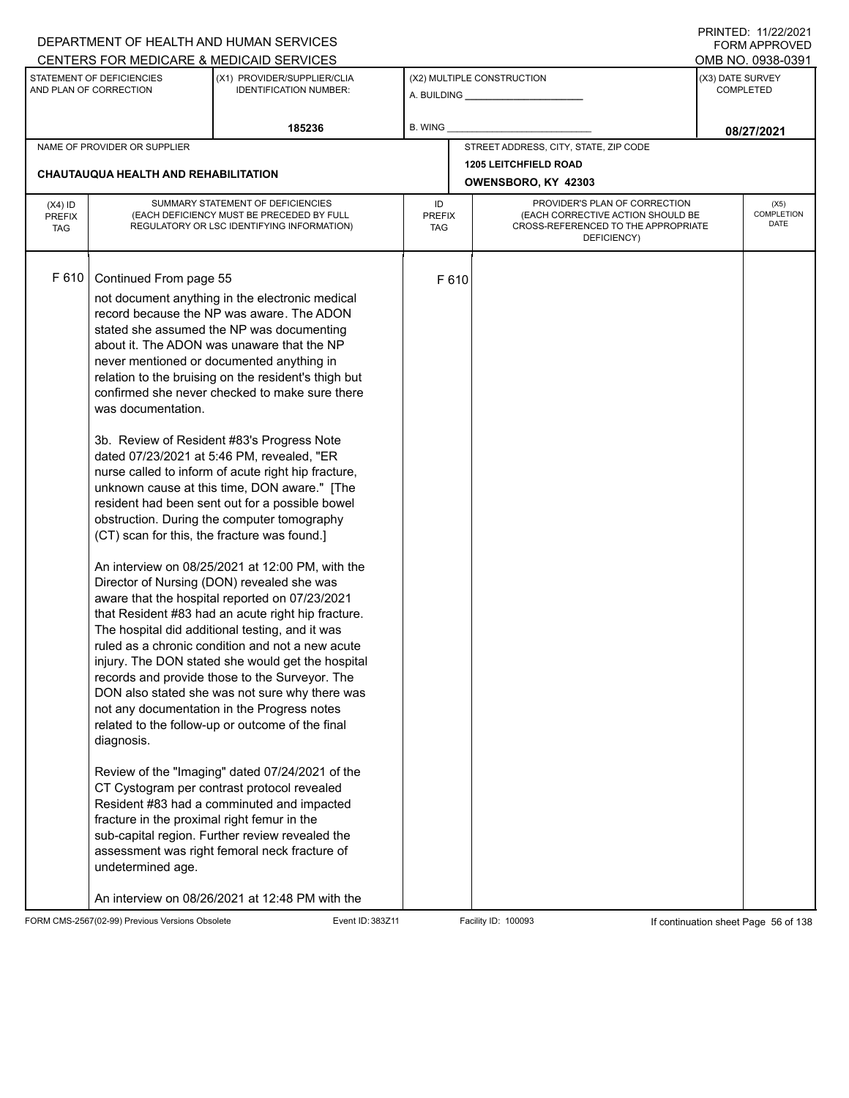|                                          |                                                                                                                                                                                | DEPARTMENT OF HEALTH AND HUMAN SERVICES                                                                                                                                                                                                                                                                                                                                                                                                                                                                                                                                                                                                                                                                                                                                                                                                                                                                                                                                                                                                                                                                                                                                                                                                                                                                                                                                                                                                                                              |                            |                     |                                                                                                                          |                  | I INITILD. III <i>LLIL</i> OLI<br><b>FORM APPROVED</b> |  |  |  |
|------------------------------------------|--------------------------------------------------------------------------------------------------------------------------------------------------------------------------------|--------------------------------------------------------------------------------------------------------------------------------------------------------------------------------------------------------------------------------------------------------------------------------------------------------------------------------------------------------------------------------------------------------------------------------------------------------------------------------------------------------------------------------------------------------------------------------------------------------------------------------------------------------------------------------------------------------------------------------------------------------------------------------------------------------------------------------------------------------------------------------------------------------------------------------------------------------------------------------------------------------------------------------------------------------------------------------------------------------------------------------------------------------------------------------------------------------------------------------------------------------------------------------------------------------------------------------------------------------------------------------------------------------------------------------------------------------------------------------------|----------------------------|---------------------|--------------------------------------------------------------------------------------------------------------------------|------------------|--------------------------------------------------------|--|--|--|
|                                          |                                                                                                                                                                                | CENTERS FOR MEDICARE & MEDICAID SERVICES                                                                                                                                                                                                                                                                                                                                                                                                                                                                                                                                                                                                                                                                                                                                                                                                                                                                                                                                                                                                                                                                                                                                                                                                                                                                                                                                                                                                                                             |                            |                     |                                                                                                                          |                  | OMB NO. 0938-0391                                      |  |  |  |
|                                          | STATEMENT OF DEFICIENCIES<br>AND PLAN OF CORRECTION                                                                                                                            | (X1) PROVIDER/SUPPLIER/CLIA<br><b>IDENTIFICATION NUMBER:</b>                                                                                                                                                                                                                                                                                                                                                                                                                                                                                                                                                                                                                                                                                                                                                                                                                                                                                                                                                                                                                                                                                                                                                                                                                                                                                                                                                                                                                         |                            |                     | (X2) MULTIPLE CONSTRUCTION                                                                                               | (X3) DATE SURVEY | <b>COMPLETED</b>                                       |  |  |  |
|                                          |                                                                                                                                                                                | 185236                                                                                                                                                                                                                                                                                                                                                                                                                                                                                                                                                                                                                                                                                                                                                                                                                                                                                                                                                                                                                                                                                                                                                                                                                                                                                                                                                                                                                                                                               | <b>B. WING</b>             |                     |                                                                                                                          |                  | 08/27/2021                                             |  |  |  |
|                                          | NAME OF PROVIDER OR SUPPLIER                                                                                                                                                   |                                                                                                                                                                                                                                                                                                                                                                                                                                                                                                                                                                                                                                                                                                                                                                                                                                                                                                                                                                                                                                                                                                                                                                                                                                                                                                                                                                                                                                                                                      |                            |                     | STREET ADDRESS, CITY, STATE, ZIP CODE                                                                                    |                  |                                                        |  |  |  |
|                                          | CHAUTAUQUA HEALTH AND REHABILITATION                                                                                                                                           |                                                                                                                                                                                                                                                                                                                                                                                                                                                                                                                                                                                                                                                                                                                                                                                                                                                                                                                                                                                                                                                                                                                                                                                                                                                                                                                                                                                                                                                                                      |                            |                     | <b>1205 LEITCHFIELD ROAD</b>                                                                                             |                  |                                                        |  |  |  |
|                                          |                                                                                                                                                                                |                                                                                                                                                                                                                                                                                                                                                                                                                                                                                                                                                                                                                                                                                                                                                                                                                                                                                                                                                                                                                                                                                                                                                                                                                                                                                                                                                                                                                                                                                      |                            | OWENSBORO, KY 42303 |                                                                                                                          |                  |                                                        |  |  |  |
| $(X4)$ ID<br><b>PREFIX</b><br><b>TAG</b> |                                                                                                                                                                                | SUMMARY STATEMENT OF DEFICIENCIES<br>(EACH DEFICIENCY MUST BE PRECEDED BY FULL<br>REGULATORY OR LSC IDENTIFYING INFORMATION)                                                                                                                                                                                                                                                                                                                                                                                                                                                                                                                                                                                                                                                                                                                                                                                                                                                                                                                                                                                                                                                                                                                                                                                                                                                                                                                                                         | ID<br><b>PREFIX</b><br>TAG |                     | PROVIDER'S PLAN OF CORRECTION<br>(EACH CORRECTIVE ACTION SHOULD BE<br>CROSS-REFERENCED TO THE APPROPRIATE<br>DEFICIENCY) |                  | (X5)<br>COMPLETION<br>DATE                             |  |  |  |
| F 610                                    | Continued From page 55<br>was documentation.<br>(CT) scan for this, the fracture was found.]<br>diagnosis.<br>fracture in the proximal right femur in the<br>undetermined age. | not document anything in the electronic medical<br>record because the NP was aware. The ADON<br>stated she assumed the NP was documenting<br>about it. The ADON was unaware that the NP<br>never mentioned or documented anything in<br>relation to the bruising on the resident's thigh but<br>confirmed she never checked to make sure there<br>3b. Review of Resident #83's Progress Note<br>dated 07/23/2021 at 5:46 PM, revealed, "ER<br>nurse called to inform of acute right hip fracture,<br>unknown cause at this time, DON aware." [The<br>resident had been sent out for a possible bowel<br>obstruction. During the computer tomography<br>An interview on 08/25/2021 at 12:00 PM, with the<br>Director of Nursing (DON) revealed she was<br>aware that the hospital reported on 07/23/2021<br>that Resident #83 had an acute right hip fracture.<br>The hospital did additional testing, and it was<br>ruled as a chronic condition and not a new acute<br>injury. The DON stated she would get the hospital<br>records and provide those to the Surveyor. The<br>DON also stated she was not sure why there was<br>not any documentation in the Progress notes<br>related to the follow-up or outcome of the final<br>Review of the "Imaging" dated 07/24/2021 of the<br>CT Cystogram per contrast protocol revealed<br>Resident #83 had a comminuted and impacted<br>sub-capital region. Further review revealed the<br>assessment was right femoral neck fracture of |                            | F 610               |                                                                                                                          |                  |                                                        |  |  |  |
|                                          |                                                                                                                                                                                | An interview on 08/26/2021 at 12:48 PM with the                                                                                                                                                                                                                                                                                                                                                                                                                                                                                                                                                                                                                                                                                                                                                                                                                                                                                                                                                                                                                                                                                                                                                                                                                                                                                                                                                                                                                                      |                            |                     |                                                                                                                          |                  |                                                        |  |  |  |

FORM CMS-2567(02-99) Previous Versions Obsolete Event ID: 383Z11 Event ID: 383Z11 Facility ID: 100093 If continuation sheet Page 56 of 138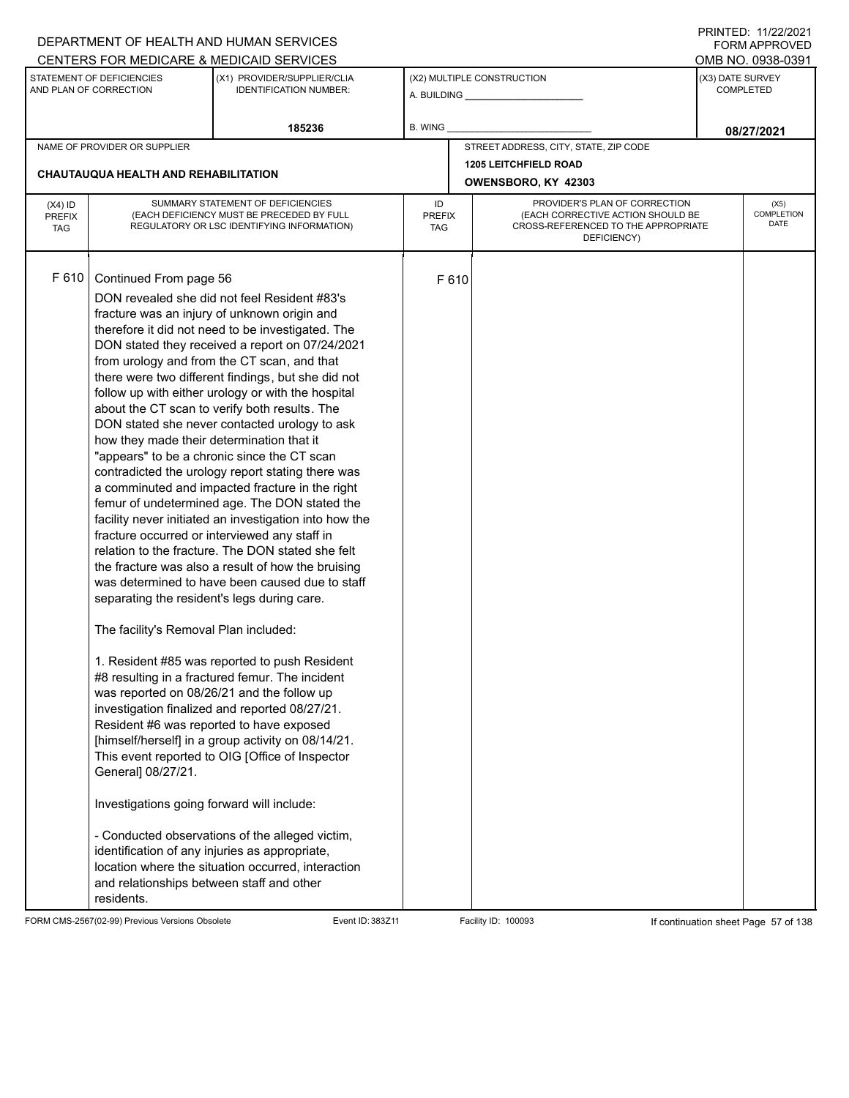|               |                                                     | DEPARTMENT OF HEALTH AND HUMAN SERVICES                                                          |                      |                     |                                                                          |                  | <b>FORM APPROVED</b>             |
|---------------|-----------------------------------------------------|--------------------------------------------------------------------------------------------------|----------------------|---------------------|--------------------------------------------------------------------------|------------------|----------------------------------|
|               |                                                     | CENTERS FOR MEDICARE & MEDICAID SERVICES                                                         |                      |                     |                                                                          |                  | OMB NO. 0938-0391                |
|               | STATEMENT OF DEFICIENCIES<br>AND PLAN OF CORRECTION | (X1) PROVIDER/SUPPLIER/CLIA<br><b>IDENTIFICATION NUMBER:</b>                                     |                      |                     | (X2) MULTIPLE CONSTRUCTION                                               | (X3) DATE SURVEY | <b>COMPLETED</b>                 |
|               |                                                     | 185236                                                                                           | B. WING              |                     |                                                                          |                  | 08/27/2021                       |
|               | NAME OF PROVIDER OR SUPPLIER                        |                                                                                                  |                      |                     | STREET ADDRESS, CITY, STATE, ZIP CODE                                    |                  |                                  |
|               |                                                     |                                                                                                  |                      |                     | <b>1205 LEITCHFIELD ROAD</b>                                             |                  |                                  |
|               | CHAUTAUQUA HEALTH AND REHABILITATION                |                                                                                                  |                      | OWENSBORO, KY 42303 |                                                                          |                  |                                  |
| $(X4)$ ID     |                                                     | SUMMARY STATEMENT OF DEFICIENCIES                                                                | ID                   |                     | PROVIDER'S PLAN OF CORRECTION                                            |                  | (X5)                             |
| <b>PREFIX</b> |                                                     | (EACH DEFICIENCY MUST BE PRECEDED BY FULL<br>REGULATORY OR LSC IDENTIFYING INFORMATION)          | <b>PREFIX</b><br>TAG |                     | (EACH CORRECTIVE ACTION SHOULD BE<br>CROSS-REFERENCED TO THE APPROPRIATE |                  | <b>COMPLETION</b><br><b>DATE</b> |
| <b>TAG</b>    |                                                     |                                                                                                  |                      |                     | DEFICIENCY)                                                              |                  |                                  |
|               |                                                     |                                                                                                  |                      |                     |                                                                          |                  |                                  |
| F 610         | Continued From page 56                              |                                                                                                  |                      | F 610               |                                                                          |                  |                                  |
|               |                                                     | DON revealed she did not feel Resident #83's                                                     |                      |                     |                                                                          |                  |                                  |
|               |                                                     | fracture was an injury of unknown origin and                                                     |                      |                     |                                                                          |                  |                                  |
|               |                                                     | therefore it did not need to be investigated. The                                                |                      |                     |                                                                          |                  |                                  |
|               |                                                     | DON stated they received a report on 07/24/2021                                                  |                      |                     |                                                                          |                  |                                  |
|               |                                                     | from urology and from the CT scan, and that                                                      |                      |                     |                                                                          |                  |                                  |
|               |                                                     | there were two different findings, but she did not                                               |                      |                     |                                                                          |                  |                                  |
|               |                                                     | follow up with either urology or with the hospital                                               |                      |                     |                                                                          |                  |                                  |
|               |                                                     | about the CT scan to verify both results. The                                                    |                      |                     |                                                                          |                  |                                  |
|               |                                                     | DON stated she never contacted urology to ask                                                    |                      |                     |                                                                          |                  |                                  |
|               | how they made their determination that it           |                                                                                                  |                      |                     |                                                                          |                  |                                  |
|               |                                                     | "appears" to be a chronic since the CT scan<br>contradicted the urology report stating there was |                      |                     |                                                                          |                  |                                  |
|               |                                                     | a comminuted and impacted fracture in the right                                                  |                      |                     |                                                                          |                  |                                  |
|               |                                                     | femur of undetermined age. The DON stated the                                                    |                      |                     |                                                                          |                  |                                  |
|               |                                                     | facility never initiated an investigation into how the                                           |                      |                     |                                                                          |                  |                                  |
|               |                                                     | fracture occurred or interviewed any staff in                                                    |                      |                     |                                                                          |                  |                                  |
|               |                                                     | relation to the fracture. The DON stated she felt                                                |                      |                     |                                                                          |                  |                                  |
|               |                                                     | the fracture was also a result of how the bruising                                               |                      |                     |                                                                          |                  |                                  |
|               |                                                     | was determined to have been caused due to staff                                                  |                      |                     |                                                                          |                  |                                  |
|               | separating the resident's legs during care.         |                                                                                                  |                      |                     |                                                                          |                  |                                  |
|               | The facility's Removal Plan included:               |                                                                                                  |                      |                     |                                                                          |                  |                                  |
|               |                                                     | 1. Resident #85 was reported to push Resident                                                    |                      |                     |                                                                          |                  |                                  |
|               |                                                     | #8 resulting in a fractured femur. The incident                                                  |                      |                     |                                                                          |                  |                                  |
|               |                                                     | was reported on 08/26/21 and the follow up                                                       |                      |                     |                                                                          |                  |                                  |
|               |                                                     | investigation finalized and reported 08/27/21.                                                   |                      |                     |                                                                          |                  |                                  |
|               |                                                     | Resident #6 was reported to have exposed                                                         |                      |                     |                                                                          |                  |                                  |
|               |                                                     | [himself/herself] in a group activity on 08/14/21.                                               |                      |                     |                                                                          |                  |                                  |
|               |                                                     | This event reported to OIG [Office of Inspector                                                  |                      |                     |                                                                          |                  |                                  |
|               | General] 08/27/21.                                  |                                                                                                  |                      |                     |                                                                          |                  |                                  |
|               | Investigations going forward will include:          |                                                                                                  |                      |                     |                                                                          |                  |                                  |
|               |                                                     | - Conducted observations of the alleged victim,                                                  |                      |                     |                                                                          |                  |                                  |
|               |                                                     | identification of any injuries as appropriate,                                                   |                      |                     |                                                                          |                  |                                  |
|               |                                                     | location where the situation occurred, interaction                                               |                      |                     |                                                                          |                  |                                  |
|               | and relationships between staff and other           |                                                                                                  |                      |                     |                                                                          |                  |                                  |
|               | residents.                                          |                                                                                                  |                      |                     |                                                                          |                  |                                  |

FORM CMS-2567(02-99) Previous Versions Obsolete Event ID: 383Z11 Facility ID: 100093 If continuation sheet Page 57 of 138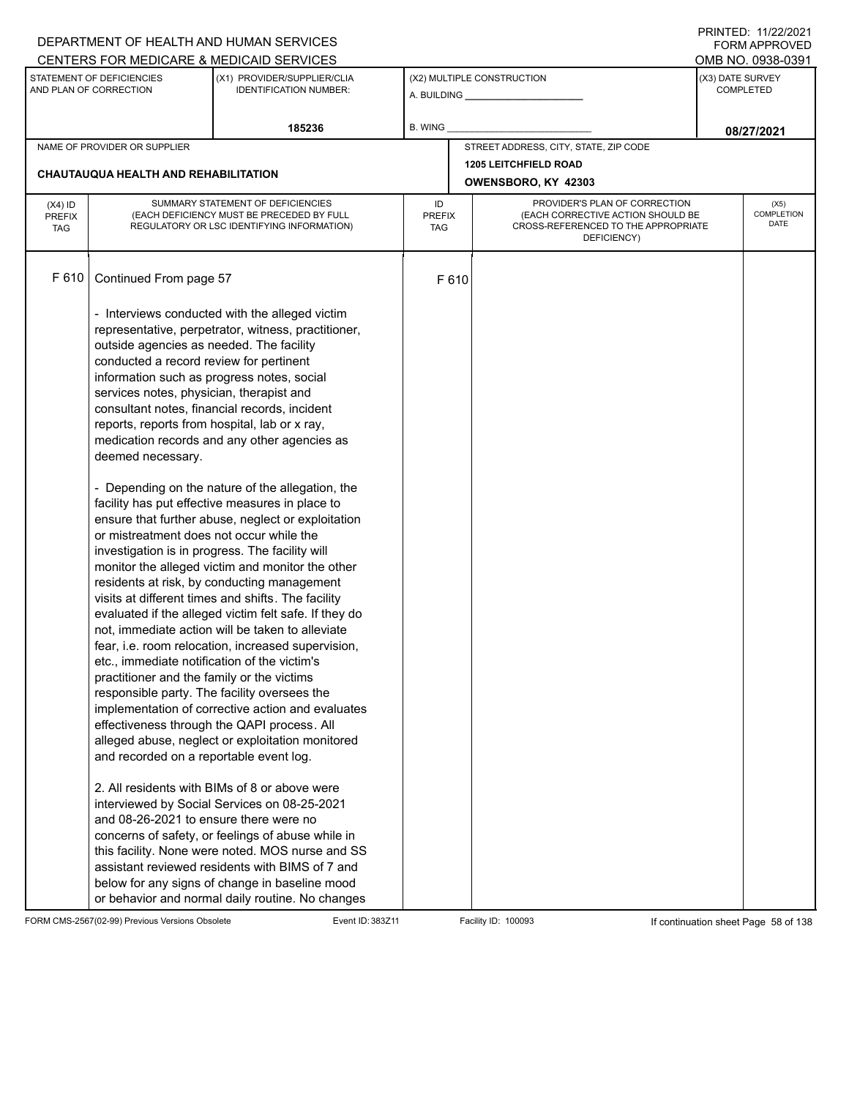|                                                     |                                                                                                                                                                                                                                                                                                                                                                                                                                                                                                                                       | DEPARTMENT OF HEALTH AND HUMAN SERVICES                                                                                                                                                                                                                                                                                                                                                                                                                                                                                                                                                                                                                                                                                                                                                                                                                                                                                                                                                                                                                                                                           |                                   |      |                                                                                         |                                                             | 11111111122.1112212121<br>FORM APPROVED |  |
|-----------------------------------------------------|---------------------------------------------------------------------------------------------------------------------------------------------------------------------------------------------------------------------------------------------------------------------------------------------------------------------------------------------------------------------------------------------------------------------------------------------------------------------------------------------------------------------------------------|-------------------------------------------------------------------------------------------------------------------------------------------------------------------------------------------------------------------------------------------------------------------------------------------------------------------------------------------------------------------------------------------------------------------------------------------------------------------------------------------------------------------------------------------------------------------------------------------------------------------------------------------------------------------------------------------------------------------------------------------------------------------------------------------------------------------------------------------------------------------------------------------------------------------------------------------------------------------------------------------------------------------------------------------------------------------------------------------------------------------|-----------------------------------|------|-----------------------------------------------------------------------------------------|-------------------------------------------------------------|-----------------------------------------|--|
|                                                     |                                                                                                                                                                                                                                                                                                                                                                                                                                                                                                                                       | CENTERS FOR MEDICARE & MEDICAID SERVICES                                                                                                                                                                                                                                                                                                                                                                                                                                                                                                                                                                                                                                                                                                                                                                                                                                                                                                                                                                                                                                                                          |                                   |      |                                                                                         |                                                             | OMB NO. 0938-0391                       |  |
| STATEMENT OF DEFICIENCIES<br>AND PLAN OF CORRECTION |                                                                                                                                                                                                                                                                                                                                                                                                                                                                                                                                       | (X1) PROVIDER/SUPPLIER/CLIA<br><b>IDENTIFICATION NUMBER:</b>                                                                                                                                                                                                                                                                                                                                                                                                                                                                                                                                                                                                                                                                                                                                                                                                                                                                                                                                                                                                                                                      |                                   |      | (X2) MULTIPLE CONSTRUCTION                                                              | (X3) DATE SURVEY<br>COMPLETED                               |                                         |  |
|                                                     |                                                                                                                                                                                                                                                                                                                                                                                                                                                                                                                                       | 185236                                                                                                                                                                                                                                                                                                                                                                                                                                                                                                                                                                                                                                                                                                                                                                                                                                                                                                                                                                                                                                                                                                            | B. WING                           |      |                                                                                         |                                                             | 08/27/2021                              |  |
|                                                     | NAME OF PROVIDER OR SUPPLIER                                                                                                                                                                                                                                                                                                                                                                                                                                                                                                          |                                                                                                                                                                                                                                                                                                                                                                                                                                                                                                                                                                                                                                                                                                                                                                                                                                                                                                                                                                                                                                                                                                                   |                                   |      | STREET ADDRESS, CITY, STATE, ZIP CODE                                                   |                                                             |                                         |  |
|                                                     | <b>CHAUTAUQUA HEALTH AND REHABILITATION</b>                                                                                                                                                                                                                                                                                                                                                                                                                                                                                           |                                                                                                                                                                                                                                                                                                                                                                                                                                                                                                                                                                                                                                                                                                                                                                                                                                                                                                                                                                                                                                                                                                                   |                                   |      | <b>1205 LEITCHFIELD ROAD</b><br>OWENSBORO, KY 42303                                     |                                                             |                                         |  |
|                                                     |                                                                                                                                                                                                                                                                                                                                                                                                                                                                                                                                       |                                                                                                                                                                                                                                                                                                                                                                                                                                                                                                                                                                                                                                                                                                                                                                                                                                                                                                                                                                                                                                                                                                                   |                                   |      |                                                                                         |                                                             |                                         |  |
| $(X4)$ ID<br><b>PREFIX</b><br><b>TAG</b>            |                                                                                                                                                                                                                                                                                                                                                                                                                                                                                                                                       | SUMMARY STATEMENT OF DEFICIENCIES<br>(EACH DEFICIENCY MUST BE PRECEDED BY FULL<br>REGULATORY OR LSC IDENTIFYING INFORMATION)                                                                                                                                                                                                                                                                                                                                                                                                                                                                                                                                                                                                                                                                                                                                                                                                                                                                                                                                                                                      | ID<br><b>PREFIX</b><br><b>TAG</b> |      | (EACH CORRECTIVE ACTION SHOULD BE<br>CROSS-REFERENCED TO THE APPROPRIATE<br>DEFICIENCY) | PROVIDER'S PLAN OF CORRECTION<br>(X5)<br>COMPLETION<br>DATE |                                         |  |
| F 610                                               | Continued From page 57                                                                                                                                                                                                                                                                                                                                                                                                                                                                                                                |                                                                                                                                                                                                                                                                                                                                                                                                                                                                                                                                                                                                                                                                                                                                                                                                                                                                                                                                                                                                                                                                                                                   |                                   | F610 |                                                                                         |                                                             |                                         |  |
|                                                     | outside agencies as needed. The facility<br>conducted a record review for pertinent<br>information such as progress notes, social<br>services notes, physician, therapist and<br>reports, reports from hospital, lab or x ray,<br>deemed necessary.<br>or mistreatment does not occur while the<br>investigation is in progress. The facility will<br>etc., immediate notification of the victim's<br>practitioner and the family or the victims<br>and recorded on a reportable event log.<br>and 08-26-2021 to ensure there were no | - Interviews conducted with the alleged victim<br>representative, perpetrator, witness, practitioner,<br>consultant notes, financial records, incident<br>medication records and any other agencies as<br>- Depending on the nature of the allegation, the<br>facility has put effective measures in place to<br>ensure that further abuse, neglect or exploitation<br>monitor the alleged victim and monitor the other<br>residents at risk, by conducting management<br>visits at different times and shifts. The facility<br>evaluated if the alleged victim felt safe. If they do<br>not, immediate action will be taken to alleviate<br>fear, i.e. room relocation, increased supervision,<br>responsible party. The facility oversees the<br>implementation of corrective action and evaluates<br>effectiveness through the QAPI process. All<br>alleged abuse, neglect or exploitation monitored<br>2. All residents with BIMs of 8 or above were<br>interviewed by Social Services on 08-25-2021<br>concerns of safety, or feelings of abuse while in<br>this facility. None were noted. MOS nurse and SS |                                   |      |                                                                                         |                                                             |                                         |  |
|                                                     |                                                                                                                                                                                                                                                                                                                                                                                                                                                                                                                                       | below for any signs of change in baseline mood<br>or behavior and normal daily routine. No changes                                                                                                                                                                                                                                                                                                                                                                                                                                                                                                                                                                                                                                                                                                                                                                                                                                                                                                                                                                                                                |                                   |      |                                                                                         |                                                             |                                         |  |

FORM CMS-2567(02-99) Previous Versions Obsolete Event ID: 383Z11 Event ID: 383Z11 Facility ID: 100093 If continuation sheet Page 58 of 138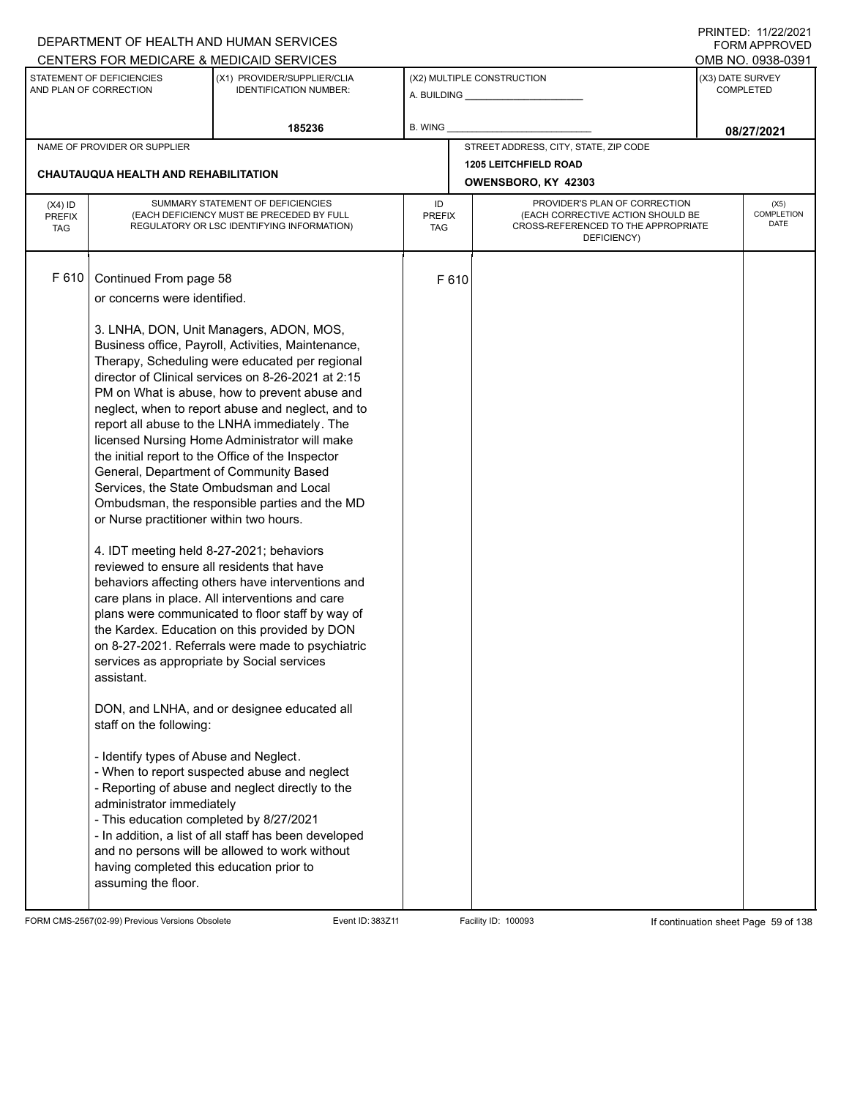|                                                                                                                                                   |                                                                                                                                                                                                                                                                                                                                                                                                                                                                                           | DEPARTMENT OF HEALTH AND HUMAN SERVICES                                                                                                                                                                                                                                                                                                                                                                                                                                                                                                                                                                                                                                                                                                                                                                                                                                                                                                                                                                                                            |                                                                                                                                                               |                  |                                                     |  | FORM APPROVED              |
|---------------------------------------------------------------------------------------------------------------------------------------------------|-------------------------------------------------------------------------------------------------------------------------------------------------------------------------------------------------------------------------------------------------------------------------------------------------------------------------------------------------------------------------------------------------------------------------------------------------------------------------------------------|----------------------------------------------------------------------------------------------------------------------------------------------------------------------------------------------------------------------------------------------------------------------------------------------------------------------------------------------------------------------------------------------------------------------------------------------------------------------------------------------------------------------------------------------------------------------------------------------------------------------------------------------------------------------------------------------------------------------------------------------------------------------------------------------------------------------------------------------------------------------------------------------------------------------------------------------------------------------------------------------------------------------------------------------------|---------------------------------------------------------------------------------------------------------------------------------------------------------------|------------------|-----------------------------------------------------|--|----------------------------|
|                                                                                                                                                   |                                                                                                                                                                                                                                                                                                                                                                                                                                                                                           | CENTERS FOR MEDICARE & MEDICAID SERVICES                                                                                                                                                                                                                                                                                                                                                                                                                                                                                                                                                                                                                                                                                                                                                                                                                                                                                                                                                                                                           |                                                                                                                                                               |                  |                                                     |  | OMB NO. 0938-0391          |
| STATEMENT OF DEFICIENCIES<br>(X2) MULTIPLE CONSTRUCTION<br>(X1) PROVIDER/SUPPLIER/CLIA<br>AND PLAN OF CORRECTION<br><b>IDENTIFICATION NUMBER:</b> |                                                                                                                                                                                                                                                                                                                                                                                                                                                                                           |                                                                                                                                                                                                                                                                                                                                                                                                                                                                                                                                                                                                                                                                                                                                                                                                                                                                                                                                                                                                                                                    | (X3) DATE SURVEY                                                                                                                                              | <b>COMPLETED</b> |                                                     |  |                            |
|                                                                                                                                                   |                                                                                                                                                                                                                                                                                                                                                                                                                                                                                           | 185236                                                                                                                                                                                                                                                                                                                                                                                                                                                                                                                                                                                                                                                                                                                                                                                                                                                                                                                                                                                                                                             | B. WING                                                                                                                                                       |                  |                                                     |  | 08/27/2021                 |
|                                                                                                                                                   | NAME OF PROVIDER OR SUPPLIER                                                                                                                                                                                                                                                                                                                                                                                                                                                              |                                                                                                                                                                                                                                                                                                                                                                                                                                                                                                                                                                                                                                                                                                                                                                                                                                                                                                                                                                                                                                                    |                                                                                                                                                               |                  | STREET ADDRESS, CITY, STATE, ZIP CODE               |  |                            |
|                                                                                                                                                   | <b>CHAUTAUQUA HEALTH AND REHABILITATION</b>                                                                                                                                                                                                                                                                                                                                                                                                                                               |                                                                                                                                                                                                                                                                                                                                                                                                                                                                                                                                                                                                                                                                                                                                                                                                                                                                                                                                                                                                                                                    |                                                                                                                                                               |                  | <b>1205 LEITCHFIELD ROAD</b><br>OWENSBORO, KY 42303 |  |                            |
| $(X4)$ ID<br><b>PREFIX</b><br><b>TAG</b>                                                                                                          |                                                                                                                                                                                                                                                                                                                                                                                                                                                                                           | SUMMARY STATEMENT OF DEFICIENCIES<br>(EACH DEFICIENCY MUST BE PRECEDED BY FULL<br>REGULATORY OR LSC IDENTIFYING INFORMATION)                                                                                                                                                                                                                                                                                                                                                                                                                                                                                                                                                                                                                                                                                                                                                                                                                                                                                                                       | PROVIDER'S PLAN OF CORRECTION<br>ID<br>(EACH CORRECTIVE ACTION SHOULD BE<br><b>PREFIX</b><br>CROSS-REFERENCED TO THE APPROPRIATE<br><b>TAG</b><br>DEFICIENCY) |                  |                                                     |  | (X5)<br>COMPLETION<br>DATE |
| F 610                                                                                                                                             | Continued From page 58<br>or concerns were identified.<br>General, Department of Community Based<br>Services, the State Ombudsman and Local<br>or Nurse practitioner within two hours.<br>4. IDT meeting held 8-27-2021; behaviors<br>reviewed to ensure all residents that have<br>services as appropriate by Social services<br>assistant.<br>staff on the following:<br>- Identify types of Abuse and Neglect.<br>administrator immediately<br>- This education completed by 8/27/2021 | 3. LNHA, DON, Unit Managers, ADON, MOS,<br>Business office, Payroll, Activities, Maintenance,<br>Therapy, Scheduling were educated per regional<br>director of Clinical services on 8-26-2021 at 2:15<br>PM on What is abuse, how to prevent abuse and<br>neglect, when to report abuse and neglect, and to<br>report all abuse to the LNHA immediately. The<br>licensed Nursing Home Administrator will make<br>the initial report to the Office of the Inspector<br>Ombudsman, the responsible parties and the MD<br>behaviors affecting others have interventions and<br>care plans in place. All interventions and care<br>plans were communicated to floor staff by way of<br>the Kardex. Education on this provided by DON<br>on 8-27-2021. Referrals were made to psychiatric<br>DON, and LNHA, and or designee educated all<br>- When to report suspected abuse and neglect<br>- Reporting of abuse and neglect directly to the<br>- In addition, a list of all staff has been developed<br>and no persons will be allowed to work without |                                                                                                                                                               | F 610            |                                                     |  |                            |
|                                                                                                                                                   | having completed this education prior to<br>assuming the floor.                                                                                                                                                                                                                                                                                                                                                                                                                           |                                                                                                                                                                                                                                                                                                                                                                                                                                                                                                                                                                                                                                                                                                                                                                                                                                                                                                                                                                                                                                                    |                                                                                                                                                               |                  |                                                     |  |                            |

FORM CMS-2567(02-99) Previous Versions Obsolete Event ID: 383Z11 Event ID: 383Z11 Facility ID: 100093 If continuation sheet Page 59 of 138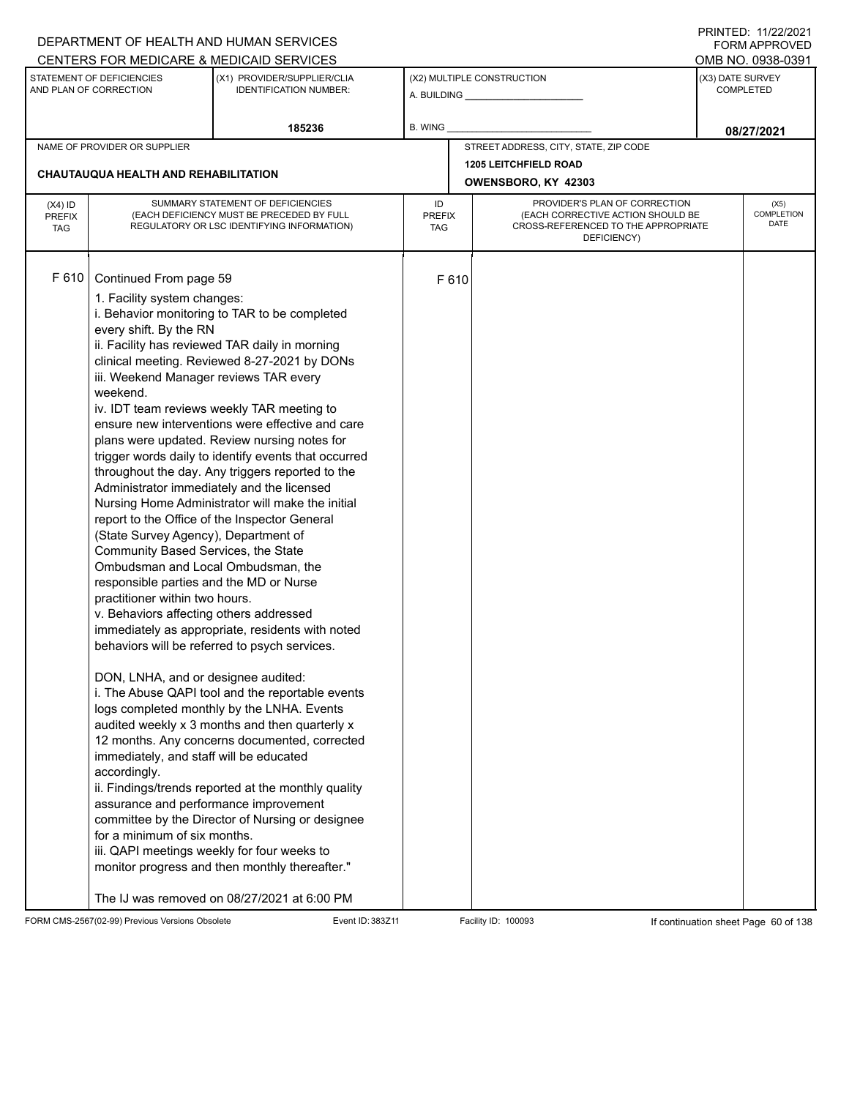|                                          |                                                                                                                                                                                                                                                                                                                                                                                                                                                                                                                                                               | DEPARTMENT OF HEALTH AND HUMAN SERVICES                                                                                                                                                                                                                                                                                                                                                                                                                                                                                                                                                                                                                                                                                                                                                                                                                                                                                                                                                                                                                                                                                               |                  |                                                                                                                                           |                                                     |                  | 111111111122.1112212121<br><b>FORM APPROVED</b> |
|------------------------------------------|---------------------------------------------------------------------------------------------------------------------------------------------------------------------------------------------------------------------------------------------------------------------------------------------------------------------------------------------------------------------------------------------------------------------------------------------------------------------------------------------------------------------------------------------------------------|---------------------------------------------------------------------------------------------------------------------------------------------------------------------------------------------------------------------------------------------------------------------------------------------------------------------------------------------------------------------------------------------------------------------------------------------------------------------------------------------------------------------------------------------------------------------------------------------------------------------------------------------------------------------------------------------------------------------------------------------------------------------------------------------------------------------------------------------------------------------------------------------------------------------------------------------------------------------------------------------------------------------------------------------------------------------------------------------------------------------------------------|------------------|-------------------------------------------------------------------------------------------------------------------------------------------|-----------------------------------------------------|------------------|-------------------------------------------------|
|                                          |                                                                                                                                                                                                                                                                                                                                                                                                                                                                                                                                                               | CENTERS FOR MEDICARE & MEDICAID SERVICES                                                                                                                                                                                                                                                                                                                                                                                                                                                                                                                                                                                                                                                                                                                                                                                                                                                                                                                                                                                                                                                                                              |                  |                                                                                                                                           |                                                     |                  | OMB NO. 0938-0391                               |
|                                          | STATEMENT OF DEFICIENCIES<br>AND PLAN OF CORRECTION                                                                                                                                                                                                                                                                                                                                                                                                                                                                                                           | (X1) PROVIDER/SUPPLIER/CLIA<br><b>IDENTIFICATION NUMBER:</b>                                                                                                                                                                                                                                                                                                                                                                                                                                                                                                                                                                                                                                                                                                                                                                                                                                                                                                                                                                                                                                                                          |                  |                                                                                                                                           | (X2) MULTIPLE CONSTRUCTION                          | (X3) DATE SURVEY | <b>COMPLETED</b>                                |
|                                          |                                                                                                                                                                                                                                                                                                                                                                                                                                                                                                                                                               | 185236                                                                                                                                                                                                                                                                                                                                                                                                                                                                                                                                                                                                                                                                                                                                                                                                                                                                                                                                                                                                                                                                                                                                | <b>B. WING</b>   |                                                                                                                                           |                                                     |                  | 08/27/2021                                      |
|                                          | NAME OF PROVIDER OR SUPPLIER                                                                                                                                                                                                                                                                                                                                                                                                                                                                                                                                  |                                                                                                                                                                                                                                                                                                                                                                                                                                                                                                                                                                                                                                                                                                                                                                                                                                                                                                                                                                                                                                                                                                                                       |                  |                                                                                                                                           | STREET ADDRESS, CITY, STATE, ZIP CODE               |                  |                                                 |
|                                          | CHAUTAUQUA HEALTH AND REHABILITATION                                                                                                                                                                                                                                                                                                                                                                                                                                                                                                                          |                                                                                                                                                                                                                                                                                                                                                                                                                                                                                                                                                                                                                                                                                                                                                                                                                                                                                                                                                                                                                                                                                                                                       |                  |                                                                                                                                           | <b>1205 LEITCHFIELD ROAD</b><br>OWENSBORO, KY 42303 |                  |                                                 |
| $(X4)$ ID<br><b>PREFIX</b><br><b>TAG</b> |                                                                                                                                                                                                                                                                                                                                                                                                                                                                                                                                                               | SUMMARY STATEMENT OF DEFICIENCIES<br>(EACH DEFICIENCY MUST BE PRECEDED BY FULL<br>REGULATORY OR LSC IDENTIFYING INFORMATION)                                                                                                                                                                                                                                                                                                                                                                                                                                                                                                                                                                                                                                                                                                                                                                                                                                                                                                                                                                                                          | ID<br><b>TAG</b> | PROVIDER'S PLAN OF CORRECTION<br><b>PREFIX</b><br>(EACH CORRECTIVE ACTION SHOULD BE<br>CROSS-REFERENCED TO THE APPROPRIATE<br>DEFICIENCY) |                                                     |                  |                                                 |
| F 610                                    | Continued From page 59<br>1. Facility system changes:<br>every shift. By the RN<br>iii. Weekend Manager reviews TAR every<br>weekend.<br>(State Survey Agency), Department of<br>Community Based Services, the State<br>Ombudsman and Local Ombudsman, the<br>responsible parties and the MD or Nurse<br>practitioner within two hours.<br>v. Behaviors affecting others addressed<br>DON, LNHA, and or designee audited:<br>immediately, and staff will be educated<br>accordingly.<br>assurance and performance improvement<br>for a minimum of six months. | i. Behavior monitoring to TAR to be completed<br>ii. Facility has reviewed TAR daily in morning<br>clinical meeting. Reviewed 8-27-2021 by DONs<br>iv. IDT team reviews weekly TAR meeting to<br>ensure new interventions were effective and care<br>plans were updated. Review nursing notes for<br>trigger words daily to identify events that occurred<br>throughout the day. Any triggers reported to the<br>Administrator immediately and the licensed<br>Nursing Home Administrator will make the initial<br>report to the Office of the Inspector General<br>immediately as appropriate, residents with noted<br>behaviors will be referred to psych services.<br>i. The Abuse QAPI tool and the reportable events<br>logs completed monthly by the LNHA. Events<br>audited weekly x 3 months and then quarterly x<br>12 months. Any concerns documented, corrected<br>ii. Findings/trends reported at the monthly quality<br>committee by the Director of Nursing or designee<br>iii. QAPI meetings weekly for four weeks to<br>monitor progress and then monthly thereafter."<br>The IJ was removed on 08/27/2021 at 6:00 PM |                  | F610                                                                                                                                      |                                                     |                  |                                                 |

FORM CMS-2567(02-99) Previous Versions Obsolete Event ID: 383Z11 Facility ID: 100093 If continuation sheet Page 60 of 138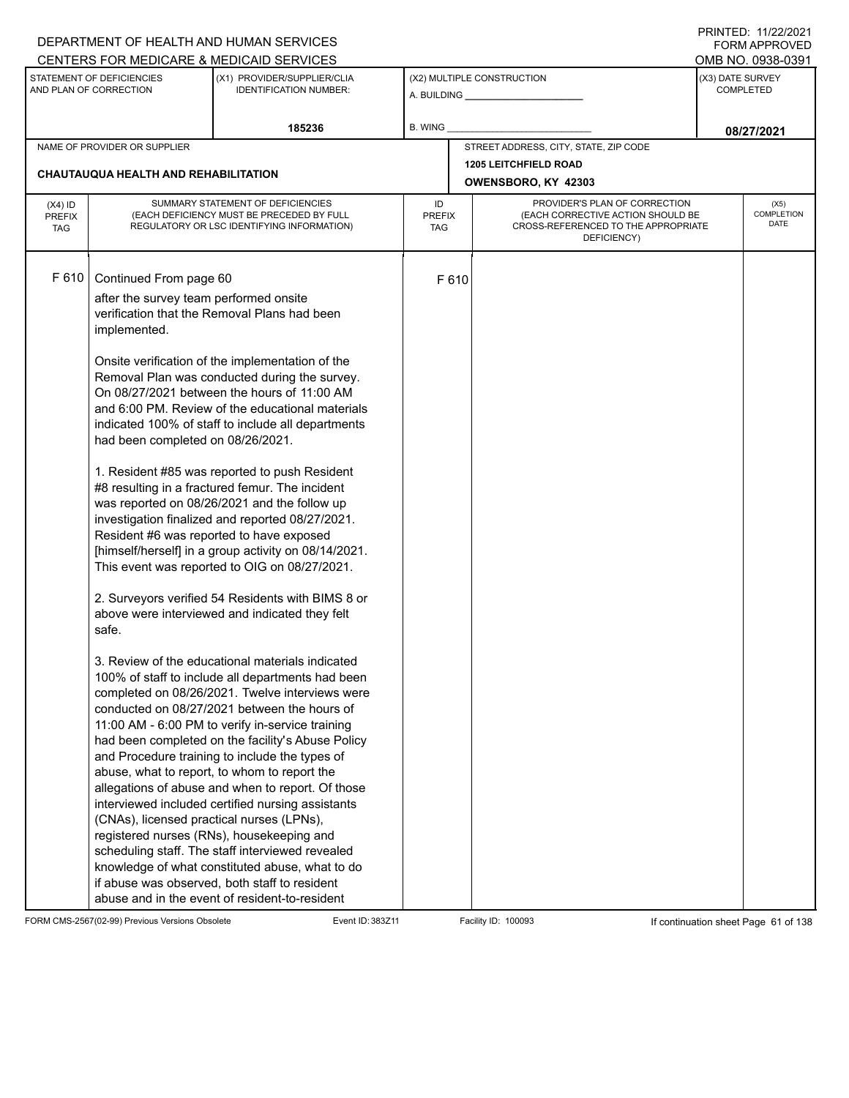| CENTERS FOR MEDICARE & MEDICAID SERVICES                                                                                                                                                                                                                                                                                                                                                                                                                                                                                                                                                                                                                                                                                                                                                                                                                                                                                                                                                                                                                                                                                                                                                                                                                                                                                                                                                                                                                                                                                                                                                                                                                                   |                                                                                        |                              |                                                      |                                                                                                                                                                   |
|----------------------------------------------------------------------------------------------------------------------------------------------------------------------------------------------------------------------------------------------------------------------------------------------------------------------------------------------------------------------------------------------------------------------------------------------------------------------------------------------------------------------------------------------------------------------------------------------------------------------------------------------------------------------------------------------------------------------------------------------------------------------------------------------------------------------------------------------------------------------------------------------------------------------------------------------------------------------------------------------------------------------------------------------------------------------------------------------------------------------------------------------------------------------------------------------------------------------------------------------------------------------------------------------------------------------------------------------------------------------------------------------------------------------------------------------------------------------------------------------------------------------------------------------------------------------------------------------------------------------------------------------------------------------------|----------------------------------------------------------------------------------------|------------------------------|------------------------------------------------------|-------------------------------------------------------------------------------------------------------------------------------------------------------------------|
|                                                                                                                                                                                                                                                                                                                                                                                                                                                                                                                                                                                                                                                                                                                                                                                                                                                                                                                                                                                                                                                                                                                                                                                                                                                                                                                                                                                                                                                                                                                                                                                                                                                                            |                                                                                        |                              |                                                      | OMB NO. 0938-0391                                                                                                                                                 |
| (X1) PROVIDER/SUPPLIER/CLIA<br><b>IDENTIFICATION NUMBER:</b>                                                                                                                                                                                                                                                                                                                                                                                                                                                                                                                                                                                                                                                                                                                                                                                                                                                                                                                                                                                                                                                                                                                                                                                                                                                                                                                                                                                                                                                                                                                                                                                                               |                                                                                        |                              |                                                      | (X3) DATE SURVEY<br><b>COMPLETED</b>                                                                                                                              |
| 185236                                                                                                                                                                                                                                                                                                                                                                                                                                                                                                                                                                                                                                                                                                                                                                                                                                                                                                                                                                                                                                                                                                                                                                                                                                                                                                                                                                                                                                                                                                                                                                                                                                                                     | B. WING                                                                                |                              |                                                      | 08/27/2021                                                                                                                                                        |
|                                                                                                                                                                                                                                                                                                                                                                                                                                                                                                                                                                                                                                                                                                                                                                                                                                                                                                                                                                                                                                                                                                                                                                                                                                                                                                                                                                                                                                                                                                                                                                                                                                                                            |                                                                                        |                              |                                                      |                                                                                                                                                                   |
|                                                                                                                                                                                                                                                                                                                                                                                                                                                                                                                                                                                                                                                                                                                                                                                                                                                                                                                                                                                                                                                                                                                                                                                                                                                                                                                                                                                                                                                                                                                                                                                                                                                                            |                                                                                        | <b>1205 LEITCHFIELD ROAD</b> |                                                      |                                                                                                                                                                   |
|                                                                                                                                                                                                                                                                                                                                                                                                                                                                                                                                                                                                                                                                                                                                                                                                                                                                                                                                                                                                                                                                                                                                                                                                                                                                                                                                                                                                                                                                                                                                                                                                                                                                            |                                                                                        | OWENSBORO, KY 42303          |                                                      |                                                                                                                                                                   |
| SUMMARY STATEMENT OF DEFICIENCIES<br>(EACH DEFICIENCY MUST BE PRECEDED BY FULL<br>REGULATORY OR LSC IDENTIFYING INFORMATION)                                                                                                                                                                                                                                                                                                                                                                                                                                                                                                                                                                                                                                                                                                                                                                                                                                                                                                                                                                                                                                                                                                                                                                                                                                                                                                                                                                                                                                                                                                                                               | ID<br>TAG                                                                              |                              |                                                      | (X5)<br><b>COMPLETION</b><br>DATE                                                                                                                                 |
| Continued From page 60<br>after the survey team performed onsite<br>verification that the Removal Plans had been<br>Onsite verification of the implementation of the<br>Removal Plan was conducted during the survey.<br>On 08/27/2021 between the hours of 11:00 AM<br>and 6:00 PM. Review of the educational materials<br>indicated 100% of staff to include all departments<br>had been completed on 08/26/2021.<br>1. Resident #85 was reported to push Resident<br>#8 resulting in a fractured femur. The incident<br>was reported on 08/26/2021 and the follow up<br>investigation finalized and reported 08/27/2021.<br>Resident #6 was reported to have exposed<br>[himself/herself] in a group activity on 08/14/2021.<br>This event was reported to OIG on 08/27/2021.<br>2. Surveyors verified 54 Residents with BIMS 8 or<br>above were interviewed and indicated they felt<br>3. Review of the educational materials indicated<br>100% of staff to include all departments had been<br>completed on 08/26/2021. Twelve interviews were<br>conducted on 08/27/2021 between the hours of<br>11:00 AM - 6:00 PM to verify in-service training<br>had been completed on the facility's Abuse Policy<br>and Procedure training to include the types of<br>abuse, what to report, to whom to report the<br>allegations of abuse and when to report. Of those<br>interviewed included certified nursing assistants<br>(CNAs), licensed practical nurses (LPNs),<br>registered nurses (RNs), housekeeping and<br>scheduling staff. The staff interviewed revealed<br>knowledge of what constituted abuse, what to do<br>if abuse was observed, both staff to resident |                                                                                        |                              |                                                      |                                                                                                                                                                   |
|                                                                                                                                                                                                                                                                                                                                                                                                                                                                                                                                                                                                                                                                                                                                                                                                                                                                                                                                                                                                                                                                                                                                                                                                                                                                                                                                                                                                                                                                                                                                                                                                                                                                            | CHAUTAUQUA HEALTH AND REHABILITATION<br>abuse and in the event of resident-to-resident |                              | (X2) MULTIPLE CONSTRUCTION<br><b>PREFIX</b><br>F 610 | STREET ADDRESS, CITY, STATE, ZIP CODE<br>PROVIDER'S PLAN OF CORRECTION<br>(EACH CORRECTIVE ACTION SHOULD BE<br>CROSS-REFERENCED TO THE APPROPRIATE<br>DEFICIENCY) |

FORM CMS-2567(02-99) Previous Versions Obsolete Event ID: 383Z11 Event ID: 383Z11 Facility ID: 100093 If continuation sheet Page 61 of 138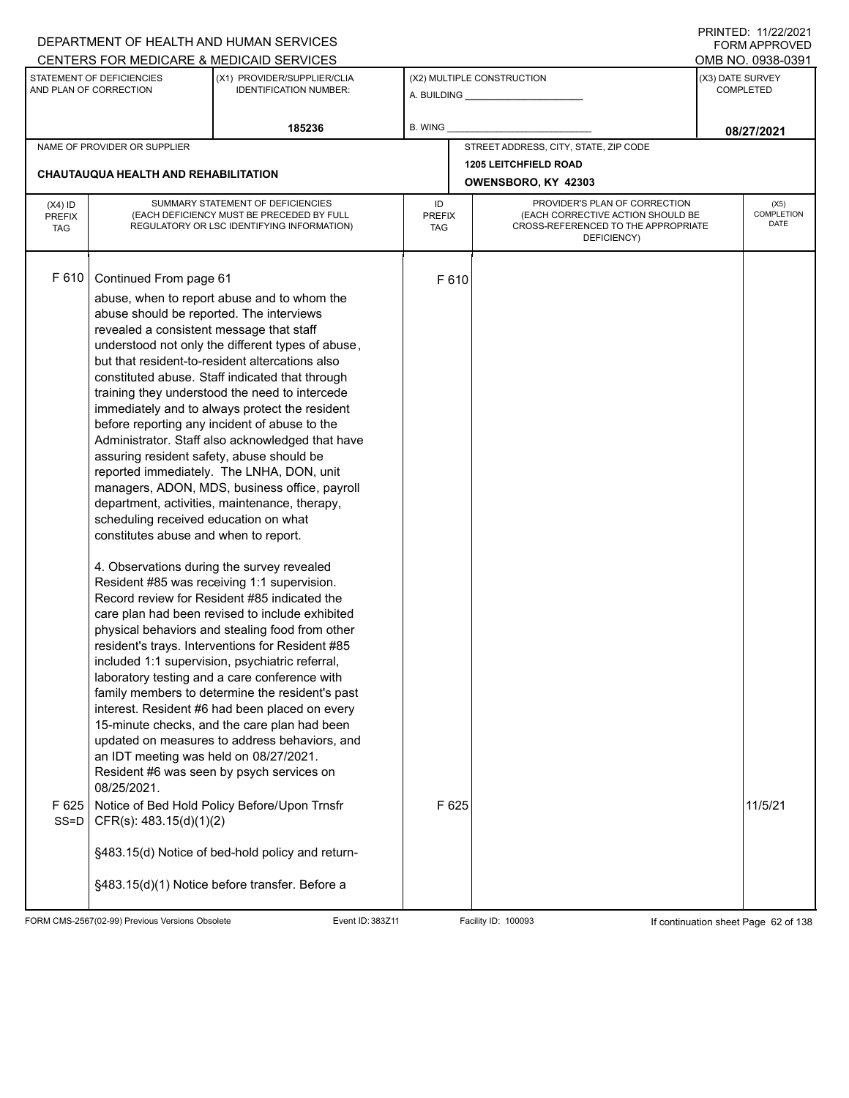|                                          |                                                                                                                                                                                                                                                                                                                                   | DEPARTMENT OF HEALTH AND HUMAN SERVICES                                                                                                                                                                                                                                                                                                                                                                                                                                                                                                                                                                                                                                                                                                                                                                                                                                                                                                                                                                                                                                                                                                                                                                                                                                                                                          |                                   |                                                              |                                                                                                                          |                  | $\left  \right $ $\left  \right $ $\left  \right $ $\left  \right $ $\left  \right $ $\left  \right $ $\left  \right $ $\left  \right $ $\left  \right $ $\left  \right $ $\left  \right $ $\left  \right $ $\left  \right $ $\left  \right $ $\left  \right $ $\left  \right $ $\left  \right $ $\left  \right $ $\left  \right $ $\left  \right $ $\left  \right $ $\left  \right $ $\left  \right $ $\left  \right $ $\left  \$<br><b>FORM APPROVED</b> |
|------------------------------------------|-----------------------------------------------------------------------------------------------------------------------------------------------------------------------------------------------------------------------------------------------------------------------------------------------------------------------------------|----------------------------------------------------------------------------------------------------------------------------------------------------------------------------------------------------------------------------------------------------------------------------------------------------------------------------------------------------------------------------------------------------------------------------------------------------------------------------------------------------------------------------------------------------------------------------------------------------------------------------------------------------------------------------------------------------------------------------------------------------------------------------------------------------------------------------------------------------------------------------------------------------------------------------------------------------------------------------------------------------------------------------------------------------------------------------------------------------------------------------------------------------------------------------------------------------------------------------------------------------------------------------------------------------------------------------------|-----------------------------------|--------------------------------------------------------------|--------------------------------------------------------------------------------------------------------------------------|------------------|------------------------------------------------------------------------------------------------------------------------------------------------------------------------------------------------------------------------------------------------------------------------------------------------------------------------------------------------------------------------------------------------------------------------------------------------------------|
|                                          |                                                                                                                                                                                                                                                                                                                                   | CENTERS FOR MEDICARE & MEDICAID SERVICES                                                                                                                                                                                                                                                                                                                                                                                                                                                                                                                                                                                                                                                                                                                                                                                                                                                                                                                                                                                                                                                                                                                                                                                                                                                                                         |                                   |                                                              |                                                                                                                          |                  | OMB NO. 0938-0391                                                                                                                                                                                                                                                                                                                                                                                                                                          |
|                                          | STATEMENT OF DEFICIENCIES<br>AND PLAN OF CORRECTION                                                                                                                                                                                                                                                                               | (X1) PROVIDER/SUPPLIER/CLIA<br><b>IDENTIFICATION NUMBER:</b>                                                                                                                                                                                                                                                                                                                                                                                                                                                                                                                                                                                                                                                                                                                                                                                                                                                                                                                                                                                                                                                                                                                                                                                                                                                                     |                                   | (X2) MULTIPLE CONSTRUCTION<br>A. BUILDING <b>A.</b> BUILDING |                                                                                                                          | (X3) DATE SURVEY | COMPLETED                                                                                                                                                                                                                                                                                                                                                                                                                                                  |
|                                          |                                                                                                                                                                                                                                                                                                                                   | 185236                                                                                                                                                                                                                                                                                                                                                                                                                                                                                                                                                                                                                                                                                                                                                                                                                                                                                                                                                                                                                                                                                                                                                                                                                                                                                                                           | <b>B. WING</b>                    |                                                              |                                                                                                                          |                  | 08/27/2021                                                                                                                                                                                                                                                                                                                                                                                                                                                 |
|                                          | NAME OF PROVIDER OR SUPPLIER                                                                                                                                                                                                                                                                                                      |                                                                                                                                                                                                                                                                                                                                                                                                                                                                                                                                                                                                                                                                                                                                                                                                                                                                                                                                                                                                                                                                                                                                                                                                                                                                                                                                  |                                   |                                                              | STREET ADDRESS, CITY, STATE, ZIP CODE                                                                                    |                  |                                                                                                                                                                                                                                                                                                                                                                                                                                                            |
|                                          | <b>CHAUTAUQUA HEALTH AND REHABILITATION</b>                                                                                                                                                                                                                                                                                       |                                                                                                                                                                                                                                                                                                                                                                                                                                                                                                                                                                                                                                                                                                                                                                                                                                                                                                                                                                                                                                                                                                                                                                                                                                                                                                                                  |                                   |                                                              | <b>1205 LEITCHFIELD ROAD</b>                                                                                             |                  |                                                                                                                                                                                                                                                                                                                                                                                                                                                            |
|                                          |                                                                                                                                                                                                                                                                                                                                   |                                                                                                                                                                                                                                                                                                                                                                                                                                                                                                                                                                                                                                                                                                                                                                                                                                                                                                                                                                                                                                                                                                                                                                                                                                                                                                                                  |                                   |                                                              | OWENSBORO, KY 42303                                                                                                      |                  |                                                                                                                                                                                                                                                                                                                                                                                                                                                            |
| $(X4)$ ID<br><b>PREFIX</b><br><b>TAG</b> |                                                                                                                                                                                                                                                                                                                                   | SUMMARY STATEMENT OF DEFICIENCIES<br>(EACH DEFICIENCY MUST BE PRECEDED BY FULL<br>REGULATORY OR LSC IDENTIFYING INFORMATION)                                                                                                                                                                                                                                                                                                                                                                                                                                                                                                                                                                                                                                                                                                                                                                                                                                                                                                                                                                                                                                                                                                                                                                                                     | ID<br><b>PREFIX</b><br><b>TAG</b> |                                                              | PROVIDER'S PLAN OF CORRECTION<br>(EACH CORRECTIVE ACTION SHOULD BE<br>CROSS-REFERENCED TO THE APPROPRIATE<br>DEFICIENCY) |                  | (X5)<br><b>COMPLETION</b><br><b>DATE</b>                                                                                                                                                                                                                                                                                                                                                                                                                   |
| F 610<br>F 625<br>$SS = D$               | Continued From page 61<br>abuse should be reported. The interviews<br>revealed a consistent message that staff<br>assuring resident safety, abuse should be<br>scheduling received education on what<br>constitutes abuse and when to report.<br>an IDT meeting was held on 08/27/2021.<br>08/25/2021.<br>CFR(s): 483.15(d)(1)(2) | abuse, when to report abuse and to whom the<br>understood not only the different types of abuse,<br>but that resident-to-resident altercations also<br>constituted abuse. Staff indicated that through<br>training they understood the need to intercede<br>immediately and to always protect the resident<br>before reporting any incident of abuse to the<br>Administrator. Staff also acknowledged that have<br>reported immediately. The LNHA, DON, unit<br>managers, ADON, MDS, business office, payroll<br>department, activities, maintenance, therapy,<br>4. Observations during the survey revealed<br>Resident #85 was receiving 1:1 supervision.<br>Record review for Resident #85 indicated the<br>care plan had been revised to include exhibited<br>physical behaviors and stealing food from other<br>resident's trays. Interventions for Resident #85<br>included 1:1 supervision, psychiatric referral,<br>laboratory testing and a care conference with<br>family members to determine the resident's past<br>interest. Resident #6 had been placed on every<br>15-minute checks, and the care plan had been<br>updated on measures to address behaviors, and<br>Resident #6 was seen by psych services on<br>Notice of Bed Hold Policy Before/Upon Trnsfr<br>§483.15(d) Notice of bed-hold policy and return- |                                   | F 610<br>F 625                                               |                                                                                                                          |                  | 11/5/21                                                                                                                                                                                                                                                                                                                                                                                                                                                    |
|                                          |                                                                                                                                                                                                                                                                                                                                   | §483.15(d)(1) Notice before transfer. Before a                                                                                                                                                                                                                                                                                                                                                                                                                                                                                                                                                                                                                                                                                                                                                                                                                                                                                                                                                                                                                                                                                                                                                                                                                                                                                   |                                   |                                                              |                                                                                                                          |                  |                                                                                                                                                                                                                                                                                                                                                                                                                                                            |
|                                          | FORM CMS-2567(02-99) Previous Versions Obsolete                                                                                                                                                                                                                                                                                   | Event ID: 383Z11                                                                                                                                                                                                                                                                                                                                                                                                                                                                                                                                                                                                                                                                                                                                                                                                                                                                                                                                                                                                                                                                                                                                                                                                                                                                                                                 |                                   | Facility ID: 100093                                          |                                                                                                                          |                  | If continuation sheet Page 62 of 138                                                                                                                                                                                                                                                                                                                                                                                                                       |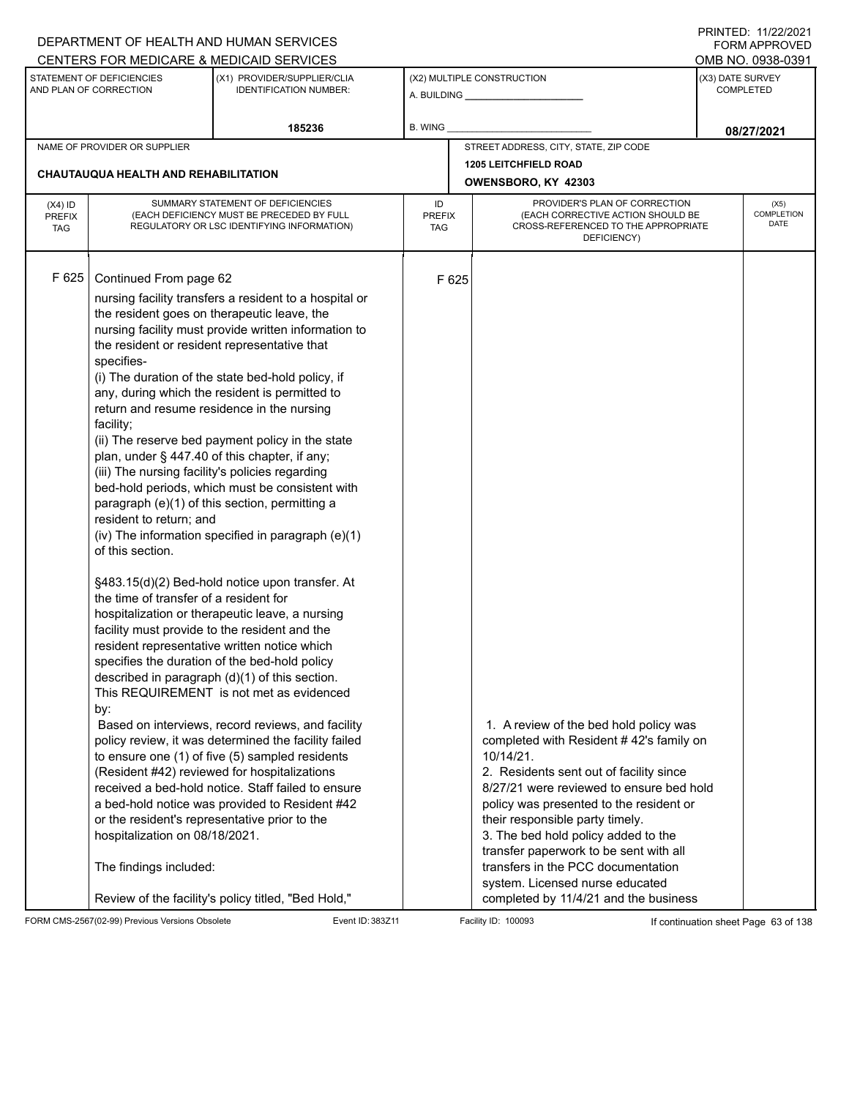|                                          |                                                                                                                                                                                                                                                                                                                                                                                                                                                                                                                                                                  | DEPARTMENT OF HEALTH AND HUMAN SERVICES<br>CENTERS FOR MEDICARE & MEDICAID SERVICES                                                                                                                                                                                                                                                                                                                                                                                                                                                                                                                                                                                                                                                                                                                                                                                                                                                                                                                                                                                                                                      |                                   |                                                     |                                                                                                                                                                                                                                                                                                                                                                                                                                                                        |                  | FININILU. IIIZZIZUZI<br>FORM APPROVED<br>OMB NO. 0938-0391 |
|------------------------------------------|------------------------------------------------------------------------------------------------------------------------------------------------------------------------------------------------------------------------------------------------------------------------------------------------------------------------------------------------------------------------------------------------------------------------------------------------------------------------------------------------------------------------------------------------------------------|--------------------------------------------------------------------------------------------------------------------------------------------------------------------------------------------------------------------------------------------------------------------------------------------------------------------------------------------------------------------------------------------------------------------------------------------------------------------------------------------------------------------------------------------------------------------------------------------------------------------------------------------------------------------------------------------------------------------------------------------------------------------------------------------------------------------------------------------------------------------------------------------------------------------------------------------------------------------------------------------------------------------------------------------------------------------------------------------------------------------------|-----------------------------------|-----------------------------------------------------|------------------------------------------------------------------------------------------------------------------------------------------------------------------------------------------------------------------------------------------------------------------------------------------------------------------------------------------------------------------------------------------------------------------------------------------------------------------------|------------------|------------------------------------------------------------|
|                                          | STATEMENT OF DEFICIENCIES<br>AND PLAN OF CORRECTION                                                                                                                                                                                                                                                                                                                                                                                                                                                                                                              | (X1) PROVIDER/SUPPLIER/CLIA<br><b>IDENTIFICATION NUMBER:</b>                                                                                                                                                                                                                                                                                                                                                                                                                                                                                                                                                                                                                                                                                                                                                                                                                                                                                                                                                                                                                                                             |                                   |                                                     | (X2) MULTIPLE CONSTRUCTION                                                                                                                                                                                                                                                                                                                                                                                                                                             | (X3) DATE SURVEY | <b>COMPLETED</b>                                           |
|                                          |                                                                                                                                                                                                                                                                                                                                                                                                                                                                                                                                                                  | 185236                                                                                                                                                                                                                                                                                                                                                                                                                                                                                                                                                                                                                                                                                                                                                                                                                                                                                                                                                                                                                                                                                                                   | <b>B. WING</b>                    |                                                     |                                                                                                                                                                                                                                                                                                                                                                                                                                                                        |                  | 08/27/2021                                                 |
|                                          | NAME OF PROVIDER OR SUPPLIER                                                                                                                                                                                                                                                                                                                                                                                                                                                                                                                                     |                                                                                                                                                                                                                                                                                                                                                                                                                                                                                                                                                                                                                                                                                                                                                                                                                                                                                                                                                                                                                                                                                                                          |                                   |                                                     | STREET ADDRESS, CITY, STATE, ZIP CODE                                                                                                                                                                                                                                                                                                                                                                                                                                  |                  |                                                            |
|                                          | <b>CHAUTAUQUA HEALTH AND REHABILITATION</b>                                                                                                                                                                                                                                                                                                                                                                                                                                                                                                                      |                                                                                                                                                                                                                                                                                                                                                                                                                                                                                                                                                                                                                                                                                                                                                                                                                                                                                                                                                                                                                                                                                                                          |                                   | <b>1205 LEITCHFIELD ROAD</b><br>OWENSBORO, KY 42303 |                                                                                                                                                                                                                                                                                                                                                                                                                                                                        |                  |                                                            |
| $(X4)$ ID<br><b>PREFIX</b><br><b>TAG</b> |                                                                                                                                                                                                                                                                                                                                                                                                                                                                                                                                                                  | SUMMARY STATEMENT OF DEFICIENCIES<br>(EACH DEFICIENCY MUST BE PRECEDED BY FULL<br>REGULATORY OR LSC IDENTIFYING INFORMATION)                                                                                                                                                                                                                                                                                                                                                                                                                                                                                                                                                                                                                                                                                                                                                                                                                                                                                                                                                                                             | ID<br><b>PREFIX</b><br><b>TAG</b> |                                                     | PROVIDER'S PLAN OF CORRECTION<br>(EACH CORRECTIVE ACTION SHOULD BE<br>CROSS-REFERENCED TO THE APPROPRIATE<br>DEFICIENCY)                                                                                                                                                                                                                                                                                                                                               |                  | (X5)<br>COMPLETION<br><b>DATE</b>                          |
| F 625                                    | Continued From page 62<br>the resident goes on therapeutic leave, the<br>the resident or resident representative that<br>specifies-<br>return and resume residence in the nursing<br>facility;<br>plan, under § 447.40 of this chapter, if any;<br>(iii) The nursing facility's policies regarding<br>resident to return; and<br>of this section.<br>the time of transfer of a resident for<br>facility must provide to the resident and the<br>by:<br>or the resident's representative prior to the<br>hospitalization on 08/18/2021.<br>The findings included: | nursing facility transfers a resident to a hospital or<br>nursing facility must provide written information to<br>(i) The duration of the state bed-hold policy, if<br>any, during which the resident is permitted to<br>(ii) The reserve bed payment policy in the state<br>bed-hold periods, which must be consistent with<br>paragraph (e)(1) of this section, permitting a<br>(iv) The information specified in paragraph (e)(1)<br>§483.15(d)(2) Bed-hold notice upon transfer. At<br>hospitalization or therapeutic leave, a nursing<br>resident representative written notice which<br>specifies the duration of the bed-hold policy<br>described in paragraph (d)(1) of this section.<br>This REQUIREMENT is not met as evidenced<br>Based on interviews, record reviews, and facility<br>policy review, it was determined the facility failed<br>to ensure one (1) of five (5) sampled residents<br>(Resident #42) reviewed for hospitalizations<br>received a bed-hold notice. Staff failed to ensure<br>a bed-hold notice was provided to Resident #42<br>Review of the facility's policy titled, "Bed Hold," |                                   | F 625                                               | 1. A review of the bed hold policy was<br>completed with Resident #42's family on<br>10/14/21.<br>2. Residents sent out of facility since<br>8/27/21 were reviewed to ensure bed hold<br>policy was presented to the resident or<br>their responsible party timely.<br>3. The bed hold policy added to the<br>transfer paperwork to be sent with all<br>transfers in the PCC documentation<br>system. Licensed nurse educated<br>completed by 11/4/21 and the business |                  |                                                            |

FORM CMS-2567(02-99) Previous Versions Obsolete Event ID: 383Z11 Event ID: 383Z11 Facility ID: 100093 If continuation sheet Page 63 of 138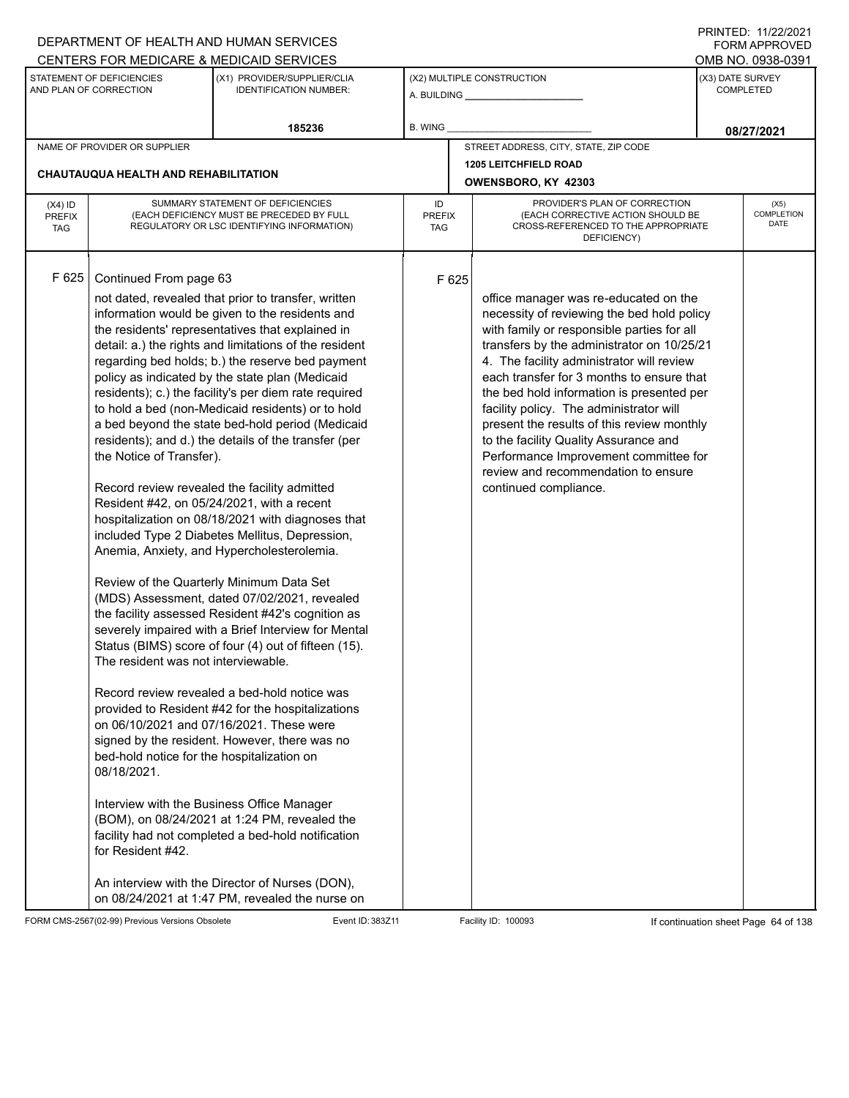| DEPARTMENT OF HEALTH AND HUMAN SERVICES                                                                                                |                                                                                                                                                                                                                                                                                                                                                                                                                                                                                                                                                                                                                                                                                                                                                                                                                                                                                                                                                                                                                                                                                                                                                                                                                                                                                                                                                                                                                                                                                                                                                                                     |                            |                                                                                                                                                                                                                                                                                                                                                                                                                                                                                                                                                                   | 11111111122.1112212121<br><b>FORM APPROVED</b> |
|----------------------------------------------------------------------------------------------------------------------------------------|-------------------------------------------------------------------------------------------------------------------------------------------------------------------------------------------------------------------------------------------------------------------------------------------------------------------------------------------------------------------------------------------------------------------------------------------------------------------------------------------------------------------------------------------------------------------------------------------------------------------------------------------------------------------------------------------------------------------------------------------------------------------------------------------------------------------------------------------------------------------------------------------------------------------------------------------------------------------------------------------------------------------------------------------------------------------------------------------------------------------------------------------------------------------------------------------------------------------------------------------------------------------------------------------------------------------------------------------------------------------------------------------------------------------------------------------------------------------------------------------------------------------------------------------------------------------------------------|----------------------------|-------------------------------------------------------------------------------------------------------------------------------------------------------------------------------------------------------------------------------------------------------------------------------------------------------------------------------------------------------------------------------------------------------------------------------------------------------------------------------------------------------------------------------------------------------------------|------------------------------------------------|
| CENTERS FOR MEDICARE & MEDICAID SERVICES                                                                                               |                                                                                                                                                                                                                                                                                                                                                                                                                                                                                                                                                                                                                                                                                                                                                                                                                                                                                                                                                                                                                                                                                                                                                                                                                                                                                                                                                                                                                                                                                                                                                                                     |                            |                                                                                                                                                                                                                                                                                                                                                                                                                                                                                                                                                                   | OMB NO. 0938-0391                              |
| STATEMENT OF DEFICIENCIES<br>AND PLAN OF CORRECTION                                                                                    | (X1) PROVIDER/SUPPLIER/CLIA<br><b>IDENTIFICATION NUMBER:</b>                                                                                                                                                                                                                                                                                                                                                                                                                                                                                                                                                                                                                                                                                                                                                                                                                                                                                                                                                                                                                                                                                                                                                                                                                                                                                                                                                                                                                                                                                                                        |                            | (X2) MULTIPLE CONSTRUCTION                                                                                                                                                                                                                                                                                                                                                                                                                                                                                                                                        | (X3) DATE SURVEY<br><b>COMPLETED</b>           |
|                                                                                                                                        | 185236                                                                                                                                                                                                                                                                                                                                                                                                                                                                                                                                                                                                                                                                                                                                                                                                                                                                                                                                                                                                                                                                                                                                                                                                                                                                                                                                                                                                                                                                                                                                                                              | <b>B. WING</b>             |                                                                                                                                                                                                                                                                                                                                                                                                                                                                                                                                                                   | 08/27/2021                                     |
| NAME OF PROVIDER OR SUPPLIER                                                                                                           |                                                                                                                                                                                                                                                                                                                                                                                                                                                                                                                                                                                                                                                                                                                                                                                                                                                                                                                                                                                                                                                                                                                                                                                                                                                                                                                                                                                                                                                                                                                                                                                     |                            | STREET ADDRESS, CITY, STATE, ZIP CODE                                                                                                                                                                                                                                                                                                                                                                                                                                                                                                                             |                                                |
| CHAUTAUQUA HEALTH AND REHABILITATION                                                                                                   |                                                                                                                                                                                                                                                                                                                                                                                                                                                                                                                                                                                                                                                                                                                                                                                                                                                                                                                                                                                                                                                                                                                                                                                                                                                                                                                                                                                                                                                                                                                                                                                     |                            | <b>1205 LEITCHFIELD ROAD</b><br>OWENSBORO, KY 42303                                                                                                                                                                                                                                                                                                                                                                                                                                                                                                               |                                                |
| $(X4)$ ID<br><b>PREFIX</b><br><b>TAG</b>                                                                                               | SUMMARY STATEMENT OF DEFICIENCIES<br>(EACH DEFICIENCY MUST BE PRECEDED BY FULL<br>REGULATORY OR LSC IDENTIFYING INFORMATION)                                                                                                                                                                                                                                                                                                                                                                                                                                                                                                                                                                                                                                                                                                                                                                                                                                                                                                                                                                                                                                                                                                                                                                                                                                                                                                                                                                                                                                                        | ID<br><b>PREFIX</b><br>TAG | PROVIDER'S PLAN OF CORRECTION<br>(EACH CORRECTIVE ACTION SHOULD BE<br>CROSS-REFERENCED TO THE APPROPRIATE<br>DEFICIENCY)                                                                                                                                                                                                                                                                                                                                                                                                                                          | (X5)<br><b>COMPLETION</b><br>DATE              |
| F 625<br>Continued From page 63<br>the Notice of Transfer).<br>The resident was not interviewable.<br>08/18/2021.<br>for Resident #42. | not dated, revealed that prior to transfer, written<br>information would be given to the residents and<br>the residents' representatives that explained in<br>detail: a.) the rights and limitations of the resident<br>regarding bed holds; b.) the reserve bed payment<br>policy as indicated by the state plan (Medicaid<br>residents); c.) the facility's per diem rate required<br>to hold a bed (non-Medicaid residents) or to hold<br>a bed beyond the state bed-hold period (Medicaid<br>residents); and d.) the details of the transfer (per<br>Record review revealed the facility admitted<br>Resident #42, on 05/24/2021, with a recent<br>hospitalization on 08/18/2021 with diagnoses that<br>included Type 2 Diabetes Mellitus, Depression,<br>Anemia, Anxiety, and Hypercholesterolemia.<br>Review of the Quarterly Minimum Data Set<br>(MDS) Assessment, dated 07/02/2021, revealed<br>the facility assessed Resident #42's cognition as<br>severely impaired with a Brief Interview for Mental<br>Status (BIMS) score of four (4) out of fifteen (15).<br>Record review revealed a bed-hold notice was<br>provided to Resident #42 for the hospitalizations<br>on 06/10/2021 and 07/16/2021. These were<br>signed by the resident. However, there was no<br>bed-hold notice for the hospitalization on<br>Interview with the Business Office Manager<br>(BOM), on 08/24/2021 at 1:24 PM, revealed the<br>facility had not completed a bed-hold notification<br>An interview with the Director of Nurses (DON),<br>on 08/24/2021 at 1:47 PM, revealed the nurse on | F 625                      | office manager was re-educated on the<br>necessity of reviewing the bed hold policy<br>with family or responsible parties for all<br>transfers by the administrator on 10/25/21<br>4. The facility administrator will review<br>each transfer for 3 months to ensure that<br>the bed hold information is presented per<br>facility policy. The administrator will<br>present the results of this review monthly<br>to the facility Quality Assurance and<br>Performance Improvement committee for<br>review and recommendation to ensure<br>continued compliance. |                                                |

FORM CMS-2567(02-99) Previous Versions Obsolete Event ID: 383Z11 Event ID: 383Z11 Facility ID: 100093 If continuation sheet Page 64 of 138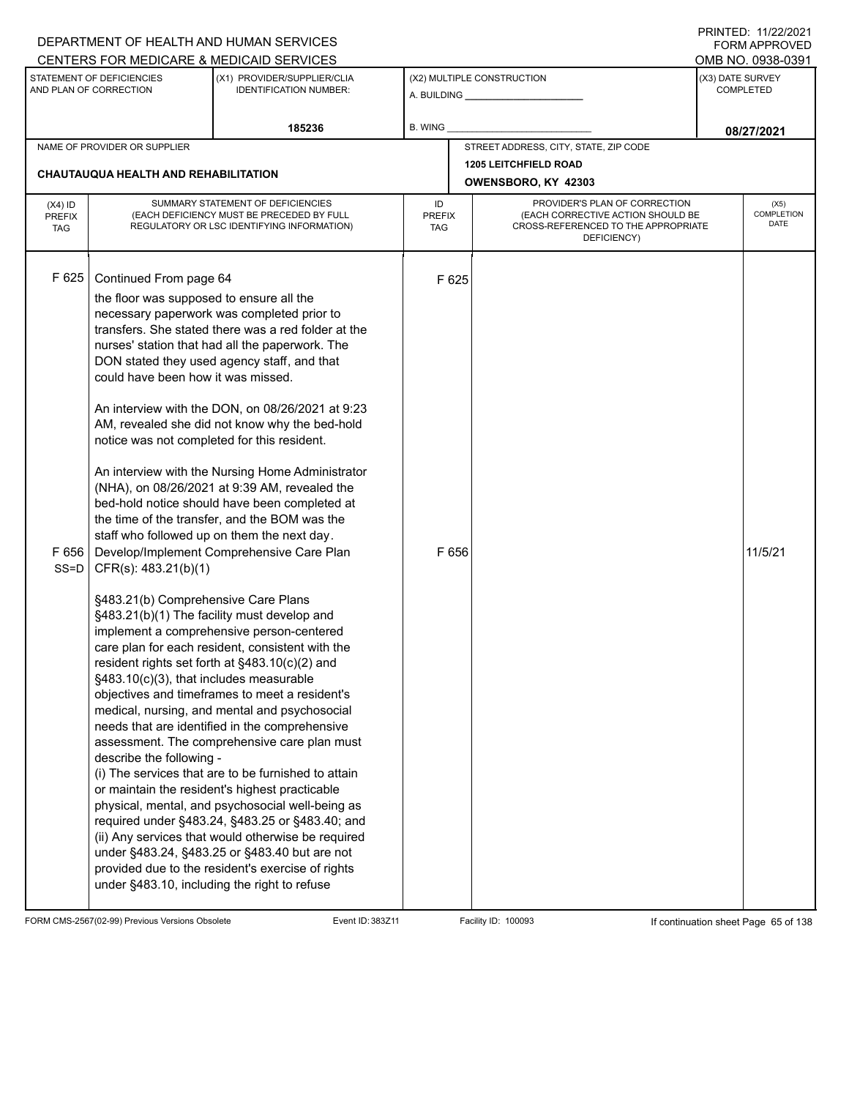|                         |                                                                                                                                                                                 | DEPARTMENT OF HEALTH AND HUMAN SERVICES                                                                                                                                                                                                                                                                                                                                                                                                                                                                                                                                                                                                                                                                                                                                                                                         |                             |                |                                                                                         |                  | FORM APPROVED             |  |
|-------------------------|---------------------------------------------------------------------------------------------------------------------------------------------------------------------------------|---------------------------------------------------------------------------------------------------------------------------------------------------------------------------------------------------------------------------------------------------------------------------------------------------------------------------------------------------------------------------------------------------------------------------------------------------------------------------------------------------------------------------------------------------------------------------------------------------------------------------------------------------------------------------------------------------------------------------------------------------------------------------------------------------------------------------------|-----------------------------|----------------|-----------------------------------------------------------------------------------------|------------------|---------------------------|--|
|                         |                                                                                                                                                                                 | CENTERS FOR MEDICARE & MEDICAID SERVICES                                                                                                                                                                                                                                                                                                                                                                                                                                                                                                                                                                                                                                                                                                                                                                                        |                             |                |                                                                                         |                  | OMB NO. 0938-0391         |  |
|                         | STATEMENT OF DEFICIENCIES<br>AND PLAN OF CORRECTION                                                                                                                             | (X1) PROVIDER/SUPPLIER/CLIA<br><b>IDENTIFICATION NUMBER:</b>                                                                                                                                                                                                                                                                                                                                                                                                                                                                                                                                                                                                                                                                                                                                                                    |                             |                | (X2) MULTIPLE CONSTRUCTION                                                              | (X3) DATE SURVEY | <b>COMPLETED</b>          |  |
|                         |                                                                                                                                                                                 | 185236                                                                                                                                                                                                                                                                                                                                                                                                                                                                                                                                                                                                                                                                                                                                                                                                                          | B. WING                     |                |                                                                                         |                  | 08/27/2021                |  |
|                         | NAME OF PROVIDER OR SUPPLIER                                                                                                                                                    |                                                                                                                                                                                                                                                                                                                                                                                                                                                                                                                                                                                                                                                                                                                                                                                                                                 |                             |                | STREET ADDRESS, CITY, STATE, ZIP CODE                                                   |                  |                           |  |
|                         | <b>CHAUTAUQUA HEALTH AND REHABILITATION</b>                                                                                                                                     |                                                                                                                                                                                                                                                                                                                                                                                                                                                                                                                                                                                                                                                                                                                                                                                                                                 |                             |                | <b>1205 LEITCHFIELD ROAD</b><br>OWENSBORO, KY 42303                                     |                  |                           |  |
| $(X4)$ ID               |                                                                                                                                                                                 | SUMMARY STATEMENT OF DEFICIENCIES                                                                                                                                                                                                                                                                                                                                                                                                                                                                                                                                                                                                                                                                                                                                                                                               | ID                          |                | PROVIDER'S PLAN OF CORRECTION                                                           |                  | (X5)                      |  |
| PREFIX<br><b>TAG</b>    |                                                                                                                                                                                 | (EACH DEFICIENCY MUST BE PRECEDED BY FULL<br>REGULATORY OR LSC IDENTIFYING INFORMATION)                                                                                                                                                                                                                                                                                                                                                                                                                                                                                                                                                                                                                                                                                                                                         | <b>PREFIX</b><br><b>TAG</b> |                | (EACH CORRECTIVE ACTION SHOULD BE<br>CROSS-REFERENCED TO THE APPROPRIATE<br>DEFICIENCY) |                  | COMPLETION<br><b>DATE</b> |  |
| F 625<br>F656<br>$SS=D$ | Continued From page 64<br>the floor was supposed to ensure all the<br>could have been how it was missed.<br>notice was not completed for this resident.<br>CFR(s): 483.21(b)(1) | necessary paperwork was completed prior to<br>transfers. She stated there was a red folder at the<br>nurses' station that had all the paperwork. The<br>DON stated they used agency staff, and that<br>An interview with the DON, on 08/26/2021 at 9:23<br>AM, revealed she did not know why the bed-hold<br>An interview with the Nursing Home Administrator<br>(NHA), on 08/26/2021 at 9:39 AM, revealed the<br>bed-hold notice should have been completed at<br>the time of the transfer, and the BOM was the<br>staff who followed up on them the next day.<br>Develop/Implement Comprehensive Care Plan                                                                                                                                                                                                                    |                             | F 625<br>F 656 |                                                                                         |                  | 11/5/21                   |  |
|                         | §483.21(b) Comprehensive Care Plans<br>§483.10(c)(3), that includes measurable<br>describe the following -                                                                      | §483.21(b)(1) The facility must develop and<br>implement a comprehensive person-centered<br>care plan for each resident, consistent with the<br>resident rights set forth at §483.10(c)(2) and<br>objectives and timeframes to meet a resident's<br>medical, nursing, and mental and psychosocial<br>needs that are identified in the comprehensive<br>assessment. The comprehensive care plan must<br>(i) The services that are to be furnished to attain<br>or maintain the resident's highest practicable<br>physical, mental, and psychosocial well-being as<br>required under §483.24, §483.25 or §483.40; and<br>(ii) Any services that would otherwise be required<br>under §483.24, §483.25 or §483.40 but are not<br>provided due to the resident's exercise of rights<br>under §483.10, including the right to refuse |                             |                |                                                                                         |                  |                           |  |

FORM CMS-2567(02-99) Previous Versions Obsolete Event ID: 383Z11 Event ID: 383Z11 Facility ID: 100093 If continuation sheet Page 65 of 138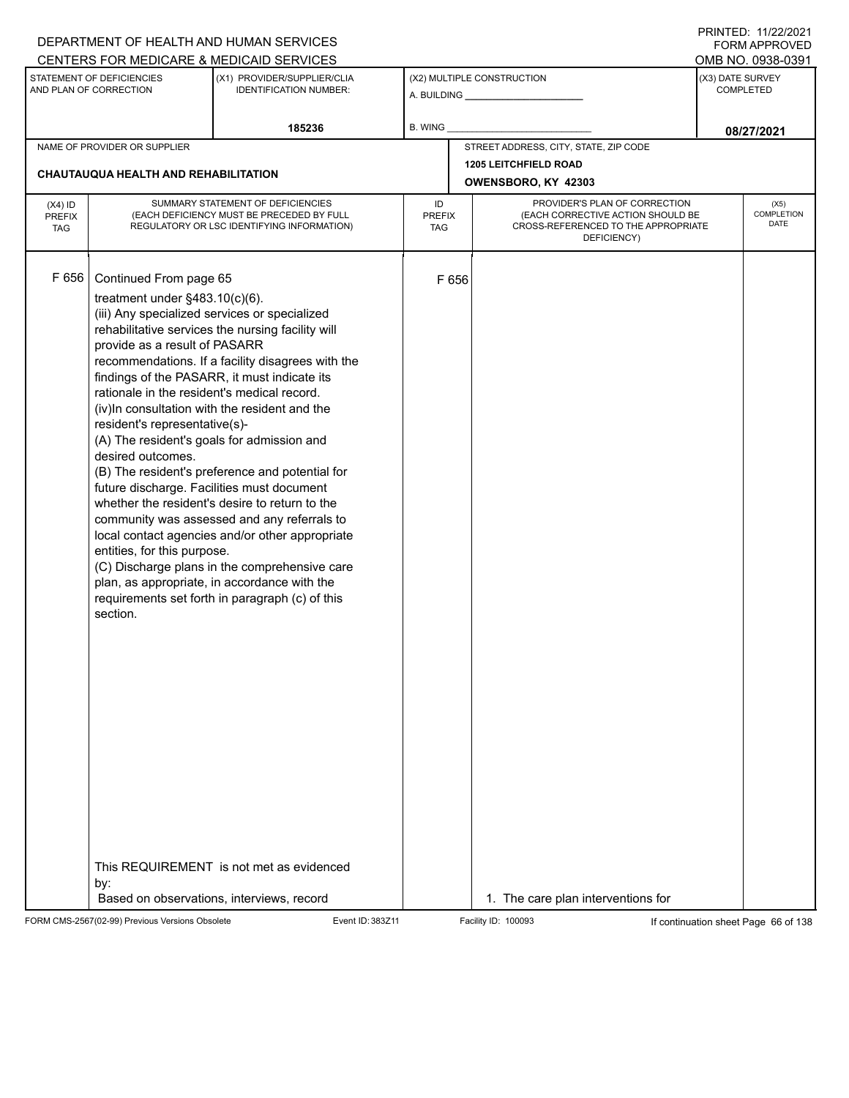|                                          |                                                                                                                                                                                                                                                                                                                                          | DEPARTMENT OF HEALTH AND HUMAN SERVICES                                                                                                                                                                                                                                                                                                                                                                                                                                                                                                                                                                             |                            |       |                                                                                                                          |                                      | FORM APPROVED                     |
|------------------------------------------|------------------------------------------------------------------------------------------------------------------------------------------------------------------------------------------------------------------------------------------------------------------------------------------------------------------------------------------|---------------------------------------------------------------------------------------------------------------------------------------------------------------------------------------------------------------------------------------------------------------------------------------------------------------------------------------------------------------------------------------------------------------------------------------------------------------------------------------------------------------------------------------------------------------------------------------------------------------------|----------------------------|-------|--------------------------------------------------------------------------------------------------------------------------|--------------------------------------|-----------------------------------|
|                                          |                                                                                                                                                                                                                                                                                                                                          | CENTERS FOR MEDICARE & MEDICAID SERVICES                                                                                                                                                                                                                                                                                                                                                                                                                                                                                                                                                                            |                            |       |                                                                                                                          |                                      | OMB NO. 0938-0391                 |
|                                          | STATEMENT OF DEFICIENCIES<br>AND PLAN OF CORRECTION                                                                                                                                                                                                                                                                                      | (X1) PROVIDER/SUPPLIER/CLIA<br><b>IDENTIFICATION NUMBER:</b>                                                                                                                                                                                                                                                                                                                                                                                                                                                                                                                                                        |                            |       | (X2) MULTIPLE CONSTRUCTION                                                                                               | (X3) DATE SURVEY<br><b>COMPLETED</b> |                                   |
|                                          |                                                                                                                                                                                                                                                                                                                                          | 185236                                                                                                                                                                                                                                                                                                                                                                                                                                                                                                                                                                                                              | B. WING                    |       |                                                                                                                          |                                      | 08/27/2021                        |
|                                          | NAME OF PROVIDER OR SUPPLIER                                                                                                                                                                                                                                                                                                             |                                                                                                                                                                                                                                                                                                                                                                                                                                                                                                                                                                                                                     |                            |       | STREET ADDRESS, CITY, STATE, ZIP CODE                                                                                    |                                      |                                   |
|                                          | CHAUTAUQUA HEALTH AND REHABILITATION                                                                                                                                                                                                                                                                                                     |                                                                                                                                                                                                                                                                                                                                                                                                                                                                                                                                                                                                                     |                            |       | <b>1205 LEITCHFIELD ROAD</b>                                                                                             |                                      |                                   |
|                                          |                                                                                                                                                                                                                                                                                                                                          |                                                                                                                                                                                                                                                                                                                                                                                                                                                                                                                                                                                                                     |                            |       | OWENSBORO, KY 42303                                                                                                      |                                      |                                   |
| $(X4)$ ID<br><b>PREFIX</b><br><b>TAG</b> | SUMMARY STATEMENT OF DEFICIENCIES<br>(EACH DEFICIENCY MUST BE PRECEDED BY FULL<br>REGULATORY OR LSC IDENTIFYING INFORMATION)                                                                                                                                                                                                             |                                                                                                                                                                                                                                                                                                                                                                                                                                                                                                                                                                                                                     | ID<br><b>PREFIX</b><br>TAG |       | PROVIDER'S PLAN OF CORRECTION<br>(EACH CORRECTIVE ACTION SHOULD BE<br>CROSS-REFERENCED TO THE APPROPRIATE<br>DEFICIENCY) |                                      | (X5)<br>COMPLETION<br><b>DATE</b> |
| F 656                                    | Continued From page 65<br>treatment under $§483.10(c)(6)$ .<br>provide as a result of PASARR<br>rationale in the resident's medical record.<br>resident's representative(s)-<br>(A) The resident's goals for admission and<br>desired outcomes.<br>future discharge. Facilities must document<br>entities, for this purpose.<br>section. | (iii) Any specialized services or specialized<br>rehabilitative services the nursing facility will<br>recommendations. If a facility disagrees with the<br>findings of the PASARR, it must indicate its<br>(iv)In consultation with the resident and the<br>(B) The resident's preference and potential for<br>whether the resident's desire to return to the<br>community was assessed and any referrals to<br>local contact agencies and/or other appropriate<br>(C) Discharge plans in the comprehensive care<br>plan, as appropriate, in accordance with the<br>requirements set forth in paragraph (c) of this |                            | F 656 |                                                                                                                          |                                      |                                   |
|                                          | by:                                                                                                                                                                                                                                                                                                                                      | This REQUIREMENT is not met as evidenced<br>Based on observations, interviews, record                                                                                                                                                                                                                                                                                                                                                                                                                                                                                                                               |                            |       | 1. The care plan interventions for                                                                                       |                                      |                                   |
|                                          |                                                                                                                                                                                                                                                                                                                                          |                                                                                                                                                                                                                                                                                                                                                                                                                                                                                                                                                                                                                     |                            |       |                                                                                                                          |                                      |                                   |

FORM CMS-2567(02-99) Previous Versions Obsolete Event ID: 383Z11 Event ID: 383Z11 Facility ID: 100093 If continuation sheet Page 66 of 138

PRINTED: 11/22/2021 FORM APPROVED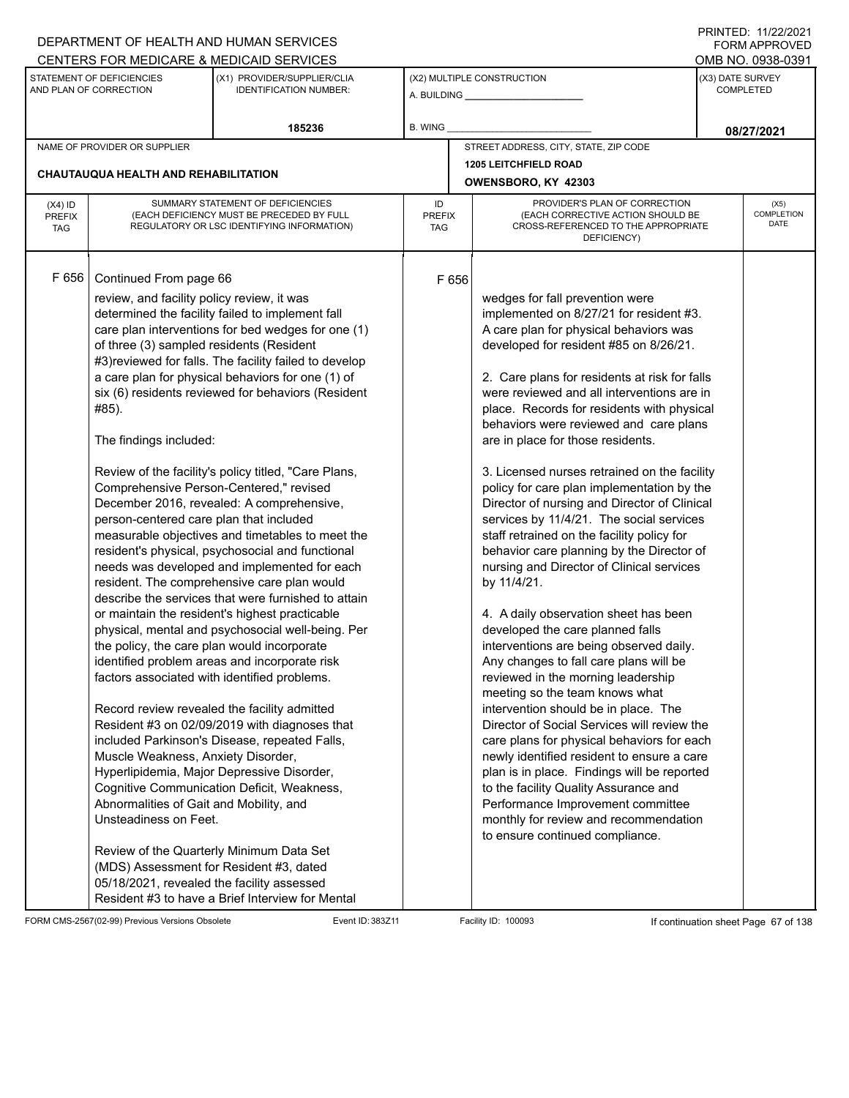|                                                     |                                                                                                                                                                                                                                                                                                                                                        | DEPARTMENT OF HEALTH AND HUMAN SERVICES                                                                                                                                                                                                                                                                                                                                                                                                                                                                                                                                                                                                                                                                                                                                                                                                                                                                                                                                                                                                                                                                                                                                                                                                                                                                                                   |                                   |       |                                                                                                                                                                                                                                                                                                                                                                                                                                                                                                                                                                                                                                                                                                                                                                                                                                                                                                                                                                                                                                                                                                                                                                                                                                                                                                                                                                                   |                               | 111111111121112212121<br>FORM APPROVED |
|-----------------------------------------------------|--------------------------------------------------------------------------------------------------------------------------------------------------------------------------------------------------------------------------------------------------------------------------------------------------------------------------------------------------------|-------------------------------------------------------------------------------------------------------------------------------------------------------------------------------------------------------------------------------------------------------------------------------------------------------------------------------------------------------------------------------------------------------------------------------------------------------------------------------------------------------------------------------------------------------------------------------------------------------------------------------------------------------------------------------------------------------------------------------------------------------------------------------------------------------------------------------------------------------------------------------------------------------------------------------------------------------------------------------------------------------------------------------------------------------------------------------------------------------------------------------------------------------------------------------------------------------------------------------------------------------------------------------------------------------------------------------------------|-----------------------------------|-------|-----------------------------------------------------------------------------------------------------------------------------------------------------------------------------------------------------------------------------------------------------------------------------------------------------------------------------------------------------------------------------------------------------------------------------------------------------------------------------------------------------------------------------------------------------------------------------------------------------------------------------------------------------------------------------------------------------------------------------------------------------------------------------------------------------------------------------------------------------------------------------------------------------------------------------------------------------------------------------------------------------------------------------------------------------------------------------------------------------------------------------------------------------------------------------------------------------------------------------------------------------------------------------------------------------------------------------------------------------------------------------------|-------------------------------|----------------------------------------|
|                                                     |                                                                                                                                                                                                                                                                                                                                                        | CENTERS FOR MEDICARE & MEDICAID SERVICES                                                                                                                                                                                                                                                                                                                                                                                                                                                                                                                                                                                                                                                                                                                                                                                                                                                                                                                                                                                                                                                                                                                                                                                                                                                                                                  |                                   |       |                                                                                                                                                                                                                                                                                                                                                                                                                                                                                                                                                                                                                                                                                                                                                                                                                                                                                                                                                                                                                                                                                                                                                                                                                                                                                                                                                                                   |                               | OMB NO. 0938-0391                      |
| STATEMENT OF DEFICIENCIES<br>AND PLAN OF CORRECTION |                                                                                                                                                                                                                                                                                                                                                        | (X1) PROVIDER/SUPPLIER/CLIA<br><b>IDENTIFICATION NUMBER:</b>                                                                                                                                                                                                                                                                                                                                                                                                                                                                                                                                                                                                                                                                                                                                                                                                                                                                                                                                                                                                                                                                                                                                                                                                                                                                              |                                   |       | (X2) MULTIPLE CONSTRUCTION                                                                                                                                                                                                                                                                                                                                                                                                                                                                                                                                                                                                                                                                                                                                                                                                                                                                                                                                                                                                                                                                                                                                                                                                                                                                                                                                                        | (X3) DATE SURVEY<br>COMPLETED |                                        |
|                                                     |                                                                                                                                                                                                                                                                                                                                                        | 185236                                                                                                                                                                                                                                                                                                                                                                                                                                                                                                                                                                                                                                                                                                                                                                                                                                                                                                                                                                                                                                                                                                                                                                                                                                                                                                                                    | <b>B. WING</b>                    |       |                                                                                                                                                                                                                                                                                                                                                                                                                                                                                                                                                                                                                                                                                                                                                                                                                                                                                                                                                                                                                                                                                                                                                                                                                                                                                                                                                                                   |                               | 08/27/2021                             |
|                                                     | NAME OF PROVIDER OR SUPPLIER                                                                                                                                                                                                                                                                                                                           |                                                                                                                                                                                                                                                                                                                                                                                                                                                                                                                                                                                                                                                                                                                                                                                                                                                                                                                                                                                                                                                                                                                                                                                                                                                                                                                                           |                                   |       | STREET ADDRESS, CITY, STATE, ZIP CODE                                                                                                                                                                                                                                                                                                                                                                                                                                                                                                                                                                                                                                                                                                                                                                                                                                                                                                                                                                                                                                                                                                                                                                                                                                                                                                                                             |                               |                                        |
|                                                     |                                                                                                                                                                                                                                                                                                                                                        |                                                                                                                                                                                                                                                                                                                                                                                                                                                                                                                                                                                                                                                                                                                                                                                                                                                                                                                                                                                                                                                                                                                                                                                                                                                                                                                                           |                                   |       | <b>1205 LEITCHFIELD ROAD</b>                                                                                                                                                                                                                                                                                                                                                                                                                                                                                                                                                                                                                                                                                                                                                                                                                                                                                                                                                                                                                                                                                                                                                                                                                                                                                                                                                      |                               |                                        |
|                                                     | <b>CHAUTAUQUA HEALTH AND REHABILITATION</b>                                                                                                                                                                                                                                                                                                            |                                                                                                                                                                                                                                                                                                                                                                                                                                                                                                                                                                                                                                                                                                                                                                                                                                                                                                                                                                                                                                                                                                                                                                                                                                                                                                                                           |                                   |       | OWENSBORO, KY 42303                                                                                                                                                                                                                                                                                                                                                                                                                                                                                                                                                                                                                                                                                                                                                                                                                                                                                                                                                                                                                                                                                                                                                                                                                                                                                                                                                               |                               |                                        |
| $(X4)$ ID<br>PREFIX<br><b>TAG</b>                   |                                                                                                                                                                                                                                                                                                                                                        | SUMMARY STATEMENT OF DEFICIENCIES<br>(EACH DEFICIENCY MUST BE PRECEDED BY FULL<br>REGULATORY OR LSC IDENTIFYING INFORMATION)                                                                                                                                                                                                                                                                                                                                                                                                                                                                                                                                                                                                                                                                                                                                                                                                                                                                                                                                                                                                                                                                                                                                                                                                              | ID<br><b>PREFIX</b><br><b>TAG</b> |       | PROVIDER'S PLAN OF CORRECTION<br>(EACH CORRECTIVE ACTION SHOULD BE<br>CROSS-REFERENCED TO THE APPROPRIATE<br>DEFICIENCY)                                                                                                                                                                                                                                                                                                                                                                                                                                                                                                                                                                                                                                                                                                                                                                                                                                                                                                                                                                                                                                                                                                                                                                                                                                                          |                               | (X5)<br>COMPLETION<br><b>DATE</b>      |
| F656                                                | Continued From page 66<br>review, and facility policy review, it was<br>of three (3) sampled residents (Resident<br>#85).<br>The findings included:<br>person-centered care plan that included<br>Muscle Weakness, Anxiety Disorder,<br>Abnormalities of Gait and Mobility, and<br>Unsteadiness on Feet.<br>05/18/2021, revealed the facility assessed | determined the facility failed to implement fall<br>care plan interventions for bed wedges for one (1)<br>#3) reviewed for falls. The facility failed to develop<br>a care plan for physical behaviors for one (1) of<br>six (6) residents reviewed for behaviors (Resident<br>Review of the facility's policy titled, "Care Plans,<br>Comprehensive Person-Centered," revised<br>December 2016, revealed: A comprehensive,<br>measurable objectives and timetables to meet the<br>resident's physical, psychosocial and functional<br>needs was developed and implemented for each<br>resident. The comprehensive care plan would<br>describe the services that were furnished to attain<br>or maintain the resident's highest practicable<br>physical, mental and psychosocial well-being. Per<br>the policy, the care plan would incorporate<br>identified problem areas and incorporate risk<br>factors associated with identified problems.<br>Record review revealed the facility admitted<br>Resident #3 on 02/09/2019 with diagnoses that<br>included Parkinson's Disease, repeated Falls,<br>Hyperlipidemia, Major Depressive Disorder,<br>Cognitive Communication Deficit, Weakness,<br>Review of the Quarterly Minimum Data Set<br>(MDS) Assessment for Resident #3, dated<br>Resident #3 to have a Brief Interview for Mental |                                   | F 656 | wedges for fall prevention were<br>implemented on 8/27/21 for resident #3.<br>A care plan for physical behaviors was<br>developed for resident #85 on 8/26/21.<br>2. Care plans for residents at risk for falls<br>were reviewed and all interventions are in<br>place. Records for residents with physical<br>behaviors were reviewed and care plans<br>are in place for those residents.<br>3. Licensed nurses retrained on the facility<br>policy for care plan implementation by the<br>Director of nursing and Director of Clinical<br>services by 11/4/21. The social services<br>staff retrained on the facility policy for<br>behavior care planning by the Director of<br>nursing and Director of Clinical services<br>by 11/4/21.<br>4. A daily observation sheet has been<br>developed the care planned falls<br>interventions are being observed daily.<br>Any changes to fall care plans will be<br>reviewed in the morning leadership<br>meeting so the team knows what<br>intervention should be in place. The<br>Director of Social Services will review the<br>care plans for physical behaviors for each<br>newly identified resident to ensure a care<br>plan is in place. Findings will be reported<br>to the facility Quality Assurance and<br>Performance Improvement committee<br>monthly for review and recommendation<br>to ensure continued compliance. |                               |                                        |

FORM CMS-2567(02-99) Previous Versions Obsolete Event ID: 383Z11 Event ID: 383Z11 Facility ID: 100093 If continuation sheet Page 67 of 138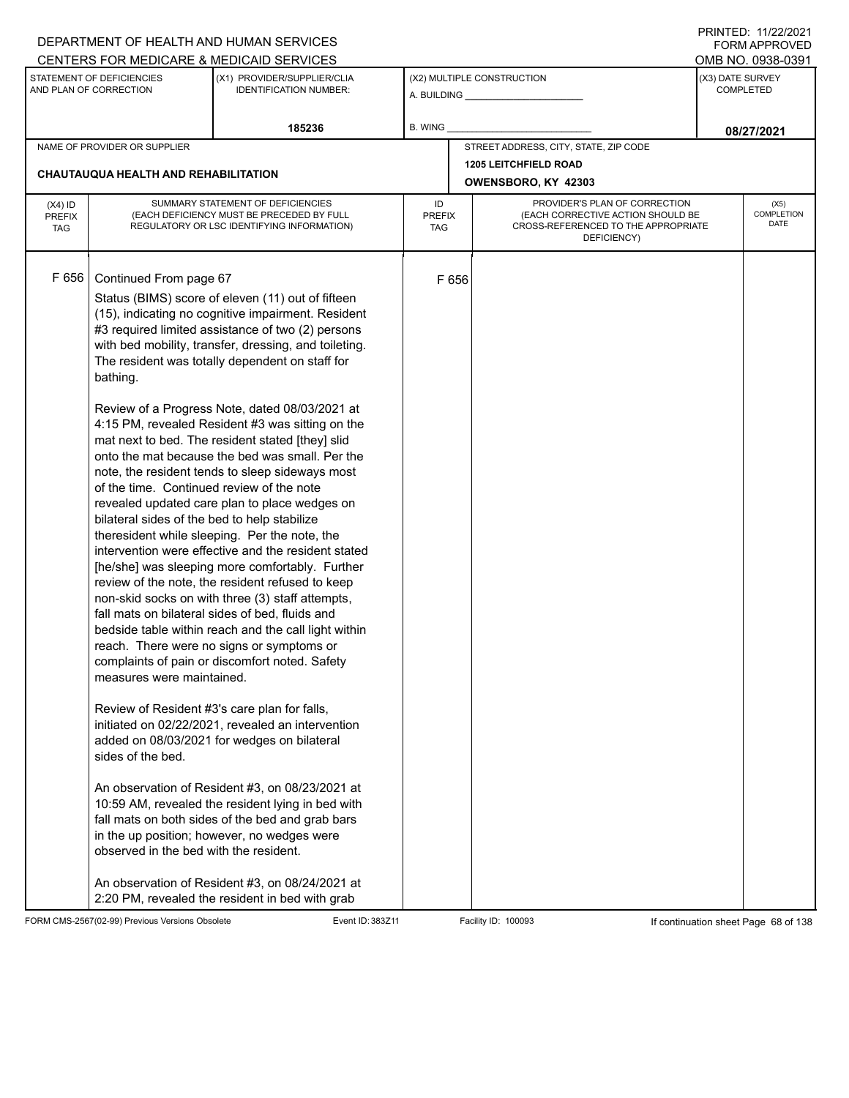|                                          |                                                                                                                                                                                                                                                                             | DEPARTMENT OF HEALTH AND HUMAN SERVICES                                                                                                                                                                                                                                                                                                                                                                                                                                                                                                                                                                                                                                                                                                                                                                                                                                                                                                                                                                                                                                                                                                                                                                                                                                                                                                                                                                                                                                                     |                                   |       |                                                                                                                          |                  | I INITILD. III <i>LLIL</i> VLI<br><b>FORM APPROVED</b> |
|------------------------------------------|-----------------------------------------------------------------------------------------------------------------------------------------------------------------------------------------------------------------------------------------------------------------------------|---------------------------------------------------------------------------------------------------------------------------------------------------------------------------------------------------------------------------------------------------------------------------------------------------------------------------------------------------------------------------------------------------------------------------------------------------------------------------------------------------------------------------------------------------------------------------------------------------------------------------------------------------------------------------------------------------------------------------------------------------------------------------------------------------------------------------------------------------------------------------------------------------------------------------------------------------------------------------------------------------------------------------------------------------------------------------------------------------------------------------------------------------------------------------------------------------------------------------------------------------------------------------------------------------------------------------------------------------------------------------------------------------------------------------------------------------------------------------------------------|-----------------------------------|-------|--------------------------------------------------------------------------------------------------------------------------|------------------|--------------------------------------------------------|
|                                          |                                                                                                                                                                                                                                                                             | CENTERS FOR MEDICARE & MEDICAID SERVICES                                                                                                                                                                                                                                                                                                                                                                                                                                                                                                                                                                                                                                                                                                                                                                                                                                                                                                                                                                                                                                                                                                                                                                                                                                                                                                                                                                                                                                                    |                                   |       |                                                                                                                          |                  | OMB NO. 0938-0391                                      |
|                                          | STATEMENT OF DEFICIENCIES<br>AND PLAN OF CORRECTION                                                                                                                                                                                                                         | (X1) PROVIDER/SUPPLIER/CLIA<br><b>IDENTIFICATION NUMBER:</b>                                                                                                                                                                                                                                                                                                                                                                                                                                                                                                                                                                                                                                                                                                                                                                                                                                                                                                                                                                                                                                                                                                                                                                                                                                                                                                                                                                                                                                |                                   |       | (X2) MULTIPLE CONSTRUCTION                                                                                               | (X3) DATE SURVEY | <b>COMPLETED</b>                                       |
|                                          |                                                                                                                                                                                                                                                                             | 185236                                                                                                                                                                                                                                                                                                                                                                                                                                                                                                                                                                                                                                                                                                                                                                                                                                                                                                                                                                                                                                                                                                                                                                                                                                                                                                                                                                                                                                                                                      | <b>B. WING</b>                    |       |                                                                                                                          |                  | 08/27/2021                                             |
|                                          | NAME OF PROVIDER OR SUPPLIER                                                                                                                                                                                                                                                |                                                                                                                                                                                                                                                                                                                                                                                                                                                                                                                                                                                                                                                                                                                                                                                                                                                                                                                                                                                                                                                                                                                                                                                                                                                                                                                                                                                                                                                                                             |                                   |       | STREET ADDRESS, CITY, STATE, ZIP CODE                                                                                    |                  |                                                        |
|                                          | CHAUTAUQUA HEALTH AND REHABILITATION                                                                                                                                                                                                                                        |                                                                                                                                                                                                                                                                                                                                                                                                                                                                                                                                                                                                                                                                                                                                                                                                                                                                                                                                                                                                                                                                                                                                                                                                                                                                                                                                                                                                                                                                                             |                                   |       | <b>1205 LEITCHFIELD ROAD</b><br>OWENSBORO, KY 42303                                                                      |                  |                                                        |
| $(X4)$ ID<br><b>PREFIX</b><br><b>TAG</b> |                                                                                                                                                                                                                                                                             | SUMMARY STATEMENT OF DEFICIENCIES<br>(EACH DEFICIENCY MUST BE PRECEDED BY FULL<br>REGULATORY OR LSC IDENTIFYING INFORMATION)                                                                                                                                                                                                                                                                                                                                                                                                                                                                                                                                                                                                                                                                                                                                                                                                                                                                                                                                                                                                                                                                                                                                                                                                                                                                                                                                                                | ID<br><b>PREFIX</b><br><b>TAG</b> |       | PROVIDER'S PLAN OF CORRECTION<br>(EACH CORRECTIVE ACTION SHOULD BE<br>CROSS-REFERENCED TO THE APPROPRIATE<br>DEFICIENCY) |                  | (X5)<br>COMPLETION<br><b>DATE</b>                      |
| F656                                     | Continued From page 67<br>bathing.<br>of the time. Continued review of the note<br>bilateral sides of the bed to help stabilize<br>measures were maintained.<br>Review of Resident #3's care plan for falls,<br>sides of the bed.<br>observed in the bed with the resident. | Status (BIMS) score of eleven (11) out of fifteen<br>(15), indicating no cognitive impairment. Resident<br>#3 required limited assistance of two (2) persons<br>with bed mobility, transfer, dressing, and toileting.<br>The resident was totally dependent on staff for<br>Review of a Progress Note, dated 08/03/2021 at<br>4:15 PM, revealed Resident #3 was sitting on the<br>mat next to bed. The resident stated [they] slid<br>onto the mat because the bed was small. Per the<br>note, the resident tends to sleep sideways most<br>revealed updated care plan to place wedges on<br>theresident while sleeping. Per the note, the<br>intervention were effective and the resident stated<br>[he/she] was sleeping more comfortably. Further<br>review of the note, the resident refused to keep<br>non-skid socks on with three (3) staff attempts,<br>fall mats on bilateral sides of bed, fluids and<br>bedside table within reach and the call light within<br>reach. There were no signs or symptoms or<br>complaints of pain or discomfort noted. Safety<br>initiated on 02/22/2021, revealed an intervention<br>added on 08/03/2021 for wedges on bilateral<br>An observation of Resident #3, on 08/23/2021 at<br>10:59 AM, revealed the resident lying in bed with<br>fall mats on both sides of the bed and grab bars<br>in the up position; however, no wedges were<br>An observation of Resident #3, on 08/24/2021 at<br>2:20 PM, revealed the resident in bed with grab |                                   | F 656 |                                                                                                                          |                  |                                                        |

FORM CMS-2567(02-99) Previous Versions Obsolete Event ID: 383Z11 Event ID: 383Z11 Facility ID: 100093 If continuation sheet Page 68 of 138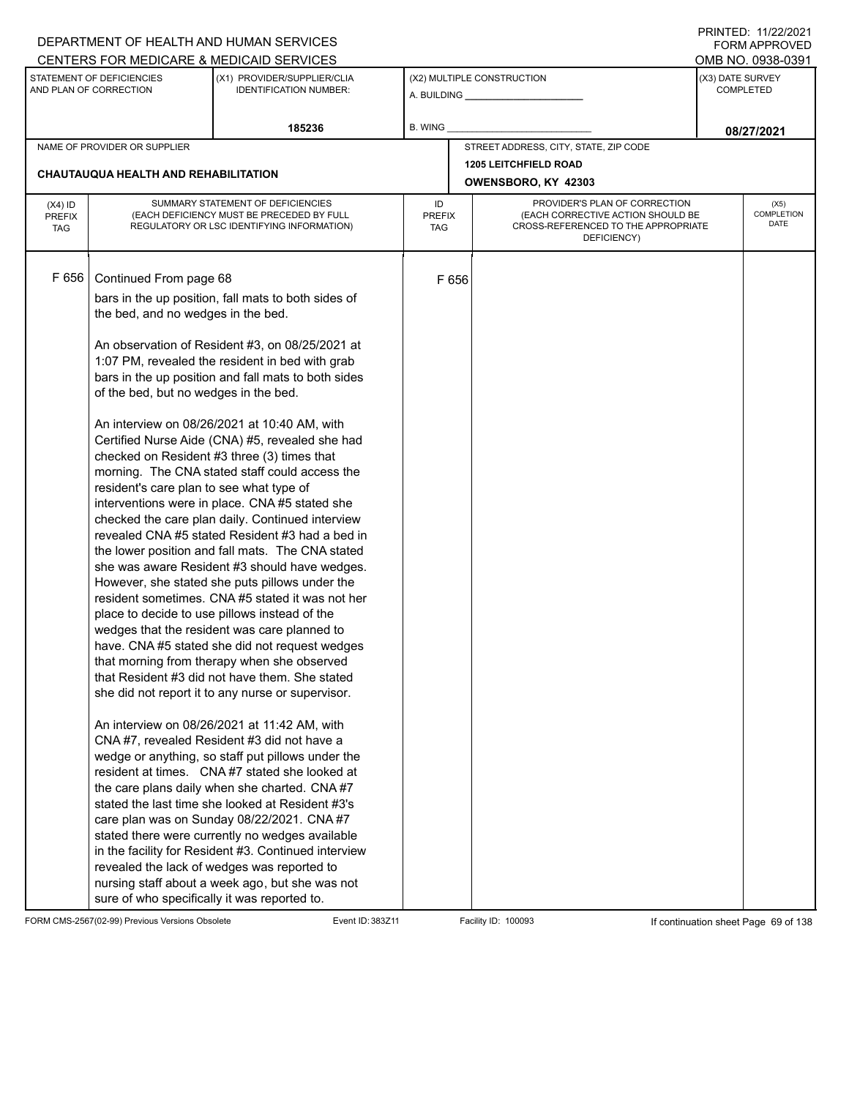|                                          |                                                                                                                                                   | DEPARTMENT OF HEALTH AND HUMAN SERVICES                                                                                                                                                                                                                                                                                                                                                                                                                                                                                                                                                                                                                                                                                                                                                                                                                                                                                                                                                                                                                                                                                                                                                                                                                                                                                                                                                                                                                                                                     |                            |       |                                                                                                                          |                                      | FORM APPROVED              |
|------------------------------------------|---------------------------------------------------------------------------------------------------------------------------------------------------|-------------------------------------------------------------------------------------------------------------------------------------------------------------------------------------------------------------------------------------------------------------------------------------------------------------------------------------------------------------------------------------------------------------------------------------------------------------------------------------------------------------------------------------------------------------------------------------------------------------------------------------------------------------------------------------------------------------------------------------------------------------------------------------------------------------------------------------------------------------------------------------------------------------------------------------------------------------------------------------------------------------------------------------------------------------------------------------------------------------------------------------------------------------------------------------------------------------------------------------------------------------------------------------------------------------------------------------------------------------------------------------------------------------------------------------------------------------------------------------------------------------|----------------------------|-------|--------------------------------------------------------------------------------------------------------------------------|--------------------------------------|----------------------------|
|                                          |                                                                                                                                                   | CENTERS FOR MEDICARE & MEDICAID SERVICES                                                                                                                                                                                                                                                                                                                                                                                                                                                                                                                                                                                                                                                                                                                                                                                                                                                                                                                                                                                                                                                                                                                                                                                                                                                                                                                                                                                                                                                                    |                            |       |                                                                                                                          |                                      | OMB NO. 0938-0391          |
|                                          | STATEMENT OF DEFICIENCIES<br>AND PLAN OF CORRECTION                                                                                               | (X1) PROVIDER/SUPPLIER/CLIA<br><b>IDENTIFICATION NUMBER:</b>                                                                                                                                                                                                                                                                                                                                                                                                                                                                                                                                                                                                                                                                                                                                                                                                                                                                                                                                                                                                                                                                                                                                                                                                                                                                                                                                                                                                                                                |                            |       | (X2) MULTIPLE CONSTRUCTION                                                                                               | (X3) DATE SURVEY<br><b>COMPLETED</b> |                            |
|                                          |                                                                                                                                                   | 185236                                                                                                                                                                                                                                                                                                                                                                                                                                                                                                                                                                                                                                                                                                                                                                                                                                                                                                                                                                                                                                                                                                                                                                                                                                                                                                                                                                                                                                                                                                      | <b>B. WING</b>             |       |                                                                                                                          |                                      | 08/27/2021                 |
|                                          | NAME OF PROVIDER OR SUPPLIER                                                                                                                      |                                                                                                                                                                                                                                                                                                                                                                                                                                                                                                                                                                                                                                                                                                                                                                                                                                                                                                                                                                                                                                                                                                                                                                                                                                                                                                                                                                                                                                                                                                             |                            |       | STREET ADDRESS, CITY, STATE, ZIP CODE                                                                                    |                                      |                            |
|                                          |                                                                                                                                                   |                                                                                                                                                                                                                                                                                                                                                                                                                                                                                                                                                                                                                                                                                                                                                                                                                                                                                                                                                                                                                                                                                                                                                                                                                                                                                                                                                                                                                                                                                                             |                            |       | <b>1205 LEITCHFIELD ROAD</b>                                                                                             |                                      |                            |
|                                          | CHAUTAUQUA HEALTH AND REHABILITATION                                                                                                              |                                                                                                                                                                                                                                                                                                                                                                                                                                                                                                                                                                                                                                                                                                                                                                                                                                                                                                                                                                                                                                                                                                                                                                                                                                                                                                                                                                                                                                                                                                             |                            |       | OWENSBORO, KY 42303                                                                                                      |                                      |                            |
| $(X4)$ ID<br><b>PREFIX</b><br><b>TAG</b> |                                                                                                                                                   | SUMMARY STATEMENT OF DEFICIENCIES<br>(EACH DEFICIENCY MUST BE PRECEDED BY FULL<br>REGULATORY OR LSC IDENTIFYING INFORMATION)                                                                                                                                                                                                                                                                                                                                                                                                                                                                                                                                                                                                                                                                                                                                                                                                                                                                                                                                                                                                                                                                                                                                                                                                                                                                                                                                                                                | ID<br><b>PREFIX</b><br>TAG |       | PROVIDER'S PLAN OF CORRECTION<br>(EACH CORRECTIVE ACTION SHOULD BE<br>CROSS-REFERENCED TO THE APPROPRIATE<br>DEFICIENCY) |                                      | (X5)<br>COMPLETION<br>DATE |
| F 656                                    | Continued From page 68<br>the bed, and no wedges in the bed.<br>of the bed, but no wedges in the bed.<br>resident's care plan to see what type of | bars in the up position, fall mats to both sides of<br>An observation of Resident #3, on 08/25/2021 at<br>1:07 PM, revealed the resident in bed with grab<br>bars in the up position and fall mats to both sides<br>An interview on 08/26/2021 at 10:40 AM, with<br>Certified Nurse Aide (CNA) #5, revealed she had<br>checked on Resident #3 three (3) times that<br>morning. The CNA stated staff could access the<br>interventions were in place. CNA #5 stated she<br>checked the care plan daily. Continued interview<br>revealed CNA #5 stated Resident #3 had a bed in<br>the lower position and fall mats. The CNA stated<br>she was aware Resident #3 should have wedges.<br>However, she stated she puts pillows under the<br>resident sometimes. CNA #5 stated it was not her<br>place to decide to use pillows instead of the<br>wedges that the resident was care planned to<br>have. CNA #5 stated she did not request wedges<br>that morning from therapy when she observed<br>that Resident #3 did not have them. She stated<br>she did not report it to any nurse or supervisor.<br>An interview on 08/26/2021 at 11:42 AM, with<br>CNA#7, revealed Resident #3 did not have a<br>wedge or anything, so staff put pillows under the<br>resident at times. CNA#7 stated she looked at<br>the care plans daily when she charted. CNA #7<br>stated the last time she looked at Resident #3's<br>care plan was on Sunday 08/22/2021. CNA #7<br>stated there were currently no wedges available |                            | F 656 |                                                                                                                          |                                      |                            |
|                                          | sure of who specifically it was reported to.                                                                                                      | in the facility for Resident #3. Continued interview<br>revealed the lack of wedges was reported to<br>nursing staff about a week ago, but she was not                                                                                                                                                                                                                                                                                                                                                                                                                                                                                                                                                                                                                                                                                                                                                                                                                                                                                                                                                                                                                                                                                                                                                                                                                                                                                                                                                      |                            |       |                                                                                                                          |                                      |                            |

FORM CMS-2567(02-99) Previous Versions Obsolete Event ID: 383Z11 Event ID: 383Z11 Facility ID: 100093 If continuation sheet Page 69 of 138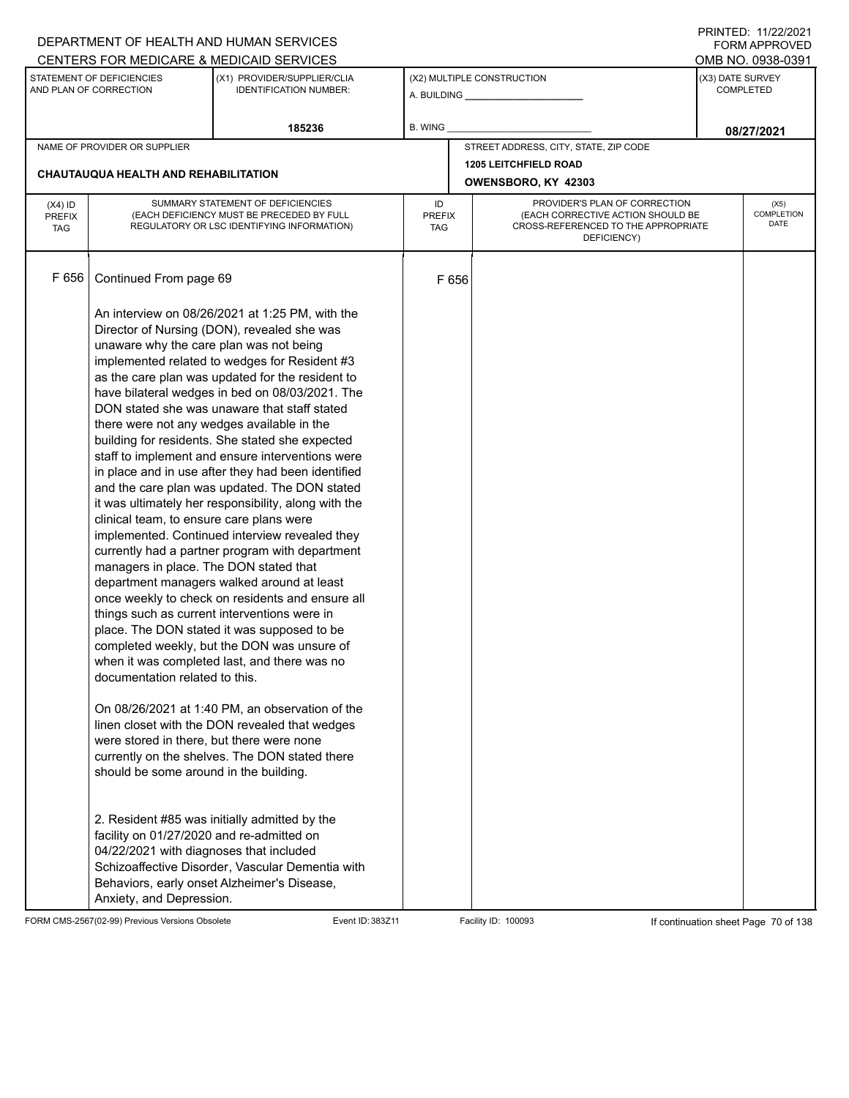|                             |                                           | DEPARTMENT OF HEALTH AND HUMAN SERVICES                                                          |                      |       |                                                                                         |                                       | 111111111122.1112212121<br>FORM APPROVED |
|-----------------------------|-------------------------------------------|--------------------------------------------------------------------------------------------------|----------------------|-------|-----------------------------------------------------------------------------------------|---------------------------------------|------------------------------------------|
|                             | STATEMENT OF DEFICIENCIES                 | CENTERS FOR MEDICARE & MEDICAID SERVICES<br>(X1) PROVIDER/SUPPLIER/CLIA                          |                      |       | (X2) MULTIPLE CONSTRUCTION                                                              | OMB NO. 0938-0391<br>(X3) DATE SURVEY |                                          |
|                             | AND PLAN OF CORRECTION                    | <b>IDENTIFICATION NUMBER:</b>                                                                    |                      |       |                                                                                         |                                       | <b>COMPLETED</b>                         |
|                             |                                           | 185236                                                                                           | <b>B. WING</b>       |       |                                                                                         |                                       | 08/27/2021                               |
|                             | NAME OF PROVIDER OR SUPPLIER              |                                                                                                  |                      |       | STREET ADDRESS, CITY, STATE, ZIP CODE                                                   |                                       |                                          |
|                             | CHAUTAUQUA HEALTH AND REHABILITATION      |                                                                                                  |                      |       | <b>1205 LEITCHFIELD ROAD</b><br>OWENSBORO, KY 42303                                     |                                       |                                          |
| $(X4)$ ID                   |                                           | SUMMARY STATEMENT OF DEFICIENCIES                                                                | ID                   |       | PROVIDER'S PLAN OF CORRECTION                                                           |                                       | (X5)                                     |
| <b>PREFIX</b><br><b>TAG</b> |                                           | (EACH DEFICIENCY MUST BE PRECEDED BY FULL<br>REGULATORY OR LSC IDENTIFYING INFORMATION)          | <b>PREFIX</b><br>TAG |       | (EACH CORRECTIVE ACTION SHOULD BE<br>CROSS-REFERENCED TO THE APPROPRIATE<br>DEFICIENCY) |                                       | <b>COMPLETION</b><br>DATE                |
| F 656                       | Continued From page 69                    |                                                                                                  |                      | F 656 |                                                                                         |                                       |                                          |
|                             |                                           | An interview on 08/26/2021 at 1:25 PM, with the                                                  |                      |       |                                                                                         |                                       |                                          |
|                             |                                           | Director of Nursing (DON), revealed she was                                                      |                      |       |                                                                                         |                                       |                                          |
|                             | unaware why the care plan was not being   | implemented related to wedges for Resident #3                                                    |                      |       |                                                                                         |                                       |                                          |
|                             |                                           | as the care plan was updated for the resident to                                                 |                      |       |                                                                                         |                                       |                                          |
|                             |                                           | have bilateral wedges in bed on 08/03/2021. The                                                  |                      |       |                                                                                         |                                       |                                          |
|                             |                                           | DON stated she was unaware that staff stated                                                     |                      |       |                                                                                         |                                       |                                          |
|                             |                                           | there were not any wedges available in the<br>building for residents. She stated she expected    |                      |       |                                                                                         |                                       |                                          |
|                             |                                           | staff to implement and ensure interventions were                                                 |                      |       |                                                                                         |                                       |                                          |
|                             |                                           | in place and in use after they had been identified                                               |                      |       |                                                                                         |                                       |                                          |
|                             |                                           | and the care plan was updated. The DON stated                                                    |                      |       |                                                                                         |                                       |                                          |
|                             |                                           | it was ultimately her responsibility, along with the                                             |                      |       |                                                                                         |                                       |                                          |
|                             | clinical team, to ensure care plans were  | implemented. Continued interview revealed they                                                   |                      |       |                                                                                         |                                       |                                          |
|                             |                                           | currently had a partner program with department                                                  |                      |       |                                                                                         |                                       |                                          |
|                             | managers in place. The DON stated that    |                                                                                                  |                      |       |                                                                                         |                                       |                                          |
|                             |                                           | department managers walked around at least                                                       |                      |       |                                                                                         |                                       |                                          |
|                             |                                           | once weekly to check on residents and ensure all<br>things such as current interventions were in |                      |       |                                                                                         |                                       |                                          |
|                             |                                           | place. The DON stated it was supposed to be                                                      |                      |       |                                                                                         |                                       |                                          |
|                             |                                           | completed weekly, but the DON was unsure of                                                      |                      |       |                                                                                         |                                       |                                          |
|                             |                                           | when it was completed last, and there was no                                                     |                      |       |                                                                                         |                                       |                                          |
|                             | documentation related to this.            |                                                                                                  |                      |       |                                                                                         |                                       |                                          |
|                             |                                           | On 08/26/2021 at 1:40 PM, an observation of the                                                  |                      |       |                                                                                         |                                       |                                          |
|                             |                                           | linen closet with the DON revealed that wedges                                                   |                      |       |                                                                                         |                                       |                                          |
|                             | were stored in there, but there were none |                                                                                                  |                      |       |                                                                                         |                                       |                                          |
|                             | should be some around in the building.    | currently on the shelves. The DON stated there                                                   |                      |       |                                                                                         |                                       |                                          |
|                             |                                           |                                                                                                  |                      |       |                                                                                         |                                       |                                          |
|                             |                                           | 2. Resident #85 was initially admitted by the                                                    |                      |       |                                                                                         |                                       |                                          |
|                             | facility on 01/27/2020 and re-admitted on |                                                                                                  |                      |       |                                                                                         |                                       |                                          |
|                             | 04/22/2021 with diagnoses that included   |                                                                                                  |                      |       |                                                                                         |                                       |                                          |
|                             |                                           | Schizoaffective Disorder, Vascular Dementia with                                                 |                      |       |                                                                                         |                                       |                                          |
|                             | Anxiety, and Depression.                  | Behaviors, early onset Alzheimer's Disease,                                                      |                      |       |                                                                                         |                                       |                                          |

FORM CMS-2567(02-99) Previous Versions Obsolete Event ID: 383Z11 Facility ID: 100093 If continuation sheet Page 70 of 138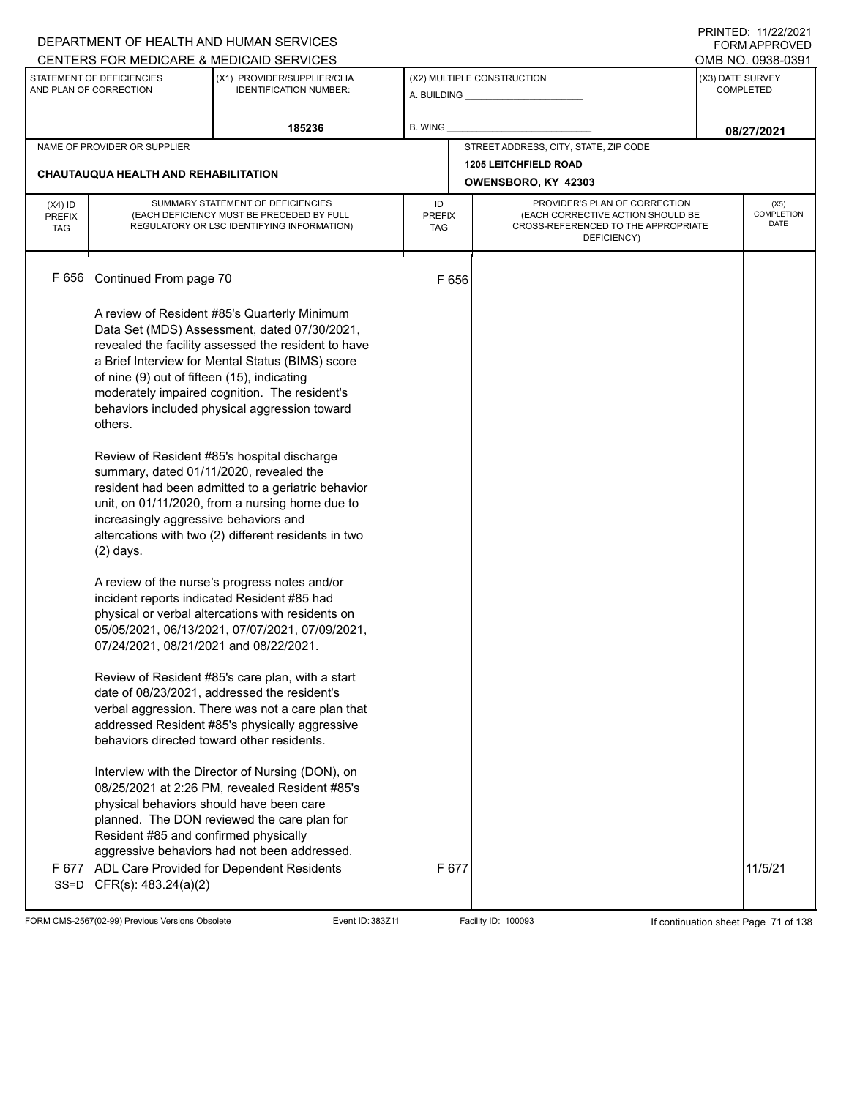|                                          |                                                                                                           | DEPARTMENT OF HEALTH AND HUMAN SERVICES                                                                                                                                                                                                                                                                   |                            |       |                                                                                                                          | I INITILD. III <i>LLIL</i> VLI<br><b>FORM APPROVED</b> |
|------------------------------------------|-----------------------------------------------------------------------------------------------------------|-----------------------------------------------------------------------------------------------------------------------------------------------------------------------------------------------------------------------------------------------------------------------------------------------------------|----------------------------|-------|--------------------------------------------------------------------------------------------------------------------------|--------------------------------------------------------|
|                                          |                                                                                                           | CENTERS FOR MEDICARE & MEDICAID SERVICES                                                                                                                                                                                                                                                                  |                            |       |                                                                                                                          | OMB NO. 0938-0391                                      |
|                                          | STATEMENT OF DEFICIENCIES<br>AND PLAN OF CORRECTION                                                       | (X1) PROVIDER/SUPPLIER/CLIA<br><b>IDENTIFICATION NUMBER:</b>                                                                                                                                                                                                                                              |                            |       | (X2) MULTIPLE CONSTRUCTION                                                                                               | (X3) DATE SURVEY<br><b>COMPLETED</b>                   |
|                                          |                                                                                                           | 185236                                                                                                                                                                                                                                                                                                    | <b>B. WING</b>             |       |                                                                                                                          | 08/27/2021                                             |
|                                          | NAME OF PROVIDER OR SUPPLIER                                                                              |                                                                                                                                                                                                                                                                                                           |                            |       | STREET ADDRESS, CITY, STATE, ZIP CODE                                                                                    |                                                        |
|                                          |                                                                                                           |                                                                                                                                                                                                                                                                                                           |                            |       | <b>1205 LEITCHFIELD ROAD</b>                                                                                             |                                                        |
|                                          | <b>CHAUTAUQUA HEALTH AND REHABILITATION</b>                                                               |                                                                                                                                                                                                                                                                                                           |                            |       | OWENSBORO, KY 42303                                                                                                      |                                                        |
| $(X4)$ ID<br><b>PREFIX</b><br><b>TAG</b> |                                                                                                           | SUMMARY STATEMENT OF DEFICIENCIES<br>(EACH DEFICIENCY MUST BE PRECEDED BY FULL<br>REGULATORY OR LSC IDENTIFYING INFORMATION)                                                                                                                                                                              | ID<br><b>PREFIX</b><br>TAG |       | PROVIDER'S PLAN OF CORRECTION<br>(EACH CORRECTIVE ACTION SHOULD BE<br>CROSS-REFERENCED TO THE APPROPRIATE<br>DEFICIENCY) | (X5)<br>COMPLETION<br><b>DATE</b>                      |
| F 656                                    | Continued From page 70                                                                                    |                                                                                                                                                                                                                                                                                                           |                            | F 656 |                                                                                                                          |                                                        |
|                                          | of nine (9) out of fifteen (15), indicating<br>others.                                                    | A review of Resident #85's Quarterly Minimum<br>Data Set (MDS) Assessment, dated 07/30/2021,<br>revealed the facility assessed the resident to have<br>a Brief Interview for Mental Status (BIMS) score<br>moderately impaired cognition. The resident's<br>behaviors included physical aggression toward |                            |       |                                                                                                                          |                                                        |
|                                          | summary, dated 01/11/2020, revealed the<br>increasingly aggressive behaviors and<br>$(2)$ days.           | Review of Resident #85's hospital discharge<br>resident had been admitted to a geriatric behavior<br>unit, on 01/11/2020, from a nursing home due to<br>altercations with two (2) different residents in two                                                                                              |                            |       |                                                                                                                          |                                                        |
|                                          | 07/24/2021, 08/21/2021 and 08/22/2021.                                                                    | A review of the nurse's progress notes and/or<br>incident reports indicated Resident #85 had<br>physical or verbal altercations with residents on<br>05/05/2021, 06/13/2021, 07/07/2021, 07/09/2021,                                                                                                      |                            |       |                                                                                                                          |                                                        |
|                                          | behaviors directed toward other residents.                                                                | Review of Resident #85's care plan, with a start<br>date of 08/23/2021, addressed the resident's<br>verbal aggression. There was not a care plan that<br>addressed Resident #85's physically aggressive                                                                                                   |                            |       |                                                                                                                          |                                                        |
| F 677<br>$SS=D$                          | physical behaviors should have been care<br>Resident #85 and confirmed physically<br>CFR(s): 483.24(a)(2) | Interview with the Director of Nursing (DON), on<br>08/25/2021 at 2:26 PM, revealed Resident #85's<br>planned. The DON reviewed the care plan for<br>aggressive behaviors had not been addressed.<br>ADL Care Provided for Dependent Residents                                                            |                            | F 677 |                                                                                                                          | 11/5/21                                                |
|                                          |                                                                                                           |                                                                                                                                                                                                                                                                                                           |                            |       |                                                                                                                          |                                                        |

FORM CMS-2567(02-99) Previous Versions Obsolete Event ID: 383Z11 Event ID: 383Z11 Facility ID: 100093 If continuation sheet Page 71 of 138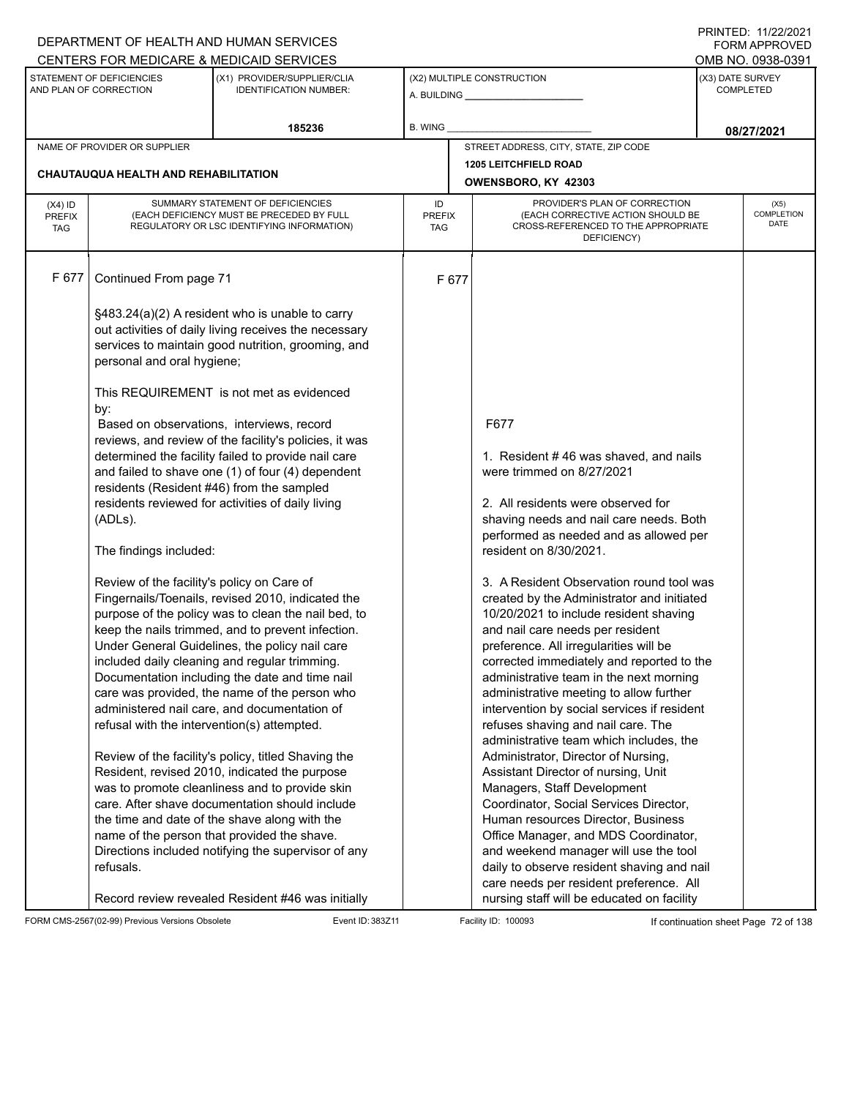|                                          |                                                                                                        | DEPARTMENT OF HEALTH AND HUMAN SERVICES                                                                                                                                                                                                                                                                                                                                                                                                                                                                                                                                                                                                                                                                                                                                                |                            |                                                                                                                                                                                                                                                                                                                                                                                                                                                                                                                                                                                                                                                                                                                                                                                                                                                          | 11111111122.1112212021<br><b>FORM APPROVED</b> |
|------------------------------------------|--------------------------------------------------------------------------------------------------------|----------------------------------------------------------------------------------------------------------------------------------------------------------------------------------------------------------------------------------------------------------------------------------------------------------------------------------------------------------------------------------------------------------------------------------------------------------------------------------------------------------------------------------------------------------------------------------------------------------------------------------------------------------------------------------------------------------------------------------------------------------------------------------------|----------------------------|----------------------------------------------------------------------------------------------------------------------------------------------------------------------------------------------------------------------------------------------------------------------------------------------------------------------------------------------------------------------------------------------------------------------------------------------------------------------------------------------------------------------------------------------------------------------------------------------------------------------------------------------------------------------------------------------------------------------------------------------------------------------------------------------------------------------------------------------------------|------------------------------------------------|
|                                          |                                                                                                        | CENTERS FOR MEDICARE & MEDICAID SERVICES                                                                                                                                                                                                                                                                                                                                                                                                                                                                                                                                                                                                                                                                                                                                               |                            |                                                                                                                                                                                                                                                                                                                                                                                                                                                                                                                                                                                                                                                                                                                                                                                                                                                          | OMB NO. 0938-0391                              |
|                                          | STATEMENT OF DEFICIENCIES<br>AND PLAN OF CORRECTION                                                    | (X1) PROVIDER/SUPPLIER/CLIA<br><b>IDENTIFICATION NUMBER:</b>                                                                                                                                                                                                                                                                                                                                                                                                                                                                                                                                                                                                                                                                                                                           |                            | (X2) MULTIPLE CONSTRUCTION                                                                                                                                                                                                                                                                                                                                                                                                                                                                                                                                                                                                                                                                                                                                                                                                                               | (X3) DATE SURVEY<br><b>COMPLETED</b>           |
|                                          |                                                                                                        | 185236                                                                                                                                                                                                                                                                                                                                                                                                                                                                                                                                                                                                                                                                                                                                                                                 | B. WING                    |                                                                                                                                                                                                                                                                                                                                                                                                                                                                                                                                                                                                                                                                                                                                                                                                                                                          | 08/27/2021                                     |
|                                          | NAME OF PROVIDER OR SUPPLIER                                                                           |                                                                                                                                                                                                                                                                                                                                                                                                                                                                                                                                                                                                                                                                                                                                                                                        |                            | STREET ADDRESS, CITY, STATE, ZIP CODE                                                                                                                                                                                                                                                                                                                                                                                                                                                                                                                                                                                                                                                                                                                                                                                                                    |                                                |
|                                          |                                                                                                        |                                                                                                                                                                                                                                                                                                                                                                                                                                                                                                                                                                                                                                                                                                                                                                                        |                            | <b>1205 LEITCHFIELD ROAD</b>                                                                                                                                                                                                                                                                                                                                                                                                                                                                                                                                                                                                                                                                                                                                                                                                                             |                                                |
|                                          | CHAUTAUQUA HEALTH AND REHABILITATION                                                                   |                                                                                                                                                                                                                                                                                                                                                                                                                                                                                                                                                                                                                                                                                                                                                                                        |                            | OWENSBORO, KY 42303                                                                                                                                                                                                                                                                                                                                                                                                                                                                                                                                                                                                                                                                                                                                                                                                                                      |                                                |
| $(X4)$ ID<br><b>PREFIX</b><br><b>TAG</b> |                                                                                                        | SUMMARY STATEMENT OF DEFICIENCIES<br>(EACH DEFICIENCY MUST BE PRECEDED BY FULL<br>REGULATORY OR LSC IDENTIFYING INFORMATION)                                                                                                                                                                                                                                                                                                                                                                                                                                                                                                                                                                                                                                                           | ID<br><b>PREFIX</b><br>TAG | PROVIDER'S PLAN OF CORRECTION<br>(EACH CORRECTIVE ACTION SHOULD BE<br>CROSS-REFERENCED TO THE APPROPRIATE<br>DEFICIENCY)                                                                                                                                                                                                                                                                                                                                                                                                                                                                                                                                                                                                                                                                                                                                 | (X5)<br>COMPLETION<br>DATE                     |
| F 677                                    | Continued From page 71                                                                                 |                                                                                                                                                                                                                                                                                                                                                                                                                                                                                                                                                                                                                                                                                                                                                                                        | F 677                      |                                                                                                                                                                                                                                                                                                                                                                                                                                                                                                                                                                                                                                                                                                                                                                                                                                                          |                                                |
|                                          | personal and oral hygiene;                                                                             | §483.24(a)(2) A resident who is unable to carry<br>out activities of daily living receives the necessary<br>services to maintain good nutrition, grooming, and<br>This REQUIREMENT is not met as evidenced                                                                                                                                                                                                                                                                                                                                                                                                                                                                                                                                                                             |                            |                                                                                                                                                                                                                                                                                                                                                                                                                                                                                                                                                                                                                                                                                                                                                                                                                                                          |                                                |
|                                          | by:<br>residents (Resident #46) from the sampled<br>(ADLs).<br>The findings included:                  | Based on observations, interviews, record<br>reviews, and review of the facility's policies, it was<br>determined the facility failed to provide nail care<br>and failed to shave one (1) of four (4) dependent<br>residents reviewed for activities of daily living                                                                                                                                                                                                                                                                                                                                                                                                                                                                                                                   |                            | F677<br>1. Resident #46 was shaved, and nails<br>were trimmed on 8/27/2021<br>2. All residents were observed for<br>shaving needs and nail care needs. Both<br>performed as needed and as allowed per<br>resident on 8/30/2021.                                                                                                                                                                                                                                                                                                                                                                                                                                                                                                                                                                                                                          |                                                |
|                                          | Review of the facility's policy on Care of<br>refusal with the intervention(s) attempted.<br>refusals. | Fingernails/Toenails, revised 2010, indicated the<br>purpose of the policy was to clean the nail bed, to<br>keep the nails trimmed, and to prevent infection.<br>Under General Guidelines, the policy nail care<br>included daily cleaning and regular trimming.<br>Documentation including the date and time nail<br>care was provided, the name of the person who<br>administered nail care, and documentation of<br>Review of the facility's policy, titled Shaving the<br>Resident, revised 2010, indicated the purpose<br>was to promote cleanliness and to provide skin<br>care. After shave documentation should include<br>the time and date of the shave along with the<br>name of the person that provided the shave.<br>Directions included notifying the supervisor of any |                            | 3. A Resident Observation round tool was<br>created by the Administrator and initiated<br>10/20/2021 to include resident shaving<br>and nail care needs per resident<br>preference. All irregularities will be<br>corrected immediately and reported to the<br>administrative team in the next morning<br>administrative meeting to allow further<br>intervention by social services if resident<br>refuses shaving and nail care. The<br>administrative team which includes, the<br>Administrator, Director of Nursing,<br>Assistant Director of nursing, Unit<br>Managers, Staff Development<br>Coordinator, Social Services Director,<br>Human resources Director, Business<br>Office Manager, and MDS Coordinator,<br>and weekend manager will use the tool<br>daily to observe resident shaving and nail<br>care needs per resident preference. All |                                                |
|                                          |                                                                                                        | Record review revealed Resident #46 was initially                                                                                                                                                                                                                                                                                                                                                                                                                                                                                                                                                                                                                                                                                                                                      |                            | nursing staff will be educated on facility                                                                                                                                                                                                                                                                                                                                                                                                                                                                                                                                                                                                                                                                                                                                                                                                               |                                                |

FORM CMS-2567(02-99) Previous Versions Obsolete Event ID: 383Z11 Facility ID: 100093 If continuation sheet Page 72 of 138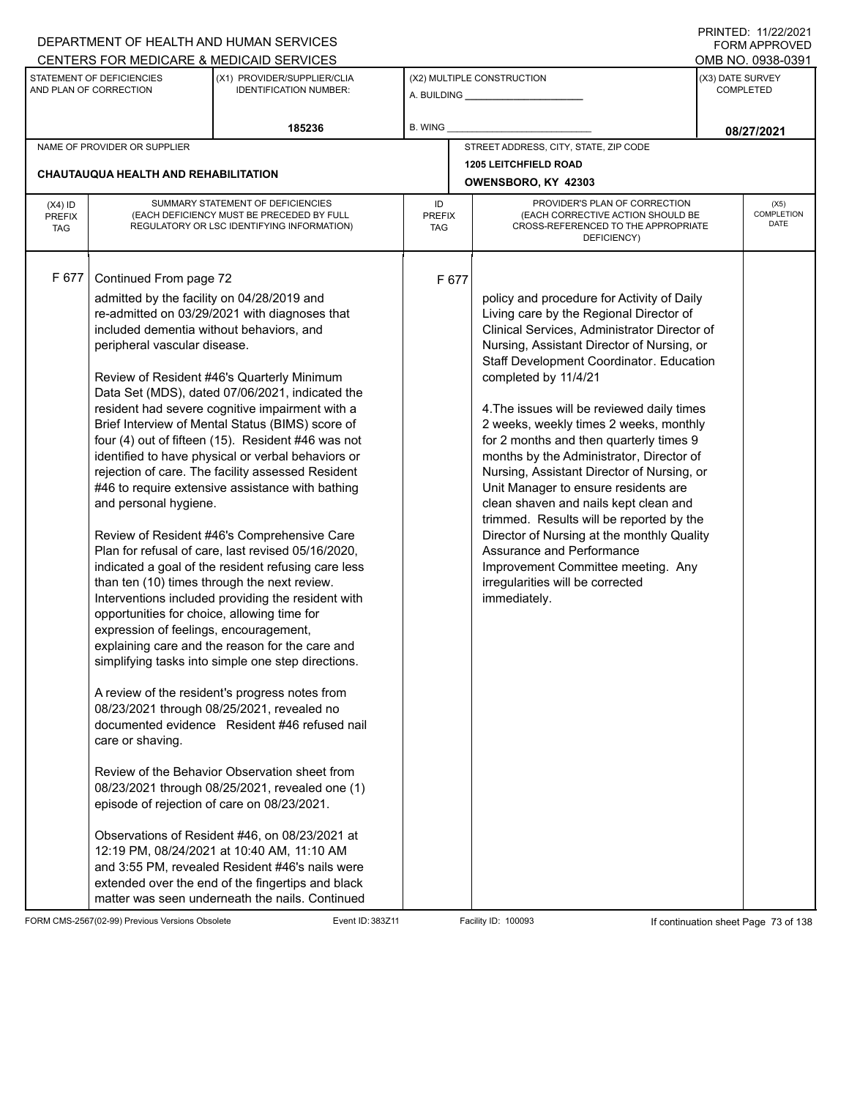|                                          |                                                                                                                                                                                                                                                                                                                                       | DEPARTMENT OF HEALTH AND HUMAN SERVICES                                                                                                                                                                                                                                                                                                                                                                                                                                                                                                                                                                                                                                                                                                                                                                                                                                                                                                                                                                                                                                                                                                                                                                                                                                                                            |                            |                                                                                                                                                                                                                                                                                                                                                                                                                                                                                                                                                                                                                                                                                                                                                                                        |                  | FORM APPROVED                     |
|------------------------------------------|---------------------------------------------------------------------------------------------------------------------------------------------------------------------------------------------------------------------------------------------------------------------------------------------------------------------------------------|--------------------------------------------------------------------------------------------------------------------------------------------------------------------------------------------------------------------------------------------------------------------------------------------------------------------------------------------------------------------------------------------------------------------------------------------------------------------------------------------------------------------------------------------------------------------------------------------------------------------------------------------------------------------------------------------------------------------------------------------------------------------------------------------------------------------------------------------------------------------------------------------------------------------------------------------------------------------------------------------------------------------------------------------------------------------------------------------------------------------------------------------------------------------------------------------------------------------------------------------------------------------------------------------------------------------|----------------------------|----------------------------------------------------------------------------------------------------------------------------------------------------------------------------------------------------------------------------------------------------------------------------------------------------------------------------------------------------------------------------------------------------------------------------------------------------------------------------------------------------------------------------------------------------------------------------------------------------------------------------------------------------------------------------------------------------------------------------------------------------------------------------------------|------------------|-----------------------------------|
|                                          |                                                                                                                                                                                                                                                                                                                                       | CENTERS FOR MEDICARE & MEDICAID SERVICES                                                                                                                                                                                                                                                                                                                                                                                                                                                                                                                                                                                                                                                                                                                                                                                                                                                                                                                                                                                                                                                                                                                                                                                                                                                                           |                            |                                                                                                                                                                                                                                                                                                                                                                                                                                                                                                                                                                                                                                                                                                                                                                                        |                  | OMB NO. 0938-0391                 |
|                                          | STATEMENT OF DEFICIENCIES<br>AND PLAN OF CORRECTION                                                                                                                                                                                                                                                                                   | (X1) PROVIDER/SUPPLIER/CLIA<br><b>IDENTIFICATION NUMBER:</b>                                                                                                                                                                                                                                                                                                                                                                                                                                                                                                                                                                                                                                                                                                                                                                                                                                                                                                                                                                                                                                                                                                                                                                                                                                                       |                            | (X2) MULTIPLE CONSTRUCTION                                                                                                                                                                                                                                                                                                                                                                                                                                                                                                                                                                                                                                                                                                                                                             | (X3) DATE SURVEY | <b>COMPLETED</b>                  |
|                                          |                                                                                                                                                                                                                                                                                                                                       | 185236                                                                                                                                                                                                                                                                                                                                                                                                                                                                                                                                                                                                                                                                                                                                                                                                                                                                                                                                                                                                                                                                                                                                                                                                                                                                                                             | <b>B. WING</b>             |                                                                                                                                                                                                                                                                                                                                                                                                                                                                                                                                                                                                                                                                                                                                                                                        |                  | 08/27/2021                        |
|                                          | NAME OF PROVIDER OR SUPPLIER                                                                                                                                                                                                                                                                                                          |                                                                                                                                                                                                                                                                                                                                                                                                                                                                                                                                                                                                                                                                                                                                                                                                                                                                                                                                                                                                                                                                                                                                                                                                                                                                                                                    |                            | STREET ADDRESS, CITY, STATE, ZIP CODE                                                                                                                                                                                                                                                                                                                                                                                                                                                                                                                                                                                                                                                                                                                                                  |                  |                                   |
|                                          |                                                                                                                                                                                                                                                                                                                                       |                                                                                                                                                                                                                                                                                                                                                                                                                                                                                                                                                                                                                                                                                                                                                                                                                                                                                                                                                                                                                                                                                                                                                                                                                                                                                                                    |                            | 1205 LEITCHFIELD ROAD                                                                                                                                                                                                                                                                                                                                                                                                                                                                                                                                                                                                                                                                                                                                                                  |                  |                                   |
|                                          | CHAUTAUQUA HEALTH AND REHABILITATION                                                                                                                                                                                                                                                                                                  |                                                                                                                                                                                                                                                                                                                                                                                                                                                                                                                                                                                                                                                                                                                                                                                                                                                                                                                                                                                                                                                                                                                                                                                                                                                                                                                    |                            | OWENSBORO, KY 42303                                                                                                                                                                                                                                                                                                                                                                                                                                                                                                                                                                                                                                                                                                                                                                    |                  |                                   |
| $(X4)$ ID<br><b>PREFIX</b><br><b>TAG</b> |                                                                                                                                                                                                                                                                                                                                       | SUMMARY STATEMENT OF DEFICIENCIES<br>(EACH DEFICIENCY MUST BE PRECEDED BY FULL<br>REGULATORY OR LSC IDENTIFYING INFORMATION)                                                                                                                                                                                                                                                                                                                                                                                                                                                                                                                                                                                                                                                                                                                                                                                                                                                                                                                                                                                                                                                                                                                                                                                       | ID<br><b>PREFIX</b><br>TAG | PROVIDER'S PLAN OF CORRECTION<br>(EACH CORRECTIVE ACTION SHOULD BE<br>CROSS-REFERENCED TO THE APPROPRIATE<br>DEFICIENCY)                                                                                                                                                                                                                                                                                                                                                                                                                                                                                                                                                                                                                                                               |                  | (X5)<br><b>COMPLETION</b><br>DATE |
| F 677                                    | Continued From page 72<br>admitted by the facility on 04/28/2019 and<br>included dementia without behaviors, and<br>peripheral vascular disease.<br>and personal hygiene.<br>opportunities for choice, allowing time for<br>expression of feelings, encouragement,<br>care or shaving.<br>episode of rejection of care on 08/23/2021. | re-admitted on 03/29/2021 with diagnoses that<br>Review of Resident #46's Quarterly Minimum<br>Data Set (MDS), dated 07/06/2021, indicated the<br>resident had severe cognitive impairment with a<br>Brief Interview of Mental Status (BIMS) score of<br>four (4) out of fifteen (15). Resident #46 was not<br>identified to have physical or verbal behaviors or<br>rejection of care. The facility assessed Resident<br>#46 to require extensive assistance with bathing<br>Review of Resident #46's Comprehensive Care<br>Plan for refusal of care, last revised 05/16/2020,<br>indicated a goal of the resident refusing care less<br>than ten (10) times through the next review.<br>Interventions included providing the resident with<br>explaining care and the reason for the care and<br>simplifying tasks into simple one step directions.<br>A review of the resident's progress notes from<br>08/23/2021 through 08/25/2021, revealed no<br>documented evidence Resident #46 refused nail<br>Review of the Behavior Observation sheet from<br>08/23/2021 through 08/25/2021, revealed one (1)<br>Observations of Resident #46, on 08/23/2021 at<br>12:19 PM, 08/24/2021 at 10:40 AM, 11:10 AM<br>and 3:55 PM, revealed Resident #46's nails were<br>extended over the end of the fingertips and black | F 677                      | policy and procedure for Activity of Daily<br>Living care by the Regional Director of<br>Clinical Services, Administrator Director of<br>Nursing, Assistant Director of Nursing, or<br>Staff Development Coordinator. Education<br>completed by 11/4/21<br>4. The issues will be reviewed daily times<br>2 weeks, weekly times 2 weeks, monthly<br>for 2 months and then quarterly times 9<br>months by the Administrator, Director of<br>Nursing, Assistant Director of Nursing, or<br>Unit Manager to ensure residents are<br>clean shaven and nails kept clean and<br>trimmed. Results will be reported by the<br>Director of Nursing at the monthly Quality<br>Assurance and Performance<br>Improvement Committee meeting. Any<br>irregularities will be corrected<br>immediately. |                  |                                   |
|                                          |                                                                                                                                                                                                                                                                                                                                       | matter was seen underneath the nails. Continued                                                                                                                                                                                                                                                                                                                                                                                                                                                                                                                                                                                                                                                                                                                                                                                                                                                                                                                                                                                                                                                                                                                                                                                                                                                                    |                            |                                                                                                                                                                                                                                                                                                                                                                                                                                                                                                                                                                                                                                                                                                                                                                                        |                  |                                   |

FORM CMS-2567(02-99) Previous Versions Obsolete Event ID: 383Z11 Event ID: 383Z11 Facility ID: 100093 If continuation sheet Page 73 of 138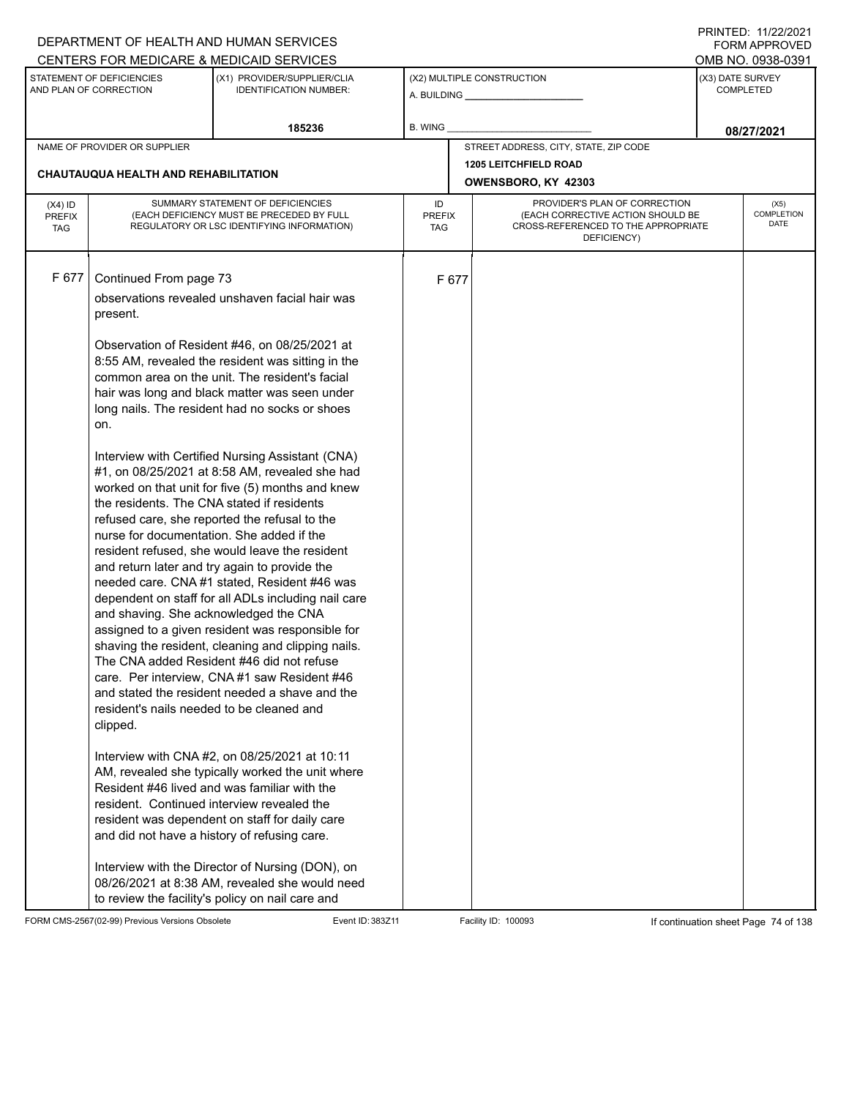|                            |                                                     | DEPARTMENT OF HEALTH AND HUMAN SERVICES                                                                                      |                     |       |                                                                                                           |                  | I INITILD. III <i>LLIL</i> VLI<br>FORM APPROVED |
|----------------------------|-----------------------------------------------------|------------------------------------------------------------------------------------------------------------------------------|---------------------|-------|-----------------------------------------------------------------------------------------------------------|------------------|-------------------------------------------------|
|                            |                                                     | CENTERS FOR MEDICARE & MEDICAID SERVICES                                                                                     |                     |       |                                                                                                           |                  | OMB NO. 0938-0391                               |
|                            | STATEMENT OF DEFICIENCIES<br>AND PLAN OF CORRECTION | (X1) PROVIDER/SUPPLIER/CLIA<br><b>IDENTIFICATION NUMBER:</b>                                                                 |                     |       | (X2) MULTIPLE CONSTRUCTION                                                                                | (X3) DATE SURVEY | <b>COMPLETED</b>                                |
|                            |                                                     | 185236                                                                                                                       | B. WING             |       |                                                                                                           |                  | 08/27/2021                                      |
|                            | NAME OF PROVIDER OR SUPPLIER                        |                                                                                                                              |                     |       | STREET ADDRESS, CITY, STATE, ZIP CODE                                                                     |                  |                                                 |
|                            |                                                     |                                                                                                                              |                     |       | <b>1205 LEITCHFIELD ROAD</b>                                                                              |                  |                                                 |
|                            | <b>CHAUTAUQUA HEALTH AND REHABILITATION</b>         |                                                                                                                              |                     |       | OWENSBORO, KY 42303                                                                                       |                  |                                                 |
| $(X4)$ ID<br><b>PREFIX</b> |                                                     | SUMMARY STATEMENT OF DEFICIENCIES<br>(EACH DEFICIENCY MUST BE PRECEDED BY FULL<br>REGULATORY OR LSC IDENTIFYING INFORMATION) | ID<br><b>PREFIX</b> |       | PROVIDER'S PLAN OF CORRECTION<br>(EACH CORRECTIVE ACTION SHOULD BE<br>CROSS-REFERENCED TO THE APPROPRIATE |                  | (X5)<br>COMPLETION<br>DATE                      |
| <b>TAG</b>                 |                                                     |                                                                                                                              | TAG                 |       | DEFICIENCY)                                                                                               |                  |                                                 |
| F 677                      | Continued From page 73                              |                                                                                                                              |                     | F 677 |                                                                                                           |                  |                                                 |
|                            |                                                     | observations revealed unshaven facial hair was                                                                               |                     |       |                                                                                                           |                  |                                                 |
|                            | present.                                            |                                                                                                                              |                     |       |                                                                                                           |                  |                                                 |
|                            |                                                     | Observation of Resident #46, on 08/25/2021 at<br>8:55 AM, revealed the resident was sitting in the                           |                     |       |                                                                                                           |                  |                                                 |
|                            |                                                     | common area on the unit. The resident's facial                                                                               |                     |       |                                                                                                           |                  |                                                 |
|                            |                                                     | hair was long and black matter was seen under                                                                                |                     |       |                                                                                                           |                  |                                                 |
|                            |                                                     | long nails. The resident had no socks or shoes                                                                               |                     |       |                                                                                                           |                  |                                                 |
|                            | on.                                                 |                                                                                                                              |                     |       |                                                                                                           |                  |                                                 |
|                            |                                                     | Interview with Certified Nursing Assistant (CNA)                                                                             |                     |       |                                                                                                           |                  |                                                 |
|                            |                                                     | #1, on 08/25/2021 at 8:58 AM, revealed she had                                                                               |                     |       |                                                                                                           |                  |                                                 |
|                            | the residents. The CNA stated if residents          | worked on that unit for five (5) months and knew                                                                             |                     |       |                                                                                                           |                  |                                                 |
|                            |                                                     | refused care, she reported the refusal to the                                                                                |                     |       |                                                                                                           |                  |                                                 |
|                            | nurse for documentation. She added if the           |                                                                                                                              |                     |       |                                                                                                           |                  |                                                 |
|                            |                                                     | resident refused, she would leave the resident                                                                               |                     |       |                                                                                                           |                  |                                                 |
|                            |                                                     | and return later and try again to provide the                                                                                |                     |       |                                                                                                           |                  |                                                 |
|                            |                                                     | needed care. CNA #1 stated, Resident #46 was                                                                                 |                     |       |                                                                                                           |                  |                                                 |
|                            |                                                     | dependent on staff for all ADLs including nail care                                                                          |                     |       |                                                                                                           |                  |                                                 |
|                            | and shaving. She acknowledged the CNA               | assigned to a given resident was responsible for                                                                             |                     |       |                                                                                                           |                  |                                                 |
|                            |                                                     | shaving the resident, cleaning and clipping nails.                                                                           |                     |       |                                                                                                           |                  |                                                 |
|                            |                                                     | The CNA added Resident #46 did not refuse                                                                                    |                     |       |                                                                                                           |                  |                                                 |
|                            |                                                     | care. Per interview, CNA #1 saw Resident #46                                                                                 |                     |       |                                                                                                           |                  |                                                 |
|                            |                                                     | and stated the resident needed a shave and the                                                                               |                     |       |                                                                                                           |                  |                                                 |
|                            | resident's nails needed to be cleaned and           |                                                                                                                              |                     |       |                                                                                                           |                  |                                                 |
|                            | clipped.                                            |                                                                                                                              |                     |       |                                                                                                           |                  |                                                 |
|                            |                                                     | Interview with CNA #2, on 08/25/2021 at 10:11                                                                                |                     |       |                                                                                                           |                  |                                                 |
|                            |                                                     | AM, revealed she typically worked the unit where                                                                             |                     |       |                                                                                                           |                  |                                                 |
|                            |                                                     | Resident #46 lived and was familiar with the                                                                                 |                     |       |                                                                                                           |                  |                                                 |
|                            |                                                     | resident. Continued interview revealed the                                                                                   |                     |       |                                                                                                           |                  |                                                 |
|                            |                                                     | resident was dependent on staff for daily care                                                                               |                     |       |                                                                                                           |                  |                                                 |
|                            |                                                     | and did not have a history of refusing care.                                                                                 |                     |       |                                                                                                           |                  |                                                 |
|                            |                                                     | Interview with the Director of Nursing (DON), on                                                                             |                     |       |                                                                                                           |                  |                                                 |
|                            |                                                     | 08/26/2021 at 8:38 AM, revealed she would need                                                                               |                     |       |                                                                                                           |                  |                                                 |
|                            |                                                     | to review the facility's policy on nail care and                                                                             |                     |       |                                                                                                           |                  |                                                 |

FORM CMS-2567(02-99) Previous Versions Obsolete Event ID: 383Z11 Event ID: 383Z11 Facility ID: 100093 If continuation sheet Page 74 of 138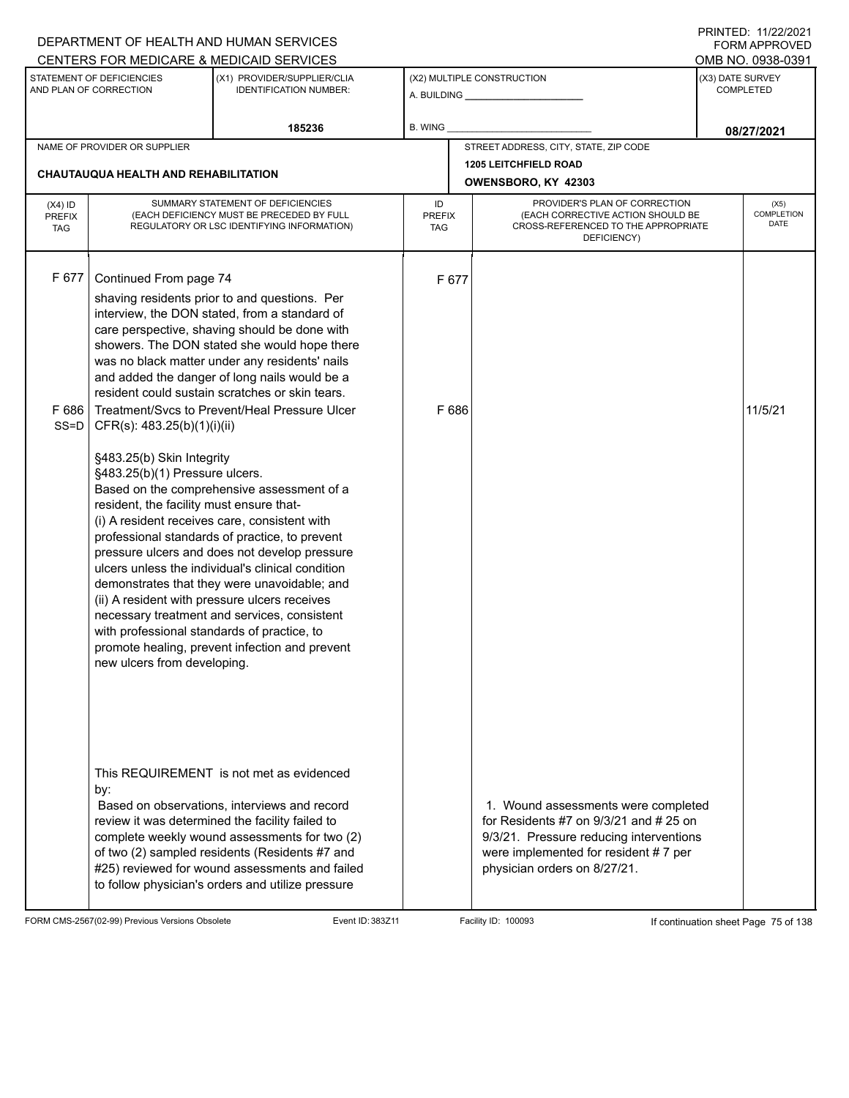|                                          |                                                                                                                                                                                       | DEPARTMENT OF HEALTH AND HUMAN SERVICES<br>CENTERS FOR MEDICARE & MEDICAID SERVICES                                                                                                                                                                                                                                                                                                                                                                    |                                   |                                                                                                                                                                                                    | I INITILD. III <i>LLIL</i> VLI<br><b>FORM APPROVED</b><br>OMB NO. 0938-0391 |
|------------------------------------------|---------------------------------------------------------------------------------------------------------------------------------------------------------------------------------------|--------------------------------------------------------------------------------------------------------------------------------------------------------------------------------------------------------------------------------------------------------------------------------------------------------------------------------------------------------------------------------------------------------------------------------------------------------|-----------------------------------|----------------------------------------------------------------------------------------------------------------------------------------------------------------------------------------------------|-----------------------------------------------------------------------------|
|                                          | STATEMENT OF DEFICIENCIES<br>AND PLAN OF CORRECTION                                                                                                                                   | (X1) PROVIDER/SUPPLIER/CLIA<br><b>IDENTIFICATION NUMBER:</b>                                                                                                                                                                                                                                                                                                                                                                                           |                                   | (X2) MULTIPLE CONSTRUCTION                                                                                                                                                                         | (X3) DATE SURVEY<br><b>COMPLETED</b>                                        |
|                                          |                                                                                                                                                                                       | 185236                                                                                                                                                                                                                                                                                                                                                                                                                                                 | B. WING _                         |                                                                                                                                                                                                    | 08/27/2021                                                                  |
|                                          | NAME OF PROVIDER OR SUPPLIER                                                                                                                                                          |                                                                                                                                                                                                                                                                                                                                                                                                                                                        |                                   | STREET ADDRESS, CITY, STATE, ZIP CODE                                                                                                                                                              |                                                                             |
|                                          | <b>CHAUTAUQUA HEALTH AND REHABILITATION</b>                                                                                                                                           |                                                                                                                                                                                                                                                                                                                                                                                                                                                        |                                   | <b>1205 LEITCHFIELD ROAD</b><br>OWENSBORO, KY 42303                                                                                                                                                |                                                                             |
| $(X4)$ ID<br><b>PREFIX</b><br><b>TAG</b> |                                                                                                                                                                                       | SUMMARY STATEMENT OF DEFICIENCIES<br>(EACH DEFICIENCY MUST BE PRECEDED BY FULL<br>REGULATORY OR LSC IDENTIFYING INFORMATION)                                                                                                                                                                                                                                                                                                                           | ID<br><b>PREFIX</b><br><b>TAG</b> | PROVIDER'S PLAN OF CORRECTION<br>(EACH CORRECTIVE ACTION SHOULD BE<br>CROSS-REFERENCED TO THE APPROPRIATE<br>DEFICIENCY)                                                                           | (X5)<br><b>COMPLETION</b><br>DATE                                           |
| F 677<br>F 686<br>$SS = D$               | Continued From page 74<br>CFR(s): 483.25(b)(1)(i)(ii)                                                                                                                                 | shaving residents prior to and questions. Per<br>interview, the DON stated, from a standard of<br>care perspective, shaving should be done with<br>showers. The DON stated she would hope there<br>was no black matter under any residents' nails<br>and added the danger of long nails would be a<br>resident could sustain scratches or skin tears.<br>Treatment/Svcs to Prevent/Heal Pressure Ulcer                                                 | F 677<br>F 686                    |                                                                                                                                                                                                    | 11/5/21                                                                     |
|                                          | §483.25(b) Skin Integrity<br>§483.25(b)(1) Pressure ulcers.<br>resident, the facility must ensure that-<br>with professional standards of practice, to<br>new ulcers from developing. | Based on the comprehensive assessment of a<br>(i) A resident receives care, consistent with<br>professional standards of practice, to prevent<br>pressure ulcers and does not develop pressure<br>ulcers unless the individual's clinical condition<br>demonstrates that they were unavoidable; and<br>(ii) A resident with pressure ulcers receives<br>necessary treatment and services, consistent<br>promote healing, prevent infection and prevent |                                   |                                                                                                                                                                                                    |                                                                             |
|                                          | by:                                                                                                                                                                                   | This REQUIREMENT is not met as evidenced<br>Based on observations, interviews and record<br>review it was determined the facility failed to<br>complete weekly wound assessments for two (2)<br>of two (2) sampled residents (Residents #7 and<br>#25) reviewed for wound assessments and failed<br>to follow physician's orders and utilize pressure                                                                                                  |                                   | 1. Wound assessments were completed<br>for Residents #7 on $9/3/21$ and # 25 on<br>9/3/21. Pressure reducing interventions<br>were implemented for resident #7 per<br>physician orders on 8/27/21. |                                                                             |

FORM CMS-2567(02-99) Previous Versions Obsolete Event ID: 383Z11 Event ID: 383Z11 Facility ID: 100093 If continuation sheet Page 75 of 138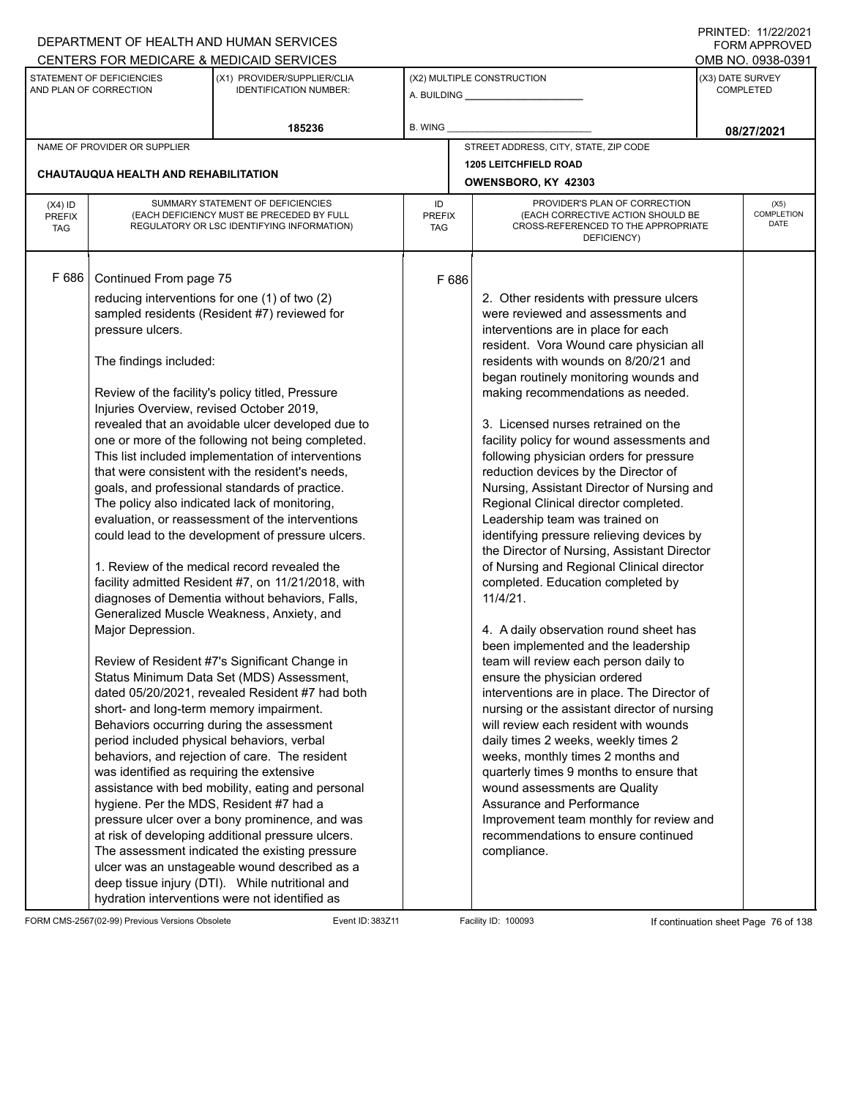## A. BUILDING **\_\_\_\_\_\_\_\_\_\_\_\_\_\_\_\_\_\_\_\_\_\_** (X1) PROVIDER/SUPPLIER/CLIA IDENTIFICATION NUMBER: STATEMENT OF DEFICIENCIES AND PLAN OF CORRECTION (X3) DATE SURVEY COMPLETED FORM APPROVED (X2) MULTIPLE CONSTRUCTION R. WING CENTERS FOR MEDICARE & MEDICAID SERVICES **And CENTERS FOR MEDICAL ACCESS** OMB NO. 0938-0391 **185236 08/27/2021** NAME OF PROVIDER OR SUPPLIER STREET ADDRESS, CITY, STATE, ZIP CODE **1205 LEITCHFIELD ROAD CHAUTAUQUA HEALTH AND REHABILITATION OWENSBORO, KY 42303** PROVIDER'S PLAN OF CORRECTION (EACH CORRECTIVE ACTION SHOULD BE CROSS-REFERENCED TO THE APPROPRIATE DEFICIENCY) (X5) **COMPLETION** DATE ID PREFIX **TAG** (X4) ID PREFIX TAG SUMMARY STATEMENT OF DEFICIENCIES (EACH DEFICIENCY MUST BE PRECEDED BY FULL REGULATORY OR LSC IDENTIFYING INFORMATION) F 686 Continued From page 75 F 686 reducing interventions for one (1) of two (2) sampled residents (Resident #7) reviewed for pressure ulcers. The findings included: Review of the facility's policy titled, Pressure Injuries Overview, revised October 2019, revealed that an avoidable ulcer developed due to one or more of the following not being completed. This list included implementation of interventions that were consistent with the resident's needs, goals, and professional standards of practice. The policy also indicated lack of monitoring, evaluation, or reassessment of the interventions could lead to the development of pressure ulcers. 1. Review of the medical record revealed the facility admitted Resident #7, on 11/21/2018, with diagnoses of Dementia without behaviors, Falls, Generalized Muscle Weakness, Anxiety, and Major Depression. Review of Resident #7's Significant Change in Status Minimum Data Set (MDS) Assessment, dated 05/20/2021, revealed Resident #7 had both short- and long-term memory impairment. Behaviors occurring during the assessment period included physical behaviors, verbal behaviors, and rejection of care. The resident was identified as requiring the extensive assistance with bed mobility, eating and personal hygiene. Per the MDS, Resident #7 had a pressure ulcer over a bony prominence, and was at risk of developing additional pressure ulcers. The assessment indicated the existing pressure ulcer was an unstageable wound described as a deep tissue injury (DTI). While nutritional and hydration interventions were not identified as 2. Other residents with pressure ulcers were reviewed and assessments and interventions are in place for each resident. Vora Wound care physician all residents with wounds on 8/20/21 and began routinely monitoring wounds and making recommendations as needed. 3. Licensed nurses retrained on the facility policy for wound assessments and following physician orders for pressure reduction devices by the Director of Nursing, Assistant Director of Nursing and Regional Clinical director completed. Leadership team was trained on identifying pressure relieving devices by the Director of Nursing, Assistant Director of Nursing and Regional Clinical director completed. Education completed by 11/4/21. 4. A daily observation round sheet has been implemented and the leadership team will review each person daily to ensure the physician ordered interventions are in place. The Director of nursing or the assistant director of nursing will review each resident with wounds daily times 2 weeks, weekly times 2 weeks, monthly times 2 months and quarterly times 9 months to ensure that wound assessments are Quality Assurance and Performance Improvement team monthly for review and recommendations to ensure continued compliance.

FORM CMS-2567(02-99) Previous Versions Obsolete Event ID: 383Z11 Facility ID: 100093 If continuation sheet Page 76 of 138

DEPARTMENT OF HEALTH AND HUMAN SERVICES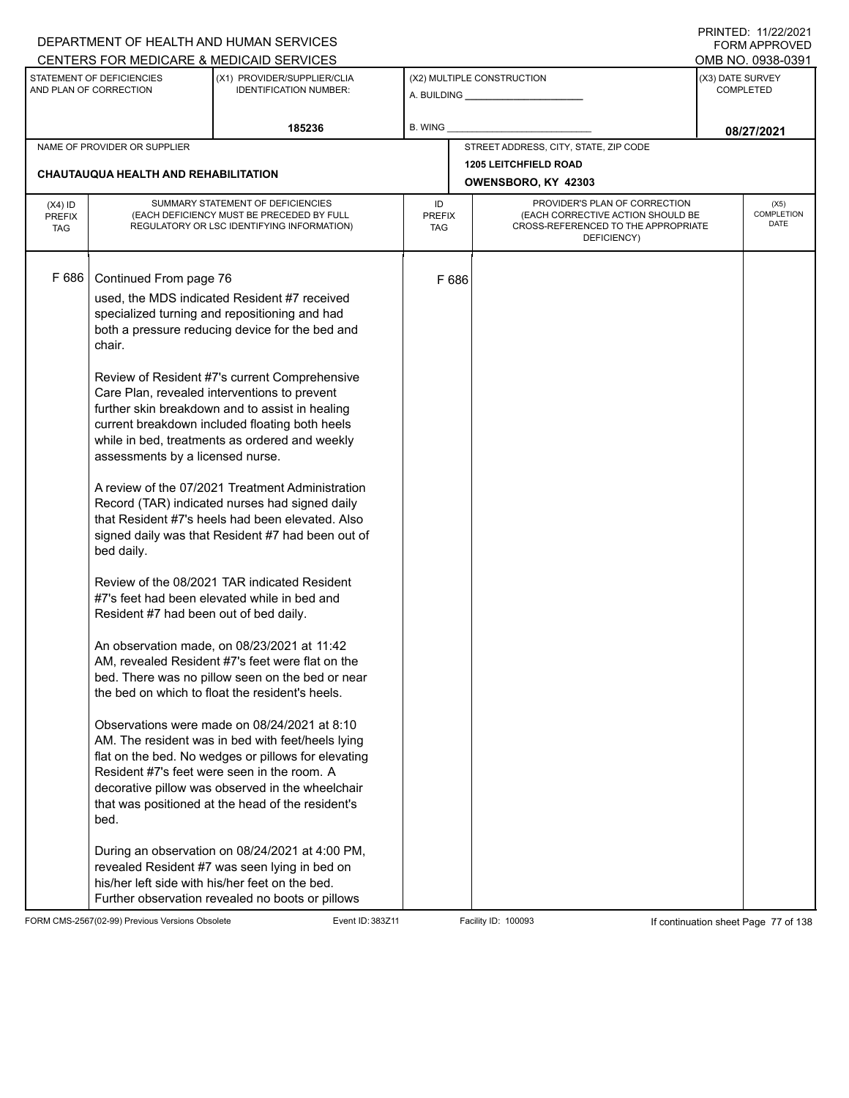|                                          |                                                                                                                                      | DEPARTMENT OF HEALTH AND HUMAN SERVICES                                                                                                                                                                                                                                                                                                                                                                                                                                                                                                                                                                                                                                                                                                                                                                                                                                                                                                                                                                                                                                                                                                                                                                                                                                                                  |                            |       |                                                                                                                          |                  | <b>FORM APPROVED</b>              |
|------------------------------------------|--------------------------------------------------------------------------------------------------------------------------------------|----------------------------------------------------------------------------------------------------------------------------------------------------------------------------------------------------------------------------------------------------------------------------------------------------------------------------------------------------------------------------------------------------------------------------------------------------------------------------------------------------------------------------------------------------------------------------------------------------------------------------------------------------------------------------------------------------------------------------------------------------------------------------------------------------------------------------------------------------------------------------------------------------------------------------------------------------------------------------------------------------------------------------------------------------------------------------------------------------------------------------------------------------------------------------------------------------------------------------------------------------------------------------------------------------------|----------------------------|-------|--------------------------------------------------------------------------------------------------------------------------|------------------|-----------------------------------|
|                                          |                                                                                                                                      | CENTERS FOR MEDICARE & MEDICAID SERVICES                                                                                                                                                                                                                                                                                                                                                                                                                                                                                                                                                                                                                                                                                                                                                                                                                                                                                                                                                                                                                                                                                                                                                                                                                                                                 |                            |       |                                                                                                                          |                  | OMB NO. 0938-0391                 |
|                                          | STATEMENT OF DEFICIENCIES<br>AND PLAN OF CORRECTION                                                                                  | (X1) PROVIDER/SUPPLIER/CLIA<br><b>IDENTIFICATION NUMBER:</b>                                                                                                                                                                                                                                                                                                                                                                                                                                                                                                                                                                                                                                                                                                                                                                                                                                                                                                                                                                                                                                                                                                                                                                                                                                             |                            |       | (X2) MULTIPLE CONSTRUCTION                                                                                               | (X3) DATE SURVEY | <b>COMPLETED</b>                  |
|                                          |                                                                                                                                      | 185236                                                                                                                                                                                                                                                                                                                                                                                                                                                                                                                                                                                                                                                                                                                                                                                                                                                                                                                                                                                                                                                                                                                                                                                                                                                                                                   | B. WING                    |       |                                                                                                                          |                  | 08/27/2021                        |
|                                          | NAME OF PROVIDER OR SUPPLIER                                                                                                         |                                                                                                                                                                                                                                                                                                                                                                                                                                                                                                                                                                                                                                                                                                                                                                                                                                                                                                                                                                                                                                                                                                                                                                                                                                                                                                          |                            |       | STREET ADDRESS, CITY, STATE, ZIP CODE                                                                                    |                  |                                   |
|                                          | CHAUTAUQUA HEALTH AND REHABILITATION                                                                                                 |                                                                                                                                                                                                                                                                                                                                                                                                                                                                                                                                                                                                                                                                                                                                                                                                                                                                                                                                                                                                                                                                                                                                                                                                                                                                                                          |                            |       | <b>1205 LEITCHFIELD ROAD</b><br>OWENSBORO, KY 42303                                                                      |                  |                                   |
| $(X4)$ ID<br><b>PREFIX</b><br><b>TAG</b> |                                                                                                                                      | SUMMARY STATEMENT OF DEFICIENCIES<br>(EACH DEFICIENCY MUST BE PRECEDED BY FULL<br>REGULATORY OR LSC IDENTIFYING INFORMATION)                                                                                                                                                                                                                                                                                                                                                                                                                                                                                                                                                                                                                                                                                                                                                                                                                                                                                                                                                                                                                                                                                                                                                                             | ID<br><b>PREFIX</b><br>TAG |       | PROVIDER'S PLAN OF CORRECTION<br>(EACH CORRECTIVE ACTION SHOULD BE<br>CROSS-REFERENCED TO THE APPROPRIATE<br>DEFICIENCY) |                  | (X5)<br><b>COMPLETION</b><br>DATE |
| F 686                                    | Continued From page 76<br>chair.<br>assessments by a licensed nurse.<br>bed daily.<br>Resident #7 had been out of bed daily.<br>bed. | used, the MDS indicated Resident #7 received<br>specialized turning and repositioning and had<br>both a pressure reducing device for the bed and<br>Review of Resident #7's current Comprehensive<br>Care Plan, revealed interventions to prevent<br>further skin breakdown and to assist in healing<br>current breakdown included floating both heels<br>while in bed, treatments as ordered and weekly<br>A review of the 07/2021 Treatment Administration<br>Record (TAR) indicated nurses had signed daily<br>that Resident #7's heels had been elevated. Also<br>signed daily was that Resident #7 had been out of<br>Review of the 08/2021 TAR indicated Resident<br>#7's feet had been elevated while in bed and<br>An observation made, on 08/23/2021 at 11:42<br>AM, revealed Resident #7's feet were flat on the<br>bed. There was no pillow seen on the bed or near<br>the bed on which to float the resident's heels.<br>Observations were made on 08/24/2021 at 8:10<br>AM. The resident was in bed with feet/heels lying<br>flat on the bed. No wedges or pillows for elevating<br>Resident #7's feet were seen in the room. A<br>decorative pillow was observed in the wheelchair<br>that was positioned at the head of the resident's<br>During an observation on 08/24/2021 at 4:00 PM, |                            | F 686 |                                                                                                                          |                  |                                   |
|                                          |                                                                                                                                      | revealed Resident #7 was seen lying in bed on<br>his/her left side with his/her feet on the bed.<br>Further observation revealed no boots or pillows                                                                                                                                                                                                                                                                                                                                                                                                                                                                                                                                                                                                                                                                                                                                                                                                                                                                                                                                                                                                                                                                                                                                                     |                            |       |                                                                                                                          |                  |                                   |

FORM CMS-2567(02-99) Previous Versions Obsolete Event ID: 383Z11 Facility ID: 100093 If continuation sheet Page 77 of 138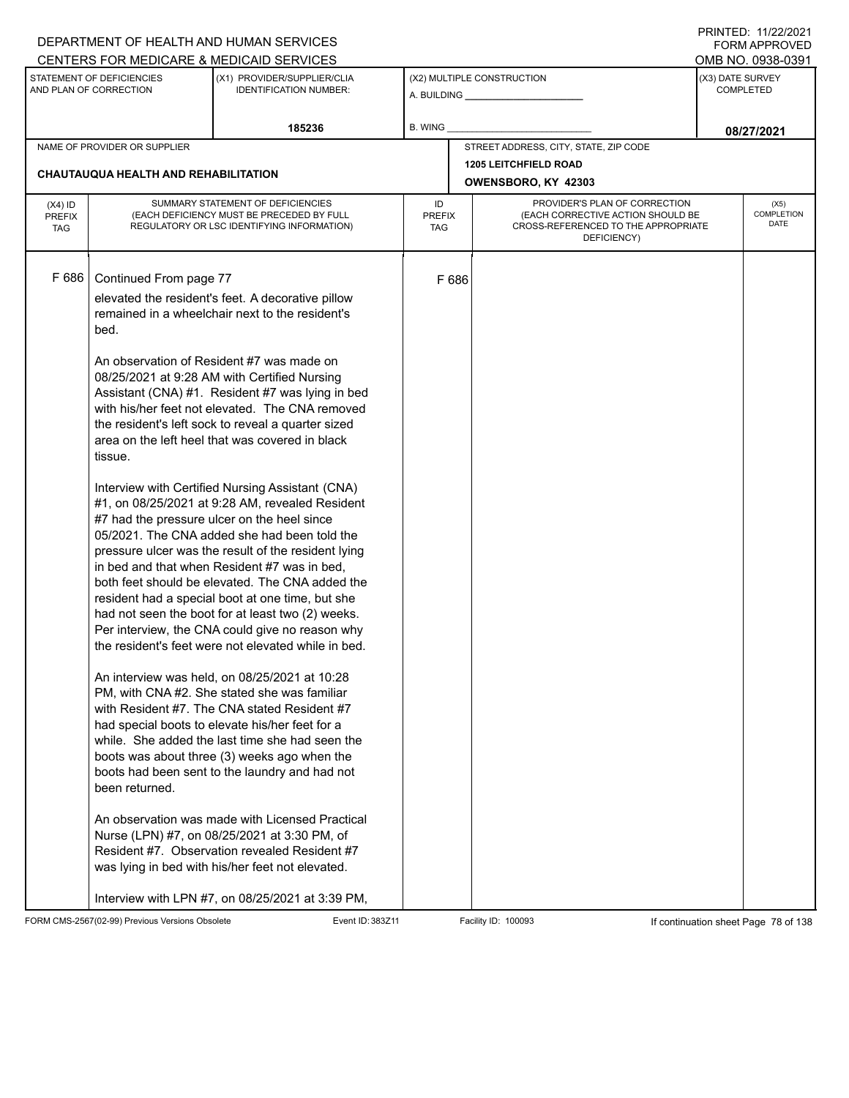|                                          |                                                             | DEPARTMENT OF HEALTH AND HUMAN SERVICES                                                                                                                                                                                                                                                                                                                                                                                                                                                                                                                                                                                                                                                                                                                                                                                                                                                                                                                                                                                                                                                                                                                                                                                                                                                                                                                                                                                                                                                                                                                               |                            |                                                                                                                          |                  | I INITILD. III <i>LLIL</i> VLI<br><b>FORM APPROVED</b> |
|------------------------------------------|-------------------------------------------------------------|-----------------------------------------------------------------------------------------------------------------------------------------------------------------------------------------------------------------------------------------------------------------------------------------------------------------------------------------------------------------------------------------------------------------------------------------------------------------------------------------------------------------------------------------------------------------------------------------------------------------------------------------------------------------------------------------------------------------------------------------------------------------------------------------------------------------------------------------------------------------------------------------------------------------------------------------------------------------------------------------------------------------------------------------------------------------------------------------------------------------------------------------------------------------------------------------------------------------------------------------------------------------------------------------------------------------------------------------------------------------------------------------------------------------------------------------------------------------------------------------------------------------------------------------------------------------------|----------------------------|--------------------------------------------------------------------------------------------------------------------------|------------------|--------------------------------------------------------|
|                                          |                                                             | CENTERS FOR MEDICARE & MEDICAID SERVICES                                                                                                                                                                                                                                                                                                                                                                                                                                                                                                                                                                                                                                                                                                                                                                                                                                                                                                                                                                                                                                                                                                                                                                                                                                                                                                                                                                                                                                                                                                                              |                            |                                                                                                                          |                  | OMB NO. 0938-0391                                      |
|                                          | STATEMENT OF DEFICIENCIES<br>AND PLAN OF CORRECTION         | (X1) PROVIDER/SUPPLIER/CLIA<br><b>IDENTIFICATION NUMBER:</b>                                                                                                                                                                                                                                                                                                                                                                                                                                                                                                                                                                                                                                                                                                                                                                                                                                                                                                                                                                                                                                                                                                                                                                                                                                                                                                                                                                                                                                                                                                          |                            | (X2) MULTIPLE CONSTRUCTION                                                                                               | (X3) DATE SURVEY | <b>COMPLETED</b>                                       |
|                                          |                                                             | 185236                                                                                                                                                                                                                                                                                                                                                                                                                                                                                                                                                                                                                                                                                                                                                                                                                                                                                                                                                                                                                                                                                                                                                                                                                                                                                                                                                                                                                                                                                                                                                                | <b>B. WING</b>             |                                                                                                                          |                  | 08/27/2021                                             |
|                                          | NAME OF PROVIDER OR SUPPLIER                                |                                                                                                                                                                                                                                                                                                                                                                                                                                                                                                                                                                                                                                                                                                                                                                                                                                                                                                                                                                                                                                                                                                                                                                                                                                                                                                                                                                                                                                                                                                                                                                       |                            | STREET ADDRESS, CITY, STATE, ZIP CODE                                                                                    |                  |                                                        |
|                                          | CHAUTAUQUA HEALTH AND REHABILITATION                        |                                                                                                                                                                                                                                                                                                                                                                                                                                                                                                                                                                                                                                                                                                                                                                                                                                                                                                                                                                                                                                                                                                                                                                                                                                                                                                                                                                                                                                                                                                                                                                       |                            | <b>1205 LEITCHFIELD ROAD</b><br>OWENSBORO, KY 42303                                                                      |                  |                                                        |
| $(X4)$ ID<br><b>PREFIX</b><br><b>TAG</b> |                                                             | SUMMARY STATEMENT OF DEFICIENCIES<br>(EACH DEFICIENCY MUST BE PRECEDED BY FULL<br>REGULATORY OR LSC IDENTIFYING INFORMATION)                                                                                                                                                                                                                                                                                                                                                                                                                                                                                                                                                                                                                                                                                                                                                                                                                                                                                                                                                                                                                                                                                                                                                                                                                                                                                                                                                                                                                                          | ID<br><b>PREFIX</b><br>TAG | PROVIDER'S PLAN OF CORRECTION<br>(EACH CORRECTIVE ACTION SHOULD BE<br>CROSS-REFERENCED TO THE APPROPRIATE<br>DEFICIENCY) |                  | (X5)<br>COMPLETION<br><b>DATE</b>                      |
| F 686                                    | Continued From page 77<br>bed.<br>tissue.<br>been returned. | elevated the resident's feet. A decorative pillow<br>remained in a wheelchair next to the resident's<br>An observation of Resident #7 was made on<br>08/25/2021 at 9:28 AM with Certified Nursing<br>Assistant (CNA) #1. Resident #7 was lying in bed<br>with his/her feet not elevated. The CNA removed<br>the resident's left sock to reveal a quarter sized<br>area on the left heel that was covered in black<br>Interview with Certified Nursing Assistant (CNA)<br>#1, on 08/25/2021 at 9:28 AM, revealed Resident<br>#7 had the pressure ulcer on the heel since<br>05/2021. The CNA added she had been told the<br>pressure ulcer was the result of the resident lying<br>in bed and that when Resident #7 was in bed,<br>both feet should be elevated. The CNA added the<br>resident had a special boot at one time, but she<br>had not seen the boot for at least two (2) weeks.<br>Per interview, the CNA could give no reason why<br>the resident's feet were not elevated while in bed.<br>An interview was held, on 08/25/2021 at 10:28<br>PM, with CNA #2. She stated she was familiar<br>with Resident #7. The CNA stated Resident #7<br>had special boots to elevate his/her feet for a<br>while. She added the last time she had seen the<br>boots was about three (3) weeks ago when the<br>boots had been sent to the laundry and had not<br>An observation was made with Licensed Practical<br>Nurse (LPN) #7, on 08/25/2021 at 3:30 PM, of<br>Resident #7. Observation revealed Resident #7<br>was lying in bed with his/her feet not elevated. | F 686                      |                                                                                                                          |                  |                                                        |
|                                          |                                                             | Interview with LPN #7, on 08/25/2021 at 3:39 PM,                                                                                                                                                                                                                                                                                                                                                                                                                                                                                                                                                                                                                                                                                                                                                                                                                                                                                                                                                                                                                                                                                                                                                                                                                                                                                                                                                                                                                                                                                                                      |                            |                                                                                                                          |                  |                                                        |

FORM CMS-2567(02-99) Previous Versions Obsolete Event ID: 383Z11 Event ID: 383Z11 Facility ID: 100093 If continuation sheet Page 78 of 138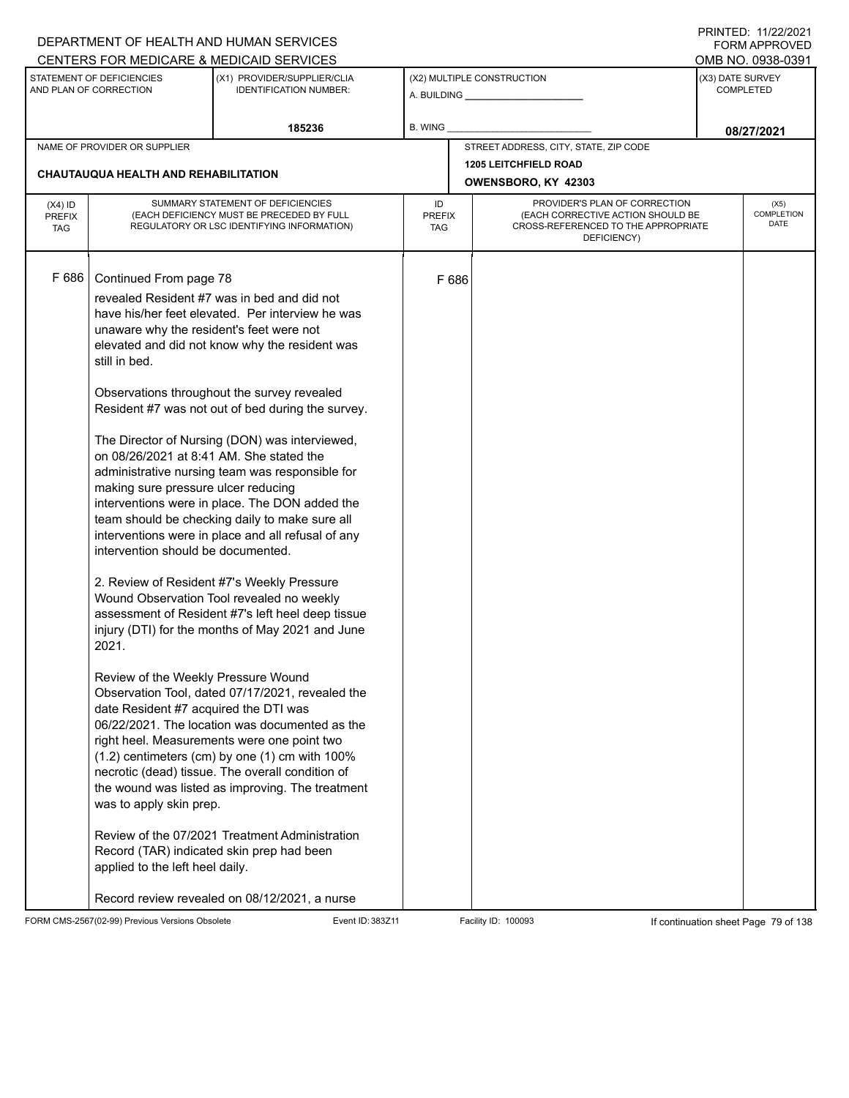|                                          |                                                                                                                                                                                                                                                                                                                                                                     | DEPARTMENT OF HEALTH AND HUMAN SERVICES                                                                                                                                                                                                                                                                                                                                                                                                                                                                                                                                                                                                                                                                                                                                                                                                                                                                                                                                                                                                                                                                                                |                            |                                                                                                                          |                  | I INITILD. III <i>LLIL</i> OLI<br><b>FORM APPROVED</b> |
|------------------------------------------|---------------------------------------------------------------------------------------------------------------------------------------------------------------------------------------------------------------------------------------------------------------------------------------------------------------------------------------------------------------------|----------------------------------------------------------------------------------------------------------------------------------------------------------------------------------------------------------------------------------------------------------------------------------------------------------------------------------------------------------------------------------------------------------------------------------------------------------------------------------------------------------------------------------------------------------------------------------------------------------------------------------------------------------------------------------------------------------------------------------------------------------------------------------------------------------------------------------------------------------------------------------------------------------------------------------------------------------------------------------------------------------------------------------------------------------------------------------------------------------------------------------------|----------------------------|--------------------------------------------------------------------------------------------------------------------------|------------------|--------------------------------------------------------|
|                                          |                                                                                                                                                                                                                                                                                                                                                                     | CENTERS FOR MEDICARE & MEDICAID SERVICES                                                                                                                                                                                                                                                                                                                                                                                                                                                                                                                                                                                                                                                                                                                                                                                                                                                                                                                                                                                                                                                                                               |                            |                                                                                                                          |                  | OMB NO. 0938-0391                                      |
|                                          | STATEMENT OF DEFICIENCIES<br>AND PLAN OF CORRECTION                                                                                                                                                                                                                                                                                                                 | (X1) PROVIDER/SUPPLIER/CLIA<br><b>IDENTIFICATION NUMBER:</b>                                                                                                                                                                                                                                                                                                                                                                                                                                                                                                                                                                                                                                                                                                                                                                                                                                                                                                                                                                                                                                                                           |                            | (X2) MULTIPLE CONSTRUCTION                                                                                               | (X3) DATE SURVEY | <b>COMPLETED</b>                                       |
|                                          |                                                                                                                                                                                                                                                                                                                                                                     | 185236                                                                                                                                                                                                                                                                                                                                                                                                                                                                                                                                                                                                                                                                                                                                                                                                                                                                                                                                                                                                                                                                                                                                 | <b>B. WING</b>             |                                                                                                                          |                  | 08/27/2021                                             |
|                                          | NAME OF PROVIDER OR SUPPLIER                                                                                                                                                                                                                                                                                                                                        |                                                                                                                                                                                                                                                                                                                                                                                                                                                                                                                                                                                                                                                                                                                                                                                                                                                                                                                                                                                                                                                                                                                                        |                            | STREET ADDRESS, CITY, STATE, ZIP CODE                                                                                    |                  |                                                        |
|                                          | CHAUTAUQUA HEALTH AND REHABILITATION                                                                                                                                                                                                                                                                                                                                |                                                                                                                                                                                                                                                                                                                                                                                                                                                                                                                                                                                                                                                                                                                                                                                                                                                                                                                                                                                                                                                                                                                                        |                            | <b>1205 LEITCHFIELD ROAD</b><br>OWENSBORO, KY 42303                                                                      |                  |                                                        |
| $(X4)$ ID<br><b>PREFIX</b><br><b>TAG</b> |                                                                                                                                                                                                                                                                                                                                                                     | SUMMARY STATEMENT OF DEFICIENCIES<br>(EACH DEFICIENCY MUST BE PRECEDED BY FULL<br>REGULATORY OR LSC IDENTIFYING INFORMATION)                                                                                                                                                                                                                                                                                                                                                                                                                                                                                                                                                                                                                                                                                                                                                                                                                                                                                                                                                                                                           | ID<br><b>PREFIX</b><br>TAG | PROVIDER'S PLAN OF CORRECTION<br>(EACH CORRECTIVE ACTION SHOULD BE<br>CROSS-REFERENCED TO THE APPROPRIATE<br>DEFICIENCY) |                  | (X5)<br>COMPLETION<br><b>DATE</b>                      |
| F 686                                    | Continued From page 78<br>unaware why the resident's feet were not<br>still in bed.<br>on 08/26/2021 at 8:41 AM. She stated the<br>making sure pressure ulcer reducing<br>intervention should be documented.<br>2021.<br>Review of the Weekly Pressure Wound<br>date Resident #7 acquired the DTI was<br>was to apply skin prep.<br>applied to the left heel daily. | revealed Resident #7 was in bed and did not<br>have his/her feet elevated. Per interview he was<br>elevated and did not know why the resident was<br>Observations throughout the survey revealed<br>Resident #7 was not out of bed during the survey.<br>The Director of Nursing (DON) was interviewed,<br>administrative nursing team was responsible for<br>interventions were in place. The DON added the<br>team should be checking daily to make sure all<br>interventions were in place and all refusal of any<br>2. Review of Resident #7's Weekly Pressure<br>Wound Observation Tool revealed no weekly<br>assessment of Resident #7's left heel deep tissue<br>injury (DTI) for the months of May 2021 and June<br>Observation Tool, dated 07/17/2021, revealed the<br>06/22/2021. The location was documented as the<br>right heel. Measurements were one point two<br>(1.2) centimeters (cm) by one (1) cm with 100%<br>necrotic (dead) tissue. The overall condition of<br>the wound was listed as improving. The treatment<br>Review of the 07/2021 Treatment Administration<br>Record (TAR) indicated skin prep had been | F 686                      |                                                                                                                          |                  |                                                        |
|                                          |                                                                                                                                                                                                                                                                                                                                                                     | Record review revealed on 08/12/2021, a nurse                                                                                                                                                                                                                                                                                                                                                                                                                                                                                                                                                                                                                                                                                                                                                                                                                                                                                                                                                                                                                                                                                          |                            |                                                                                                                          |                  |                                                        |

FORM CMS-2567(02-99) Previous Versions Obsolete Event ID: 383Z11 Event ID: 383Z11 Facility ID: 100093 If continuation sheet Page 79 of 138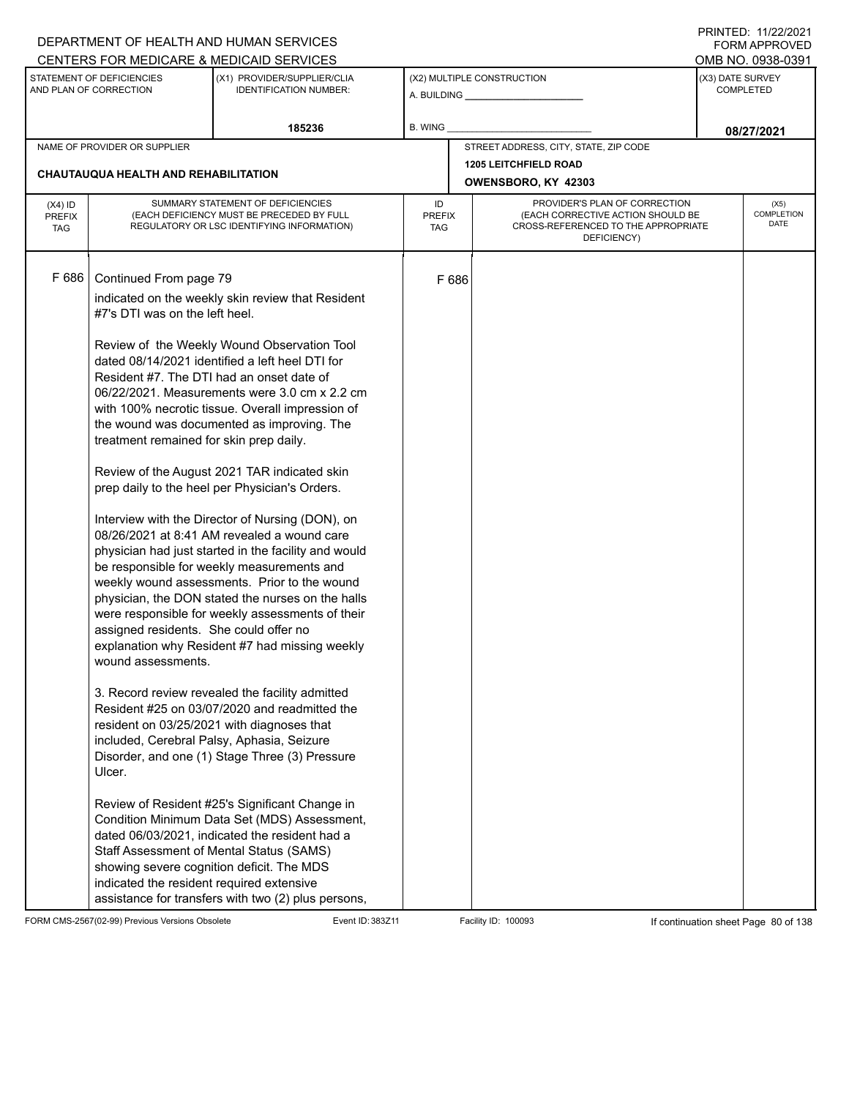|                                          |                                                                                                                                                                               | DEPARTMENT OF HEALTH AND HUMAN SERVICES                                                                                                                                                                                                                                                                                                                                                                                                                                                                                                                                                                                                                                                                                                                                                                                                                                                                                                                                                                                                                                                                                     |                            |       |                                                                                                                          |                  | FORM APPROVED                     |
|------------------------------------------|-------------------------------------------------------------------------------------------------------------------------------------------------------------------------------|-----------------------------------------------------------------------------------------------------------------------------------------------------------------------------------------------------------------------------------------------------------------------------------------------------------------------------------------------------------------------------------------------------------------------------------------------------------------------------------------------------------------------------------------------------------------------------------------------------------------------------------------------------------------------------------------------------------------------------------------------------------------------------------------------------------------------------------------------------------------------------------------------------------------------------------------------------------------------------------------------------------------------------------------------------------------------------------------------------------------------------|----------------------------|-------|--------------------------------------------------------------------------------------------------------------------------|------------------|-----------------------------------|
|                                          | STATEMENT OF DEFICIENCIES                                                                                                                                                     | CENTERS FOR MEDICARE & MEDICAID SERVICES<br>(X1) PROVIDER/SUPPLIER/CLIA                                                                                                                                                                                                                                                                                                                                                                                                                                                                                                                                                                                                                                                                                                                                                                                                                                                                                                                                                                                                                                                     |                            |       | (X2) MULTIPLE CONSTRUCTION                                                                                               | (X3) DATE SURVEY | OMB NO. 0938-0391                 |
|                                          | AND PLAN OF CORRECTION                                                                                                                                                        | <b>IDENTIFICATION NUMBER:</b>                                                                                                                                                                                                                                                                                                                                                                                                                                                                                                                                                                                                                                                                                                                                                                                                                                                                                                                                                                                                                                                                                               |                            |       |                                                                                                                          |                  | <b>COMPLETED</b>                  |
|                                          |                                                                                                                                                                               | 185236                                                                                                                                                                                                                                                                                                                                                                                                                                                                                                                                                                                                                                                                                                                                                                                                                                                                                                                                                                                                                                                                                                                      | B. WING                    |       |                                                                                                                          |                  | 08/27/2021                        |
|                                          | NAME OF PROVIDER OR SUPPLIER                                                                                                                                                  |                                                                                                                                                                                                                                                                                                                                                                                                                                                                                                                                                                                                                                                                                                                                                                                                                                                                                                                                                                                                                                                                                                                             |                            |       | STREET ADDRESS, CITY, STATE, ZIP CODE                                                                                    |                  |                                   |
|                                          | CHAUTAUQUA HEALTH AND REHABILITATION                                                                                                                                          |                                                                                                                                                                                                                                                                                                                                                                                                                                                                                                                                                                                                                                                                                                                                                                                                                                                                                                                                                                                                                                                                                                                             |                            |       | <b>1205 LEITCHFIELD ROAD</b>                                                                                             |                  |                                   |
|                                          |                                                                                                                                                                               |                                                                                                                                                                                                                                                                                                                                                                                                                                                                                                                                                                                                                                                                                                                                                                                                                                                                                                                                                                                                                                                                                                                             |                            |       | OWENSBORO, KY 42303                                                                                                      |                  |                                   |
| $(X4)$ ID<br><b>PREFIX</b><br><b>TAG</b> |                                                                                                                                                                               | SUMMARY STATEMENT OF DEFICIENCIES<br>(EACH DEFICIENCY MUST BE PRECEDED BY FULL<br>REGULATORY OR LSC IDENTIFYING INFORMATION)                                                                                                                                                                                                                                                                                                                                                                                                                                                                                                                                                                                                                                                                                                                                                                                                                                                                                                                                                                                                | ID<br><b>PREFIX</b><br>TAG |       | PROVIDER'S PLAN OF CORRECTION<br>(EACH CORRECTIVE ACTION SHOULD BE<br>CROSS-REFERENCED TO THE APPROPRIATE<br>DEFICIENCY) |                  | (X5)<br><b>COMPLETION</b><br>DATE |
| F 686                                    | Continued From page 79<br>#7's DTI was on the left heel.<br>treatment remained for skin prep daily.<br>assigned residents. She could offer no<br>wound assessments.<br>Ulcer. | indicated on the weekly skin review that Resident<br>Review of the Weekly Wound Observation Tool<br>dated 08/14/2021 identified a left heel DTI for<br>Resident #7. The DTI had an onset date of<br>06/22/2021. Measurements were 3.0 cm x 2.2 cm<br>with 100% necrotic tissue. Overall impression of<br>the wound was documented as improving. The<br>Review of the August 2021 TAR indicated skin<br>prep daily to the heel per Physician's Orders.<br>Interview with the Director of Nursing (DON), on<br>08/26/2021 at 8:41 AM revealed a wound care<br>physician had just started in the facility and would<br>be responsible for weekly measurements and<br>weekly wound assessments. Prior to the wound<br>physician, the DON stated the nurses on the halls<br>were responsible for weekly assessments of their<br>explanation why Resident #7 had missing weekly<br>3. Record review revealed the facility admitted<br>Resident #25 on 03/07/2020 and readmitted the<br>resident on 03/25/2021 with diagnoses that<br>included, Cerebral Palsy, Aphasia, Seizure<br>Disorder, and one (1) Stage Three (3) Pressure |                            | F 686 |                                                                                                                          |                  |                                   |
|                                          | indicated the resident required extensive                                                                                                                                     | Review of Resident #25's Significant Change in<br>Condition Minimum Data Set (MDS) Assessment,<br>dated 06/03/2021, indicated the resident had a<br>Staff Assessment of Mental Status (SAMS)<br>showing severe cognition deficit. The MDS<br>assistance for transfers with two (2) plus persons,                                                                                                                                                                                                                                                                                                                                                                                                                                                                                                                                                                                                                                                                                                                                                                                                                            |                            |       |                                                                                                                          |                  |                                   |

FORM CMS-2567(02-99) Previous Versions Obsolete Event ID: 383Z11 Event ID: 383Z11 Facility ID: 100093 If continuation sheet Page 80 of 138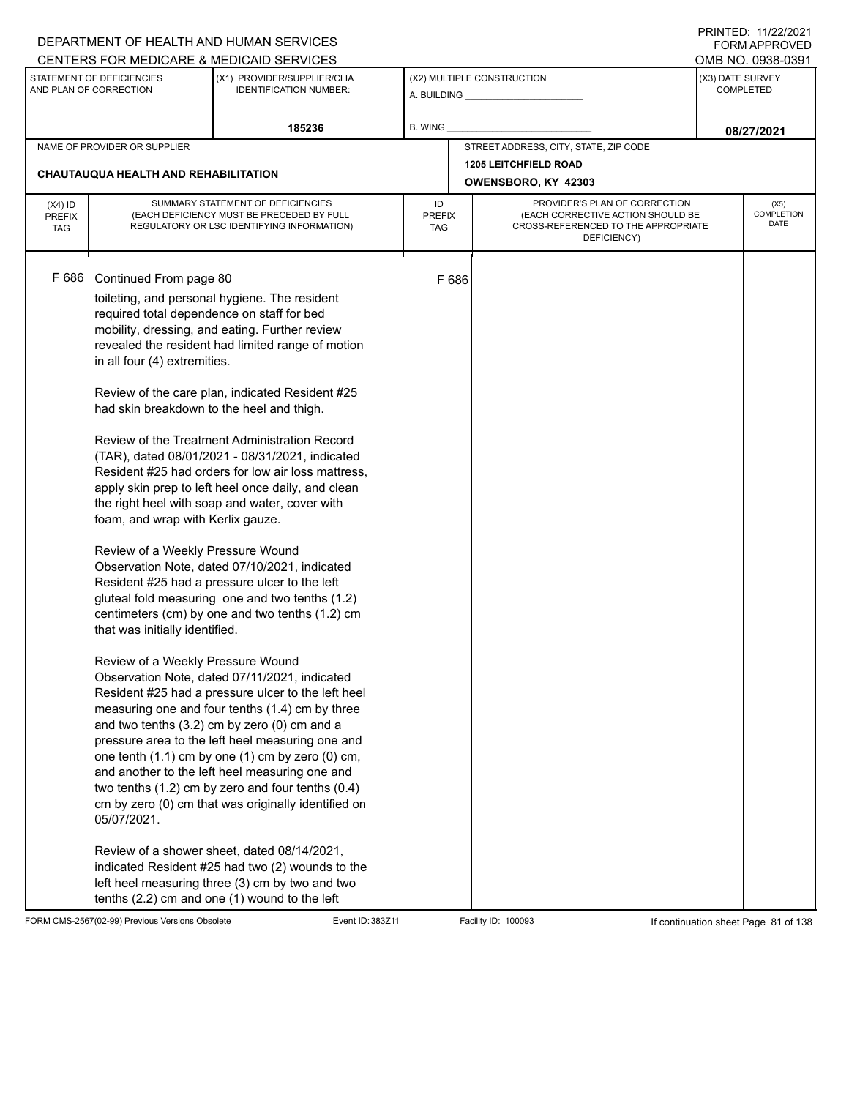|                             |                                            | DEPARTMENT OF HEALTH AND HUMAN SERVICES                                                               |                      |       |                                                                          | FORM APPROVED                         |
|-----------------------------|--------------------------------------------|-------------------------------------------------------------------------------------------------------|----------------------|-------|--------------------------------------------------------------------------|---------------------------------------|
|                             | STATEMENT OF DEFICIENCIES                  | CENTERS FOR MEDICARE & MEDICAID SERVICES<br>(X1) PROVIDER/SUPPLIER/CLIA                               |                      |       | (X2) MULTIPLE CONSTRUCTION                                               | OMB NO. 0938-0391<br>(X3) DATE SURVEY |
|                             | AND PLAN OF CORRECTION                     | <b>IDENTIFICATION NUMBER:</b>                                                                         |                      |       |                                                                          | <b>COMPLETED</b>                      |
|                             |                                            | 185236                                                                                                | B. WING              |       |                                                                          | 08/27/2021                            |
|                             | NAME OF PROVIDER OR SUPPLIER               |                                                                                                       |                      |       | STREET ADDRESS, CITY, STATE, ZIP CODE                                    |                                       |
|                             | CHAUTAUQUA HEALTH AND REHABILITATION       |                                                                                                       |                      |       | <b>1205 LEITCHFIELD ROAD</b>                                             |                                       |
|                             |                                            |                                                                                                       |                      |       | OWENSBORO, KY 42303                                                      |                                       |
| $(X4)$ ID                   |                                            | SUMMARY STATEMENT OF DEFICIENCIES                                                                     | ID                   |       | PROVIDER'S PLAN OF CORRECTION                                            | (X5)<br>COMPLETION                    |
| <b>PREFIX</b><br><b>TAG</b> |                                            | (EACH DEFICIENCY MUST BE PRECEDED BY FULL<br>REGULATORY OR LSC IDENTIFYING INFORMATION)               | <b>PREFIX</b><br>TAG |       | (EACH CORRECTIVE ACTION SHOULD BE<br>CROSS-REFERENCED TO THE APPROPRIATE | DATE                                  |
|                             |                                            |                                                                                                       |                      |       | DEFICIENCY)                                                              |                                       |
|                             |                                            |                                                                                                       |                      |       |                                                                          |                                       |
| F 686                       | Continued From page 80                     |                                                                                                       |                      | F 686 |                                                                          |                                       |
|                             | required total dependence on staff for bed | toileting, and personal hygiene. The resident                                                         |                      |       |                                                                          |                                       |
|                             |                                            | mobility, dressing, and eating. Further review                                                        |                      |       |                                                                          |                                       |
|                             |                                            | revealed the resident had limited range of motion                                                     |                      |       |                                                                          |                                       |
|                             | in all four (4) extremities.               |                                                                                                       |                      |       |                                                                          |                                       |
|                             |                                            | Review of the care plan, indicated Resident #25                                                       |                      |       |                                                                          |                                       |
|                             | had skin breakdown to the heel and thigh.  |                                                                                                       |                      |       |                                                                          |                                       |
|                             |                                            |                                                                                                       |                      |       |                                                                          |                                       |
|                             |                                            | Review of the Treatment Administration Record                                                         |                      |       |                                                                          |                                       |
|                             |                                            | (TAR), dated 08/01/2021 - 08/31/2021, indicated<br>Resident #25 had orders for low air loss mattress, |                      |       |                                                                          |                                       |
|                             |                                            | apply skin prep to left heel once daily, and clean                                                    |                      |       |                                                                          |                                       |
|                             |                                            | the right heel with soap and water, cover with                                                        |                      |       |                                                                          |                                       |
|                             | foam, and wrap with Kerlix gauze.          |                                                                                                       |                      |       |                                                                          |                                       |
|                             | Review of a Weekly Pressure Wound          |                                                                                                       |                      |       |                                                                          |                                       |
|                             |                                            | Observation Note, dated 07/10/2021, indicated                                                         |                      |       |                                                                          |                                       |
|                             |                                            | Resident #25 had a pressure ulcer to the left                                                         |                      |       |                                                                          |                                       |
|                             |                                            | gluteal fold measuring one and two tenths (1.2)<br>centimeters (cm) by one and two tenths (1.2) cm    |                      |       |                                                                          |                                       |
|                             | that was initially identified.             |                                                                                                       |                      |       |                                                                          |                                       |
|                             |                                            |                                                                                                       |                      |       |                                                                          |                                       |
|                             | Review of a Weekly Pressure Wound          |                                                                                                       |                      |       |                                                                          |                                       |
|                             |                                            | Observation Note, dated 07/11/2021, indicated<br>Resident #25 had a pressure ulcer to the left heel   |                      |       |                                                                          |                                       |
|                             |                                            | measuring one and four tenths (1.4) cm by three                                                       |                      |       |                                                                          |                                       |
|                             |                                            | and two tenths (3.2) cm by zero (0) cm and a                                                          |                      |       |                                                                          |                                       |
|                             |                                            | pressure area to the left heel measuring one and                                                      |                      |       |                                                                          |                                       |
|                             |                                            | one tenth (1.1) cm by one (1) cm by zero (0) cm,<br>and another to the left heel measuring one and    |                      |       |                                                                          |                                       |
|                             |                                            | two tenths $(1.2)$ cm by zero and four tenths $(0.4)$                                                 |                      |       |                                                                          |                                       |
|                             |                                            | cm by zero (0) cm that was originally identified on                                                   |                      |       |                                                                          |                                       |
|                             | 05/07/2021.                                |                                                                                                       |                      |       |                                                                          |                                       |
|                             |                                            | Review of a shower sheet, dated 08/14/2021,                                                           |                      |       |                                                                          |                                       |
|                             |                                            | indicated Resident #25 had two (2) wounds to the                                                      |                      |       |                                                                          |                                       |
|                             |                                            | left heel measuring three (3) cm by two and two                                                       |                      |       |                                                                          |                                       |
|                             |                                            | tenths (2.2) cm and one (1) wound to the left                                                         |                      |       |                                                                          |                                       |

FORM CMS-2567(02-99) Previous Versions Obsolete Event ID: 383Z11 Facility ID: 100093 If continuation sheet Page 81 of 138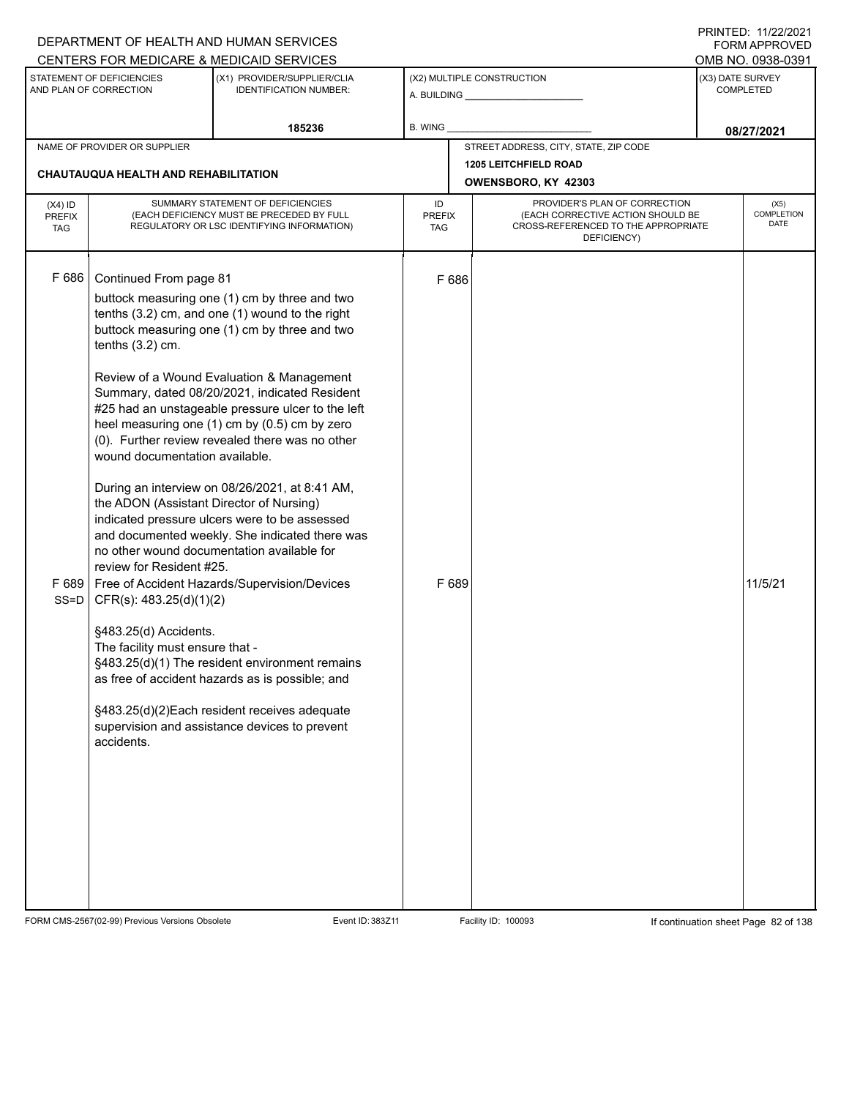|                                          |                                                                                                                                                                                                                                                             | DEPARTMENT OF HEALTH AND HUMAN SERVICES                                                                                                                                                                                                                                                                                                                                                                                                                                                                                                                                                                                                                                                                                                                                                                                                                           |                                   |                                              |                                                                                                                          |                  | <b>FORM APPROVED</b>       |
|------------------------------------------|-------------------------------------------------------------------------------------------------------------------------------------------------------------------------------------------------------------------------------------------------------------|-------------------------------------------------------------------------------------------------------------------------------------------------------------------------------------------------------------------------------------------------------------------------------------------------------------------------------------------------------------------------------------------------------------------------------------------------------------------------------------------------------------------------------------------------------------------------------------------------------------------------------------------------------------------------------------------------------------------------------------------------------------------------------------------------------------------------------------------------------------------|-----------------------------------|----------------------------------------------|--------------------------------------------------------------------------------------------------------------------------|------------------|----------------------------|
|                                          |                                                                                                                                                                                                                                                             | CENTERS FOR MEDICARE & MEDICAID SERVICES                                                                                                                                                                                                                                                                                                                                                                                                                                                                                                                                                                                                                                                                                                                                                                                                                          |                                   |                                              |                                                                                                                          |                  | OMB NO. 0938-0391          |
|                                          | STATEMENT OF DEFICIENCIES<br>AND PLAN OF CORRECTION                                                                                                                                                                                                         | (X1) PROVIDER/SUPPLIER/CLIA<br><b>IDENTIFICATION NUMBER:</b>                                                                                                                                                                                                                                                                                                                                                                                                                                                                                                                                                                                                                                                                                                                                                                                                      |                                   | (X2) MULTIPLE CONSTRUCTION                   |                                                                                                                          | (X3) DATE SURVEY | <b>COMPLETED</b>           |
|                                          |                                                                                                                                                                                                                                                             | 185236                                                                                                                                                                                                                                                                                                                                                                                                                                                                                                                                                                                                                                                                                                                                                                                                                                                            | B. WING                           |                                              |                                                                                                                          |                  | 08/27/2021                 |
|                                          | NAME OF PROVIDER OR SUPPLIER                                                                                                                                                                                                                                |                                                                                                                                                                                                                                                                                                                                                                                                                                                                                                                                                                                                                                                                                                                                                                                                                                                                   |                                   |                                              | STREET ADDRESS, CITY, STATE, ZIP CODE                                                                                    |                  |                            |
|                                          | <b>CHAUTAUQUA HEALTH AND REHABILITATION</b>                                                                                                                                                                                                                 |                                                                                                                                                                                                                                                                                                                                                                                                                                                                                                                                                                                                                                                                                                                                                                                                                                                                   |                                   | 1205 LEITCHFIELD ROAD<br>OWENSBORO, KY 42303 |                                                                                                                          |                  |                            |
| $(X4)$ ID<br><b>PREFIX</b><br><b>TAG</b> |                                                                                                                                                                                                                                                             | SUMMARY STATEMENT OF DEFICIENCIES<br>(EACH DEFICIENCY MUST BE PRECEDED BY FULL<br>REGULATORY OR LSC IDENTIFYING INFORMATION)                                                                                                                                                                                                                                                                                                                                                                                                                                                                                                                                                                                                                                                                                                                                      | ID<br><b>PREFIX</b><br><b>TAG</b> |                                              | PROVIDER'S PLAN OF CORRECTION<br>(EACH CORRECTIVE ACTION SHOULD BE<br>CROSS-REFERENCED TO THE APPROPRIATE<br>DEFICIENCY) |                  | (X5)<br>COMPLETION<br>DATE |
| F 686<br>F689<br>$SS = D$                | Continued From page 81<br>tenths $(3.2)$ cm.<br>wound documentation available.<br>the ADON (Assistant Director of Nursing)<br>review for Resident #25.<br>CFR(s): 483.25(d)(1)(2)<br>§483.25(d) Accidents.<br>The facility must ensure that -<br>accidents. | buttock measuring one (1) cm by three and two<br>tenths (3.2) cm, and one (1) wound to the right<br>buttock measuring one (1) cm by three and two<br>Review of a Wound Evaluation & Management<br>Summary, dated 08/20/2021, indicated Resident<br>#25 had an unstageable pressure ulcer to the left<br>heel measuring one (1) cm by (0.5) cm by zero<br>(0). Further review revealed there was no other<br>During an interview on 08/26/2021, at 8:41 AM,<br>indicated pressure ulcers were to be assessed<br>and documented weekly. She indicated there was<br>no other wound documentation available for<br>Free of Accident Hazards/Supervision/Devices<br>§483.25(d)(1) The resident environment remains<br>as free of accident hazards as is possible; and<br>§483.25(d)(2)Each resident receives adequate<br>supervision and assistance devices to prevent | F 686<br>F 689                    |                                              |                                                                                                                          |                  | 11/5/21                    |

FORM CMS-2567(02-99) Previous Versions Obsolete Event ID: 383Z11 Event ID: 383Z11 Facility ID: 100093 If continuation sheet Page 82 of 138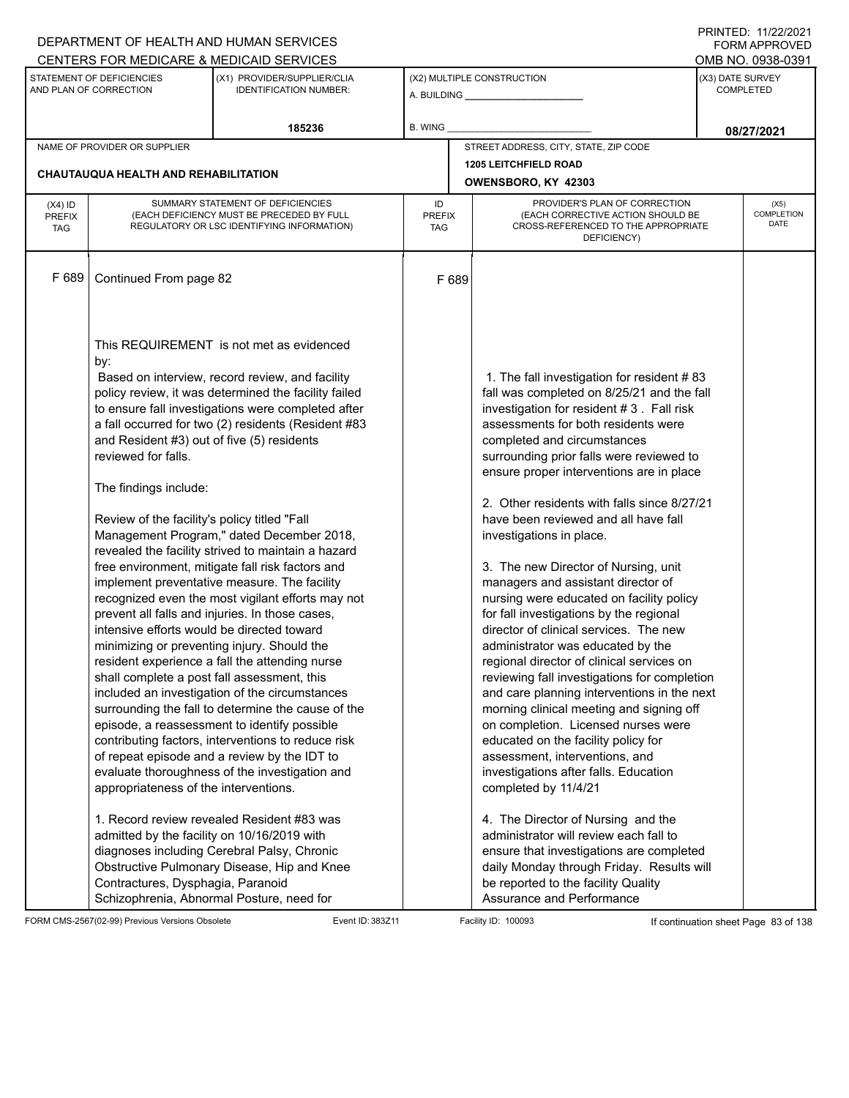|                                   |                                                                                           | DEPARTMENT OF HEALTH AND HUMAN SERVICES                                                                                                                                                                  |                                   |                                                                                                                                                                                                                                           | $1 \times 1 \times 1 = 1$ . $11222222$<br>FORM APPROVED |
|-----------------------------------|-------------------------------------------------------------------------------------------|----------------------------------------------------------------------------------------------------------------------------------------------------------------------------------------------------------|-----------------------------------|-------------------------------------------------------------------------------------------------------------------------------------------------------------------------------------------------------------------------------------------|---------------------------------------------------------|
|                                   |                                                                                           | CENTERS FOR MEDICARE & MEDICAID SERVICES                                                                                                                                                                 |                                   |                                                                                                                                                                                                                                           | OMB NO. 0938-0391                                       |
|                                   | STATEMENT OF DEFICIENCIES<br>AND PLAN OF CORRECTION                                       | (X1) PROVIDER/SUPPLIER/CLIA<br><b>IDENTIFICATION NUMBER:</b>                                                                                                                                             |                                   | (X2) MULTIPLE CONSTRUCTION                                                                                                                                                                                                                | (X3) DATE SURVEY<br><b>COMPLETED</b>                    |
|                                   |                                                                                           | 185236                                                                                                                                                                                                   | B. WING                           |                                                                                                                                                                                                                                           | 08/27/2021                                              |
|                                   | NAME OF PROVIDER OR SUPPLIER                                                              |                                                                                                                                                                                                          |                                   | STREET ADDRESS, CITY, STATE, ZIP CODE                                                                                                                                                                                                     |                                                         |
|                                   |                                                                                           |                                                                                                                                                                                                          |                                   | <b>1205 LEITCHFIELD ROAD</b>                                                                                                                                                                                                              |                                                         |
|                                   | <b>CHAUTAUQUA HEALTH AND REHABILITATION</b>                                               |                                                                                                                                                                                                          |                                   | OWENSBORO, KY 42303                                                                                                                                                                                                                       |                                                         |
| $(X4)$ ID<br>PREFIX<br><b>TAG</b> |                                                                                           | SUMMARY STATEMENT OF DEFICIENCIES<br>(EACH DEFICIENCY MUST BE PRECEDED BY FULL<br>REGULATORY OR LSC IDENTIFYING INFORMATION)                                                                             | ID<br><b>PREFIX</b><br><b>TAG</b> | PROVIDER'S PLAN OF CORRECTION<br>(EACH CORRECTIVE ACTION SHOULD BE<br>CROSS-REFERENCED TO THE APPROPRIATE<br>DEFICIENCY)                                                                                                                  | (X5)<br><b>COMPLETION</b><br>DATE                       |
| F 689                             | Continued From page 82                                                                    |                                                                                                                                                                                                          | F 689                             |                                                                                                                                                                                                                                           |                                                         |
|                                   | by:                                                                                       | This REQUIREMENT is not met as evidenced<br>Based on interview, record review, and facility<br>policy review, it was determined the facility failed                                                      |                                   | 1. The fall investigation for resident #83<br>fall was completed on 8/25/21 and the fall                                                                                                                                                  |                                                         |
|                                   | and Resident #3) out of five (5) residents<br>reviewed for falls.                         | to ensure fall investigations were completed after<br>a fall occurred for two (2) residents (Resident #83                                                                                                |                                   | investigation for resident #3. Fall risk<br>assessments for both residents were<br>completed and circumstances<br>surrounding prior falls were reviewed to<br>ensure proper interventions are in place                                    |                                                         |
|                                   | The findings include:                                                                     |                                                                                                                                                                                                          |                                   | 2. Other residents with falls since 8/27/21                                                                                                                                                                                               |                                                         |
|                                   | Review of the facility's policy titled "Fall                                              | Management Program," dated December 2018,<br>revealed the facility strived to maintain a hazard                                                                                                          |                                   | have been reviewed and all have fall<br>investigations in place.                                                                                                                                                                          |                                                         |
|                                   |                                                                                           | free environment, mitigate fall risk factors and<br>implement preventative measure. The facility<br>recognized even the most vigilant efforts may not<br>prevent all falls and injuries. In those cases, |                                   | 3. The new Director of Nursing, unit<br>managers and assistant director of<br>nursing were educated on facility policy<br>for fall investigations by the regional                                                                         |                                                         |
|                                   | intensive efforts would be directed toward<br>minimizing or preventing injury. Should the | resident experience a fall the attending nurse                                                                                                                                                           |                                   | director of clinical services. The new<br>administrator was educated by the<br>regional director of clinical services on                                                                                                                  |                                                         |
|                                   | shall complete a post fall assessment, this                                               | included an investigation of the circumstances<br>surrounding the fall to determine the cause of the                                                                                                     |                                   | reviewing fall investigations for completion<br>and care planning interventions in the next<br>morning clinical meeting and signing off                                                                                                   |                                                         |
|                                   |                                                                                           | episode, a reassessment to identify possible<br>contributing factors, interventions to reduce risk<br>of repeat episode and a review by the IDT to                                                       |                                   | on completion. Licensed nurses were<br>educated on the facility policy for<br>assessment, interventions, and                                                                                                                              |                                                         |
|                                   | appropriateness of the interventions.                                                     | evaluate thoroughness of the investigation and                                                                                                                                                           |                                   | investigations after falls. Education<br>completed by 11/4/21                                                                                                                                                                             |                                                         |
|                                   | admitted by the facility on 10/16/2019 with<br>Contractures, Dysphagia, Paranoid          | 1. Record review revealed Resident #83 was<br>diagnoses including Cerebral Palsy, Chronic<br>Obstructive Pulmonary Disease, Hip and Knee<br>Schizophrenia, Abnormal Posture, need for                    |                                   | 4. The Director of Nursing and the<br>administrator will review each fall to<br>ensure that investigations are completed<br>daily Monday through Friday. Results will<br>be reported to the facility Quality<br>Assurance and Performance |                                                         |

FORM CMS-2567(02-99) Previous Versions Obsolete Event ID: 383Z11 Event ID: 383Z11 Facility ID: 100093 If continuation sheet Page 83 of 138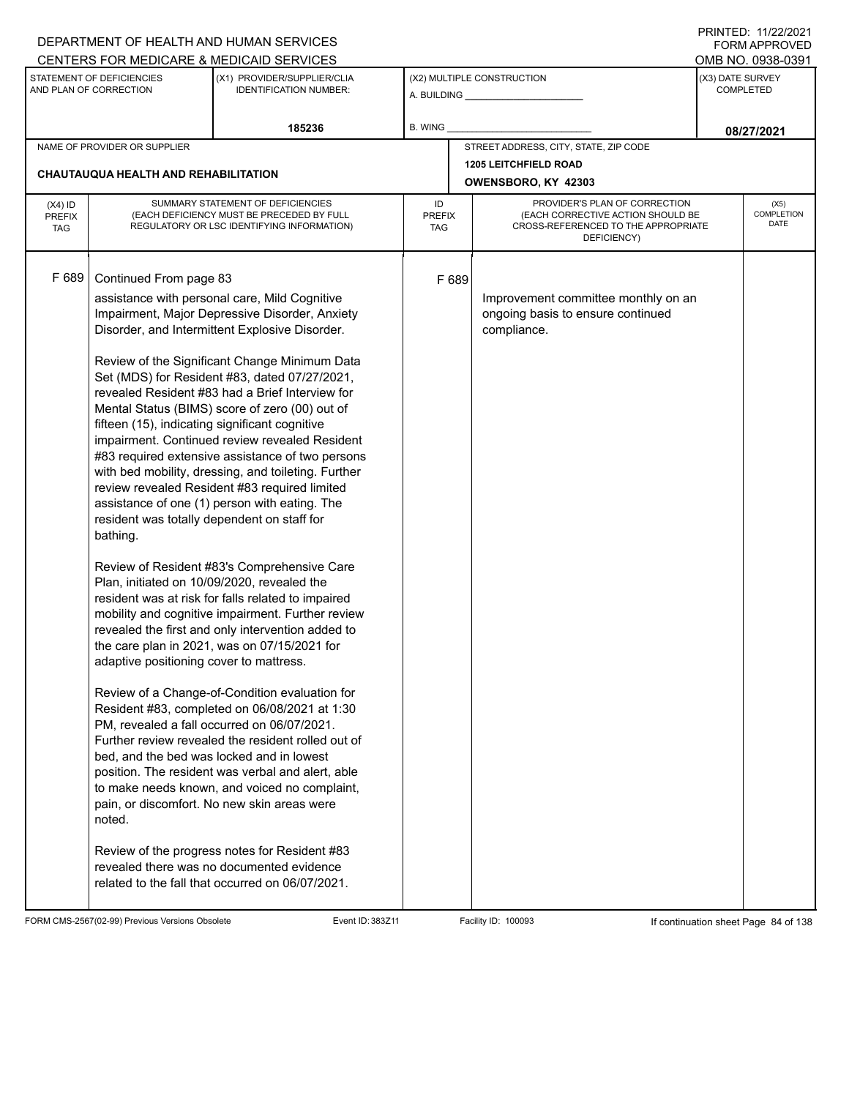|                                          |                                                                                                                                                                                                                                         | DEPARTMENT OF HEALTH AND HUMAN SERVICES                                                                                                                                                                                                                                                                                                                                                                                                                                                                                                                                                                                                                                                                                                                                                                                                                                                                                                                                                                                                                                                                                                                                                                                                                                                                                                                                                        |                            |                                                                                                                          |                  | <b>FORM APPROVED</b>              |
|------------------------------------------|-----------------------------------------------------------------------------------------------------------------------------------------------------------------------------------------------------------------------------------------|------------------------------------------------------------------------------------------------------------------------------------------------------------------------------------------------------------------------------------------------------------------------------------------------------------------------------------------------------------------------------------------------------------------------------------------------------------------------------------------------------------------------------------------------------------------------------------------------------------------------------------------------------------------------------------------------------------------------------------------------------------------------------------------------------------------------------------------------------------------------------------------------------------------------------------------------------------------------------------------------------------------------------------------------------------------------------------------------------------------------------------------------------------------------------------------------------------------------------------------------------------------------------------------------------------------------------------------------------------------------------------------------|----------------------------|--------------------------------------------------------------------------------------------------------------------------|------------------|-----------------------------------|
|                                          |                                                                                                                                                                                                                                         | CENTERS FOR MEDICARE & MEDICAID SERVICES                                                                                                                                                                                                                                                                                                                                                                                                                                                                                                                                                                                                                                                                                                                                                                                                                                                                                                                                                                                                                                                                                                                                                                                                                                                                                                                                                       |                            |                                                                                                                          |                  | OMB NO. 0938-0391                 |
|                                          | STATEMENT OF DEFICIENCIES<br>AND PLAN OF CORRECTION                                                                                                                                                                                     | (X1) PROVIDER/SUPPLIER/CLIA<br><b>IDENTIFICATION NUMBER:</b>                                                                                                                                                                                                                                                                                                                                                                                                                                                                                                                                                                                                                                                                                                                                                                                                                                                                                                                                                                                                                                                                                                                                                                                                                                                                                                                                   |                            | (X2) MULTIPLE CONSTRUCTION                                                                                               | (X3) DATE SURVEY | <b>COMPLETED</b>                  |
|                                          |                                                                                                                                                                                                                                         | 185236                                                                                                                                                                                                                                                                                                                                                                                                                                                                                                                                                                                                                                                                                                                                                                                                                                                                                                                                                                                                                                                                                                                                                                                                                                                                                                                                                                                         | <b>B. WING</b>             |                                                                                                                          |                  | 08/27/2021                        |
|                                          | NAME OF PROVIDER OR SUPPLIER                                                                                                                                                                                                            |                                                                                                                                                                                                                                                                                                                                                                                                                                                                                                                                                                                                                                                                                                                                                                                                                                                                                                                                                                                                                                                                                                                                                                                                                                                                                                                                                                                                |                            | STREET ADDRESS, CITY, STATE, ZIP CODE                                                                                    |                  |                                   |
|                                          | <b>CHAUTAUQUA HEALTH AND REHABILITATION</b>                                                                                                                                                                                             |                                                                                                                                                                                                                                                                                                                                                                                                                                                                                                                                                                                                                                                                                                                                                                                                                                                                                                                                                                                                                                                                                                                                                                                                                                                                                                                                                                                                |                            | <b>1205 LEITCHFIELD ROAD</b>                                                                                             |                  |                                   |
|                                          |                                                                                                                                                                                                                                         |                                                                                                                                                                                                                                                                                                                                                                                                                                                                                                                                                                                                                                                                                                                                                                                                                                                                                                                                                                                                                                                                                                                                                                                                                                                                                                                                                                                                |                            | OWENSBORO, KY 42303                                                                                                      |                  |                                   |
| $(X4)$ ID<br><b>PREFIX</b><br><b>TAG</b> |                                                                                                                                                                                                                                         | SUMMARY STATEMENT OF DEFICIENCIES<br>(EACH DEFICIENCY MUST BE PRECEDED BY FULL<br>REGULATORY OR LSC IDENTIFYING INFORMATION)                                                                                                                                                                                                                                                                                                                                                                                                                                                                                                                                                                                                                                                                                                                                                                                                                                                                                                                                                                                                                                                                                                                                                                                                                                                                   | ID<br><b>PREFIX</b><br>TAG | PROVIDER'S PLAN OF CORRECTION<br>(EACH CORRECTIVE ACTION SHOULD BE<br>CROSS-REFERENCED TO THE APPROPRIATE<br>DEFICIENCY) |                  | (X5)<br><b>COMPLETION</b><br>DATE |
| F 689                                    | Continued From page 83<br>fifteen (15), indicating significant cognitive<br>resident was totally dependent on staff for<br>bathing.<br>Plan, initiated on 10/09/2020, revealed the<br>adaptive positioning cover to mattress.<br>noted. | assistance with personal care, Mild Cognitive<br>Impairment, Major Depressive Disorder, Anxiety<br>Disorder, and Intermittent Explosive Disorder.<br>Review of the Significant Change Minimum Data<br>Set (MDS) for Resident #83, dated 07/27/2021,<br>revealed Resident #83 had a Brief Interview for<br>Mental Status (BIMS) score of zero (00) out of<br>impairment. Continued review revealed Resident<br>#83 required extensive assistance of two persons<br>with bed mobility, dressing, and toileting. Further<br>review revealed Resident #83 required limited<br>assistance of one (1) person with eating. The<br>Review of Resident #83's Comprehensive Care<br>resident was at risk for falls related to impaired<br>mobility and cognitive impairment. Further review<br>revealed the first and only intervention added to<br>the care plan in 2021, was on 07/15/2021 for<br>Review of a Change-of-Condition evaluation for<br>Resident #83, completed on 06/08/2021 at 1:30<br>PM, revealed a fall occurred on 06/07/2021.<br>Further review revealed the resident rolled out of<br>bed, and the bed was locked and in lowest<br>position. The resident was verbal and alert, able<br>to make needs known, and voiced no complaint,<br>pain, or discomfort. No new skin areas were<br>Review of the progress notes for Resident #83<br>revealed there was no documented evidence | F 689                      | Improvement committee monthly on an<br>ongoing basis to ensure continued<br>compliance.                                  |                  |                                   |
|                                          |                                                                                                                                                                                                                                         | related to the fall that occurred on 06/07/2021.                                                                                                                                                                                                                                                                                                                                                                                                                                                                                                                                                                                                                                                                                                                                                                                                                                                                                                                                                                                                                                                                                                                                                                                                                                                                                                                                               |                            |                                                                                                                          |                  |                                   |

FORM CMS-2567(02-99) Previous Versions Obsolete Event ID: 383Z11 Event ID: 383Z11 Facility ID: 100093 If continuation sheet Page 84 of 138

DEPARTMENT OF HEALTH AND HUMAN SERVICES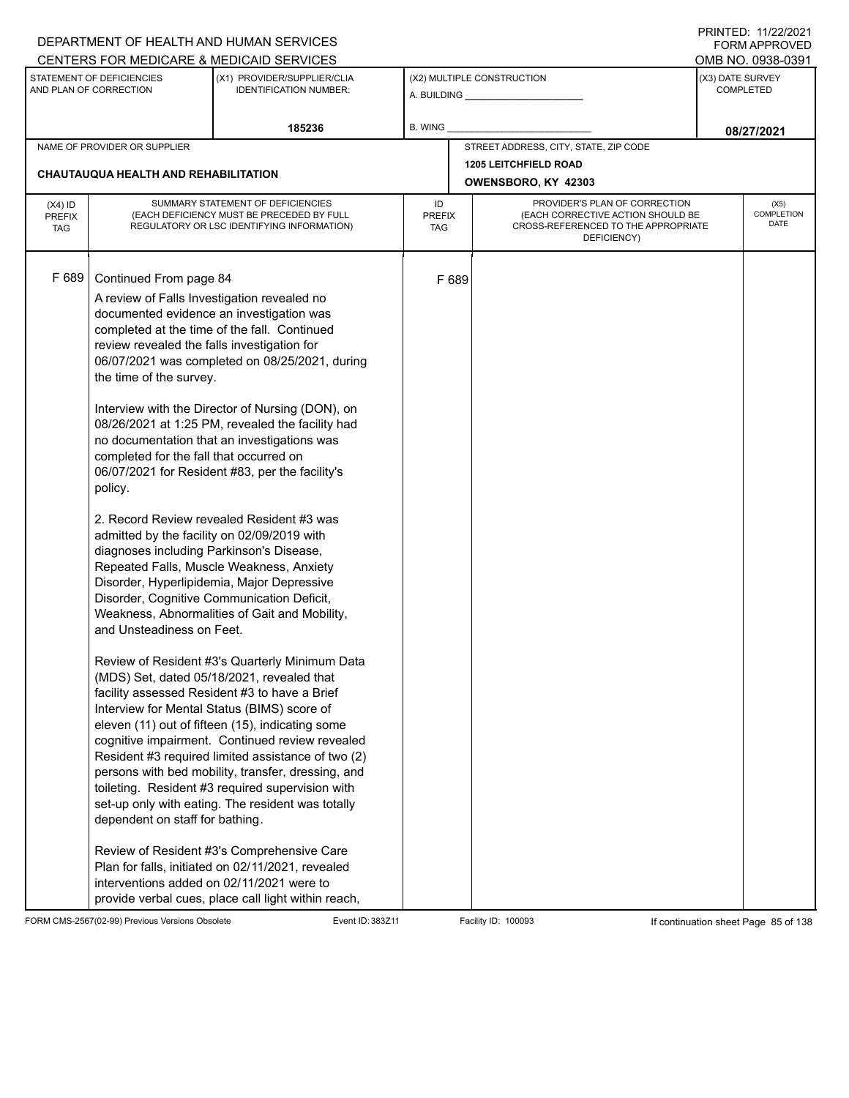|                                          |                                                                                                                                                                                                                                                                                                                                                                  | DEPARTMENT OF HEALTH AND HUMAN SERVICES                                                                                                                                                                                                                                                                                                                                                                                                                                                                                                                                                                                                                                                                                                                                                                                                                                                                                                                                                                                                                                                                                                                                                                                   |                            |                                                                                                                          |                                      | I INITILD. III <i>LLIL</i> VLI<br><b>FORM APPROVED</b> |
|------------------------------------------|------------------------------------------------------------------------------------------------------------------------------------------------------------------------------------------------------------------------------------------------------------------------------------------------------------------------------------------------------------------|---------------------------------------------------------------------------------------------------------------------------------------------------------------------------------------------------------------------------------------------------------------------------------------------------------------------------------------------------------------------------------------------------------------------------------------------------------------------------------------------------------------------------------------------------------------------------------------------------------------------------------------------------------------------------------------------------------------------------------------------------------------------------------------------------------------------------------------------------------------------------------------------------------------------------------------------------------------------------------------------------------------------------------------------------------------------------------------------------------------------------------------------------------------------------------------------------------------------------|----------------------------|--------------------------------------------------------------------------------------------------------------------------|--------------------------------------|--------------------------------------------------------|
|                                          |                                                                                                                                                                                                                                                                                                                                                                  | CENTERS FOR MEDICARE & MEDICAID SERVICES                                                                                                                                                                                                                                                                                                                                                                                                                                                                                                                                                                                                                                                                                                                                                                                                                                                                                                                                                                                                                                                                                                                                                                                  |                            |                                                                                                                          |                                      | OMB NO. 0938-0391                                      |
|                                          | STATEMENT OF DEFICIENCIES<br>AND PLAN OF CORRECTION                                                                                                                                                                                                                                                                                                              | (X1) PROVIDER/SUPPLIER/CLIA<br><b>IDENTIFICATION NUMBER:</b>                                                                                                                                                                                                                                                                                                                                                                                                                                                                                                                                                                                                                                                                                                                                                                                                                                                                                                                                                                                                                                                                                                                                                              |                            | (X2) MULTIPLE CONSTRUCTION                                                                                               | (X3) DATE SURVEY<br><b>COMPLETED</b> |                                                        |
|                                          |                                                                                                                                                                                                                                                                                                                                                                  | 185236                                                                                                                                                                                                                                                                                                                                                                                                                                                                                                                                                                                                                                                                                                                                                                                                                                                                                                                                                                                                                                                                                                                                                                                                                    | <b>B. WING</b>             |                                                                                                                          |                                      | 08/27/2021                                             |
|                                          | NAME OF PROVIDER OR SUPPLIER                                                                                                                                                                                                                                                                                                                                     |                                                                                                                                                                                                                                                                                                                                                                                                                                                                                                                                                                                                                                                                                                                                                                                                                                                                                                                                                                                                                                                                                                                                                                                                                           |                            | STREET ADDRESS, CITY, STATE, ZIP CODE                                                                                    |                                      |                                                        |
|                                          | <b>CHAUTAUQUA HEALTH AND REHABILITATION</b>                                                                                                                                                                                                                                                                                                                      |                                                                                                                                                                                                                                                                                                                                                                                                                                                                                                                                                                                                                                                                                                                                                                                                                                                                                                                                                                                                                                                                                                                                                                                                                           |                            | <b>1205 LEITCHFIELD ROAD</b>                                                                                             |                                      |                                                        |
|                                          |                                                                                                                                                                                                                                                                                                                                                                  |                                                                                                                                                                                                                                                                                                                                                                                                                                                                                                                                                                                                                                                                                                                                                                                                                                                                                                                                                                                                                                                                                                                                                                                                                           |                            | OWENSBORO, KY 42303                                                                                                      |                                      |                                                        |
| $(X4)$ ID<br><b>PREFIX</b><br><b>TAG</b> |                                                                                                                                                                                                                                                                                                                                                                  | SUMMARY STATEMENT OF DEFICIENCIES<br>(EACH DEFICIENCY MUST BE PRECEDED BY FULL<br>REGULATORY OR LSC IDENTIFYING INFORMATION)                                                                                                                                                                                                                                                                                                                                                                                                                                                                                                                                                                                                                                                                                                                                                                                                                                                                                                                                                                                                                                                                                              | ID<br><b>PREFIX</b><br>TAG | PROVIDER'S PLAN OF CORRECTION<br>(EACH CORRECTIVE ACTION SHOULD BE<br>CROSS-REFERENCED TO THE APPROPRIATE<br>DEFICIENCY) |                                      | (X5)<br>COMPLETION<br><b>DATE</b>                      |
| F 689                                    | Continued From page 84<br>A review of Falls Investigation revealed no<br>review revealed the falls investigation for<br>the time of the survey.<br>completed for the fall that occurred on<br>policy.<br>admitted by the facility on 02/09/2019 with<br>diagnoses including Parkinson's Disease,<br>and Unsteadiness on Feet.<br>dependent on staff for bathing. | documented evidence an investigation was<br>completed at the time of the fall. Continued<br>06/07/2021 was completed on 08/25/2021, during<br>Interview with the Director of Nursing (DON), on<br>08/26/2021 at 1:25 PM, revealed the facility had<br>no documentation that an investigations was<br>06/07/2021 for Resident #83, per the facility's<br>2. Record Review revealed Resident #3 was<br>Repeated Falls, Muscle Weakness, Anxiety<br>Disorder, Hyperlipidemia, Major Depressive<br>Disorder, Cognitive Communication Deficit,<br>Weakness, Abnormalities of Gait and Mobility,<br>Review of Resident #3's Quarterly Minimum Data<br>(MDS) Set, dated 05/18/2021, revealed that<br>facility assessed Resident #3 to have a Brief<br>Interview for Mental Status (BIMS) score of<br>eleven (11) out of fifteen (15), indicating some<br>cognitive impairment. Continued review revealed<br>Resident #3 required limited assistance of two (2)<br>persons with bed mobility, transfer, dressing, and<br>toileting. Resident #3 required supervision with<br>set-up only with eating. The resident was totally<br>Review of Resident #3's Comprehensive Care<br>Plan for falls, initiated on 02/11/2021, revealed | F 689                      |                                                                                                                          |                                      |                                                        |
|                                          | interventions added on 02/11/2021 were to                                                                                                                                                                                                                                                                                                                        | provide verbal cues, place call light within reach,                                                                                                                                                                                                                                                                                                                                                                                                                                                                                                                                                                                                                                                                                                                                                                                                                                                                                                                                                                                                                                                                                                                                                                       |                            |                                                                                                                          |                                      |                                                        |

FORM CMS-2567(02-99) Previous Versions Obsolete Event ID: 383Z11 Event ID: 383Z11 Facility ID: 100093 If continuation sheet Page 85 of 138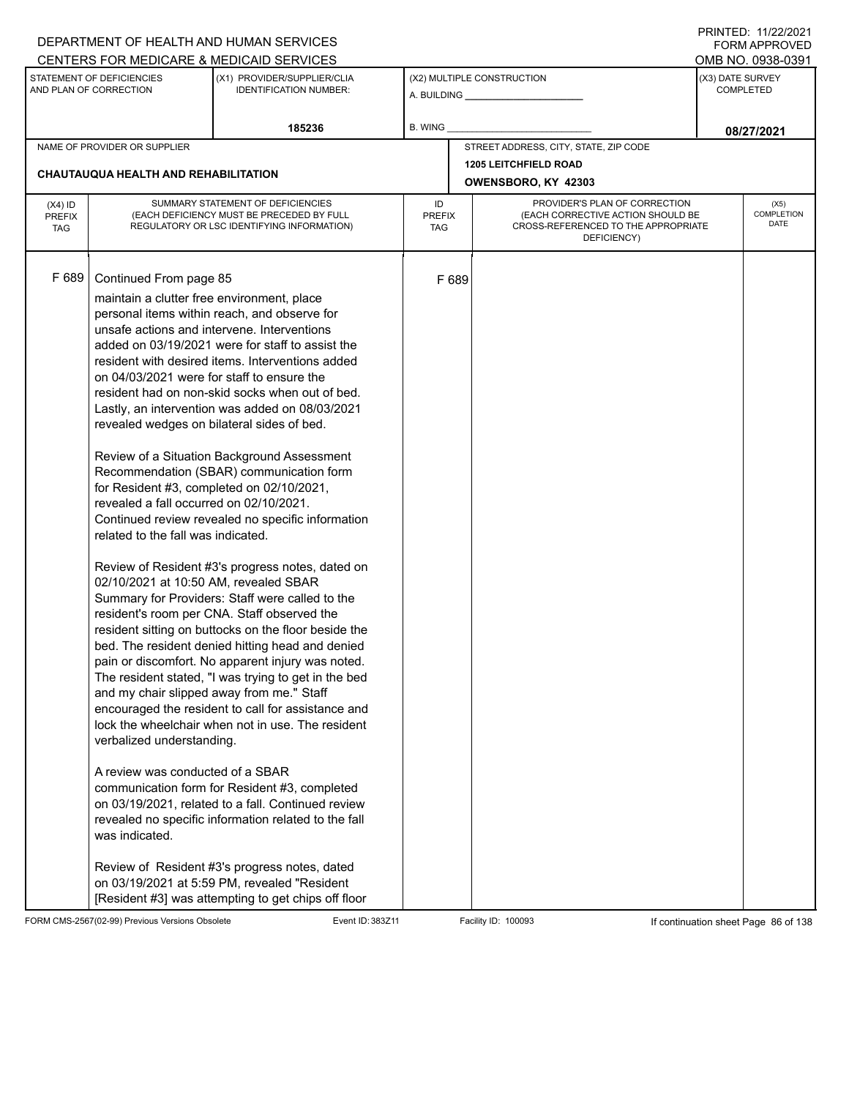|                                   |                                                                                                                                                                                                                                                                                                                                                                                                                                                                         | DEPARTMENT OF HEALTH AND HUMAN SERVICES                                                                                                                                                                                                                                                                                                                                                                                                                                                                                                                                                                                                                                                                                                                                                                                                                                                                                                                                                                                                                                                                                                                                                                                                                                    |                                   |       |                                                                                                                          |                  | FORM APPROVED                     |
|-----------------------------------|-------------------------------------------------------------------------------------------------------------------------------------------------------------------------------------------------------------------------------------------------------------------------------------------------------------------------------------------------------------------------------------------------------------------------------------------------------------------------|----------------------------------------------------------------------------------------------------------------------------------------------------------------------------------------------------------------------------------------------------------------------------------------------------------------------------------------------------------------------------------------------------------------------------------------------------------------------------------------------------------------------------------------------------------------------------------------------------------------------------------------------------------------------------------------------------------------------------------------------------------------------------------------------------------------------------------------------------------------------------------------------------------------------------------------------------------------------------------------------------------------------------------------------------------------------------------------------------------------------------------------------------------------------------------------------------------------------------------------------------------------------------|-----------------------------------|-------|--------------------------------------------------------------------------------------------------------------------------|------------------|-----------------------------------|
|                                   |                                                                                                                                                                                                                                                                                                                                                                                                                                                                         | CENTERS FOR MEDICARE & MEDICAID SERVICES                                                                                                                                                                                                                                                                                                                                                                                                                                                                                                                                                                                                                                                                                                                                                                                                                                                                                                                                                                                                                                                                                                                                                                                                                                   |                                   |       |                                                                                                                          |                  | OMB NO. 0938-0391                 |
|                                   | STATEMENT OF DEFICIENCIES<br>AND PLAN OF CORRECTION                                                                                                                                                                                                                                                                                                                                                                                                                     | (X1) PROVIDER/SUPPLIER/CLIA<br><b>IDENTIFICATION NUMBER:</b>                                                                                                                                                                                                                                                                                                                                                                                                                                                                                                                                                                                                                                                                                                                                                                                                                                                                                                                                                                                                                                                                                                                                                                                                               |                                   |       | (X2) MULTIPLE CONSTRUCTION<br>A. BUILDING <b>A.</b> BUILDING                                                             | (X3) DATE SURVEY | <b>COMPLETED</b>                  |
|                                   |                                                                                                                                                                                                                                                                                                                                                                                                                                                                         | 185236                                                                                                                                                                                                                                                                                                                                                                                                                                                                                                                                                                                                                                                                                                                                                                                                                                                                                                                                                                                                                                                                                                                                                                                                                                                                     | <b>B. WING</b>                    |       |                                                                                                                          |                  | 08/27/2021                        |
|                                   | NAME OF PROVIDER OR SUPPLIER                                                                                                                                                                                                                                                                                                                                                                                                                                            |                                                                                                                                                                                                                                                                                                                                                                                                                                                                                                                                                                                                                                                                                                                                                                                                                                                                                                                                                                                                                                                                                                                                                                                                                                                                            |                                   |       | STREET ADDRESS, CITY, STATE, ZIP CODE                                                                                    |                  |                                   |
|                                   | CHAUTAUQUA HEALTH AND REHABILITATION                                                                                                                                                                                                                                                                                                                                                                                                                                    |                                                                                                                                                                                                                                                                                                                                                                                                                                                                                                                                                                                                                                                                                                                                                                                                                                                                                                                                                                                                                                                                                                                                                                                                                                                                            |                                   |       | <b>1205 LEITCHFIELD ROAD</b><br>OWENSBORO, KY 42303                                                                      |                  |                                   |
| $(X4)$ ID<br>PREFIX<br><b>TAG</b> |                                                                                                                                                                                                                                                                                                                                                                                                                                                                         | SUMMARY STATEMENT OF DEFICIENCIES<br>(EACH DEFICIENCY MUST BE PRECEDED BY FULL<br>REGULATORY OR LSC IDENTIFYING INFORMATION)                                                                                                                                                                                                                                                                                                                                                                                                                                                                                                                                                                                                                                                                                                                                                                                                                                                                                                                                                                                                                                                                                                                                               | ID<br><b>PREFIX</b><br><b>TAG</b> |       | PROVIDER'S PLAN OF CORRECTION<br>(EACH CORRECTIVE ACTION SHOULD BE<br>CROSS-REFERENCED TO THE APPROPRIATE<br>DEFICIENCY) |                  | (X5)<br>COMPLETION<br><b>DATE</b> |
| F 689                             | Continued From page 85<br>maintain a clutter free environment, place<br>on 04/03/2021 were for staff to ensure the<br>revealed wedges on bilateral sides of bed.<br>for Resident #3, completed on 02/10/2021,<br>revealed a fall occurred on 02/10/2021.<br>related to the fall was indicated.<br>02/10/2021 at 10:50 AM, revealed SBAR<br>and my chair slipped away from me." Staff<br>verbalized understanding.<br>A review was conducted of a SBAR<br>was indicated. | personal items within reach, and observe for<br>unsafe actions and intervene. Interventions<br>added on 03/19/2021 were for staff to assist the<br>resident with desired items. Interventions added<br>resident had on non-skid socks when out of bed.<br>Lastly, an intervention was added on 08/03/2021<br>Review of a Situation Background Assessment<br>Recommendation (SBAR) communication form<br>Continued review revealed no specific information<br>Review of Resident #3's progress notes, dated on<br>Summary for Providers: Staff were called to the<br>resident's room per CNA. Staff observed the<br>resident sitting on buttocks on the floor beside the<br>bed. The resident denied hitting head and denied<br>pain or discomfort. No apparent injury was noted.<br>The resident stated, "I was trying to get in the bed<br>encouraged the resident to call for assistance and<br>lock the wheelchair when not in use. The resident<br>communication form for Resident #3, completed<br>on 03/19/2021, related to a fall. Continued review<br>revealed no specific information related to the fall<br>Review of Resident #3's progress notes, dated<br>on 03/19/2021 at 5:59 PM, revealed "Resident<br>[Resident #3] was attempting to get chips off floor |                                   | F 689 |                                                                                                                          |                  |                                   |

FORM CMS-2567(02-99) Previous Versions Obsolete Event ID: 383Z11 Facility ID: 100093 If continuation sheet Page 86 of 138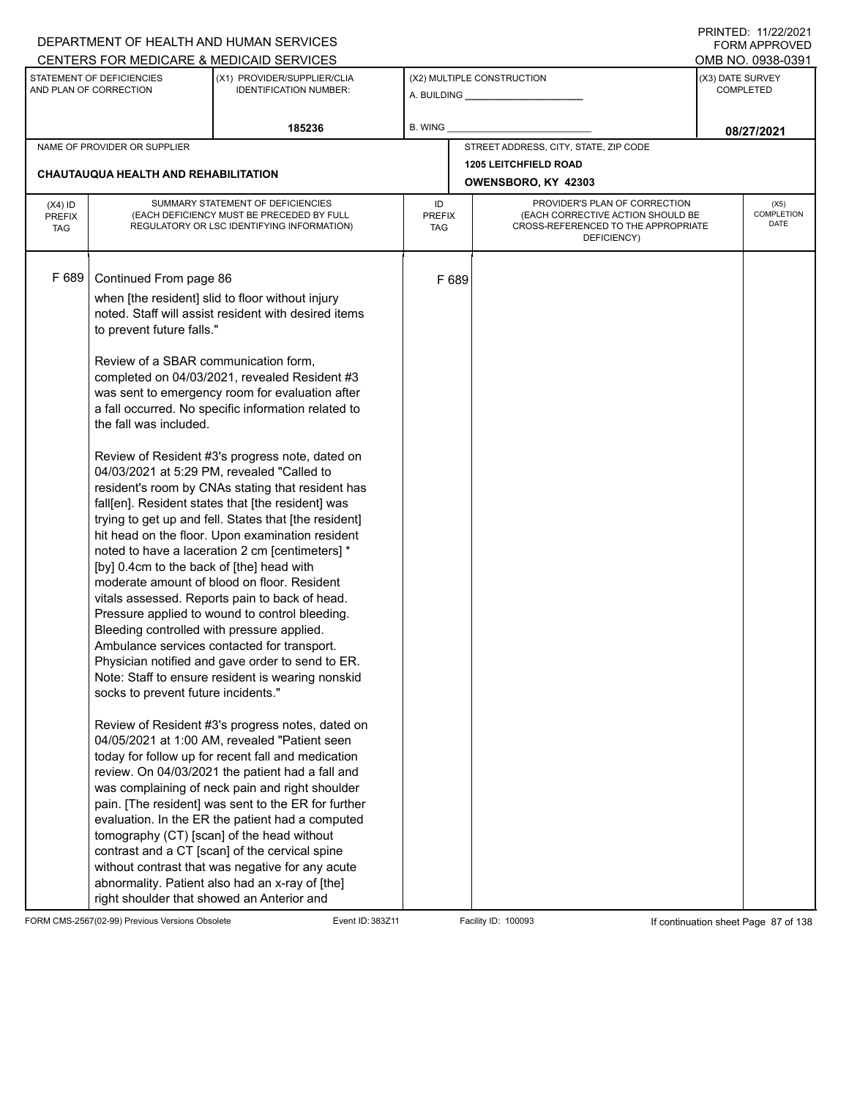| CENTERS FOR MEDICARE & MEDICAID SERVICES<br>STATEMENT OF DEFICIENCIES<br>(X2) MULTIPLE CONSTRUCTION<br>(X1) PROVIDER/SUPPLIER/CLIA<br>AND PLAN OF CORRECTION<br><b>IDENTIFICATION NUMBER:</b>                                                                                                                                                                                                                                                                                                                                                                                                                                                                                                                                                                                                                                                                                                                                                                                                                                                                                                                                                                                                                                                                                                                                                                                                                                                                                                                                                                                                                                                                                                                                                                                                                                                                            | OMB NO. 0938-0391<br>(X3) DATE SURVEY<br><b>COMPLETED</b> |
|--------------------------------------------------------------------------------------------------------------------------------------------------------------------------------------------------------------------------------------------------------------------------------------------------------------------------------------------------------------------------------------------------------------------------------------------------------------------------------------------------------------------------------------------------------------------------------------------------------------------------------------------------------------------------------------------------------------------------------------------------------------------------------------------------------------------------------------------------------------------------------------------------------------------------------------------------------------------------------------------------------------------------------------------------------------------------------------------------------------------------------------------------------------------------------------------------------------------------------------------------------------------------------------------------------------------------------------------------------------------------------------------------------------------------------------------------------------------------------------------------------------------------------------------------------------------------------------------------------------------------------------------------------------------------------------------------------------------------------------------------------------------------------------------------------------------------------------------------------------------------|-----------------------------------------------------------|
|                                                                                                                                                                                                                                                                                                                                                                                                                                                                                                                                                                                                                                                                                                                                                                                                                                                                                                                                                                                                                                                                                                                                                                                                                                                                                                                                                                                                                                                                                                                                                                                                                                                                                                                                                                                                                                                                          |                                                           |
|                                                                                                                                                                                                                                                                                                                                                                                                                                                                                                                                                                                                                                                                                                                                                                                                                                                                                                                                                                                                                                                                                                                                                                                                                                                                                                                                                                                                                                                                                                                                                                                                                                                                                                                                                                                                                                                                          |                                                           |
| 185236<br><b>B. WING</b>                                                                                                                                                                                                                                                                                                                                                                                                                                                                                                                                                                                                                                                                                                                                                                                                                                                                                                                                                                                                                                                                                                                                                                                                                                                                                                                                                                                                                                                                                                                                                                                                                                                                                                                                                                                                                                                 | 08/27/2021                                                |
| STREET ADDRESS, CITY, STATE, ZIP CODE<br>NAME OF PROVIDER OR SUPPLIER                                                                                                                                                                                                                                                                                                                                                                                                                                                                                                                                                                                                                                                                                                                                                                                                                                                                                                                                                                                                                                                                                                                                                                                                                                                                                                                                                                                                                                                                                                                                                                                                                                                                                                                                                                                                    |                                                           |
| <b>1205 LEITCHFIELD ROAD</b>                                                                                                                                                                                                                                                                                                                                                                                                                                                                                                                                                                                                                                                                                                                                                                                                                                                                                                                                                                                                                                                                                                                                                                                                                                                                                                                                                                                                                                                                                                                                                                                                                                                                                                                                                                                                                                             |                                                           |
| CHAUTAUQUA HEALTH AND REHABILITATION<br>OWENSBORO, KY 42303                                                                                                                                                                                                                                                                                                                                                                                                                                                                                                                                                                                                                                                                                                                                                                                                                                                                                                                                                                                                                                                                                                                                                                                                                                                                                                                                                                                                                                                                                                                                                                                                                                                                                                                                                                                                              |                                                           |
| SUMMARY STATEMENT OF DEFICIENCIES<br>PROVIDER'S PLAN OF CORRECTION<br>ID<br>$(X4)$ ID<br>(EACH DEFICIENCY MUST BE PRECEDED BY FULL<br>(EACH CORRECTIVE ACTION SHOULD BE<br><b>PREFIX</b><br><b>PREFIX</b><br>CROSS-REFERENCED TO THE APPROPRIATE<br>REGULATORY OR LSC IDENTIFYING INFORMATION)<br><b>TAG</b><br>TAG<br>DEFICIENCY)                                                                                                                                                                                                                                                                                                                                                                                                                                                                                                                                                                                                                                                                                                                                                                                                                                                                                                                                                                                                                                                                                                                                                                                                                                                                                                                                                                                                                                                                                                                                       | (X5)<br>COMPLETION<br><b>DATE</b>                         |
| F 689<br>Continued From page 86<br>F 689<br>when [the resident] slid to floor without injury<br>noted. Staff will assist resident with desired items<br>to prevent future falls."<br>Review of a SBAR communication form,<br>completed on 04/03/2021, revealed Resident #3<br>was sent to emergency room for evaluation after<br>a fall occurred. No specific information related to<br>the fall was included.<br>Review of Resident #3's progress note, dated on<br>04/03/2021 at 5:29 PM, revealed "Called to<br>resident's room by CNAs stating that resident has<br>fall[en]. Resident states that [the resident] was<br>trying to get up and fell. States that [the resident]<br>hit head on the floor. Upon examination resident<br>noted to have a laceration 2 cm [centimeters] *<br>[by] 0.4cm to the back of [the] head with<br>moderate amount of blood on floor. Resident<br>vitals assessed. Reports pain to back of head.<br>Pressure applied to wound to control bleeding.<br>Bleeding controlled with pressure applied.<br>Ambulance services contacted for transport.<br>Physician notified and gave order to send to ER.<br>Note: Staff to ensure resident is wearing nonskid<br>socks to prevent future incidents."<br>Review of Resident #3's progress notes, dated on<br>04/05/2021 at 1:00 AM, revealed "Patient seen<br>today for follow up for recent fall and medication<br>review. On 04/03/2021 the patient had a fall and<br>was complaining of neck pain and right shoulder<br>pain. [The resident] was sent to the ER for further<br>evaluation. In the ER the patient had a computed<br>tomography (CT) [scan] of the head without<br>contrast and a CT [scan] of the cervical spine<br>without contrast that was negative for any acute<br>abnormality. Patient also had an x-ray of [the]<br>right shoulder that showed an Anterior and |                                                           |

FORM CMS-2567(02-99) Previous Versions Obsolete Event ID: 383Z11 Event ID: 383Z11 Facility ID: 100093 If continuation sheet Page 87 of 138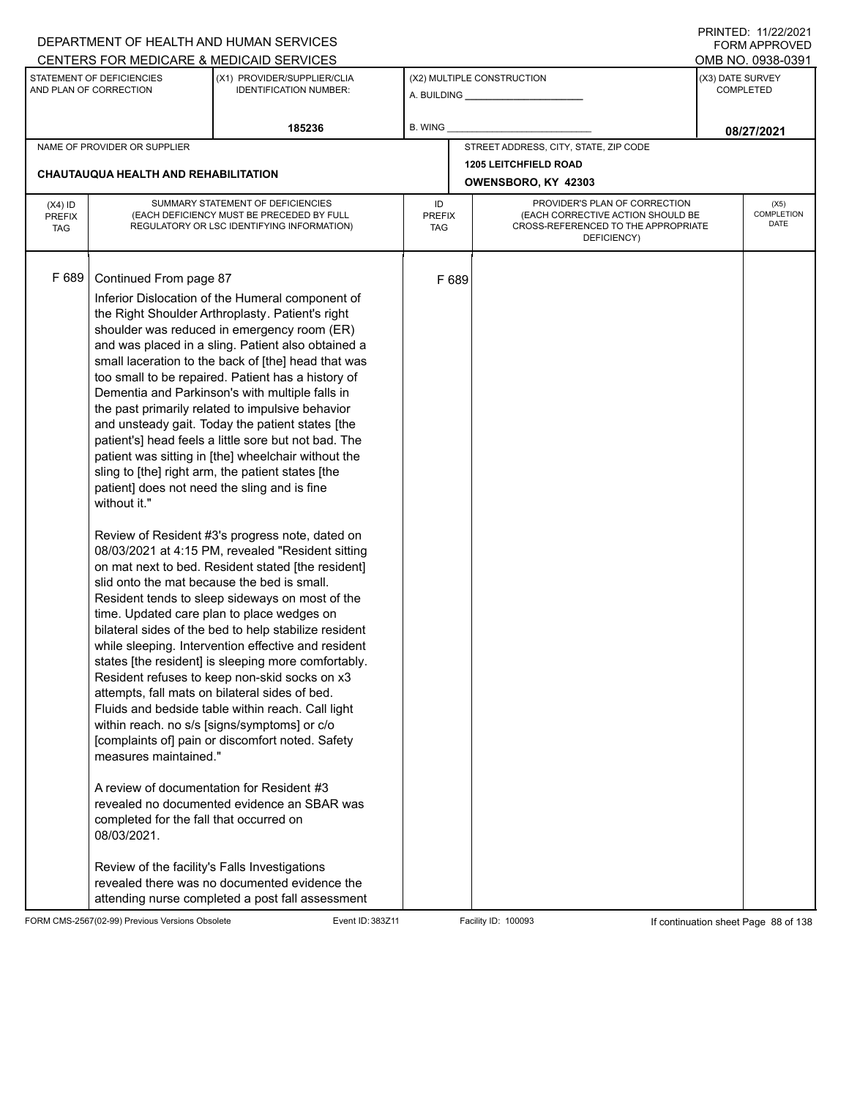|                                          |                                                                                                                                                                                                                                                                                                                        | DEPARTMENT OF HEALTH AND HUMAN SERVICES                                                                                                                                                                                                                                                                                                                                                                                                                                                                                                                                                                                                                                                                                                                                                                                                                                                                                                                                                                                                                                                                                                                                                                                                                                                                                                                                                                                                                                                                     |                            |       |                                                                                                                          |                  | 111111111122.1112212021<br><b>FORM APPROVED</b> |
|------------------------------------------|------------------------------------------------------------------------------------------------------------------------------------------------------------------------------------------------------------------------------------------------------------------------------------------------------------------------|-------------------------------------------------------------------------------------------------------------------------------------------------------------------------------------------------------------------------------------------------------------------------------------------------------------------------------------------------------------------------------------------------------------------------------------------------------------------------------------------------------------------------------------------------------------------------------------------------------------------------------------------------------------------------------------------------------------------------------------------------------------------------------------------------------------------------------------------------------------------------------------------------------------------------------------------------------------------------------------------------------------------------------------------------------------------------------------------------------------------------------------------------------------------------------------------------------------------------------------------------------------------------------------------------------------------------------------------------------------------------------------------------------------------------------------------------------------------------------------------------------------|----------------------------|-------|--------------------------------------------------------------------------------------------------------------------------|------------------|-------------------------------------------------|
|                                          |                                                                                                                                                                                                                                                                                                                        | CENTERS FOR MEDICARE & MEDICAID SERVICES                                                                                                                                                                                                                                                                                                                                                                                                                                                                                                                                                                                                                                                                                                                                                                                                                                                                                                                                                                                                                                                                                                                                                                                                                                                                                                                                                                                                                                                                    |                            |       |                                                                                                                          |                  | OMB NO. 0938-0391                               |
|                                          | STATEMENT OF DEFICIENCIES<br>AND PLAN OF CORRECTION                                                                                                                                                                                                                                                                    | (X1) PROVIDER/SUPPLIER/CLIA<br><b>IDENTIFICATION NUMBER:</b>                                                                                                                                                                                                                                                                                                                                                                                                                                                                                                                                                                                                                                                                                                                                                                                                                                                                                                                                                                                                                                                                                                                                                                                                                                                                                                                                                                                                                                                |                            |       | (X2) MULTIPLE CONSTRUCTION                                                                                               | (X3) DATE SURVEY | <b>COMPLETED</b>                                |
|                                          |                                                                                                                                                                                                                                                                                                                        | 185236                                                                                                                                                                                                                                                                                                                                                                                                                                                                                                                                                                                                                                                                                                                                                                                                                                                                                                                                                                                                                                                                                                                                                                                                                                                                                                                                                                                                                                                                                                      | <b>B. WING</b>             |       |                                                                                                                          |                  | 08/27/2021                                      |
|                                          | NAME OF PROVIDER OR SUPPLIER                                                                                                                                                                                                                                                                                           |                                                                                                                                                                                                                                                                                                                                                                                                                                                                                                                                                                                                                                                                                                                                                                                                                                                                                                                                                                                                                                                                                                                                                                                                                                                                                                                                                                                                                                                                                                             |                            |       | STREET ADDRESS, CITY, STATE, ZIP CODE                                                                                    |                  |                                                 |
|                                          | CHAUTAUQUA HEALTH AND REHABILITATION                                                                                                                                                                                                                                                                                   |                                                                                                                                                                                                                                                                                                                                                                                                                                                                                                                                                                                                                                                                                                                                                                                                                                                                                                                                                                                                                                                                                                                                                                                                                                                                                                                                                                                                                                                                                                             |                            |       | <b>1205 LEITCHFIELD ROAD</b><br>OWENSBORO, KY 42303                                                                      |                  |                                                 |
| $(X4)$ ID<br><b>PREFIX</b><br><b>TAG</b> |                                                                                                                                                                                                                                                                                                                        | SUMMARY STATEMENT OF DEFICIENCIES<br>(EACH DEFICIENCY MUST BE PRECEDED BY FULL<br>REGULATORY OR LSC IDENTIFYING INFORMATION)                                                                                                                                                                                                                                                                                                                                                                                                                                                                                                                                                                                                                                                                                                                                                                                                                                                                                                                                                                                                                                                                                                                                                                                                                                                                                                                                                                                | ID<br><b>PREFIX</b><br>TAG |       | PROVIDER'S PLAN OF CORRECTION<br>(EACH CORRECTIVE ACTION SHOULD BE<br>CROSS-REFERENCED TO THE APPROPRIATE<br>DEFICIENCY) |                  | (X5)<br><b>COMPLETION</b><br>DATE               |
| F 689                                    | Continued From page 87<br>patient] does not need the sling and is fine<br>without it."<br>slid onto the mat because the bed is small.<br>measures maintained."<br>A review of documentation for Resident #3<br>completed for the fall that occurred on<br>08/03/2021.<br>Review of the facility's Falls Investigations | Inferior Dislocation of the Humeral component of<br>the Right Shoulder Arthroplasty. Patient's right<br>shoulder was reduced in emergency room (ER)<br>and was placed in a sling. Patient also obtained a<br>small laceration to the back of [the] head that was<br>too small to be repaired. Patient has a history of<br>Dementia and Parkinson's with multiple falls in<br>the past primarily related to impulsive behavior<br>and unsteady gait. Today the patient states [the<br>patient's] head feels a little sore but not bad. The<br>patient was sitting in [the] wheelchair without the<br>sling to [the] right arm, the patient states [the<br>Review of Resident #3's progress note, dated on<br>08/03/2021 at 4:15 PM, revealed "Resident sitting<br>on mat next to bed. Resident stated [the resident]<br>Resident tends to sleep sideways on most of the<br>time. Updated care plan to place wedges on<br>bilateral sides of the bed to help stabilize resident<br>while sleeping. Intervention effective and resident<br>states [the resident] is sleeping more comfortably.<br>Resident refuses to keep non-skid socks on x3<br>attempts, fall mats on bilateral sides of bed.<br>Fluids and bedside table within reach. Call light<br>within reach. no s/s [signs/symptoms] or c/o<br>[complaints of] pain or discomfort noted. Safety<br>revealed no documented evidence an SBAR was<br>revealed there was no documented evidence the<br>attending nurse completed a post fall assessment |                            | F 689 |                                                                                                                          |                  |                                                 |

FORM CMS-2567(02-99) Previous Versions Obsolete Event ID: 383Z11 Event ID: 383Z11 Facility ID: 100093 If continuation sheet Page 88 of 138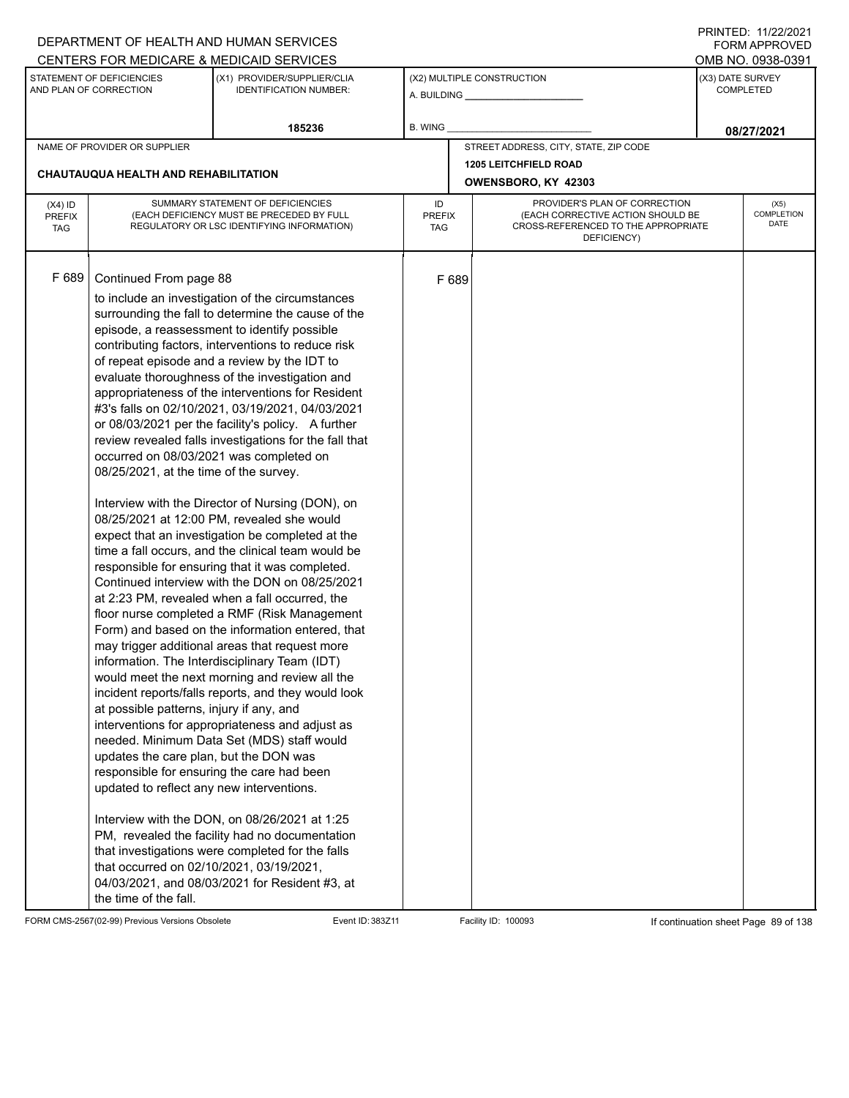|                                          |                                                                                                                                                                                                                                                                                                                     | DEPARTMENT OF HEALTH AND HUMAN SERVICES                                                                                                                                                                                                                                                                                                                                                                                                                                                                                                                                                                                                                                                                                                                                                                                                                                                                                                                                                                                                                                                                                                                                                                                                                                                                                                                                                                                                                                                                                                                                            |                                   |       |                                                                                                                          |                  | $1 \times 1 \times 1 = 1$ . $11222222$<br>FORM APPROVED |
|------------------------------------------|---------------------------------------------------------------------------------------------------------------------------------------------------------------------------------------------------------------------------------------------------------------------------------------------------------------------|------------------------------------------------------------------------------------------------------------------------------------------------------------------------------------------------------------------------------------------------------------------------------------------------------------------------------------------------------------------------------------------------------------------------------------------------------------------------------------------------------------------------------------------------------------------------------------------------------------------------------------------------------------------------------------------------------------------------------------------------------------------------------------------------------------------------------------------------------------------------------------------------------------------------------------------------------------------------------------------------------------------------------------------------------------------------------------------------------------------------------------------------------------------------------------------------------------------------------------------------------------------------------------------------------------------------------------------------------------------------------------------------------------------------------------------------------------------------------------------------------------------------------------------------------------------------------------|-----------------------------------|-------|--------------------------------------------------------------------------------------------------------------------------|------------------|---------------------------------------------------------|
|                                          |                                                                                                                                                                                                                                                                                                                     | CENTERS FOR MEDICARE & MEDICAID SERVICES                                                                                                                                                                                                                                                                                                                                                                                                                                                                                                                                                                                                                                                                                                                                                                                                                                                                                                                                                                                                                                                                                                                                                                                                                                                                                                                                                                                                                                                                                                                                           |                                   |       |                                                                                                                          |                  | OMB NO. 0938-0391                                       |
|                                          | STATEMENT OF DEFICIENCIES<br>AND PLAN OF CORRECTION                                                                                                                                                                                                                                                                 | (X1) PROVIDER/SUPPLIER/CLIA<br><b>IDENTIFICATION NUMBER:</b>                                                                                                                                                                                                                                                                                                                                                                                                                                                                                                                                                                                                                                                                                                                                                                                                                                                                                                                                                                                                                                                                                                                                                                                                                                                                                                                                                                                                                                                                                                                       |                                   |       | (X2) MULTIPLE CONSTRUCTION                                                                                               | (X3) DATE SURVEY | <b>COMPLETED</b>                                        |
|                                          |                                                                                                                                                                                                                                                                                                                     | 185236                                                                                                                                                                                                                                                                                                                                                                                                                                                                                                                                                                                                                                                                                                                                                                                                                                                                                                                                                                                                                                                                                                                                                                                                                                                                                                                                                                                                                                                                                                                                                                             | B. WING                           |       |                                                                                                                          |                  | 08/27/2021                                              |
|                                          | NAME OF PROVIDER OR SUPPLIER                                                                                                                                                                                                                                                                                        |                                                                                                                                                                                                                                                                                                                                                                                                                                                                                                                                                                                                                                                                                                                                                                                                                                                                                                                                                                                                                                                                                                                                                                                                                                                                                                                                                                                                                                                                                                                                                                                    |                                   |       | STREET ADDRESS, CITY, STATE, ZIP CODE                                                                                    |                  |                                                         |
|                                          |                                                                                                                                                                                                                                                                                                                     |                                                                                                                                                                                                                                                                                                                                                                                                                                                                                                                                                                                                                                                                                                                                                                                                                                                                                                                                                                                                                                                                                                                                                                                                                                                                                                                                                                                                                                                                                                                                                                                    |                                   |       | <b>1205 LEITCHFIELD ROAD</b>                                                                                             |                  |                                                         |
|                                          | <b>CHAUTAUQUA HEALTH AND REHABILITATION</b>                                                                                                                                                                                                                                                                         |                                                                                                                                                                                                                                                                                                                                                                                                                                                                                                                                                                                                                                                                                                                                                                                                                                                                                                                                                                                                                                                                                                                                                                                                                                                                                                                                                                                                                                                                                                                                                                                    |                                   |       | OWENSBORO, KY 42303                                                                                                      |                  |                                                         |
| $(X4)$ ID<br><b>PREFIX</b><br><b>TAG</b> |                                                                                                                                                                                                                                                                                                                     | SUMMARY STATEMENT OF DEFICIENCIES<br>(EACH DEFICIENCY MUST BE PRECEDED BY FULL<br>REGULATORY OR LSC IDENTIFYING INFORMATION)                                                                                                                                                                                                                                                                                                                                                                                                                                                                                                                                                                                                                                                                                                                                                                                                                                                                                                                                                                                                                                                                                                                                                                                                                                                                                                                                                                                                                                                       | ID<br><b>PREFIX</b><br><b>TAG</b> |       | PROVIDER'S PLAN OF CORRECTION<br>(EACH CORRECTIVE ACTION SHOULD BE<br>CROSS-REFERENCED TO THE APPROPRIATE<br>DEFICIENCY) |                  | (X5)<br>COMPLETION<br>DATE                              |
| F 689                                    | Continued From page 88<br>occurred on 08/03/2021 was completed on<br>08/25/2021, at the time of the survey.<br>at possible patterns, injury if any, and<br>updates the care plan, but the DON was<br>updated to reflect any new interventions.<br>that occurred on 02/10/2021, 03/19/2021,<br>the time of the fall. | to include an investigation of the circumstances<br>surrounding the fall to determine the cause of the<br>episode, a reassessment to identify possible<br>contributing factors, interventions to reduce risk<br>of repeat episode and a review by the IDT to<br>evaluate thoroughness of the investigation and<br>appropriateness of the interventions for Resident<br>#3's falls on 02/10/2021, 03/19/2021, 04/03/2021<br>or 08/03/2021 per the facility's policy. A further<br>review revealed falls investigations for the fall that<br>Interview with the Director of Nursing (DON), on<br>08/25/2021 at 12:00 PM, revealed she would<br>expect that an investigation be completed at the<br>time a fall occurs, and the clinical team would be<br>responsible for ensuring that it was completed.<br>Continued interview with the DON on 08/25/2021<br>at 2:23 PM, revealed when a fall occurred, the<br>floor nurse completed a RMF (Risk Management<br>Form) and based on the information entered, that<br>may trigger additional areas that request more<br>information. The Interdisciplinary Team (IDT)<br>would meet the next morning and review all the<br>incident reports/falls reports, and they would look<br>interventions for appropriateness and adjust as<br>needed. Minimum Data Set (MDS) staff would<br>responsible for ensuring the care had been<br>Interview with the DON, on 08/26/2021 at 1:25<br>PM, revealed the facility had no documentation<br>that investigations were completed for the falls<br>04/03/2021, and 08/03/2021 for Resident #3, at |                                   | F 689 |                                                                                                                          |                  |                                                         |

FORM CMS-2567(02-99) Previous Versions Obsolete Event ID: 383Z11 Facility ID: 100093 If continuation sheet Page 89 of 138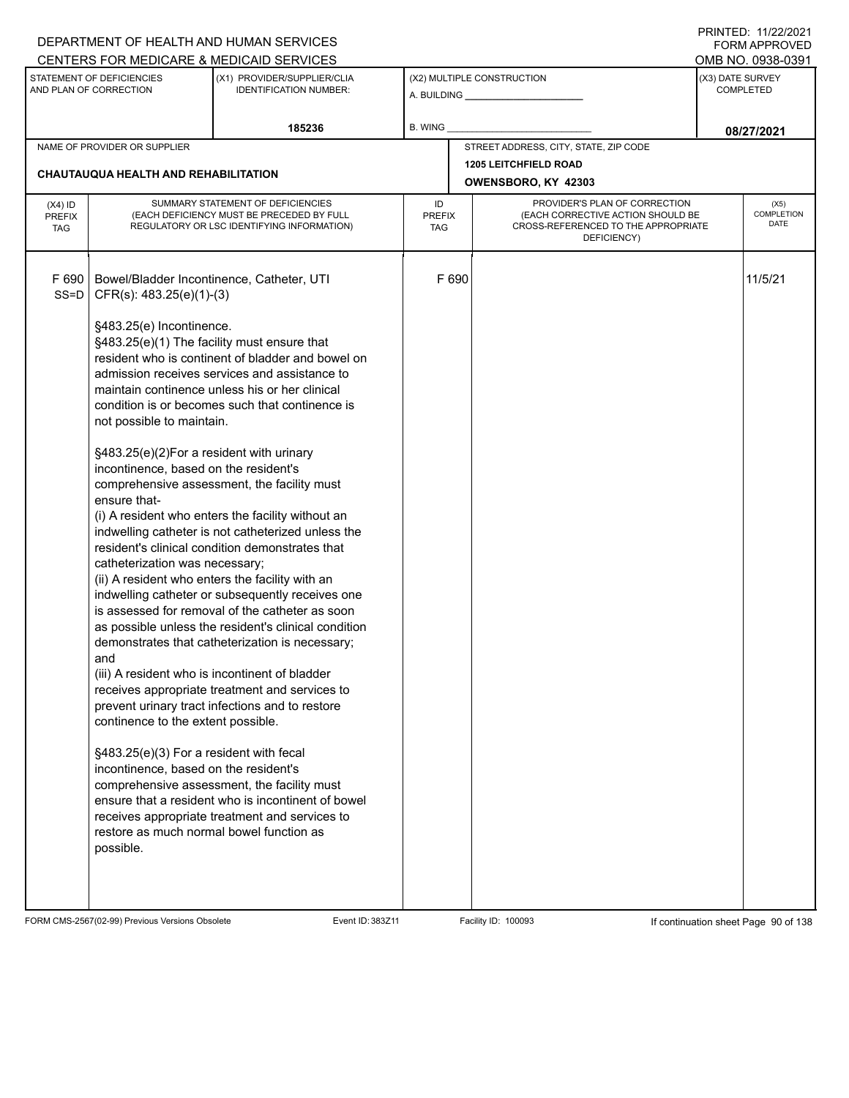## A. BUILDING **\_\_\_\_\_\_\_\_\_\_\_\_\_\_\_\_\_\_\_\_\_\_** (X1) PROVIDER/SUPPLIER/CLIA IDENTIFICATION NUMBER: STATEMENT OF DEFICIENCIES AND PLAN OF CORRECTION (X3) DATE SURVEY COMPLETED FORM APPROVED (X2) MULTIPLE CONSTRUCTION B. WING CENTERS FOR MEDICARE & MEDICAID SERVICES **And CENTERS FOR MEDICAL ACCESS** OMB NO. 0938-0391 **185236 08/27/2021** NAME OF PROVIDER OR SUPPLIER STREET ADDRESS, CITY, STATE, ZIP CODE **1205 LEITCHFIELD ROAD CHAUTAUQUA HEALTH AND REHABILITATION OWENSBORO, KY 42303** PROVIDER'S PLAN OF CORRECTION (EACH CORRECTIVE ACTION SHOULD BE CROSS-REFERENCED TO THE APPROPRIATE DEFICIENCY) (X5) **COMPLETION** DATE ID PREFIX TAG (X4) ID PREFIX TAG SUMMARY STATEMENT OF DEFICIENCIES (EACH DEFICIENCY MUST BE PRECEDED BY FULL REGULATORY OR LSC IDENTIFYING INFORMATION) F 690 | Bowel/Bladder Incontinence, Catheter, UTI CFR(s): 483.25(e)(1)-(3) §483.25(e) Incontinence. §483.25(e)(1) The facility must ensure that resident who is continent of bladder and bowel on admission receives services and assistance to maintain continence unless his or her clinical condition is or becomes such that continence is not possible to maintain. §483.25(e)(2)For a resident with urinary incontinence, based on the resident's comprehensive assessment, the facility must ensure that- (i) A resident who enters the facility without an indwelling catheter is not catheterized unless the resident's clinical condition demonstrates that catheterization was necessary; (ii) A resident who enters the facility with an indwelling catheter or subsequently receives one is assessed for removal of the catheter as soon as possible unless the resident's clinical condition demonstrates that catheterization is necessary; and (iii) A resident who is incontinent of bladder receives appropriate treatment and services to prevent urinary tract infections and to restore continence to the extent possible. §483.25(e)(3) For a resident with fecal incontinence, based on the resident's comprehensive assessment, the facility must ensure that a resident who is incontinent of bowel receives appropriate treatment and services to restore as much normal bowel function as possible. F 690 **11/5/21** SS=D

FORM CMS-2567(02-99) Previous Versions Obsolete Exert ID: 383Z11 Facility ID: 100093 If continuation sheet Page 90 of 138

DEPARTMENT OF HEALTH AND HUMAN SERVICES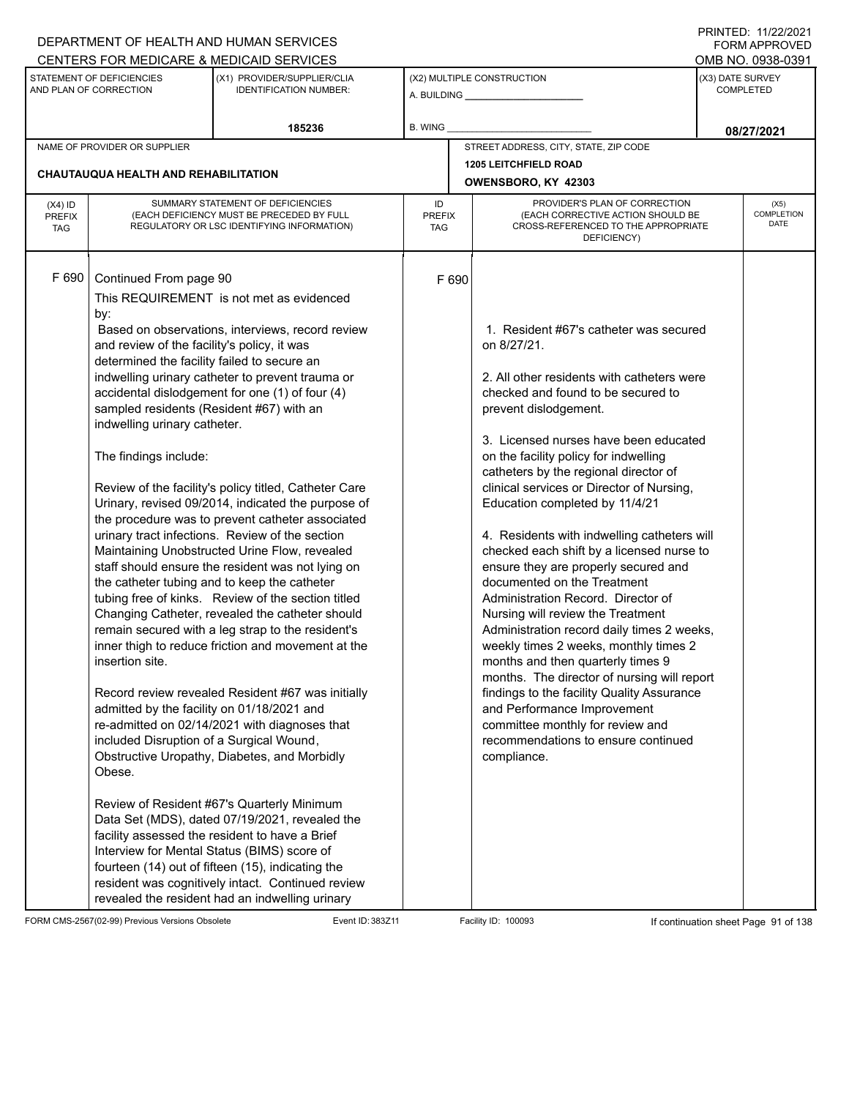|                                          |                                                                                                                                                                                                                                                                                                                                                         | DEPARTMENT OF HEALTH AND HUMAN SERVICES                                                                                                                                                                                                                                                                                                                                                                                                                                                                                                                                                                                                                                                                                                                                                                                                                                                                                                                   |                                                              |                                                                                                                                                                                                                                                                                                                                                                                                                                                                                                                                                                                                                                                                                                                                                                                                                                                                                                                                                                              |                                      | $1 \times 1 \times 1 = 1$ . $11222222$<br><b>FORM APPROVED</b> |
|------------------------------------------|---------------------------------------------------------------------------------------------------------------------------------------------------------------------------------------------------------------------------------------------------------------------------------------------------------------------------------------------------------|-----------------------------------------------------------------------------------------------------------------------------------------------------------------------------------------------------------------------------------------------------------------------------------------------------------------------------------------------------------------------------------------------------------------------------------------------------------------------------------------------------------------------------------------------------------------------------------------------------------------------------------------------------------------------------------------------------------------------------------------------------------------------------------------------------------------------------------------------------------------------------------------------------------------------------------------------------------|--------------------------------------------------------------|------------------------------------------------------------------------------------------------------------------------------------------------------------------------------------------------------------------------------------------------------------------------------------------------------------------------------------------------------------------------------------------------------------------------------------------------------------------------------------------------------------------------------------------------------------------------------------------------------------------------------------------------------------------------------------------------------------------------------------------------------------------------------------------------------------------------------------------------------------------------------------------------------------------------------------------------------------------------------|--------------------------------------|----------------------------------------------------------------|
|                                          |                                                                                                                                                                                                                                                                                                                                                         | CENTERS FOR MEDICARE & MEDICAID SERVICES                                                                                                                                                                                                                                                                                                                                                                                                                                                                                                                                                                                                                                                                                                                                                                                                                                                                                                                  |                                                              |                                                                                                                                                                                                                                                                                                                                                                                                                                                                                                                                                                                                                                                                                                                                                                                                                                                                                                                                                                              |                                      | OMB NO. 0938-0391                                              |
|                                          | STATEMENT OF DEFICIENCIES<br>AND PLAN OF CORRECTION                                                                                                                                                                                                                                                                                                     | (X1) PROVIDER/SUPPLIER/CLIA<br><b>IDENTIFICATION NUMBER:</b>                                                                                                                                                                                                                                                                                                                                                                                                                                                                                                                                                                                                                                                                                                                                                                                                                                                                                              | (X2) MULTIPLE CONSTRUCTION<br>A. BUILDING <b>A.</b> BUILDING |                                                                                                                                                                                                                                                                                                                                                                                                                                                                                                                                                                                                                                                                                                                                                                                                                                                                                                                                                                              | (X3) DATE SURVEY<br><b>COMPLETED</b> |                                                                |
|                                          |                                                                                                                                                                                                                                                                                                                                                         | 185236                                                                                                                                                                                                                                                                                                                                                                                                                                                                                                                                                                                                                                                                                                                                                                                                                                                                                                                                                    | B. WING                                                      |                                                                                                                                                                                                                                                                                                                                                                                                                                                                                                                                                                                                                                                                                                                                                                                                                                                                                                                                                                              |                                      | 08/27/2021                                                     |
|                                          | NAME OF PROVIDER OR SUPPLIER                                                                                                                                                                                                                                                                                                                            |                                                                                                                                                                                                                                                                                                                                                                                                                                                                                                                                                                                                                                                                                                                                                                                                                                                                                                                                                           |                                                              | STREET ADDRESS, CITY, STATE, ZIP CODE                                                                                                                                                                                                                                                                                                                                                                                                                                                                                                                                                                                                                                                                                                                                                                                                                                                                                                                                        |                                      |                                                                |
|                                          |                                                                                                                                                                                                                                                                                                                                                         |                                                                                                                                                                                                                                                                                                                                                                                                                                                                                                                                                                                                                                                                                                                                                                                                                                                                                                                                                           |                                                              | <b>1205 LEITCHFIELD ROAD</b>                                                                                                                                                                                                                                                                                                                                                                                                                                                                                                                                                                                                                                                                                                                                                                                                                                                                                                                                                 |                                      |                                                                |
|                                          | CHAUTAUQUA HEALTH AND REHABILITATION                                                                                                                                                                                                                                                                                                                    |                                                                                                                                                                                                                                                                                                                                                                                                                                                                                                                                                                                                                                                                                                                                                                                                                                                                                                                                                           |                                                              | OWENSBORO, KY 42303                                                                                                                                                                                                                                                                                                                                                                                                                                                                                                                                                                                                                                                                                                                                                                                                                                                                                                                                                          |                                      |                                                                |
| $(X4)$ ID<br><b>PREFIX</b><br><b>TAG</b> |                                                                                                                                                                                                                                                                                                                                                         | SUMMARY STATEMENT OF DEFICIENCIES<br>(EACH DEFICIENCY MUST BE PRECEDED BY FULL<br>REGULATORY OR LSC IDENTIFYING INFORMATION)                                                                                                                                                                                                                                                                                                                                                                                                                                                                                                                                                                                                                                                                                                                                                                                                                              | ID<br><b>PREFIX</b><br>TAG                                   | PROVIDER'S PLAN OF CORRECTION<br>(EACH CORRECTIVE ACTION SHOULD BE<br>CROSS-REFERENCED TO THE APPROPRIATE<br>DEFICIENCY)                                                                                                                                                                                                                                                                                                                                                                                                                                                                                                                                                                                                                                                                                                                                                                                                                                                     |                                      | (X5)<br><b>COMPLETION</b><br><b>DATE</b>                       |
| F 690                                    | Continued From page 90<br>by:<br>and review of the facility's policy, it was<br>determined the facility failed to secure an<br>sampled residents (Resident #67) with an<br>indwelling urinary catheter.<br>The findings include:<br>insertion site.<br>admitted by the facility on 01/18/2021 and<br>included Disruption of a Surgical Wound,<br>Obese. | This REQUIREMENT is not met as evidenced<br>Based on observations, interviews, record review<br>indwelling urinary catheter to prevent trauma or<br>accidental dislodgement for one (1) of four (4)<br>Review of the facility's policy titled, Catheter Care<br>Urinary, revised 09/2014, indicated the purpose of<br>the procedure was to prevent catheter associated<br>urinary tract infections. Review of the section<br>Maintaining Unobstructed Urine Flow, revealed<br>staff should ensure the resident was not lying on<br>the catheter tubing and to keep the catheter<br>tubing free of kinks. Review of the section titled<br>Changing Catheter, revealed the catheter should<br>remain secured with a leg strap to the resident's<br>inner thigh to reduce friction and movement at the<br>Record review revealed Resident #67 was initially<br>re-admitted on 02/14/2021 with diagnoses that<br>Obstructive Uropathy, Diabetes, and Morbidly | F 690                                                        | 1. Resident #67's catheter was secured<br>on 8/27/21.<br>2. All other residents with catheters were<br>checked and found to be secured to<br>prevent dislodgement.<br>3. Licensed nurses have been educated<br>on the facility policy for indwelling<br>catheters by the regional director of<br>clinical services or Director of Nursing,<br>Education completed by 11/4/21<br>4. Residents with indwelling catheters will<br>checked each shift by a licensed nurse to<br>ensure they are properly secured and<br>documented on the Treatment<br>Administration Record. Director of<br>Nursing will review the Treatment<br>Administration record daily times 2 weeks,<br>weekly times 2 weeks, monthly times 2<br>months and then quarterly times 9<br>months. The director of nursing will report<br>findings to the facility Quality Assurance<br>and Performance Improvement<br>committee monthly for review and<br>recommendations to ensure continued<br>compliance. |                                      |                                                                |
|                                          |                                                                                                                                                                                                                                                                                                                                                         | Review of Resident #67's Quarterly Minimum<br>Data Set (MDS), dated 07/19/2021, revealed the<br>facility assessed the resident to have a Brief<br>Interview for Mental Status (BIMS) score of<br>fourteen (14) out of fifteen (15), indicating the<br>resident was cognitively intact. Continued review<br>revealed the resident had an indwelling urinary                                                                                                                                                                                                                                                                                                                                                                                                                                                                                                                                                                                                |                                                              |                                                                                                                                                                                                                                                                                                                                                                                                                                                                                                                                                                                                                                                                                                                                                                                                                                                                                                                                                                              |                                      |                                                                |

FORM CMS-2567(02-99) Previous Versions Obsolete Event ID: 383Z11 Facility ID: 100093 If continuation sheet Page 91 of 138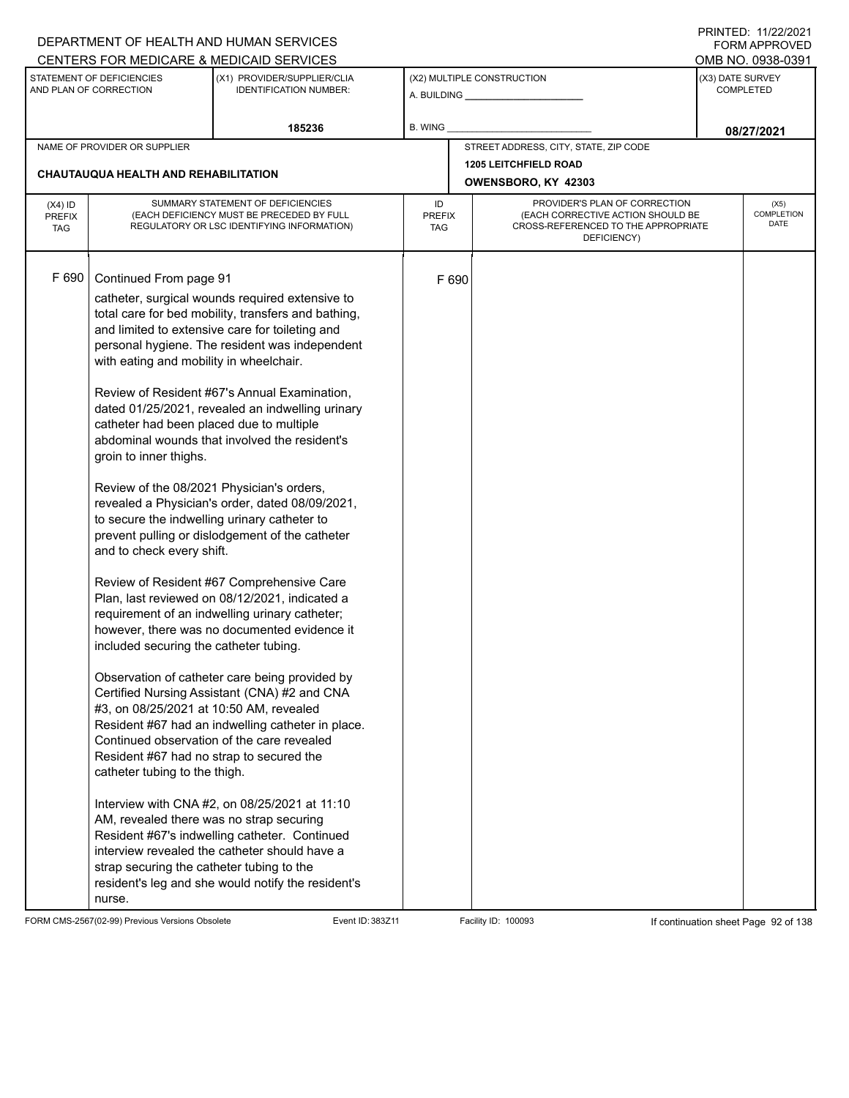|                                          |                                                                                                                                                                                                                                                                                                                                                                                                                                                                                                                                        | DEPARTMENT OF HEALTH AND HUMAN SERVICES                                                                                                                                                                                                                                                                                                                                                                                                                                                                                                                                                                                                                                                                                                                                                                                                                                                                                                                                                                                                                                               |                            |       |                                                                                                                          |                  | I INITILD. III <i>LLIL</i> OLI<br><b>FORM APPROVED</b> |
|------------------------------------------|----------------------------------------------------------------------------------------------------------------------------------------------------------------------------------------------------------------------------------------------------------------------------------------------------------------------------------------------------------------------------------------------------------------------------------------------------------------------------------------------------------------------------------------|---------------------------------------------------------------------------------------------------------------------------------------------------------------------------------------------------------------------------------------------------------------------------------------------------------------------------------------------------------------------------------------------------------------------------------------------------------------------------------------------------------------------------------------------------------------------------------------------------------------------------------------------------------------------------------------------------------------------------------------------------------------------------------------------------------------------------------------------------------------------------------------------------------------------------------------------------------------------------------------------------------------------------------------------------------------------------------------|----------------------------|-------|--------------------------------------------------------------------------------------------------------------------------|------------------|--------------------------------------------------------|
|                                          |                                                                                                                                                                                                                                                                                                                                                                                                                                                                                                                                        | CENTERS FOR MEDICARE & MEDICAID SERVICES                                                                                                                                                                                                                                                                                                                                                                                                                                                                                                                                                                                                                                                                                                                                                                                                                                                                                                                                                                                                                                              |                            |       |                                                                                                                          |                  | OMB NO. 0938-0391                                      |
|                                          | STATEMENT OF DEFICIENCIES<br>AND PLAN OF CORRECTION                                                                                                                                                                                                                                                                                                                                                                                                                                                                                    | (X1) PROVIDER/SUPPLIER/CLIA<br><b>IDENTIFICATION NUMBER:</b>                                                                                                                                                                                                                                                                                                                                                                                                                                                                                                                                                                                                                                                                                                                                                                                                                                                                                                                                                                                                                          |                            |       | (X2) MULTIPLE CONSTRUCTION                                                                                               | (X3) DATE SURVEY | <b>COMPLETED</b>                                       |
|                                          |                                                                                                                                                                                                                                                                                                                                                                                                                                                                                                                                        | 185236                                                                                                                                                                                                                                                                                                                                                                                                                                                                                                                                                                                                                                                                                                                                                                                                                                                                                                                                                                                                                                                                                | B. WING                    |       |                                                                                                                          |                  | 08/27/2021                                             |
|                                          | NAME OF PROVIDER OR SUPPLIER                                                                                                                                                                                                                                                                                                                                                                                                                                                                                                           |                                                                                                                                                                                                                                                                                                                                                                                                                                                                                                                                                                                                                                                                                                                                                                                                                                                                                                                                                                                                                                                                                       |                            |       | STREET ADDRESS, CITY, STATE, ZIP CODE                                                                                    |                  |                                                        |
|                                          |                                                                                                                                                                                                                                                                                                                                                                                                                                                                                                                                        |                                                                                                                                                                                                                                                                                                                                                                                                                                                                                                                                                                                                                                                                                                                                                                                                                                                                                                                                                                                                                                                                                       |                            |       | <b>1205 LEITCHFIELD ROAD</b>                                                                                             |                  |                                                        |
|                                          | CHAUTAUQUA HEALTH AND REHABILITATION                                                                                                                                                                                                                                                                                                                                                                                                                                                                                                   |                                                                                                                                                                                                                                                                                                                                                                                                                                                                                                                                                                                                                                                                                                                                                                                                                                                                                                                                                                                                                                                                                       |                            |       | OWENSBORO, KY 42303                                                                                                      |                  |                                                        |
| $(X4)$ ID<br><b>PREFIX</b><br><b>TAG</b> |                                                                                                                                                                                                                                                                                                                                                                                                                                                                                                                                        | SUMMARY STATEMENT OF DEFICIENCIES<br>(EACH DEFICIENCY MUST BE PRECEDED BY FULL<br>REGULATORY OR LSC IDENTIFYING INFORMATION)                                                                                                                                                                                                                                                                                                                                                                                                                                                                                                                                                                                                                                                                                                                                                                                                                                                                                                                                                          | ID<br><b>PREFIX</b><br>TAG |       | PROVIDER'S PLAN OF CORRECTION<br>(EACH CORRECTIVE ACTION SHOULD BE<br>CROSS-REFERENCED TO THE APPROPRIATE<br>DEFICIENCY) |                  | (X5)<br><b>COMPLETION</b><br>DATE                      |
| F 690                                    | Continued From page 91<br>with eating and mobility in wheelchair.<br>catheter had been placed due to multiple<br>groin to inner thighs.<br>Review of the 08/2021 Physician's orders,<br>to secure the indwelling urinary catheter to<br>and to check every shift.<br>included securing the catheter tubing.<br>#3, on 08/25/2021 at 10:50 AM, revealed<br>Resident #67 had no strap to secured the<br>catheter tubing to the thigh.<br>AM, revealed there was no strap securing<br>strap securing the catheter tubing to the<br>nurse. | catheter, surgical wounds required extensive to<br>total care for bed mobility, transfers and bathing,<br>and limited to extensive care for toileting and<br>personal hygiene. The resident was independent<br>Review of Resident #67's Annual Examination,<br>dated 01/25/2021, revealed an indwelling urinary<br>abdominal wounds that involved the resident's<br>revealed a Physician's order, dated 08/09/2021,<br>prevent pulling or dislodgement of the catheter<br>Review of Resident #67 Comprehensive Care<br>Plan, last reviewed on 08/12/2021, indicated a<br>requirement of an indwelling urinary catheter;<br>however, there was no documented evidence it<br>Observation of catheter care being provided by<br>Certified Nursing Assistant (CNA) #2 and CNA<br>Resident #67 had an indwelling catheter in place.<br>Continued observation of the care revealed<br>Interview with CNA #2, on 08/25/2021 at 11:10<br>Resident #67's indwelling catheter. Continued<br>interview revealed the catheter should have a<br>resident's leg and she would notify the resident's |                            | F 690 |                                                                                                                          |                  |                                                        |

FORM CMS-2567(02-99) Previous Versions Obsolete Event ID: 383Z11 Event ID: 383Z11 Facility ID: 100093 If continuation sheet Page 92 of 138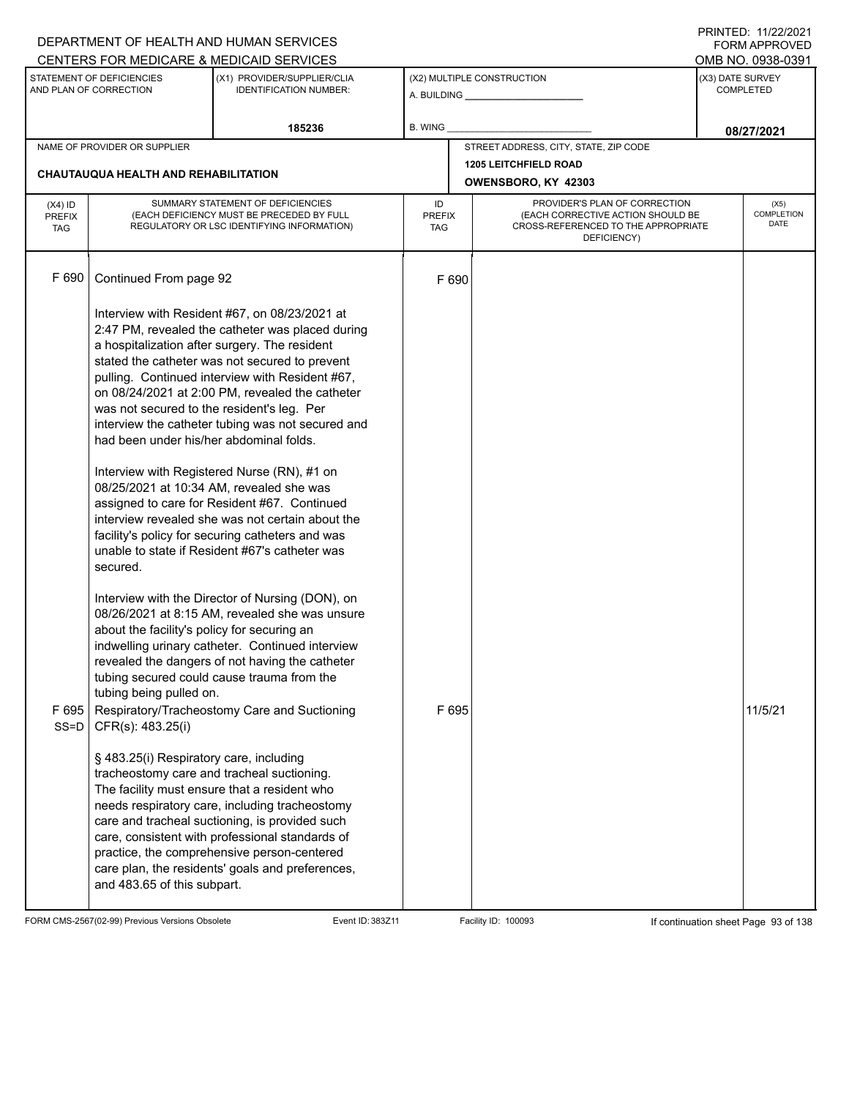|                                   |                                                                                                                                                                              | DEPARTMENT OF HEALTH AND HUMAN SERVICES                                                                                                                                                                                                                                                                                                                                                                                                                                                                                                                                                                                                                              |                                   |       |                                                                                                                          |                  | I INITILD. III <i>LLIL</i> VLI<br>FORM APPROVED |
|-----------------------------------|------------------------------------------------------------------------------------------------------------------------------------------------------------------------------|----------------------------------------------------------------------------------------------------------------------------------------------------------------------------------------------------------------------------------------------------------------------------------------------------------------------------------------------------------------------------------------------------------------------------------------------------------------------------------------------------------------------------------------------------------------------------------------------------------------------------------------------------------------------|-----------------------------------|-------|--------------------------------------------------------------------------------------------------------------------------|------------------|-------------------------------------------------|
|                                   | STATEMENT OF DEFICIENCIES<br>AND PLAN OF CORRECTION                                                                                                                          | CENTERS FOR MEDICARE & MEDICAID SERVICES<br>(X1) PROVIDER/SUPPLIER/CLIA<br><b>IDENTIFICATION NUMBER:</b>                                                                                                                                                                                                                                                                                                                                                                                                                                                                                                                                                             |                                   |       | (X2) MULTIPLE CONSTRUCTION                                                                                               | (X3) DATE SURVEY | OMB NO. 0938-0391<br><b>COMPLETED</b>           |
|                                   |                                                                                                                                                                              | 185236                                                                                                                                                                                                                                                                                                                                                                                                                                                                                                                                                                                                                                                               | <b>B. WING</b>                    |       |                                                                                                                          |                  | 08/27/2021                                      |
|                                   | NAME OF PROVIDER OR SUPPLIER                                                                                                                                                 |                                                                                                                                                                                                                                                                                                                                                                                                                                                                                                                                                                                                                                                                      |                                   |       | STREET ADDRESS, CITY, STATE, ZIP CODE                                                                                    |                  |                                                 |
|                                   | CHAUTAUQUA HEALTH AND REHABILITATION                                                                                                                                         |                                                                                                                                                                                                                                                                                                                                                                                                                                                                                                                                                                                                                                                                      |                                   |       | <b>1205 LEITCHFIELD ROAD</b><br>OWENSBORO, KY 42303                                                                      |                  |                                                 |
| $(X4)$ ID<br>PREFIX<br><b>TAG</b> |                                                                                                                                                                              | SUMMARY STATEMENT OF DEFICIENCIES<br>(EACH DEFICIENCY MUST BE PRECEDED BY FULL<br>REGULATORY OR LSC IDENTIFYING INFORMATION)                                                                                                                                                                                                                                                                                                                                                                                                                                                                                                                                         | ID<br><b>PREFIX</b><br><b>TAG</b> |       | PROVIDER'S PLAN OF CORRECTION<br>(EACH CORRECTIVE ACTION SHOULD BE<br>CROSS-REFERENCED TO THE APPROPRIATE<br>DEFICIENCY) |                  | (X5)<br>COMPLETION<br><b>DATE</b>               |
| F 690                             | Continued From page 92                                                                                                                                                       |                                                                                                                                                                                                                                                                                                                                                                                                                                                                                                                                                                                                                                                                      | F 690                             |       |                                                                                                                          |                  |                                                 |
|                                   | was not secured to the resident's leg. Per<br>had been under his/her abdominal folds.<br>secured.                                                                            | Interview with Resident #67, on 08/23/2021 at<br>2:47 PM, revealed the catheter was placed during<br>a hospitalization after surgery. The resident<br>stated the catheter was not secured to prevent<br>pulling. Continued interview with Resident #67,<br>on 08/24/2021 at 2:00 PM, revealed the catheter<br>interview the catheter tubing was not secured and<br>Interview with Registered Nurse (RN), #1 on<br>08/25/2021 at 10:34 AM, revealed she was<br>assigned to care for Resident #67. Continued<br>interview revealed she was not certain about the<br>facility's policy for securing catheters and was<br>unable to state if Resident #67's catheter was |                                   |       |                                                                                                                          |                  |                                                 |
| F695                              | about the facility's policy for securing an<br>tubing being pulled on.<br>$SS=D$ CFR(s): 483.25(i)<br>§ 483.25(i) Respiratory care, including<br>and 483.65 of this subpart. | Interview with the Director of Nursing (DON), on<br>08/26/2021 at 8:15 AM, revealed she was unsure<br>indwelling urinary catheter. Continued interview<br>revealed the dangers of not having the catheter<br>tubing secured could cause trauma from the<br>Respiratory/Tracheostomy Care and Suctioning<br>tracheostomy care and tracheal suctioning.<br>The facility must ensure that a resident who<br>needs respiratory care, including tracheostomy<br>care and tracheal suctioning, is provided such<br>care, consistent with professional standards of<br>practice, the comprehensive person-centered<br>care plan, the residents' goals and preferences,      |                                   | F 695 |                                                                                                                          |                  | 11/5/21                                         |

FORM CMS-2567(02-99) Previous Versions Obsolete Event ID: 383Z11 Facility ID: 100093 If continuation sheet Page 93 of 138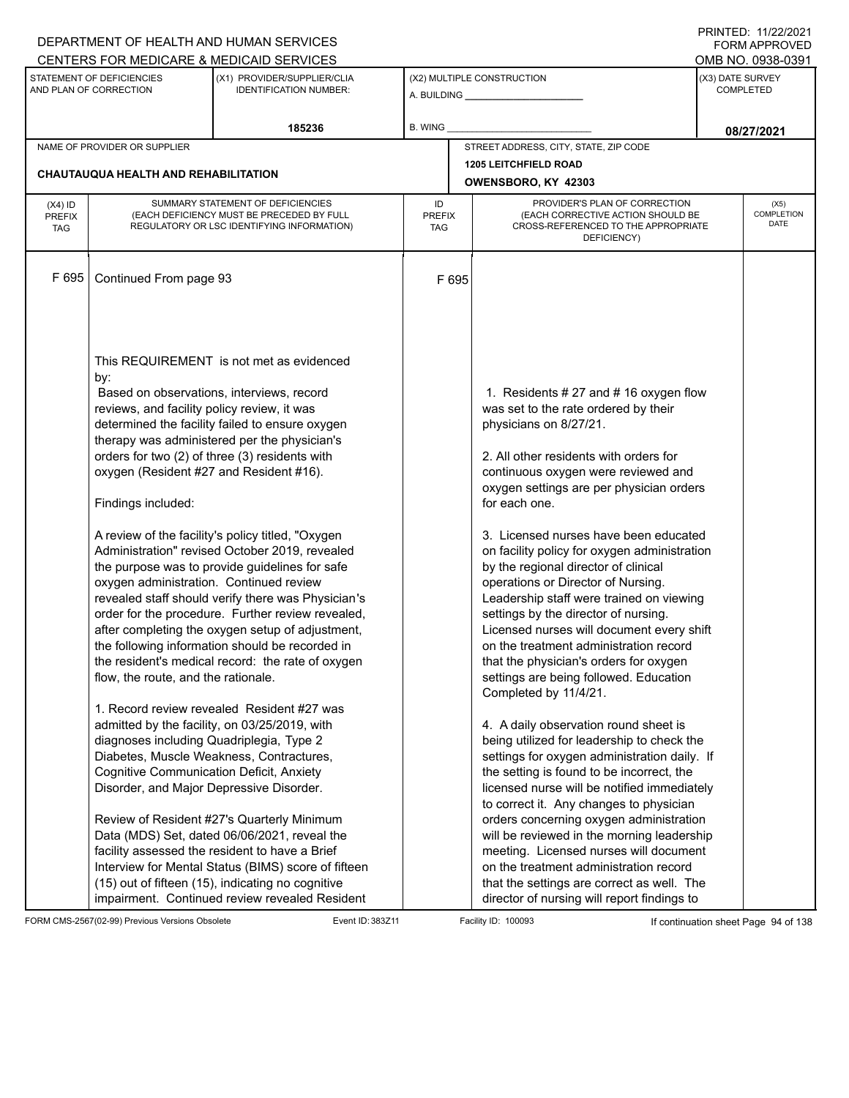|               |                                                     | DEPARTMENT OF HEALTH AND HUMAN SERVICES                      |               |                                                              |  | <b>FORM APPROVED</b>                 |  |
|---------------|-----------------------------------------------------|--------------------------------------------------------------|---------------|--------------------------------------------------------------|--|--------------------------------------|--|
|               |                                                     | CENTERS FOR MEDICARE & MEDICAID SERVICES                     |               |                                                              |  | OMB NO. 0938-0391                    |  |
|               | STATEMENT OF DEFICIENCIES<br>AND PLAN OF CORRECTION | (X1) PROVIDER/SUPPLIER/CLIA<br><b>IDENTIFICATION NUMBER:</b> |               | (X2) MULTIPLE CONSTRUCTION<br>A. BUILDING <b>A.</b> BUILDING |  | (X3) DATE SURVEY<br><b>COMPLETED</b> |  |
|               |                                                     | 185236                                                       | B. WING       |                                                              |  | 08/27/2021                           |  |
|               | NAME OF PROVIDER OR SUPPLIER                        |                                                              |               | STREET ADDRESS, CITY, STATE, ZIP CODE                        |  |                                      |  |
|               |                                                     |                                                              |               | 1205 LEITCHFIELD ROAD                                        |  |                                      |  |
|               | <b>CHAUTAUQUA HEALTH AND REHABILITATION</b>         |                                                              |               | OWENSBORO, KY 42303                                          |  |                                      |  |
| $(X4)$ ID     |                                                     | SUMMARY STATEMENT OF DEFICIENCIES                            | ID            | PROVIDER'S PLAN OF CORRECTION                                |  | (X5)                                 |  |
| <b>PREFIX</b> |                                                     | (EACH DEFICIENCY MUST BE PRECEDED BY FULL                    | <b>PREFIX</b> | (EACH CORRECTIVE ACTION SHOULD BE                            |  | <b>COMPLETION</b><br>DATE            |  |
| <b>TAG</b>    |                                                     | REGULATORY OR LSC IDENTIFYING INFORMATION)                   | <b>TAG</b>    | CROSS-REFERENCED TO THE APPROPRIATE<br>DEFICIENCY)           |  |                                      |  |
|               |                                                     |                                                              |               |                                                              |  |                                      |  |
| F695          |                                                     |                                                              |               |                                                              |  |                                      |  |
|               | Continued From page 93                              |                                                              | F 695         |                                                              |  |                                      |  |
|               |                                                     |                                                              |               |                                                              |  |                                      |  |
|               |                                                     |                                                              |               |                                                              |  |                                      |  |
|               |                                                     |                                                              |               |                                                              |  |                                      |  |
|               |                                                     | This REQUIREMENT is not met as evidenced                     |               |                                                              |  |                                      |  |
|               | by:                                                 |                                                              |               |                                                              |  |                                      |  |
|               |                                                     | Based on observations, interviews, record                    |               | 1. Residents # 27 and # 16 oxygen flow                       |  |                                      |  |
|               | reviews, and facility policy review, it was         |                                                              |               | was set to the rate ordered by their                         |  |                                      |  |
|               |                                                     | determined the facility failed to ensure oxygen              |               | physicians on 8/27/21.                                       |  |                                      |  |
|               |                                                     | therapy was administered per the physician's                 |               |                                                              |  |                                      |  |
|               |                                                     | orders for two (2) of three (3) residents with               |               | 2. All other residents with orders for                       |  |                                      |  |
|               | oxygen (Resident #27 and Resident #16).             |                                                              |               | continuous oxygen were reviewed and                          |  |                                      |  |
|               |                                                     |                                                              |               | oxygen settings are per physician orders                     |  |                                      |  |
|               | Findings included:                                  |                                                              |               | for each one.                                                |  |                                      |  |
|               |                                                     | A review of the facility's policy titled, "Oxygen            |               | 3. Licensed nurses have been educated                        |  |                                      |  |
|               |                                                     | Administration" revised October 2019, revealed               |               | on facility policy for oxygen administration                 |  |                                      |  |
|               |                                                     | the purpose was to provide guidelines for safe               |               | by the regional director of clinical                         |  |                                      |  |
|               | oxygen administration. Continued review             |                                                              |               | operations or Director of Nursing.                           |  |                                      |  |
|               |                                                     | revealed staff should verify there was Physician's           |               | Leadership staff were trained on viewing                     |  |                                      |  |
|               |                                                     | order for the procedure. Further review revealed,            |               | settings by the director of nursing.                         |  |                                      |  |
|               |                                                     | after completing the oxygen setup of adjustment,             |               | Licensed nurses will document every shift                    |  |                                      |  |
|               |                                                     | the following information should be recorded in              |               | on the treatment administration record                       |  |                                      |  |
|               |                                                     | the resident's medical record: the rate of oxygen            |               | that the physician's orders for oxygen                       |  |                                      |  |
|               | flow, the route, and the rationale.                 |                                                              |               | settings are being followed. Education                       |  |                                      |  |
|               |                                                     | 1. Record review revealed Resident #27 was                   |               | Completed by 11/4/21.                                        |  |                                      |  |
|               |                                                     | admitted by the facility, on 03/25/2019, with                |               | 4. A daily observation round sheet is                        |  |                                      |  |
|               | diagnoses including Quadriplegia, Type 2            |                                                              |               | being utilized for leadership to check the                   |  |                                      |  |
|               |                                                     | Diabetes, Muscle Weakness, Contractures,                     |               | settings for oxygen administration daily. If                 |  |                                      |  |
|               | <b>Cognitive Communication Deficit, Anxiety</b>     |                                                              |               | the setting is found to be incorrect, the                    |  |                                      |  |
|               | Disorder, and Major Depressive Disorder.            |                                                              |               | licensed nurse will be notified immediately                  |  |                                      |  |
|               |                                                     |                                                              |               | to correct it. Any changes to physician                      |  |                                      |  |
|               |                                                     | Review of Resident #27's Quarterly Minimum                   |               | orders concerning oxygen administration                      |  |                                      |  |
|               |                                                     | Data (MDS) Set, dated 06/06/2021, reveal the                 |               | will be reviewed in the morning leadership                   |  |                                      |  |
|               |                                                     | facility assessed the resident to have a Brief               |               | meeting. Licensed nurses will document                       |  |                                      |  |
|               |                                                     | Interview for Mental Status (BIMS) score of fifteen          |               | on the treatment administration record                       |  |                                      |  |
|               |                                                     | (15) out of fifteen (15), indicating no cognitive            |               | that the settings are correct as well. The                   |  |                                      |  |
|               |                                                     | impairment. Continued review revealed Resident               |               | director of nursing will report findings to                  |  |                                      |  |

FORM CMS-2567(02-99) Previous Versions Obsolete Event ID: 383Z11 Event ID: 383Z11 Facility ID: 100093 If continuation sheet Page 94 of 138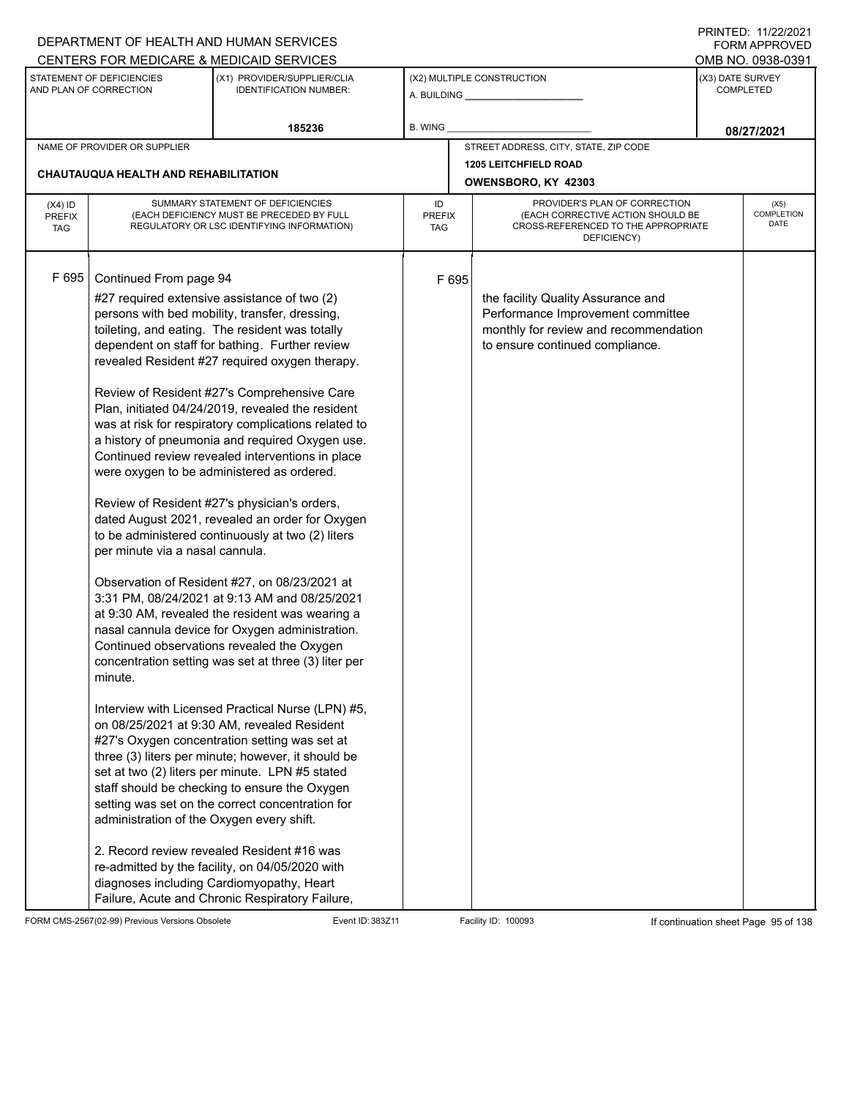|                                          |                                                                                                                   | DEPARTMENT OF HEALTH AND HUMAN SERVICES                                                                                                                                                                                                                                                                                                                                                                                                                                                                                                                                                                                                                                                                                                                                                                                                                                                                                                                                                                                                                                                                                                                                                                                                                                                                                                                                                                                                                                                                          |                            |       |                                                                                                                                                     |                  | <b>FORM APPROVED</b>              |
|------------------------------------------|-------------------------------------------------------------------------------------------------------------------|------------------------------------------------------------------------------------------------------------------------------------------------------------------------------------------------------------------------------------------------------------------------------------------------------------------------------------------------------------------------------------------------------------------------------------------------------------------------------------------------------------------------------------------------------------------------------------------------------------------------------------------------------------------------------------------------------------------------------------------------------------------------------------------------------------------------------------------------------------------------------------------------------------------------------------------------------------------------------------------------------------------------------------------------------------------------------------------------------------------------------------------------------------------------------------------------------------------------------------------------------------------------------------------------------------------------------------------------------------------------------------------------------------------------------------------------------------------------------------------------------------------|----------------------------|-------|-----------------------------------------------------------------------------------------------------------------------------------------------------|------------------|-----------------------------------|
|                                          |                                                                                                                   | CENTERS FOR MEDICARE & MEDICAID SERVICES                                                                                                                                                                                                                                                                                                                                                                                                                                                                                                                                                                                                                                                                                                                                                                                                                                                                                                                                                                                                                                                                                                                                                                                                                                                                                                                                                                                                                                                                         |                            |       |                                                                                                                                                     |                  | OMB NO. 0938-0391                 |
|                                          | STATEMENT OF DEFICIENCIES<br>AND PLAN OF CORRECTION                                                               | (X1) PROVIDER/SUPPLIER/CLIA<br><b>IDENTIFICATION NUMBER:</b>                                                                                                                                                                                                                                                                                                                                                                                                                                                                                                                                                                                                                                                                                                                                                                                                                                                                                                                                                                                                                                                                                                                                                                                                                                                                                                                                                                                                                                                     |                            |       | (X2) MULTIPLE CONSTRUCTION                                                                                                                          | (X3) DATE SURVEY | <b>COMPLETED</b>                  |
|                                          |                                                                                                                   | 185236                                                                                                                                                                                                                                                                                                                                                                                                                                                                                                                                                                                                                                                                                                                                                                                                                                                                                                                                                                                                                                                                                                                                                                                                                                                                                                                                                                                                                                                                                                           | B. WING                    |       |                                                                                                                                                     |                  | 08/27/2021                        |
|                                          | NAME OF PROVIDER OR SUPPLIER                                                                                      |                                                                                                                                                                                                                                                                                                                                                                                                                                                                                                                                                                                                                                                                                                                                                                                                                                                                                                                                                                                                                                                                                                                                                                                                                                                                                                                                                                                                                                                                                                                  |                            |       | STREET ADDRESS, CITY, STATE, ZIP CODE                                                                                                               |                  |                                   |
|                                          | CHAUTAUQUA HEALTH AND REHABILITATION                                                                              |                                                                                                                                                                                                                                                                                                                                                                                                                                                                                                                                                                                                                                                                                                                                                                                                                                                                                                                                                                                                                                                                                                                                                                                                                                                                                                                                                                                                                                                                                                                  |                            |       | <b>1205 LEITCHFIELD ROAD</b>                                                                                                                        |                  |                                   |
|                                          |                                                                                                                   |                                                                                                                                                                                                                                                                                                                                                                                                                                                                                                                                                                                                                                                                                                                                                                                                                                                                                                                                                                                                                                                                                                                                                                                                                                                                                                                                                                                                                                                                                                                  |                            |       | OWENSBORO, KY 42303                                                                                                                                 |                  |                                   |
| $(X4)$ ID<br><b>PREFIX</b><br><b>TAG</b> |                                                                                                                   | SUMMARY STATEMENT OF DEFICIENCIES<br>(EACH DEFICIENCY MUST BE PRECEDED BY FULL<br>REGULATORY OR LSC IDENTIFYING INFORMATION)                                                                                                                                                                                                                                                                                                                                                                                                                                                                                                                                                                                                                                                                                                                                                                                                                                                                                                                                                                                                                                                                                                                                                                                                                                                                                                                                                                                     | ID<br><b>PREFIX</b><br>TAG |       | PROVIDER'S PLAN OF CORRECTION<br>(EACH CORRECTIVE ACTION SHOULD BE<br>CROSS-REFERENCED TO THE APPROPRIATE<br>DEFICIENCY)                            |                  | (X5)<br><b>COMPLETION</b><br>DATE |
| F 695                                    | Continued From page 94<br>per minute via a nasal cannula.<br>minute.<br>administration of the Oxygen every shift. | #27 required extensive assistance of two (2)<br>persons with bed mobility, transfer, dressing,<br>toileting, and eating. The resident was totally<br>dependent on staff for bathing. Further review<br>revealed Resident #27 required oxygen therapy.<br>Review of Resident #27's Comprehensive Care<br>Plan, initiated 04/24/2019, revealed the resident<br>was at risk for respiratory complications related to<br>a history of pneumonia and required Oxygen use.<br>Continued review revealed interventions in place<br>were oxygen to be administered as ordered.<br>Review of Resident #27's physician's orders,<br>dated August 2021, revealed an order for Oxygen<br>to be administered continuously at two (2) liters<br>Observation of Resident #27, on 08/23/2021 at<br>3:31 PM, 08/24/2021 at 9:13 AM and 08/25/2021<br>at 9:30 AM, revealed the resident was wearing a<br>nasal cannula device for Oxygen administration.<br>Continued observations revealed the Oxygen<br>concentration setting was set at three (3) liter per<br>Interview with Licensed Practical Nurse (LPN) #5,<br>on 08/25/2021 at 9:30 AM, revealed Resident<br>#27's Oxygen concentration setting was set at<br>three (3) liters per minute; however, it should be<br>set at two (2) liters per minute. LPN #5 stated<br>staff should be checking to ensure the Oxygen<br>setting was set on the correct concentration for<br>2. Record review revealed Resident #16 was<br>re-admitted by the facility, on 04/05/2020 with |                            | F 695 | the facility Quality Assurance and<br>Performance Improvement committee<br>monthly for review and recommendation<br>to ensure continued compliance. |                  |                                   |
|                                          |                                                                                                                   | diagnoses including Cardiomyopathy, Heart<br>Failure, Acute and Chronic Respiratory Failure,                                                                                                                                                                                                                                                                                                                                                                                                                                                                                                                                                                                                                                                                                                                                                                                                                                                                                                                                                                                                                                                                                                                                                                                                                                                                                                                                                                                                                     |                            |       |                                                                                                                                                     |                  |                                   |

FORM CMS-2567(02-99) Previous Versions Obsolete Event ID: 383Z11 Event ID: 383Z11 Facility ID: 100093 If continuation sheet Page 95 of 138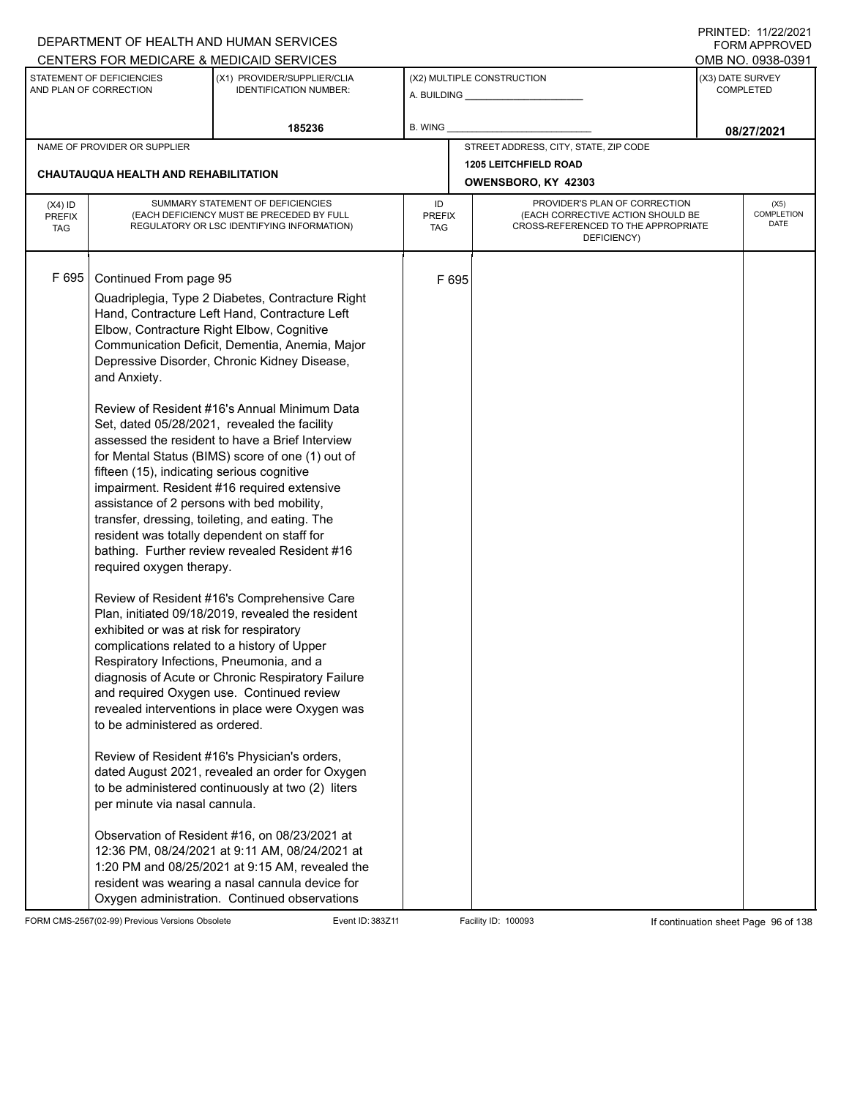|                                          |                                                                                                                                                                                                                                                                                                                                                                                                                                                                      | DEPARTMENT OF HEALTH AND HUMAN SERVICES<br>CENTERS FOR MEDICARE & MEDICAID SERVICES                                                                                                                                                                                                                                                                                                                                                                                                                                                                                                                                                                                                                                                                                                                                                                                                                                                                                                                                                                                                                                                                                                                                                     |                                   |       |                                                                                                                          |                  | FININILU. IIIZZIZUZI<br><b>FORM APPROVED</b><br>OMB NO. 0938-0391 |
|------------------------------------------|----------------------------------------------------------------------------------------------------------------------------------------------------------------------------------------------------------------------------------------------------------------------------------------------------------------------------------------------------------------------------------------------------------------------------------------------------------------------|-----------------------------------------------------------------------------------------------------------------------------------------------------------------------------------------------------------------------------------------------------------------------------------------------------------------------------------------------------------------------------------------------------------------------------------------------------------------------------------------------------------------------------------------------------------------------------------------------------------------------------------------------------------------------------------------------------------------------------------------------------------------------------------------------------------------------------------------------------------------------------------------------------------------------------------------------------------------------------------------------------------------------------------------------------------------------------------------------------------------------------------------------------------------------------------------------------------------------------------------|-----------------------------------|-------|--------------------------------------------------------------------------------------------------------------------------|------------------|-------------------------------------------------------------------|
|                                          | STATEMENT OF DEFICIENCIES<br>AND PLAN OF CORRECTION                                                                                                                                                                                                                                                                                                                                                                                                                  | (X1) PROVIDER/SUPPLIER/CLIA<br><b>IDENTIFICATION NUMBER:</b>                                                                                                                                                                                                                                                                                                                                                                                                                                                                                                                                                                                                                                                                                                                                                                                                                                                                                                                                                                                                                                                                                                                                                                            |                                   |       | (X2) MULTIPLE CONSTRUCTION                                                                                               | (X3) DATE SURVEY | <b>COMPLETED</b>                                                  |
|                                          |                                                                                                                                                                                                                                                                                                                                                                                                                                                                      | 185236                                                                                                                                                                                                                                                                                                                                                                                                                                                                                                                                                                                                                                                                                                                                                                                                                                                                                                                                                                                                                                                                                                                                                                                                                                  | <b>B. WING</b>                    |       |                                                                                                                          |                  | 08/27/2021                                                        |
|                                          | NAME OF PROVIDER OR SUPPLIER                                                                                                                                                                                                                                                                                                                                                                                                                                         |                                                                                                                                                                                                                                                                                                                                                                                                                                                                                                                                                                                                                                                                                                                                                                                                                                                                                                                                                                                                                                                                                                                                                                                                                                         |                                   |       | STREET ADDRESS, CITY, STATE, ZIP CODE                                                                                    |                  |                                                                   |
|                                          | <b>CHAUTAUQUA HEALTH AND REHABILITATION</b>                                                                                                                                                                                                                                                                                                                                                                                                                          |                                                                                                                                                                                                                                                                                                                                                                                                                                                                                                                                                                                                                                                                                                                                                                                                                                                                                                                                                                                                                                                                                                                                                                                                                                         |                                   |       | <b>1205 LEITCHFIELD ROAD</b><br>OWENSBORO, KY 42303                                                                      |                  |                                                                   |
| $(X4)$ ID<br><b>PREFIX</b><br><b>TAG</b> |                                                                                                                                                                                                                                                                                                                                                                                                                                                                      | SUMMARY STATEMENT OF DEFICIENCIES<br>(EACH DEFICIENCY MUST BE PRECEDED BY FULL<br>REGULATORY OR LSC IDENTIFYING INFORMATION)                                                                                                                                                                                                                                                                                                                                                                                                                                                                                                                                                                                                                                                                                                                                                                                                                                                                                                                                                                                                                                                                                                            | ID<br><b>PREFIX</b><br><b>TAG</b> |       | PROVIDER'S PLAN OF CORRECTION<br>(EACH CORRECTIVE ACTION SHOULD BE<br>CROSS-REFERENCED TO THE APPROPRIATE<br>DEFICIENCY) |                  | (X5)<br>COMPLETION<br><b>DATE</b>                                 |
| F 695                                    | Continued From page 95<br>Elbow, Contracture Right Elbow, Cognitive<br>and Anxiety.<br>fifteen (15), indicating serious cognitive<br>assistance of 2 persons with bed mobility,<br>resident was totally dependent on staff for<br>required oxygen therapy.<br>exhibited or was at risk for respiratory<br>complications related to a history of Upper<br>Respiratory Infections, Pneumonia, and a<br>to be administered as ordered.<br>per minute via nasal cannula. | Quadriplegia, Type 2 Diabetes, Contracture Right<br>Hand, Contracture Left Hand, Contracture Left<br>Communication Deficit, Dementia, Anemia, Major<br>Depressive Disorder, Chronic Kidney Disease,<br>Review of Resident #16's Annual Minimum Data<br>Set, dated 05/28/2021, revealed the facility<br>assessed the resident to have a Brief Interview<br>for Mental Status (BIMS) score of one (1) out of<br>impairment. Resident #16 required extensive<br>transfer, dressing, toileting, and eating. The<br>bathing. Further review revealed Resident #16<br>Review of Resident #16's Comprehensive Care<br>Plan, initiated 09/18/2019, revealed the resident<br>diagnosis of Acute or Chronic Respiratory Failure<br>and required Oxygen use. Continued review<br>revealed interventions in place were Oxygen was<br>Review of Resident #16's Physician's orders,<br>dated August 2021, revealed an order for Oxygen<br>to be administered continuously at two (2) liters<br>Observation of Resident #16, on 08/23/2021 at<br>12:36 PM, 08/24/2021 at 9:11 AM, 08/24/2021 at<br>1:20 PM and 08/25/2021 at 9:15 AM, revealed the<br>resident was wearing a nasal cannula device for<br>Oxygen administration. Continued observations |                                   | F 695 |                                                                                                                          |                  |                                                                   |

FORM CMS-2567(02-99) Previous Versions Obsolete Event ID: 383Z11 Facility ID: 100093 If continuation sheet Page 96 of 138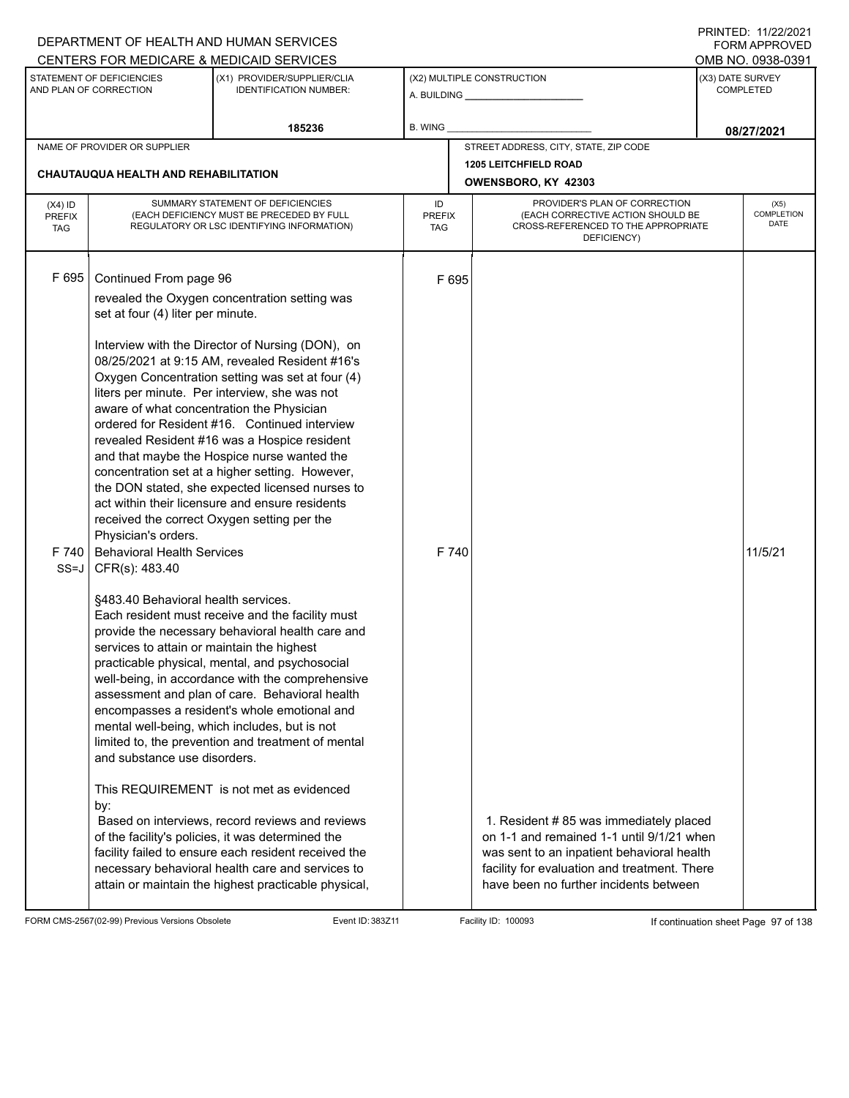|                                          |                                                                                                                                                                                                                                                                                                                                                                   | DEPARTMENT OF HEALTH AND HUMAN SERVICES                                                                                                                                                                                                                                                                                                                                                                                                                                                                                                                                                                                                                                                                                                                                                                                                                                                                                                                                                                                                                                                                                                                                                              |                                   |                                                                                                                                    | I INITILD. III <i>LLIL</i> VLI<br><b>FORM APPROVED</b> |
|------------------------------------------|-------------------------------------------------------------------------------------------------------------------------------------------------------------------------------------------------------------------------------------------------------------------------------------------------------------------------------------------------------------------|------------------------------------------------------------------------------------------------------------------------------------------------------------------------------------------------------------------------------------------------------------------------------------------------------------------------------------------------------------------------------------------------------------------------------------------------------------------------------------------------------------------------------------------------------------------------------------------------------------------------------------------------------------------------------------------------------------------------------------------------------------------------------------------------------------------------------------------------------------------------------------------------------------------------------------------------------------------------------------------------------------------------------------------------------------------------------------------------------------------------------------------------------------------------------------------------------|-----------------------------------|------------------------------------------------------------------------------------------------------------------------------------|--------------------------------------------------------|
|                                          |                                                                                                                                                                                                                                                                                                                                                                   | CENTERS FOR MEDICARE & MEDICAID SERVICES                                                                                                                                                                                                                                                                                                                                                                                                                                                                                                                                                                                                                                                                                                                                                                                                                                                                                                                                                                                                                                                                                                                                                             |                                   |                                                                                                                                    | OMB NO. 0938-0391                                      |
|                                          | STATEMENT OF DEFICIENCIES<br>AND PLAN OF CORRECTION                                                                                                                                                                                                                                                                                                               | (X1) PROVIDER/SUPPLIER/CLIA<br><b>IDENTIFICATION NUMBER:</b>                                                                                                                                                                                                                                                                                                                                                                                                                                                                                                                                                                                                                                                                                                                                                                                                                                                                                                                                                                                                                                                                                                                                         |                                   | (X2) MULTIPLE CONSTRUCTION                                                                                                         | (X3) DATE SURVEY<br><b>COMPLETED</b>                   |
|                                          |                                                                                                                                                                                                                                                                                                                                                                   | 185236                                                                                                                                                                                                                                                                                                                                                                                                                                                                                                                                                                                                                                                                                                                                                                                                                                                                                                                                                                                                                                                                                                                                                                                               | <b>B. WING</b>                    |                                                                                                                                    | 08/27/2021                                             |
|                                          | NAME OF PROVIDER OR SUPPLIER                                                                                                                                                                                                                                                                                                                                      |                                                                                                                                                                                                                                                                                                                                                                                                                                                                                                                                                                                                                                                                                                                                                                                                                                                                                                                                                                                                                                                                                                                                                                                                      |                                   | STREET ADDRESS, CITY, STATE, ZIP CODE                                                                                              |                                                        |
|                                          | CHAUTAUQUA HEALTH AND REHABILITATION                                                                                                                                                                                                                                                                                                                              |                                                                                                                                                                                                                                                                                                                                                                                                                                                                                                                                                                                                                                                                                                                                                                                                                                                                                                                                                                                                                                                                                                                                                                                                      |                                   | <b>1205 LEITCHFIELD ROAD</b><br>OWENSBORO, KY 42303                                                                                |                                                        |
| $(X4)$ ID<br><b>PREFIX</b><br><b>TAG</b> |                                                                                                                                                                                                                                                                                                                                                                   | SUMMARY STATEMENT OF DEFICIENCIES<br>(EACH DEFICIENCY MUST BE PRECEDED BY FULL<br>REGULATORY OR LSC IDENTIFYING INFORMATION)                                                                                                                                                                                                                                                                                                                                                                                                                                                                                                                                                                                                                                                                                                                                                                                                                                                                                                                                                                                                                                                                         | ID<br><b>PREFIX</b><br><b>TAG</b> | PROVIDER'S PLAN OF CORRECTION<br>(EACH CORRECTIVE ACTION SHOULD BE<br>CROSS-REFERENCED TO THE APPROPRIATE<br>DEFICIENCY)           | (X5)<br>COMPLETION<br><b>DATE</b>                      |
| F 695<br>F 740<br>$SS=J$                 | Continued From page 96<br>set at four (4) liter per minute.<br>aware of what concentration the Physician<br>received the correct Oxygen setting per the<br>Physician's orders.<br><b>Behavioral Health Services</b><br>CFR(s): 483.40<br>§483.40 Behavioral health services.<br>services to attain or maintain the highest<br>and substance use disorders.<br>by: | revealed the Oxygen concentration setting was<br>Interview with the Director of Nursing (DON), on<br>08/25/2021 at 9:15 AM, revealed Resident #16's<br>Oxygen Concentration setting was set at four (4)<br>liters per minute. Per interview, she was not<br>ordered for Resident #16. Continued interview<br>revealed Resident #16 was a Hospice resident<br>and that maybe the Hospice nurse wanted the<br>concentration set at a higher setting. However,<br>the DON stated, she expected licensed nurses to<br>act within their licensure and ensure residents<br>Each resident must receive and the facility must<br>provide the necessary behavioral health care and<br>practicable physical, mental, and psychosocial<br>well-being, in accordance with the comprehensive<br>assessment and plan of care. Behavioral health<br>encompasses a resident's whole emotional and<br>mental well-being, which includes, but is not<br>limited to, the prevention and treatment of mental<br>This REQUIREMENT is not met as evidenced<br>Based on interviews, record reviews and reviews<br>of the facility's policies, it was determined the<br>facility failed to ensure each resident received the | F 695<br>F 740                    | 1. Resident # 85 was immediately placed<br>on 1-1 and remained 1-1 until 9/1/21 when<br>was sent to an inpatient behavioral health | 11/5/21                                                |
|                                          |                                                                                                                                                                                                                                                                                                                                                                   | necessary behavioral health care and services to<br>attain or maintain the highest practicable physical,                                                                                                                                                                                                                                                                                                                                                                                                                                                                                                                                                                                                                                                                                                                                                                                                                                                                                                                                                                                                                                                                                             |                                   | facility for evaluation and treatment. There<br>have been no further incidents between                                             |                                                        |

FORM CMS-2567(02-99) Previous Versions Obsolete Event ID: 383Z11 Event ID: 383Z11 Facility ID: 100093 If continuation sheet Page 97 of 138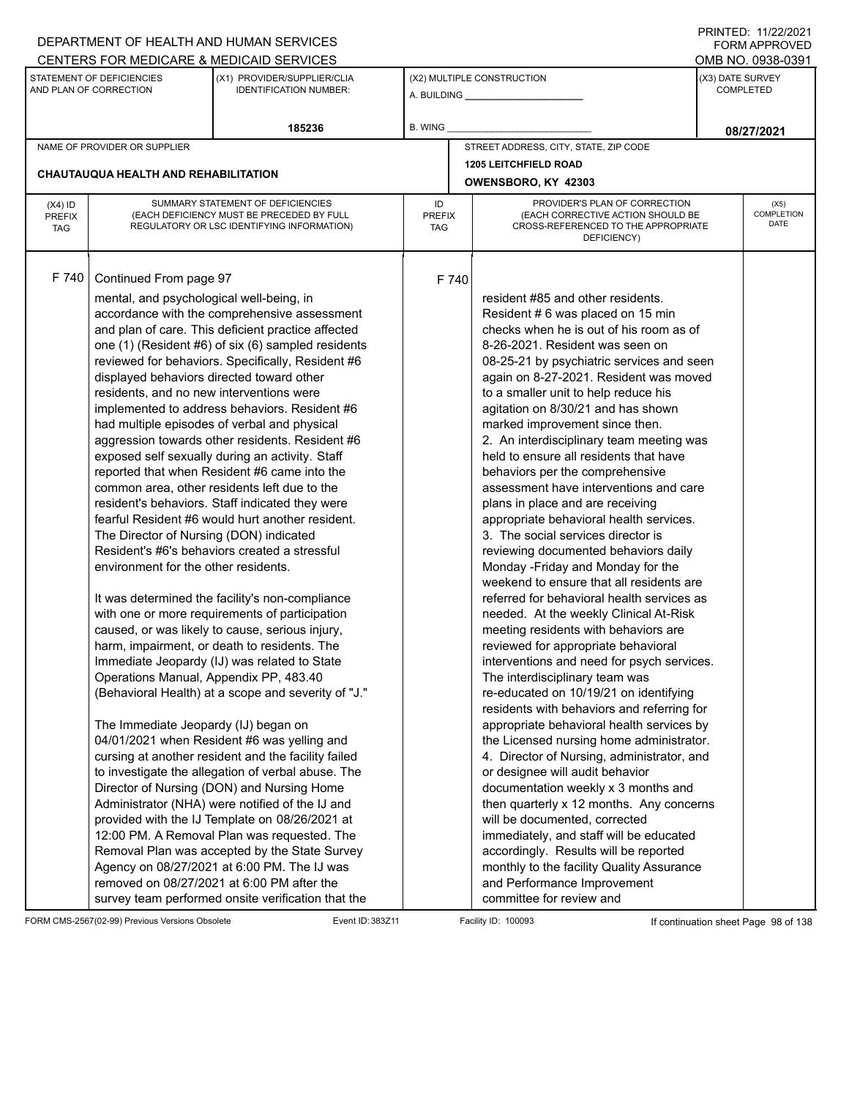|                                          |                                                                                                                                                                                                                                                                                                                                  | DEPARTMENT OF HEALTH AND HUMAN SERVICES                                                                                                                                                                                                                                                                                                                                                                                                                                                                                                                                                                                                                                                                                                                                                                                                                                                                                                                                                                                                                                                                                                                                                                                                                                                                                                                                                                                                                                                                                                                       |                                   |       |                                                                                                                                                                                                                                                                                                                                                                                                                                                                                                                                                                                                                                                                                                                                                                                                                                                                                                                                                                                                                                                                                                                                                                                                                                                                                                                                                                                                                                                                                                                                                                                                                       |                  | 111111111121112212121<br>FORM APPROVED |
|------------------------------------------|----------------------------------------------------------------------------------------------------------------------------------------------------------------------------------------------------------------------------------------------------------------------------------------------------------------------------------|---------------------------------------------------------------------------------------------------------------------------------------------------------------------------------------------------------------------------------------------------------------------------------------------------------------------------------------------------------------------------------------------------------------------------------------------------------------------------------------------------------------------------------------------------------------------------------------------------------------------------------------------------------------------------------------------------------------------------------------------------------------------------------------------------------------------------------------------------------------------------------------------------------------------------------------------------------------------------------------------------------------------------------------------------------------------------------------------------------------------------------------------------------------------------------------------------------------------------------------------------------------------------------------------------------------------------------------------------------------------------------------------------------------------------------------------------------------------------------------------------------------------------------------------------------------|-----------------------------------|-------|-----------------------------------------------------------------------------------------------------------------------------------------------------------------------------------------------------------------------------------------------------------------------------------------------------------------------------------------------------------------------------------------------------------------------------------------------------------------------------------------------------------------------------------------------------------------------------------------------------------------------------------------------------------------------------------------------------------------------------------------------------------------------------------------------------------------------------------------------------------------------------------------------------------------------------------------------------------------------------------------------------------------------------------------------------------------------------------------------------------------------------------------------------------------------------------------------------------------------------------------------------------------------------------------------------------------------------------------------------------------------------------------------------------------------------------------------------------------------------------------------------------------------------------------------------------------------------------------------------------------------|------------------|----------------------------------------|
|                                          |                                                                                                                                                                                                                                                                                                                                  | CENTERS FOR MEDICARE & MEDICAID SERVICES                                                                                                                                                                                                                                                                                                                                                                                                                                                                                                                                                                                                                                                                                                                                                                                                                                                                                                                                                                                                                                                                                                                                                                                                                                                                                                                                                                                                                                                                                                                      |                                   |       |                                                                                                                                                                                                                                                                                                                                                                                                                                                                                                                                                                                                                                                                                                                                                                                                                                                                                                                                                                                                                                                                                                                                                                                                                                                                                                                                                                                                                                                                                                                                                                                                                       |                  | OMB NO. 0938-0391                      |
|                                          | STATEMENT OF DEFICIENCIES<br>AND PLAN OF CORRECTION                                                                                                                                                                                                                                                                              | (X1) PROVIDER/SUPPLIER/CLIA<br><b>IDENTIFICATION NUMBER:</b>                                                                                                                                                                                                                                                                                                                                                                                                                                                                                                                                                                                                                                                                                                                                                                                                                                                                                                                                                                                                                                                                                                                                                                                                                                                                                                                                                                                                                                                                                                  |                                   |       | (X2) MULTIPLE CONSTRUCTION                                                                                                                                                                                                                                                                                                                                                                                                                                                                                                                                                                                                                                                                                                                                                                                                                                                                                                                                                                                                                                                                                                                                                                                                                                                                                                                                                                                                                                                                                                                                                                                            | (X3) DATE SURVEY | <b>COMPLETED</b>                       |
|                                          |                                                                                                                                                                                                                                                                                                                                  | 185236                                                                                                                                                                                                                                                                                                                                                                                                                                                                                                                                                                                                                                                                                                                                                                                                                                                                                                                                                                                                                                                                                                                                                                                                                                                                                                                                                                                                                                                                                                                                                        | B. WING                           |       |                                                                                                                                                                                                                                                                                                                                                                                                                                                                                                                                                                                                                                                                                                                                                                                                                                                                                                                                                                                                                                                                                                                                                                                                                                                                                                                                                                                                                                                                                                                                                                                                                       |                  | 08/27/2021                             |
|                                          | NAME OF PROVIDER OR SUPPLIER                                                                                                                                                                                                                                                                                                     |                                                                                                                                                                                                                                                                                                                                                                                                                                                                                                                                                                                                                                                                                                                                                                                                                                                                                                                                                                                                                                                                                                                                                                                                                                                                                                                                                                                                                                                                                                                                                               |                                   |       | STREET ADDRESS, CITY, STATE, ZIP CODE                                                                                                                                                                                                                                                                                                                                                                                                                                                                                                                                                                                                                                                                                                                                                                                                                                                                                                                                                                                                                                                                                                                                                                                                                                                                                                                                                                                                                                                                                                                                                                                 |                  |                                        |
|                                          |                                                                                                                                                                                                                                                                                                                                  |                                                                                                                                                                                                                                                                                                                                                                                                                                                                                                                                                                                                                                                                                                                                                                                                                                                                                                                                                                                                                                                                                                                                                                                                                                                                                                                                                                                                                                                                                                                                                               |                                   |       | <b>1205 LEITCHFIELD ROAD</b>                                                                                                                                                                                                                                                                                                                                                                                                                                                                                                                                                                                                                                                                                                                                                                                                                                                                                                                                                                                                                                                                                                                                                                                                                                                                                                                                                                                                                                                                                                                                                                                          |                  |                                        |
|                                          | <b>CHAUTAUQUA HEALTH AND REHABILITATION</b>                                                                                                                                                                                                                                                                                      |                                                                                                                                                                                                                                                                                                                                                                                                                                                                                                                                                                                                                                                                                                                                                                                                                                                                                                                                                                                                                                                                                                                                                                                                                                                                                                                                                                                                                                                                                                                                                               |                                   |       | OWENSBORO, KY 42303                                                                                                                                                                                                                                                                                                                                                                                                                                                                                                                                                                                                                                                                                                                                                                                                                                                                                                                                                                                                                                                                                                                                                                                                                                                                                                                                                                                                                                                                                                                                                                                                   |                  |                                        |
| $(X4)$ ID<br><b>PREFIX</b><br><b>TAG</b> |                                                                                                                                                                                                                                                                                                                                  | SUMMARY STATEMENT OF DEFICIENCIES<br>(EACH DEFICIENCY MUST BE PRECEDED BY FULL<br>REGULATORY OR LSC IDENTIFYING INFORMATION)                                                                                                                                                                                                                                                                                                                                                                                                                                                                                                                                                                                                                                                                                                                                                                                                                                                                                                                                                                                                                                                                                                                                                                                                                                                                                                                                                                                                                                  | ID<br><b>PREFIX</b><br><b>TAG</b> |       | PROVIDER'S PLAN OF CORRECTION<br>(EACH CORRECTIVE ACTION SHOULD BE<br>CROSS-REFERENCED TO THE APPROPRIATE<br>DEFICIENCY)                                                                                                                                                                                                                                                                                                                                                                                                                                                                                                                                                                                                                                                                                                                                                                                                                                                                                                                                                                                                                                                                                                                                                                                                                                                                                                                                                                                                                                                                                              |                  | (X5)<br>COMPLETION<br>DATE             |
| F 740                                    | Continued From page 97<br>mental, and psychological well-being, in<br>displayed behaviors directed toward other<br>residents, and no new interventions were<br>The Director of Nursing (DON) indicated<br>environment for the other residents.<br>Operations Manual, Appendix PP, 483.40<br>The Immediate Jeopardy (IJ) began on | accordance with the comprehensive assessment<br>and plan of care. This deficient practice affected<br>one (1) (Resident #6) of six (6) sampled residents<br>reviewed for behaviors. Specifically, Resident #6<br>implemented to address behaviors. Resident #6<br>had multiple episodes of verbal and physical<br>aggression towards other residents. Resident #6<br>exposed self sexually during an activity. Staff<br>reported that when Resident #6 came into the<br>common area, other residents left due to the<br>resident's behaviors. Staff indicated they were<br>fearful Resident #6 would hurt another resident.<br>Resident's #6's behaviors created a stressful<br>It was determined the facility's non-compliance<br>with one or more requirements of participation<br>caused, or was likely to cause, serious injury,<br>harm, impairment, or death to residents. The<br>Immediate Jeopardy (IJ) was related to State<br>(Behavioral Health) at a scope and severity of "J."<br>04/01/2021 when Resident #6 was yelling and<br>cursing at another resident and the facility failed<br>to investigate the allegation of verbal abuse. The<br>Director of Nursing (DON) and Nursing Home<br>Administrator (NHA) were notified of the IJ and<br>provided with the IJ Template on 08/26/2021 at<br>12:00 PM. A Removal Plan was requested. The<br>Removal Plan was accepted by the State Survey<br>Agency on 08/27/2021 at 6:00 PM. The IJ was<br>removed on 08/27/2021 at 6:00 PM after the<br>survey team performed onsite verification that the |                                   | F 740 | resident #85 and other residents.<br>Resident #6 was placed on 15 min<br>checks when he is out of his room as of<br>8-26-2021. Resident was seen on<br>08-25-21 by psychiatric services and seen<br>again on 8-27-2021. Resident was moved<br>to a smaller unit to help reduce his<br>agitation on 8/30/21 and has shown<br>marked improvement since then.<br>2. An interdisciplinary team meeting was<br>held to ensure all residents that have<br>behaviors per the comprehensive<br>assessment have interventions and care<br>plans in place and are receiving<br>appropriate behavioral health services.<br>3. The social services director is<br>reviewing documented behaviors daily<br>Monday - Friday and Monday for the<br>weekend to ensure that all residents are<br>referred for behavioral health services as<br>needed. At the weekly Clinical At-Risk<br>meeting residents with behaviors are<br>reviewed for appropriate behavioral<br>interventions and need for psych services.<br>The interdisciplinary team was<br>re-educated on 10/19/21 on identifying<br>residents with behaviors and referring for<br>appropriate behavioral health services by<br>the Licensed nursing home administrator.<br>4. Director of Nursing, administrator, and<br>or designee will audit behavior<br>documentation weekly x 3 months and<br>then quarterly x 12 months. Any concerns<br>will be documented, corrected<br>immediately, and staff will be educated<br>accordingly. Results will be reported<br>monthly to the facility Quality Assurance<br>and Performance Improvement<br>committee for review and |                  |                                        |

FORM CMS-2567(02-99) Previous Versions Obsolete Event ID: 383Z11 Event ID: 383Z11 Facility ID: 100093 If continuation sheet Page 98 of 138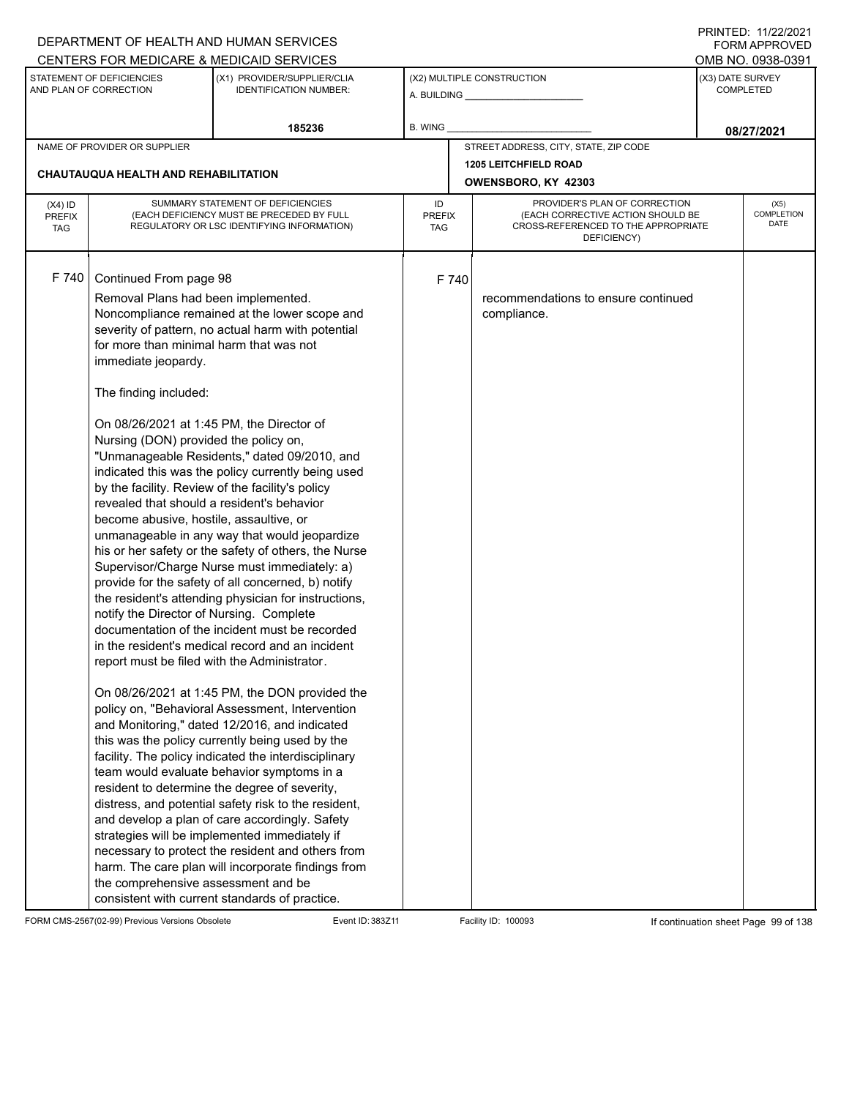|                                          |                                                                                                                                                                                                                                                                                                                                                                                                                                                                                         | DEPARTMENT OF HEALTH AND HUMAN SERVICES                                                                                                                                                                                                                                                                                                                                                                                                                                                                                                                                                                                                                                                                                                                                                                                                                                                                                                                                                                                                                                                                                                                                                                                      |                            |       |                                                                                                                          |                                      | <b>FORM APPROVED</b>              |
|------------------------------------------|-----------------------------------------------------------------------------------------------------------------------------------------------------------------------------------------------------------------------------------------------------------------------------------------------------------------------------------------------------------------------------------------------------------------------------------------------------------------------------------------|------------------------------------------------------------------------------------------------------------------------------------------------------------------------------------------------------------------------------------------------------------------------------------------------------------------------------------------------------------------------------------------------------------------------------------------------------------------------------------------------------------------------------------------------------------------------------------------------------------------------------------------------------------------------------------------------------------------------------------------------------------------------------------------------------------------------------------------------------------------------------------------------------------------------------------------------------------------------------------------------------------------------------------------------------------------------------------------------------------------------------------------------------------------------------------------------------------------------------|----------------------------|-------|--------------------------------------------------------------------------------------------------------------------------|--------------------------------------|-----------------------------------|
|                                          |                                                                                                                                                                                                                                                                                                                                                                                                                                                                                         | CENTERS FOR MEDICARE & MEDICAID SERVICES                                                                                                                                                                                                                                                                                                                                                                                                                                                                                                                                                                                                                                                                                                                                                                                                                                                                                                                                                                                                                                                                                                                                                                                     |                            |       |                                                                                                                          |                                      | OMB NO. 0938-0391                 |
|                                          | STATEMENT OF DEFICIENCIES<br>AND PLAN OF CORRECTION                                                                                                                                                                                                                                                                                                                                                                                                                                     | (X1) PROVIDER/SUPPLIER/CLIA<br><b>IDENTIFICATION NUMBER:</b>                                                                                                                                                                                                                                                                                                                                                                                                                                                                                                                                                                                                                                                                                                                                                                                                                                                                                                                                                                                                                                                                                                                                                                 |                            |       | (X2) MULTIPLE CONSTRUCTION                                                                                               | (X3) DATE SURVEY<br><b>COMPLETED</b> |                                   |
|                                          |                                                                                                                                                                                                                                                                                                                                                                                                                                                                                         | 185236                                                                                                                                                                                                                                                                                                                                                                                                                                                                                                                                                                                                                                                                                                                                                                                                                                                                                                                                                                                                                                                                                                                                                                                                                       | B. WING                    |       |                                                                                                                          |                                      | 08/27/2021                        |
|                                          | NAME OF PROVIDER OR SUPPLIER                                                                                                                                                                                                                                                                                                                                                                                                                                                            |                                                                                                                                                                                                                                                                                                                                                                                                                                                                                                                                                                                                                                                                                                                                                                                                                                                                                                                                                                                                                                                                                                                                                                                                                              |                            |       | STREET ADDRESS, CITY, STATE, ZIP CODE                                                                                    |                                      |                                   |
|                                          |                                                                                                                                                                                                                                                                                                                                                                                                                                                                                         |                                                                                                                                                                                                                                                                                                                                                                                                                                                                                                                                                                                                                                                                                                                                                                                                                                                                                                                                                                                                                                                                                                                                                                                                                              |                            |       | <b>1205 LEITCHFIELD ROAD</b>                                                                                             |                                      |                                   |
|                                          | CHAUTAUQUA HEALTH AND REHABILITATION                                                                                                                                                                                                                                                                                                                                                                                                                                                    |                                                                                                                                                                                                                                                                                                                                                                                                                                                                                                                                                                                                                                                                                                                                                                                                                                                                                                                                                                                                                                                                                                                                                                                                                              |                            |       | OWENSBORO, KY 42303                                                                                                      |                                      |                                   |
| $(X4)$ ID<br><b>PREFIX</b><br><b>TAG</b> |                                                                                                                                                                                                                                                                                                                                                                                                                                                                                         | SUMMARY STATEMENT OF DEFICIENCIES<br>(EACH DEFICIENCY MUST BE PRECEDED BY FULL<br>REGULATORY OR LSC IDENTIFYING INFORMATION)                                                                                                                                                                                                                                                                                                                                                                                                                                                                                                                                                                                                                                                                                                                                                                                                                                                                                                                                                                                                                                                                                                 | ID<br><b>PREFIX</b><br>TAG |       | PROVIDER'S PLAN OF CORRECTION<br>(EACH CORRECTIVE ACTION SHOULD BE<br>CROSS-REFERENCED TO THE APPROPRIATE<br>DEFICIENCY) |                                      | (X5)<br><b>COMPLETION</b><br>DATE |
| F 740                                    | Continued From page 98<br>Removal Plans had been implemented.<br>for more than minimal harm that was not<br>immediate jeopardy.<br>The finding included:<br>On 08/26/2021 at 1:45 PM, the Director of<br>Nursing (DON) provided the policy on,<br>by the facility. Review of the facility's policy<br>revealed that should a resident's behavior<br>become abusive, hostile, assaultive, or<br>notify the Director of Nursing. Complete<br>report must be filed with the Administrator. | Noncompliance remained at the lower scope and<br>severity of pattern, no actual harm with potential<br>"Unmanageable Residents," dated 09/2010, and<br>indicated this was the policy currently being used<br>unmanageable in any way that would jeopardize<br>his or her safety or the safety of others, the Nurse<br>Supervisor/Charge Nurse must immediately: a)<br>provide for the safety of all concerned, b) notify<br>the resident's attending physician for instructions,<br>documentation of the incident must be recorded<br>in the resident's medical record and an incident<br>On 08/26/2021 at 1:45 PM, the DON provided the<br>policy on, "Behavioral Assessment, Intervention<br>and Monitoring," dated 12/2016, and indicated<br>this was the policy currently being used by the<br>facility. The policy indicated the interdisciplinary<br>team would evaluate behavior symptoms in a<br>resident to determine the degree of severity,<br>distress, and potential safety risk to the resident,<br>and develop a plan of care accordingly. Safety<br>strategies will be implemented immediately if<br>necessary to protect the resident and others from<br>harm. The care plan will incorporate findings from |                            | F 740 | recommendations to ensure continued<br>compliance.                                                                       |                                      |                                   |
|                                          | the comprehensive assessment and be                                                                                                                                                                                                                                                                                                                                                                                                                                                     | consistent with current standards of practice.                                                                                                                                                                                                                                                                                                                                                                                                                                                                                                                                                                                                                                                                                                                                                                                                                                                                                                                                                                                                                                                                                                                                                                               |                            |       |                                                                                                                          |                                      |                                   |

FORM CMS-2567(02-99) Previous Versions Obsolete Event ID: 383Z11 Facility ID: 100093 If continuation sheet Page 99 of 138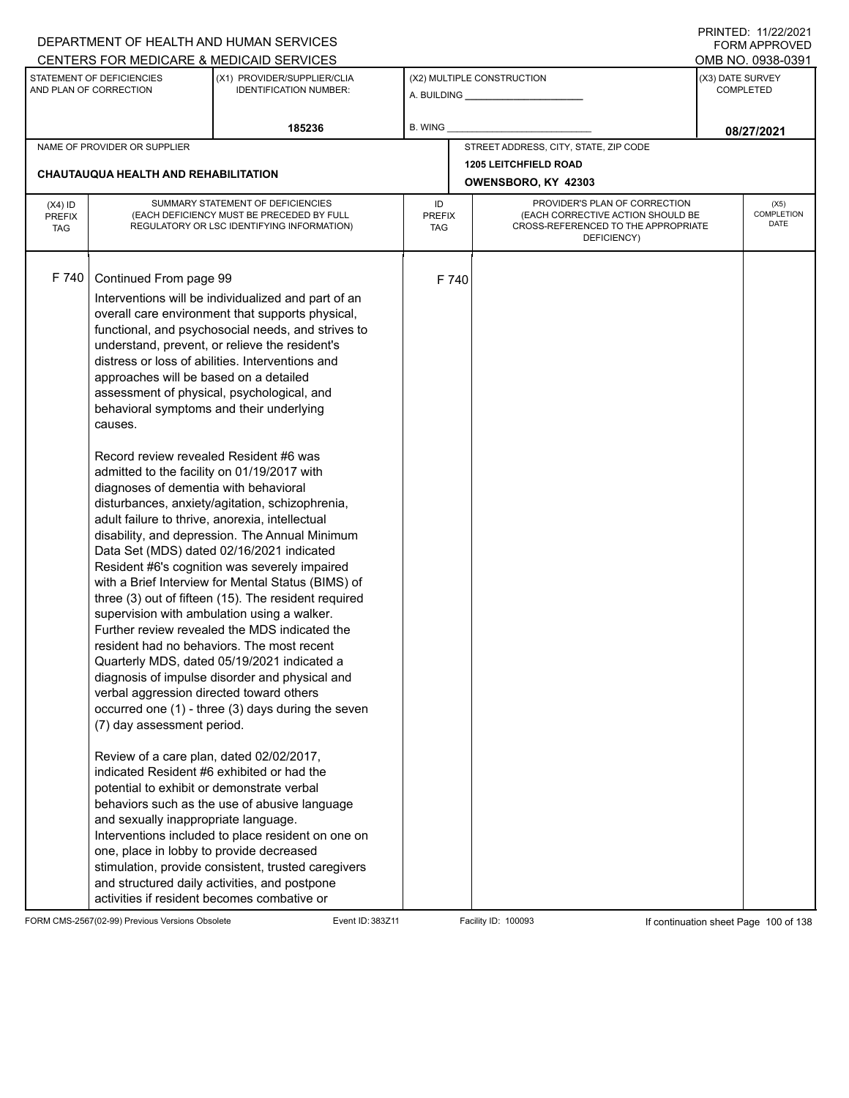|                                          |                                                                                                                                                                                                                                                                                                                                                                                                                                                                                                                                                                                                                                                                   | DEPARTMENT OF HEALTH AND HUMAN SERVICES                                                                                                                                                                                                                                                                                                                                                                                                                                                                                                                                                                                                                                                                                                                                                                                                                                                                                                                                                                                                                                                                                                                |                            |       |                                                                                                                          |                                      | $1 \times 1 \times 1 = 1$ . $11222222$<br><b>FORM APPROVED</b> |  |
|------------------------------------------|-------------------------------------------------------------------------------------------------------------------------------------------------------------------------------------------------------------------------------------------------------------------------------------------------------------------------------------------------------------------------------------------------------------------------------------------------------------------------------------------------------------------------------------------------------------------------------------------------------------------------------------------------------------------|--------------------------------------------------------------------------------------------------------------------------------------------------------------------------------------------------------------------------------------------------------------------------------------------------------------------------------------------------------------------------------------------------------------------------------------------------------------------------------------------------------------------------------------------------------------------------------------------------------------------------------------------------------------------------------------------------------------------------------------------------------------------------------------------------------------------------------------------------------------------------------------------------------------------------------------------------------------------------------------------------------------------------------------------------------------------------------------------------------------------------------------------------------|----------------------------|-------|--------------------------------------------------------------------------------------------------------------------------|--------------------------------------|----------------------------------------------------------------|--|
|                                          |                                                                                                                                                                                                                                                                                                                                                                                                                                                                                                                                                                                                                                                                   | CENTERS FOR MEDICARE & MEDICAID SERVICES                                                                                                                                                                                                                                                                                                                                                                                                                                                                                                                                                                                                                                                                                                                                                                                                                                                                                                                                                                                                                                                                                                               |                            |       |                                                                                                                          |                                      | OMB NO. 0938-0391                                              |  |
|                                          | STATEMENT OF DEFICIENCIES<br>AND PLAN OF CORRECTION                                                                                                                                                                                                                                                                                                                                                                                                                                                                                                                                                                                                               | (X1) PROVIDER/SUPPLIER/CLIA<br><b>IDENTIFICATION NUMBER:</b>                                                                                                                                                                                                                                                                                                                                                                                                                                                                                                                                                                                                                                                                                                                                                                                                                                                                                                                                                                                                                                                                                           |                            |       | (X2) MULTIPLE CONSTRUCTION                                                                                               | (X3) DATE SURVEY<br><b>COMPLETED</b> |                                                                |  |
|                                          |                                                                                                                                                                                                                                                                                                                                                                                                                                                                                                                                                                                                                                                                   | 185236                                                                                                                                                                                                                                                                                                                                                                                                                                                                                                                                                                                                                                                                                                                                                                                                                                                                                                                                                                                                                                                                                                                                                 | <b>B. WING</b>             |       |                                                                                                                          |                                      | 08/27/2021                                                     |  |
|                                          | NAME OF PROVIDER OR SUPPLIER                                                                                                                                                                                                                                                                                                                                                                                                                                                                                                                                                                                                                                      |                                                                                                                                                                                                                                                                                                                                                                                                                                                                                                                                                                                                                                                                                                                                                                                                                                                                                                                                                                                                                                                                                                                                                        |                            |       | STREET ADDRESS, CITY, STATE, ZIP CODE                                                                                    |                                      |                                                                |  |
|                                          | <b>CHAUTAUQUA HEALTH AND REHABILITATION</b>                                                                                                                                                                                                                                                                                                                                                                                                                                                                                                                                                                                                                       |                                                                                                                                                                                                                                                                                                                                                                                                                                                                                                                                                                                                                                                                                                                                                                                                                                                                                                                                                                                                                                                                                                                                                        |                            |       | <b>1205 LEITCHFIELD ROAD</b>                                                                                             |                                      |                                                                |  |
|                                          |                                                                                                                                                                                                                                                                                                                                                                                                                                                                                                                                                                                                                                                                   |                                                                                                                                                                                                                                                                                                                                                                                                                                                                                                                                                                                                                                                                                                                                                                                                                                                                                                                                                                                                                                                                                                                                                        |                            |       | OWENSBORO, KY 42303                                                                                                      |                                      |                                                                |  |
| $(X4)$ ID<br><b>PREFIX</b><br><b>TAG</b> |                                                                                                                                                                                                                                                                                                                                                                                                                                                                                                                                                                                                                                                                   | SUMMARY STATEMENT OF DEFICIENCIES<br>(EACH DEFICIENCY MUST BE PRECEDED BY FULL<br>REGULATORY OR LSC IDENTIFYING INFORMATION)                                                                                                                                                                                                                                                                                                                                                                                                                                                                                                                                                                                                                                                                                                                                                                                                                                                                                                                                                                                                                           | ID<br><b>PREFIX</b><br>TAG |       | PROVIDER'S PLAN OF CORRECTION<br>(EACH CORRECTIVE ACTION SHOULD BE<br>CROSS-REFERENCED TO THE APPROPRIATE<br>DEFICIENCY) |                                      | (X5)<br><b>COMPLETION</b><br>DATE                              |  |
| F 740                                    | Continued From page 99<br>approaches will be based on a detailed<br>behavioral symptoms and their underlying<br>causes.<br>Record review revealed Resident #6 was<br>admitted to the facility on 01/19/2017 with<br>diagnoses of dementia with behavioral<br>adult failure to thrive, anorexia, intellectual<br>verbal aggression directed toward others<br>(7) day assessment period.<br>Review of a care plan, dated 02/02/2017,<br>indicated Resident #6 exhibited or had the<br>potential to exhibit or demonstrate verbal<br>and sexually inappropriate language.<br>one, place in lobby to provide decreased<br>activities if resident becomes combative or | Interventions will be individualized and part of an<br>overall care environment that supports physical,<br>functional, and psychosocial needs, and strives to<br>understand, prevent, or relieve the resident's<br>distress or loss of abilities. Interventions and<br>assessment of physical, psychological, and<br>disturbances, anxiety/agitation, schizophrenia,<br>disability, and depression. The Annual Minimum<br>Data Set (MDS) dated 02/16/2021 indicated<br>Resident #6's cognition was severely impaired<br>with a Brief Interview for Mental Status (BIMS) of<br>three (3) out of fifteen (15). The resident required<br>supervision with ambulation using a walker.<br>Further review revealed the MDS indicated the<br>resident had no behaviors. The most recent<br>Quarterly MDS, dated 05/19/2021 indicated a<br>diagnosis of impulse disorder and physical and<br>occurred one (1) - three (3) days during the seven<br>behaviors such as the use of abusive language<br>Interventions included to place resident on one on<br>stimulation, provide consistent, trusted caregivers<br>and structured daily activities, and postpone |                            | F 740 |                                                                                                                          |                                      |                                                                |  |

FORM CMS-2567(02-99) Previous Versions Obsolete Event ID: 383Z11 Facility ID: 100093 If continuation sheet Page 100 of 138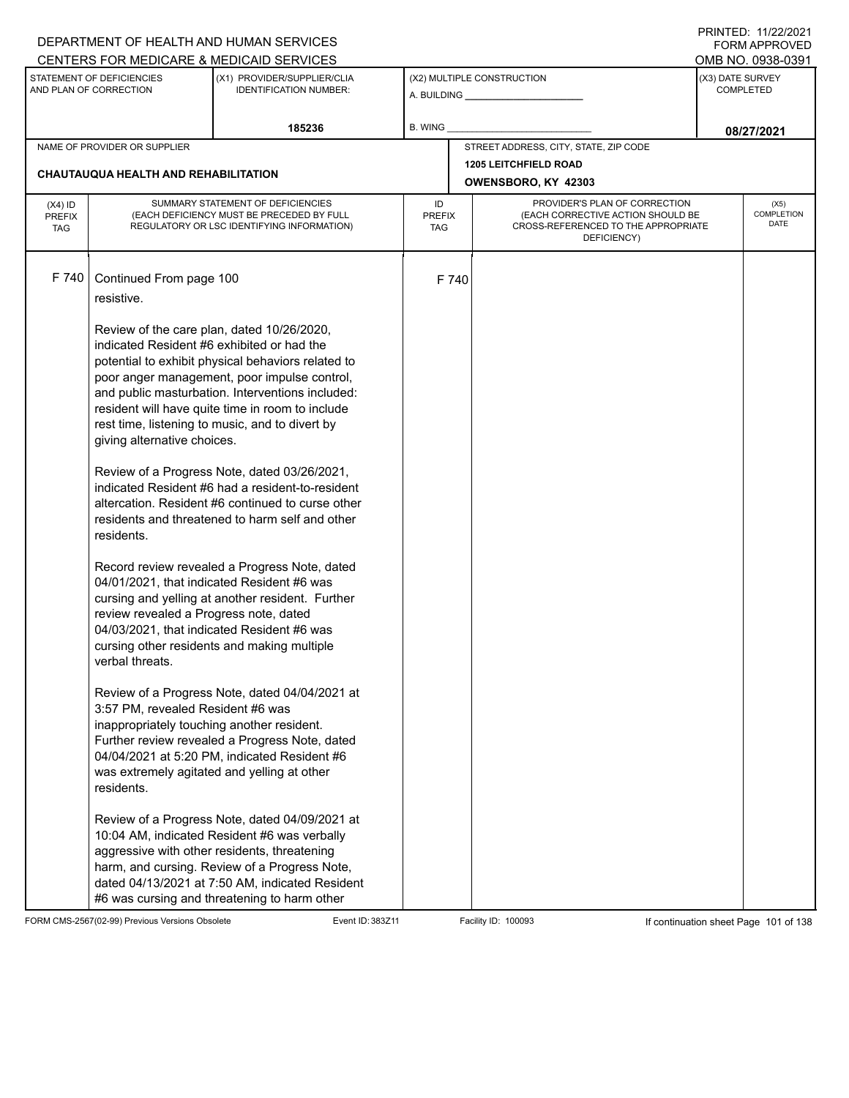|                                          |                                                                                                                                                                                                                                                                                                | DEPARTMENT OF HEALTH AND HUMAN SERVICES                                                                                                                                                                                                                                                                                                                                                                                                                                                                                                                                                                                                                                                                                                                                                                                                                                                                                                                                    |                            |       |                                                                                                                          |                                | FORM APPROVED              |  |
|------------------------------------------|------------------------------------------------------------------------------------------------------------------------------------------------------------------------------------------------------------------------------------------------------------------------------------------------|----------------------------------------------------------------------------------------------------------------------------------------------------------------------------------------------------------------------------------------------------------------------------------------------------------------------------------------------------------------------------------------------------------------------------------------------------------------------------------------------------------------------------------------------------------------------------------------------------------------------------------------------------------------------------------------------------------------------------------------------------------------------------------------------------------------------------------------------------------------------------------------------------------------------------------------------------------------------------|----------------------------|-------|--------------------------------------------------------------------------------------------------------------------------|--------------------------------|----------------------------|--|
|                                          | STATEMENT OF DEFICIENCIES                                                                                                                                                                                                                                                                      | CENTERS FOR MEDICARE & MEDICAID SERVICES<br>(X1) PROVIDER/SUPPLIER/CLIA                                                                                                                                                                                                                                                                                                                                                                                                                                                                                                                                                                                                                                                                                                                                                                                                                                                                                                    |                            |       | (X2) MULTIPLE CONSTRUCTION                                                                                               | (X3) DATE SURVEY               | OMB NO. 0938-0391          |  |
|                                          | AND PLAN OF CORRECTION                                                                                                                                                                                                                                                                         | <b>IDENTIFICATION NUMBER:</b>                                                                                                                                                                                                                                                                                                                                                                                                                                                                                                                                                                                                                                                                                                                                                                                                                                                                                                                                              |                            |       |                                                                                                                          | <b>COMPLETED</b><br>08/27/2021 |                            |  |
|                                          |                                                                                                                                                                                                                                                                                                | 185236                                                                                                                                                                                                                                                                                                                                                                                                                                                                                                                                                                                                                                                                                                                                                                                                                                                                                                                                                                     | B. WING                    |       |                                                                                                                          |                                |                            |  |
|                                          | NAME OF PROVIDER OR SUPPLIER                                                                                                                                                                                                                                                                   |                                                                                                                                                                                                                                                                                                                                                                                                                                                                                                                                                                                                                                                                                                                                                                                                                                                                                                                                                                            |                            |       | STREET ADDRESS, CITY, STATE, ZIP CODE                                                                                    |                                |                            |  |
|                                          | CHAUTAUQUA HEALTH AND REHABILITATION                                                                                                                                                                                                                                                           |                                                                                                                                                                                                                                                                                                                                                                                                                                                                                                                                                                                                                                                                                                                                                                                                                                                                                                                                                                            |                            |       | <b>1205 LEITCHFIELD ROAD</b><br>OWENSBORO, KY 42303                                                                      |                                |                            |  |
| $(X4)$ ID<br><b>PREFIX</b><br><b>TAG</b> |                                                                                                                                                                                                                                                                                                | SUMMARY STATEMENT OF DEFICIENCIES<br>(EACH DEFICIENCY MUST BE PRECEDED BY FULL<br>REGULATORY OR LSC IDENTIFYING INFORMATION)                                                                                                                                                                                                                                                                                                                                                                                                                                                                                                                                                                                                                                                                                                                                                                                                                                               | ID<br><b>PREFIX</b><br>TAG |       | PROVIDER'S PLAN OF CORRECTION<br>(EACH CORRECTIVE ACTION SHOULD BE<br>CROSS-REFERENCED TO THE APPROPRIATE<br>DEFICIENCY) |                                | (X5)<br>COMPLETION<br>DATE |  |
| F 740                                    | Continued From page 100<br>resistive.<br>indicated Resident #6 exhibited or had the<br>giving alternative choices.<br>residents.<br>review revealed a Progress note, dated<br>verbal threats.<br>3:57 PM, revealed Resident #6 was<br>inappropriately touching another resident.<br>residents. | Review of the care plan, dated 10/26/2020,<br>potential to exhibit physical behaviors related to<br>poor anger management, poor impulse control,<br>and public masturbation. Interventions included:<br>resident will have quite time in room to include<br>rest time, listening to music, and to divert by<br>Review of a Progress Note, dated 03/26/2021,<br>indicated Resident #6 had a resident-to-resident<br>altercation. Resident #6 continued to curse other<br>residents and threatened to harm self and other<br>Record review revealed a Progress Note, dated<br>04/01/2021, that indicated Resident #6 was<br>cursing and yelling at another resident. Further<br>04/03/2021, that indicated Resident #6 was<br>cursing other residents and making multiple<br>Review of a Progress Note, dated 04/04/2021 at<br>Further review revealed a Progress Note, dated<br>04/04/2021 at 5:20 PM, indicated Resident #6<br>was extremely agitated and yelling at other |                            | F 740 |                                                                                                                          |                                |                            |  |
|                                          |                                                                                                                                                                                                                                                                                                | Review of a Progress Note, dated 04/09/2021 at<br>10:04 AM, indicated Resident #6 was verbally<br>aggressive with other residents, threatening<br>harm, and cursing. Review of a Progress Note,<br>dated 04/13/2021 at 7:50 AM, indicated Resident<br>#6 was cursing and threatening to harm other                                                                                                                                                                                                                                                                                                                                                                                                                                                                                                                                                                                                                                                                         |                            |       |                                                                                                                          |                                |                            |  |

FORM CMS-2567(02-99) Previous Versions Obsolete Event ID: 383Z11 Facility ID: 100093 If continuation sheet Page 101 of 138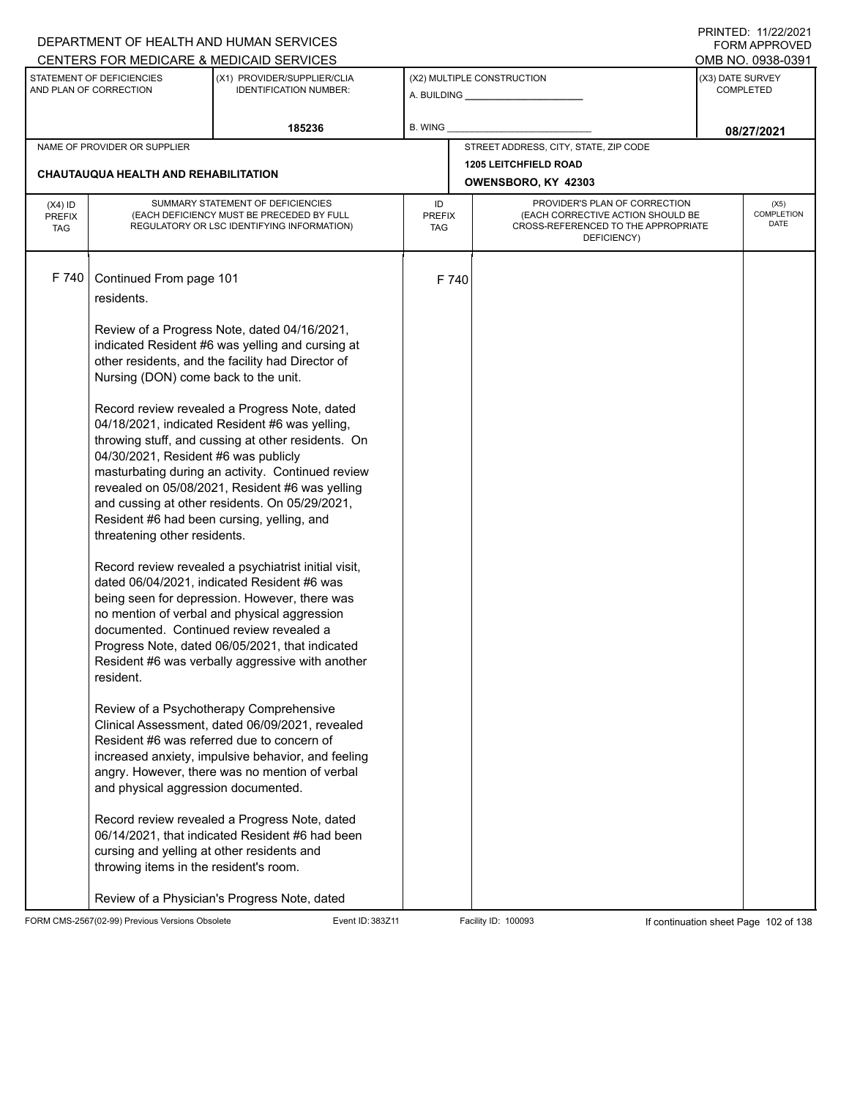|                                                                                             |                                                                                                                                                                                                                                                         | DEPARTMENT OF HEALTH AND HUMAN SERVICES                                                                                                                                                                                                                                                                                                                                                                                                                                                                                                                                                                                                                                                                                                                                                                                                                                                                                                                                                                                                                                                                                                                                                    |                            |       |                                                                                                                          |                  | FORM APPROVED              |
|---------------------------------------------------------------------------------------------|---------------------------------------------------------------------------------------------------------------------------------------------------------------------------------------------------------------------------------------------------------|--------------------------------------------------------------------------------------------------------------------------------------------------------------------------------------------------------------------------------------------------------------------------------------------------------------------------------------------------------------------------------------------------------------------------------------------------------------------------------------------------------------------------------------------------------------------------------------------------------------------------------------------------------------------------------------------------------------------------------------------------------------------------------------------------------------------------------------------------------------------------------------------------------------------------------------------------------------------------------------------------------------------------------------------------------------------------------------------------------------------------------------------------------------------------------------------|----------------------------|-------|--------------------------------------------------------------------------------------------------------------------------|------------------|----------------------------|
|                                                                                             | STATEMENT OF DEFICIENCIES                                                                                                                                                                                                                               | CENTERS FOR MEDICARE & MEDICAID SERVICES<br>(X1) PROVIDER/SUPPLIER/CLIA                                                                                                                                                                                                                                                                                                                                                                                                                                                                                                                                                                                                                                                                                                                                                                                                                                                                                                                                                                                                                                                                                                                    |                            |       | (X2) MULTIPLE CONSTRUCTION                                                                                               | (X3) DATE SURVEY | OMB NO. 0938-0391          |
|                                                                                             | AND PLAN OF CORRECTION                                                                                                                                                                                                                                  | <b>IDENTIFICATION NUMBER:</b>                                                                                                                                                                                                                                                                                                                                                                                                                                                                                                                                                                                                                                                                                                                                                                                                                                                                                                                                                                                                                                                                                                                                                              |                            |       |                                                                                                                          | <b>COMPLETED</b> |                            |
|                                                                                             |                                                                                                                                                                                                                                                         | 185236                                                                                                                                                                                                                                                                                                                                                                                                                                                                                                                                                                                                                                                                                                                                                                                                                                                                                                                                                                                                                                                                                                                                                                                     | <b>B. WING</b>             |       |                                                                                                                          |                  | 08/27/2021                 |
|                                                                                             | NAME OF PROVIDER OR SUPPLIER                                                                                                                                                                                                                            |                                                                                                                                                                                                                                                                                                                                                                                                                                                                                                                                                                                                                                                                                                                                                                                                                                                                                                                                                                                                                                                                                                                                                                                            |                            |       | STREET ADDRESS, CITY, STATE, ZIP CODE                                                                                    |                  |                            |
| <b>1205 LEITCHFIELD ROAD</b><br>CHAUTAUQUA HEALTH AND REHABILITATION<br>OWENSBORO, KY 42303 |                                                                                                                                                                                                                                                         |                                                                                                                                                                                                                                                                                                                                                                                                                                                                                                                                                                                                                                                                                                                                                                                                                                                                                                                                                                                                                                                                                                                                                                                            |                            |       |                                                                                                                          |                  |                            |
| $(X4)$ ID<br><b>PREFIX</b><br><b>TAG</b>                                                    |                                                                                                                                                                                                                                                         | SUMMARY STATEMENT OF DEFICIENCIES<br>(EACH DEFICIENCY MUST BE PRECEDED BY FULL<br>REGULATORY OR LSC IDENTIFYING INFORMATION)                                                                                                                                                                                                                                                                                                                                                                                                                                                                                                                                                                                                                                                                                                                                                                                                                                                                                                                                                                                                                                                               | ID<br><b>PREFIX</b><br>TAG |       | PROVIDER'S PLAN OF CORRECTION<br>(EACH CORRECTIVE ACTION SHOULD BE<br>CROSS-REFERENCED TO THE APPROPRIATE<br>DEFICIENCY) |                  | (X5)<br>COMPLETION<br>DATE |
| F 740                                                                                       | Continued From page 101<br>residents.<br>Nursing (DON) come back to the unit.<br>04/30/2021, Resident #6 was publicly<br>Resident #6 had been cursing, yelling, and<br>threatening other residents.<br>resident.<br>and physical aggression documented. | Review of a Progress Note, dated 04/16/2021,<br>indicated Resident #6 was yelling and cursing at<br>other residents, and the facility had Director of<br>Record review revealed a Progress Note, dated<br>04/18/2021, indicated Resident #6 was yelling,<br>throwing stuff, and cussing at other residents. On<br>masturbating during an activity. Continued review<br>revealed on 05/08/2021, Resident #6 was yelling<br>and cussing at other residents. On 05/29/2021,<br>Record review revealed a psychiatrist initial visit,<br>dated 06/04/2021, indicated Resident #6 was<br>being seen for depression. However, there was<br>no mention of verbal and physical aggression<br>documented. Continued review revealed a<br>Progress Note, dated 06/05/2021, that indicated<br>Resident #6 was verbally aggressive with another<br>Review of a Psychotherapy Comprehensive<br>Clinical Assessment, dated 06/09/2021, revealed<br>Resident #6 was referred due to concern of<br>increased anxiety, impulsive behavior, and feeling<br>angry. However, there was no mention of verbal<br>Record review revealed a Progress Note, dated<br>06/14/2021, that indicated Resident #6 had been |                            | F 740 |                                                                                                                          |                  |                            |
|                                                                                             | cursing and yelling at other residents and<br>throwing items in the resident's room.                                                                                                                                                                    | Review of a Physician's Progress Note, dated                                                                                                                                                                                                                                                                                                                                                                                                                                                                                                                                                                                                                                                                                                                                                                                                                                                                                                                                                                                                                                                                                                                                               |                            |       |                                                                                                                          |                  |                            |

FORM CMS-2567(02-99) Previous Versions Obsolete Event ID: 383Z11 Facility ID: 100093 If continuation sheet Page 102 of 138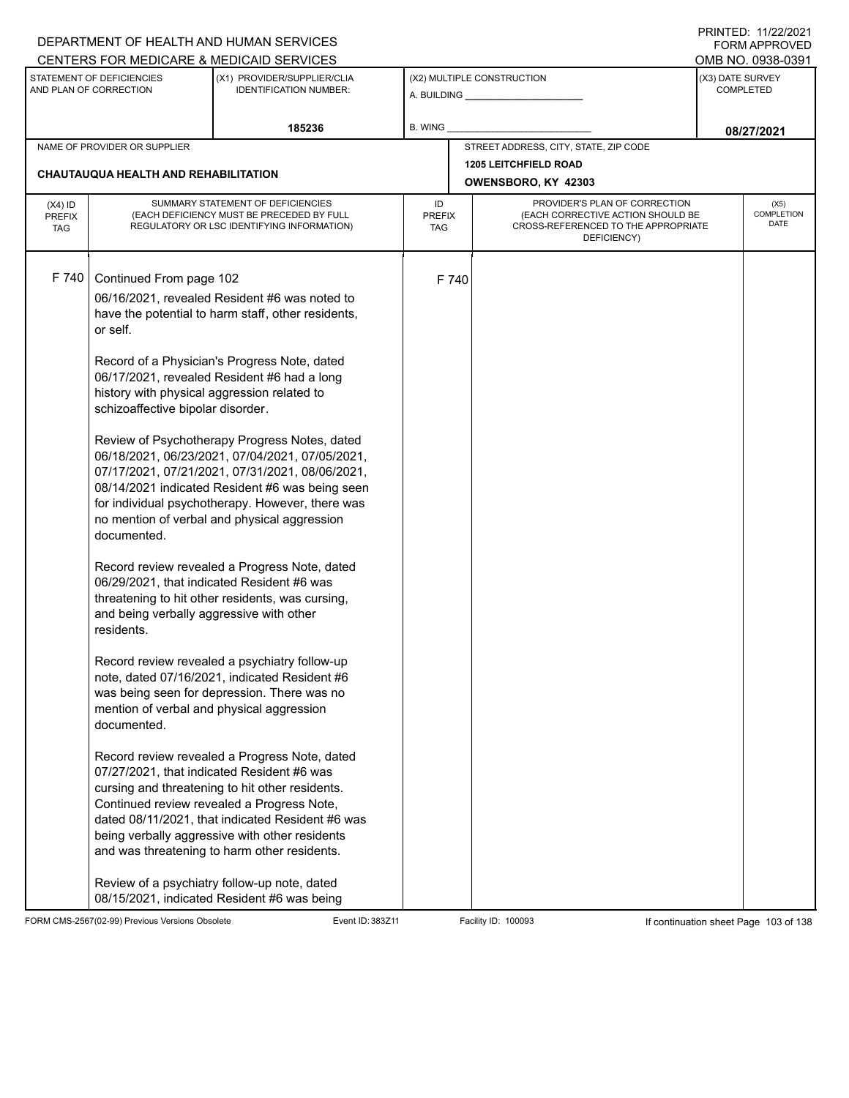|                                          |                                                                                                                                                                                                                                                              | DEPARTMENT OF HEALTH AND HUMAN SERVICES                                                                                                                                                                                                                                                                                                                                                                                                                                                                                                                                                                                                                                                                                                                                                                                                                                                                                                                                                                                                                                                                                                                                                                                                                                   |                            |       |                                                                                                                          |                  | <b>FORM APPROVED</b>       |
|------------------------------------------|--------------------------------------------------------------------------------------------------------------------------------------------------------------------------------------------------------------------------------------------------------------|---------------------------------------------------------------------------------------------------------------------------------------------------------------------------------------------------------------------------------------------------------------------------------------------------------------------------------------------------------------------------------------------------------------------------------------------------------------------------------------------------------------------------------------------------------------------------------------------------------------------------------------------------------------------------------------------------------------------------------------------------------------------------------------------------------------------------------------------------------------------------------------------------------------------------------------------------------------------------------------------------------------------------------------------------------------------------------------------------------------------------------------------------------------------------------------------------------------------------------------------------------------------------|----------------------------|-------|--------------------------------------------------------------------------------------------------------------------------|------------------|----------------------------|
|                                          |                                                                                                                                                                                                                                                              | CENTERS FOR MEDICARE & MEDICAID SERVICES                                                                                                                                                                                                                                                                                                                                                                                                                                                                                                                                                                                                                                                                                                                                                                                                                                                                                                                                                                                                                                                                                                                                                                                                                                  |                            |       |                                                                                                                          |                  | OMB NO. 0938-0391          |
|                                          | STATEMENT OF DEFICIENCIES<br>AND PLAN OF CORRECTION                                                                                                                                                                                                          | (X1) PROVIDER/SUPPLIER/CLIA<br><b>IDENTIFICATION NUMBER:</b>                                                                                                                                                                                                                                                                                                                                                                                                                                                                                                                                                                                                                                                                                                                                                                                                                                                                                                                                                                                                                                                                                                                                                                                                              |                            |       | (X2) MULTIPLE CONSTRUCTION<br>A. BUILDING <b>A.</b> BUILDING                                                             | (X3) DATE SURVEY | <b>COMPLETED</b>           |
|                                          |                                                                                                                                                                                                                                                              | 185236                                                                                                                                                                                                                                                                                                                                                                                                                                                                                                                                                                                                                                                                                                                                                                                                                                                                                                                                                                                                                                                                                                                                                                                                                                                                    | <b>B. WING</b>             |       |                                                                                                                          |                  | 08/27/2021                 |
|                                          | NAME OF PROVIDER OR SUPPLIER                                                                                                                                                                                                                                 |                                                                                                                                                                                                                                                                                                                                                                                                                                                                                                                                                                                                                                                                                                                                                                                                                                                                                                                                                                                                                                                                                                                                                                                                                                                                           |                            |       | STREET ADDRESS, CITY, STATE, ZIP CODE                                                                                    |                  |                            |
|                                          | <b>CHAUTAUQUA HEALTH AND REHABILITATION</b>                                                                                                                                                                                                                  |                                                                                                                                                                                                                                                                                                                                                                                                                                                                                                                                                                                                                                                                                                                                                                                                                                                                                                                                                                                                                                                                                                                                                                                                                                                                           |                            |       | <b>1205 LEITCHFIELD ROAD</b><br>OWENSBORO, KY 42303                                                                      |                  |                            |
| $(X4)$ ID<br><b>PREFIX</b><br><b>TAG</b> |                                                                                                                                                                                                                                                              | SUMMARY STATEMENT OF DEFICIENCIES<br>(EACH DEFICIENCY MUST BE PRECEDED BY FULL<br>REGULATORY OR LSC IDENTIFYING INFORMATION)                                                                                                                                                                                                                                                                                                                                                                                                                                                                                                                                                                                                                                                                                                                                                                                                                                                                                                                                                                                                                                                                                                                                              | ID<br><b>PREFIX</b><br>TAG |       | PROVIDER'S PLAN OF CORRECTION<br>(EACH CORRECTIVE ACTION SHOULD BE<br>CROSS-REFERENCED TO THE APPROPRIATE<br>DEFICIENCY) |                  | (X5)<br>COMPLETION<br>DATE |
| F 740                                    | Continued From page 102<br>or self.<br>history with physical aggression related to<br>schizoaffective bipolar disorder.<br>documented.<br>and being verbally aggressive with other<br>residents.<br>mention of verbal and physical aggression<br>documented. | 06/16/2021, revealed Resident #6 was noted to<br>have the potential to harm staff, other residents,<br>Record of a Physician's Progress Note, dated<br>06/17/2021, revealed Resident #6 had a long<br>Review of Psychotherapy Progress Notes, dated<br>06/18/2021, 06/23/2021, 07/04/2021, 07/05/2021,<br>07/17/2021, 07/21/2021, 07/31/2021, 08/06/2021,<br>08/14/2021 indicated Resident #6 was being seen<br>for individual psychotherapy. However, there was<br>no mention of verbal and physical aggression<br>Record review revealed a Progress Note, dated<br>06/29/2021, that indicated Resident #6 was<br>threatening to hit other residents, was cursing,<br>Record review revealed a psychiatry follow-up<br>note, dated 07/16/2021, indicated Resident #6<br>was being seen for depression. There was no<br>Record review revealed a Progress Note, dated<br>07/27/2021, that indicated Resident #6 was<br>cursing and threatening to hit other residents.<br>Continued review revealed a Progress Note,<br>dated 08/11/2021, that indicated Resident #6 was<br>being verbally aggressive with other residents<br>and was threatening to harm other residents.<br>Review of a psychiatry follow-up note, dated<br>08/15/2021, indicated Resident #6 was being |                            | F 740 |                                                                                                                          |                  |                            |

FORM CMS-2567(02-99) Previous Versions Obsolete Event ID: 383Z11 Facility ID: 100093 If continuation sheet Page 103 of 138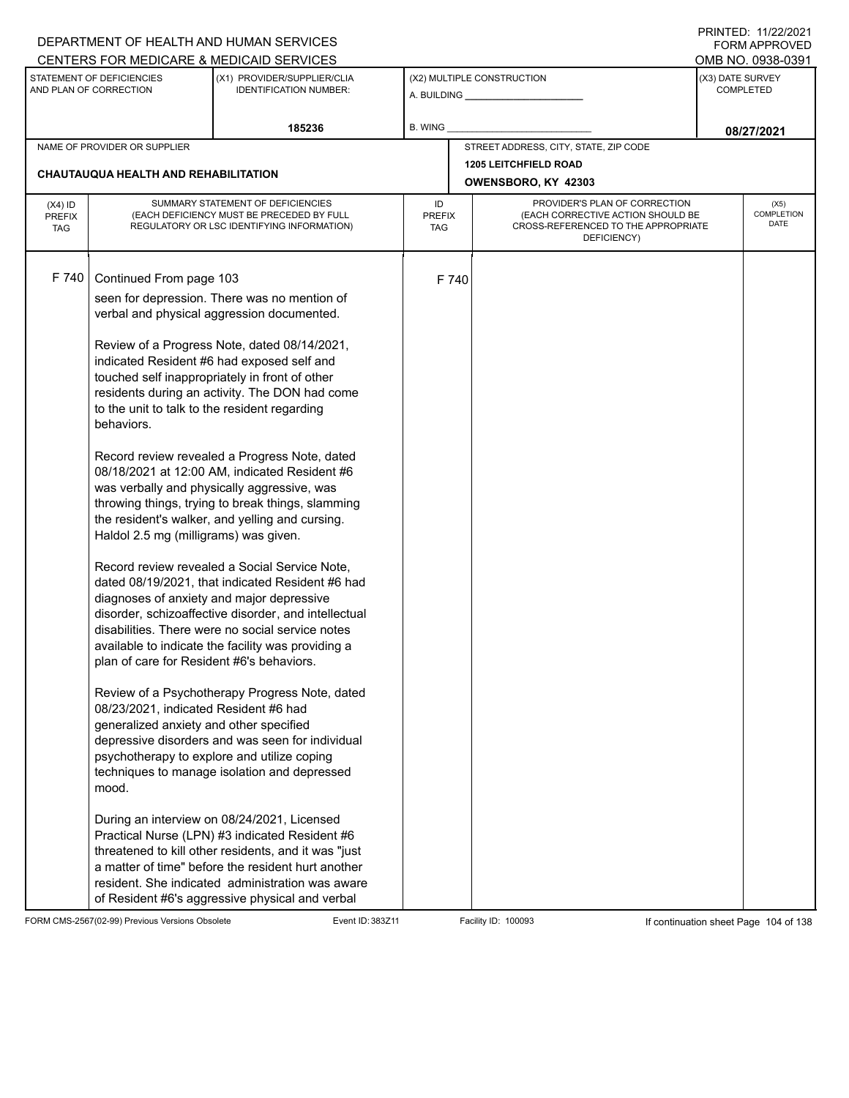|                                          |                                                                                                                                                                                                                                                                           | DEPARTMENT OF HEALTH AND HUMAN SERVICES                                                                                                                                                                                                                                                                                                                                                                                                                                                                                                                                                                                                                                                                                                                                                                                                                                                                                                                                                                                                                                                                                                                                                                                                 |                            |       |                                                                                                                          |  | 111111111122.1112212121<br>FORM APPROVED |
|------------------------------------------|---------------------------------------------------------------------------------------------------------------------------------------------------------------------------------------------------------------------------------------------------------------------------|-----------------------------------------------------------------------------------------------------------------------------------------------------------------------------------------------------------------------------------------------------------------------------------------------------------------------------------------------------------------------------------------------------------------------------------------------------------------------------------------------------------------------------------------------------------------------------------------------------------------------------------------------------------------------------------------------------------------------------------------------------------------------------------------------------------------------------------------------------------------------------------------------------------------------------------------------------------------------------------------------------------------------------------------------------------------------------------------------------------------------------------------------------------------------------------------------------------------------------------------|----------------------------|-------|--------------------------------------------------------------------------------------------------------------------------|--|------------------------------------------|
|                                          |                                                                                                                                                                                                                                                                           | CENTERS FOR MEDICARE & MEDICAID SERVICES                                                                                                                                                                                                                                                                                                                                                                                                                                                                                                                                                                                                                                                                                                                                                                                                                                                                                                                                                                                                                                                                                                                                                                                                |                            |       |                                                                                                                          |  | OMB NO. 0938-0391                        |
|                                          | STATEMENT OF DEFICIENCIES<br>AND PLAN OF CORRECTION                                                                                                                                                                                                                       | (X1) PROVIDER/SUPPLIER/CLIA<br><b>IDENTIFICATION NUMBER:</b>                                                                                                                                                                                                                                                                                                                                                                                                                                                                                                                                                                                                                                                                                                                                                                                                                                                                                                                                                                                                                                                                                                                                                                            |                            |       | (X2) MULTIPLE CONSTRUCTION                                                                                               |  | (X3) DATE SURVEY<br><b>COMPLETED</b>     |
|                                          |                                                                                                                                                                                                                                                                           | 185236                                                                                                                                                                                                                                                                                                                                                                                                                                                                                                                                                                                                                                                                                                                                                                                                                                                                                                                                                                                                                                                                                                                                                                                                                                  | B. WING                    |       |                                                                                                                          |  | 08/27/2021                               |
|                                          | NAME OF PROVIDER OR SUPPLIER                                                                                                                                                                                                                                              |                                                                                                                                                                                                                                                                                                                                                                                                                                                                                                                                                                                                                                                                                                                                                                                                                                                                                                                                                                                                                                                                                                                                                                                                                                         |                            |       | STREET ADDRESS, CITY, STATE, ZIP CODE                                                                                    |  |                                          |
|                                          |                                                                                                                                                                                                                                                                           |                                                                                                                                                                                                                                                                                                                                                                                                                                                                                                                                                                                                                                                                                                                                                                                                                                                                                                                                                                                                                                                                                                                                                                                                                                         |                            |       | <b>1205 LEITCHFIELD ROAD</b>                                                                                             |  |                                          |
|                                          | CHAUTAUQUA HEALTH AND REHABILITATION                                                                                                                                                                                                                                      |                                                                                                                                                                                                                                                                                                                                                                                                                                                                                                                                                                                                                                                                                                                                                                                                                                                                                                                                                                                                                                                                                                                                                                                                                                         |                            |       | OWENSBORO, KY 42303                                                                                                      |  |                                          |
| $(X4)$ ID<br><b>PREFIX</b><br><b>TAG</b> |                                                                                                                                                                                                                                                                           | SUMMARY STATEMENT OF DEFICIENCIES<br>(EACH DEFICIENCY MUST BE PRECEDED BY FULL<br>REGULATORY OR LSC IDENTIFYING INFORMATION)                                                                                                                                                                                                                                                                                                                                                                                                                                                                                                                                                                                                                                                                                                                                                                                                                                                                                                                                                                                                                                                                                                            | ID<br><b>PREFIX</b><br>TAG |       | PROVIDER'S PLAN OF CORRECTION<br>(EACH CORRECTIVE ACTION SHOULD BE<br>CROSS-REFERENCED TO THE APPROPRIATE<br>DEFICIENCY) |  | (X5)<br>COMPLETION<br>DATE               |
| F 740                                    | Continued From page 103<br>to the unit to talk to the resident regarding<br>behaviors.<br>Haldol 2.5 mg (milligrams) was given.<br>plan of care for Resident #6's behaviors.<br>08/23/2021, indicated Resident #6 had<br>generalized anxiety and other specified<br>mood. | seen for depression. There was no mention of<br>verbal and physical aggression documented.<br>Review of a Progress Note, dated 08/14/2021,<br>indicated Resident #6 had exposed self and<br>touched self inappropriately in front of other<br>residents during an activity. The DON had come<br>Record review revealed a Progress Note, dated<br>08/18/2021 at 12:00 AM, indicated Resident #6<br>was verbally and physically aggressive, was<br>throwing things, trying to break things, slamming<br>the resident's walker, and yelling and cursing.<br>Record review revealed a Social Service Note,<br>dated 08/19/2021, that indicated Resident #6 had<br>diagnoses of anxiety and major depressive<br>disorder, schizoaffective disorder, and intellectual<br>disabilities. There were no social service notes<br>available to indicate the facility was providing a<br>Review of a Psychotherapy Progress Note, dated<br>depressive disorders and was seen for individual<br>psychotherapy to explore and utilize coping<br>techniques to manage isolation and depressed<br>During an interview on 08/24/2021, Licensed<br>Practical Nurse (LPN) #3 indicated Resident #6<br>threatened to kill other residents, and it was "just |                            | F 740 |                                                                                                                          |  |                                          |
|                                          |                                                                                                                                                                                                                                                                           | a matter of time" before the resident hurt another<br>resident. She indicated administration was aware<br>of Resident #6's aggressive physical and verbal                                                                                                                                                                                                                                                                                                                                                                                                                                                                                                                                                                                                                                                                                                                                                                                                                                                                                                                                                                                                                                                                               |                            |       |                                                                                                                          |  |                                          |

FORM CMS-2567(02-99) Previous Versions Obsolete Event ID: 383Z11 Facility ID: 100093 If continuation sheet Page 104 of 138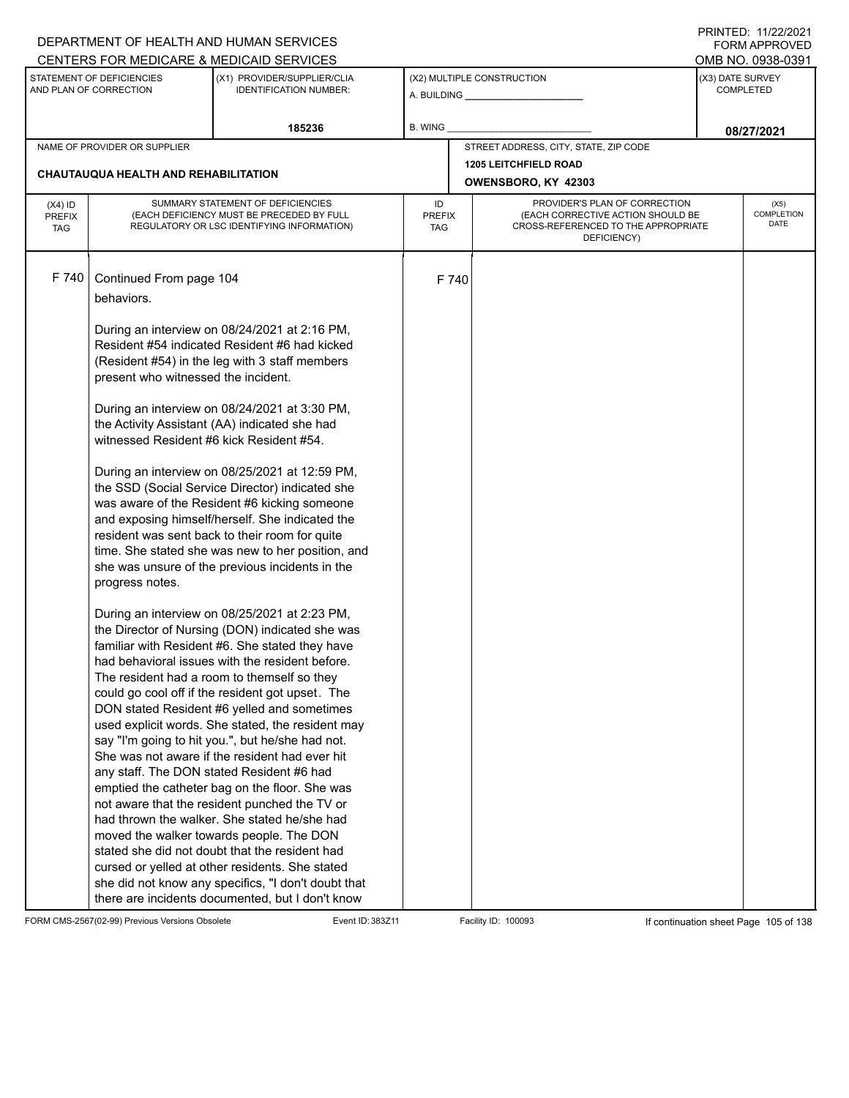|                                          |                                                                              | DEPARTMENT OF HEALTH AND HUMAN SERVICES                                                                                                                                                                                                                                                                                                                                                                                                                                                                                                                                                                                                                                                                                                                                                                                                                                                                                                                                         |                            |                     |                                                                                                                          |                                      | I INITILD. III <i>LLIL</i> VLI<br>FORM APPROVED |
|------------------------------------------|------------------------------------------------------------------------------|---------------------------------------------------------------------------------------------------------------------------------------------------------------------------------------------------------------------------------------------------------------------------------------------------------------------------------------------------------------------------------------------------------------------------------------------------------------------------------------------------------------------------------------------------------------------------------------------------------------------------------------------------------------------------------------------------------------------------------------------------------------------------------------------------------------------------------------------------------------------------------------------------------------------------------------------------------------------------------|----------------------------|---------------------|--------------------------------------------------------------------------------------------------------------------------|--------------------------------------|-------------------------------------------------|
|                                          |                                                                              | CENTERS FOR MEDICARE & MEDICAID SERVICES                                                                                                                                                                                                                                                                                                                                                                                                                                                                                                                                                                                                                                                                                                                                                                                                                                                                                                                                        |                            |                     |                                                                                                                          |                                      | OMB NO. 0938-0391                               |
|                                          | STATEMENT OF DEFICIENCIES<br>AND PLAN OF CORRECTION                          | (X1) PROVIDER/SUPPLIER/CLIA<br><b>IDENTIFICATION NUMBER:</b>                                                                                                                                                                                                                                                                                                                                                                                                                                                                                                                                                                                                                                                                                                                                                                                                                                                                                                                    |                            |                     | (X2) MULTIPLE CONSTRUCTION                                                                                               | (X3) DATE SURVEY<br><b>COMPLETED</b> |                                                 |
|                                          |                                                                              | 185236                                                                                                                                                                                                                                                                                                                                                                                                                                                                                                                                                                                                                                                                                                                                                                                                                                                                                                                                                                          | B. WING                    |                     |                                                                                                                          |                                      | 08/27/2021                                      |
|                                          | NAME OF PROVIDER OR SUPPLIER                                                 |                                                                                                                                                                                                                                                                                                                                                                                                                                                                                                                                                                                                                                                                                                                                                                                                                                                                                                                                                                                 |                            |                     | STREET ADDRESS, CITY, STATE, ZIP CODE                                                                                    |                                      |                                                 |
|                                          |                                                                              |                                                                                                                                                                                                                                                                                                                                                                                                                                                                                                                                                                                                                                                                                                                                                                                                                                                                                                                                                                                 |                            |                     | <b>1205 LEITCHFIELD ROAD</b>                                                                                             |                                      |                                                 |
|                                          | CHAUTAUQUA HEALTH AND REHABILITATION                                         |                                                                                                                                                                                                                                                                                                                                                                                                                                                                                                                                                                                                                                                                                                                                                                                                                                                                                                                                                                                 |                            | OWENSBORO, KY 42303 |                                                                                                                          |                                      |                                                 |
| $(X4)$ ID<br><b>PREFIX</b><br><b>TAG</b> |                                                                              | SUMMARY STATEMENT OF DEFICIENCIES<br>(EACH DEFICIENCY MUST BE PRECEDED BY FULL<br>REGULATORY OR LSC IDENTIFYING INFORMATION)                                                                                                                                                                                                                                                                                                                                                                                                                                                                                                                                                                                                                                                                                                                                                                                                                                                    | ID<br><b>PREFIX</b><br>TAG |                     | PROVIDER'S PLAN OF CORRECTION<br>(EACH CORRECTIVE ACTION SHOULD BE<br>CROSS-REFERENCED TO THE APPROPRIATE<br>DEFICIENCY) |                                      | (X5)<br>COMPLETION<br>DATE                      |
| F 740                                    | Continued From page 104<br>behaviors.<br>present who witnessed the incident. | During an interview on 08/24/2021 at 2:16 PM,<br>Resident #54 indicated Resident #6 had kicked<br>(Resident #54) in the leg with 3 staff members                                                                                                                                                                                                                                                                                                                                                                                                                                                                                                                                                                                                                                                                                                                                                                                                                                | F 740                      |                     |                                                                                                                          |                                      |                                                 |
|                                          | witnessed Resident #6 kick Resident #54.                                     | During an interview on 08/24/2021 at 3:30 PM,<br>the Activity Assistant (AA) indicated she had                                                                                                                                                                                                                                                                                                                                                                                                                                                                                                                                                                                                                                                                                                                                                                                                                                                                                  |                            |                     |                                                                                                                          |                                      |                                                 |
|                                          | progress notes.                                                              | During an interview on 08/25/2021 at 12:59 PM,<br>the SSD (Social Service Director) indicated she<br>was aware of the Resident #6 kicking someone<br>and exposing himself/herself. She indicated the<br>resident was sent back to their room for quite<br>time. She stated she was new to her position, and<br>she was unsure of the previous incidents in the                                                                                                                                                                                                                                                                                                                                                                                                                                                                                                                                                                                                                  |                            |                     |                                                                                                                          |                                      |                                                 |
|                                          |                                                                              | During an interview on 08/25/2021 at 2:23 PM,<br>the Director of Nursing (DON) indicated she was<br>familiar with Resident #6. She stated they have<br>had behavioral issues with the resident before.<br>The resident had a room to themself so they<br>could go cool off if the resident got upset. The<br>DON stated Resident #6 yelled and sometimes<br>used explicit words. She stated, the resident may<br>say "I'm going to hit you.", but he/she had not.<br>She was not aware if the resident had ever hit<br>any staff. The DON stated Resident #6 had<br>emptied the catheter bag on the floor. She was<br>not aware that the resident punched the TV or<br>had thrown the walker. She stated he/she had<br>moved the walker towards people. The DON<br>stated she did not doubt that the resident had<br>cursed or yelled at other residents. She stated<br>she did not know any specifics, "I don't doubt that<br>there are incidents documented, but I don't know |                            |                     |                                                                                                                          |                                      |                                                 |

FORM CMS-2567(02-99) Previous Versions Obsolete Event ID: 383Z11 Facility ID: 100093 If continuation sheet Page 105 of 138

PRINTED: 11/22/2021 FORM APPROVED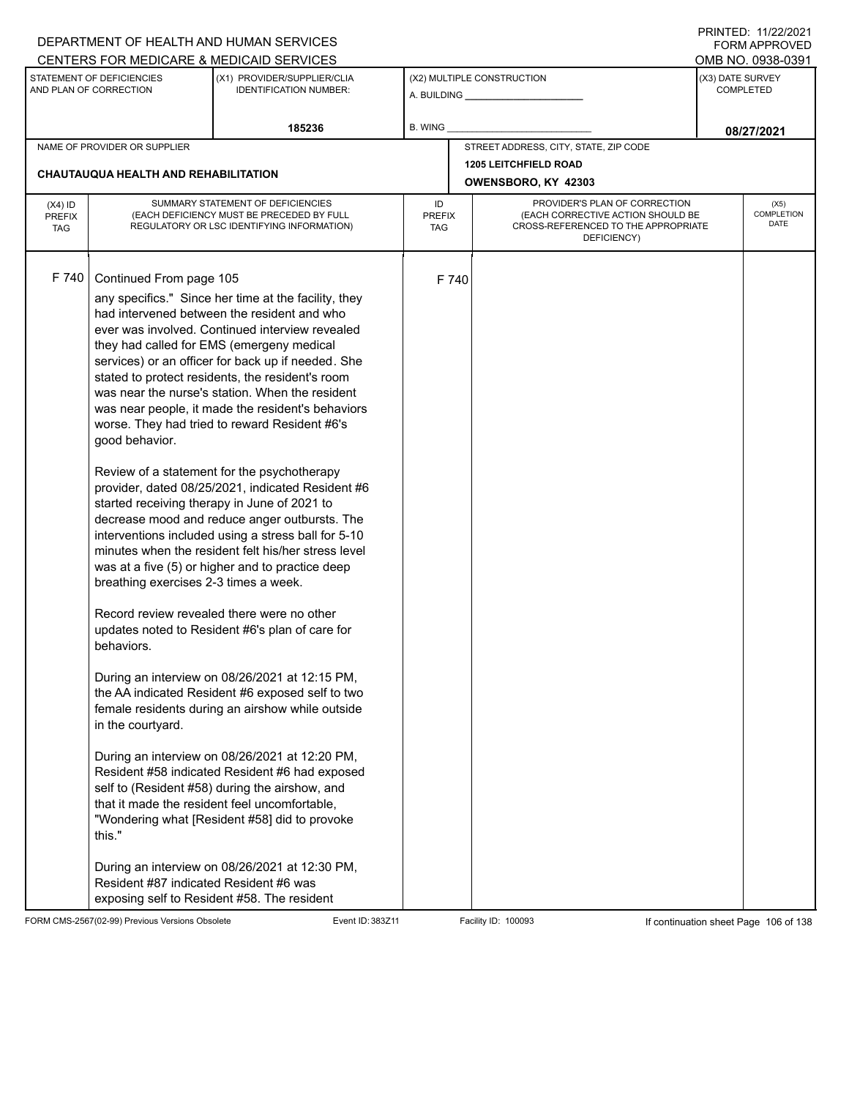| CENTERS FOR MEDICARE & MEDICAID SERVICES<br>STATEMENT OF DEFICIENCIES<br>(X2) MULTIPLE CONSTRUCTION<br>(X3) DATE SURVEY<br>(X1) PROVIDER/SUPPLIER/CLIA<br>AND PLAN OF CORRECTION<br><b>IDENTIFICATION NUMBER:</b><br><b>COMPLETED</b><br>185236<br><b>B. WING</b><br>STREET ADDRESS, CITY, STATE, ZIP CODE<br>NAME OF PROVIDER OR SUPPLIER                                                                                                                                                                                                                                                                                                                                                                                                                                                                                                                                                                                                                                                                                                                                                                                                                                                                                                                                                                                                                                                                                                                                                                                                                                                                                                                       | OMB NO. 0938-0391<br>08/27/2021   |
|------------------------------------------------------------------------------------------------------------------------------------------------------------------------------------------------------------------------------------------------------------------------------------------------------------------------------------------------------------------------------------------------------------------------------------------------------------------------------------------------------------------------------------------------------------------------------------------------------------------------------------------------------------------------------------------------------------------------------------------------------------------------------------------------------------------------------------------------------------------------------------------------------------------------------------------------------------------------------------------------------------------------------------------------------------------------------------------------------------------------------------------------------------------------------------------------------------------------------------------------------------------------------------------------------------------------------------------------------------------------------------------------------------------------------------------------------------------------------------------------------------------------------------------------------------------------------------------------------------------------------------------------------------------|-----------------------------------|
|                                                                                                                                                                                                                                                                                                                                                                                                                                                                                                                                                                                                                                                                                                                                                                                                                                                                                                                                                                                                                                                                                                                                                                                                                                                                                                                                                                                                                                                                                                                                                                                                                                                                  |                                   |
|                                                                                                                                                                                                                                                                                                                                                                                                                                                                                                                                                                                                                                                                                                                                                                                                                                                                                                                                                                                                                                                                                                                                                                                                                                                                                                                                                                                                                                                                                                                                                                                                                                                                  |                                   |
|                                                                                                                                                                                                                                                                                                                                                                                                                                                                                                                                                                                                                                                                                                                                                                                                                                                                                                                                                                                                                                                                                                                                                                                                                                                                                                                                                                                                                                                                                                                                                                                                                                                                  |                                   |
|                                                                                                                                                                                                                                                                                                                                                                                                                                                                                                                                                                                                                                                                                                                                                                                                                                                                                                                                                                                                                                                                                                                                                                                                                                                                                                                                                                                                                                                                                                                                                                                                                                                                  |                                   |
| <b>1205 LEITCHFIELD ROAD</b><br>CHAUTAUQUA HEALTH AND REHABILITATION<br>OWENSBORO, KY 42303                                                                                                                                                                                                                                                                                                                                                                                                                                                                                                                                                                                                                                                                                                                                                                                                                                                                                                                                                                                                                                                                                                                                                                                                                                                                                                                                                                                                                                                                                                                                                                      |                                   |
| SUMMARY STATEMENT OF DEFICIENCIES<br>PROVIDER'S PLAN OF CORRECTION<br>ID<br>$(X4)$ ID<br>(EACH CORRECTIVE ACTION SHOULD BE<br>(EACH DEFICIENCY MUST BE PRECEDED BY FULL<br><b>PREFIX</b><br><b>PREFIX</b><br>CROSS-REFERENCED TO THE APPROPRIATE<br>REGULATORY OR LSC IDENTIFYING INFORMATION)<br><b>TAG</b><br>TAG<br>DEFICIENCY)                                                                                                                                                                                                                                                                                                                                                                                                                                                                                                                                                                                                                                                                                                                                                                                                                                                                                                                                                                                                                                                                                                                                                                                                                                                                                                                               | (X5)<br>COMPLETION<br><b>DATE</b> |
| F 740<br>Continued From page 105<br>F 740<br>any specifics." Since her time at the facility, they<br>had intervened between the resident and who<br>ever was involved. Continued interview revealed<br>they had called for EMS (emergeny medical<br>services) or an officer for back up if needed. She<br>stated to protect residents, the resident's room<br>was near the nurse's station. When the resident<br>was near people, it made the resident's behaviors<br>worse. They had tried to reward Resident #6's<br>good behavior.<br>Review of a statement for the psychotherapy<br>provider, dated 08/25/2021, indicated Resident #6<br>started receiving therapy in June of 2021 to<br>decrease mood and reduce anger outbursts. The<br>interventions included using a stress ball for 5-10<br>minutes when the resident felt his/her stress level<br>was at a five (5) or higher and to practice deep<br>breathing exercises 2-3 times a week.<br>Record review revealed there were no other<br>updates noted to Resident #6's plan of care for<br>behaviors.<br>During an interview on 08/26/2021 at 12:15 PM,<br>the AA indicated Resident #6 exposed self to two<br>female residents during an airshow while outside<br>in the courtyard.<br>During an interview on 08/26/2021 at 12:20 PM,<br>Resident #58 indicated Resident #6 had exposed<br>self to (Resident #58) during the airshow, and<br>that it made the resident feel uncomfortable,<br>"Wondering what [Resident #58] did to provoke<br>this."<br>During an interview on 08/26/2021 at 12:30 PM,<br>Resident #87 indicated Resident #6 was<br>exposing self to Resident #58. The resident |                                   |

FORM CMS-2567(02-99) Previous Versions Obsolete Event ID: 383Z11 Facility ID: 100093 If continuation sheet Page 106 of 138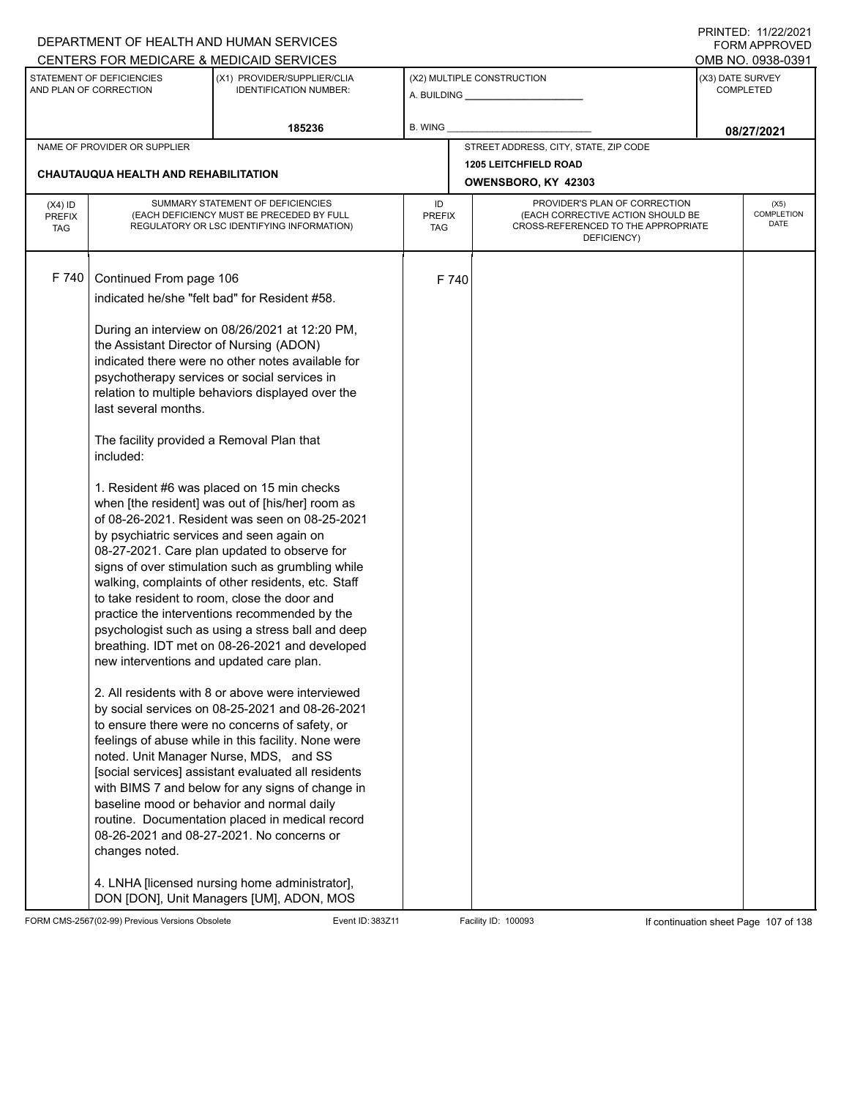|                                                                                                                                                |                                                     | DEPARTMENT OF HEALTH AND HUMAN SERVICES                                                                 |                                                                          |                           |                                       |                                      | $\blacksquare$<br><b>FORM APPROVED</b> |  |
|------------------------------------------------------------------------------------------------------------------------------------------------|-----------------------------------------------------|---------------------------------------------------------------------------------------------------------|--------------------------------------------------------------------------|---------------------------|---------------------------------------|--------------------------------------|----------------------------------------|--|
|                                                                                                                                                |                                                     | CENTERS FOR MEDICARE & MEDICAID SERVICES                                                                |                                                                          |                           |                                       |                                      | OMB NO. 0938-0391                      |  |
|                                                                                                                                                | STATEMENT OF DEFICIENCIES<br>AND PLAN OF CORRECTION | (X1) PROVIDER/SUPPLIER/CLIA<br><b>IDENTIFICATION NUMBER:</b>                                            |                                                                          |                           | (X2) MULTIPLE CONSTRUCTION            | (X3) DATE SURVEY<br><b>COMPLETED</b> |                                        |  |
|                                                                                                                                                |                                                     | 185236                                                                                                  | <b>B. WING</b>                                                           |                           |                                       |                                      | 08/27/2021                             |  |
|                                                                                                                                                | NAME OF PROVIDER OR SUPPLIER                        |                                                                                                         |                                                                          |                           | STREET ADDRESS, CITY, STATE, ZIP CODE |                                      |                                        |  |
|                                                                                                                                                | CHAUTAUQUA HEALTH AND REHABILITATION                |                                                                                                         |                                                                          |                           | <b>1205 LEITCHFIELD ROAD</b>          |                                      |                                        |  |
|                                                                                                                                                |                                                     |                                                                                                         |                                                                          |                           | OWENSBORO, KY 42303                   |                                      |                                        |  |
| $(X4)$ ID                                                                                                                                      |                                                     | SUMMARY STATEMENT OF DEFICIENCIES                                                                       | ID                                                                       |                           | PROVIDER'S PLAN OF CORRECTION         | (X5)                                 |                                        |  |
| (EACH DEFICIENCY MUST BE PRECEDED BY FULL<br><b>PREFIX</b><br><b>PREFIX</b><br>REGULATORY OR LSC IDENTIFYING INFORMATION)<br><b>TAG</b><br>TAG |                                                     |                                                                                                         | (EACH CORRECTIVE ACTION SHOULD BE<br>CROSS-REFERENCED TO THE APPROPRIATE | <b>COMPLETION</b><br>DATE |                                       |                                      |                                        |  |
|                                                                                                                                                |                                                     |                                                                                                         |                                                                          |                           | DEFICIENCY)                           |                                      |                                        |  |
|                                                                                                                                                |                                                     |                                                                                                         |                                                                          |                           |                                       |                                      |                                        |  |
| F 740                                                                                                                                          | Continued From page 106                             |                                                                                                         |                                                                          | F 740                     |                                       |                                      |                                        |  |
|                                                                                                                                                |                                                     | indicated he/she "felt bad" for Resident #58.                                                           |                                                                          |                           |                                       |                                      |                                        |  |
|                                                                                                                                                |                                                     |                                                                                                         |                                                                          |                           |                                       |                                      |                                        |  |
|                                                                                                                                                |                                                     | During an interview on 08/26/2021 at 12:20 PM,                                                          |                                                                          |                           |                                       |                                      |                                        |  |
|                                                                                                                                                | the Assistant Director of Nursing (ADON)            |                                                                                                         |                                                                          |                           |                                       |                                      |                                        |  |
|                                                                                                                                                |                                                     | indicated there were no other notes available for<br>psychotherapy services or social services in       |                                                                          |                           |                                       |                                      |                                        |  |
|                                                                                                                                                |                                                     | relation to multiple behaviors displayed over the                                                       |                                                                          |                           |                                       |                                      |                                        |  |
|                                                                                                                                                | last several months.                                |                                                                                                         |                                                                          |                           |                                       |                                      |                                        |  |
|                                                                                                                                                |                                                     |                                                                                                         |                                                                          |                           |                                       |                                      |                                        |  |
|                                                                                                                                                | The facility provided a Removal Plan that           |                                                                                                         |                                                                          |                           |                                       |                                      |                                        |  |
|                                                                                                                                                | included:                                           |                                                                                                         |                                                                          |                           |                                       |                                      |                                        |  |
|                                                                                                                                                |                                                     | 1. Resident #6 was placed on 15 min checks                                                              |                                                                          |                           |                                       |                                      |                                        |  |
|                                                                                                                                                |                                                     | when [the resident] was out of [his/her] room as                                                        |                                                                          |                           |                                       |                                      |                                        |  |
|                                                                                                                                                |                                                     | of 08-26-2021. Resident was seen on 08-25-2021                                                          |                                                                          |                           |                                       |                                      |                                        |  |
|                                                                                                                                                | by psychiatric services and seen again on           |                                                                                                         |                                                                          |                           |                                       |                                      |                                        |  |
|                                                                                                                                                |                                                     | 08-27-2021. Care plan updated to observe for                                                            |                                                                          |                           |                                       |                                      |                                        |  |
|                                                                                                                                                |                                                     | signs of over stimulation such as grumbling while<br>walking, complaints of other residents, etc. Staff |                                                                          |                           |                                       |                                      |                                        |  |
|                                                                                                                                                |                                                     | to take resident to room, close the door and                                                            |                                                                          |                           |                                       |                                      |                                        |  |
|                                                                                                                                                |                                                     | practice the interventions recommended by the                                                           |                                                                          |                           |                                       |                                      |                                        |  |
|                                                                                                                                                |                                                     | psychologist such as using a stress ball and deep                                                       |                                                                          |                           |                                       |                                      |                                        |  |
|                                                                                                                                                |                                                     | breathing. IDT met on 08-26-2021 and developed                                                          |                                                                          |                           |                                       |                                      |                                        |  |
|                                                                                                                                                | new interventions and updated care plan.            |                                                                                                         |                                                                          |                           |                                       |                                      |                                        |  |
|                                                                                                                                                |                                                     | 2. All residents with 8 or above were interviewed                                                       |                                                                          |                           |                                       |                                      |                                        |  |
|                                                                                                                                                |                                                     | by social services on 08-25-2021 and 08-26-2021                                                         |                                                                          |                           |                                       |                                      |                                        |  |
|                                                                                                                                                |                                                     | to ensure there were no concerns of safety, or                                                          |                                                                          |                           |                                       |                                      |                                        |  |
|                                                                                                                                                |                                                     | feelings of abuse while in this facility. None were                                                     |                                                                          |                           |                                       |                                      |                                        |  |
|                                                                                                                                                |                                                     | noted. Unit Manager Nurse, MDS, and SS                                                                  |                                                                          |                           |                                       |                                      |                                        |  |
|                                                                                                                                                |                                                     | [social services] assistant evaluated all residents                                                     |                                                                          |                           |                                       |                                      |                                        |  |
|                                                                                                                                                |                                                     | with BIMS 7 and below for any signs of change in<br>baseline mood or behavior and normal daily          |                                                                          |                           |                                       |                                      |                                        |  |
|                                                                                                                                                |                                                     | routine. Documentation placed in medical record                                                         |                                                                          |                           |                                       |                                      |                                        |  |
|                                                                                                                                                |                                                     | 08-26-2021 and 08-27-2021. No concerns or                                                               |                                                                          |                           |                                       |                                      |                                        |  |
|                                                                                                                                                | changes noted.                                      |                                                                                                         |                                                                          |                           |                                       |                                      |                                        |  |
|                                                                                                                                                |                                                     |                                                                                                         |                                                                          |                           |                                       |                                      |                                        |  |
|                                                                                                                                                |                                                     | 4. LNHA [licensed nursing home administrator],<br>DON [DON], Unit Managers [UM], ADON, MOS              |                                                                          |                           |                                       |                                      |                                        |  |

FORM CMS-2567(02-99) Previous Versions Obsolete Event ID: 383Z11 Facility ID: 100093 If continuation sheet Page 107 of 138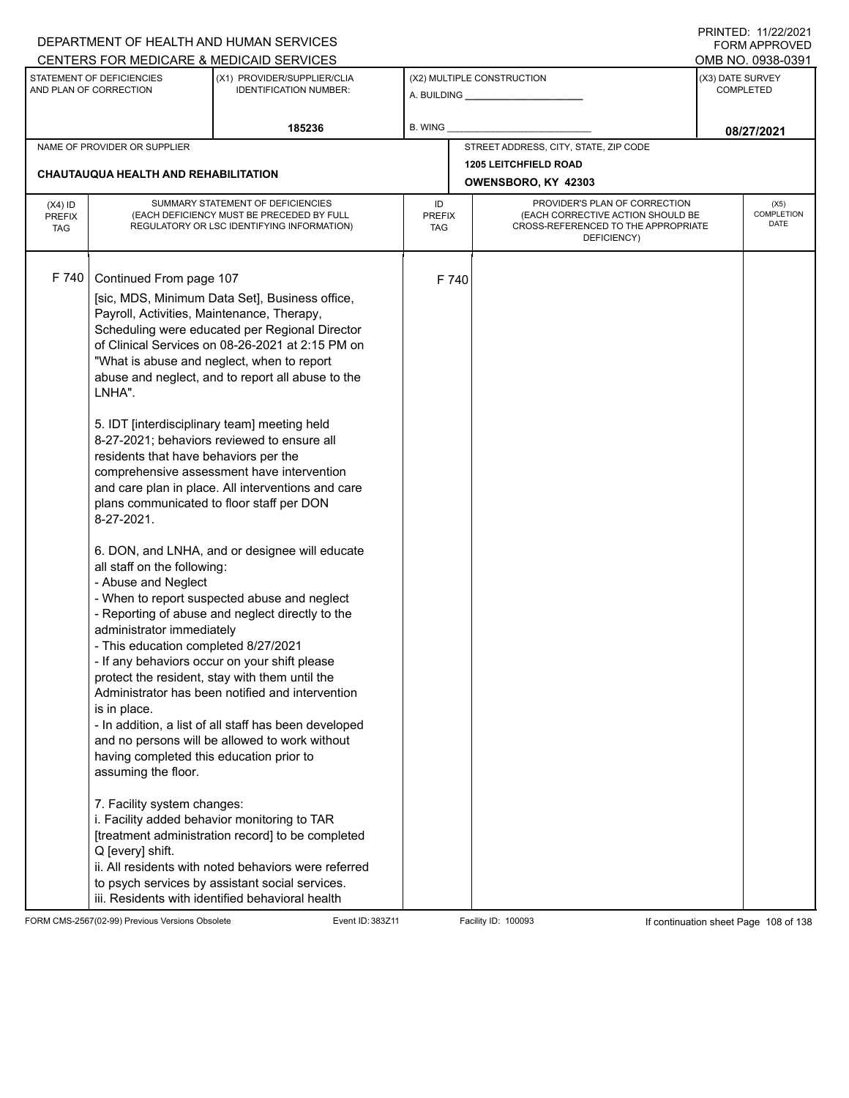|                                          |                                                                                                                                                                                                                                                                                                                                                                                                                                                      | DEPARTMENT OF HEALTH AND HUMAN SERVICES                                                                                                                                                                                                                                                                                                                                                                                                                                                                                                                                                                                                                                                                                                                                                                                                                                                                                                                                                                                                                                                                                                                |                            |       |                                                                                                                          | 11111111122.1112212021<br><b>FORM APPROVED</b> |
|------------------------------------------|------------------------------------------------------------------------------------------------------------------------------------------------------------------------------------------------------------------------------------------------------------------------------------------------------------------------------------------------------------------------------------------------------------------------------------------------------|--------------------------------------------------------------------------------------------------------------------------------------------------------------------------------------------------------------------------------------------------------------------------------------------------------------------------------------------------------------------------------------------------------------------------------------------------------------------------------------------------------------------------------------------------------------------------------------------------------------------------------------------------------------------------------------------------------------------------------------------------------------------------------------------------------------------------------------------------------------------------------------------------------------------------------------------------------------------------------------------------------------------------------------------------------------------------------------------------------------------------------------------------------|----------------------------|-------|--------------------------------------------------------------------------------------------------------------------------|------------------------------------------------|
|                                          |                                                                                                                                                                                                                                                                                                                                                                                                                                                      | CENTERS FOR MEDICARE & MEDICAID SERVICES                                                                                                                                                                                                                                                                                                                                                                                                                                                                                                                                                                                                                                                                                                                                                                                                                                                                                                                                                                                                                                                                                                               |                            |       |                                                                                                                          | OMB NO. 0938-0391                              |
|                                          | STATEMENT OF DEFICIENCIES<br>AND PLAN OF CORRECTION                                                                                                                                                                                                                                                                                                                                                                                                  | (X1) PROVIDER/SUPPLIER/CLIA<br><b>IDENTIFICATION NUMBER:</b>                                                                                                                                                                                                                                                                                                                                                                                                                                                                                                                                                                                                                                                                                                                                                                                                                                                                                                                                                                                                                                                                                           |                            |       | (X2) MULTIPLE CONSTRUCTION                                                                                               | (X3) DATE SURVEY<br><b>COMPLETED</b>           |
|                                          |                                                                                                                                                                                                                                                                                                                                                                                                                                                      | 185236                                                                                                                                                                                                                                                                                                                                                                                                                                                                                                                                                                                                                                                                                                                                                                                                                                                                                                                                                                                                                                                                                                                                                 | <b>B. WING</b>             |       |                                                                                                                          | 08/27/2021                                     |
|                                          | NAME OF PROVIDER OR SUPPLIER                                                                                                                                                                                                                                                                                                                                                                                                                         |                                                                                                                                                                                                                                                                                                                                                                                                                                                                                                                                                                                                                                                                                                                                                                                                                                                                                                                                                                                                                                                                                                                                                        |                            |       | STREET ADDRESS, CITY, STATE, ZIP CODE                                                                                    |                                                |
|                                          | <b>CHAUTAUQUA HEALTH AND REHABILITATION</b>                                                                                                                                                                                                                                                                                                                                                                                                          |                                                                                                                                                                                                                                                                                                                                                                                                                                                                                                                                                                                                                                                                                                                                                                                                                                                                                                                                                                                                                                                                                                                                                        |                            |       | <b>1205 LEITCHFIELD ROAD</b><br>OWENSBORO, KY 42303                                                                      |                                                |
| $(X4)$ ID<br><b>PREFIX</b><br><b>TAG</b> |                                                                                                                                                                                                                                                                                                                                                                                                                                                      | SUMMARY STATEMENT OF DEFICIENCIES<br>(EACH DEFICIENCY MUST BE PRECEDED BY FULL<br>REGULATORY OR LSC IDENTIFYING INFORMATION)                                                                                                                                                                                                                                                                                                                                                                                                                                                                                                                                                                                                                                                                                                                                                                                                                                                                                                                                                                                                                           | ID<br><b>PREFIX</b><br>TAG |       | PROVIDER'S PLAN OF CORRECTION<br>(EACH CORRECTIVE ACTION SHOULD BE<br>CROSS-REFERENCED TO THE APPROPRIATE<br>DEFICIENCY) | (X5)<br><b>COMPLETION</b><br>DATE              |
| F 740                                    | Continued From page 107<br>Payroll, Activities, Maintenance, Therapy,<br>LNHA".<br>residents that have behaviors per the<br>plans communicated to floor staff per DON<br>8-27-2021.<br>all staff on the following:<br>- Abuse and Neglect<br>administrator immediately<br>- This education completed 8/27/2021<br>is in place.<br>having completed this education prior to<br>assuming the floor.<br>7. Facility system changes:<br>Q [every] shift. | [sic, MDS, Minimum Data Set], Business office,<br>Scheduling were educated per Regional Director<br>of Clinical Services on 08-26-2021 at 2:15 PM on<br>"What is abuse and neglect, when to report<br>abuse and neglect, and to report all abuse to the<br>5. IDT [interdisciplinary team] meeting held<br>8-27-2021; behaviors reviewed to ensure all<br>comprehensive assessment have intervention<br>and care plan in place. All interventions and care<br>6. DON, and LNHA, and or designee will educate<br>- When to report suspected abuse and neglect<br>- Reporting of abuse and neglect directly to the<br>- If any behaviors occur on your shift please<br>protect the resident, stay with them until the<br>Administrator has been notified and intervention<br>- In addition, a list of all staff has been developed<br>and no persons will be allowed to work without<br>i. Facility added behavior monitoring to TAR<br>[treatment administration record] to be completed<br>ii. All residents with noted behaviors were referred<br>to psych services by assistant social services.<br>iii. Residents with identified behavioral health |                            | F 740 |                                                                                                                          |                                                |

FORM CMS-2567(02-99) Previous Versions Obsolete Event ID: 383Z11 Facility ID: 100093 If continuation sheet Page 108 of 138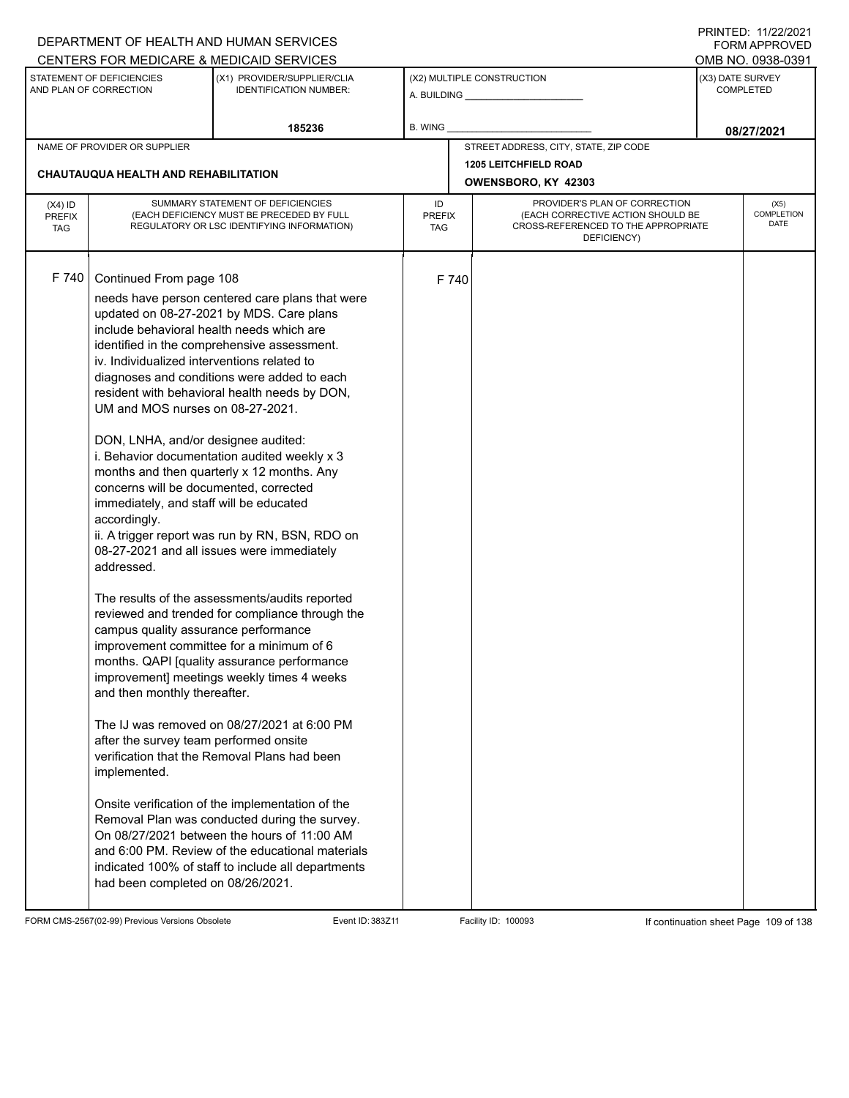|                                          |                                                                                                                                                                                                                                                                                                                                                                                                                                                                                          | DEPARTMENT OF HEALTH AND HUMAN SERVICES                                                                                                                                                                                                                                                                                                                                                                                                                                                                                                                                                                                                                                                                                                                                                                                                                                                                                                                                                                                                              |                            |       |                                                                                                                          |                  | FORM APPROVED              |
|------------------------------------------|------------------------------------------------------------------------------------------------------------------------------------------------------------------------------------------------------------------------------------------------------------------------------------------------------------------------------------------------------------------------------------------------------------------------------------------------------------------------------------------|------------------------------------------------------------------------------------------------------------------------------------------------------------------------------------------------------------------------------------------------------------------------------------------------------------------------------------------------------------------------------------------------------------------------------------------------------------------------------------------------------------------------------------------------------------------------------------------------------------------------------------------------------------------------------------------------------------------------------------------------------------------------------------------------------------------------------------------------------------------------------------------------------------------------------------------------------------------------------------------------------------------------------------------------------|----------------------------|-------|--------------------------------------------------------------------------------------------------------------------------|------------------|----------------------------|
|                                          | STATEMENT OF DEFICIENCIES                                                                                                                                                                                                                                                                                                                                                                                                                                                                | CENTERS FOR MEDICARE & MEDICAID SERVICES<br>(X1) PROVIDER/SUPPLIER/CLIA                                                                                                                                                                                                                                                                                                                                                                                                                                                                                                                                                                                                                                                                                                                                                                                                                                                                                                                                                                              |                            |       | (X2) MULTIPLE CONSTRUCTION                                                                                               | (X3) DATE SURVEY | OMB NO. 0938-0391          |
|                                          | AND PLAN OF CORRECTION                                                                                                                                                                                                                                                                                                                                                                                                                                                                   | <b>IDENTIFICATION NUMBER:</b>                                                                                                                                                                                                                                                                                                                                                                                                                                                                                                                                                                                                                                                                                                                                                                                                                                                                                                                                                                                                                        |                            |       |                                                                                                                          |                  | <b>COMPLETED</b>           |
|                                          |                                                                                                                                                                                                                                                                                                                                                                                                                                                                                          | 185236                                                                                                                                                                                                                                                                                                                                                                                                                                                                                                                                                                                                                                                                                                                                                                                                                                                                                                                                                                                                                                               | B. WING                    |       |                                                                                                                          |                  | 08/27/2021                 |
|                                          | NAME OF PROVIDER OR SUPPLIER                                                                                                                                                                                                                                                                                                                                                                                                                                                             |                                                                                                                                                                                                                                                                                                                                                                                                                                                                                                                                                                                                                                                                                                                                                                                                                                                                                                                                                                                                                                                      |                            |       | STREET ADDRESS, CITY, STATE, ZIP CODE                                                                                    |                  |                            |
|                                          | <b>CHAUTAUQUA HEALTH AND REHABILITATION</b>                                                                                                                                                                                                                                                                                                                                                                                                                                              |                                                                                                                                                                                                                                                                                                                                                                                                                                                                                                                                                                                                                                                                                                                                                                                                                                                                                                                                                                                                                                                      |                            |       | <b>1205 LEITCHFIELD ROAD</b><br>OWENSBORO, KY 42303                                                                      |                  |                            |
| $(X4)$ ID<br><b>PREFIX</b><br><b>TAG</b> |                                                                                                                                                                                                                                                                                                                                                                                                                                                                                          | SUMMARY STATEMENT OF DEFICIENCIES<br>(EACH DEFICIENCY MUST BE PRECEDED BY FULL<br>REGULATORY OR LSC IDENTIFYING INFORMATION)                                                                                                                                                                                                                                                                                                                                                                                                                                                                                                                                                                                                                                                                                                                                                                                                                                                                                                                         | ID<br><b>PREFIX</b><br>TAG |       | PROVIDER'S PLAN OF CORRECTION<br>(EACH CORRECTIVE ACTION SHOULD BE<br>CROSS-REFERENCED TO THE APPROPRIATE<br>DEFICIENCY) |                  | (X5)<br>COMPLETION<br>DATE |
| F 740                                    | Continued From page 108<br>include behavioral health needs which are<br>iv. Individualized interventions related to<br>UM and MOS nurses on 08-27-2021.<br>DON, LNHA, and/or designee audited:<br>concerns will be documented, corrected<br>immediately, and staff will be educated<br>accordingly.<br>addressed.<br>campus quality assurance performance<br>and then monthly thereafter.<br>after the survey team performed onsite<br>implemented.<br>had been completed on 08/26/2021. | needs have person centered care plans that were<br>updated on 08-27-2021 by MDS. Care plans<br>identified in the comprehensive assessment.<br>diagnoses and conditions were added to each<br>resident with behavioral health needs by DON,<br>i. Behavior documentation audited weekly x 3<br>months and then quarterly x 12 months. Any<br>ii. A trigger report was run by RN, BSN, RDO on<br>08-27-2021 and all issues were immediately<br>The results of the assessments/audits reported<br>reviewed and trended for compliance through the<br>improvement committee for a minimum of 6<br>months. QAPI [quality assurance performance<br>improvement] meetings weekly times 4 weeks<br>The IJ was removed on 08/27/2021 at 6:00 PM<br>verification that the Removal Plans had been<br>Onsite verification of the implementation of the<br>Removal Plan was conducted during the survey.<br>On 08/27/2021 between the hours of 11:00 AM<br>and 6:00 PM. Review of the educational materials<br>indicated 100% of staff to include all departments |                            | F 740 |                                                                                                                          |                  |                            |

FORM CMS-2567(02-99) Previous Versions Obsolete Event ID: 383Z11 Facility ID: 100093 If continuation sheet Page 109 of 138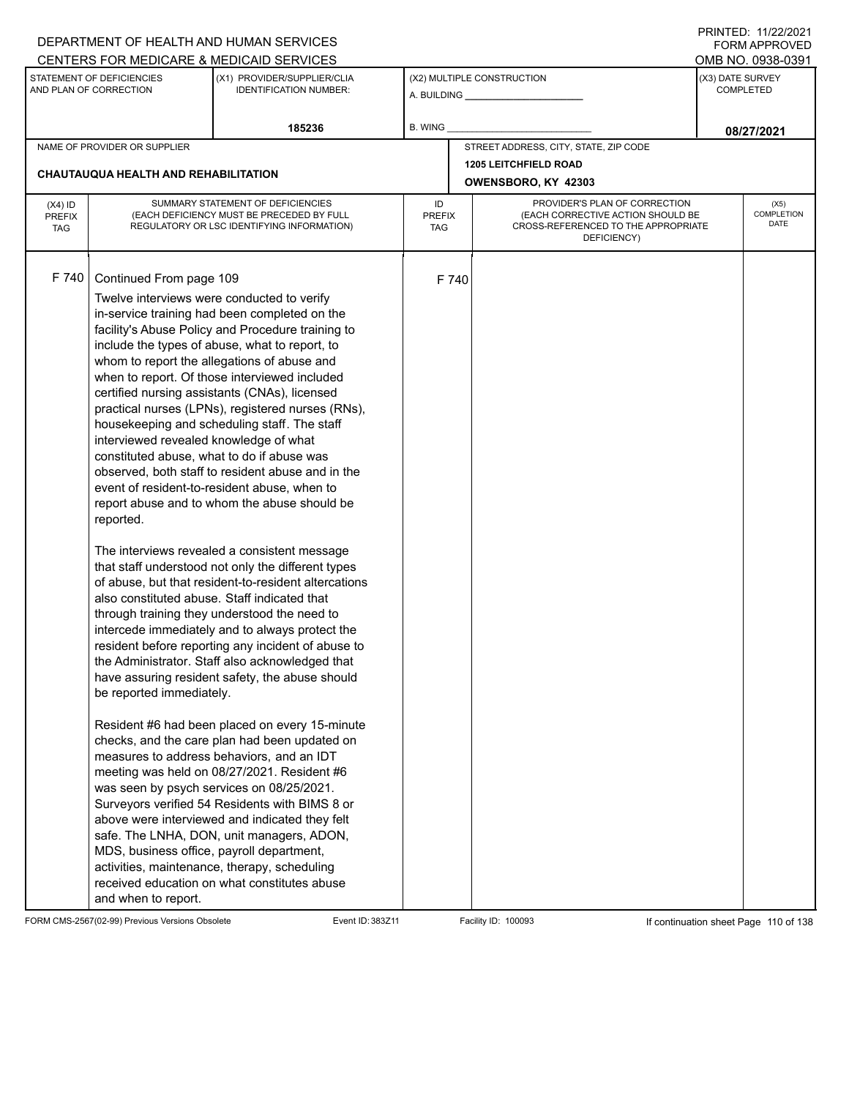|                                          |                                                                                                                                                                                                                                                                              | DEPARTMENT OF HEALTH AND HUMAN SERVICES                                                                                                                                                                                                                                                                                                                                                                                                                                                                                                                                                                                                                                                                                                                                                                                                                                                                                                                                                                                                                                                                                                                                                                                                                                                                                                                                                                                                                                                                                                 |                            |       |                                                                                                                          |                  | 111111111122.1112212121<br><b>FORM APPROVED</b> |
|------------------------------------------|------------------------------------------------------------------------------------------------------------------------------------------------------------------------------------------------------------------------------------------------------------------------------|-----------------------------------------------------------------------------------------------------------------------------------------------------------------------------------------------------------------------------------------------------------------------------------------------------------------------------------------------------------------------------------------------------------------------------------------------------------------------------------------------------------------------------------------------------------------------------------------------------------------------------------------------------------------------------------------------------------------------------------------------------------------------------------------------------------------------------------------------------------------------------------------------------------------------------------------------------------------------------------------------------------------------------------------------------------------------------------------------------------------------------------------------------------------------------------------------------------------------------------------------------------------------------------------------------------------------------------------------------------------------------------------------------------------------------------------------------------------------------------------------------------------------------------------|----------------------------|-------|--------------------------------------------------------------------------------------------------------------------------|------------------|-------------------------------------------------|
|                                          |                                                                                                                                                                                                                                                                              | CENTERS FOR MEDICARE & MEDICAID SERVICES                                                                                                                                                                                                                                                                                                                                                                                                                                                                                                                                                                                                                                                                                                                                                                                                                                                                                                                                                                                                                                                                                                                                                                                                                                                                                                                                                                                                                                                                                                |                            |       |                                                                                                                          |                  | OMB NO. 0938-0391                               |
|                                          | STATEMENT OF DEFICIENCIES<br>AND PLAN OF CORRECTION                                                                                                                                                                                                                          | (X1) PROVIDER/SUPPLIER/CLIA<br><b>IDENTIFICATION NUMBER:</b>                                                                                                                                                                                                                                                                                                                                                                                                                                                                                                                                                                                                                                                                                                                                                                                                                                                                                                                                                                                                                                                                                                                                                                                                                                                                                                                                                                                                                                                                            |                            |       | (X2) MULTIPLE CONSTRUCTION                                                                                               | (X3) DATE SURVEY | <b>COMPLETED</b>                                |
|                                          |                                                                                                                                                                                                                                                                              | 185236                                                                                                                                                                                                                                                                                                                                                                                                                                                                                                                                                                                                                                                                                                                                                                                                                                                                                                                                                                                                                                                                                                                                                                                                                                                                                                                                                                                                                                                                                                                                  | <b>B. WING</b>             |       |                                                                                                                          |                  | 08/27/2021                                      |
|                                          | NAME OF PROVIDER OR SUPPLIER                                                                                                                                                                                                                                                 |                                                                                                                                                                                                                                                                                                                                                                                                                                                                                                                                                                                                                                                                                                                                                                                                                                                                                                                                                                                                                                                                                                                                                                                                                                                                                                                                                                                                                                                                                                                                         |                            |       | STREET ADDRESS, CITY, STATE, ZIP CODE                                                                                    |                  |                                                 |
|                                          | <b>CHAUTAUQUA HEALTH AND REHABILITATION</b>                                                                                                                                                                                                                                  |                                                                                                                                                                                                                                                                                                                                                                                                                                                                                                                                                                                                                                                                                                                                                                                                                                                                                                                                                                                                                                                                                                                                                                                                                                                                                                                                                                                                                                                                                                                                         |                            |       | <b>1205 LEITCHFIELD ROAD</b><br>OWENSBORO, KY 42303                                                                      |                  |                                                 |
| $(X4)$ ID<br><b>PREFIX</b><br><b>TAG</b> |                                                                                                                                                                                                                                                                              | SUMMARY STATEMENT OF DEFICIENCIES<br>(EACH DEFICIENCY MUST BE PRECEDED BY FULL<br>REGULATORY OR LSC IDENTIFYING INFORMATION)                                                                                                                                                                                                                                                                                                                                                                                                                                                                                                                                                                                                                                                                                                                                                                                                                                                                                                                                                                                                                                                                                                                                                                                                                                                                                                                                                                                                            | ID<br><b>PREFIX</b><br>TAG |       | PROVIDER'S PLAN OF CORRECTION<br>(EACH CORRECTIVE ACTION SHOULD BE<br>CROSS-REFERENCED TO THE APPROPRIATE<br>DEFICIENCY) |                  | (X5)<br>COMPLETION<br><b>DATE</b>               |
| F 740                                    | Continued From page 109<br>interviewed revealed knowledge of what<br>constituted abuse, what to do if abuse was<br>reported.<br>also constituted abuse. Staff indicated that<br>be reported immediately.<br>MDS, business office, payroll department,<br>and when to report. | Twelve interviews were conducted to verify<br>in-service training had been completed on the<br>facility's Abuse Policy and Procedure training to<br>include the types of abuse, what to report, to<br>whom to report the allegations of abuse and<br>when to report. Of those interviewed included<br>certified nursing assistants (CNAs), licensed<br>practical nurses (LPNs), registered nurses (RNs),<br>housekeeping and scheduling staff. The staff<br>observed, both staff to resident abuse and in the<br>event of resident-to-resident abuse, when to<br>report abuse and to whom the abuse should be<br>The interviews revealed a consistent message<br>that staff understood not only the different types<br>of abuse, but that resident-to-resident altercations<br>through training they understood the need to<br>intercede immediately and to always protect the<br>resident before reporting any incident of abuse to<br>the Administrator. Staff also acknowledged that<br>have assuring resident safety, the abuse should<br>Resident #6 had been placed on every 15-minute<br>checks, and the care plan had been updated on<br>measures to address behaviors, and an IDT<br>meeting was held on 08/27/2021. Resident #6<br>was seen by psych services on 08/25/2021.<br>Surveyors verified 54 Residents with BIMS 8 or<br>above were interviewed and indicated they felt<br>safe. The LNHA, DON, unit managers, ADON,<br>activities, maintenance, therapy, scheduling<br>received education on what constitutes abuse |                            | F 740 |                                                                                                                          |                  |                                                 |

FORM CMS-2567(02-99) Previous Versions Obsolete Event ID: 383Z11 Facility ID: 100093 If continuation sheet Page 110 of 138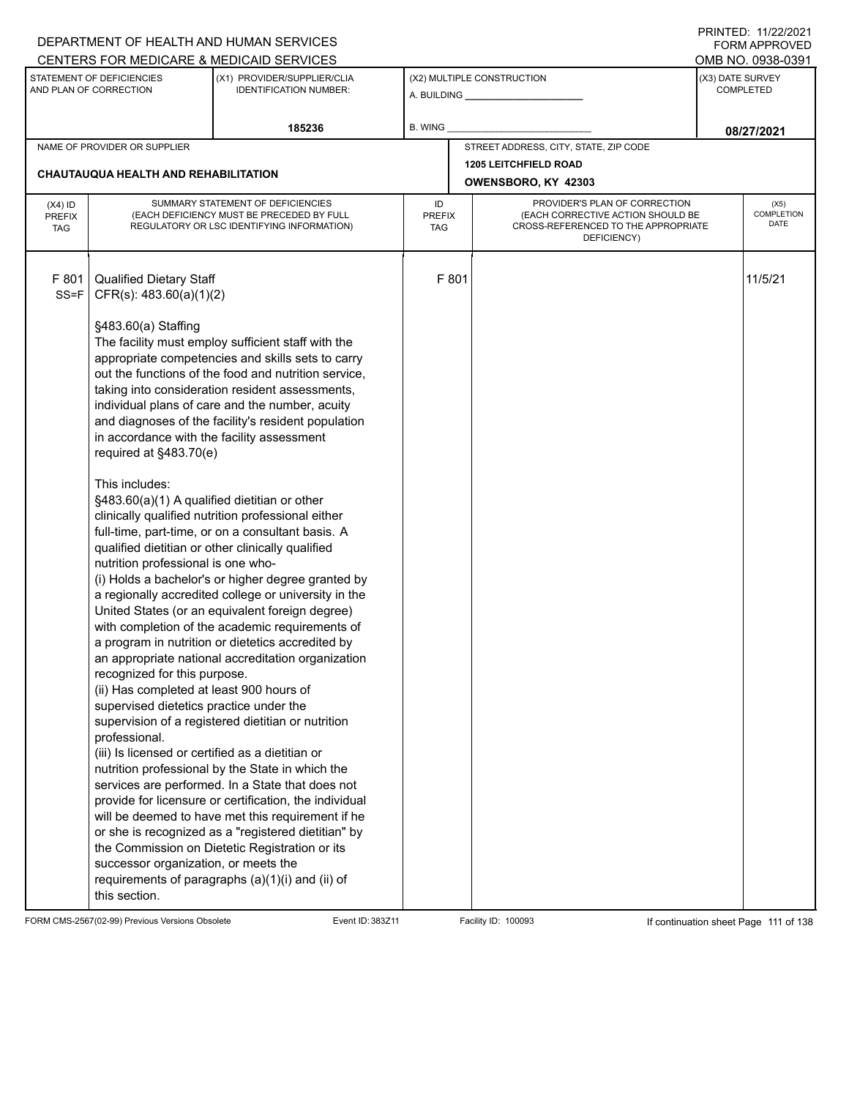|                                          |                                                                                                                                                                                                                                                                                                                                                                                                                                                                                                      | DEPARTMENT OF HEALTH AND HUMAN SERVICES                                                                                                                                                                                                                                                                                                                                                                                                                                                                                                                                                                                                                                                                                                                                                                                                                                                                                                                                                                                                                                                                                                                                                                                                                               |                                   |                                                                                                                          |                  | 11111111122.1112212221<br><b>FORM APPROVED</b> |  |
|------------------------------------------|------------------------------------------------------------------------------------------------------------------------------------------------------------------------------------------------------------------------------------------------------------------------------------------------------------------------------------------------------------------------------------------------------------------------------------------------------------------------------------------------------|-----------------------------------------------------------------------------------------------------------------------------------------------------------------------------------------------------------------------------------------------------------------------------------------------------------------------------------------------------------------------------------------------------------------------------------------------------------------------------------------------------------------------------------------------------------------------------------------------------------------------------------------------------------------------------------------------------------------------------------------------------------------------------------------------------------------------------------------------------------------------------------------------------------------------------------------------------------------------------------------------------------------------------------------------------------------------------------------------------------------------------------------------------------------------------------------------------------------------------------------------------------------------|-----------------------------------|--------------------------------------------------------------------------------------------------------------------------|------------------|------------------------------------------------|--|
|                                          |                                                                                                                                                                                                                                                                                                                                                                                                                                                                                                      | CENTERS FOR MEDICARE & MEDICAID SERVICES                                                                                                                                                                                                                                                                                                                                                                                                                                                                                                                                                                                                                                                                                                                                                                                                                                                                                                                                                                                                                                                                                                                                                                                                                              |                                   |                                                                                                                          |                  | OMB NO. 0938-0391                              |  |
|                                          | STATEMENT OF DEFICIENCIES<br>AND PLAN OF CORRECTION                                                                                                                                                                                                                                                                                                                                                                                                                                                  | (X1) PROVIDER/SUPPLIER/CLIA<br><b>IDENTIFICATION NUMBER:</b>                                                                                                                                                                                                                                                                                                                                                                                                                                                                                                                                                                                                                                                                                                                                                                                                                                                                                                                                                                                                                                                                                                                                                                                                          |                                   | (X2) MULTIPLE CONSTRUCTION                                                                                               | (X3) DATE SURVEY | <b>COMPLETED</b>                               |  |
|                                          |                                                                                                                                                                                                                                                                                                                                                                                                                                                                                                      | 185236                                                                                                                                                                                                                                                                                                                                                                                                                                                                                                                                                                                                                                                                                                                                                                                                                                                                                                                                                                                                                                                                                                                                                                                                                                                                | B. WING                           |                                                                                                                          |                  | 08/27/2021                                     |  |
|                                          | NAME OF PROVIDER OR SUPPLIER                                                                                                                                                                                                                                                                                                                                                                                                                                                                         |                                                                                                                                                                                                                                                                                                                                                                                                                                                                                                                                                                                                                                                                                                                                                                                                                                                                                                                                                                                                                                                                                                                                                                                                                                                                       |                                   | STREET ADDRESS, CITY, STATE, ZIP CODE                                                                                    |                  |                                                |  |
|                                          |                                                                                                                                                                                                                                                                                                                                                                                                                                                                                                      |                                                                                                                                                                                                                                                                                                                                                                                                                                                                                                                                                                                                                                                                                                                                                                                                                                                                                                                                                                                                                                                                                                                                                                                                                                                                       |                                   | <b>1205 LEITCHFIELD ROAD</b>                                                                                             |                  |                                                |  |
|                                          | <b>CHAUTAUQUA HEALTH AND REHABILITATION</b>                                                                                                                                                                                                                                                                                                                                                                                                                                                          |                                                                                                                                                                                                                                                                                                                                                                                                                                                                                                                                                                                                                                                                                                                                                                                                                                                                                                                                                                                                                                                                                                                                                                                                                                                                       |                                   | OWENSBORO, KY 42303                                                                                                      |                  |                                                |  |
| $(X4)$ ID<br><b>PREFIX</b><br><b>TAG</b> |                                                                                                                                                                                                                                                                                                                                                                                                                                                                                                      | SUMMARY STATEMENT OF DEFICIENCIES<br>(EACH DEFICIENCY MUST BE PRECEDED BY FULL<br>REGULATORY OR LSC IDENTIFYING INFORMATION)                                                                                                                                                                                                                                                                                                                                                                                                                                                                                                                                                                                                                                                                                                                                                                                                                                                                                                                                                                                                                                                                                                                                          | ID<br><b>PREFIX</b><br><b>TAG</b> | PROVIDER'S PLAN OF CORRECTION<br>(EACH CORRECTIVE ACTION SHOULD BE<br>CROSS-REFERENCED TO THE APPROPRIATE<br>DEFICIENCY) |                  | (X5)<br><b>COMPLETION</b><br>DATE              |  |
| F 801<br>$SS = F$                        | <b>Qualified Dietary Staff</b><br>CFR(s): 483.60(a)(1)(2)<br>§483.60(a) Staffing<br>in accordance with the facility assessment<br>required at §483.70(e)<br>This includes:<br>§483.60(a)(1) A qualified dietitian or other<br>nutrition professional is one who-<br>recognized for this purpose.<br>(ii) Has completed at least 900 hours of<br>supervised dietetics practice under the<br>professional.<br>(iii) Is licensed or certified as a dietitian or<br>successor organization, or meets the | The facility must employ sufficient staff with the<br>appropriate competencies and skills sets to carry<br>out the functions of the food and nutrition service,<br>taking into consideration resident assessments,<br>individual plans of care and the number, acuity<br>and diagnoses of the facility's resident population<br>clinically qualified nutrition professional either<br>full-time, part-time, or on a consultant basis. A<br>qualified dietitian or other clinically qualified<br>(i) Holds a bachelor's or higher degree granted by<br>a regionally accredited college or university in the<br>United States (or an equivalent foreign degree)<br>with completion of the academic requirements of<br>a program in nutrition or dietetics accredited by<br>an appropriate national accreditation organization<br>supervision of a registered dietitian or nutrition<br>nutrition professional by the State in which the<br>services are performed. In a State that does not<br>provide for licensure or certification, the individual<br>will be deemed to have met this requirement if he<br>or she is recognized as a "registered dietitian" by<br>the Commission on Dietetic Registration or its<br>requirements of paragraphs (a)(1)(i) and (ii) of | F 801                             |                                                                                                                          |                  | 11/5/21                                        |  |
|                                          | this section.                                                                                                                                                                                                                                                                                                                                                                                                                                                                                        |                                                                                                                                                                                                                                                                                                                                                                                                                                                                                                                                                                                                                                                                                                                                                                                                                                                                                                                                                                                                                                                                                                                                                                                                                                                                       |                                   |                                                                                                                          |                  |                                                |  |

FORM CMS-2567(02-99) Previous Versions Obsolete Event ID: 383Z11 Facility ID: 100093 If continuation sheet Page 111 of 138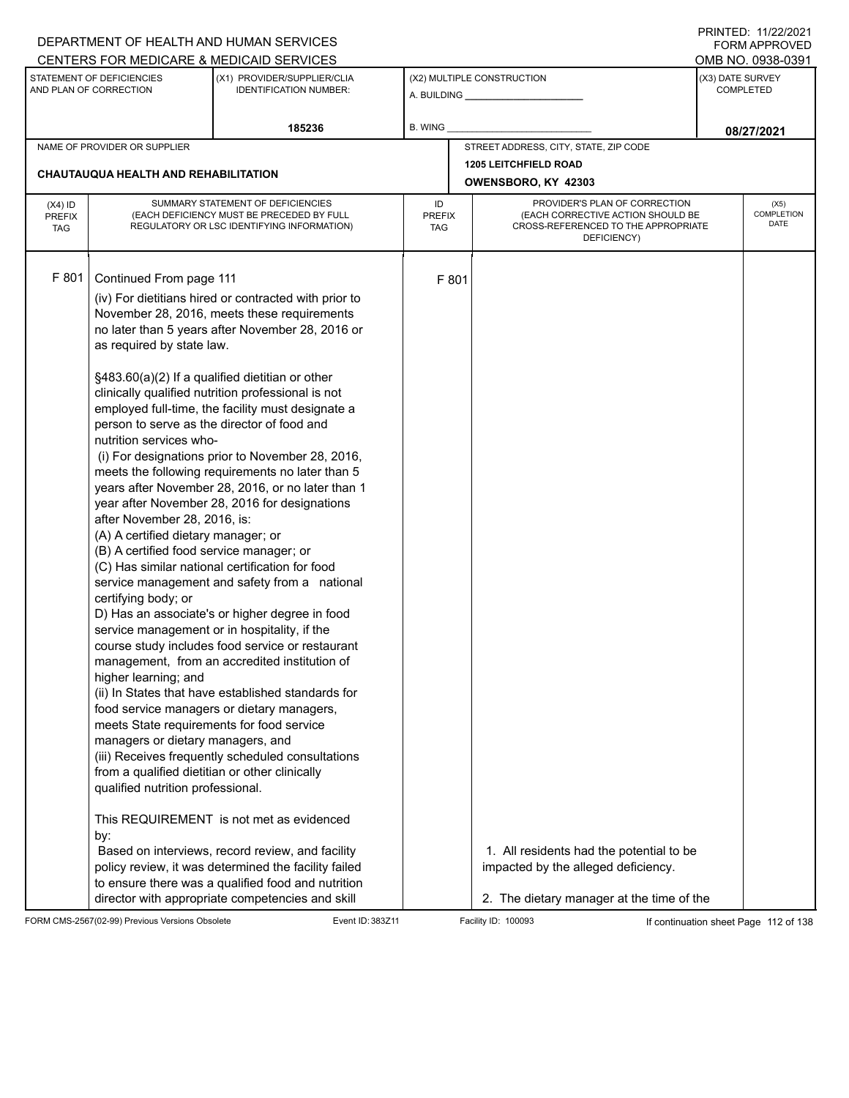| DEPARTMENT OF HEALTH AND HUMAN SERVICES                                                                                                                                                                                                                                                                                                                                                                                                                                                               |                                                                                                                                                                                                                                                                                                                                                                                                                                                                                                                                                                                                                                                                                                                                                                                                                                                                                                                                                                                                                                                                |                            |       |                                                                                                                              |                  | 111111111122.1112212121<br><b>FORM APPROVED</b> |
|-------------------------------------------------------------------------------------------------------------------------------------------------------------------------------------------------------------------------------------------------------------------------------------------------------------------------------------------------------------------------------------------------------------------------------------------------------------------------------------------------------|----------------------------------------------------------------------------------------------------------------------------------------------------------------------------------------------------------------------------------------------------------------------------------------------------------------------------------------------------------------------------------------------------------------------------------------------------------------------------------------------------------------------------------------------------------------------------------------------------------------------------------------------------------------------------------------------------------------------------------------------------------------------------------------------------------------------------------------------------------------------------------------------------------------------------------------------------------------------------------------------------------------------------------------------------------------|----------------------------|-------|------------------------------------------------------------------------------------------------------------------------------|------------------|-------------------------------------------------|
| CENTERS FOR MEDICARE & MEDICAID SERVICES<br>STATEMENT OF DEFICIENCIES                                                                                                                                                                                                                                                                                                                                                                                                                                 | (X1) PROVIDER/SUPPLIER/CLIA                                                                                                                                                                                                                                                                                                                                                                                                                                                                                                                                                                                                                                                                                                                                                                                                                                                                                                                                                                                                                                    |                            |       | (X2) MULTIPLE CONSTRUCTION                                                                                                   | (X3) DATE SURVEY | OMB NO. 0938-0391                               |
| AND PLAN OF CORRECTION                                                                                                                                                                                                                                                                                                                                                                                                                                                                                | <b>IDENTIFICATION NUMBER:</b>                                                                                                                                                                                                                                                                                                                                                                                                                                                                                                                                                                                                                                                                                                                                                                                                                                                                                                                                                                                                                                  |                            |       |                                                                                                                              |                  | <b>COMPLETED</b>                                |
|                                                                                                                                                                                                                                                                                                                                                                                                                                                                                                       | 185236                                                                                                                                                                                                                                                                                                                                                                                                                                                                                                                                                                                                                                                                                                                                                                                                                                                                                                                                                                                                                                                         | <b>B. WING</b>             |       |                                                                                                                              |                  | 08/27/2021                                      |
| NAME OF PROVIDER OR SUPPLIER                                                                                                                                                                                                                                                                                                                                                                                                                                                                          |                                                                                                                                                                                                                                                                                                                                                                                                                                                                                                                                                                                                                                                                                                                                                                                                                                                                                                                                                                                                                                                                |                            |       | STREET ADDRESS, CITY, STATE, ZIP CODE                                                                                        |                  |                                                 |
| CHAUTAUQUA HEALTH AND REHABILITATION                                                                                                                                                                                                                                                                                                                                                                                                                                                                  |                                                                                                                                                                                                                                                                                                                                                                                                                                                                                                                                                                                                                                                                                                                                                                                                                                                                                                                                                                                                                                                                |                            |       | <b>1205 LEITCHFIELD ROAD</b>                                                                                                 |                  |                                                 |
|                                                                                                                                                                                                                                                                                                                                                                                                                                                                                                       |                                                                                                                                                                                                                                                                                                                                                                                                                                                                                                                                                                                                                                                                                                                                                                                                                                                                                                                                                                                                                                                                |                            |       | OWENSBORO, KY 42303                                                                                                          |                  |                                                 |
| $(X4)$ ID<br><b>PREFIX</b><br><b>TAG</b>                                                                                                                                                                                                                                                                                                                                                                                                                                                              | SUMMARY STATEMENT OF DEFICIENCIES<br>(EACH DEFICIENCY MUST BE PRECEDED BY FULL<br>REGULATORY OR LSC IDENTIFYING INFORMATION)                                                                                                                                                                                                                                                                                                                                                                                                                                                                                                                                                                                                                                                                                                                                                                                                                                                                                                                                   | ID<br><b>PREFIX</b><br>TAG |       | PROVIDER'S PLAN OF CORRECTION<br>(EACH CORRECTIVE ACTION SHOULD BE<br>CROSS-REFERENCED TO THE APPROPRIATE                    |                  | (X5)<br><b>COMPLETION</b><br><b>DATE</b>        |
|                                                                                                                                                                                                                                                                                                                                                                                                                                                                                                       |                                                                                                                                                                                                                                                                                                                                                                                                                                                                                                                                                                                                                                                                                                                                                                                                                                                                                                                                                                                                                                                                |                            |       | DEFICIENCY)                                                                                                                  |                  |                                                 |
| F 801<br>Continued From page 111                                                                                                                                                                                                                                                                                                                                                                                                                                                                      | (iv) For dietitians hired or contracted with prior to<br>November 28, 2016, meets these requirements<br>no later than 5 years after November 28, 2016 or                                                                                                                                                                                                                                                                                                                                                                                                                                                                                                                                                                                                                                                                                                                                                                                                                                                                                                       |                            | F 801 |                                                                                                                              |                  |                                                 |
| as required by state law.<br>person to serve as the director of food and<br>nutrition services who-<br>after November 28, 2016, is:<br>(A) A certified dietary manager; or<br>(B) A certified food service manager; or<br>certifying body; or<br>service management or in hospitality, if the<br>higher learning; and<br>meets State requirements for food service<br>managers or dietary managers, and<br>from a qualified dietitian or other clinically<br>qualified nutrition professional.<br>by: | §483.60(a)(2) If a qualified dietitian or other<br>clinically qualified nutrition professional is not<br>employed full-time, the facility must designate a<br>(i) For designations prior to November 28, 2016,<br>meets the following requirements no later than 5<br>years after November 28, 2016, or no later than 1<br>year after November 28, 2016 for designations<br>(C) Has similar national certification for food<br>service management and safety from a national<br>D) Has an associate's or higher degree in food<br>course study includes food service or restaurant<br>management, from an accredited institution of<br>(ii) In States that have established standards for<br>food service managers or dietary managers,<br>(iii) Receives frequently scheduled consultations<br>This REQUIREMENT is not met as evidenced<br>Based on interviews, record review, and facility<br>policy review, it was determined the facility failed<br>to ensure there was a qualified food and nutrition<br>director with appropriate competencies and skill |                            |       | 1. All residents had the potential to be<br>impacted by the alleged deficiency.<br>2. The dietary manager at the time of the |                  |                                                 |

FORM CMS-2567(02-99) Previous Versions Obsolete Event ID: 383Z11 Facility ID: 100093 If continuation sheet Page 112 of 138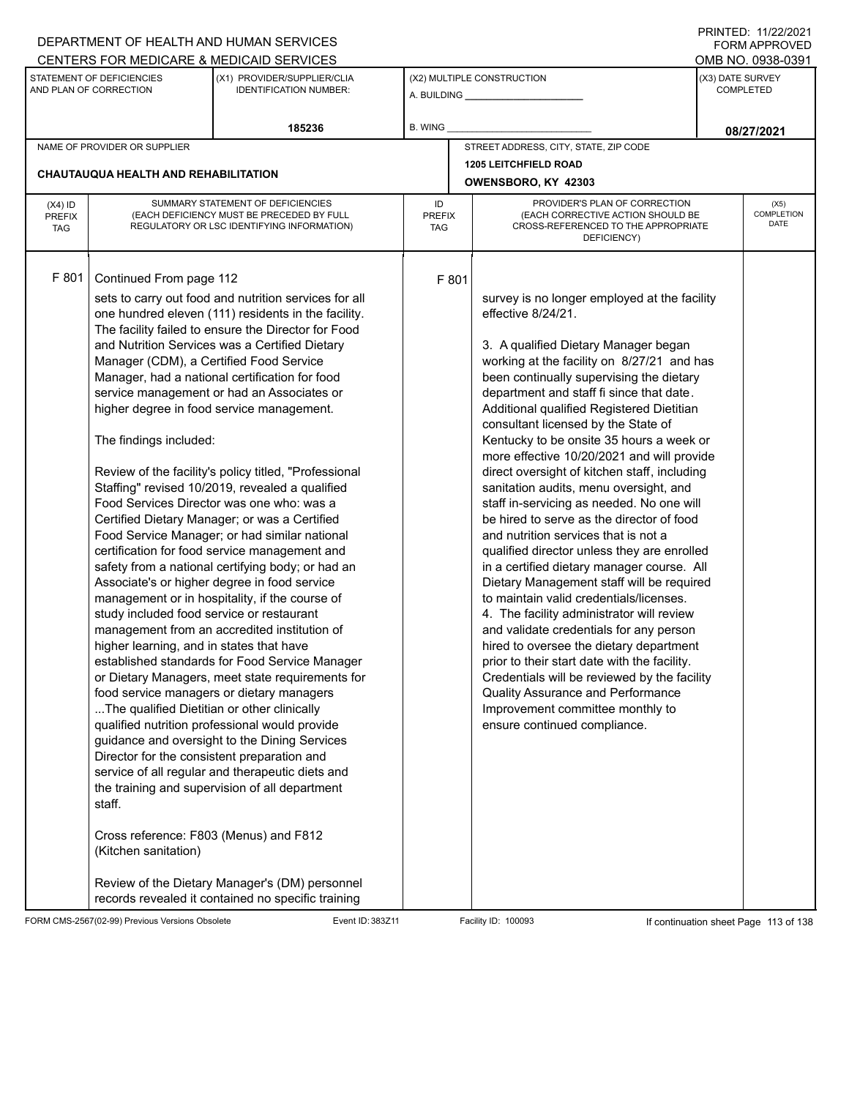|                                          |                                                                                                                                                                                                                                                                                                                                                                 | DEPARTMENT OF HEALTH AND HUMAN SERVICES                                                                                                                                                                                                                                                                                                                                                                                                                                                                                                                                                                                                                                                                                                                                                                                                                                                                                                                                                                                                                                                                                                                                                                                                                                                             |                            |                                                                                                                                                                                                                                                                                                                                                                                                                                                                                                                                                                                                                                                                                                                                                                                                                                                                                                                                                                                                                                                                                                                                                                                                    |                  | 111111111122.1112212121<br><b>FORM APPROVED</b> |
|------------------------------------------|-----------------------------------------------------------------------------------------------------------------------------------------------------------------------------------------------------------------------------------------------------------------------------------------------------------------------------------------------------------------|-----------------------------------------------------------------------------------------------------------------------------------------------------------------------------------------------------------------------------------------------------------------------------------------------------------------------------------------------------------------------------------------------------------------------------------------------------------------------------------------------------------------------------------------------------------------------------------------------------------------------------------------------------------------------------------------------------------------------------------------------------------------------------------------------------------------------------------------------------------------------------------------------------------------------------------------------------------------------------------------------------------------------------------------------------------------------------------------------------------------------------------------------------------------------------------------------------------------------------------------------------------------------------------------------------|----------------------------|----------------------------------------------------------------------------------------------------------------------------------------------------------------------------------------------------------------------------------------------------------------------------------------------------------------------------------------------------------------------------------------------------------------------------------------------------------------------------------------------------------------------------------------------------------------------------------------------------------------------------------------------------------------------------------------------------------------------------------------------------------------------------------------------------------------------------------------------------------------------------------------------------------------------------------------------------------------------------------------------------------------------------------------------------------------------------------------------------------------------------------------------------------------------------------------------------|------------------|-------------------------------------------------|
|                                          |                                                                                                                                                                                                                                                                                                                                                                 | CENTERS FOR MEDICARE & MEDICAID SERVICES                                                                                                                                                                                                                                                                                                                                                                                                                                                                                                                                                                                                                                                                                                                                                                                                                                                                                                                                                                                                                                                                                                                                                                                                                                                            |                            |                                                                                                                                                                                                                                                                                                                                                                                                                                                                                                                                                                                                                                                                                                                                                                                                                                                                                                                                                                                                                                                                                                                                                                                                    |                  | OMB NO. 0938-0391                               |
|                                          | STATEMENT OF DEFICIENCIES<br>AND PLAN OF CORRECTION                                                                                                                                                                                                                                                                                                             | (X1) PROVIDER/SUPPLIER/CLIA<br><b>IDENTIFICATION NUMBER:</b>                                                                                                                                                                                                                                                                                                                                                                                                                                                                                                                                                                                                                                                                                                                                                                                                                                                                                                                                                                                                                                                                                                                                                                                                                                        |                            | (X2) MULTIPLE CONSTRUCTION                                                                                                                                                                                                                                                                                                                                                                                                                                                                                                                                                                                                                                                                                                                                                                                                                                                                                                                                                                                                                                                                                                                                                                         | (X3) DATE SURVEY | <b>COMPLETED</b>                                |
|                                          |                                                                                                                                                                                                                                                                                                                                                                 | 185236                                                                                                                                                                                                                                                                                                                                                                                                                                                                                                                                                                                                                                                                                                                                                                                                                                                                                                                                                                                                                                                                                                                                                                                                                                                                                              | B. WING                    |                                                                                                                                                                                                                                                                                                                                                                                                                                                                                                                                                                                                                                                                                                                                                                                                                                                                                                                                                                                                                                                                                                                                                                                                    |                  | 08/27/2021                                      |
|                                          | NAME OF PROVIDER OR SUPPLIER                                                                                                                                                                                                                                                                                                                                    |                                                                                                                                                                                                                                                                                                                                                                                                                                                                                                                                                                                                                                                                                                                                                                                                                                                                                                                                                                                                                                                                                                                                                                                                                                                                                                     |                            | STREET ADDRESS, CITY, STATE, ZIP CODE                                                                                                                                                                                                                                                                                                                                                                                                                                                                                                                                                                                                                                                                                                                                                                                                                                                                                                                                                                                                                                                                                                                                                              |                  |                                                 |
|                                          |                                                                                                                                                                                                                                                                                                                                                                 |                                                                                                                                                                                                                                                                                                                                                                                                                                                                                                                                                                                                                                                                                                                                                                                                                                                                                                                                                                                                                                                                                                                                                                                                                                                                                                     |                            | <b>1205 LEITCHFIELD ROAD</b>                                                                                                                                                                                                                                                                                                                                                                                                                                                                                                                                                                                                                                                                                                                                                                                                                                                                                                                                                                                                                                                                                                                                                                       |                  |                                                 |
|                                          | CHAUTAUQUA HEALTH AND REHABILITATION                                                                                                                                                                                                                                                                                                                            |                                                                                                                                                                                                                                                                                                                                                                                                                                                                                                                                                                                                                                                                                                                                                                                                                                                                                                                                                                                                                                                                                                                                                                                                                                                                                                     |                            | OWENSBORO, KY 42303                                                                                                                                                                                                                                                                                                                                                                                                                                                                                                                                                                                                                                                                                                                                                                                                                                                                                                                                                                                                                                                                                                                                                                                |                  |                                                 |
| $(X4)$ ID<br><b>PREFIX</b><br><b>TAG</b> |                                                                                                                                                                                                                                                                                                                                                                 | SUMMARY STATEMENT OF DEFICIENCIES<br>(EACH DEFICIENCY MUST BE PRECEDED BY FULL<br>REGULATORY OR LSC IDENTIFYING INFORMATION)                                                                                                                                                                                                                                                                                                                                                                                                                                                                                                                                                                                                                                                                                                                                                                                                                                                                                                                                                                                                                                                                                                                                                                        | ID<br><b>PREFIX</b><br>TAG | PROVIDER'S PLAN OF CORRECTION<br>(EACH CORRECTIVE ACTION SHOULD BE<br>CROSS-REFERENCED TO THE APPROPRIATE<br>DEFICIENCY)                                                                                                                                                                                                                                                                                                                                                                                                                                                                                                                                                                                                                                                                                                                                                                                                                                                                                                                                                                                                                                                                           |                  | (X5)<br><b>COMPLETION</b><br><b>DATE</b>        |
| F 801                                    | Continued From page 112<br>Manager (CDM), a Certified Food Service<br>The findings included:<br>study included food service or restaurant<br>higher learning, and in states that have<br>The qualified Dietitian or other clinically<br>Director for the consistent preparation and<br>staff.<br>Cross reference: F803 (Menus) and F812<br>(Kitchen sanitation) | sets to carry out food and nutrition services for all<br>one hundred eleven (111) residents in the facility.<br>The facility failed to ensure the Director for Food<br>and Nutrition Services was a Certified Dietary<br>Manager, had a national certification for food<br>service management or had an Associates or<br>higher degree in food service management.<br>Review of the facility's policy titled, "Professional<br>Staffing" revised 10/2019, revealed a qualified<br>Food Services Director was one who: was a<br>Certified Dietary Manager; or was a Certified<br>Food Service Manager; or had similar national<br>certification for food service management and<br>safety from a national certifying body; or had an<br>Associate's or higher degree in food service<br>management or in hospitality, if the course of<br>management from an accredited institution of<br>established standards for Food Service Manager<br>or Dietary Managers, meet state requirements for<br>food service managers or dietary managers<br>qualified nutrition professional would provide<br>guidance and oversight to the Dining Services<br>service of all regular and therapeutic diets and<br>the training and supervision of all department<br>Review of the Dietary Manager's (DM) personnel | F 801                      | survey is no longer employed at the facility<br>effective 8/24/21.<br>3. A qualified Dietary Manager began<br>working at the facility on 8/27/21 and has<br>been continually supervising the dietary<br>department and staff fi since that date.<br>Additional qualified Registered Dietitian<br>consultant licensed by the State of<br>Kentucky to be onsite 35 hours a week or<br>more effective 10/20/2021 and will provide<br>direct oversight of kitchen staff, including<br>sanitation audits, menu oversight, and<br>staff in-servicing as needed. No one will<br>be hired to serve as the director of food<br>and nutrition services that is not a<br>qualified director unless they are enrolled<br>in a certified dietary manager course. All<br>Dietary Management staff will be required<br>to maintain valid credentials/licenses.<br>4. The facility administrator will review<br>and validate credentials for any person<br>hired to oversee the dietary department<br>prior to their start date with the facility.<br>Credentials will be reviewed by the facility<br><b>Quality Assurance and Performance</b><br>Improvement committee monthly to<br>ensure continued compliance. |                  |                                                 |
|                                          |                                                                                                                                                                                                                                                                                                                                                                 | records revealed it contained no specific training                                                                                                                                                                                                                                                                                                                                                                                                                                                                                                                                                                                                                                                                                                                                                                                                                                                                                                                                                                                                                                                                                                                                                                                                                                                  |                            |                                                                                                                                                                                                                                                                                                                                                                                                                                                                                                                                                                                                                                                                                                                                                                                                                                                                                                                                                                                                                                                                                                                                                                                                    |                  |                                                 |

FORM CMS-2567(02-99) Previous Versions Obsolete Event ID: 383Z11 Facility ID: 100093 If continuation sheet Page 113 of 138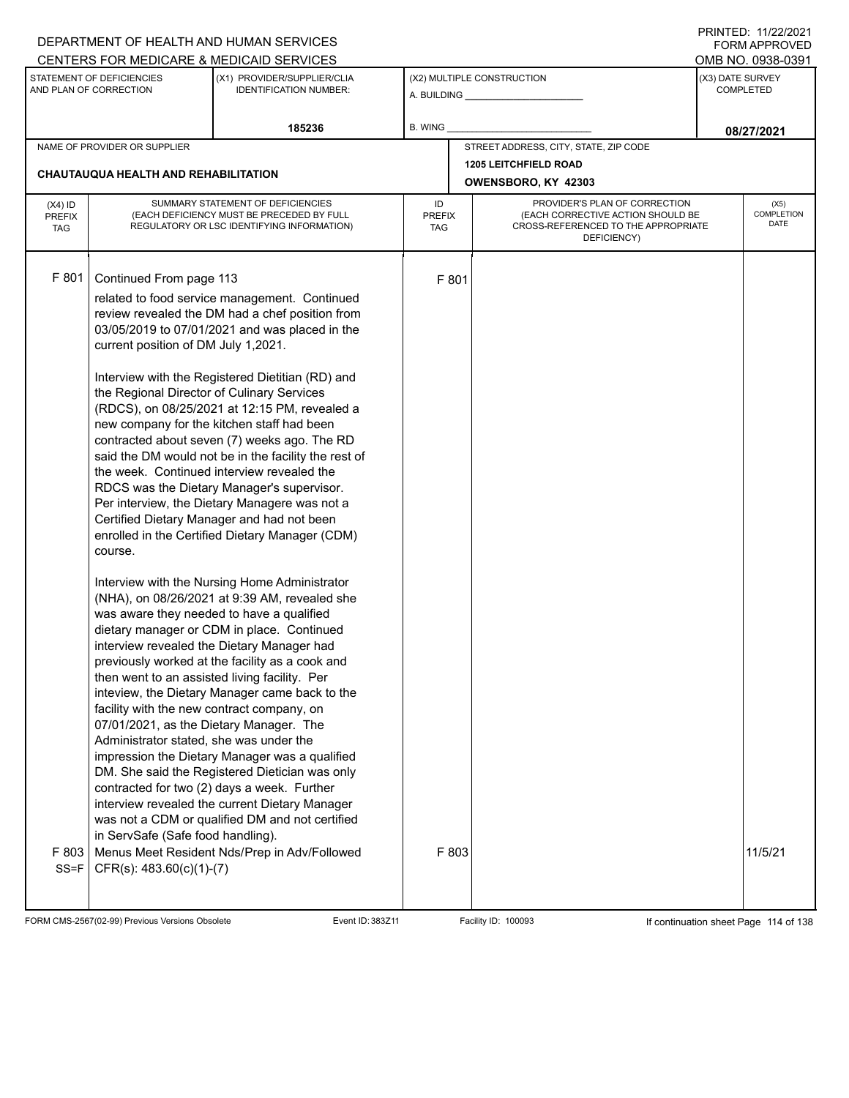|                                          |                                                                                                                                                                                                                                                                                                                                                                                                | DEPARTMENT OF HEALTH AND HUMAN SERVICES                                                                                                                                                                                                                                                                                                                                                                                                                                                                                                                                                                                                                                                                                                                                                                                                                                                                                                                                                                                                                                                                                                                                                                                |                            |                                                                                                                          | <b>FORM APPROVED</b>                 |
|------------------------------------------|------------------------------------------------------------------------------------------------------------------------------------------------------------------------------------------------------------------------------------------------------------------------------------------------------------------------------------------------------------------------------------------------|------------------------------------------------------------------------------------------------------------------------------------------------------------------------------------------------------------------------------------------------------------------------------------------------------------------------------------------------------------------------------------------------------------------------------------------------------------------------------------------------------------------------------------------------------------------------------------------------------------------------------------------------------------------------------------------------------------------------------------------------------------------------------------------------------------------------------------------------------------------------------------------------------------------------------------------------------------------------------------------------------------------------------------------------------------------------------------------------------------------------------------------------------------------------------------------------------------------------|----------------------------|--------------------------------------------------------------------------------------------------------------------------|--------------------------------------|
|                                          |                                                                                                                                                                                                                                                                                                                                                                                                | CENTERS FOR MEDICARE & MEDICAID SERVICES                                                                                                                                                                                                                                                                                                                                                                                                                                                                                                                                                                                                                                                                                                                                                                                                                                                                                                                                                                                                                                                                                                                                                                               |                            |                                                                                                                          | OMB NO. 0938-0391                    |
|                                          | STATEMENT OF DEFICIENCIES<br>AND PLAN OF CORRECTION                                                                                                                                                                                                                                                                                                                                            | (X1) PROVIDER/SUPPLIER/CLIA<br><b>IDENTIFICATION NUMBER:</b>                                                                                                                                                                                                                                                                                                                                                                                                                                                                                                                                                                                                                                                                                                                                                                                                                                                                                                                                                                                                                                                                                                                                                           |                            | (X2) MULTIPLE CONSTRUCTION                                                                                               | (X3) DATE SURVEY<br><b>COMPLETED</b> |
|                                          |                                                                                                                                                                                                                                                                                                                                                                                                | 185236                                                                                                                                                                                                                                                                                                                                                                                                                                                                                                                                                                                                                                                                                                                                                                                                                                                                                                                                                                                                                                                                                                                                                                                                                 | <b>B. WING</b>             |                                                                                                                          | 08/27/2021                           |
|                                          | NAME OF PROVIDER OR SUPPLIER                                                                                                                                                                                                                                                                                                                                                                   |                                                                                                                                                                                                                                                                                                                                                                                                                                                                                                                                                                                                                                                                                                                                                                                                                                                                                                                                                                                                                                                                                                                                                                                                                        |                            | STREET ADDRESS, CITY, STATE, ZIP CODE                                                                                    |                                      |
|                                          | <b>CHAUTAUQUA HEALTH AND REHABILITATION</b>                                                                                                                                                                                                                                                                                                                                                    |                                                                                                                                                                                                                                                                                                                                                                                                                                                                                                                                                                                                                                                                                                                                                                                                                                                                                                                                                                                                                                                                                                                                                                                                                        |                            | <b>1205 LEITCHFIELD ROAD</b><br>OWENSBORO, KY 42303                                                                      |                                      |
|                                          |                                                                                                                                                                                                                                                                                                                                                                                                |                                                                                                                                                                                                                                                                                                                                                                                                                                                                                                                                                                                                                                                                                                                                                                                                                                                                                                                                                                                                                                                                                                                                                                                                                        |                            |                                                                                                                          |                                      |
| $(X4)$ ID<br><b>PREFIX</b><br><b>TAG</b> |                                                                                                                                                                                                                                                                                                                                                                                                | SUMMARY STATEMENT OF DEFICIENCIES<br>(EACH DEFICIENCY MUST BE PRECEDED BY FULL<br>REGULATORY OR LSC IDENTIFYING INFORMATION)                                                                                                                                                                                                                                                                                                                                                                                                                                                                                                                                                                                                                                                                                                                                                                                                                                                                                                                                                                                                                                                                                           | ID<br><b>PREFIX</b><br>TAG | PROVIDER'S PLAN OF CORRECTION<br>(EACH CORRECTIVE ACTION SHOULD BE<br>CROSS-REFERENCED TO THE APPROPRIATE<br>DEFICIENCY) | (X5)<br><b>COMPLETION</b><br>DATE    |
| F 801                                    | Continued From page 113<br>current position of DM July 1,2021.<br>the Regional Director of Culinary Services<br>course.<br>was aware they needed to have a qualified<br>then went to an assisted living facility. Per<br>facility with the new contract company, on<br>07/01/2021, as the Dietary Manager. The<br>Administrator stated, she was under the<br>in ServSafe (Safe food handling). | related to food service management. Continued<br>review revealed the DM had a chef position from<br>03/05/2019 to 07/01/2021 and was placed in the<br>Interview with the Registered Dietitian (RD) and<br>(RDCS), on 08/25/2021 at 12:15 PM, revealed a<br>new company for the kitchen staff had been<br>contracted about seven (7) weeks ago. The RD<br>said the DM would not be in the facility the rest of<br>the week. Continued interview revealed the<br>RDCS was the Dietary Manager's supervisor.<br>Per interview, the Dietary Managere was not a<br>Certified Dietary Manager and had not been<br>enrolled in the Certified Dietary Manager (CDM)<br>Interview with the Nursing Home Administrator<br>(NHA), on 08/26/2021 at 9:39 AM, revealed she<br>dietary manager or CDM in place. Continued<br>interview revealed the Dietary Manager had<br>previously worked at the facility as a cook and<br>inteview, the Dietary Manager came back to the<br>impression the Dietary Manager was a qualified<br>DM. She said the Registered Dietician was only<br>contracted for two (2) days a week. Further<br>interview revealed the current Dietary Manager<br>was not a CDM or qualified DM and not certified | F 801                      |                                                                                                                          |                                      |
| F803<br>$SS = F$                         | $CFR(s)$ : 483.60(c)(1)-(7)                                                                                                                                                                                                                                                                                                                                                                    | Menus Meet Resident Nds/Prep in Adv/Followed                                                                                                                                                                                                                                                                                                                                                                                                                                                                                                                                                                                                                                                                                                                                                                                                                                                                                                                                                                                                                                                                                                                                                                           | F 803                      |                                                                                                                          | 11/5/21                              |

FORM CMS-2567(02-99) Previous Versions Obsolete Event ID: 383Z11 Facility ID: 100093 If continuation sheet Page 114 of 138

DEPARTMENT OF HEALTH AND HUMAN SERVICES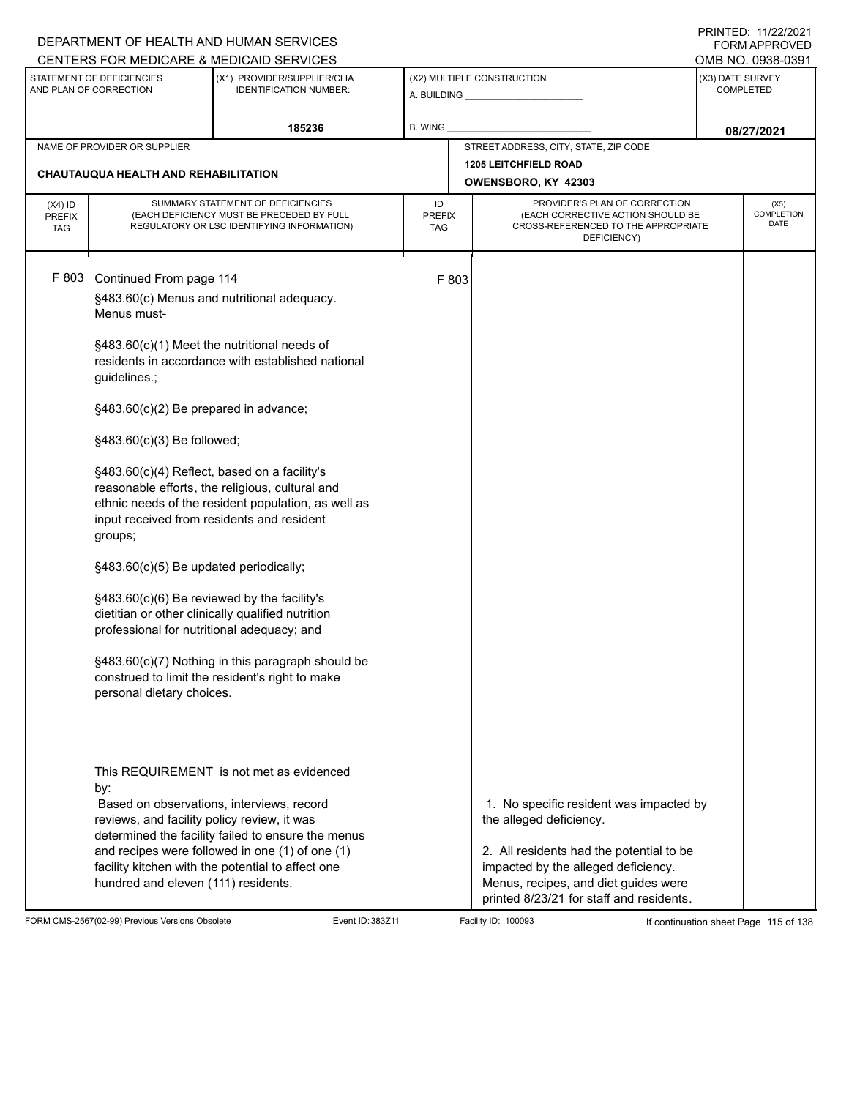|                                   |                                                                                                                                                                                                                                                                                                                                                                                                            | DEPARTMENT OF HEALTH AND HUMAN SERVICES                                                                                                                                                                                                                                                                                                                                                                               |                            |       |                                                                                                                                                                                                                                           |                  | I INITILD. III <i>ll</i> iculi<br>FORM APPROVED |
|-----------------------------------|------------------------------------------------------------------------------------------------------------------------------------------------------------------------------------------------------------------------------------------------------------------------------------------------------------------------------------------------------------------------------------------------------------|-----------------------------------------------------------------------------------------------------------------------------------------------------------------------------------------------------------------------------------------------------------------------------------------------------------------------------------------------------------------------------------------------------------------------|----------------------------|-------|-------------------------------------------------------------------------------------------------------------------------------------------------------------------------------------------------------------------------------------------|------------------|-------------------------------------------------|
|                                   | STATEMENT OF DEFICIENCIES                                                                                                                                                                                                                                                                                                                                                                                  | CENTERS FOR MEDICARE & MEDICAID SERVICES<br>(X1) PROVIDER/SUPPLIER/CLIA                                                                                                                                                                                                                                                                                                                                               |                            |       | (X2) MULTIPLE CONSTRUCTION                                                                                                                                                                                                                | (X3) DATE SURVEY | OMB NO. 0938-0391                               |
|                                   | AND PLAN OF CORRECTION                                                                                                                                                                                                                                                                                                                                                                                     | <b>IDENTIFICATION NUMBER:</b>                                                                                                                                                                                                                                                                                                                                                                                         |                            |       |                                                                                                                                                                                                                                           |                  | <b>COMPLETED</b>                                |
|                                   |                                                                                                                                                                                                                                                                                                                                                                                                            | 185236                                                                                                                                                                                                                                                                                                                                                                                                                | B. WING                    |       |                                                                                                                                                                                                                                           |                  | 08/27/2021                                      |
|                                   | NAME OF PROVIDER OR SUPPLIER                                                                                                                                                                                                                                                                                                                                                                               |                                                                                                                                                                                                                                                                                                                                                                                                                       |                            |       | STREET ADDRESS, CITY, STATE, ZIP CODE                                                                                                                                                                                                     |                  |                                                 |
|                                   | CHAUTAUQUA HEALTH AND REHABILITATION                                                                                                                                                                                                                                                                                                                                                                       |                                                                                                                                                                                                                                                                                                                                                                                                                       |                            |       | <b>1205 LEITCHFIELD ROAD</b><br>OWENSBORO, KY 42303                                                                                                                                                                                       |                  |                                                 |
| $(X4)$ ID<br>PREFIX<br><b>TAG</b> |                                                                                                                                                                                                                                                                                                                                                                                                            | SUMMARY STATEMENT OF DEFICIENCIES<br>(EACH DEFICIENCY MUST BE PRECEDED BY FULL<br>REGULATORY OR LSC IDENTIFYING INFORMATION)                                                                                                                                                                                                                                                                                          | ID<br><b>PREFIX</b><br>TAG |       | PROVIDER'S PLAN OF CORRECTION<br>(EACH CORRECTIVE ACTION SHOULD BE<br>CROSS-REFERENCED TO THE APPROPRIATE<br>DEFICIENCY)                                                                                                                  |                  | (X5)<br>COMPLETION<br>DATE                      |
| F 803                             | Continued From page 114<br>Menus must-<br>guidelines.;<br>§483.60(c)(2) Be prepared in advance;<br>§483.60(c)(3) Be followed;<br>§483.60(c)(4) Reflect, based on a facility's<br>input received from residents and resident<br>groups;<br>§483.60(c)(5) Be updated periodically;<br>§483.60(c)(6) Be reviewed by the facility's<br>professional for nutritional adequacy; and<br>personal dietary choices. | §483.60(c) Menus and nutritional adequacy.<br>§483.60(c)(1) Meet the nutritional needs of<br>residents in accordance with established national<br>reasonable efforts, the religious, cultural and<br>ethnic needs of the resident population, as well as<br>dietitian or other clinically qualified nutrition<br>§483.60(c)(7) Nothing in this paragraph should be<br>construed to limit the resident's right to make |                            | F 803 |                                                                                                                                                                                                                                           |                  |                                                 |
|                                   | by:<br>reviews, and facility policy review, it was<br>hundred and eleven (111) residents.                                                                                                                                                                                                                                                                                                                  | This REQUIREMENT is not met as evidenced<br>Based on observations, interviews, record<br>determined the facility failed to ensure the menus<br>and recipes were followed in one (1) of one (1)<br>facility kitchen with the potential to affect one                                                                                                                                                                   |                            |       | 1. No specific resident was impacted by<br>the alleged deficiency.<br>2. All residents had the potential to be<br>impacted by the alleged deficiency.<br>Menus, recipes, and diet guides were<br>printed 8/23/21 for staff and residents. |                  |                                                 |

FORM CMS-2567(02-99) Previous Versions Obsolete Event ID: 383Z11 Facility ID: 100093 If continuation sheet Page 115 of 138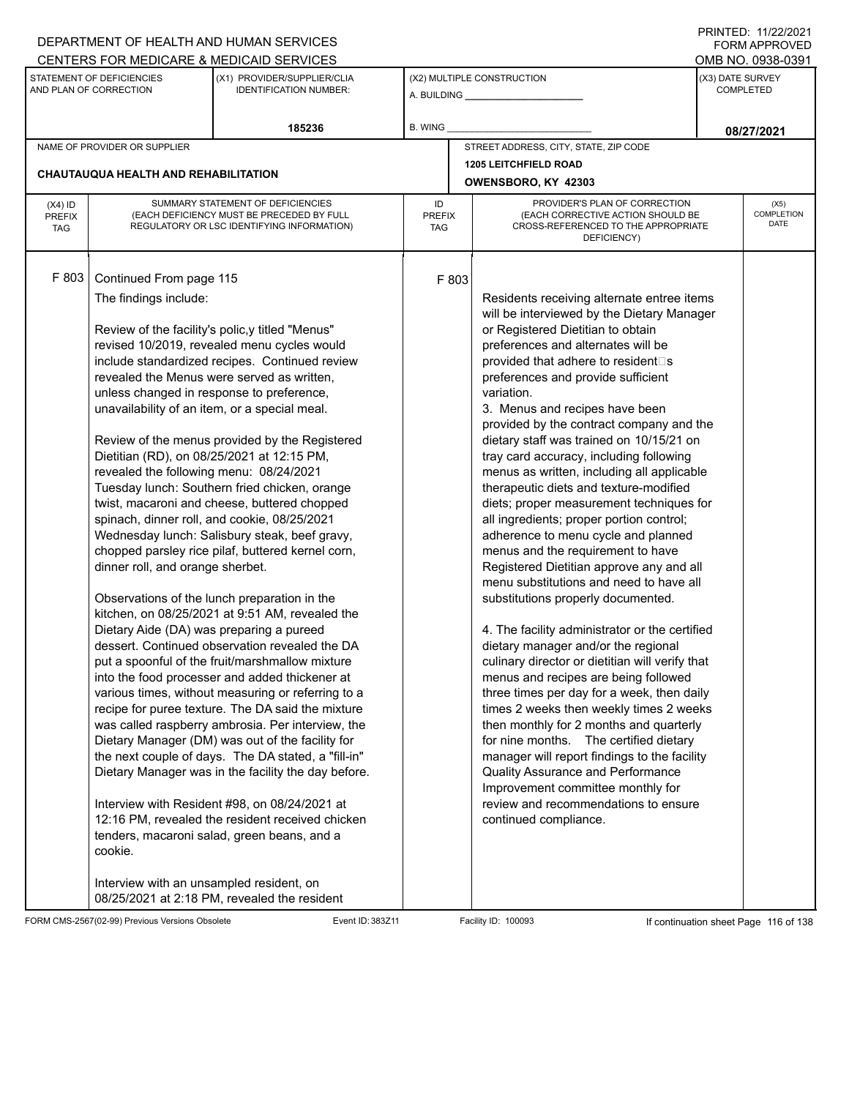|                                   |                                                                                                                                                                                                                                                                                                                                                                                | DEPARTMENT OF HEALTH AND HUMAN SERVICES                                                                                                                                                                                                                                                                                                                                                                                                                                                                                                                                                                                                                                                                                                                                                                                                                                                                                                                                                                                                                                                                                                                                                                                                                  |                                   |       |                                                                                                                                                                                                                                                                                                                                                                                                                                                                                                                                                                                                                                                                                                                                                                                                                                                                                                                                                                                                                                                                                                                                                                                                                                                                                                                                                                                          |                  | $1 \times 1 \times 1 = 1$ . $11221222$<br><b>FORM APPROVED</b> |
|-----------------------------------|--------------------------------------------------------------------------------------------------------------------------------------------------------------------------------------------------------------------------------------------------------------------------------------------------------------------------------------------------------------------------------|----------------------------------------------------------------------------------------------------------------------------------------------------------------------------------------------------------------------------------------------------------------------------------------------------------------------------------------------------------------------------------------------------------------------------------------------------------------------------------------------------------------------------------------------------------------------------------------------------------------------------------------------------------------------------------------------------------------------------------------------------------------------------------------------------------------------------------------------------------------------------------------------------------------------------------------------------------------------------------------------------------------------------------------------------------------------------------------------------------------------------------------------------------------------------------------------------------------------------------------------------------|-----------------------------------|-------|------------------------------------------------------------------------------------------------------------------------------------------------------------------------------------------------------------------------------------------------------------------------------------------------------------------------------------------------------------------------------------------------------------------------------------------------------------------------------------------------------------------------------------------------------------------------------------------------------------------------------------------------------------------------------------------------------------------------------------------------------------------------------------------------------------------------------------------------------------------------------------------------------------------------------------------------------------------------------------------------------------------------------------------------------------------------------------------------------------------------------------------------------------------------------------------------------------------------------------------------------------------------------------------------------------------------------------------------------------------------------------------|------------------|----------------------------------------------------------------|
|                                   |                                                                                                                                                                                                                                                                                                                                                                                | CENTERS FOR MEDICARE & MEDICAID SERVICES                                                                                                                                                                                                                                                                                                                                                                                                                                                                                                                                                                                                                                                                                                                                                                                                                                                                                                                                                                                                                                                                                                                                                                                                                 |                                   |       |                                                                                                                                                                                                                                                                                                                                                                                                                                                                                                                                                                                                                                                                                                                                                                                                                                                                                                                                                                                                                                                                                                                                                                                                                                                                                                                                                                                          |                  | OMB NO. 0938-0391                                              |
|                                   | STATEMENT OF DEFICIENCIES<br>AND PLAN OF CORRECTION                                                                                                                                                                                                                                                                                                                            | (X1) PROVIDER/SUPPLIER/CLIA<br><b>IDENTIFICATION NUMBER:</b>                                                                                                                                                                                                                                                                                                                                                                                                                                                                                                                                                                                                                                                                                                                                                                                                                                                                                                                                                                                                                                                                                                                                                                                             |                                   |       | (X2) MULTIPLE CONSTRUCTION                                                                                                                                                                                                                                                                                                                                                                                                                                                                                                                                                                                                                                                                                                                                                                                                                                                                                                                                                                                                                                                                                                                                                                                                                                                                                                                                                               | (X3) DATE SURVEY | <b>COMPLETED</b>                                               |
|                                   |                                                                                                                                                                                                                                                                                                                                                                                | 185236                                                                                                                                                                                                                                                                                                                                                                                                                                                                                                                                                                                                                                                                                                                                                                                                                                                                                                                                                                                                                                                                                                                                                                                                                                                   | B. WING                           |       |                                                                                                                                                                                                                                                                                                                                                                                                                                                                                                                                                                                                                                                                                                                                                                                                                                                                                                                                                                                                                                                                                                                                                                                                                                                                                                                                                                                          |                  | 08/27/2021                                                     |
|                                   | NAME OF PROVIDER OR SUPPLIER                                                                                                                                                                                                                                                                                                                                                   |                                                                                                                                                                                                                                                                                                                                                                                                                                                                                                                                                                                                                                                                                                                                                                                                                                                                                                                                                                                                                                                                                                                                                                                                                                                          |                                   |       | STREET ADDRESS, CITY, STATE, ZIP CODE                                                                                                                                                                                                                                                                                                                                                                                                                                                                                                                                                                                                                                                                                                                                                                                                                                                                                                                                                                                                                                                                                                                                                                                                                                                                                                                                                    |                  |                                                                |
|                                   |                                                                                                                                                                                                                                                                                                                                                                                |                                                                                                                                                                                                                                                                                                                                                                                                                                                                                                                                                                                                                                                                                                                                                                                                                                                                                                                                                                                                                                                                                                                                                                                                                                                          |                                   |       | <b>1205 LEITCHFIELD ROAD</b>                                                                                                                                                                                                                                                                                                                                                                                                                                                                                                                                                                                                                                                                                                                                                                                                                                                                                                                                                                                                                                                                                                                                                                                                                                                                                                                                                             |                  |                                                                |
|                                   | <b>CHAUTAUQUA HEALTH AND REHABILITATION</b>                                                                                                                                                                                                                                                                                                                                    |                                                                                                                                                                                                                                                                                                                                                                                                                                                                                                                                                                                                                                                                                                                                                                                                                                                                                                                                                                                                                                                                                                                                                                                                                                                          |                                   |       | OWENSBORO, KY 42303                                                                                                                                                                                                                                                                                                                                                                                                                                                                                                                                                                                                                                                                                                                                                                                                                                                                                                                                                                                                                                                                                                                                                                                                                                                                                                                                                                      |                  |                                                                |
| $(X4)$ ID<br>PREFIX<br><b>TAG</b> |                                                                                                                                                                                                                                                                                                                                                                                | SUMMARY STATEMENT OF DEFICIENCIES<br>(EACH DEFICIENCY MUST BE PRECEDED BY FULL<br>REGULATORY OR LSC IDENTIFYING INFORMATION)                                                                                                                                                                                                                                                                                                                                                                                                                                                                                                                                                                                                                                                                                                                                                                                                                                                                                                                                                                                                                                                                                                                             | ID<br><b>PREFIX</b><br><b>TAG</b> |       | PROVIDER'S PLAN OF CORRECTION<br>(EACH CORRECTIVE ACTION SHOULD BE<br>CROSS-REFERENCED TO THE APPROPRIATE<br>DEFICIENCY)                                                                                                                                                                                                                                                                                                                                                                                                                                                                                                                                                                                                                                                                                                                                                                                                                                                                                                                                                                                                                                                                                                                                                                                                                                                                 |                  | (X5)<br>COMPLETION<br>DATE                                     |
| F 803                             | Continued From page 115<br>The findings include:<br>unless changed in response to preference,<br>unavailability of an item, or a special meal.<br>Dietitian (RD), on 08/25/2021 at 12:15 PM,<br>revealed the following menu: 08/24/2021<br>dinner roll, and orange sherbet.<br>Dietary Aide (DA) was preparing a pureed<br>cookie.<br>Interview with an unsampled resident, on | Review of the facility's polic, y titled "Menus"<br>revised 10/2019, revealed menu cycles would<br>include standardized recipes. Continued review<br>revealed the Menus were served as written,<br>Review of the menus provided by the Registered<br>Tuesday lunch: Southern fried chicken, orange<br>twist, macaroni and cheese, buttered chopped<br>spinach, dinner roll, and cookie, 08/25/2021<br>Wednesday lunch: Salisbury steak, beef gravy,<br>chopped parsley rice pilaf, buttered kernel corn,<br>Observations of the lunch preparation in the<br>kitchen, on 08/25/2021 at 9:51 AM, revealed the<br>dessert. Continued observation revealed the DA<br>put a spoonful of the fruit/marshmallow mixture<br>into the food processer and added thickener at<br>various times, without measuring or referring to a<br>recipe for puree texture. The DA said the mixture<br>was called raspberry ambrosia. Per interview, the<br>Dietary Manager (DM) was out of the facility for<br>the next couple of days. The DA stated, a "fill-in"<br>Dietary Manager was in the facility the day before.<br>Interview with Resident #98, on 08/24/2021 at<br>12:16 PM, revealed the resident received chicken<br>tenders, macaroni salad, green beans, and a |                                   | F 803 | Residents receiving alternate entree items<br>will be interviewed by the Dietary Manager<br>or Registered Dietitian to obtain<br>preferences and alternates will be<br>provided that adhere to resident□s<br>preferences and provide sufficient<br>variation.<br>3. Menus and recipes have been<br>provided by the contract company and the<br>dietary staff was trained on 10/15/21 on<br>tray card accuracy, including following<br>menus as written, including all applicable<br>therapeutic diets and texture-modified<br>diets; proper measurement techniques for<br>all ingredients; proper portion control;<br>adherence to menu cycle and planned<br>menus and the requirement to have<br>Registered Dietitian approve any and all<br>menu substitutions and need to have all<br>substitutions properly documented.<br>4. The facility administrator or the certified<br>dietary manager and/or the regional<br>culinary director or dietitian will verify that<br>menus and recipes are being followed<br>three times per day for a week, then daily<br>times 2 weeks then weekly times 2 weeks<br>then monthly for 2 months and quarterly<br>for nine months. The certified dietary<br>manager will report findings to the facility<br>Quality Assurance and Performance<br>Improvement committee monthly for<br>review and recommendations to ensure<br>continued compliance. |                  |                                                                |
|                                   |                                                                                                                                                                                                                                                                                                                                                                                | 08/25/2021 at 2:18 PM, revealed the resident                                                                                                                                                                                                                                                                                                                                                                                                                                                                                                                                                                                                                                                                                                                                                                                                                                                                                                                                                                                                                                                                                                                                                                                                             |                                   |       |                                                                                                                                                                                                                                                                                                                                                                                                                                                                                                                                                                                                                                                                                                                                                                                                                                                                                                                                                                                                                                                                                                                                                                                                                                                                                                                                                                                          |                  |                                                                |

FORM CMS-2567(02-99) Previous Versions Obsolete Event ID: 383Z11 Facility ID: 100093 If continuation sheet Page 116 of 138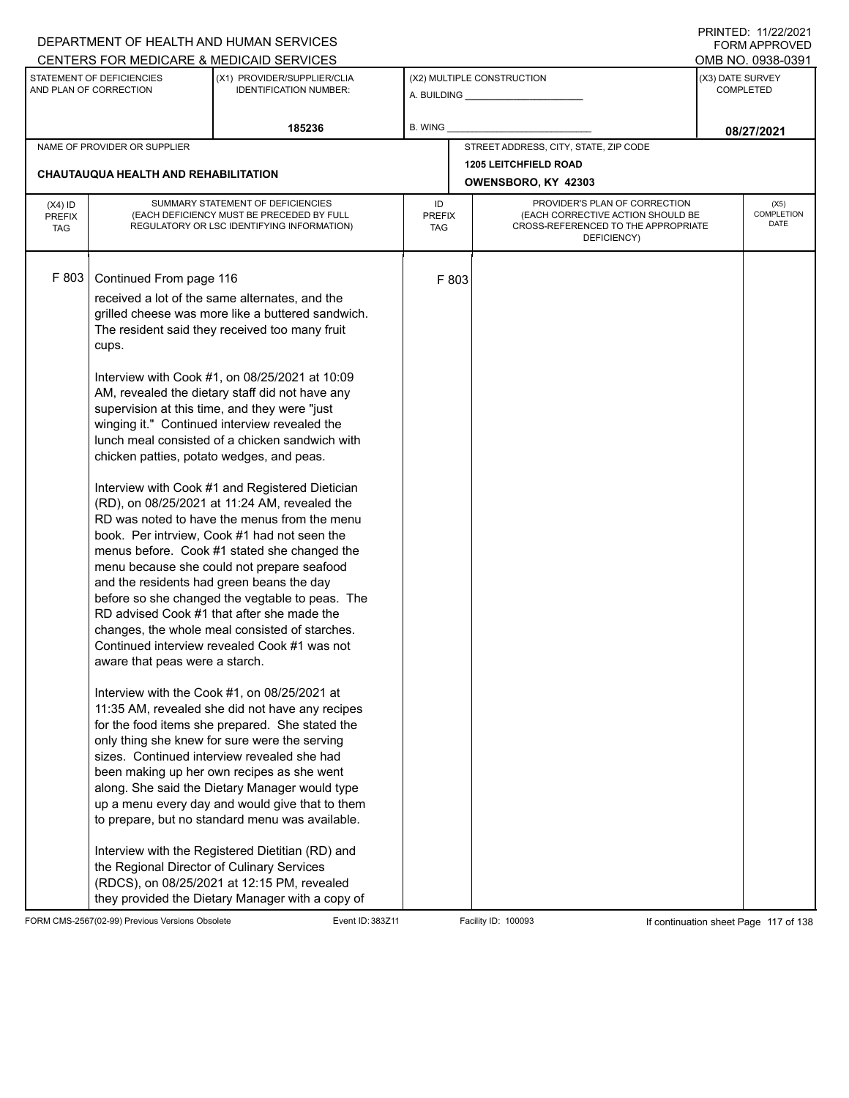|                                          |                                                                                                                                                               | DEPARTMENT OF HEALTH AND HUMAN SERVICES                                                                                                                                                                                                                                                                                                                                                                                                                                                                                                                                                                                                                                                                                                                                                                                                                                                                                                                                                                                                                                                                                                                                                                                                                                                                                                                                                                                                                                                                                                                                              |                     |       |                                                                                                                          |                  | I INITILD. III <i>ll</i> iculi<br><b>FORM APPROVED</b> |
|------------------------------------------|---------------------------------------------------------------------------------------------------------------------------------------------------------------|--------------------------------------------------------------------------------------------------------------------------------------------------------------------------------------------------------------------------------------------------------------------------------------------------------------------------------------------------------------------------------------------------------------------------------------------------------------------------------------------------------------------------------------------------------------------------------------------------------------------------------------------------------------------------------------------------------------------------------------------------------------------------------------------------------------------------------------------------------------------------------------------------------------------------------------------------------------------------------------------------------------------------------------------------------------------------------------------------------------------------------------------------------------------------------------------------------------------------------------------------------------------------------------------------------------------------------------------------------------------------------------------------------------------------------------------------------------------------------------------------------------------------------------------------------------------------------------|---------------------|-------|--------------------------------------------------------------------------------------------------------------------------|------------------|--------------------------------------------------------|
|                                          | STATEMENT OF DEFICIENCIES<br>AND PLAN OF CORRECTION                                                                                                           | CENTERS FOR MEDICARE & MEDICAID SERVICES<br>(X1) PROVIDER/SUPPLIER/CLIA<br><b>IDENTIFICATION NUMBER:</b>                                                                                                                                                                                                                                                                                                                                                                                                                                                                                                                                                                                                                                                                                                                                                                                                                                                                                                                                                                                                                                                                                                                                                                                                                                                                                                                                                                                                                                                                             |                     |       | (X2) MULTIPLE CONSTRUCTION                                                                                               | (X3) DATE SURVEY | OMB NO. 0938-0391<br><b>COMPLETED</b>                  |
|                                          |                                                                                                                                                               | 185236                                                                                                                                                                                                                                                                                                                                                                                                                                                                                                                                                                                                                                                                                                                                                                                                                                                                                                                                                                                                                                                                                                                                                                                                                                                                                                                                                                                                                                                                                                                                                                               | B. WING             |       |                                                                                                                          |                  | 08/27/2021                                             |
|                                          | NAME OF PROVIDER OR SUPPLIER                                                                                                                                  |                                                                                                                                                                                                                                                                                                                                                                                                                                                                                                                                                                                                                                                                                                                                                                                                                                                                                                                                                                                                                                                                                                                                                                                                                                                                                                                                                                                                                                                                                                                                                                                      |                     |       | STREET ADDRESS, CITY, STATE, ZIP CODE                                                                                    |                  |                                                        |
|                                          | CHAUTAUQUA HEALTH AND REHABILITATION                                                                                                                          |                                                                                                                                                                                                                                                                                                                                                                                                                                                                                                                                                                                                                                                                                                                                                                                                                                                                                                                                                                                                                                                                                                                                                                                                                                                                                                                                                                                                                                                                                                                                                                                      |                     |       | <b>1205 LEITCHFIELD ROAD</b><br>OWENSBORO, KY 42303                                                                      |                  |                                                        |
| $(X4)$ ID<br><b>PREFIX</b><br><b>TAG</b> |                                                                                                                                                               | SUMMARY STATEMENT OF DEFICIENCIES<br>(EACH DEFICIENCY MUST BE PRECEDED BY FULL<br>REGULATORY OR LSC IDENTIFYING INFORMATION)                                                                                                                                                                                                                                                                                                                                                                                                                                                                                                                                                                                                                                                                                                                                                                                                                                                                                                                                                                                                                                                                                                                                                                                                                                                                                                                                                                                                                                                         | ID<br>PREFIX<br>TAG |       | PROVIDER'S PLAN OF CORRECTION<br>(EACH CORRECTIVE ACTION SHOULD BE<br>CROSS-REFERENCED TO THE APPROPRIATE<br>DEFICIENCY) |                  | (X5)<br>COMPLETION<br><b>DATE</b>                      |
| F 803                                    | Continued From page 116<br>cups.<br>chicken patties, potato wedges, and peas.<br>aware that peas were a starch.<br>the Regional Director of Culinary Services | received a lot of the same alternates, and the<br>grilled cheese was more like a buttered sandwich.<br>The resident said they received too many fruit<br>Interview with Cook #1, on 08/25/2021 at 10:09<br>AM, revealed the dietary staff did not have any<br>supervision at this time, and they were "just<br>winging it." Continued interview revealed the<br>lunch meal consisted of a chicken sandwich with<br>Interview with Cook #1 and Registered Dietician<br>(RD), on 08/25/2021 at 11:24 AM, revealed the<br>RD was noted to have the menus from the menu<br>book. Per intrview, Cook #1 had not seen the<br>menus before. Cook #1 stated she changed the<br>menu because she could not prepare seafood<br>and the residents had green beans the day<br>before so she changed the vegtable to peas. The<br>RD advised Cook #1 that after she made the<br>changes, the whole meal consisted of starches.<br>Continued interview revealed Cook #1 was not<br>Interview with the Cook #1, on 08/25/2021 at<br>11:35 AM, revealed she did not have any recipes<br>for the food items she prepared. She stated the<br>only thing she knew for sure were the serving<br>sizes. Continued interview revealed she had<br>been making up her own recipes as she went<br>along. She said the Dietary Manager would type<br>up a menu every day and would give that to them<br>to prepare, but no standard menu was available.<br>Interview with the Registered Dietitian (RD) and<br>(RDCS), on 08/25/2021 at 12:15 PM, revealed<br>they provided the Dietary Manager with a copy of |                     | F 803 |                                                                                                                          |                  |                                                        |

FORM CMS-2567(02-99) Previous Versions Obsolete Event ID: 383Z11 Facility ID: 100093 If continuation sheet Page 117 of 138

PRINTED: 11/22/2021 FORM APPROVED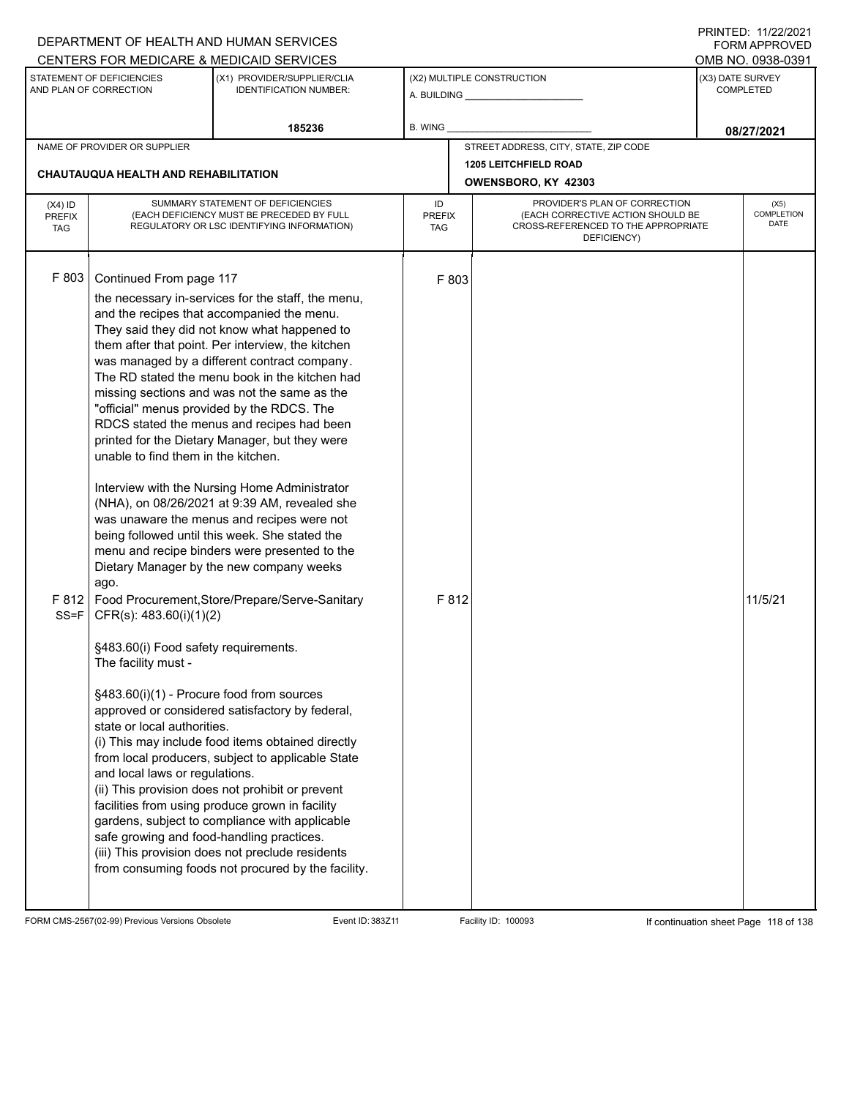|                                   |                                                                                                                                                                                                                                                                                                                             | DEPARTMENT OF HEALTH AND HUMAN SERVICES<br>CENTERS FOR MEDICARE & MEDICAID SERVICES                                                                                                                                                                                                                                                                                                                                                                                                                                                                                                                                                                                                                                                                                                                                                                                                                                                                                                                                                                                                                                                                                                                                                                                                            |                                   |                |                                                                                         |                  | $1 \times 1 \times 1 = 1$ . $11222222$<br>FORM APPROVED<br>OMB NO. 0938-0391 |
|-----------------------------------|-----------------------------------------------------------------------------------------------------------------------------------------------------------------------------------------------------------------------------------------------------------------------------------------------------------------------------|------------------------------------------------------------------------------------------------------------------------------------------------------------------------------------------------------------------------------------------------------------------------------------------------------------------------------------------------------------------------------------------------------------------------------------------------------------------------------------------------------------------------------------------------------------------------------------------------------------------------------------------------------------------------------------------------------------------------------------------------------------------------------------------------------------------------------------------------------------------------------------------------------------------------------------------------------------------------------------------------------------------------------------------------------------------------------------------------------------------------------------------------------------------------------------------------------------------------------------------------------------------------------------------------|-----------------------------------|----------------|-----------------------------------------------------------------------------------------|------------------|------------------------------------------------------------------------------|
|                                   | STATEMENT OF DEFICIENCIES<br>AND PLAN OF CORRECTION                                                                                                                                                                                                                                                                         | (X1) PROVIDER/SUPPLIER/CLIA<br><b>IDENTIFICATION NUMBER:</b>                                                                                                                                                                                                                                                                                                                                                                                                                                                                                                                                                                                                                                                                                                                                                                                                                                                                                                                                                                                                                                                                                                                                                                                                                                   |                                   |                | (X2) MULTIPLE CONSTRUCTION                                                              | (X3) DATE SURVEY | COMPLETED                                                                    |
|                                   |                                                                                                                                                                                                                                                                                                                             | 185236                                                                                                                                                                                                                                                                                                                                                                                                                                                                                                                                                                                                                                                                                                                                                                                                                                                                                                                                                                                                                                                                                                                                                                                                                                                                                         | B. WING                           |                |                                                                                         |                  | 08/27/2021                                                                   |
|                                   | NAME OF PROVIDER OR SUPPLIER<br><b>CHAUTAUQUA HEALTH AND REHABILITATION</b>                                                                                                                                                                                                                                                 |                                                                                                                                                                                                                                                                                                                                                                                                                                                                                                                                                                                                                                                                                                                                                                                                                                                                                                                                                                                                                                                                                                                                                                                                                                                                                                |                                   |                | STREET ADDRESS, CITY, STATE, ZIP CODE<br><b>1205 LEITCHFIELD ROAD</b>                   |                  |                                                                              |
|                                   |                                                                                                                                                                                                                                                                                                                             | SUMMARY STATEMENT OF DEFICIENCIES                                                                                                                                                                                                                                                                                                                                                                                                                                                                                                                                                                                                                                                                                                                                                                                                                                                                                                                                                                                                                                                                                                                                                                                                                                                              |                                   |                | OWENSBORO, KY 42303<br>PROVIDER'S PLAN OF CORRECTION                                    |                  |                                                                              |
| $(X4)$ ID<br>PREFIX<br><b>TAG</b> |                                                                                                                                                                                                                                                                                                                             | (EACH DEFICIENCY MUST BE PRECEDED BY FULL<br>REGULATORY OR LSC IDENTIFYING INFORMATION)                                                                                                                                                                                                                                                                                                                                                                                                                                                                                                                                                                                                                                                                                                                                                                                                                                                                                                                                                                                                                                                                                                                                                                                                        | ID<br><b>PREFIX</b><br><b>TAG</b> |                | (EACH CORRECTIVE ACTION SHOULD BE<br>CROSS-REFERENCED TO THE APPROPRIATE<br>DEFICIENCY) |                  | (X5)<br><b>COMPLETION</b><br><b>DATE</b>                                     |
| F803<br>$SS = F$                  | Continued From page 117<br>unable to find them in the kitchen.<br>ago.<br>CFR(s): 483.60(i)(1)(2)<br>§483.60(i) Food safety requirements.<br>The facility must -<br>§483.60(i)(1) - Procure food from sources<br>state or local authorities.<br>and local laws or regulations.<br>safe growing and food-handling practices. | the necessary in-services for the staff, the menu,<br>and the recipes that accompanied the menu.<br>They said they did not know what happened to<br>them after that point. Per interview, the kitchen<br>was managed by a different contract company.<br>The RD stated the menu book in the kitchen had<br>missing sections and was not the same as the<br>"official" menus provided by the RDCS. The<br>RDCS stated the menus and recipes had been<br>printed for the Dietary Manager, but they were<br>Interview with the Nursing Home Administrator<br>(NHA), on 08/26/2021 at 9:39 AM, revealed she<br>was unaware the menus and recipes were not<br>being followed until this week. She stated the<br>menu and recipe binders were presented to the<br>Dietary Manager by the new company weeks<br>F 812   Food Procurement, Store/Prepare/Serve-Sanitary<br>approved or considered satisfactory by federal,<br>(i) This may include food items obtained directly<br>from local producers, subject to applicable State<br>(ii) This provision does not prohibit or prevent<br>facilities from using produce grown in facility<br>gardens, subject to compliance with applicable<br>(iii) This provision does not preclude residents<br>from consuming foods not procured by the facility. |                                   | F 803<br>F 812 |                                                                                         |                  | 11/5/21                                                                      |

FORM CMS-2567(02-99) Previous Versions Obsolete Event ID: 383Z11 Facility ID: 100093 If continuation sheet Page 118 of 138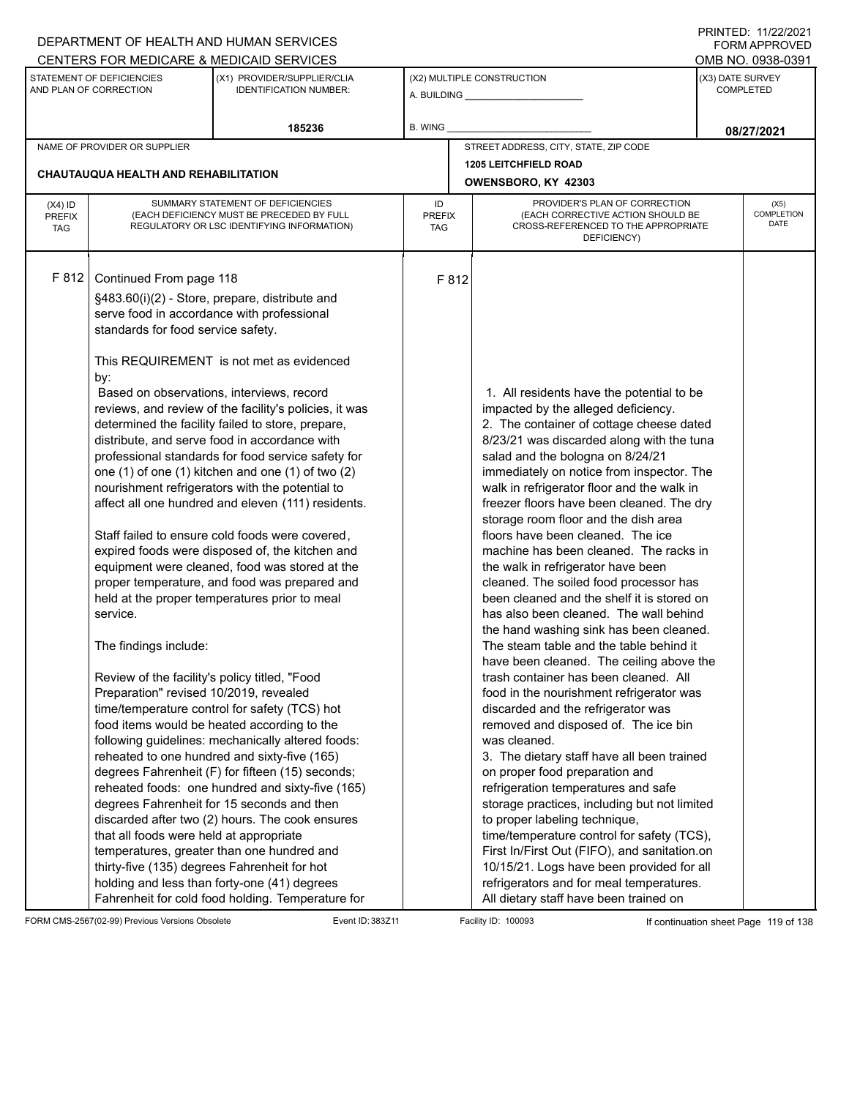|                                          |                                                                                                                                                                                                                                                                                                         | DEPARTMENT OF HEALTH AND HUMAN SERVICES                                                                                                                                                                                                                                                                                                                                                                                                                                                                                                                                                                                                                                                                                                                                                                                                                                                                                                                                                                                                                                                                                                                                                                                                                                                         |                                   |       |                                                                                                                                                                                                                                                                                                                                                                                                                                                                                                                                                                                                                                                                                                                                                                                                                                                                                                                                                                                                                                                                                                                                                                                                                                                                                                                              |                  | 111111111121112212121<br><b>FORM APPROVED</b> |
|------------------------------------------|---------------------------------------------------------------------------------------------------------------------------------------------------------------------------------------------------------------------------------------------------------------------------------------------------------|-------------------------------------------------------------------------------------------------------------------------------------------------------------------------------------------------------------------------------------------------------------------------------------------------------------------------------------------------------------------------------------------------------------------------------------------------------------------------------------------------------------------------------------------------------------------------------------------------------------------------------------------------------------------------------------------------------------------------------------------------------------------------------------------------------------------------------------------------------------------------------------------------------------------------------------------------------------------------------------------------------------------------------------------------------------------------------------------------------------------------------------------------------------------------------------------------------------------------------------------------------------------------------------------------|-----------------------------------|-------|------------------------------------------------------------------------------------------------------------------------------------------------------------------------------------------------------------------------------------------------------------------------------------------------------------------------------------------------------------------------------------------------------------------------------------------------------------------------------------------------------------------------------------------------------------------------------------------------------------------------------------------------------------------------------------------------------------------------------------------------------------------------------------------------------------------------------------------------------------------------------------------------------------------------------------------------------------------------------------------------------------------------------------------------------------------------------------------------------------------------------------------------------------------------------------------------------------------------------------------------------------------------------------------------------------------------------|------------------|-----------------------------------------------|
|                                          |                                                                                                                                                                                                                                                                                                         | CENTERS FOR MEDICARE & MEDICAID SERVICES                                                                                                                                                                                                                                                                                                                                                                                                                                                                                                                                                                                                                                                                                                                                                                                                                                                                                                                                                                                                                                                                                                                                                                                                                                                        |                                   |       |                                                                                                                                                                                                                                                                                                                                                                                                                                                                                                                                                                                                                                                                                                                                                                                                                                                                                                                                                                                                                                                                                                                                                                                                                                                                                                                              |                  | OMB NO. 0938-0391                             |
|                                          | STATEMENT OF DEFICIENCIES<br>AND PLAN OF CORRECTION                                                                                                                                                                                                                                                     | (X1) PROVIDER/SUPPLIER/CLIA<br><b>IDENTIFICATION NUMBER:</b>                                                                                                                                                                                                                                                                                                                                                                                                                                                                                                                                                                                                                                                                                                                                                                                                                                                                                                                                                                                                                                                                                                                                                                                                                                    |                                   |       | (X2) MULTIPLE CONSTRUCTION                                                                                                                                                                                                                                                                                                                                                                                                                                                                                                                                                                                                                                                                                                                                                                                                                                                                                                                                                                                                                                                                                                                                                                                                                                                                                                   | (X3) DATE SURVEY | <b>COMPLETED</b>                              |
|                                          |                                                                                                                                                                                                                                                                                                         | 185236                                                                                                                                                                                                                                                                                                                                                                                                                                                                                                                                                                                                                                                                                                                                                                                                                                                                                                                                                                                                                                                                                                                                                                                                                                                                                          | <b>B. WING</b>                    |       |                                                                                                                                                                                                                                                                                                                                                                                                                                                                                                                                                                                                                                                                                                                                                                                                                                                                                                                                                                                                                                                                                                                                                                                                                                                                                                                              |                  | 08/27/2021                                    |
|                                          | NAME OF PROVIDER OR SUPPLIER                                                                                                                                                                                                                                                                            |                                                                                                                                                                                                                                                                                                                                                                                                                                                                                                                                                                                                                                                                                                                                                                                                                                                                                                                                                                                                                                                                                                                                                                                                                                                                                                 |                                   |       | STREET ADDRESS, CITY, STATE, ZIP CODE                                                                                                                                                                                                                                                                                                                                                                                                                                                                                                                                                                                                                                                                                                                                                                                                                                                                                                                                                                                                                                                                                                                                                                                                                                                                                        |                  |                                               |
|                                          |                                                                                                                                                                                                                                                                                                         |                                                                                                                                                                                                                                                                                                                                                                                                                                                                                                                                                                                                                                                                                                                                                                                                                                                                                                                                                                                                                                                                                                                                                                                                                                                                                                 |                                   |       | <b>1205 LEITCHFIELD ROAD</b>                                                                                                                                                                                                                                                                                                                                                                                                                                                                                                                                                                                                                                                                                                                                                                                                                                                                                                                                                                                                                                                                                                                                                                                                                                                                                                 |                  |                                               |
|                                          | <b>CHAUTAUQUA HEALTH AND REHABILITATION</b>                                                                                                                                                                                                                                                             |                                                                                                                                                                                                                                                                                                                                                                                                                                                                                                                                                                                                                                                                                                                                                                                                                                                                                                                                                                                                                                                                                                                                                                                                                                                                                                 |                                   |       | OWENSBORO, KY 42303                                                                                                                                                                                                                                                                                                                                                                                                                                                                                                                                                                                                                                                                                                                                                                                                                                                                                                                                                                                                                                                                                                                                                                                                                                                                                                          |                  |                                               |
| $(X4)$ ID<br><b>PREFIX</b><br><b>TAG</b> |                                                                                                                                                                                                                                                                                                         | SUMMARY STATEMENT OF DEFICIENCIES<br>(EACH DEFICIENCY MUST BE PRECEDED BY FULL<br>REGULATORY OR LSC IDENTIFYING INFORMATION)                                                                                                                                                                                                                                                                                                                                                                                                                                                                                                                                                                                                                                                                                                                                                                                                                                                                                                                                                                                                                                                                                                                                                                    | ID<br><b>PREFIX</b><br><b>TAG</b> |       | PROVIDER'S PLAN OF CORRECTION<br>(EACH CORRECTIVE ACTION SHOULD BE<br>CROSS-REFERENCED TO THE APPROPRIATE<br>DEFICIENCY)                                                                                                                                                                                                                                                                                                                                                                                                                                                                                                                                                                                                                                                                                                                                                                                                                                                                                                                                                                                                                                                                                                                                                                                                     |                  | (X5)<br>COMPLETION<br><b>DATE</b>             |
|                                          | F 812   Continued From page 118<br>standards for food service safety.<br>by:<br>service.<br>The findings include:<br>Review of the facility's policy titled, "Food<br>Preparation" revised 10/2019, revealed<br>that all foods were held at appropriate<br>thirty-five (135) degrees Fahrenheit for hot | §483.60(i)(2) - Store, prepare, distribute and<br>serve food in accordance with professional<br>This REQUIREMENT is not met as evidenced<br>Based on observations, interviews, record<br>reviews, and review of the facility's policies, it was<br>determined the facility failed to store, prepare,<br>distribute, and serve food in accordance with<br>professional standards for food service safety for<br>one (1) of one (1) kitchen and one (1) of two (2)<br>nourishment refrigerators with the potential to<br>affect all one hundred and eleven (111) residents.<br>Staff failed to ensure cold foods were covered,<br>expired foods were disposed of, the kitchen and<br>equipment were cleaned, food was stored at the<br>proper temperature, and food was prepared and<br>held at the proper temperatures prior to meal<br>time/temperature control for safety (TCS) hot<br>food items would be heated according to the<br>following guidelines: mechanically altered foods:<br>reheated to one hundred and sixty-five (165)<br>degrees Fahrenheit (F) for fifteen (15) seconds;<br>reheated foods: one hundred and sixty-five (165)<br>degrees Fahrenheit for 15 seconds and then<br>discarded after two (2) hours. The cook ensures<br>temperatures, greater than one hundred and |                                   | F 812 | 1. All residents have the potential to be<br>impacted by the alleged deficiency.<br>2. The container of cottage cheese dated<br>8/23/21 was discarded along with the tuna<br>salad and the bologna on 8/24/21<br>immediately on notice from inspector. The<br>walk in refrigerator floor and the walk in<br>freezer floors have been cleaned. The dry<br>storage room floor and the dish area<br>floors have been cleaned. The ice<br>machine has been cleaned. The racks in<br>the walk in refrigerator have been<br>cleaned. The soiled food processor has<br>been cleaned and the shelf it is stored on<br>has also been cleaned. The wall behind<br>the hand washing sink has been cleaned.<br>The steam table and the table behind it<br>have been cleaned. The ceiling above the<br>trash container has been cleaned. All<br>food in the nourishment refrigerator was<br>discarded and the refrigerator was<br>removed and disposed of. The ice bin<br>was cleaned.<br>3. The dietary staff have all been trained<br>on proper food preparation and<br>refrigeration temperatures and safe<br>storage practices, including but not limited<br>to proper labeling technique,<br>time/temperature control for safety (TCS),<br>First In/First Out (FIFO), and sanitation.on<br>10/15/21. Logs have been provided for all |                  |                                               |
|                                          |                                                                                                                                                                                                                                                                                                         | holding and less than forty-one (41) degrees<br>Fahrenheit for cold food holding. Temperature for                                                                                                                                                                                                                                                                                                                                                                                                                                                                                                                                                                                                                                                                                                                                                                                                                                                                                                                                                                                                                                                                                                                                                                                               |                                   |       | refrigerators and for meal temperatures.<br>All dietary staff have been trained on                                                                                                                                                                                                                                                                                                                                                                                                                                                                                                                                                                                                                                                                                                                                                                                                                                                                                                                                                                                                                                                                                                                                                                                                                                           |                  |                                               |

FORM CMS-2567(02-99) Previous Versions Obsolete Event ID: 383Z11 Facility ID: 100093 If continuation sheet Page 119 of 138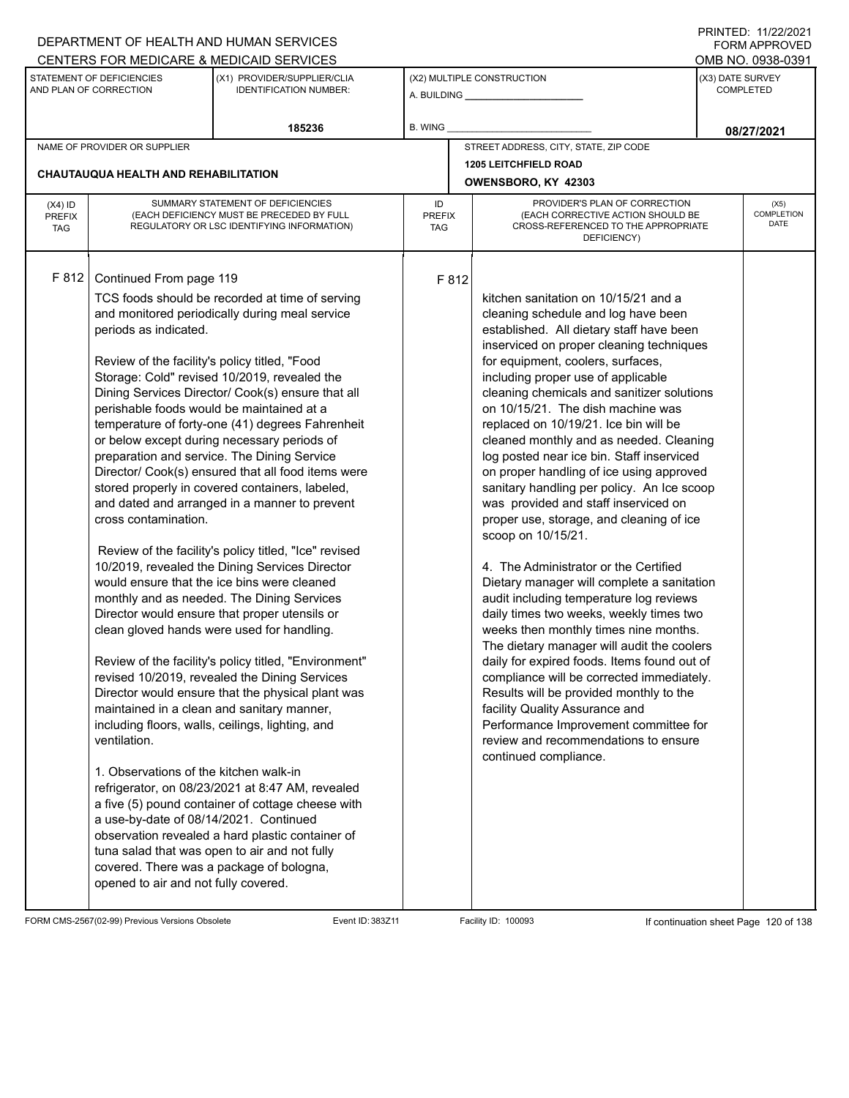## A. BUILDING **\_\_\_\_\_\_\_\_\_\_\_\_\_\_\_\_\_\_\_\_\_\_** (X1) PROVIDER/SUPPLIER/CLIA IDENTIFICATION NUMBER: STATEMENT OF DEFICIENCIES AND PLAN OF CORRECTION (X3) DATE SURVEY COMPLETED FORM APPROVED (X2) MULTIPLE CONSTRUCTION R. WING CENTERS FOR MEDICARE & MEDICAID SERVICES **And CENTERS FOR MEDICAL ACCESS** OMB NO. 0938-0391 **185236 08/27/2021** NAME OF PROVIDER OR SUPPLIER STREET ADDRESS, CITY, STATE, ZIP CODE **1205 LEITCHFIELD ROAD CHAUTAUQUA HEALTH AND REHABILITATION OWENSBORO, KY 42303** PROVIDER'S PLAN OF CORRECTION (EACH CORRECTIVE ACTION SHOULD BE CROSS-REFERENCED TO THE APPROPRIATE DEFICIENCY) (X5) **COMPLETION** DATE ID PREFIX **TAG** (X4) ID PREFIX TAG SUMMARY STATEMENT OF DEFICIENCIES (EACH DEFICIENCY MUST BE PRECEDED BY FULL REGULATORY OR LSC IDENTIFYING INFORMATION) F 812 Continued From page 119 F 812 TCS foods should be recorded at time of serving and monitored periodically during meal service periods as indicated. Review of the facility's policy titled, "Food Storage: Cold" revised 10/2019, revealed the Dining Services Director/ Cook(s) ensure that all perishable foods would be maintained at a temperature of forty-one (41) degrees Fahrenheit or below except during necessary periods of preparation and service. The Dining Service Director/ Cook(s) ensured that all food items were stored properly in covered containers, labeled, and dated and arranged in a manner to prevent cross contamination. Review of the facility's policy titled, "Ice" revised 10/2019, revealed the Dining Services Director would ensure that the ice bins were cleaned monthly and as needed. The Dining Services Director would ensure that proper utensils or clean gloved hands were used for handling. Review of the facility's policy titled, "Environment" revised 10/2019, revealed the Dining Services Director would ensure that the physical plant was maintained in a clean and sanitary manner, including floors, walls, ceilings, lighting, and ventilation. 1. Observations of the kitchen walk-in refrigerator, on 08/23/2021 at 8:47 AM, revealed a five (5) pound container of cottage cheese with a use-by-date of 08/14/2021. Continued observation revealed a hard plastic container of tuna salad that was open to air and not fully covered. There was a package of bologna, opened to air and not fully covered. kitchen sanitation on 10/15/21 and a cleaning schedule and log have been established. All dietary staff have been inserviced on proper cleaning techniques for equipment, coolers, surfaces, including proper use of applicable cleaning chemicals and sanitizer solutions on 10/15/21. The dish machine was replaced on 10/19/21. Ice bin will be cleaned monthly and as needed. Cleaning log posted near ice bin. Staff inserviced on proper handling of ice using approved sanitary handling per policy. An Ice scoop was provided and staff inserviced on proper use, storage, and cleaning of ice scoop on 10/15/21. 4. The Administrator or the Certified Dietary manager will complete a sanitation audit including temperature log reviews daily times two weeks, weekly times two weeks then monthly times nine months. The dietary manager will audit the coolers daily for expired foods. Items found out of compliance will be corrected immediately. Results will be provided monthly to the facility Quality Assurance and Performance Improvement committee for review and recommendations to ensure continued compliance.

FORM CMS-2567(02-99) Previous Versions Obsolete Event ID: 383Z11 Facility ID: 100093 If continuation sheet Page 120 of 138

DEPARTMENT OF HEALTH AND HUMAN SERVICES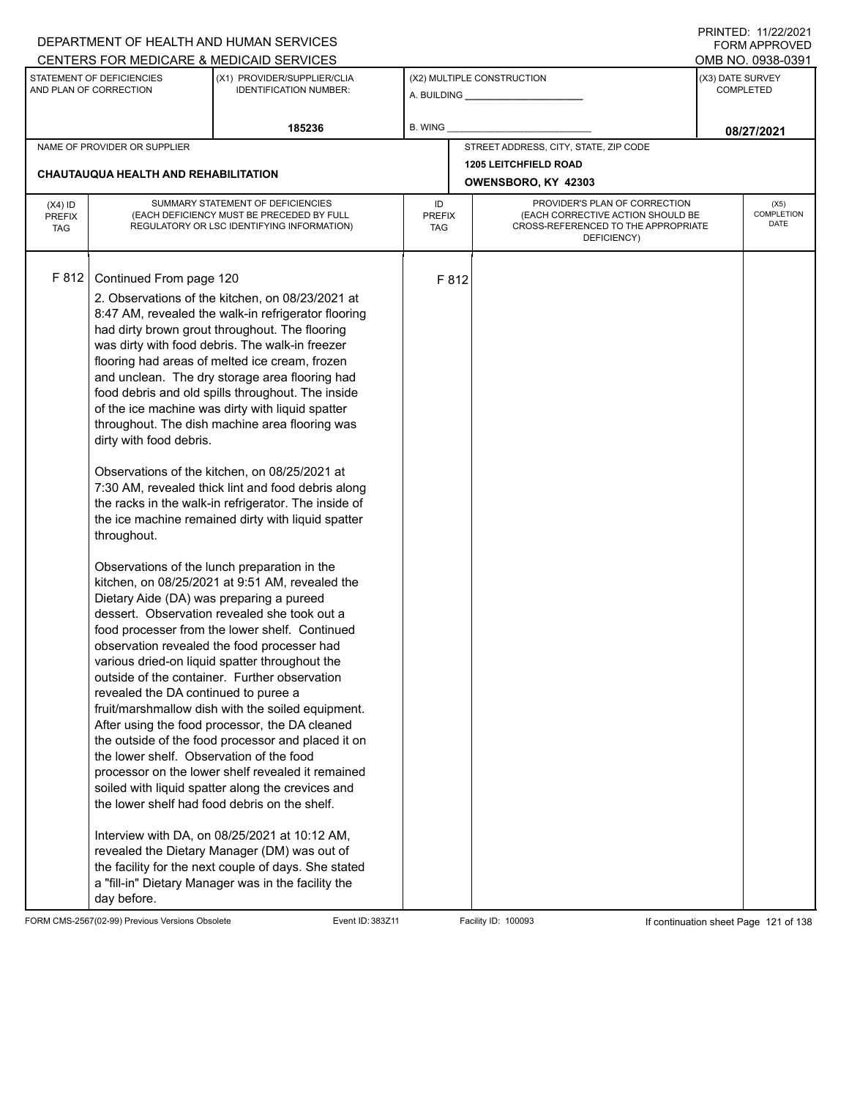|                             |                                          | DEPARTMENT OF HEALTH AND HUMAN SERVICES                                                              |                      |       |                                                                          |                  | <b>FORM APPROVED</b><br>OMB NO. 0938-0391 |
|-----------------------------|------------------------------------------|------------------------------------------------------------------------------------------------------|----------------------|-------|--------------------------------------------------------------------------|------------------|-------------------------------------------|
|                             | STATEMENT OF DEFICIENCIES                | CENTERS FOR MEDICARE & MEDICAID SERVICES<br>(X1) PROVIDER/SUPPLIER/CLIA                              |                      |       | (X2) MULTIPLE CONSTRUCTION                                               | (X3) DATE SURVEY |                                           |
|                             | AND PLAN OF CORRECTION                   | <b>IDENTIFICATION NUMBER:</b>                                                                        |                      |       |                                                                          |                  | <b>COMPLETED</b>                          |
|                             |                                          | 185236                                                                                               | B. WING              |       |                                                                          |                  | 08/27/2021                                |
|                             | NAME OF PROVIDER OR SUPPLIER             |                                                                                                      |                      |       | STREET ADDRESS, CITY, STATE, ZIP CODE                                    |                  |                                           |
|                             | CHAUTAUQUA HEALTH AND REHABILITATION     |                                                                                                      |                      |       | <b>1205 LEITCHFIELD ROAD</b>                                             |                  |                                           |
|                             |                                          |                                                                                                      |                      |       | OWENSBORO, KY 42303                                                      |                  |                                           |
| $(X4)$ ID                   |                                          | SUMMARY STATEMENT OF DEFICIENCIES                                                                    | ID                   |       | PROVIDER'S PLAN OF CORRECTION                                            |                  | (X5)<br><b>COMPLETION</b>                 |
| <b>PREFIX</b><br><b>TAG</b> |                                          | (EACH DEFICIENCY MUST BE PRECEDED BY FULL<br>REGULATORY OR LSC IDENTIFYING INFORMATION)              | <b>PREFIX</b><br>TAG |       | (EACH CORRECTIVE ACTION SHOULD BE<br>CROSS-REFERENCED TO THE APPROPRIATE |                  | DATE                                      |
|                             |                                          |                                                                                                      |                      |       | DEFICIENCY)                                                              |                  |                                           |
|                             |                                          |                                                                                                      |                      |       |                                                                          |                  |                                           |
| F 812                       | Continued From page 120                  |                                                                                                      |                      | F 812 |                                                                          |                  |                                           |
|                             |                                          | 2. Observations of the kitchen, on 08/23/2021 at                                                     |                      |       |                                                                          |                  |                                           |
|                             |                                          | 8:47 AM, revealed the walk-in refrigerator flooring                                                  |                      |       |                                                                          |                  |                                           |
|                             |                                          | had dirty brown grout throughout. The flooring<br>was dirty with food debris. The walk-in freezer    |                      |       |                                                                          |                  |                                           |
|                             |                                          | flooring had areas of melted ice cream, frozen                                                       |                      |       |                                                                          |                  |                                           |
|                             |                                          | and unclean. The dry storage area flooring had                                                       |                      |       |                                                                          |                  |                                           |
|                             |                                          | food debris and old spills throughout. The inside                                                    |                      |       |                                                                          |                  |                                           |
|                             |                                          | of the ice machine was dirty with liquid spatter                                                     |                      |       |                                                                          |                  |                                           |
|                             |                                          | throughout. The dish machine area flooring was                                                       |                      |       |                                                                          |                  |                                           |
|                             | dirty with food debris.                  |                                                                                                      |                      |       |                                                                          |                  |                                           |
|                             |                                          | Observations of the kitchen, on 08/25/2021 at                                                        |                      |       |                                                                          |                  |                                           |
|                             |                                          | 7:30 AM, revealed thick lint and food debris along                                                   |                      |       |                                                                          |                  |                                           |
|                             |                                          | the racks in the walk-in refrigerator. The inside of                                                 |                      |       |                                                                          |                  |                                           |
|                             |                                          | the ice machine remained dirty with liquid spatter                                                   |                      |       |                                                                          |                  |                                           |
|                             | throughout.                              |                                                                                                      |                      |       |                                                                          |                  |                                           |
|                             |                                          | Observations of the lunch preparation in the                                                         |                      |       |                                                                          |                  |                                           |
|                             |                                          | kitchen, on 08/25/2021 at 9:51 AM, revealed the                                                      |                      |       |                                                                          |                  |                                           |
|                             | Dietary Aide (DA) was preparing a pureed |                                                                                                      |                      |       |                                                                          |                  |                                           |
|                             |                                          | dessert. Observation revealed she took out a                                                         |                      |       |                                                                          |                  |                                           |
|                             |                                          | food processer from the lower shelf. Continued                                                       |                      |       |                                                                          |                  |                                           |
|                             |                                          | observation revealed the food processer had<br>various dried-on liquid spatter throughout the        |                      |       |                                                                          |                  |                                           |
|                             |                                          | outside of the container. Further observation                                                        |                      |       |                                                                          |                  |                                           |
|                             | revealed the DA continued to puree a     |                                                                                                      |                      |       |                                                                          |                  |                                           |
|                             |                                          | fruit/marshmallow dish with the soiled equipment.                                                    |                      |       |                                                                          |                  |                                           |
|                             |                                          | After using the food processor, the DA cleaned                                                       |                      |       |                                                                          |                  |                                           |
|                             |                                          | the outside of the food processor and placed it on                                                   |                      |       |                                                                          |                  |                                           |
|                             | the lower shelf. Observation of the food | processor on the lower shelf revealed it remained                                                    |                      |       |                                                                          |                  |                                           |
|                             |                                          | soiled with liquid spatter along the crevices and                                                    |                      |       |                                                                          |                  |                                           |
|                             |                                          | the lower shelf had food debris on the shelf.                                                        |                      |       |                                                                          |                  |                                           |
|                             |                                          |                                                                                                      |                      |       |                                                                          |                  |                                           |
|                             |                                          | Interview with DA, on 08/25/2021 at 10:12 AM,                                                        |                      |       |                                                                          |                  |                                           |
|                             |                                          | revealed the Dietary Manager (DM) was out of<br>the facility for the next couple of days. She stated |                      |       |                                                                          |                  |                                           |
|                             |                                          | a "fill-in" Dietary Manager was in the facility the                                                  |                      |       |                                                                          |                  |                                           |
|                             | day before.                              |                                                                                                      |                      |       |                                                                          |                  |                                           |

FORM CMS-2567(02-99) Previous Versions Obsolete Event ID: 383Z11 Facility ID: 100093 If continuation sheet Page 121 of 138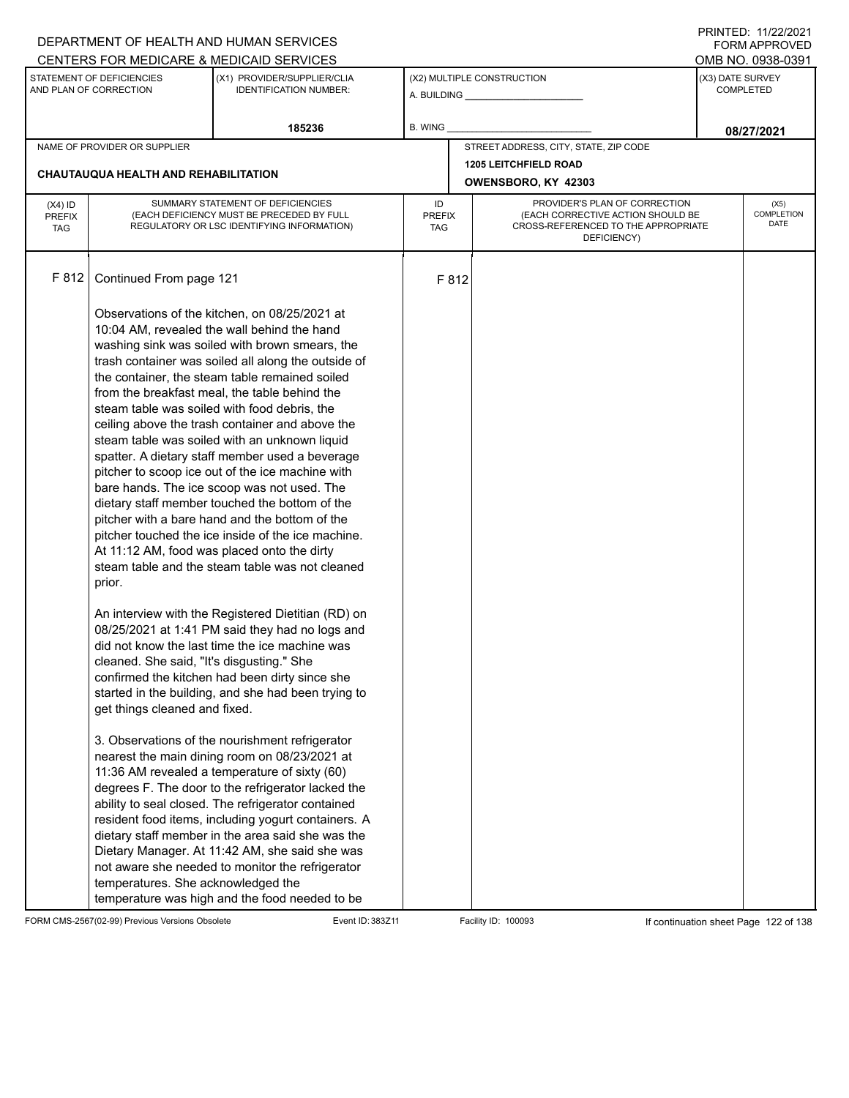|                             |                                           | DEPARTMENT OF HEALTH AND HUMAN SERVICES                                                                   |                      |       |                                                                          |                                       | FORM APPROVED      |
|-----------------------------|-------------------------------------------|-----------------------------------------------------------------------------------------------------------|----------------------|-------|--------------------------------------------------------------------------|---------------------------------------|--------------------|
|                             | STATEMENT OF DEFICIENCIES                 | CENTERS FOR MEDICARE & MEDICAID SERVICES<br>(X1) PROVIDER/SUPPLIER/CLIA                                   |                      |       | (X2) MULTIPLE CONSTRUCTION                                               | OMB NO. 0938-0391<br>(X3) DATE SURVEY |                    |
|                             | AND PLAN OF CORRECTION                    | <b>IDENTIFICATION NUMBER:</b>                                                                             |                      |       |                                                                          |                                       | <b>COMPLETED</b>   |
|                             |                                           | 185236                                                                                                    | B. WING              |       |                                                                          |                                       | 08/27/2021         |
|                             | NAME OF PROVIDER OR SUPPLIER              |                                                                                                           |                      |       | STREET ADDRESS, CITY, STATE, ZIP CODE                                    |                                       |                    |
|                             |                                           |                                                                                                           |                      |       | <b>1205 LEITCHFIELD ROAD</b>                                             |                                       |                    |
|                             | CHAUTAUQUA HEALTH AND REHABILITATION      |                                                                                                           |                      |       | OWENSBORO, KY 42303                                                      |                                       |                    |
| $(X4)$ ID                   |                                           | SUMMARY STATEMENT OF DEFICIENCIES                                                                         | ID                   |       | PROVIDER'S PLAN OF CORRECTION                                            |                                       | (X5)               |
| <b>PREFIX</b><br><b>TAG</b> |                                           | (EACH DEFICIENCY MUST BE PRECEDED BY FULL<br>REGULATORY OR LSC IDENTIFYING INFORMATION)                   | <b>PREFIX</b><br>TAG |       | (EACH CORRECTIVE ACTION SHOULD BE<br>CROSS-REFERENCED TO THE APPROPRIATE |                                       | COMPLETION<br>DATE |
|                             |                                           |                                                                                                           |                      |       | DEFICIENCY)                                                              |                                       |                    |
|                             |                                           |                                                                                                           |                      |       |                                                                          |                                       |                    |
| F 812                       | Continued From page 121                   |                                                                                                           |                      | F 812 |                                                                          |                                       |                    |
|                             |                                           | Observations of the kitchen, on 08/25/2021 at                                                             |                      |       |                                                                          |                                       |                    |
|                             |                                           | 10:04 AM, revealed the wall behind the hand                                                               |                      |       |                                                                          |                                       |                    |
|                             |                                           | washing sink was soiled with brown smears, the                                                            |                      |       |                                                                          |                                       |                    |
|                             |                                           | trash container was soiled all along the outside of                                                       |                      |       |                                                                          |                                       |                    |
|                             |                                           | the container, the steam table remained soiled<br>from the breakfast meal, the table behind the           |                      |       |                                                                          |                                       |                    |
|                             |                                           | steam table was soiled with food debris, the                                                              |                      |       |                                                                          |                                       |                    |
|                             |                                           | ceiling above the trash container and above the                                                           |                      |       |                                                                          |                                       |                    |
|                             |                                           | steam table was soiled with an unknown liquid                                                             |                      |       |                                                                          |                                       |                    |
|                             |                                           | spatter. A dietary staff member used a beverage                                                           |                      |       |                                                                          |                                       |                    |
|                             |                                           | pitcher to scoop ice out of the ice machine with<br>bare hands. The ice scoop was not used. The           |                      |       |                                                                          |                                       |                    |
|                             |                                           | dietary staff member touched the bottom of the                                                            |                      |       |                                                                          |                                       |                    |
|                             |                                           | pitcher with a bare hand and the bottom of the                                                            |                      |       |                                                                          |                                       |                    |
|                             |                                           | pitcher touched the ice inside of the ice machine.                                                        |                      |       |                                                                          |                                       |                    |
|                             |                                           | At 11:12 AM, food was placed onto the dirty<br>steam table and the steam table was not cleaned            |                      |       |                                                                          |                                       |                    |
|                             | prior.                                    |                                                                                                           |                      |       |                                                                          |                                       |                    |
|                             |                                           |                                                                                                           |                      |       |                                                                          |                                       |                    |
|                             |                                           | An interview with the Registered Dietitian (RD) on<br>08/25/2021 at 1:41 PM said they had no logs and     |                      |       |                                                                          |                                       |                    |
|                             |                                           | did not know the last time the ice machine was                                                            |                      |       |                                                                          |                                       |                    |
|                             | cleaned. She said, "It's disgusting." She |                                                                                                           |                      |       |                                                                          |                                       |                    |
|                             |                                           | confirmed the kitchen had been dirty since she                                                            |                      |       |                                                                          |                                       |                    |
|                             |                                           | started in the building, and she had been trying to                                                       |                      |       |                                                                          |                                       |                    |
|                             | get things cleaned and fixed.             |                                                                                                           |                      |       |                                                                          |                                       |                    |
|                             |                                           | 3. Observations of the nourishment refrigerator                                                           |                      |       |                                                                          |                                       |                    |
|                             |                                           | nearest the main dining room on 08/23/2021 at                                                             |                      |       |                                                                          |                                       |                    |
|                             |                                           | 11:36 AM revealed a temperature of sixty (60)                                                             |                      |       |                                                                          |                                       |                    |
|                             |                                           | degrees F. The door to the refrigerator lacked the                                                        |                      |       |                                                                          |                                       |                    |
|                             |                                           | ability to seal closed. The refrigerator contained<br>resident food items, including yogurt containers. A |                      |       |                                                                          |                                       |                    |
|                             |                                           | dietary staff member in the area said she was the                                                         |                      |       |                                                                          |                                       |                    |
|                             |                                           | Dietary Manager. At 11:42 AM, she said she was                                                            |                      |       |                                                                          |                                       |                    |
|                             |                                           | not aware she needed to monitor the refrigerator                                                          |                      |       |                                                                          |                                       |                    |
|                             | temperatures. She acknowledged the        | temperature was high and the food needed to be                                                            |                      |       |                                                                          |                                       |                    |
|                             |                                           |                                                                                                           |                      |       |                                                                          |                                       |                    |

FORM CMS-2567(02-99) Previous Versions Obsolete Event ID: 383Z11 Facility ID: 100093 If continuation sheet Page 122 of 138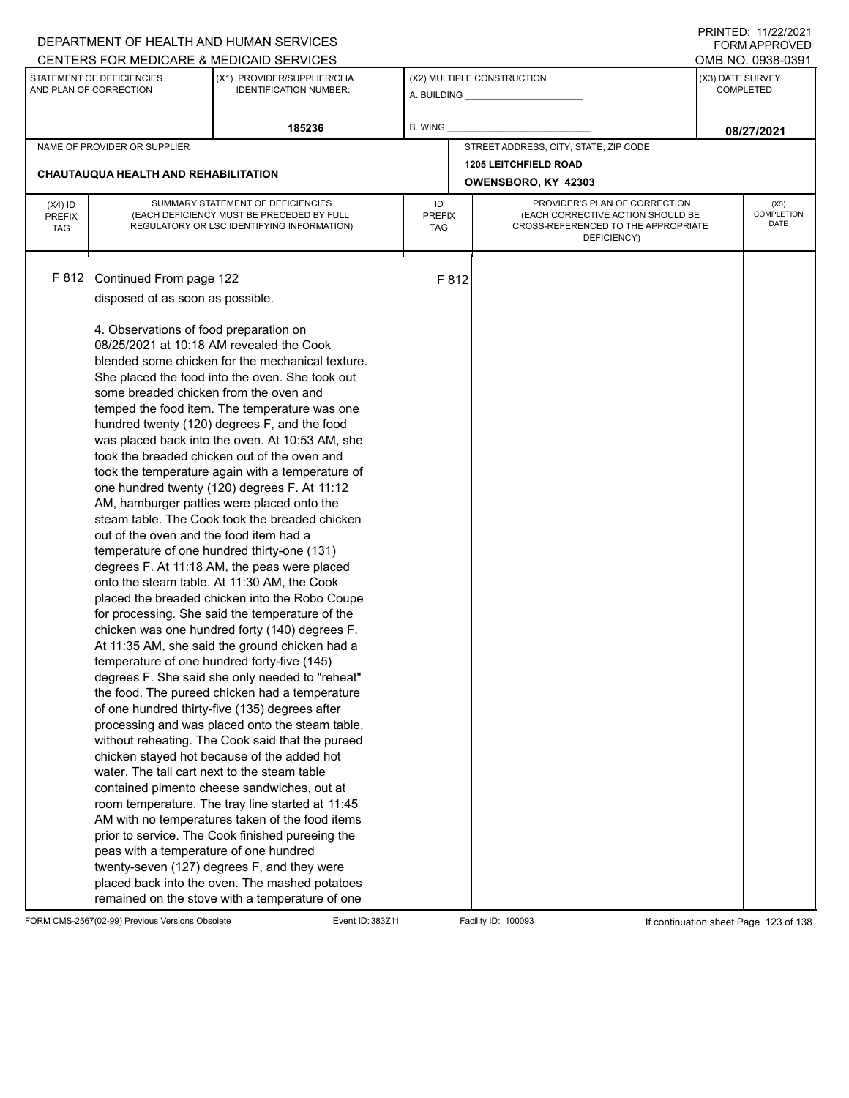|                                          |                                                                                                                             | DEPARTMENT OF HEALTH AND HUMAN SERVICES                                                                                                                                                                                                                                                                                                                                                                                                                                                                                                                                                                                                                                                                                                                                                                                                                                                                                                                       |                                                                                                                                                               |       |                                              |                                      | FORM APPROVED              |  |
|------------------------------------------|-----------------------------------------------------------------------------------------------------------------------------|---------------------------------------------------------------------------------------------------------------------------------------------------------------------------------------------------------------------------------------------------------------------------------------------------------------------------------------------------------------------------------------------------------------------------------------------------------------------------------------------------------------------------------------------------------------------------------------------------------------------------------------------------------------------------------------------------------------------------------------------------------------------------------------------------------------------------------------------------------------------------------------------------------------------------------------------------------------|---------------------------------------------------------------------------------------------------------------------------------------------------------------|-------|----------------------------------------------|--------------------------------------|----------------------------|--|
|                                          |                                                                                                                             | CENTERS FOR MEDICARE & MEDICAID SERVICES                                                                                                                                                                                                                                                                                                                                                                                                                                                                                                                                                                                                                                                                                                                                                                                                                                                                                                                      |                                                                                                                                                               |       |                                              |                                      | OMB NO. 0938-0391          |  |
|                                          | STATEMENT OF DEFICIENCIES<br>AND PLAN OF CORRECTION                                                                         | (X1) PROVIDER/SUPPLIER/CLIA<br><b>IDENTIFICATION NUMBER:</b>                                                                                                                                                                                                                                                                                                                                                                                                                                                                                                                                                                                                                                                                                                                                                                                                                                                                                                  |                                                                                                                                                               |       | (X2) MULTIPLE CONSTRUCTION<br>A. BUILDING A. | (X3) DATE SURVEY<br><b>COMPLETED</b> |                            |  |
|                                          |                                                                                                                             | 185236                                                                                                                                                                                                                                                                                                                                                                                                                                                                                                                                                                                                                                                                                                                                                                                                                                                                                                                                                        | B. WING                                                                                                                                                       |       |                                              |                                      | 08/27/2021                 |  |
|                                          | NAME OF PROVIDER OR SUPPLIER                                                                                                |                                                                                                                                                                                                                                                                                                                                                                                                                                                                                                                                                                                                                                                                                                                                                                                                                                                                                                                                                               |                                                                                                                                                               |       | STREET ADDRESS, CITY, STATE, ZIP CODE        |                                      |                            |  |
|                                          |                                                                                                                             |                                                                                                                                                                                                                                                                                                                                                                                                                                                                                                                                                                                                                                                                                                                                                                                                                                                                                                                                                               |                                                                                                                                                               |       | <b>1205 LEITCHFIELD ROAD</b>                 |                                      |                            |  |
|                                          | <b>CHAUTAUQUA HEALTH AND REHABILITATION</b>                                                                                 |                                                                                                                                                                                                                                                                                                                                                                                                                                                                                                                                                                                                                                                                                                                                                                                                                                                                                                                                                               |                                                                                                                                                               |       | OWENSBORO, KY 42303                          |                                      |                            |  |
| $(X4)$ ID<br><b>PREFIX</b><br><b>TAG</b> |                                                                                                                             | SUMMARY STATEMENT OF DEFICIENCIES<br>(EACH DEFICIENCY MUST BE PRECEDED BY FULL<br>REGULATORY OR LSC IDENTIFYING INFORMATION)                                                                                                                                                                                                                                                                                                                                                                                                                                                                                                                                                                                                                                                                                                                                                                                                                                  | PROVIDER'S PLAN OF CORRECTION<br>ID<br>(EACH CORRECTIVE ACTION SHOULD BE<br><b>PREFIX</b><br>CROSS-REFERENCED TO THE APPROPRIATE<br><b>TAG</b><br>DEFICIENCY) |       |                                              |                                      | (X5)<br>COMPLETION<br>DATE |  |
| F 812                                    | Continued From page 122<br>disposed of as soon as possible.                                                                 |                                                                                                                                                                                                                                                                                                                                                                                                                                                                                                                                                                                                                                                                                                                                                                                                                                                                                                                                                               |                                                                                                                                                               | F 812 |                                              |                                      |                            |  |
|                                          | 4. Observations of food preparation on<br>some breaded chicken from the oven and<br>out of the oven and the food item had a | 08/25/2021 at 10:18 AM revealed the Cook<br>blended some chicken for the mechanical texture.<br>She placed the food into the oven. She took out<br>temped the food item. The temperature was one<br>hundred twenty (120) degrees F, and the food<br>was placed back into the oven. At 10:53 AM, she<br>took the breaded chicken out of the oven and<br>took the temperature again with a temperature of<br>one hundred twenty (120) degrees F. At 11:12<br>AM, hamburger patties were placed onto the<br>steam table. The Cook took the breaded chicken<br>temperature of one hundred thirty-one (131)<br>degrees F. At 11:18 AM, the peas were placed<br>onto the steam table. At 11:30 AM, the Cook<br>placed the breaded chicken into the Robo Coupe<br>for processing. She said the temperature of the<br>chicken was one hundred forty (140) degrees F.<br>At 11:35 AM, she said the ground chicken had a<br>temperature of one hundred forty-five (145) |                                                                                                                                                               |       |                                              |                                      |                            |  |
|                                          | water. The tall cart next to the steam table<br>peas with a temperature of one hundred                                      | degrees F. She said she only needed to "reheat"<br>the food. The pureed chicken had a temperature<br>of one hundred thirty-five (135) degrees after<br>processing and was placed onto the steam table,<br>without reheating. The Cook said that the pureed<br>chicken stayed hot because of the added hot<br>contained pimento cheese sandwiches, out at<br>room temperature. The tray line started at 11:45<br>AM with no temperatures taken of the food items<br>prior to service. The Cook finished pureeing the<br>twenty-seven (127) degrees F, and they were<br>placed back into the oven. The mashed potatoes<br>remained on the stove with a temperature of one                                                                                                                                                                                                                                                                                       |                                                                                                                                                               |       |                                              |                                      |                            |  |

FORM CMS-2567(02-99) Previous Versions Obsolete Event ID: 383Z11 Facility ID: 100093 If continuation sheet Page 123 of 138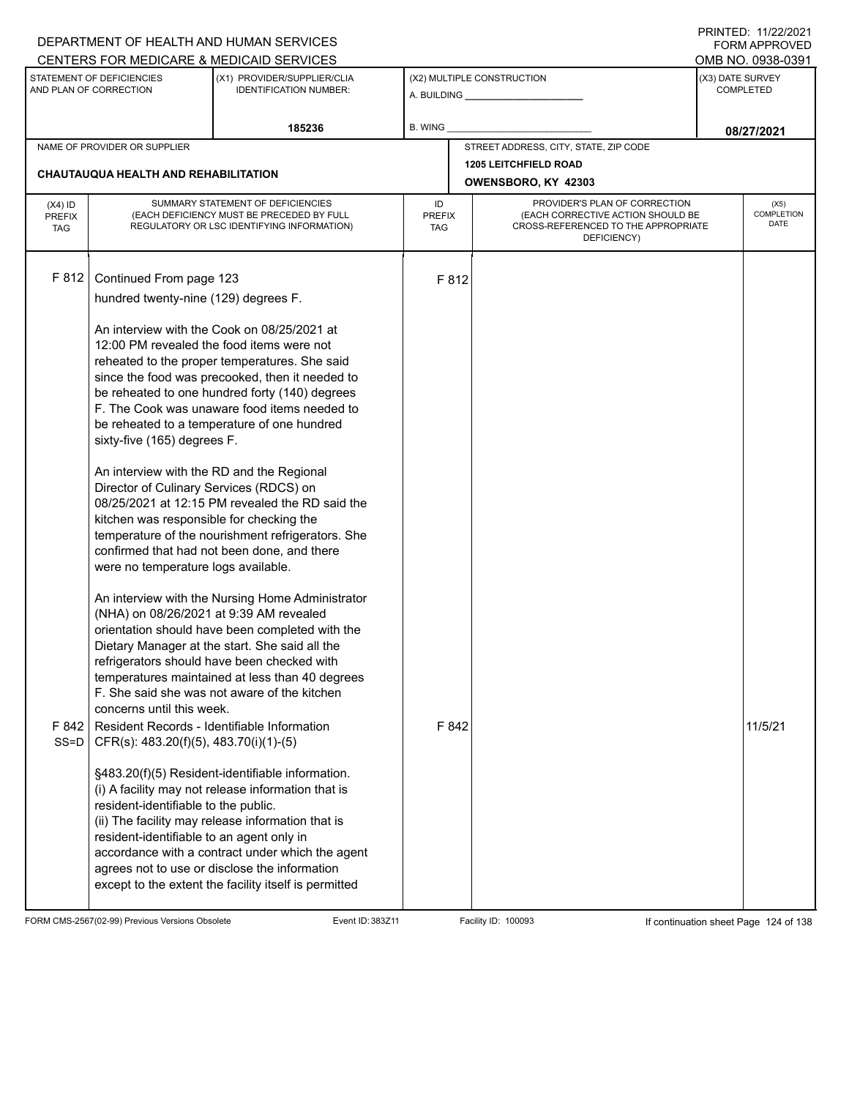|                                   |                                                                                                                                                                                                                                                                           | DEPARTMENT OF HEALTH AND HUMAN SERVICES<br>CENTERS FOR MEDICARE & MEDICAID SERVICES                                                                                                                                                                                                                                                                                                                                                                                                                                                                                              |                                                                                                                                                               |       |                                                     |                                      | I INITILD. III <i>ll</i> iculi<br>FORM APPROVED<br>OMB NO. 0938-0391 |
|-----------------------------------|---------------------------------------------------------------------------------------------------------------------------------------------------------------------------------------------------------------------------------------------------------------------------|----------------------------------------------------------------------------------------------------------------------------------------------------------------------------------------------------------------------------------------------------------------------------------------------------------------------------------------------------------------------------------------------------------------------------------------------------------------------------------------------------------------------------------------------------------------------------------|---------------------------------------------------------------------------------------------------------------------------------------------------------------|-------|-----------------------------------------------------|--------------------------------------|----------------------------------------------------------------------|
|                                   | STATEMENT OF DEFICIENCIES<br>AND PLAN OF CORRECTION                                                                                                                                                                                                                       | (X1) PROVIDER/SUPPLIER/CLIA<br><b>IDENTIFICATION NUMBER:</b>                                                                                                                                                                                                                                                                                                                                                                                                                                                                                                                     |                                                                                                                                                               |       | (X2) MULTIPLE CONSTRUCTION                          | (X3) DATE SURVEY<br><b>COMPLETED</b> |                                                                      |
|                                   |                                                                                                                                                                                                                                                                           | 185236                                                                                                                                                                                                                                                                                                                                                                                                                                                                                                                                                                           | <b>B. WING</b>                                                                                                                                                |       |                                                     |                                      | 08/27/2021                                                           |
|                                   | NAME OF PROVIDER OR SUPPLIER                                                                                                                                                                                                                                              |                                                                                                                                                                                                                                                                                                                                                                                                                                                                                                                                                                                  |                                                                                                                                                               |       | STREET ADDRESS, CITY, STATE, ZIP CODE               |                                      |                                                                      |
|                                   | <b>CHAUTAUQUA HEALTH AND REHABILITATION</b>                                                                                                                                                                                                                               |                                                                                                                                                                                                                                                                                                                                                                                                                                                                                                                                                                                  |                                                                                                                                                               |       | <b>1205 LEITCHFIELD ROAD</b><br>OWENSBORO, KY 42303 |                                      |                                                                      |
| $(X4)$ ID<br>PREFIX<br><b>TAG</b> |                                                                                                                                                                                                                                                                           | SUMMARY STATEMENT OF DEFICIENCIES<br>(EACH DEFICIENCY MUST BE PRECEDED BY FULL<br>REGULATORY OR LSC IDENTIFYING INFORMATION)                                                                                                                                                                                                                                                                                                                                                                                                                                                     | PROVIDER'S PLAN OF CORRECTION<br>ID<br>(EACH CORRECTIVE ACTION SHOULD BE<br><b>PREFIX</b><br>CROSS-REFERENCED TO THE APPROPRIATE<br><b>TAG</b><br>DEFICIENCY) |       |                                                     |                                      | (X5)<br>COMPLETION<br><b>DATE</b>                                    |
| F 812                             | Continued From page 123<br>hundred twenty-nine (129) degrees F.<br>sixty-five (165) degrees F.<br>An interview with the RD and the Regional<br>Director of Culinary Services (RDCS) on<br>kitchen was responsible for checking the<br>were no temperature logs available. | An interview with the Cook on 08/25/2021 at<br>12:00 PM revealed the food items were not<br>reheated to the proper temperatures. She said<br>since the food was precooked, then it needed to<br>be reheated to one hundred forty (140) degrees<br>F. The Cook was unaware food items needed to<br>be reheated to a temperature of one hundred<br>08/25/2021 at 12:15 PM revealed the RD said the<br>temperature of the nourishment refrigerators. She<br>confirmed that had not been done, and there<br>An interview with the Nursing Home Administrator                         |                                                                                                                                                               | F 812 |                                                     |                                      |                                                                      |
| F 842                             | (NHA) on 08/26/2021 at 9:39 AM revealed<br>concerns until this week.<br>Resident Records - Identifiable Information<br>SS=D   CFR(s): $483.20(f)(5)$ , $483.70(i)(1)-(5)$<br>resident-identifiable to the public.<br>resident-identifiable to an agent only in            | orientation should have been completed with the<br>Dietary Manager at the start. She said all the<br>refrigerators should have been checked with<br>temperatures maintained at less than 40 degrees<br>F. She said she was not aware of the kitchen<br>§483.20(f)(5) Resident-identifiable information.<br>(i) A facility may not release information that is<br>(ii) The facility may release information that is<br>accordance with a contract under which the agent<br>agrees not to use or disclose the information<br>except to the extent the facility itself is permitted |                                                                                                                                                               | F 842 |                                                     |                                      | 11/5/21                                                              |

FORM CMS-2567(02-99) Previous Versions Obsolete Event ID: 383Z11 Facility ID: 100093 If continuation sheet Page 124 of 138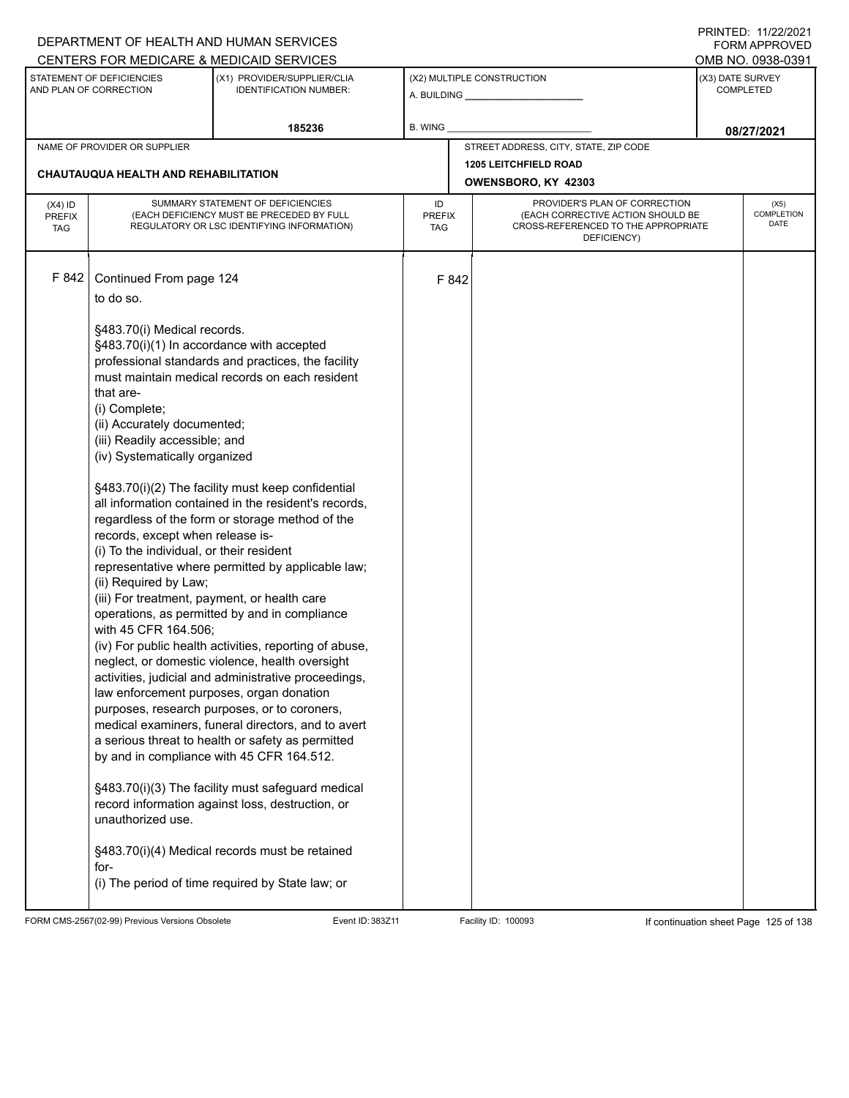|                                          |                                                                                                                                                                                                                           | DEPARTMENT OF HEALTH AND HUMAN SERVICES                                                                                                                                                                                                                                                                                                                                                                                                                                                                                                                                                                                                         |                                   |                                                                                                                          |                                      | 111111111122.1112212121<br>FORM APPROVED |  |
|------------------------------------------|---------------------------------------------------------------------------------------------------------------------------------------------------------------------------------------------------------------------------|-------------------------------------------------------------------------------------------------------------------------------------------------------------------------------------------------------------------------------------------------------------------------------------------------------------------------------------------------------------------------------------------------------------------------------------------------------------------------------------------------------------------------------------------------------------------------------------------------------------------------------------------------|-----------------------------------|--------------------------------------------------------------------------------------------------------------------------|--------------------------------------|------------------------------------------|--|
|                                          |                                                                                                                                                                                                                           | CENTERS FOR MEDICARE & MEDICAID SERVICES                                                                                                                                                                                                                                                                                                                                                                                                                                                                                                                                                                                                        |                                   |                                                                                                                          |                                      | OMB NO. 0938-0391                        |  |
|                                          | STATEMENT OF DEFICIENCIES<br>AND PLAN OF CORRECTION                                                                                                                                                                       | (X1) PROVIDER/SUPPLIER/CLIA<br><b>IDENTIFICATION NUMBER:</b>                                                                                                                                                                                                                                                                                                                                                                                                                                                                                                                                                                                    |                                   | (X2) MULTIPLE CONSTRUCTION<br>A. BUILDING <b>A.</b> BUILDING                                                             | (X3) DATE SURVEY<br><b>COMPLETED</b> |                                          |  |
|                                          |                                                                                                                                                                                                                           | 185236                                                                                                                                                                                                                                                                                                                                                                                                                                                                                                                                                                                                                                          | B. WING                           |                                                                                                                          |                                      | 08/27/2021                               |  |
|                                          | NAME OF PROVIDER OR SUPPLIER                                                                                                                                                                                              |                                                                                                                                                                                                                                                                                                                                                                                                                                                                                                                                                                                                                                                 |                                   | STREET ADDRESS, CITY, STATE, ZIP CODE                                                                                    |                                      |                                          |  |
|                                          | <b>CHAUTAUQUA HEALTH AND REHABILITATION</b>                                                                                                                                                                               |                                                                                                                                                                                                                                                                                                                                                                                                                                                                                                                                                                                                                                                 |                                   | <b>1205 LEITCHFIELD ROAD</b>                                                                                             |                                      |                                          |  |
|                                          |                                                                                                                                                                                                                           |                                                                                                                                                                                                                                                                                                                                                                                                                                                                                                                                                                                                                                                 |                                   | OWENSBORO, KY 42303                                                                                                      |                                      |                                          |  |
| $(X4)$ ID<br><b>PREFIX</b><br><b>TAG</b> |                                                                                                                                                                                                                           | SUMMARY STATEMENT OF DEFICIENCIES<br>(EACH DEFICIENCY MUST BE PRECEDED BY FULL<br>REGULATORY OR LSC IDENTIFYING INFORMATION)                                                                                                                                                                                                                                                                                                                                                                                                                                                                                                                    | ID<br><b>PREFIX</b><br><b>TAG</b> | PROVIDER'S PLAN OF CORRECTION<br>(EACH CORRECTIVE ACTION SHOULD BE<br>CROSS-REFERENCED TO THE APPROPRIATE<br>DEFICIENCY) | (X5)<br>COMPLETION<br>DATE           |                                          |  |
| F 842                                    | Continued From page 124<br>to do so.                                                                                                                                                                                      |                                                                                                                                                                                                                                                                                                                                                                                                                                                                                                                                                                                                                                                 | F 842                             |                                                                                                                          |                                      |                                          |  |
|                                          | §483.70(i) Medical records.<br>§483.70(i)(1) In accordance with accepted<br>that are-<br>(i) Complete;<br>(ii) Accurately documented;<br>(iii) Readily accessible; and<br>(iv) Systematically organized                   | professional standards and practices, the facility<br>must maintain medical records on each resident                                                                                                                                                                                                                                                                                                                                                                                                                                                                                                                                            |                                   |                                                                                                                          |                                      |                                          |  |
|                                          | records, except when release is-<br>(i) To the individual, or their resident<br>(ii) Required by Law;<br>(iii) For treatment, payment, or health care<br>with 45 CFR 164.506;<br>law enforcement purposes, organ donation | §483.70(i)(2) The facility must keep confidential<br>all information contained in the resident's records,<br>regardless of the form or storage method of the<br>representative where permitted by applicable law;<br>operations, as permitted by and in compliance<br>(iv) For public health activities, reporting of abuse,<br>neglect, or domestic violence, health oversight<br>activities, judicial and administrative proceedings,<br>purposes, research purposes, or to coroners,<br>medical examiners, funeral directors, and to avert<br>a serious threat to health or safety as permitted<br>by and in compliance with 45 CFR 164.512. |                                   |                                                                                                                          |                                      |                                          |  |
|                                          | unauthorized use.<br>for-                                                                                                                                                                                                 | §483.70(i)(3) The facility must safeguard medical<br>record information against loss, destruction, or<br>§483.70(i)(4) Medical records must be retained<br>(i) The period of time required by State law; or                                                                                                                                                                                                                                                                                                                                                                                                                                     |                                   |                                                                                                                          |                                      |                                          |  |

FORM CMS-2567(02-99) Previous Versions Obsolete Event ID: 383Z11 Facility ID: 100093 If continuation sheet Page 125 of 138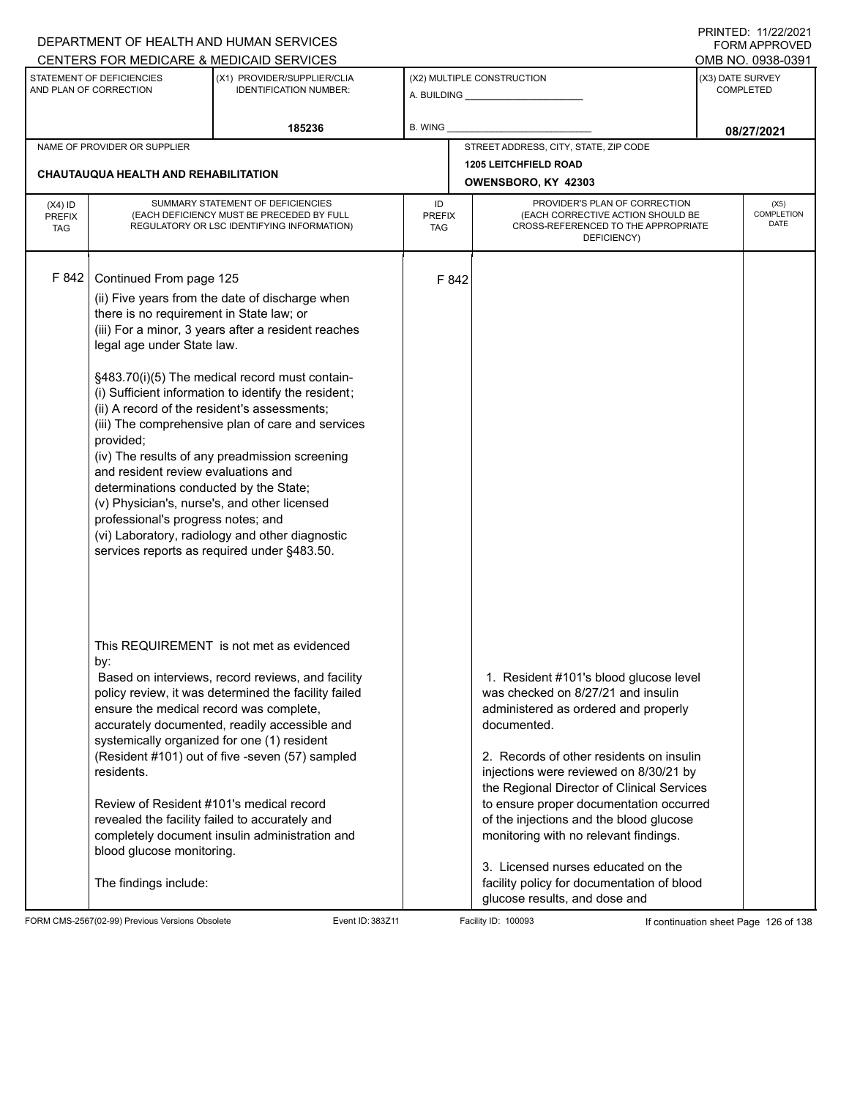|                                          |                                                                                                                                                                                                                                                                                                                                                                                                                                                                                                                                                                                                                                                                                                                                                                    | DEPARTMENT OF HEALTH AND HUMAN SERVICES                                                                                                                                                                                                                                                                                                                                                                      |                                   |                                                                                                                                                                                                                                                                                                                                                                                                                                                                                                                             | <b>FORM APPROVED</b>                  |
|------------------------------------------|--------------------------------------------------------------------------------------------------------------------------------------------------------------------------------------------------------------------------------------------------------------------------------------------------------------------------------------------------------------------------------------------------------------------------------------------------------------------------------------------------------------------------------------------------------------------------------------------------------------------------------------------------------------------------------------------------------------------------------------------------------------------|--------------------------------------------------------------------------------------------------------------------------------------------------------------------------------------------------------------------------------------------------------------------------------------------------------------------------------------------------------------------------------------------------------------|-----------------------------------|-----------------------------------------------------------------------------------------------------------------------------------------------------------------------------------------------------------------------------------------------------------------------------------------------------------------------------------------------------------------------------------------------------------------------------------------------------------------------------------------------------------------------------|---------------------------------------|
|                                          | STATEMENT OF DEFICIENCIES                                                                                                                                                                                                                                                                                                                                                                                                                                                                                                                                                                                                                                                                                                                                          | CENTERS FOR MEDICARE & MEDICAID SERVICES<br>(X1) PROVIDER/SUPPLIER/CLIA                                                                                                                                                                                                                                                                                                                                      |                                   | (X2) MULTIPLE CONSTRUCTION                                                                                                                                                                                                                                                                                                                                                                                                                                                                                                  | OMB NO. 0938-0391<br>(X3) DATE SURVEY |
|                                          | AND PLAN OF CORRECTION                                                                                                                                                                                                                                                                                                                                                                                                                                                                                                                                                                                                                                                                                                                                             | <b>IDENTIFICATION NUMBER:</b>                                                                                                                                                                                                                                                                                                                                                                                |                                   | A. BUILDING <b>A.</b> BUILDING                                                                                                                                                                                                                                                                                                                                                                                                                                                                                              | <b>COMPLETED</b>                      |
|                                          |                                                                                                                                                                                                                                                                                                                                                                                                                                                                                                                                                                                                                                                                                                                                                                    | 185236                                                                                                                                                                                                                                                                                                                                                                                                       | B. WING                           |                                                                                                                                                                                                                                                                                                                                                                                                                                                                                                                             | 08/27/2021                            |
|                                          | NAME OF PROVIDER OR SUPPLIER                                                                                                                                                                                                                                                                                                                                                                                                                                                                                                                                                                                                                                                                                                                                       |                                                                                                                                                                                                                                                                                                                                                                                                              |                                   | STREET ADDRESS, CITY, STATE, ZIP CODE                                                                                                                                                                                                                                                                                                                                                                                                                                                                                       |                                       |
|                                          | <b>CHAUTAUQUA HEALTH AND REHABILITATION</b>                                                                                                                                                                                                                                                                                                                                                                                                                                                                                                                                                                                                                                                                                                                        |                                                                                                                                                                                                                                                                                                                                                                                                              |                                   | <b>1205 LEITCHFIELD ROAD</b><br>OWENSBORO, KY 42303                                                                                                                                                                                                                                                                                                                                                                                                                                                                         |                                       |
| $(X4)$ ID<br><b>PREFIX</b><br><b>TAG</b> |                                                                                                                                                                                                                                                                                                                                                                                                                                                                                                                                                                                                                                                                                                                                                                    | SUMMARY STATEMENT OF DEFICIENCIES<br>(EACH DEFICIENCY MUST BE PRECEDED BY FULL<br>REGULATORY OR LSC IDENTIFYING INFORMATION)                                                                                                                                                                                                                                                                                 | ID<br><b>PREFIX</b><br><b>TAG</b> | PROVIDER'S PLAN OF CORRECTION<br>(X5)<br><b>COMPLETION</b><br>(EACH CORRECTIVE ACTION SHOULD BE<br>DATE<br>CROSS-REFERENCED TO THE APPROPRIATE                                                                                                                                                                                                                                                                                                                                                                              |                                       |
| F 842                                    | Continued From page 125<br>(ii) Five years from the date of discharge when<br>there is no requirement in State law; or<br>(iii) For a minor, 3 years after a resident reaches<br>legal age under State law.<br>§483.70(i)(5) The medical record must contain-<br>(i) Sufficient information to identify the resident;<br>(ii) A record of the resident's assessments;<br>(iii) The comprehensive plan of care and services<br>provided;<br>(iv) The results of any preadmission screening<br>and resident review evaluations and<br>determinations conducted by the State;<br>(v) Physician's, nurse's, and other licensed<br>professional's progress notes; and<br>(vi) Laboratory, radiology and other diagnostic<br>services reports as required under §483.50. |                                                                                                                                                                                                                                                                                                                                                                                                              | F 842                             |                                                                                                                                                                                                                                                                                                                                                                                                                                                                                                                             |                                       |
|                                          | by:<br>ensure the medical record was complete,<br>residents.<br>Review of Resident #101's medical record<br>blood glucose monitoring.<br>The findings include:                                                                                                                                                                                                                                                                                                                                                                                                                                                                                                                                                                                                     | This REQUIREMENT is not met as evidenced<br>Based on interviews, record reviews, and facility<br>policy review, it was determined the facility failed<br>accurately documented, readily accessible and<br>systemically organized for one (1) resident<br>(Resident #101) out of five -seven (57) sampled<br>revealed the facility failed to accurately and<br>completely document insulin administration and |                                   | 1. Resident #101's blood glucose level<br>was checked on 8/27/21 and insulin<br>administered as ordered and properly<br>documented.<br>2. Records of other residents on insulin<br>injections were reviewed on 8/30/21 by<br>the Regional Director of Clinical Services<br>to ensure proper documentation occurred<br>of the injections and the blood glucose<br>monitoring with no relevant findings.<br>3. Licensed nurses educated on the<br>facility policy for documentation of blood<br>glucose results, and dose and |                                       |

FORM CMS-2567(02-99) Previous Versions Obsolete Event ID: 383Z11 Facility ID: 100093 If continuation sheet Page 126 of 138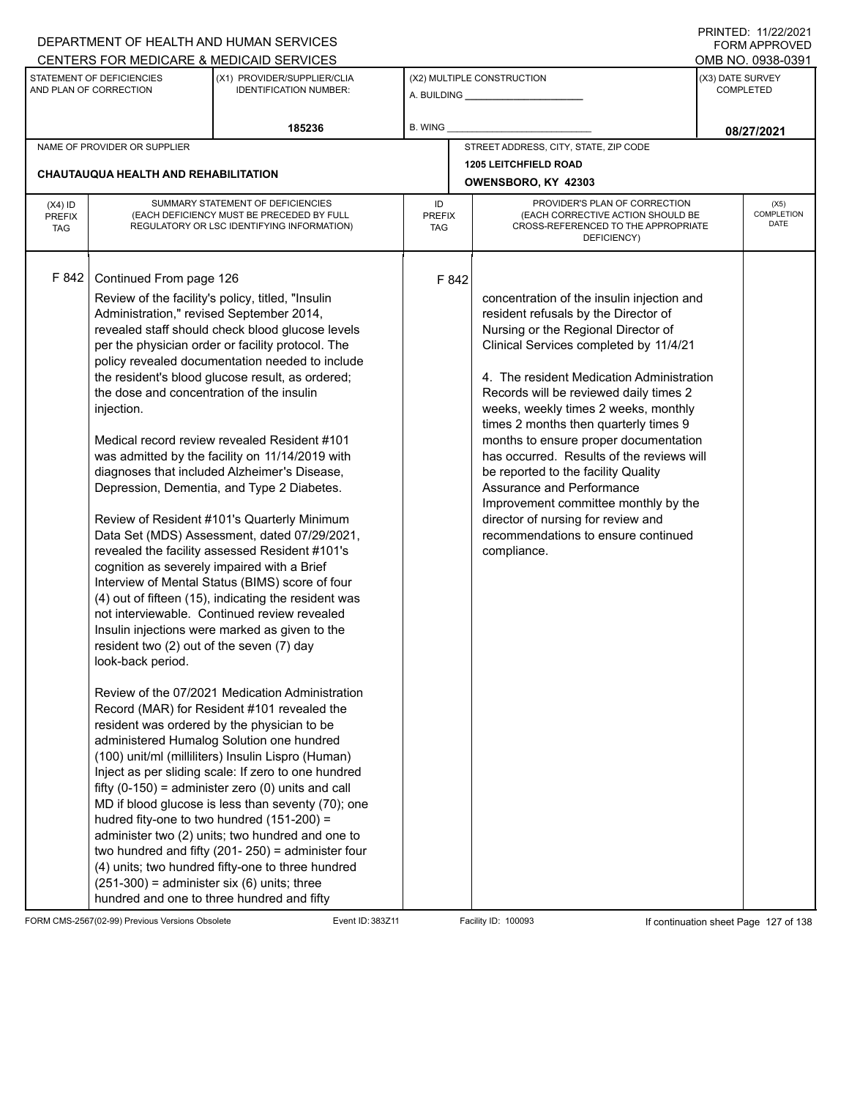|                                          | DEPARTMENT OF HEALTH AND HUMAN SERVICES                                                                                                                                                                                                                                                          |                                                                                                                                                                                                                                                                                                                                                                                                                                                                                                                                                                                                                                                                                                                                                                                                                                                                                                                                                                                                                                                                                                                                                                                                                                                                                                                                                                                                                                                                         |                                   |                                                                                                                                                                                                                                                                                                                                                                                                                                                                                                                                                                                                                                           | <b>FORM APPROVED</b> |                                   |
|------------------------------------------|--------------------------------------------------------------------------------------------------------------------------------------------------------------------------------------------------------------------------------------------------------------------------------------------------|-------------------------------------------------------------------------------------------------------------------------------------------------------------------------------------------------------------------------------------------------------------------------------------------------------------------------------------------------------------------------------------------------------------------------------------------------------------------------------------------------------------------------------------------------------------------------------------------------------------------------------------------------------------------------------------------------------------------------------------------------------------------------------------------------------------------------------------------------------------------------------------------------------------------------------------------------------------------------------------------------------------------------------------------------------------------------------------------------------------------------------------------------------------------------------------------------------------------------------------------------------------------------------------------------------------------------------------------------------------------------------------------------------------------------------------------------------------------------|-----------------------------------|-------------------------------------------------------------------------------------------------------------------------------------------------------------------------------------------------------------------------------------------------------------------------------------------------------------------------------------------------------------------------------------------------------------------------------------------------------------------------------------------------------------------------------------------------------------------------------------------------------------------------------------------|----------------------|-----------------------------------|
|                                          |                                                                                                                                                                                                                                                                                                  | CENTERS FOR MEDICARE & MEDICAID SERVICES                                                                                                                                                                                                                                                                                                                                                                                                                                                                                                                                                                                                                                                                                                                                                                                                                                                                                                                                                                                                                                                                                                                                                                                                                                                                                                                                                                                                                                |                                   |                                                                                                                                                                                                                                                                                                                                                                                                                                                                                                                                                                                                                                           |                      | OMB NO. 0938-0391                 |
|                                          | STATEMENT OF DEFICIENCIES<br>AND PLAN OF CORRECTION                                                                                                                                                                                                                                              | (X1) PROVIDER/SUPPLIER/CLIA<br><b>IDENTIFICATION NUMBER:</b>                                                                                                                                                                                                                                                                                                                                                                                                                                                                                                                                                                                                                                                                                                                                                                                                                                                                                                                                                                                                                                                                                                                                                                                                                                                                                                                                                                                                            |                                   | (X2) MULTIPLE CONSTRUCTION                                                                                                                                                                                                                                                                                                                                                                                                                                                                                                                                                                                                                | (X3) DATE SURVEY     | <b>COMPLETED</b>                  |
|                                          |                                                                                                                                                                                                                                                                                                  | 185236                                                                                                                                                                                                                                                                                                                                                                                                                                                                                                                                                                                                                                                                                                                                                                                                                                                                                                                                                                                                                                                                                                                                                                                                                                                                                                                                                                                                                                                                  | <b>B. WING</b>                    |                                                                                                                                                                                                                                                                                                                                                                                                                                                                                                                                                                                                                                           |                      | 08/27/2021                        |
|                                          | NAME OF PROVIDER OR SUPPLIER                                                                                                                                                                                                                                                                     |                                                                                                                                                                                                                                                                                                                                                                                                                                                                                                                                                                                                                                                                                                                                                                                                                                                                                                                                                                                                                                                                                                                                                                                                                                                                                                                                                                                                                                                                         |                                   | STREET ADDRESS, CITY, STATE, ZIP CODE                                                                                                                                                                                                                                                                                                                                                                                                                                                                                                                                                                                                     |                      |                                   |
|                                          |                                                                                                                                                                                                                                                                                                  |                                                                                                                                                                                                                                                                                                                                                                                                                                                                                                                                                                                                                                                                                                                                                                                                                                                                                                                                                                                                                                                                                                                                                                                                                                                                                                                                                                                                                                                                         |                                   | <b>1205 LEITCHFIELD ROAD</b>                                                                                                                                                                                                                                                                                                                                                                                                                                                                                                                                                                                                              |                      |                                   |
|                                          | <b>CHAUTAUQUA HEALTH AND REHABILITATION</b>                                                                                                                                                                                                                                                      |                                                                                                                                                                                                                                                                                                                                                                                                                                                                                                                                                                                                                                                                                                                                                                                                                                                                                                                                                                                                                                                                                                                                                                                                                                                                                                                                                                                                                                                                         |                                   | OWENSBORO, KY 42303                                                                                                                                                                                                                                                                                                                                                                                                                                                                                                                                                                                                                       |                      |                                   |
| $(X4)$ ID<br><b>PREFIX</b><br><b>TAG</b> |                                                                                                                                                                                                                                                                                                  | SUMMARY STATEMENT OF DEFICIENCIES<br>(EACH DEFICIENCY MUST BE PRECEDED BY FULL<br>REGULATORY OR LSC IDENTIFYING INFORMATION)                                                                                                                                                                                                                                                                                                                                                                                                                                                                                                                                                                                                                                                                                                                                                                                                                                                                                                                                                                                                                                                                                                                                                                                                                                                                                                                                            | ID<br><b>PREFIX</b><br><b>TAG</b> | PROVIDER'S PLAN OF CORRECTION<br>(EACH CORRECTIVE ACTION SHOULD BE<br>CROSS-REFERENCED TO THE APPROPRIATE<br>DEFICIENCY)                                                                                                                                                                                                                                                                                                                                                                                                                                                                                                                  |                      | (X5)<br><b>COMPLETION</b><br>DATE |
| F 842                                    | Continued From page 126<br>Administration," revised September 2014,<br>the dose and concentration of the insulin<br>injection.<br>cognition as severely impaired with a Brief<br>resident two (2) out of the seven (7) day<br>look-back period.<br>$(251-300)$ = administer six (6) units; three | Review of the facility's policy, titled, "Insulin<br>revealed staff should check blood glucose levels<br>per the physician order or facility protocol. The<br>policy revealed documentation needed to include<br>the resident's blood glucose result, as ordered;<br>Medical record review revealed Resident #101<br>was admitted by the facility on 11/14/2019 with<br>diagnoses that included Alzheimer's Disease,<br>Depression, Dementia, and Type 2 Diabetes.<br>Review of Resident #101's Quarterly Minimum<br>Data Set (MDS) Assessment, dated 07/29/2021,<br>revealed the facility assessed Resident #101's<br>Interview of Mental Status (BIMS) score of four<br>(4) out of fifteen (15), indicating the resident was<br>not interviewable. Continued review revealed<br>Insulin injections were marked as given to the<br>Review of the 07/2021 Medication Administration<br>Record (MAR) for Resident #101 revealed the<br>resident was ordered by the physician to be<br>administered Humalog Solution one hundred<br>(100) unit/ml (milliliters) Insulin Lispro (Human)<br>Inject as per sliding scale: If zero to one hundred<br>fifty $(0-150)$ = administer zero $(0)$ units and call<br>MD if blood glucose is less than seventy (70); one<br>hudred fity-one to two hundred (151-200) =<br>administer two (2) units; two hundred and one to<br>two hundred and fifty (201-250) = administer four<br>(4) units; two hundred fifty-one to three hundred | F 842                             | concentration of the insulin injection and<br>resident refusals by the Director of<br>Nursing or the Regional Director of<br>Clinical Services completed by 11/4/21<br>4. The resident Medication Administration<br>Records will be reviewed daily times 2<br>weeks, weekly times 2 weeks, monthly<br>times 2 months then quarterly times 9<br>months to ensure proper documentation<br>has occurred. Results of the reviews will<br>be reported to the facility Quality<br>Assurance and Performance<br>Improvement committee monthly by the<br>director of nursing for review and<br>recommendations to ensure continued<br>compliance. |                      |                                   |
|                                          |                                                                                                                                                                                                                                                                                                  | hundred and one to three hundred and fifty                                                                                                                                                                                                                                                                                                                                                                                                                                                                                                                                                                                                                                                                                                                                                                                                                                                                                                                                                                                                                                                                                                                                                                                                                                                                                                                                                                                                                              |                                   |                                                                                                                                                                                                                                                                                                                                                                                                                                                                                                                                                                                                                                           |                      |                                   |

FORM CMS-2567(02-99) Previous Versions Obsolete Event ID: 383Z11 Facility ID: 100093 If continuation sheet Page 127 of 138

DEPARTMENT OF HEALTH AND HUMAN SERVICES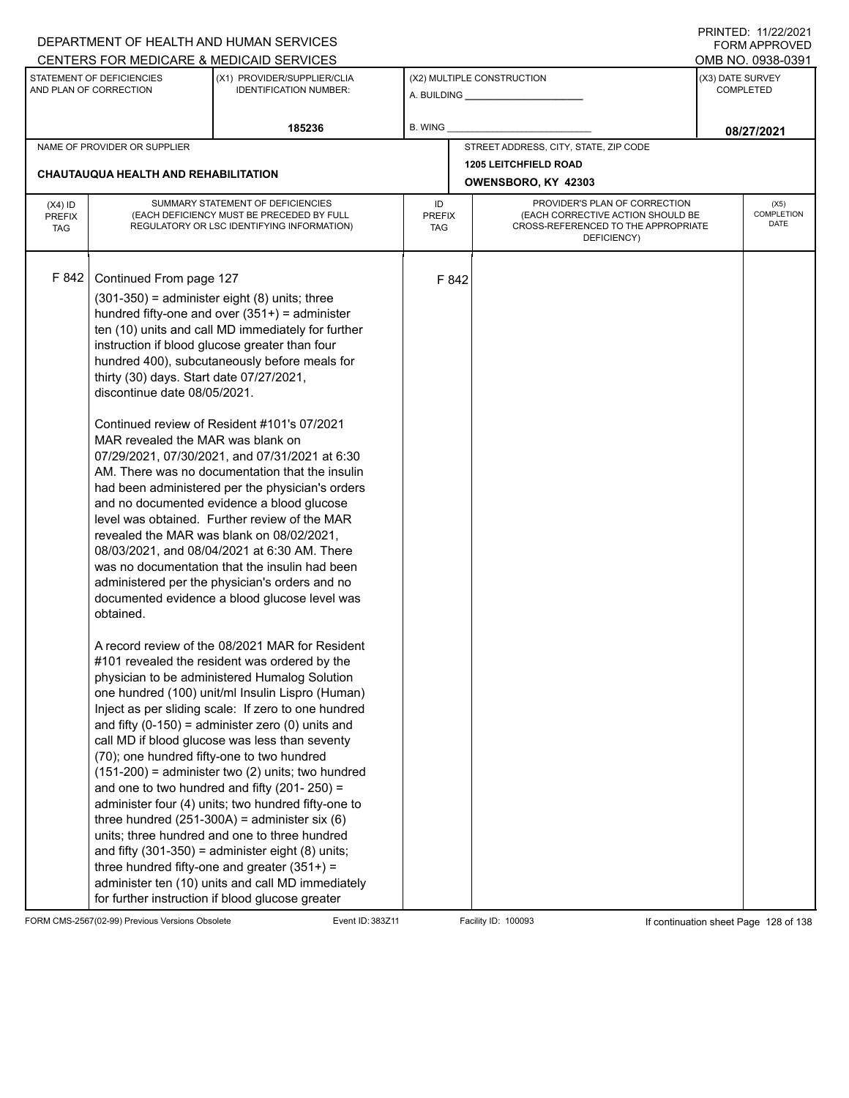|                                          |                                                                                                                                                                                                     | DEPARTMENT OF HEALTH AND HUMAN SERVICES                                                                                                                                                                                                                                                                                                                                                                                                                                                                                                                                                                                                                                                                                                                                                                                                                                                                                                                                                                                                                                                                                                                                                                                                                                                                                                                                                                                                                                                                                                                                                                                                                                                    |         |       |                                                       |                  | <b>FORM APPROVED</b>                     |
|------------------------------------------|-----------------------------------------------------------------------------------------------------------------------------------------------------------------------------------------------------|--------------------------------------------------------------------------------------------------------------------------------------------------------------------------------------------------------------------------------------------------------------------------------------------------------------------------------------------------------------------------------------------------------------------------------------------------------------------------------------------------------------------------------------------------------------------------------------------------------------------------------------------------------------------------------------------------------------------------------------------------------------------------------------------------------------------------------------------------------------------------------------------------------------------------------------------------------------------------------------------------------------------------------------------------------------------------------------------------------------------------------------------------------------------------------------------------------------------------------------------------------------------------------------------------------------------------------------------------------------------------------------------------------------------------------------------------------------------------------------------------------------------------------------------------------------------------------------------------------------------------------------------------------------------------------------------|---------|-------|-------------------------------------------------------|------------------|------------------------------------------|
|                                          |                                                                                                                                                                                                     | CENTERS FOR MEDICARE & MEDICAID SERVICES                                                                                                                                                                                                                                                                                                                                                                                                                                                                                                                                                                                                                                                                                                                                                                                                                                                                                                                                                                                                                                                                                                                                                                                                                                                                                                                                                                                                                                                                                                                                                                                                                                                   |         |       |                                                       |                  | OMB NO. 0938-0391                        |
|                                          | STATEMENT OF DEFICIENCIES<br>AND PLAN OF CORRECTION                                                                                                                                                 | (X1) PROVIDER/SUPPLIER/CLIA<br><b>IDENTIFICATION NUMBER:</b>                                                                                                                                                                                                                                                                                                                                                                                                                                                                                                                                                                                                                                                                                                                                                                                                                                                                                                                                                                                                                                                                                                                                                                                                                                                                                                                                                                                                                                                                                                                                                                                                                               |         |       | (X2) MULTIPLE CONSTRUCTION<br>A. BUILDING A. BUILDING | (X3) DATE SURVEY | <b>COMPLETED</b>                         |
|                                          |                                                                                                                                                                                                     | 185236                                                                                                                                                                                                                                                                                                                                                                                                                                                                                                                                                                                                                                                                                                                                                                                                                                                                                                                                                                                                                                                                                                                                                                                                                                                                                                                                                                                                                                                                                                                                                                                                                                                                                     | B. WING |       |                                                       |                  | 08/27/2021                               |
|                                          | NAME OF PROVIDER OR SUPPLIER                                                                                                                                                                        |                                                                                                                                                                                                                                                                                                                                                                                                                                                                                                                                                                                                                                                                                                                                                                                                                                                                                                                                                                                                                                                                                                                                                                                                                                                                                                                                                                                                                                                                                                                                                                                                                                                                                            |         |       | STREET ADDRESS, CITY, STATE, ZIP CODE                 |                  |                                          |
|                                          | <b>CHAUTAUQUA HEALTH AND REHABILITATION</b>                                                                                                                                                         |                                                                                                                                                                                                                                                                                                                                                                                                                                                                                                                                                                                                                                                                                                                                                                                                                                                                                                                                                                                                                                                                                                                                                                                                                                                                                                                                                                                                                                                                                                                                                                                                                                                                                            |         |       | <b>1205 LEITCHFIELD ROAD</b><br>OWENSBORO, KY 42303   |                  |                                          |
| $(X4)$ ID<br><b>PREFIX</b><br><b>TAG</b> |                                                                                                                                                                                                     | SUMMARY STATEMENT OF DEFICIENCIES<br>PROVIDER'S PLAN OF CORRECTION<br>ID<br>(EACH DEFICIENCY MUST BE PRECEDED BY FULL<br>(EACH CORRECTIVE ACTION SHOULD BE<br><b>PREFIX</b><br>CROSS-REFERENCED TO THE APPROPRIATE<br>REGULATORY OR LSC IDENTIFYING INFORMATION)<br>TAG<br>DEFICIENCY)                                                                                                                                                                                                                                                                                                                                                                                                                                                                                                                                                                                                                                                                                                                                                                                                                                                                                                                                                                                                                                                                                                                                                                                                                                                                                                                                                                                                     |         |       |                                                       |                  | (X5)<br><b>COMPLETION</b><br><b>DATE</b> |
| F 842                                    | Continued From page 127<br>thirty (30) days. Start date 07/27/2021,<br>discontinue date 08/05/2021.<br>MAR revealed the MAR was blank on<br>obtained.<br>(70); one hundred fifty-one to two hundred | $(301-350)$ = administer eight $(8)$ units; three<br>hundred fifty-one and over $(351+)$ = administer<br>ten (10) units and call MD immediately for further<br>instruction if blood glucose greater than four<br>hundred 400), subcutaneously before meals for<br>Continued review of Resident #101's 07/2021<br>07/29/2021, 07/30/2021, and 07/31/2021 at 6:30<br>AM. There was no documentation that the insulin<br>had been administered per the physician's orders<br>and no documented evidence a blood glucose<br>level was obtained. Further review of the MAR<br>revealed the MAR was blank on 08/02/2021,<br>08/03/2021, and 08/04/2021 at 6:30 AM. There<br>was no documentation that the insulin had been<br>administered per the physician's orders and no<br>documented evidence a blood glucose level was<br>A record review of the 08/2021 MAR for Resident<br>#101 revealed the resident was ordered by the<br>physician to be administered Humalog Solution<br>one hundred (100) unit/ml Insulin Lispro (Human)<br>Inject as per sliding scale: If zero to one hundred<br>and fifty $(0-150)$ = administer zero $(0)$ units and<br>call MD if blood glucose was less than seventy<br>$(151-200)$ = administer two (2) units; two hundred<br>and one to two hundred and fifty (201-250) =<br>administer four (4) units; two hundred fifty-one to<br>three hundred $(251-300A)$ = administer six $(6)$<br>units; three hundred and one to three hundred<br>and fifty $(301-350)$ = administer eight $(8)$ units;<br>three hundred fifty-one and greater $(351+)$ =<br>administer ten (10) units and call MD immediately<br>for further instruction if blood glucose greater |         | F 842 |                                                       |                  |                                          |

FORM CMS-2567(02-99) Previous Versions Obsolete Event ID: 383Z11 Facility ID: 100093 If continuation sheet Page 128 of 138

PRINTED: 11/22/2021 FORM APPROVED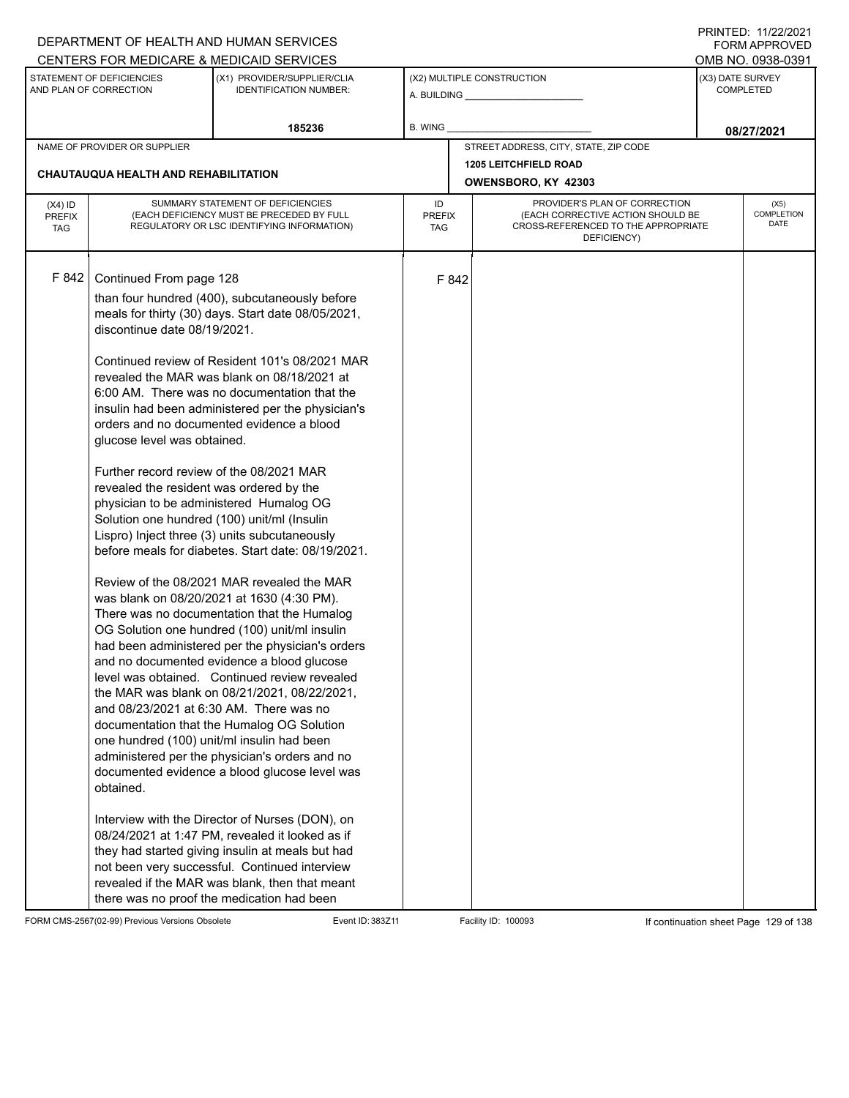## A. BUILDING **\_\_\_\_\_\_\_\_\_\_\_\_\_\_\_\_\_\_\_\_\_\_** (X1) PROVIDER/SUPPLIER/CLIA IDENTIFICATION NUMBER: STATEMENT OF DEFICIENCIES AND PLAN OF CORRECTION (X3) DATE SURVEY COMPLETED FORM APPROVED (X2) MULTIPLE CONSTRUCTION B. WING CENTERS FOR MEDICARE & MEDICAID SERVICES **And CENTERS FOR MEDICAL ACCESS** OMB NO. 0938-0391 **185236 08/27/2021** NAME OF PROVIDER OR SUPPLIER STREET ADDRESS, CITY, STATE, ZIP CODE **1205 LEITCHFIELD ROAD CHAUTAUQUA HEALTH AND REHABILITATION OWENSBORO, KY 42303** PROVIDER'S PLAN OF CORRECTION (EACH CORRECTIVE ACTION SHOULD BE CROSS-REFERENCED TO THE APPROPRIATE DEFICIENCY) (X5) **COMPLETION** DATE ID PREFIX **TAG** (X4) ID PREFIX TAG SUMMARY STATEMENT OF DEFICIENCIES (EACH DEFICIENCY MUST BE PRECEDED BY FULL REGULATORY OR LSC IDENTIFYING INFORMATION) F 842 Continued From page 128 F 842 than four hundred (400), subcutaneously before meals for thirty (30) days. Start date 08/05/2021, discontinue date 08/19/2021. Continued review of Resident 101's 08/2021 MAR revealed the MAR was blank on 08/18/2021 at 6:00 AM. There was no documentation that the insulin had been administered per the physician's orders and no documented evidence a blood glucose level was obtained. Further record review of the 08/2021 MAR revealed the resident was ordered by the physician to be administered Humalog OG Solution one hundred (100) unit/ml (Insulin Lispro) Inject three (3) units subcutaneously before meals for diabetes. Start date: 08/19/2021. Review of the 08/2021 MAR revealed the MAR was blank on 08/20/2021 at 1630 (4:30 PM). There was no documentation that the Humalog OG Solution one hundred (100) unit/ml insulin had been administered per the physician's orders and no documented evidence a blood glucose level was obtained. Continued review revealed the MAR was blank on 08/21/2021, 08/22/2021, and 08/23/2021 at 6:30 AM. There was no documentation that the Humalog OG Solution one hundred (100) unit/ml insulin had been administered per the physician's orders and no documented evidence a blood glucose level was obtained. Interview with the Director of Nurses (DON), on 08/24/2021 at 1:47 PM, revealed it looked as if they had started giving insulin at meals but had not been very successful. Continued interview revealed if the MAR was blank, then that meant there was no proof the medication had been

FORM CMS-2567(02-99) Previous Versions Obsolete Event ID: 383Z11 Facility ID: 100093 If continuation sheet Page 129 of 138

DEPARTMENT OF HEALTH AND HUMAN SERVICES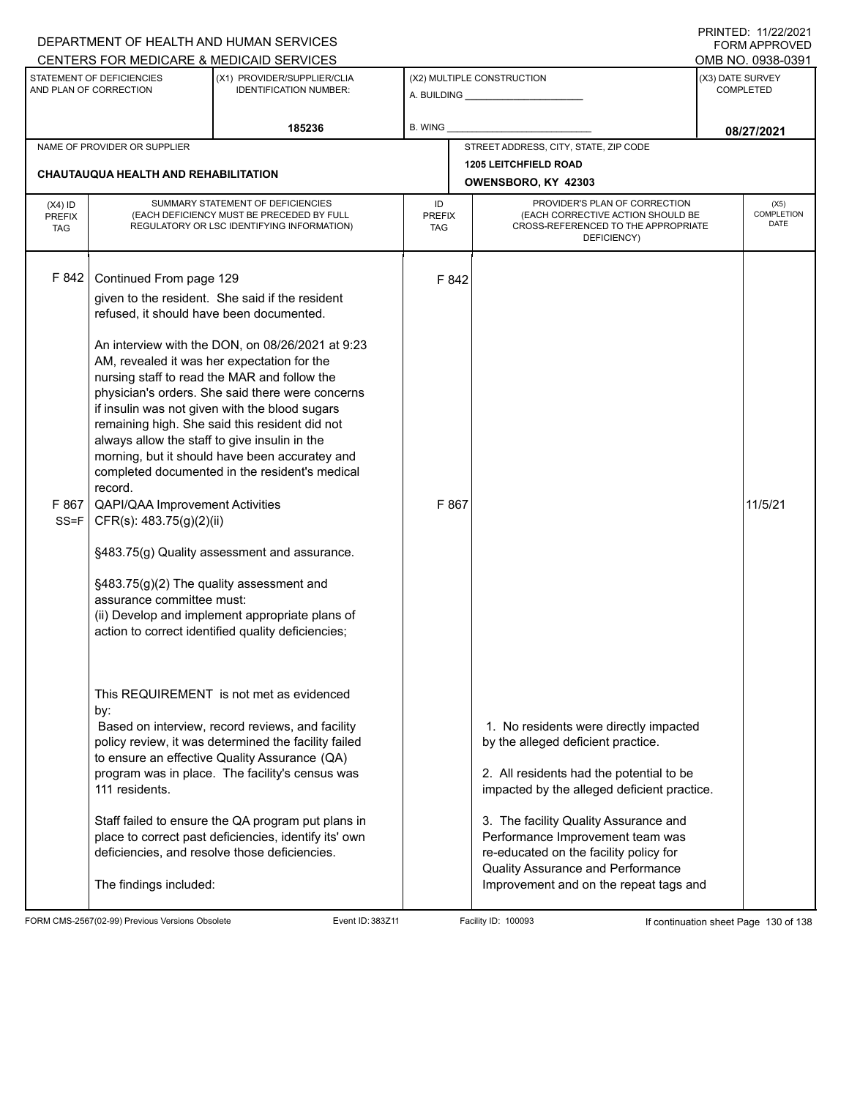|                                          |                                                                                                                                                                            | DEPARTMENT OF HEALTH AND HUMAN SERVICES<br>CENTERS FOR MEDICARE & MEDICAID SERVICES                                                                                                                                                                                                                                                                                                                                                                            |                                                                                                                                                               |                                                                                                                                                                                                                                                                                                                                                                               | FORM APPROVED<br>OMB NO. 0938-0391   |            |
|------------------------------------------|----------------------------------------------------------------------------------------------------------------------------------------------------------------------------|----------------------------------------------------------------------------------------------------------------------------------------------------------------------------------------------------------------------------------------------------------------------------------------------------------------------------------------------------------------------------------------------------------------------------------------------------------------|---------------------------------------------------------------------------------------------------------------------------------------------------------------|-------------------------------------------------------------------------------------------------------------------------------------------------------------------------------------------------------------------------------------------------------------------------------------------------------------------------------------------------------------------------------|--------------------------------------|------------|
|                                          | STATEMENT OF DEFICIENCIES<br>AND PLAN OF CORRECTION                                                                                                                        | (X1) PROVIDER/SUPPLIER/CLIA<br><b>IDENTIFICATION NUMBER:</b>                                                                                                                                                                                                                                                                                                                                                                                                   |                                                                                                                                                               | (X2) MULTIPLE CONSTRUCTION                                                                                                                                                                                                                                                                                                                                                    | (X3) DATE SURVEY<br><b>COMPLETED</b> |            |
|                                          |                                                                                                                                                                            | 185236                                                                                                                                                                                                                                                                                                                                                                                                                                                         | <b>B. WING</b>                                                                                                                                                |                                                                                                                                                                                                                                                                                                                                                                               | 08/27/2021                           |            |
|                                          | NAME OF PROVIDER OR SUPPLIER<br><b>CHAUTAUQUA HEALTH AND REHABILITATION</b>                                                                                                |                                                                                                                                                                                                                                                                                                                                                                                                                                                                |                                                                                                                                                               | STREET ADDRESS, CITY, STATE, ZIP CODE<br><b>1205 LEITCHFIELD ROAD</b>                                                                                                                                                                                                                                                                                                         |                                      |            |
|                                          |                                                                                                                                                                            |                                                                                                                                                                                                                                                                                                                                                                                                                                                                |                                                                                                                                                               | OWENSBORO, KY 42303                                                                                                                                                                                                                                                                                                                                                           |                                      |            |
| $(X4)$ ID<br><b>PREFIX</b><br><b>TAG</b> |                                                                                                                                                                            | SUMMARY STATEMENT OF DEFICIENCIES<br>(EACH DEFICIENCY MUST BE PRECEDED BY FULL<br>REGULATORY OR LSC IDENTIFYING INFORMATION)                                                                                                                                                                                                                                                                                                                                   | PROVIDER'S PLAN OF CORRECTION<br>ID<br>(EACH CORRECTIVE ACTION SHOULD BE<br><b>PREFIX</b><br>CROSS-REFERENCED TO THE APPROPRIATE<br><b>TAG</b><br>DEFICIENCY) |                                                                                                                                                                                                                                                                                                                                                                               |                                      | COMPLETION |
| F 842                                    | Continued From page 129<br>refused, it should have been documented.<br>always allow the staff to give insulin in the<br>record.<br>F 867   QAPI/QAA Improvement Activities | given to the resident. She said if the resident<br>An interview with the DON, on 08/26/2021 at 9:23<br>AM, revealed it was her expectation for the<br>nursing staff to read the MAR and follow the<br>physician's orders. She said there were concerns<br>if insulin was not given with the blood sugars<br>remaining high. She said this resident did not<br>morning, but it should have been accuratey and<br>completed documented in the resident's medical | F 842<br>F 867                                                                                                                                                |                                                                                                                                                                                                                                                                                                                                                                               | 11/5/21                              |            |
| $SS = F$                                 | CFR(s): 483.75(g)(2)(ii)<br>§483.75(g)(2) The quality assessment and<br>assurance committee must:                                                                          | §483.75(g) Quality assessment and assurance.<br>(ii) Develop and implement appropriate plans of<br>action to correct identified quality deficiencies;<br>This REQUIREMENT is not met as evidenced                                                                                                                                                                                                                                                              |                                                                                                                                                               |                                                                                                                                                                                                                                                                                                                                                                               |                                      |            |
|                                          | by:<br>111 residents.<br>The findings included:                                                                                                                            | Based on interview, record reviews, and facility<br>policy review, it was determined the facility failed<br>to ensure an effective Quality Assurance (QA)<br>program was in place. The facility's census was<br>Staff failed to ensure the QA program put plans in<br>place to correct past deficiencies, identify its' own<br>deficiencies, and resolve those deficiencies.                                                                                   |                                                                                                                                                               | 1. No residents were directly impacted<br>by the alleged deficient practice.<br>2. All residents had the potential to be<br>impacted by the alleged deficient practice.<br>3. The facility Quality Assurance and<br>Performance Improvement team was<br>re-educated on the facility policy for<br>Quality Assurance and Performance<br>Improvement and on the repeat tags and |                                      |            |

FORM CMS-2567(02-99) Previous Versions Obsolete Event ID: 383Z11 Facility ID: 100093 If continuation sheet Page 130 of 138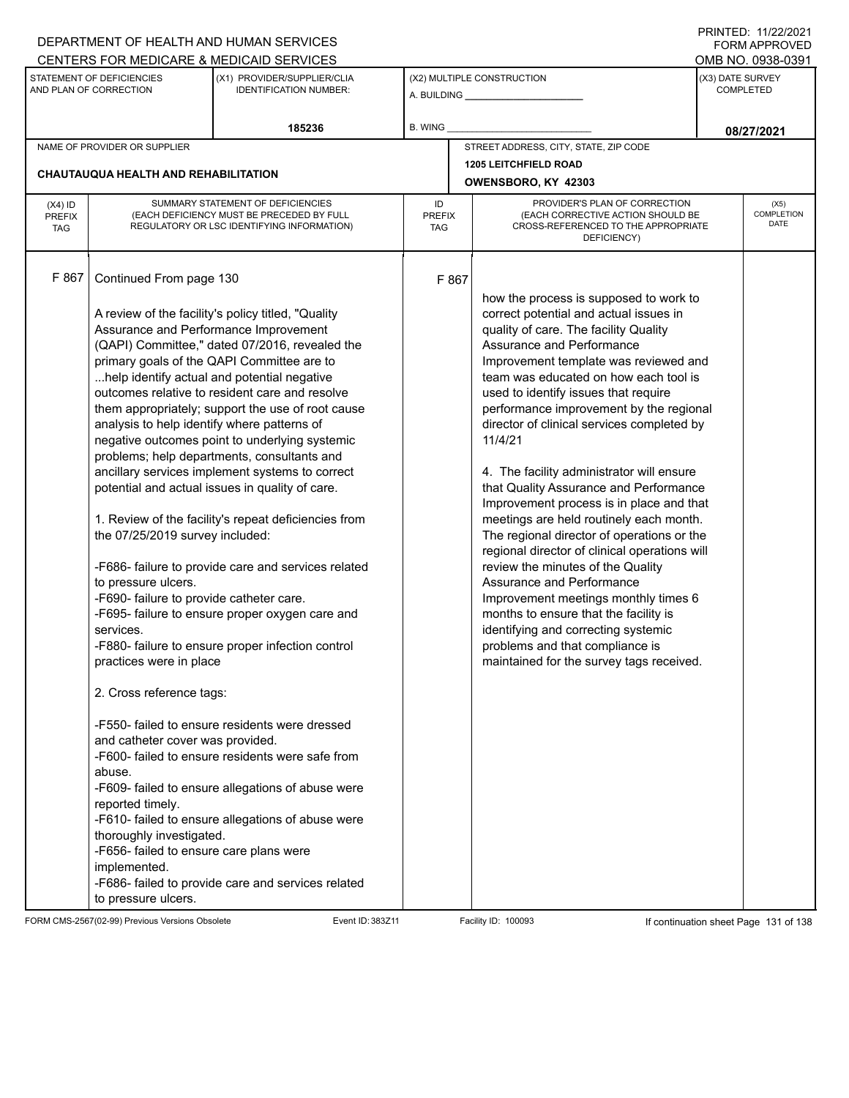|                                          |                                                                                                                                                                                                                                                                                                                                                                                                                                  | DEPARTMENT OF HEALTH AND HUMAN SERVICES                                                                                                                                                                                                                                                                                                                                                                                                                                                                                                                                                                                                                                                                                                                                                                                                                                                                                                                                                                                                               |                                                                                                                                                        |                                                                                                                                                                                                                                                                                                                                                                                                                                                                                                                                                                                                                                                                                                                                                                                                                                                                                                                                            |  | 111111111121112212121<br><b>FORM APPROVED</b> |  |
|------------------------------------------|----------------------------------------------------------------------------------------------------------------------------------------------------------------------------------------------------------------------------------------------------------------------------------------------------------------------------------------------------------------------------------------------------------------------------------|-------------------------------------------------------------------------------------------------------------------------------------------------------------------------------------------------------------------------------------------------------------------------------------------------------------------------------------------------------------------------------------------------------------------------------------------------------------------------------------------------------------------------------------------------------------------------------------------------------------------------------------------------------------------------------------------------------------------------------------------------------------------------------------------------------------------------------------------------------------------------------------------------------------------------------------------------------------------------------------------------------------------------------------------------------|--------------------------------------------------------------------------------------------------------------------------------------------------------|--------------------------------------------------------------------------------------------------------------------------------------------------------------------------------------------------------------------------------------------------------------------------------------------------------------------------------------------------------------------------------------------------------------------------------------------------------------------------------------------------------------------------------------------------------------------------------------------------------------------------------------------------------------------------------------------------------------------------------------------------------------------------------------------------------------------------------------------------------------------------------------------------------------------------------------------|--|-----------------------------------------------|--|
|                                          |                                                                                                                                                                                                                                                                                                                                                                                                                                  | CENTERS FOR MEDICARE & MEDICAID SERVICES                                                                                                                                                                                                                                                                                                                                                                                                                                                                                                                                                                                                                                                                                                                                                                                                                                                                                                                                                                                                              |                                                                                                                                                        |                                                                                                                                                                                                                                                                                                                                                                                                                                                                                                                                                                                                                                                                                                                                                                                                                                                                                                                                            |  | OMB NO. 0938-0391                             |  |
|                                          | STATEMENT OF DEFICIENCIES<br>AND PLAN OF CORRECTION                                                                                                                                                                                                                                                                                                                                                                              | (X1) PROVIDER/SUPPLIER/CLIA<br><b>IDENTIFICATION NUMBER:</b>                                                                                                                                                                                                                                                                                                                                                                                                                                                                                                                                                                                                                                                                                                                                                                                                                                                                                                                                                                                          |                                                                                                                                                        | (X2) MULTIPLE CONSTRUCTION                                                                                                                                                                                                                                                                                                                                                                                                                                                                                                                                                                                                                                                                                                                                                                                                                                                                                                                 |  | (X3) DATE SURVEY<br><b>COMPLETED</b>          |  |
|                                          |                                                                                                                                                                                                                                                                                                                                                                                                                                  | 185236                                                                                                                                                                                                                                                                                                                                                                                                                                                                                                                                                                                                                                                                                                                                                                                                                                                                                                                                                                                                                                                | B. WING                                                                                                                                                |                                                                                                                                                                                                                                                                                                                                                                                                                                                                                                                                                                                                                                                                                                                                                                                                                                                                                                                                            |  | 08/27/2021                                    |  |
|                                          | NAME OF PROVIDER OR SUPPLIER                                                                                                                                                                                                                                                                                                                                                                                                     |                                                                                                                                                                                                                                                                                                                                                                                                                                                                                                                                                                                                                                                                                                                                                                                                                                                                                                                                                                                                                                                       |                                                                                                                                                        | STREET ADDRESS, CITY, STATE, ZIP CODE                                                                                                                                                                                                                                                                                                                                                                                                                                                                                                                                                                                                                                                                                                                                                                                                                                                                                                      |  |                                               |  |
|                                          |                                                                                                                                                                                                                                                                                                                                                                                                                                  |                                                                                                                                                                                                                                                                                                                                                                                                                                                                                                                                                                                                                                                                                                                                                                                                                                                                                                                                                                                                                                                       |                                                                                                                                                        | <b>1205 LEITCHFIELD ROAD</b>                                                                                                                                                                                                                                                                                                                                                                                                                                                                                                                                                                                                                                                                                                                                                                                                                                                                                                               |  |                                               |  |
|                                          | <b>CHAUTAUQUA HEALTH AND REHABILITATION</b>                                                                                                                                                                                                                                                                                                                                                                                      |                                                                                                                                                                                                                                                                                                                                                                                                                                                                                                                                                                                                                                                                                                                                                                                                                                                                                                                                                                                                                                                       |                                                                                                                                                        | OWENSBORO, KY 42303                                                                                                                                                                                                                                                                                                                                                                                                                                                                                                                                                                                                                                                                                                                                                                                                                                                                                                                        |  |                                               |  |
| $(X4)$ ID<br><b>PREFIX</b><br><b>TAG</b> |                                                                                                                                                                                                                                                                                                                                                                                                                                  | SUMMARY STATEMENT OF DEFICIENCIES<br>(EACH DEFICIENCY MUST BE PRECEDED BY FULL<br>REGULATORY OR LSC IDENTIFYING INFORMATION)                                                                                                                                                                                                                                                                                                                                                                                                                                                                                                                                                                                                                                                                                                                                                                                                                                                                                                                          | PROVIDER'S PLAN OF CORRECTION<br>ID<br>(EACH CORRECTIVE ACTION SHOULD BE<br><b>PREFIX</b><br>CROSS-REFERENCED TO THE APPROPRIATE<br>TAG<br>DEFICIENCY) |                                                                                                                                                                                                                                                                                                                                                                                                                                                                                                                                                                                                                                                                                                                                                                                                                                                                                                                                            |  | (X5)<br><b>COMPLETION</b><br>DATE             |  |
| F 867                                    | Continued From page 130<br>analysis to help identify where patterns of<br>the 07/25/2019 survey included:<br>to pressure ulcers.<br>-F690- failure to provide catheter care.<br>services.<br>practices were in place<br>2. Cross reference tags:<br>and catheter cover was provided.<br>abuse.<br>reported timely.<br>thoroughly investigated.<br>-F656- failed to ensure care plans were<br>implemented.<br>to pressure ulcers. | A review of the facility's policy titled, "Quality<br>Assurance and Performance Improvement<br>(QAPI) Committee," dated 07/2016, revealed the<br>primary goals of the QAPI Committee are to<br>help identify actual and potential negative<br>outcomes relative to resident care and resolve<br>them appropriately; support the use of root cause<br>negative outcomes point to underlying systemic<br>problems; help departments, consultants and<br>ancillary services implement systems to correct<br>potential and actual issues in quality of care.<br>1. Review of the facility's repeat deficiencies from<br>-F686- failure to provide care and services related<br>-F695- failure to ensure proper oxygen care and<br>-F880- failure to ensure proper infection control<br>-F550- failed to ensure residents were dressed<br>-F600- failed to ensure residents were safe from<br>-F609- failed to ensure allegations of abuse were<br>-F610- failed to ensure allegations of abuse were<br>-F686- failed to provide care and services related | F 867                                                                                                                                                  | how the process is supposed to work to<br>correct potential and actual issues in<br>quality of care. The facility Quality<br>Assurance and Performance<br>Improvement template was reviewed and<br>team was educated on how each tool is<br>used to identify issues that require<br>performance improvement by the regional<br>director of clinical services completed by<br>11/4/21<br>4. The facility administrator will ensure<br>that Quality Assurance and Performance<br>Improvement process is in place and that<br>meetings are held routinely each month.<br>The regional director of operations or the<br>regional director of clinical operations will<br>review the minutes of the Quality<br>Assurance and Performance<br>Improvement meetings monthly times 6<br>months to ensure that the facility is<br>identifying and correcting systemic<br>problems and that compliance is<br>maintained for the survey tags received. |  |                                               |  |

FORM CMS-2567(02-99) Previous Versions Obsolete Event ID: 383Z11 Facility ID: 100093 If continuation sheet Page 131 of 138

PRINTED: 11/22/2021 FORM APPROVED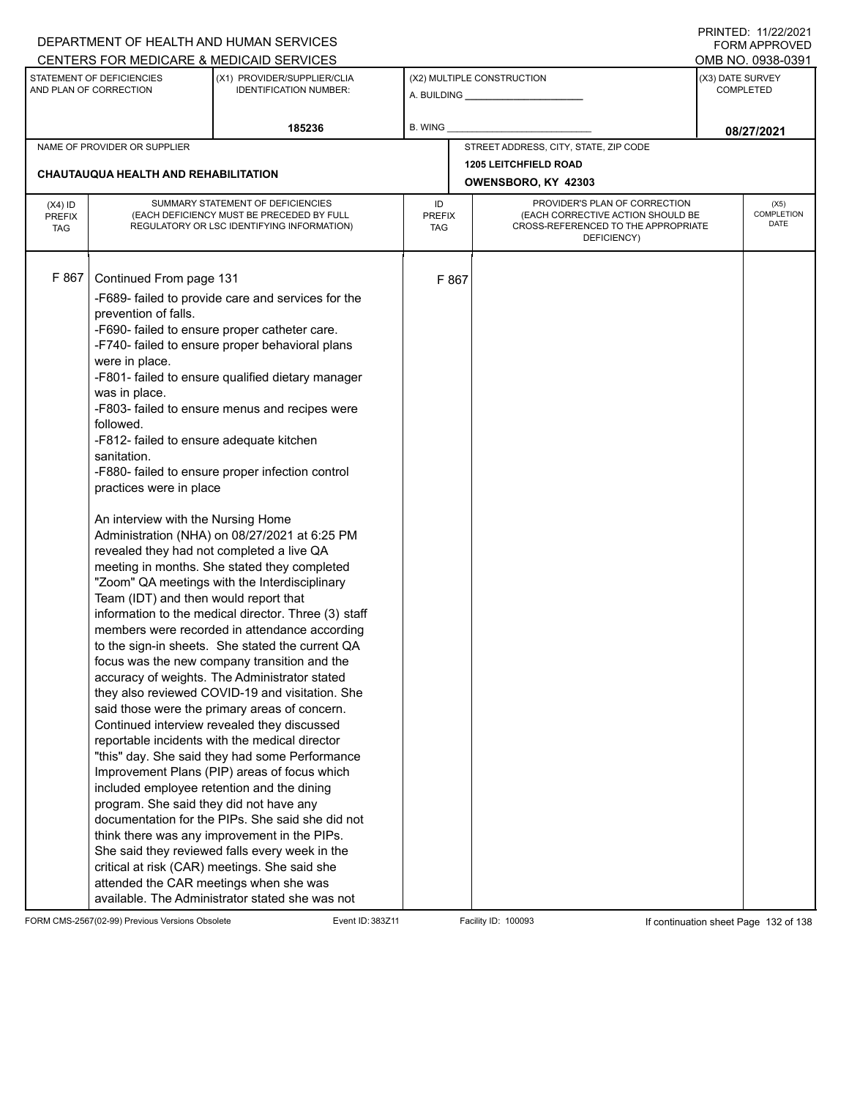| DEPARTMENT OF HEALTH AND HUMAN SERVICES                                                                                                                                                  |                                                                                                                                                                                                                                                                                                                                                                                                                                                                                                                                                                                                                                                                                                                                                                                                                                                                                                                                                                                                                                                                                                                                                                                                                                                                                                                                                                                                                                                                                                                                                                         |         |                                                                                                                                                        |                                                              |                  | FORM APPROVED                            |
|------------------------------------------------------------------------------------------------------------------------------------------------------------------------------------------|-------------------------------------------------------------------------------------------------------------------------------------------------------------------------------------------------------------------------------------------------------------------------------------------------------------------------------------------------------------------------------------------------------------------------------------------------------------------------------------------------------------------------------------------------------------------------------------------------------------------------------------------------------------------------------------------------------------------------------------------------------------------------------------------------------------------------------------------------------------------------------------------------------------------------------------------------------------------------------------------------------------------------------------------------------------------------------------------------------------------------------------------------------------------------------------------------------------------------------------------------------------------------------------------------------------------------------------------------------------------------------------------------------------------------------------------------------------------------------------------------------------------------------------------------------------------------|---------|--------------------------------------------------------------------------------------------------------------------------------------------------------|--------------------------------------------------------------|------------------|------------------------------------------|
| CENTERS FOR MEDICARE & MEDICAID SERVICES                                                                                                                                                 |                                                                                                                                                                                                                                                                                                                                                                                                                                                                                                                                                                                                                                                                                                                                                                                                                                                                                                                                                                                                                                                                                                                                                                                                                                                                                                                                                                                                                                                                                                                                                                         |         |                                                                                                                                                        |                                                              |                  | OMB NO. 0938-0391                        |
| STATEMENT OF DEFICIENCIES<br>AND PLAN OF CORRECTION                                                                                                                                      | (X1) PROVIDER/SUPPLIER/CLIA<br><b>IDENTIFICATION NUMBER:</b>                                                                                                                                                                                                                                                                                                                                                                                                                                                                                                                                                                                                                                                                                                                                                                                                                                                                                                                                                                                                                                                                                                                                                                                                                                                                                                                                                                                                                                                                                                            |         |                                                                                                                                                        | (X2) MULTIPLE CONSTRUCTION<br>A. BUILDING <b>A.</b> BUILDING | (X3) DATE SURVEY | <b>COMPLETED</b>                         |
|                                                                                                                                                                                          | 185236                                                                                                                                                                                                                                                                                                                                                                                                                                                                                                                                                                                                                                                                                                                                                                                                                                                                                                                                                                                                                                                                                                                                                                                                                                                                                                                                                                                                                                                                                                                                                                  | B. WING |                                                                                                                                                        |                                                              |                  | 08/27/2021                               |
| NAME OF PROVIDER OR SUPPLIER                                                                                                                                                             |                                                                                                                                                                                                                                                                                                                                                                                                                                                                                                                                                                                                                                                                                                                                                                                                                                                                                                                                                                                                                                                                                                                                                                                                                                                                                                                                                                                                                                                                                                                                                                         |         |                                                                                                                                                        | STREET ADDRESS, CITY, STATE, ZIP CODE                        |                  |                                          |
|                                                                                                                                                                                          |                                                                                                                                                                                                                                                                                                                                                                                                                                                                                                                                                                                                                                                                                                                                                                                                                                                                                                                                                                                                                                                                                                                                                                                                                                                                                                                                                                                                                                                                                                                                                                         |         |                                                                                                                                                        | <b>1205 LEITCHFIELD ROAD</b>                                 |                  |                                          |
| <b>CHAUTAUQUA HEALTH AND REHABILITATION</b>                                                                                                                                              |                                                                                                                                                                                                                                                                                                                                                                                                                                                                                                                                                                                                                                                                                                                                                                                                                                                                                                                                                                                                                                                                                                                                                                                                                                                                                                                                                                                                                                                                                                                                                                         |         |                                                                                                                                                        | OWENSBORO, KY 42303                                          |                  |                                          |
| $(X4)$ ID<br><b>PREFIX</b><br><b>TAG</b>                                                                                                                                                 | SUMMARY STATEMENT OF DEFICIENCIES<br>(EACH DEFICIENCY MUST BE PRECEDED BY FULL<br>REGULATORY OR LSC IDENTIFYING INFORMATION)                                                                                                                                                                                                                                                                                                                                                                                                                                                                                                                                                                                                                                                                                                                                                                                                                                                                                                                                                                                                                                                                                                                                                                                                                                                                                                                                                                                                                                            |         | PROVIDER'S PLAN OF CORRECTION<br>ID<br>(EACH CORRECTIVE ACTION SHOULD BE<br><b>PREFIX</b><br>CROSS-REFERENCED TO THE APPROPRIATE<br>TAG<br>DEFICIENCY) |                                                              |                  | (X5)<br><b>COMPLETION</b><br><b>DATE</b> |
| F 867<br>Continued From page 131<br>prevention of falls.<br>were in place.<br>was in place.<br>followed.<br>sanitation.<br>practices were in place<br>An interview with the Nursing Home | -F689- failed to provide care and services for the<br>-F690- failed to ensure proper catheter care.<br>-F740- failed to ensure proper behavioral plans<br>-F801- failed to ensure qualified dietary manager<br>-F803- failed to ensure menus and recipes were<br>-F812- failed to ensure adequate kitchen<br>-F880- failed to ensure proper infection control<br>Administration (NHA) on 08/27/2021 at 6:25 PM<br>revealed they had not completed a live QA<br>meeting in months. She stated they completed<br>"Zoom" QA meetings with the Interdisciplinary<br>Team (IDT) and then would report that<br>information to the medical director. Three (3) staff<br>members were recorded in attendance according<br>to the sign-in sheets. She stated the current QA<br>focus was the new company transition and the<br>accuracy of weights. The Administrator stated<br>they also reviewed COVID-19 and visitation. She<br>said those were the primary areas of concern.<br>Continued interview revealed they discussed<br>reportable incidents with the medical director<br>"this" day. She said they had some Performance<br>Improvement Plans (PIP) areas of focus which<br>included employee retention and the dining<br>program. She said they did not have any<br>documentation for the PIPs. She said she did not<br>think there was any improvement in the PIPs.<br>She said they reviewed falls every week in the<br>critical at risk (CAR) meetings. She said she<br>attended the CAR meetings when she was<br>available. The Administrator stated she was not |         | F 867                                                                                                                                                  |                                                              |                  |                                          |

FORM CMS-2567(02-99) Previous Versions Obsolete Event ID: 383Z11 Facility ID: 100093 If continuation sheet Page 132 of 138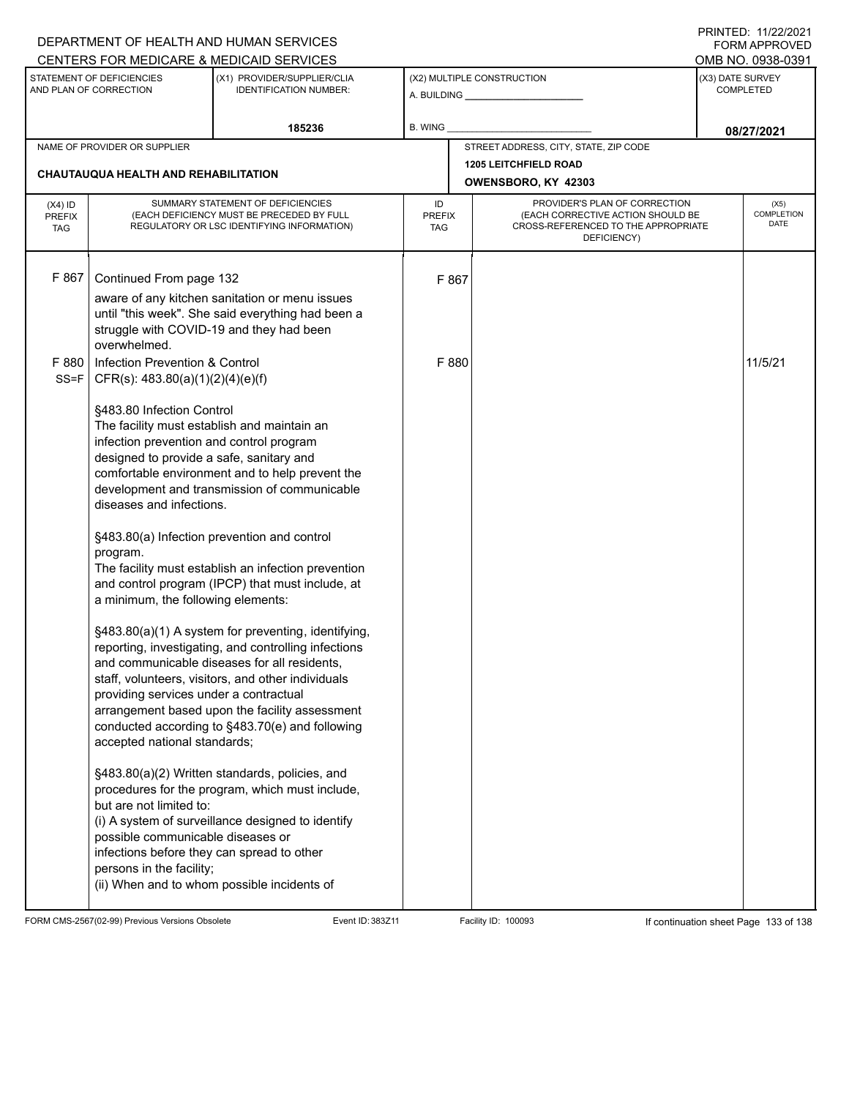|                                   |                                                                                                                                                                                                                                                                                               | DEPARTMENT OF HEALTH AND HUMAN SERVICES                                                                                                                                                                                                                                                                                |         |       |                                                     |                                      | 111111111121112212121<br>FORM APPROVED |
|-----------------------------------|-----------------------------------------------------------------------------------------------------------------------------------------------------------------------------------------------------------------------------------------------------------------------------------------------|------------------------------------------------------------------------------------------------------------------------------------------------------------------------------------------------------------------------------------------------------------------------------------------------------------------------|---------|-------|-----------------------------------------------------|--------------------------------------|----------------------------------------|
|                                   |                                                                                                                                                                                                                                                                                               | CENTERS FOR MEDICARE & MEDICAID SERVICES                                                                                                                                                                                                                                                                               |         |       |                                                     |                                      | OMB NO. 0938-0391                      |
|                                   | STATEMENT OF DEFICIENCIES<br>AND PLAN OF CORRECTION                                                                                                                                                                                                                                           | (X1) PROVIDER/SUPPLIER/CLIA<br><b>IDENTIFICATION NUMBER:</b>                                                                                                                                                                                                                                                           |         |       | (X2) MULTIPLE CONSTRUCTION                          | (X3) DATE SURVEY<br><b>COMPLETED</b> |                                        |
|                                   |                                                                                                                                                                                                                                                                                               | 185236                                                                                                                                                                                                                                                                                                                 | B. WING |       |                                                     |                                      | 08/27/2021                             |
|                                   | NAME OF PROVIDER OR SUPPLIER                                                                                                                                                                                                                                                                  |                                                                                                                                                                                                                                                                                                                        |         |       | STREET ADDRESS, CITY, STATE, ZIP CODE               |                                      |                                        |
|                                   | <b>CHAUTAUQUA HEALTH AND REHABILITATION</b>                                                                                                                                                                                                                                                   |                                                                                                                                                                                                                                                                                                                        |         |       | <b>1205 LEITCHFIELD ROAD</b><br>OWENSBORO, KY 42303 |                                      |                                        |
| $(X4)$ ID<br>PREFIX<br><b>TAG</b> | SUMMARY STATEMENT OF DEFICIENCIES<br>PROVIDER'S PLAN OF CORRECTION<br>ID<br>(EACH CORRECTIVE ACTION SHOULD BE<br>(EACH DEFICIENCY MUST BE PRECEDED BY FULL<br><b>PREFIX</b><br>CROSS-REFERENCED TO THE APPROPRIATE<br>REGULATORY OR LSC IDENTIFYING INFORMATION)<br><b>TAG</b><br>DEFICIENCY) |                                                                                                                                                                                                                                                                                                                        |         |       | (X5)<br><b>COMPLETION</b><br><b>DATE</b>            |                                      |                                        |
| F 867                             | Continued From page 132<br>overwhelmed.                                                                                                                                                                                                                                                       | aware of any kitchen sanitation or menu issues<br>until "this week". She said everything had been a<br>struggle with COVID-19 and they had been                                                                                                                                                                        |         | F 867 |                                                     |                                      |                                        |
| F 880<br>$SS = F$                 | Infection Prevention & Control<br>CFR(s): $483.80(a)(1)(2)(4)(e)(f)$                                                                                                                                                                                                                          |                                                                                                                                                                                                                                                                                                                        |         | F 880 |                                                     |                                      | 11/5/21                                |
|                                   | §483.80 Infection Control<br>The facility must establish and maintain an<br>infection prevention and control program<br>designed to provide a safe, sanitary and<br>diseases and infections.                                                                                                  | comfortable environment and to help prevent the<br>development and transmission of communicable                                                                                                                                                                                                                        |         |       |                                                     |                                      |                                        |
|                                   | program.<br>a minimum, the following elements:                                                                                                                                                                                                                                                | §483.80(a) Infection prevention and control<br>The facility must establish an infection prevention<br>and control program (IPCP) that must include, at                                                                                                                                                                 |         |       |                                                     |                                      |                                        |
|                                   | providing services under a contractual<br>accepted national standards;                                                                                                                                                                                                                        | §483.80(a)(1) A system for preventing, identifying,<br>reporting, investigating, and controlling infections<br>and communicable diseases for all residents,<br>staff, volunteers, visitors, and other individuals<br>arrangement based upon the facility assessment<br>conducted according to §483.70(e) and following |         |       |                                                     |                                      |                                        |
|                                   | but are not limited to:<br>possible communicable diseases or<br>infections before they can spread to other<br>persons in the facility;                                                                                                                                                        | §483.80(a)(2) Written standards, policies, and<br>procedures for the program, which must include,<br>(i) A system of surveillance designed to identify<br>(ii) When and to whom possible incidents of                                                                                                                  |         |       |                                                     |                                      |                                        |

FORM CMS-2567(02-99) Previous Versions Obsolete Event ID: 383Z11 Facility ID: 100093 If continuation sheet Page 133 of 138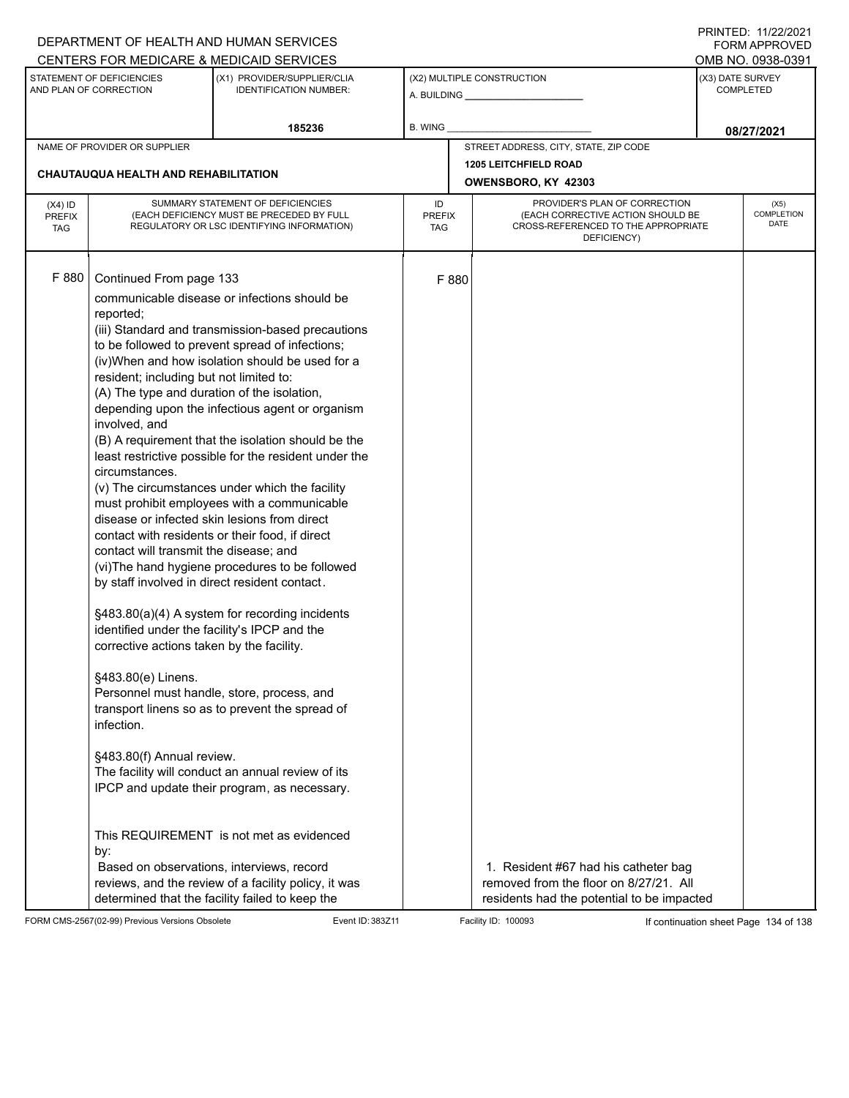|                                          |                                                                                                                                                                                                                                                                                                                                                                                                                                                                                   | DEPARTMENT OF HEALTH AND HUMAN SERVICES<br>CENTERS FOR MEDICARE & MEDICAID SERVICES                                                                                                                                                                                                                                                                                                                                                                                                                                                                                                                                                                                                                                                                                                                                                                                                                                                                                                                                                          |                                   |                                                                                                                                       | FININILU. IIIZZIZUZI<br><b>FORM APPROVED</b><br>OMB NO. 0938-0391 |
|------------------------------------------|-----------------------------------------------------------------------------------------------------------------------------------------------------------------------------------------------------------------------------------------------------------------------------------------------------------------------------------------------------------------------------------------------------------------------------------------------------------------------------------|----------------------------------------------------------------------------------------------------------------------------------------------------------------------------------------------------------------------------------------------------------------------------------------------------------------------------------------------------------------------------------------------------------------------------------------------------------------------------------------------------------------------------------------------------------------------------------------------------------------------------------------------------------------------------------------------------------------------------------------------------------------------------------------------------------------------------------------------------------------------------------------------------------------------------------------------------------------------------------------------------------------------------------------------|-----------------------------------|---------------------------------------------------------------------------------------------------------------------------------------|-------------------------------------------------------------------|
|                                          | STATEMENT OF DEFICIENCIES<br>AND PLAN OF CORRECTION                                                                                                                                                                                                                                                                                                                                                                                                                               | (X1) PROVIDER/SUPPLIER/CLIA<br><b>IDENTIFICATION NUMBER:</b>                                                                                                                                                                                                                                                                                                                                                                                                                                                                                                                                                                                                                                                                                                                                                                                                                                                                                                                                                                                 |                                   | (X2) MULTIPLE CONSTRUCTION                                                                                                            | (X3) DATE SURVEY<br><b>COMPLETED</b>                              |
|                                          |                                                                                                                                                                                                                                                                                                                                                                                                                                                                                   | 185236                                                                                                                                                                                                                                                                                                                                                                                                                                                                                                                                                                                                                                                                                                                                                                                                                                                                                                                                                                                                                                       | <b>B. WING</b>                    |                                                                                                                                       | 08/27/2021                                                        |
|                                          | NAME OF PROVIDER OR SUPPLIER                                                                                                                                                                                                                                                                                                                                                                                                                                                      |                                                                                                                                                                                                                                                                                                                                                                                                                                                                                                                                                                                                                                                                                                                                                                                                                                                                                                                                                                                                                                              |                                   | STREET ADDRESS, CITY, STATE, ZIP CODE                                                                                                 |                                                                   |
|                                          | <b>CHAUTAUQUA HEALTH AND REHABILITATION</b>                                                                                                                                                                                                                                                                                                                                                                                                                                       |                                                                                                                                                                                                                                                                                                                                                                                                                                                                                                                                                                                                                                                                                                                                                                                                                                                                                                                                                                                                                                              |                                   | <b>1205 LEITCHFIELD ROAD</b><br>OWENSBORO, KY 42303                                                                                   |                                                                   |
| $(X4)$ ID<br><b>PREFIX</b><br><b>TAG</b> |                                                                                                                                                                                                                                                                                                                                                                                                                                                                                   | SUMMARY STATEMENT OF DEFICIENCIES<br>(EACH DEFICIENCY MUST BE PRECEDED BY FULL<br>REGULATORY OR LSC IDENTIFYING INFORMATION)                                                                                                                                                                                                                                                                                                                                                                                                                                                                                                                                                                                                                                                                                                                                                                                                                                                                                                                 | ID<br><b>PREFIX</b><br><b>TAG</b> | PROVIDER'S PLAN OF CORRECTION<br>(EACH CORRECTIVE ACTION SHOULD BE<br>CROSS-REFERENCED TO THE APPROPRIATE<br>DEFICIENCY)              | (X5)<br>COMPLETION<br><b>DATE</b>                                 |
| F 880                                    | Continued From page 133<br>reported;<br>resident; including but not limited to:<br>(A) The type and duration of the isolation,<br>involved, and<br>circumstances.<br>disease or infected skin lesions from direct<br>contact will transmit the disease; and<br>by staff involved in direct resident contact.<br>identified under the facility's IPCP and the<br>corrective actions taken by the facility.<br>§483.80(e) Linens.<br>infection.<br>§483.80(f) Annual review.<br>by: | communicable disease or infections should be<br>(iii) Standard and transmission-based precautions<br>to be followed to prevent spread of infections;<br>(iv)When and how isolation should be used for a<br>depending upon the infectious agent or organism<br>(B) A requirement that the isolation should be the<br>least restrictive possible for the resident under the<br>(v) The circumstances under which the facility<br>must prohibit employees with a communicable<br>contact with residents or their food, if direct<br>(vi) The hand hygiene procedures to be followed<br>§483.80(a)(4) A system for recording incidents<br>Personnel must handle, store, process, and<br>transport linens so as to prevent the spread of<br>The facility will conduct an annual review of its<br>IPCP and update their program, as necessary.<br>This REQUIREMENT is not met as evidenced<br>Based on observations, interviews, record<br>reviews, and the review of a facility policy, it was<br>determined that the facility failed to keep the |                                   | F 880<br>1. Resident #67 had his catheter bag<br>removed from the floor on 8/27/21. All<br>residents had the potential to be impacted |                                                                   |

FORM CMS-2567(02-99) Previous Versions Obsolete Event ID: 383Z11 Facility ID: 100093 If continuation sheet Page 134 of 138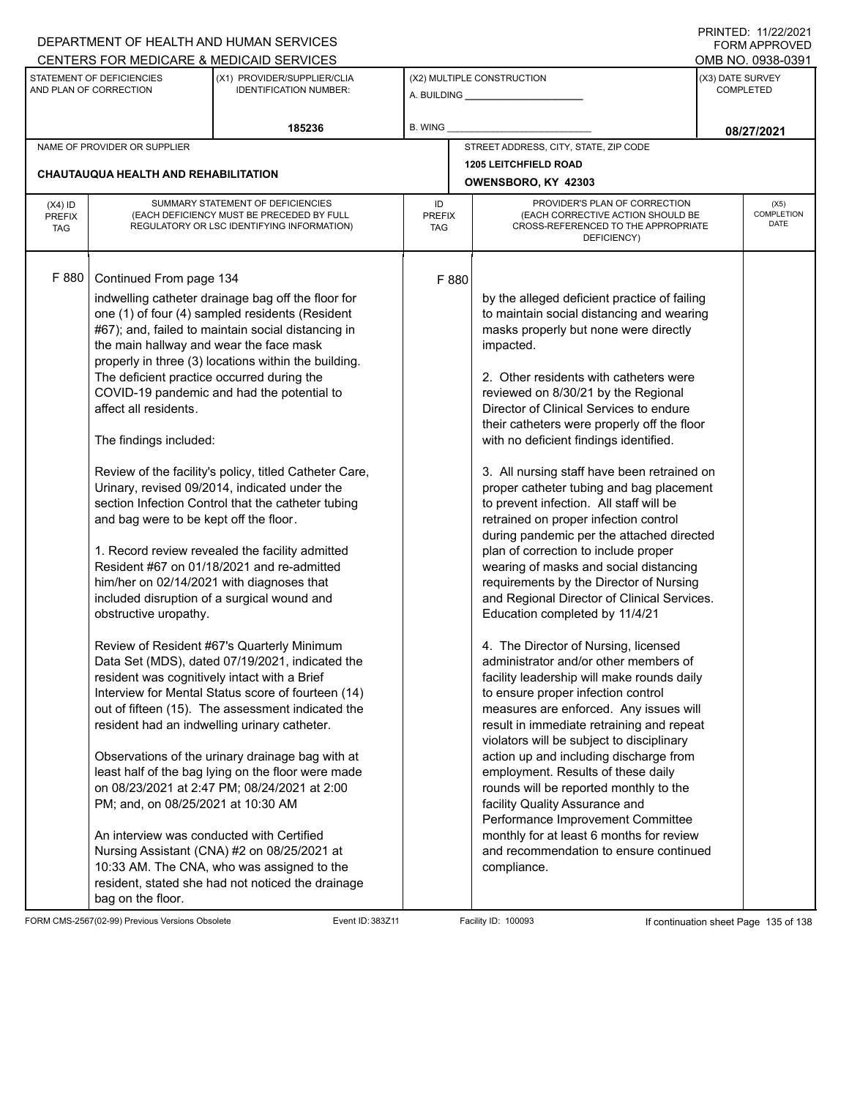|                                                                                      |                                                                                                                                                                                                                                                                                                                                                                                                                        | DEPARTMENT OF HEALTH AND HUMAN SERVICES                                                                                                                                                                                                                                                                                                                                                                                                                                                                                                                                                                                                                                                                                                                                                                                                                                                                                                                                                                                                                 |                                   |                                                                                                                                                                                                                                                                                                                                                                                                                                                                                                                                                                                                                                                                                                                                                                                                                                                                                                                                                                                                                                                                                                                                                                                                                                                                                                                                                                                                                | <b>FORM APPROVED</b>                     |
|--------------------------------------------------------------------------------------|------------------------------------------------------------------------------------------------------------------------------------------------------------------------------------------------------------------------------------------------------------------------------------------------------------------------------------------------------------------------------------------------------------------------|---------------------------------------------------------------------------------------------------------------------------------------------------------------------------------------------------------------------------------------------------------------------------------------------------------------------------------------------------------------------------------------------------------------------------------------------------------------------------------------------------------------------------------------------------------------------------------------------------------------------------------------------------------------------------------------------------------------------------------------------------------------------------------------------------------------------------------------------------------------------------------------------------------------------------------------------------------------------------------------------------------------------------------------------------------|-----------------------------------|----------------------------------------------------------------------------------------------------------------------------------------------------------------------------------------------------------------------------------------------------------------------------------------------------------------------------------------------------------------------------------------------------------------------------------------------------------------------------------------------------------------------------------------------------------------------------------------------------------------------------------------------------------------------------------------------------------------------------------------------------------------------------------------------------------------------------------------------------------------------------------------------------------------------------------------------------------------------------------------------------------------------------------------------------------------------------------------------------------------------------------------------------------------------------------------------------------------------------------------------------------------------------------------------------------------------------------------------------------------------------------------------------------------|------------------------------------------|
|                                                                                      |                                                                                                                                                                                                                                                                                                                                                                                                                        | CENTERS FOR MEDICARE & MEDICAID SERVICES                                                                                                                                                                                                                                                                                                                                                                                                                                                                                                                                                                                                                                                                                                                                                                                                                                                                                                                                                                                                                |                                   |                                                                                                                                                                                                                                                                                                                                                                                                                                                                                                                                                                                                                                                                                                                                                                                                                                                                                                                                                                                                                                                                                                                                                                                                                                                                                                                                                                                                                | OMB NO. 0938-0391                        |
| STATEMENT OF DEFICIENCIES<br>AND PLAN OF CORRECTION<br><b>IDENTIFICATION NUMBER:</b> |                                                                                                                                                                                                                                                                                                                                                                                                                        | (X1) PROVIDER/SUPPLIER/CLIA                                                                                                                                                                                                                                                                                                                                                                                                                                                                                                                                                                                                                                                                                                                                                                                                                                                                                                                                                                                                                             |                                   | (X2) MULTIPLE CONSTRUCTION                                                                                                                                                                                                                                                                                                                                                                                                                                                                                                                                                                                                                                                                                                                                                                                                                                                                                                                                                                                                                                                                                                                                                                                                                                                                                                                                                                                     | (X3) DATE SURVEY<br><b>COMPLETED</b>     |
|                                                                                      |                                                                                                                                                                                                                                                                                                                                                                                                                        | 185236                                                                                                                                                                                                                                                                                                                                                                                                                                                                                                                                                                                                                                                                                                                                                                                                                                                                                                                                                                                                                                                  | B. WING                           |                                                                                                                                                                                                                                                                                                                                                                                                                                                                                                                                                                                                                                                                                                                                                                                                                                                                                                                                                                                                                                                                                                                                                                                                                                                                                                                                                                                                                | 08/27/2021                               |
|                                                                                      | NAME OF PROVIDER OR SUPPLIER                                                                                                                                                                                                                                                                                                                                                                                           |                                                                                                                                                                                                                                                                                                                                                                                                                                                                                                                                                                                                                                                                                                                                                                                                                                                                                                                                                                                                                                                         |                                   | STREET ADDRESS, CITY, STATE, ZIP CODE                                                                                                                                                                                                                                                                                                                                                                                                                                                                                                                                                                                                                                                                                                                                                                                                                                                                                                                                                                                                                                                                                                                                                                                                                                                                                                                                                                          |                                          |
|                                                                                      | <b>CHAUTAUQUA HEALTH AND REHABILITATION</b>                                                                                                                                                                                                                                                                                                                                                                            |                                                                                                                                                                                                                                                                                                                                                                                                                                                                                                                                                                                                                                                                                                                                                                                                                                                                                                                                                                                                                                                         |                                   | <b>1205 LEITCHFIELD ROAD</b>                                                                                                                                                                                                                                                                                                                                                                                                                                                                                                                                                                                                                                                                                                                                                                                                                                                                                                                                                                                                                                                                                                                                                                                                                                                                                                                                                                                   |                                          |
|                                                                                      |                                                                                                                                                                                                                                                                                                                                                                                                                        |                                                                                                                                                                                                                                                                                                                                                                                                                                                                                                                                                                                                                                                                                                                                                                                                                                                                                                                                                                                                                                                         |                                   | OWENSBORO, KY 42303                                                                                                                                                                                                                                                                                                                                                                                                                                                                                                                                                                                                                                                                                                                                                                                                                                                                                                                                                                                                                                                                                                                                                                                                                                                                                                                                                                                            |                                          |
| $(X4)$ ID<br><b>PREFIX</b><br><b>TAG</b>                                             |                                                                                                                                                                                                                                                                                                                                                                                                                        | SUMMARY STATEMENT OF DEFICIENCIES<br>(EACH DEFICIENCY MUST BE PRECEDED BY FULL<br>REGULATORY OR LSC IDENTIFYING INFORMATION)                                                                                                                                                                                                                                                                                                                                                                                                                                                                                                                                                                                                                                                                                                                                                                                                                                                                                                                            | ID<br><b>PREFIX</b><br><b>TAG</b> | PROVIDER'S PLAN OF CORRECTION<br>(EACH CORRECTIVE ACTION SHOULD BE<br>CROSS-REFERENCED TO THE APPROPRIATE<br>DEFICIENCY)                                                                                                                                                                                                                                                                                                                                                                                                                                                                                                                                                                                                                                                                                                                                                                                                                                                                                                                                                                                                                                                                                                                                                                                                                                                                                       | (X5)<br><b>COMPLETION</b><br><b>DATE</b> |
| F 880                                                                                | Continued From page 134<br>the main hallway and wear the face mask<br>The deficient practice occurred during the<br>affect all residents.<br>The findings included:<br>and bag were to be kept off the floor.<br>him/her on 02/14/2021 with diagnoses that<br>obstructive uropathy.<br>resident was cognitively intact with a Brief<br>PM; and, on 08/25/2021 at 10:30 AM<br>An interview was conducted with Certified | indwelling catheter drainage bag off the floor for<br>one (1) of four (4) sampled residents (Resident<br>#67); and, failed to maintain social distancing in<br>properly in three (3) locations within the building.<br>COVID-19 pandemic and had the potential to<br>Review of the facility's policy, titled Catheter Care,<br>Urinary, revised 09/2014, indicated under the<br>section Infection Control that the catheter tubing<br>1. Record review revealed the facility admitted<br>Resident #67 on 01/18/2021 and re-admitted<br>included disruption of a surgical wound and<br>Review of Resident #67's Quarterly Minimum<br>Data Set (MDS), dated 07/19/2021, indicated the<br>Interview for Mental Status score of fourteen (14)<br>out of fifteen (15). The assessment indicated the<br>resident had an indwelling urinary catheter.<br>Observations of the urinary drainage bag with at<br>least half of the bag lying on the floor were made<br>on 08/23/2021 at 2:47 PM; 08/24/2021 at 2:00<br>Nursing Assistant (CNA) #2 on 08/25/2021 at | F 880                             | by the alleged deficient practice of failing<br>to maintain social distancing and wearing<br>masks properly but none were directly<br>impacted.<br>2. Other residents with catheters were<br>reviewed on 8/30/21 by the Regional<br>Director of Clinical Services to endure<br>their catheters were properly off the floor<br>with no deficient findings identified.<br>3. All nursing staff have been retrained on<br>proper catheter tubing and bag placement<br>to prevent infection. All staff will be<br>retrained on proper infection control<br>during pandemic per the attached directed<br>plan of correction to include proper<br>wearing of masks and social distancing<br>requirements by the Director of Nursing<br>and Regional Director of Clinical Services.<br>Education completed by 11/4/21<br>4. The Director of Nursing, licensed<br>administrator and/or other members of<br>facility leadership will make rounds daily<br>to ensure proper infection control<br>measures are enforced. Any issues will<br>result in immediate retraining and repeat<br>violators will be subject to disciplinary<br>action up and including discharge from<br>employment. Results of these daily<br>rounds will be reported monthly to the<br>facility Quality Assurance and<br>Performance Improvement Committee<br>monthly for at least 6 months for review<br>and recommendation to ensure continued |                                          |
|                                                                                      | bag on the floor.                                                                                                                                                                                                                                                                                                                                                                                                      | 10:33 AM. The CNA, who was assigned to the<br>resident, stated she had not noticed the drainage                                                                                                                                                                                                                                                                                                                                                                                                                                                                                                                                                                                                                                                                                                                                                                                                                                                                                                                                                         |                                   | compliance.                                                                                                                                                                                                                                                                                                                                                                                                                                                                                                                                                                                                                                                                                                                                                                                                                                                                                                                                                                                                                                                                                                                                                                                                                                                                                                                                                                                                    |                                          |

FORM CMS-2567(02-99) Previous Versions Obsolete Event ID: 383Z11 Facility ID: 100093 If continuation sheet Page 135 of 138

DEPARTMENT OF HEALTH AND HUMAN SERVICES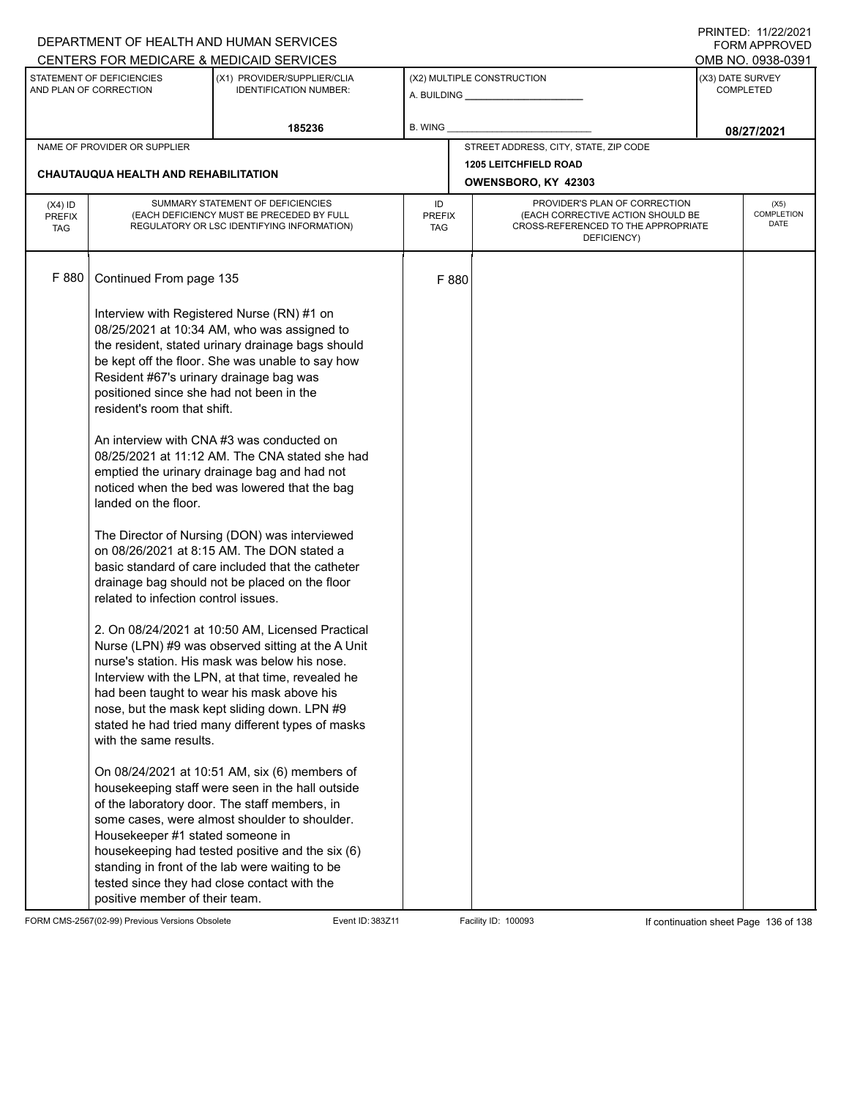|                                                                                                                     |                                                                                                                                                                                                              | DEPARTMENT OF HEALTH AND HUMAN SERVICES<br>CENTERS FOR MEDICARE & MEDICAID SERVICES                                                                                                                                                                                                                                                                                                                                                                                                                                                                                                                                                                                                                                                                                                                                                                                                                                                                                                                                        |                            |       |                                                                                                                          |  | I INITILD. III <i>ll</i> iculi<br>FORM APPROVED<br>OMB NO. 0938-0391 |
|---------------------------------------------------------------------------------------------------------------------|--------------------------------------------------------------------------------------------------------------------------------------------------------------------------------------------------------------|----------------------------------------------------------------------------------------------------------------------------------------------------------------------------------------------------------------------------------------------------------------------------------------------------------------------------------------------------------------------------------------------------------------------------------------------------------------------------------------------------------------------------------------------------------------------------------------------------------------------------------------------------------------------------------------------------------------------------------------------------------------------------------------------------------------------------------------------------------------------------------------------------------------------------------------------------------------------------------------------------------------------------|----------------------------|-------|--------------------------------------------------------------------------------------------------------------------------|--|----------------------------------------------------------------------|
| STATEMENT OF DEFICIENCIES<br>(X1) PROVIDER/SUPPLIER/CLIA<br>AND PLAN OF CORRECTION<br><b>IDENTIFICATION NUMBER:</b> |                                                                                                                                                                                                              | (X2) MULTIPLE CONSTRUCTION<br>A. BUILDING <b>A.</b> BUILDING                                                                                                                                                                                                                                                                                                                                                                                                                                                                                                                                                                                                                                                                                                                                                                                                                                                                                                                                                               |                            |       | (X3) DATE SURVEY<br><b>COMPLETED</b>                                                                                     |  |                                                                      |
|                                                                                                                     |                                                                                                                                                                                                              | 185236                                                                                                                                                                                                                                                                                                                                                                                                                                                                                                                                                                                                                                                                                                                                                                                                                                                                                                                                                                                                                     | B. WING                    |       |                                                                                                                          |  | 08/27/2021                                                           |
| NAME OF PROVIDER OR SUPPLIER                                                                                        |                                                                                                                                                                                                              |                                                                                                                                                                                                                                                                                                                                                                                                                                                                                                                                                                                                                                                                                                                                                                                                                                                                                                                                                                                                                            |                            |       | STREET ADDRESS, CITY, STATE, ZIP CODE                                                                                    |  |                                                                      |
| CHAUTAUQUA HEALTH AND REHABILITATION                                                                                |                                                                                                                                                                                                              |                                                                                                                                                                                                                                                                                                                                                                                                                                                                                                                                                                                                                                                                                                                                                                                                                                                                                                                                                                                                                            |                            |       | <b>1205 LEITCHFIELD ROAD</b><br>OWENSBORO, KY 42303                                                                      |  |                                                                      |
| $(X4)$ ID<br><b>PREFIX</b><br><b>TAG</b>                                                                            |                                                                                                                                                                                                              | SUMMARY STATEMENT OF DEFICIENCIES<br>(EACH DEFICIENCY MUST BE PRECEDED BY FULL<br>REGULATORY OR LSC IDENTIFYING INFORMATION)                                                                                                                                                                                                                                                                                                                                                                                                                                                                                                                                                                                                                                                                                                                                                                                                                                                                                               | ID<br><b>PREFIX</b><br>TAG |       | PROVIDER'S PLAN OF CORRECTION<br>(EACH CORRECTIVE ACTION SHOULD BE<br>CROSS-REFERENCED TO THE APPROPRIATE<br>DEFICIENCY) |  | (X5)<br><b>COMPLETION</b><br><b>DATE</b>                             |
| F 880                                                                                                               | Continued From page 135                                                                                                                                                                                      |                                                                                                                                                                                                                                                                                                                                                                                                                                                                                                                                                                                                                                                                                                                                                                                                                                                                                                                                                                                                                            |                            | F 880 |                                                                                                                          |  |                                                                      |
|                                                                                                                     | Resident #67's urinary drainage bag was<br>positioned since she had not been in the<br>resident's room that shift.<br>landed on the floor.<br>related to infection control issues.<br>with the same results. | Interview with Registered Nurse (RN) #1 on<br>08/25/2021 at 10:34 AM, who was assigned to<br>the resident, stated urinary drainage bags should<br>be kept off the floor. She was unable to say how<br>An interview with CNA#3 was conducted on<br>08/25/2021 at 11:12 AM. The CNA stated she had<br>emptied the urinary drainage bag and had not<br>noticed when the bed was lowered that the bag<br>The Director of Nursing (DON) was interviewed<br>on 08/26/2021 at 8:15 AM. The DON stated a<br>basic standard of care included that the catheter<br>drainage bag should not be placed on the floor<br>2. On 08/24/2021 at 10:50 AM, Licensed Practical<br>Nurse (LPN) #9 was observed sitting at the A Unit<br>nurse's station. His mask was below his nose.<br>Interview with the LPN, at that time, revealed he<br>had been taught to wear his mask above his<br>nose, but the mask kept sliding down. LPN #9<br>stated he had tried many different types of masks<br>On 08/24/2021 at 10:51 AM, six (6) members of |                            |       |                                                                                                                          |  |                                                                      |
|                                                                                                                     | Housekeeper #1 stated someone in<br>positive member of their team.                                                                                                                                           | housekeeping staff were seen in the hall outside<br>of the laboratory door. The staff members, in<br>some cases, were almost shoulder to shoulder.<br>housekeeping had tested positive and the six (6)<br>standing in front of the lab were waiting to be<br>tested since they had close contact with the                                                                                                                                                                                                                                                                                                                                                                                                                                                                                                                                                                                                                                                                                                                  |                            |       |                                                                                                                          |  |                                                                      |

FORM CMS-2567(02-99) Previous Versions Obsolete Event ID: 383Z11 Facility ID: 100093 If continuation sheet Page 136 of 138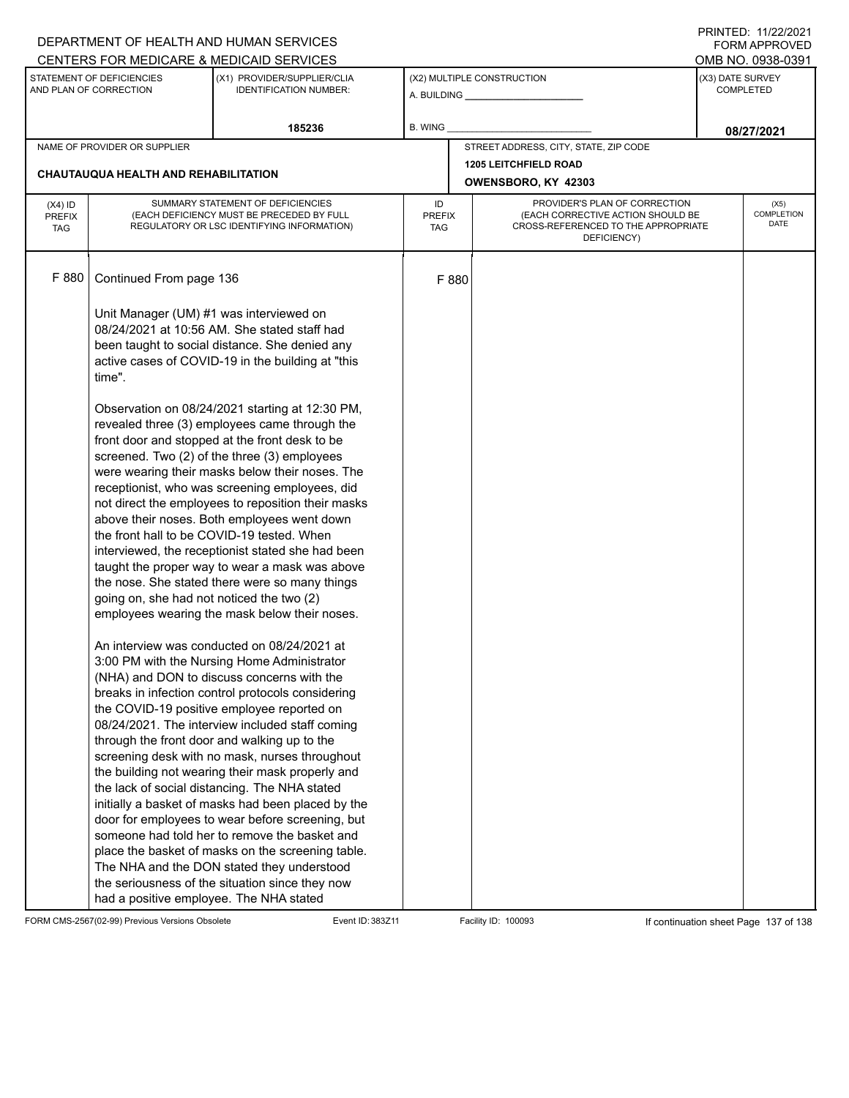|                                                                                                                     |                                                   | DEPARTMENT OF HEALTH AND HUMAN SERVICES                                                                                                                                                                                                                                                                                                                                                                                                                                                                                                                                                                                                                                                                                                                                                                                |                                                              |                     |                                                                                                                          |                                      | 111111111171112212021<br><b>FORM APPROVED</b> |  |  |
|---------------------------------------------------------------------------------------------------------------------|---------------------------------------------------|------------------------------------------------------------------------------------------------------------------------------------------------------------------------------------------------------------------------------------------------------------------------------------------------------------------------------------------------------------------------------------------------------------------------------------------------------------------------------------------------------------------------------------------------------------------------------------------------------------------------------------------------------------------------------------------------------------------------------------------------------------------------------------------------------------------------|--------------------------------------------------------------|---------------------|--------------------------------------------------------------------------------------------------------------------------|--------------------------------------|-----------------------------------------------|--|--|
|                                                                                                                     |                                                   | CENTERS FOR MEDICARE & MEDICAID SERVICES                                                                                                                                                                                                                                                                                                                                                                                                                                                                                                                                                                                                                                                                                                                                                                               |                                                              |                     |                                                                                                                          |                                      | OMB NO. 0938-0391                             |  |  |
| STATEMENT OF DEFICIENCIES<br>(X1) PROVIDER/SUPPLIER/CLIA<br>AND PLAN OF CORRECTION<br><b>IDENTIFICATION NUMBER:</b> |                                                   |                                                                                                                                                                                                                                                                                                                                                                                                                                                                                                                                                                                                                                                                                                                                                                                                                        | (X2) MULTIPLE CONSTRUCTION<br>A. BUILDING <b>A.</b> BUILDING |                     |                                                                                                                          | (X3) DATE SURVEY<br><b>COMPLETED</b> |                                               |  |  |
|                                                                                                                     |                                                   | 185236                                                                                                                                                                                                                                                                                                                                                                                                                                                                                                                                                                                                                                                                                                                                                                                                                 | B. WING                                                      |                     |                                                                                                                          |                                      | 08/27/2021                                    |  |  |
|                                                                                                                     | NAME OF PROVIDER OR SUPPLIER                      |                                                                                                                                                                                                                                                                                                                                                                                                                                                                                                                                                                                                                                                                                                                                                                                                                        |                                                              |                     | STREET ADDRESS, CITY, STATE, ZIP CODE                                                                                    |                                      |                                               |  |  |
|                                                                                                                     |                                                   |                                                                                                                                                                                                                                                                                                                                                                                                                                                                                                                                                                                                                                                                                                                                                                                                                        |                                                              |                     | <b>1205 LEITCHFIELD ROAD</b>                                                                                             |                                      |                                               |  |  |
|                                                                                                                     | CHAUTAUQUA HEALTH AND REHABILITATION              |                                                                                                                                                                                                                                                                                                                                                                                                                                                                                                                                                                                                                                                                                                                                                                                                                        |                                                              | OWENSBORO, KY 42303 |                                                                                                                          |                                      |                                               |  |  |
| $(X4)$ ID<br><b>PREFIX</b><br><b>TAG</b>                                                                            |                                                   | SUMMARY STATEMENT OF DEFICIENCIES<br>(EACH DEFICIENCY MUST BE PRECEDED BY FULL<br>REGULATORY OR LSC IDENTIFYING INFORMATION)                                                                                                                                                                                                                                                                                                                                                                                                                                                                                                                                                                                                                                                                                           | ID<br><b>PREFIX</b><br><b>TAG</b>                            |                     | PROVIDER'S PLAN OF CORRECTION<br>(EACH CORRECTIVE ACTION SHOULD BE<br>CROSS-REFERENCED TO THE APPROPRIATE<br>DEFICIENCY) |                                      | (X5)<br><b>COMPLETION</b><br>DATE             |  |  |
| F 880                                                                                                               | Continued From page 136                           |                                                                                                                                                                                                                                                                                                                                                                                                                                                                                                                                                                                                                                                                                                                                                                                                                        |                                                              | F 880               |                                                                                                                          |                                      |                                               |  |  |
|                                                                                                                     | Unit Manager (UM) #1 was interviewed on<br>time". | 08/24/2021 at 10:56 AM. She stated staff had<br>been taught to social distance. She denied any<br>active cases of COVID-19 in the building at "this                                                                                                                                                                                                                                                                                                                                                                                                                                                                                                                                                                                                                                                                    |                                                              |                     |                                                                                                                          |                                      |                                               |  |  |
|                                                                                                                     | going on, she had not noticed the two (2)         | Observation on 08/24/2021 starting at 12:30 PM,<br>revealed three (3) employees came through the<br>front door and stopped at the front desk to be<br>screened. Two (2) of the three (3) employees<br>were wearing their masks below their noses. The<br>receptionist, who was screening employees, did<br>not direct the employees to reposition their masks<br>above their noses. Both employees went down<br>the front hall to be COVID-19 tested. When<br>interviewed, the receptionist stated she had been<br>taught the proper way to wear a mask was above<br>the nose. She stated there were so many things<br>employees wearing the mask below their noses.                                                                                                                                                   |                                                              |                     |                                                                                                                          |                                      |                                               |  |  |
|                                                                                                                     | had a positive employee. The NHA stated           | An interview was conducted on 08/24/2021 at<br>3:00 PM with the Nursing Home Administrator<br>(NHA) and DON to discuss concerns with the<br>breaks in infection control protocols considering<br>the COVID-19 positive employee reported on<br>08/24/2021. The interview included staff coming<br>through the front door and walking up to the<br>screening desk with no mask, nurses throughout<br>the building not wearing their mask properly and<br>the lack of social distancing. The NHA stated<br>initially a basket of masks had been placed by the<br>door for employees to wear before screening, but<br>someone had told her to remove the basket and<br>place the basket of masks on the screening table.<br>The NHA and the DON stated they understood<br>the seriousness of the situation since they now |                                                              |                     |                                                                                                                          |                                      |                                               |  |  |

FORM CMS-2567(02-99) Previous Versions Obsolete Event ID: 383Z11 Facility ID: 100093 If continuation sheet Page 137 of 138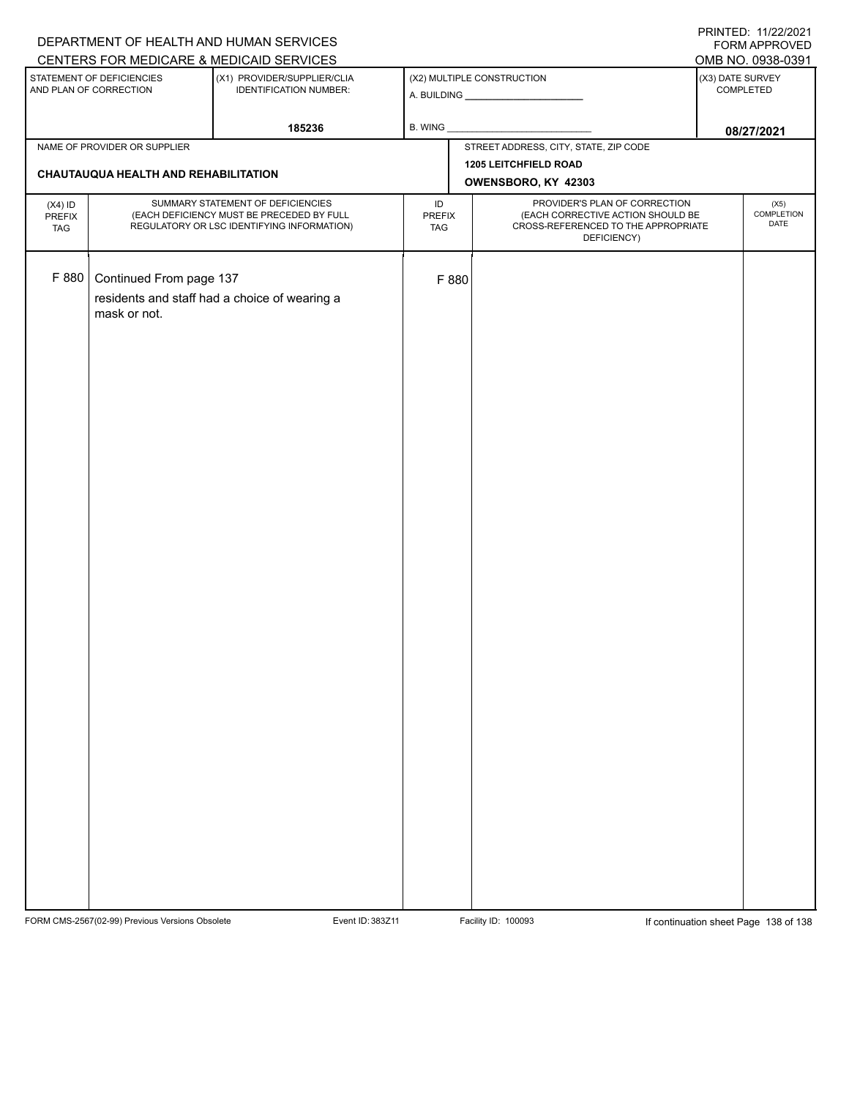| CENTERS FOR MEDICARE & MEDICAID SERVICES<br>OMB NO. 0938-0391<br>(X2) MULTIPLE CONSTRUCTION<br>(X3) DATE SURVEY<br>STATEMENT OF DEFICIENCIES<br>(X1) PROVIDER/SUPPLIER/CLIA<br>AND PLAN OF CORRECTION<br><b>IDENTIFICATION NUMBER:</b><br>COMPLETED<br>185236<br>B. WING<br>08/27/2021<br>STREET ADDRESS, CITY, STATE, ZIP CODE<br>NAME OF PROVIDER OR SUPPLIER |  |  | DEPARTMENT OF HEALTH AND HUMAN SERVICES |                              | 111111111177. 1112212021<br>FORM APPROVED |
|-----------------------------------------------------------------------------------------------------------------------------------------------------------------------------------------------------------------------------------------------------------------------------------------------------------------------------------------------------------------|--|--|-----------------------------------------|------------------------------|-------------------------------------------|
|                                                                                                                                                                                                                                                                                                                                                                 |  |  |                                         |                              |                                           |
|                                                                                                                                                                                                                                                                                                                                                                 |  |  |                                         |                              |                                           |
|                                                                                                                                                                                                                                                                                                                                                                 |  |  |                                         |                              |                                           |
|                                                                                                                                                                                                                                                                                                                                                                 |  |  |                                         |                              |                                           |
| CHAUTAUQUA HEALTH AND REHABILITATION                                                                                                                                                                                                                                                                                                                            |  |  |                                         | <b>1205 LEITCHFIELD ROAD</b> |                                           |
| OWENSBORO, KY 42303                                                                                                                                                                                                                                                                                                                                             |  |  |                                         |                              |                                           |
| PROVIDER'S PLAN OF CORRECTION<br>SUMMARY STATEMENT OF DEFICIENCIES<br>ID<br>(X5)<br>$(X4)$ ID<br>(EACH DEFICIENCY MUST BE PRECEDED BY FULL<br>(EACH CORRECTIVE ACTION SHOULD BE<br>PREFIX<br><b>PREFIX</b><br>DATE<br>CROSS-REFERENCED TO THE APPROPRIATE<br>REGULATORY OR LSC IDENTIFYING INFORMATION)<br><b>TAG</b><br>TAG<br>DEFICIENCY)                     |  |  |                                         |                              | COMPLETION                                |
| F 880<br>Continued From page 137<br>F 880<br>residents and staff had a choice of wearing a<br>mask or not.                                                                                                                                                                                                                                                      |  |  |                                         |                              |                                           |

FORM CMS-2567(02-99) Previous Versions Obsolete Event ID: 383Z11 Facility ID: 100093 If continuation sheet Page 138 of 138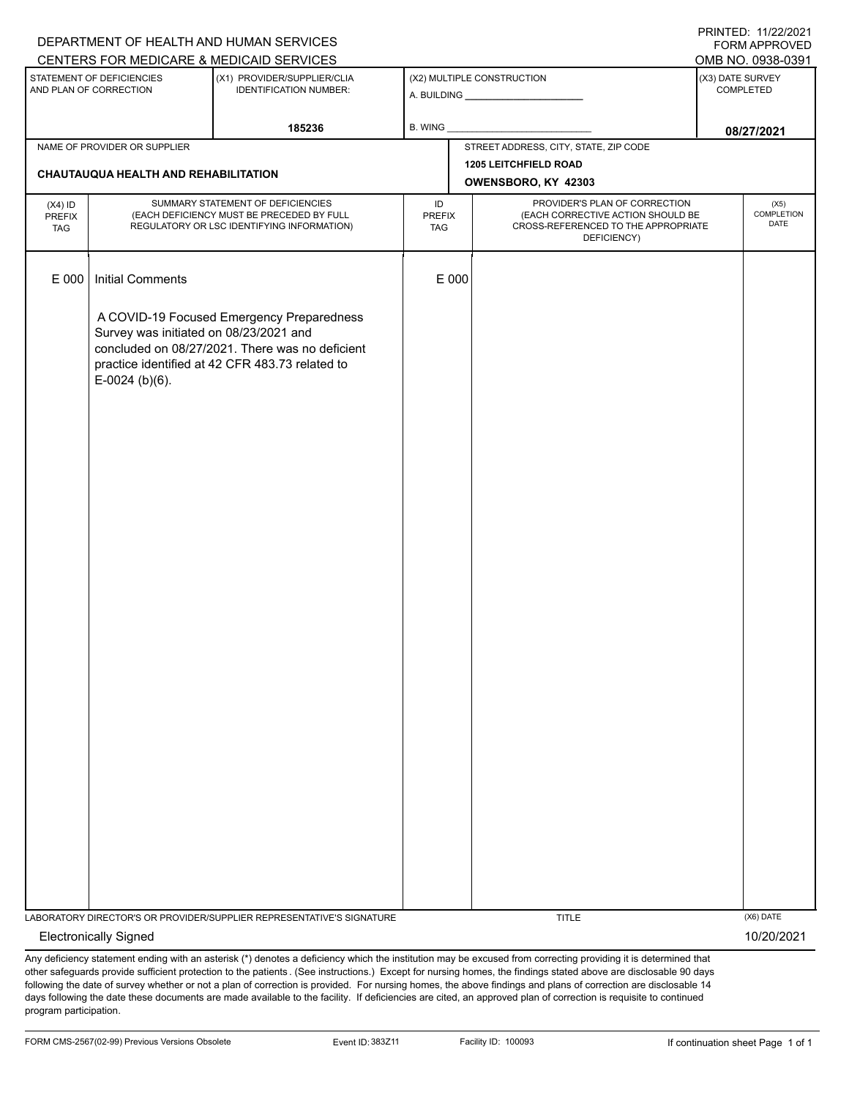|                                          |                                                            | DEPARTMENT OF HEALTH AND HUMAN SERVICES                                                                                                         |                                   |                            |                                                                                                                          | 111111111127.1112212021<br><b>FORM APPROVED</b> |
|------------------------------------------|------------------------------------------------------------|-------------------------------------------------------------------------------------------------------------------------------------------------|-----------------------------------|----------------------------|--------------------------------------------------------------------------------------------------------------------------|-------------------------------------------------|
|                                          |                                                            | CENTERS FOR MEDICARE & MEDICAID SERVICES                                                                                                        |                                   |                            |                                                                                                                          | OMB NO. 0938-0391                               |
|                                          | STATEMENT OF DEFICIENCIES<br>AND PLAN OF CORRECTION        | (X1) PROVIDER/SUPPLIER/CLIA<br><b>IDENTIFICATION NUMBER:</b>                                                                                    |                                   | (X2) MULTIPLE CONSTRUCTION |                                                                                                                          | (X3) DATE SURVEY<br>COMPLETED                   |
|                                          |                                                            | 185236                                                                                                                                          | B. WING                           |                            |                                                                                                                          | 08/27/2021                                      |
|                                          | NAME OF PROVIDER OR SUPPLIER                               |                                                                                                                                                 |                                   |                            | STREET ADDRESS, CITY, STATE, ZIP CODE                                                                                    |                                                 |
|                                          | CHAUTAUQUA HEALTH AND REHABILITATION                       |                                                                                                                                                 |                                   |                            | <b>1205 LEITCHFIELD ROAD</b>                                                                                             |                                                 |
|                                          |                                                            |                                                                                                                                                 |                                   |                            | OWENSBORO, KY 42303                                                                                                      |                                                 |
| $(X4)$ ID<br><b>PREFIX</b><br><b>TAG</b> |                                                            | SUMMARY STATEMENT OF DEFICIENCIES<br>(EACH DEFICIENCY MUST BE PRECEDED BY FULL<br>REGULATORY OR LSC IDENTIFYING INFORMATION)                    | ID<br><b>PREFIX</b><br><b>TAG</b> |                            | PROVIDER'S PLAN OF CORRECTION<br>(EACH CORRECTIVE ACTION SHOULD BE<br>CROSS-REFERENCED TO THE APPROPRIATE<br>DEFICIENCY) | (X5)<br>COMPLETION<br>DATE                      |
| E 000                                    | <b>Initial Comments</b>                                    |                                                                                                                                                 |                                   | E 000                      |                                                                                                                          |                                                 |
|                                          | Survey was initiated on 08/23/2021 and<br>$E-0024$ (b)(6). | A COVID-19 Focused Emergency Preparedness<br>concluded on 08/27/2021. There was no deficient<br>practice identified at 42 CFR 483.73 related to |                                   |                            |                                                                                                                          |                                                 |
|                                          |                                                            |                                                                                                                                                 |                                   |                            |                                                                                                                          |                                                 |
|                                          |                                                            |                                                                                                                                                 |                                   |                            |                                                                                                                          |                                                 |
|                                          |                                                            | LABORATORY DIRECTOR'S OR PROVIDER/SUPPLIER REPRESENTATIVE'S SIGNATURE                                                                           |                                   |                            | <b>TITLE</b>                                                                                                             | (X6) DATE                                       |
|                                          | <b>Electronically Signed</b>                               |                                                                                                                                                 |                                   |                            |                                                                                                                          | 10/20/2021                                      |

Any deficiency statement ending with an asterisk (\*) denotes a deficiency which the institution may be excused from correcting providing it is determined that other safeguards provide sufficient protection to the patients . (See instructions.) Except for nursing homes, the findings stated above are disclosable 90 days following the date of survey whether or not a plan of correction is provided. For nursing homes, the above findings and plans of correction are disclosable 14 days following the date these documents are made available to the facility. If deficiencies are cited, an approved plan of correction is requisite to continued program participation.